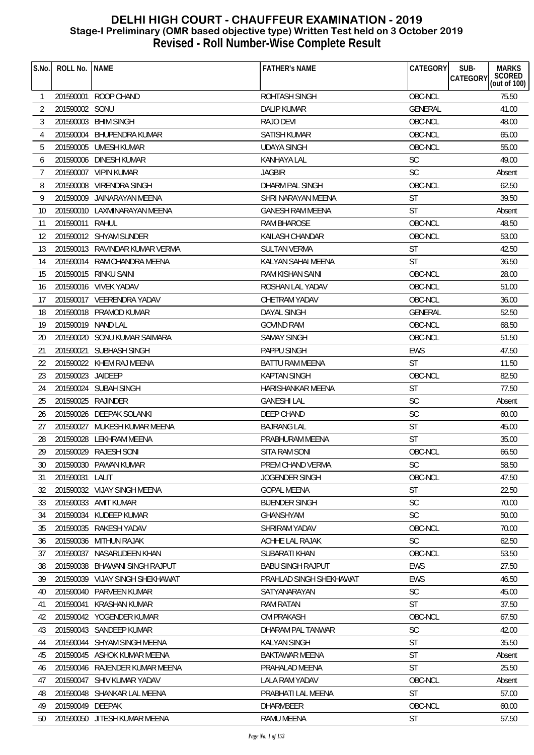| S.No.           | ROLL No.           | <b>NAME</b>                     | <b>FATHER'S NAME</b>     | CATEGORY       | SUB-<br><b>MARKS</b><br><b>CATEGORY</b> |
|-----------------|--------------------|---------------------------------|--------------------------|----------------|-----------------------------------------|
|                 |                    |                                 |                          |                | SCORED<br>(out of 100)                  |
| $\mathbf{1}$    | 201590001          | ROOP CHAND                      | ROHTASH SINGH            | OBC-NCL        | 75.50                                   |
| 2               | 201590002 SONU     |                                 | <b>DALIP KUMAR</b>       | <b>GENERAL</b> | 41.00                                   |
| 3               |                    | 201590003 BHIM SINGH            | RAJO DEVI                | OBC-NCL        | 48.00                                   |
| 4               |                    | 201590004 BHUPENDRA KUMAR       | SATISH KUMAR             | OBC-NCL        | 65.00                                   |
| 5               |                    | 201590005 UMESH KUMAR           | <b>UDAYA SINGH</b>       | OBC-NCL        | 55.00                                   |
| 6               |                    | 201590006 DINESH KUMAR          | <b>KANHAYA LAL</b>       | <b>SC</b>      | 49.00                                   |
| 7               |                    | 201590007 VIPIN KUMAR           | <b>JAGBIR</b>            | <b>SC</b>      | Absent                                  |
| 8               |                    | 201590008 VIRENDRA SINGH        | DHARM PAL SINGH          | OBC-NCL        | 62.50                                   |
| 9               |                    | 201590009 JAINARAYAN MEENA      | SHRI NARAYAN MEENA       | <b>ST</b>      | 39.50                                   |
| 10              |                    | 201590010 LAXMINARAYAN MEENA    | <b>GANESH RAM MEENA</b>  | <b>ST</b>      | Absent                                  |
| 11              | 201590011 RAHUL    |                                 | RAM BHAROSE              | OBC-NCL        | 48.50                                   |
| 12              |                    | 201590012 SHYAM SUNDER          | KAILASH CHANDAR          | OBC-NCL        | 53.00                                   |
| 13              |                    | 201590013 RAVINDAR KUMAR VERMA  | SULTAN VERMA             | <b>ST</b>      | 42.50                                   |
| 14              |                    | 201590014 RAM CHANDRA MEENA     | KALYAN SAHAI MEENA       | <b>ST</b>      | 36.50                                   |
| 15              |                    | 201590015 RINKU SAINI           | <b>RAM KISHAN SAINI</b>  | OBC-NCL        | 28.00                                   |
| 16              |                    | 201590016 VIVEK YADAV           | ROSHAN LAL YADAV         | OBC-NCL        | 51.00                                   |
| 17              |                    | 201590017 VEERENDRA YADAV       | CHETRAM YADAV            | OBC-NCL        | 36.00                                   |
| 18              |                    | 201590018 PRAMOD KUMAR          | <b>DAYAL SINGH</b>       | <b>GENERAL</b> | 52.50                                   |
| 19              | 201590019 NAND LAL |                                 | <b>GOVIND RAM</b>        | OBC-NCL        | 68.50                                   |
| 20              |                    | 201590020 SONU KUMAR SAIMARA    | <b>SAMAY SINGH</b>       | OBC-NCL        | 51.50                                   |
| 21              |                    | 201590021 SUBHASH SINGH         | PAPPU SINGH              | <b>EWS</b>     | 47.50                                   |
| 22              |                    | 201590022 KHEM RAJ MEENA        | <b>BATTU RAM MEENA</b>   | <b>ST</b>      | 11.50                                   |
| 23              | 201590023 JAIDEEP  |                                 | <b>KAPTAN SINGH</b>      | OBC-NCL        | 82.50                                   |
| 24              |                    | 201590024 SUBAH SINGH           | HARISHANKAR MEENA        | <b>ST</b>      | 77.50                                   |
| 25              | 201590025 RAJINDER |                                 | <b>GANESHI LAL</b>       | <b>SC</b>      | Absent                                  |
| 26              |                    | 201590026 DEEPAK SOLANKI        | DEEP CHAND               | <b>SC</b>      | 60.00                                   |
| 27              |                    | 201590027 MUKESH KUMAR MEENA    | <b>BAJRANG LAL</b>       | <b>ST</b>      | 45.00                                   |
| 28              |                    | 201590028 LEKHRAM MEENA         | PRABHURAM MEENA          | <b>ST</b>      | 35.00                                   |
| 29              |                    | 201590029 RAJESH SONI           | SITA RAM SONI            | OBC-NCL        | 66.50                                   |
| 30 <sup>°</sup> |                    | 201590030 PAWAN KUMAR           | PREM CHAND VERMA         | $\mathsf{SC}$  | 58.50                                   |
| 31              | 201590031 LALIT    |                                 | JOGENDER SINGH           | OBC-NCL        | 47.50                                   |
| 32              |                    | 201590032 VIJAY SINGH MEENA     | <b>GOPAL MEENA</b>       | <b>ST</b>      | 22.50                                   |
| 33              |                    | 201590033 AMIT KUMAR            | <b>BIJENDER SINGH</b>    | SC             | 70.00                                   |
| 34              |                    | 201590034 KUDEEP KUMAR          | <b>GHANSHYAM</b>         | <b>SC</b>      | 50.00                                   |
| 35              |                    | 201590035 RAKESH YADAV          | SHRIRAM YADAV            | OBC-NCL        | 70.00                                   |
| 36              |                    | 201590036 MITHUN RAJAK          | ACHHE LAL RAJAK          | <b>SC</b>      | 62.50                                   |
| 37              |                    | 201590037 NASARUDEEN KHAN       | SUBARATI KHAN            | OBC-NCL        | 53.50                                   |
| 38              |                    | 201590038 BHAWANI SINGH RAJPUT  | <b>BABU SINGH RAJPUT</b> | EWS            | 27.50                                   |
| 39              |                    | 201590039 VIJAY SINGH SHEKHAWAT | PRAHLAD SINGH SHEKHAWAT  | <b>EWS</b>     | 46.50                                   |
| 40              |                    | 201590040 PARVEEN KUMAR         | SATYANARAYAN             | <b>SC</b>      | 45.00                                   |
| 41              | 201590041          | KRASHAN KUMAR                   | <b>RAM RATAN</b>         | <b>ST</b>      | 37.50                                   |
| 42              |                    | 201590042 YOGENDER KUMAR        | <b>OM PRAKASH</b>        | OBC-NCL        | 67.50                                   |
| 43              |                    | 201590043 SANDEEP KUMAR         | DHARAM PAL TANWAR        | <b>SC</b>      | 42.00                                   |
| 44              |                    | 201590044 SHYAM SINGH MEENA     | <b>KALYAN SINGH</b>      | ST             | 35.50                                   |
| 45              |                    | 201590045 ASHOK KUMAR MEENA     | <b>BAKTAWAR MEENA</b>    | <b>ST</b>      | Absent                                  |
| 46              |                    | 201590046 RAJENDER KUMAR MEENA  | PRAHALAD MEENA           | <b>ST</b>      | 25.50                                   |
| 47              |                    | 201590047 SHIV KUMAR YADAV      | LALA RAM YADAV           | OBC-NCL        | Absent                                  |
| 48              |                    | 201590048 SHANKAR LAL MEENA     | PRABHATI LAL MEENA       | <b>ST</b>      | 57.00                                   |
| 49              | 201590049 DEEPAK   |                                 | <b>DHARMBEER</b>         | OBC-NCL        | 60.00                                   |
| 50              |                    | 201590050 JITESH KUMAR MEENA    | RAMU MEENA               | <b>ST</b>      | 57.50                                   |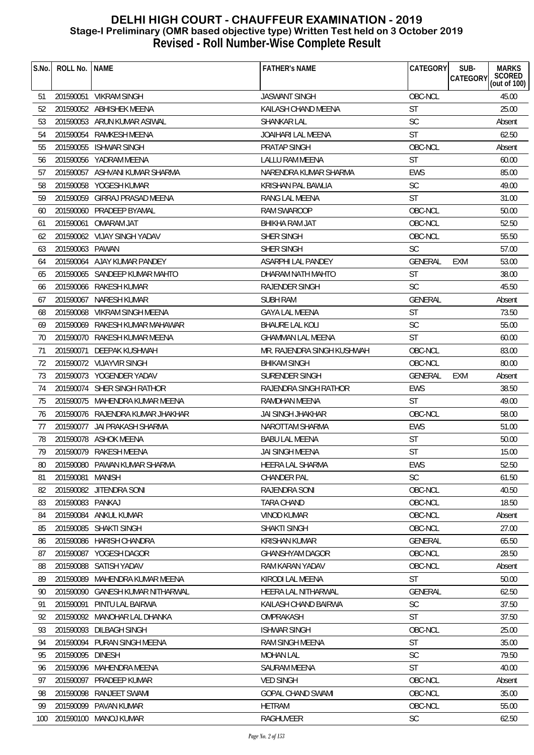| S.No.        | ROLL No.   NAME  |                                  | <b>FATHER'S NAME</b>       | CATEGORY       | SUB-<br><b>CATEGORY</b> | <b>MARKS</b><br>SCORED<br>(out of 100) |
|--------------|------------------|----------------------------------|----------------------------|----------------|-------------------------|----------------------------------------|
| 51           |                  | 201590051 VIKRAM SINGH           | <b>JASWANT SINGH</b>       | OBC-NCL        |                         | 45.00                                  |
| 52           |                  | 201590052 ABHISHEK MEENA         | KAILASH CHAND MEENA        | ST             |                         | 25.00                                  |
| 53           |                  | 201590053 ARUN KUMAR ASIWAL      | <b>SHANKAR LAL</b>         | <b>SC</b>      |                         | Absent                                 |
| 54           |                  | 201590054 RAMKESH MEENA          | JOAIHARI LAL MEENA         | <b>ST</b>      |                         | 62.50                                  |
| 55           |                  | 201590055 ISHWAR SINGH           | PRATAP SINGH               | OBC-NCL        |                         | Absent                                 |
| 56           |                  | 201590056 YADRAM MEENA           | <b>LALLU RAM MEENA</b>     | <b>ST</b>      |                         | 60.00                                  |
| 57           |                  | 201590057 ASHVANI KUMAR SHARMA   | NARENDRA KUMAR SHARMA      | <b>EWS</b>     |                         | 85.00                                  |
| 58           |                  | 201590058 YOGESH KUMAR           | KRISHAN PAL BAWLIA         | <b>SC</b>      |                         | 49.00                                  |
| 59           |                  | 201590059 GIRRAJ PRASAD MEENA    | RANG LAL MEENA             | <b>ST</b>      |                         | 31.00                                  |
| 60           |                  | 201590060 PRADEEP BYAMAL         | <b>RAM SWAROOP</b>         | OBC-NCL        |                         | 50.00                                  |
| 61           | 201590061        | OMARAM JAT                       | BHIKHA RAM JAT             | OBC-NCL        |                         | 52.50                                  |
| 62           |                  | 201590062 VIJAY SINGH YADAV      | SHER SINGH                 | OBC-NCL        |                         | 55.50                                  |
| 63           | 201590063 PAWAN  |                                  | SHER SINGH                 | <b>SC</b>      |                         | 57.00                                  |
| 64           |                  | 201590064 AJAY KUMAR PANDEY      | ASARPHI LAL PANDEY         | <b>GENERAL</b> | <b>EXM</b>              | 53.00                                  |
| 65           |                  | 201590065 SANDEEP KUMAR MAHTO    | DHARAM NATH MAHTO          | <b>ST</b>      |                         | 38.00                                  |
| 66           |                  | 201590066 RAKESH KUMAR           | <b>RAJENDER SINGH</b>      | <b>SC</b>      |                         | 45.50                                  |
| 67           | 201590067        | NARESH KUMAR                     | <b>SUBH RAM</b>            | <b>GENERAL</b> |                         | Absent                                 |
| 68           |                  | 201590068 VIKRAM SINGH MEENA     | <b>GAYA LAL MEENA</b>      | <b>ST</b>      |                         | 73.50                                  |
| 69           |                  | 201590069 RAKESH KUMAR MAHAWAR   | BHAURE LAL KOLI            | <b>SC</b>      |                         | 55.00                                  |
| 70           |                  | 201590070 RAKESH KUMAR MEENA     | <b>GHAMMAN LAL MEENA</b>   | ST             |                         | 60.00                                  |
| 71           |                  | 201590071 DEEPAK KUSHWAH         | MR. RAJENDRA SINGH KUSHWAH | OBC-NCL        |                         | 83.00                                  |
| 72           |                  | 201590072 VIJAYVIR SINGH         | <b>BHIKAM SINGH</b>        | OBC-NCL        |                         | 80.00                                  |
| 73           |                  | 201590073 YOGENDER YADAV         | SURENDER SINGH             | GENERAL        | EXM                     | Absent                                 |
| 74           |                  | 201590074 SHER SINGH RATHOR      | RAJENDRA SINGH RATHOR      | EWS            |                         | 38.50                                  |
| 75           |                  | 201590075 MAHENDRA KUMAR MEENA   | RAMDHAN MEENA              | <b>ST</b>      |                         | 49.00                                  |
| 76           |                  | 201590076 RAJENDRA KUMAR JHAKHAR | <b>JAI SINGH JHAKHAR</b>   | OBC-NCL        |                         | 58.00                                  |
| 77           |                  | 201590077 JAI PRAKASH SHARMA     | NAROTTAM SHARMA            | <b>EWS</b>     |                         | 51.00                                  |
| 78           |                  | 201590078 ASHOK MEENA            | <b>BABU LAL MEENA</b>      | <b>ST</b>      |                         | 50.00                                  |
| 79           |                  | 201590079 RAKESH MEENA           | JAI SINGH MEENA            | ST             |                         | 15.00                                  |
| $\sim$<br>80 |                  | 201590080 PAWAN KUMAR SHARMA     | HEERA LAL SHARMA           | EWS            |                         | 52.50                                  |
| 81           | 201590081        | MANISH                           | <b>CHANDER PAL</b>         | <b>SC</b>      |                         | 61.50                                  |
| 82           |                  | 201590082 JITENDRA SONI          | RAJENDRA SONI              | OBC-NCL        |                         | 40.50                                  |
| 83           | 201590083 PANKAJ |                                  | <b>TARA CHAND</b>          | OBC-NCL        |                         | 18.50                                  |
| 84           |                  | 201590084 ANKUL KUMAR            | <b>VINOD KUMAR</b>         | OBC-NCL        |                         | Absent                                 |
| 85           |                  | 201590085 SHAKTI SINGH           | <b>SHAKTI SINGH</b>        | OBC-NCL        |                         | 27.00                                  |
| 86           | 201590086        | <b>HARISH CHANDRA</b>            | <b>KRISHAN KUMAR</b>       | <b>GENERAL</b> |                         | 65.50                                  |
| 87           |                  | 201590087 YOGESH DAGOR           | <b>GHANSHYAM DAGOR</b>     | OBC-NCL        |                         | 28.50                                  |
| 88           |                  | 201590088 SATISH YADAV           | RAM KARAN YADAV            | OBC-NCL        |                         | Absent                                 |
| 89           | 201590089        | MAHENDRA KUMAR MEENA             | KIRODI LAL MEENA           | <b>ST</b>      |                         | 50.00                                  |
| 90           | 201590090        | GANESH KUMAR NITHARWAL           | HEERA LAL NITHARWAL        | <b>GENERAL</b> |                         | 62.50                                  |
| 91           | 201590091        | PINTU LAL BAIRWA                 | KAILASH CHAND BAIRWA       | <b>SC</b>      |                         | 37.50                                  |
| 92           | 201590092        | MANOHAR LAL DHANKA               | OMPRAKASH                  | <b>ST</b>      |                         | 37.50                                  |
| 93           |                  | 201590093 DILBAGH SINGH          | <b>ISHWAR SINGH</b>        | OBC-NCL        |                         | 25.00                                  |
| 94           | 201590094        | PURAN SINGH MEENA                | RAM SINGH MEENA            | <b>ST</b>      |                         | 35.00                                  |
| 95           | 201590095        | <b>DINESH</b>                    | <b>MOHAN LAL</b>           | <b>SC</b>      |                         | 79.50                                  |
| 96           | 201590096        | MAHENDRA MEENA                   | <b>SAURAM MEENA</b>        | ST             |                         | 40.00                                  |
| 97           | 201590097        | PRADEEP KUMAR                    | <b>VED SINGH</b>           | OBC-NCL        |                         | Absent                                 |
| 98           | 201590098        | RANJEET SWAMI                    | <b>GOPAL CHAND SWAMI</b>   | OBC-NCL        |                         | 35.00                                  |
| 99           |                  | 201590099 PAVAN KUMAR            | <b>HETRAM</b>              | OBC-NCL        |                         | 55.00                                  |
| 100          |                  | 201590100 MANOJ KUMAR            | RAGHUVEER                  | <b>SC</b>      |                         | 62.50                                  |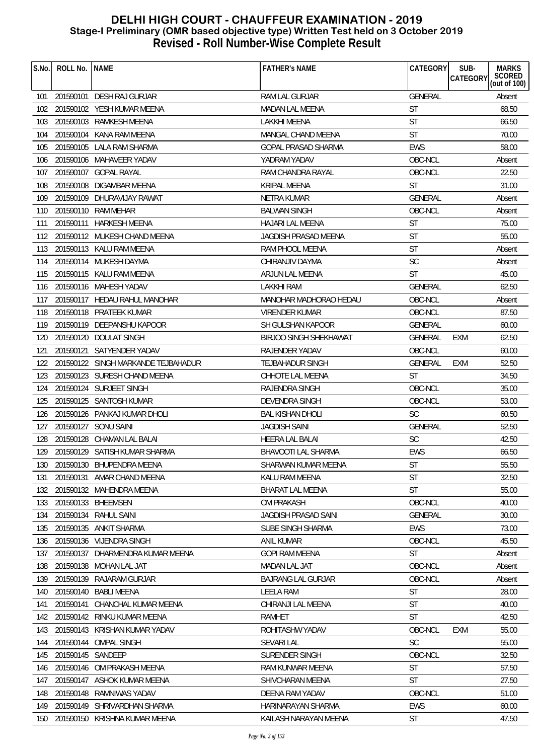| S.No. | ROLL No.          | l name                              | <b>FATHER'S NAME</b>          | CATEGORY       | SUB-<br><b>MARKS</b>                      |
|-------|-------------------|-------------------------------------|-------------------------------|----------------|-------------------------------------------|
|       |                   |                                     |                               |                | SCORED<br>(out of 100)<br><b>CATEGORY</b> |
| 101   |                   | 201590101 DESH RAJ GURJAR           | RAM LAL GURJAR                | <b>GENERAL</b> | Absent                                    |
| 102   |                   | 201590102 YESH KUMAR MEENA          | MADAN LAL MEENA               | <b>ST</b>      | 68.50                                     |
| 103   |                   | 201590103 RAMKESH MEENA             | LAKKHI MEENA                  | <b>ST</b>      | 66.50                                     |
| 104   |                   | 201590104 KANA RAM MEENA            | MANGAL CHAND MEENA            | <b>ST</b>      | 70.00                                     |
| 105   |                   | 201590105 LALA RAM SHARMA           | GOPAL PRASAD SHARMA           | <b>EWS</b>     | 58.00                                     |
| 106   |                   | 201590106 MAHAVEER YADAV            | YADRAM YADAV                  | OBC-NCL        | Absent                                    |
| 107   |                   | 201590107 GOPAL RAYAL               | RAM CHANDRA RAYAL             | OBC-NCL        | 22.50                                     |
| 108   |                   | 201590108 DIGAMBAR MEENA            | KRIPAL MEENA                  | <b>ST</b>      | 31.00                                     |
| 109   |                   | 201590109 DHURAVIJAY RAWAT          | <b>NETRA KUMAR</b>            | <b>GENERAL</b> | Absent                                    |
| 110   |                   | 201590110 RAM MEHAR                 | <b>BALWAN SINGH</b>           | OBC-NCL        | Absent                                    |
| 111   |                   | 201590111 HARKESH MEENA             | HAJARI LAL MEENA              | <b>ST</b>      | 75.00                                     |
| 112   |                   | 201590112 MUKESH CHAND MEENA        | <b>JAGDISH PRASAD MEENA</b>   | <b>ST</b>      | 55.00                                     |
| 113   |                   | 201590113 KALU RAM MEENA            | RAM PHOOL MEENA               | <b>ST</b>      | Absent                                    |
| 114   |                   | 201590114 MUKESH DAYMA              | CHIRANJIV DAYMA               | <b>SC</b>      | Absent                                    |
| 115   |                   | 201590115 KALU RAM MEENA            | ARJUN LAL MEENA               | <b>ST</b>      | 45.00                                     |
| 116   |                   | 201590116 MAHESH YADAV              | LAKKHI RAM                    | <b>GENERAL</b> | 62.50                                     |
| 117   |                   | 201590117 HEDAU RAHUL MANOHAR       | MANOHAR MADHORAO HEDAU        | OBC-NCL        | Absent                                    |
| 118   |                   | 201590118 PRATEEK KUMAR             | <b>VIRENDER KUMAR</b>         | OBC-NCL        | 87.50                                     |
| 119   |                   | 201590119 DEEPANSHU KAPOOR          | SH GULSHAN KAPOOR             | GENERAL        | 60.00                                     |
| 120   |                   | 201590120 DOULAT SINGH              | <b>BIRJOO SINGH SHEKHAWAT</b> | GENERAL        | 62.50<br>EXM                              |
| 121   |                   | 201590121 SATYENDER YADAV           | RAJENDER YADAV                | OBC-NCL        | 60.00                                     |
| 122   |                   | 201590122 SINGH MARKANDE TEJBAHADUR | TEJBAHADUR SINGH              | <b>GENERAL</b> | 52.50<br>EXM                              |
| 123   |                   | 201590123 SURESH CHAND MEENA        | CHHOTE LAL MEENA              | <b>ST</b>      | 34.50                                     |
| 124   |                   | 201590124 SURJEET SINGH             | RAJENDRA SINGH                | OBC-NCL        | 35.00                                     |
| 125   |                   | 201590125 SANTOSH KUMAR             | DEVENDRA SINGH                | OBC-NCL        | 53.00                                     |
| 126   |                   | 201590126 PANKAJ KUMAR DHOLI        | <b>BAL KISHAN DHOLI</b>       | <b>SC</b>      | 60.50                                     |
| 127   |                   | 201590127 SONU SAINI                | <b>JAGDISH SAINI</b>          | <b>GENERAL</b> | 52.50                                     |
| 128   |                   | 201590128 CHAMAN LAL BALAI          | HEERA LAL BALAI               | <b>SC</b>      | 42.50                                     |
| 129   |                   | 201590129 SATISH KUMAR SHARMA       | BHAVOOTI LAL SHARMA           | <b>EWS</b>     | 66.50                                     |
|       |                   | 130 201590130 BHUPENDRA MEENA       | SHARWAN KUMAR MEENA           | ST             | 55.50                                     |
| 131   | 201590131         | AMAR CHAND MEENA                    | KALU RAM MEENA                | <b>ST</b>      | 32.50                                     |
| 132   |                   | 201590132 MAHENDRA MEENA            | <b>BHARAT LAL MEENA</b>       | <b>ST</b>      | 55.00                                     |
| 133   |                   | 201590133 BHEEMSEN                  | <b>OM PRAKASH</b>             | OBC-NCL        | 40.00                                     |
| 134   |                   | 201590134 RAHUL SAINI               | JAGDISH PRASAD SAINI          | <b>GENERAL</b> | 30.00                                     |
| 135   |                   | 201590135 ANKIT SHARMA              | SUBE SINGH SHARMA             | <b>EWS</b>     | 73.00                                     |
| 136   |                   | 201590136 VIJENDRA SINGH            | <b>ANIL KUMAR</b>             | OBC-NCL        | 45.50                                     |
| 137   |                   | 201590137 DHARMENDRA KUMAR MEENA    | <b>GOPI RAM MEENA</b>         | <b>ST</b>      | Absent                                    |
| 138   |                   | 201590138 MOHAN LAL JAT             | <b>MADAN LAL JAT</b>          | OBC-NCL        | Absent                                    |
| 139   |                   | 201590139 RAJARAM GURJAR            | <b>BAJRANG LAL GURJAR</b>     | OBC-NCL        | Absent                                    |
| 140   |                   | 201590140 BABLI MEENA               | <b>LEELA RAM</b>              | <b>ST</b>      | 28.00                                     |
| 141   | 201590141         | CHANCHAL KUMAR MEENA                | CHIRANJI LAL MEENA            | <b>ST</b>      | 40.00                                     |
| 142   |                   | 201590142 RINKU KUMAR MEENA         | RAMHET                        | <b>ST</b>      | 42.50                                     |
| 143   |                   | 201590143 KRISHAN KUMAR YADAV       | ROHITASHW YADAV               | OBC-NCL        | <b>EXM</b><br>55.00                       |
| 144   | 201590144         | <b>OMPAL SINGH</b>                  | <b>SEVARI LAL</b>             | <b>SC</b>      | 55.00                                     |
| 145   | 201590145 SANDEEP |                                     | SURENDER SINGH                | OBC-NCL        | 32.50                                     |
| 146   | 201590146         | OM PRAKASH MEENA                    | RAM KUNWAR MEENA              | <b>ST</b>      | 57.50                                     |
| 147   |                   | 201590147 ASHOK KUMAR MEENA         | SHIVCHARAN MEENA              | <b>ST</b>      | 27.50                                     |
| 148   |                   | 201590148 RAMNIWAS YADAV            | DEENA RAM YADAV               | OBC-NCL        | 51.00                                     |
| 149   |                   | 201590149 SHRIVARDHAN SHARMA        | HARINARAYAN SHARMA            | <b>EWS</b>     | 60.00                                     |
| 150   |                   | 201590150 KRISHNA KUMAR MEENA       | KAILASH NARAYAN MEENA         | <b>ST</b>      | 47.50                                     |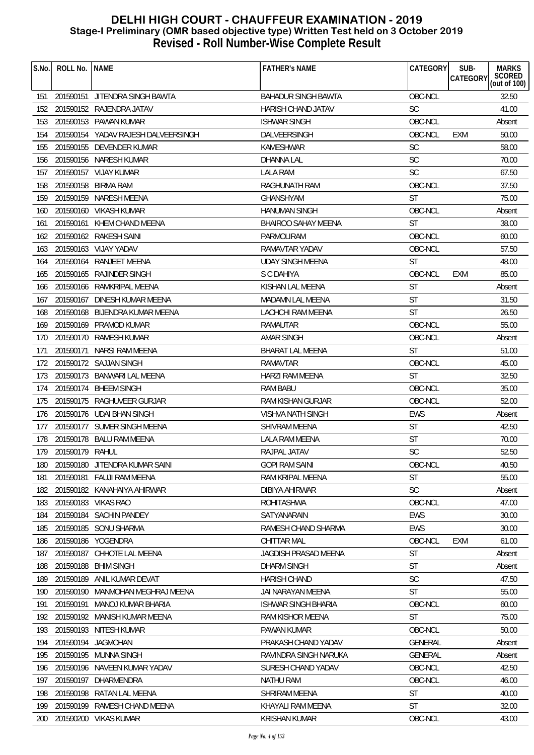| S.No. | ROLL No.        | <b>NAME</b>                         | <b>FATHER'S NAME</b>       | CATEGORY       | SUB-<br><b>CATEGORY</b> | <b>MARKS</b><br>SCORED<br>(out of 100) |
|-------|-----------------|-------------------------------------|----------------------------|----------------|-------------------------|----------------------------------------|
| 151   |                 | 201590151 JITENDRA SINGH BAWTA      | <b>BAHADUR SINGH BAWTA</b> | OBC-NCL        |                         | 32.50                                  |
| 152   |                 | 201590152 RAJENDRA JATAV            | HARISH CHAND JATAV         | <b>SC</b>      |                         | 41.00                                  |
| 153   |                 | 201590153 PAWAN KUMAR               | <b>ISHWAR SINGH</b>        | OBC-NCL        |                         | Absent                                 |
| 154   |                 | 201590154 YADAV RAJESH DALVEERSINGH | DALVEERSINGH               | OBC-NCL        | EXM                     | 50.00                                  |
| 155   |                 | 201590155 DEVENDER KUMAR            | <b>KAMESHWAR</b>           | <b>SC</b>      |                         | 58.00                                  |
| 156   |                 | 201590156 NARESH KUMAR              | <b>DHANNA LAL</b>          | <b>SC</b>      |                         | 70.00                                  |
| 157   |                 | 201590157 VIJAY KUMAR               | LALA RAM                   | <b>SC</b>      |                         | 67.50                                  |
| 158   |                 | 201590158 BIRMA RAM                 | RAGHUNATH RAM              | OBC-NCL        |                         | 37.50                                  |
| 159   |                 | 201590159 NARESH MEENA              | <b>GHANSHYAM</b>           | <b>ST</b>      |                         | 75.00                                  |
| 160   |                 | 201590160 VIKASH KUMAR              | <b>HANUMAN SINGH</b>       | OBC-NCL        |                         | Absent                                 |
| 161   |                 | 201590161 KHEM CHAND MEENA          | <b>BHAIROO SAHAY MEENA</b> | <b>ST</b>      |                         | 38.00                                  |
| 162   |                 | 201590162 RAKESH SAINI              | PARMOLIRAM                 | OBC-NCL        |                         | 60.00                                  |
| 163   |                 | 201590163 VIJAY YADAV               | RAMAVTAR YADAV             | OBC-NCL        |                         | 57.50                                  |
| 164   |                 | 201590164 RANJEET MEENA             | <b>UDAY SINGH MEENA</b>    | <b>ST</b>      |                         | 48.00                                  |
| 165   |                 | 201590165 RAJINDER SINGH            | S C DAHIYA                 | OBC-NCL        | EXM                     | 85.00                                  |
| 166   |                 | 201590166 RAMKRIPAL MEENA           | KISHAN LAL MEENA           | <b>ST</b>      |                         | Absent                                 |
| 167   |                 | 201590167 DINESH KUMAR MEENA        | MADAMN LAL MEENA           | <b>ST</b>      |                         | 31.50                                  |
| 168   |                 | 201590168 BIJENDRA KUMAR MEENA      | LACHCHI RAM MEENA          | <b>ST</b>      |                         | 26.50                                  |
| 169   |                 | 201590169 PRAMOD KUMAR              | RAMAUTAR                   | OBC-NCL        |                         | 55.00                                  |
| 170   |                 | 201590170 RAMESH KUMAR              | <b>AMAR SINGH</b>          | OBC-NCL        |                         | Absent                                 |
| 171   |                 | 201590171 NARSI RAM MEENA           | <b>BHARAT LAL MEENA</b>    | <b>ST</b>      |                         | 51.00                                  |
| 172   |                 | 201590172 SAJJAN SINGH              | RAMAVTAR                   | OBC-NCL        |                         | 45.00                                  |
| 173   |                 | 201590173 BANWARI LAL MEENA         | HARZI RAM MEENA            | <b>ST</b>      |                         | 32.50                                  |
| 174   |                 | 201590174 BHEEM SINGH               | RAM BABU                   | OBC-NCL        |                         | 35.00                                  |
| 175   |                 | 201590175 RAGHUVEER GURJAR          | RAM KISHAN GURJAR          | OBC-NCL        |                         | 52.00                                  |
| 176   |                 | 201590176 UDAI BHAN SINGH           | <b>VISHVA NATH SINGH</b>   | <b>EWS</b>     |                         | Absent                                 |
| 177   |                 | 201590177 SUMER SINGH MEENA         | <b>SHIVRAM MEENA</b>       | <b>ST</b>      |                         | 42.50                                  |
| 178   |                 | 201590178 BALU RAM MEENA            | LALA RAM MEENA             | <b>ST</b>      |                         | 70.00                                  |
| 179   | 201590179 RAHUL |                                     | RAJPAL JATAV               | SC             |                         | 52.50                                  |
| 180   |                 | 201590180 JITENDRA KUMAR SAINI      | <b>GOPI RAM SAINI</b>      | OBC-NCL        |                         | 40.50                                  |
| 181   | 201590181       | <b>FAUJI RAM MEENA</b>              | RAM KRIPAL MEENA           | <b>ST</b>      |                         | 55.00                                  |
| 182   |                 | 201590182 KANAHAIYA AHIRWAR         | DIBIYA AHIRWAR             | <b>SC</b>      |                         | Absent                                 |
| 183   |                 | 201590183 VIKAS RAO                 | <b>ROHITASHWA</b>          | OBC-NCL        |                         | 47.00                                  |
| 184   |                 | 201590184 SACHIN PANDEY             | SATYANARAIN                | <b>EWS</b>     |                         | 30.00                                  |
| 185   |                 | 201590185 SONU SHARMA               | RAMESH CHAND SHARMA        | <b>EWS</b>     |                         | 30.00                                  |
| 186   | 201590186       | YOGENDRA                            | <b>CHITTAR MAL</b>         | OBC-NCL        | <b>EXM</b>              | 61.00                                  |
| 187   |                 | 201590187 CHHOTE LAL MEENA          | JAGDISH PRASAD MEENA       | <b>ST</b>      |                         | Absent                                 |
| 188   |                 | 201590188 BHIM SINGH                | <b>DHARM SINGH</b>         | <b>ST</b>      |                         | Absent                                 |
| 189   |                 | 201590189 ANIL KUMAR DEVAT          | <b>HARISH CHAND</b>        | <b>SC</b>      |                         | 47.50                                  |
| 190   |                 | 201590190 MANMOHAN MEGHRAJ MEENA    | JAI NARAYAN MEENA          | <b>ST</b>      |                         | 55.00                                  |
| 191   | 201590191       | MANOJ KUMAR BHARIA                  | <b>ISHWAR SINGH BHARIA</b> | OBC-NCL        |                         | 60.00                                  |
| 192   |                 | 201590192 MANISH KUMAR MEENA        | RAM KISHOR MEENA           | <b>ST</b>      |                         | 75.00                                  |
| 193   |                 | 201590193 NITESH KUMAR              | PAWAN KUMAR                | OBC-NCL        |                         | 50.00                                  |
| 194   |                 | 201590194 JAGMOHAN                  | PRAKASH CHAND YADAV        | <b>GENERAL</b> |                         | Absent                                 |
| 195   |                 | 201590195 MUNNA SINGH               | RAVINDRA SINGH NARUKA      | <b>GENERAL</b> |                         | Absent                                 |
| 196   |                 | 201590196 NAVEEN KUMAR YADAV        | SURESH CHAND YADAV         | OBC-NCL        |                         | 42.50                                  |
| 197   | 201590197       | DHARMENDRA                          | NATHU RAM                  | OBC-NCL        |                         | 46.00                                  |
| 198   |                 | 201590198 RATAN LAL MEENA           | SHRIRAM MEENA              | <b>ST</b>      |                         | 40.00                                  |
| 199   |                 | 201590199 RAMESH CHAND MEENA        | KHAYALI RAM MEENA          | <b>ST</b>      |                         | 32.00                                  |
| 200   |                 | 201590200 VIKAS KUMAR               | <b>KRISHAN KUMAR</b>       | OBC-NCL        |                         | 43.00                                  |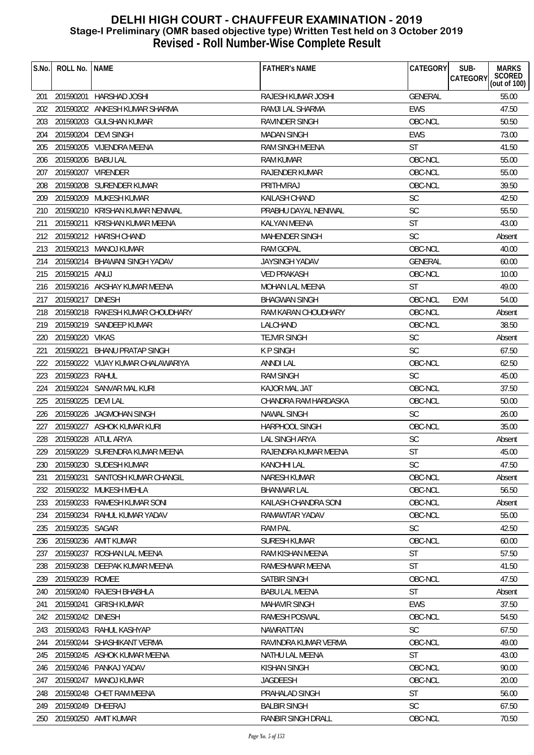| S.No. | ROLL No.           | <b>NAME</b>                       | <b>FATHER'S NAME</b>   | CATEGORY       | SUB-<br><b>MARKS</b><br>SCORED<br>(out of 100)<br><b>CATEGORY</b> |
|-------|--------------------|-----------------------------------|------------------------|----------------|-------------------------------------------------------------------|
|       |                    |                                   |                        |                |                                                                   |
| 201   |                    | 201590201 HARSHAD JOSHI           | RAJESH KUMAR JOSHI     | <b>GENERAL</b> | 55.00                                                             |
| 202   |                    | 201590202 ANKESH KUMAR SHARMA     | RAMJI LAL SHARMA       | <b>EWS</b>     | 47.50                                                             |
| 203   | 201590203          | <b>GULSHAN KUMAR</b>              | <b>RAVINDER SINGH</b>  | OBC-NCL        | 50.50                                                             |
| 204   |                    | 201590204 DEVI SINGH              | <b>MADAN SINGH</b>     | <b>EWS</b>     | 73.00                                                             |
| 205   |                    | 201590205 VIJENDRA MEENA          | RAM SINGH MEENA        | <b>ST</b>      | 41.50                                                             |
| 206   | 201590206 BABU LAL |                                   | <b>RAM KUMAR</b>       | OBC-NCL        | 55.00                                                             |
| 207   |                    | 201590207 VIRENDER                | RAJENDER KUMAR         | OBC-NCL        | 55.00                                                             |
| 208   |                    | 201590208 SURENDER KUMAR          | PRITHVIRAJ             | OBC-NCL        | 39.50                                                             |
| 209   |                    | 201590209 MUKESH KUMAR            | <b>KAILASH CHAND</b>   | <b>SC</b>      | 42.50                                                             |
| 210   |                    | 201590210 KRISHAN KUMAR NENIWAL   | PRABHU DAYAL NENIWAL   | SC             | 55.50                                                             |
| 211   |                    | 201590211 KRISHAN KUMAR MEENA     | KALYAN MEENA           | <b>ST</b>      | 43.00                                                             |
| 212   |                    | 201590212 HARISH CHAND            | <b>MAHENDER SINGH</b>  | <b>SC</b>      | Absent                                                            |
| 213   |                    | 201590213 MANOJ KUMAR             | RAM GOPAL              | OBC-NCL        | 40.00                                                             |
| 214   |                    | 201590214 BHAWANI SINGH YADAV     | <b>JAYSINGH YADAV</b>  | GENERAL        | 60.00                                                             |
| 215   | 201590215 ANUJ     |                                   | <b>VED PRAKASH</b>     | OBC-NCL        | 10.00                                                             |
| 216   |                    | 201590216 AKSHAY KUMAR MEENA      | <b>MOHAN LAL MEENA</b> | ST             | 49.00                                                             |
| 217   | 201590217 DINESH   |                                   | <b>BHAGWAN SINGH</b>   | OBC-NCL        | 54.00<br><b>EXM</b>                                               |
| 218   |                    | 201590218 RAKESH KUMAR CHOUDHARY  | RAM KARAN CHOUDHARY    | OBC-NCL        | Absent                                                            |
| 219   |                    | 201590219 SANDEEP KUMAR           | LALCHAND               | OBC-NCL        | 38.50                                                             |
| 220   | 201590220 VIKAS    |                                   | <b>TEJVIR SINGH</b>    | <b>SC</b>      | Absent                                                            |
| 221   |                    | 201590221 BHANU PRATAP SINGH      | <b>KPSINGH</b>         | <b>SC</b>      | 67.50                                                             |
| 222   |                    | 201590222 VIJAY KUMAR CHALAWARIYA | ANNDI LAL              | OBC-NCL        | 62.50                                                             |
| 223   | 201590223 RAHUL    |                                   | <b>RAM SINGH</b>       | <b>SC</b>      | 45.00                                                             |
| 224   |                    | 201590224 SANVAR MAL KURI         | KAJOR MAL JAT          | OBC-NCL        | 37.50                                                             |
| 225   | 201590225 DEVI LAL |                                   | CHANDRA RAM HARDASKA   | OBC-NCL        | 50.00                                                             |
| 226   |                    | 201590226 JAGMOHAN SINGH          | <b>NAWAL SINGH</b>     | <b>SC</b>      | 26.00                                                             |
| 227   |                    | 201590227 ASHOK KUMAR KURI        | <b>HARPHOOL SINGH</b>  | OBC-NCL        | 35.00                                                             |
| 228   |                    | 201590228 ATUL ARYA               | LAL SINGH ARYA         | SC             | Absent                                                            |
| 229   |                    | 201590229 SURENDRA KUMAR MEENA    | RAJENDRA KUMAR MEENA   | <b>ST</b>      | 45.00                                                             |
|       |                    | 230 201590230 SUDESH KUMAR        | KANCHHI LAL            | SC             | 47.50                                                             |
| 231   | 201590231          | SANTOSH KUMAR CHANGIL             | <b>NARESH KUMAR</b>    | OBC-NCL        | Absent                                                            |
| 232   |                    | 201590232 MUKESH MEHLA            | <b>BHANWAR LAL</b>     | OBC-NCL        | 56.50                                                             |
| 233   |                    | 201590233 RAMESH KUMAR SONI       | KAILASH CHANDRA SONI   | OBC-NCL        | Absent                                                            |
| 234   |                    | 201590234 RAHUL KUMAR YADAV       | RAMAWTAR YADAV         | OBC-NCL        | 55.00                                                             |
| 235   | 201590235 SAGAR    |                                   | <b>RAM PAL</b>         | <b>SC</b>      | 42.50                                                             |
| 236   | 201590236          | AMIT KUMAR                        | <b>SURESH KUMAR</b>    | OBC-NCL        | 60.00                                                             |
| 237   | 201590237          | ROSHAN LAL MEENA                  | RAM KISHAN MEENA       | <b>ST</b>      | 57.50                                                             |
| 238   |                    | 201590238 DEEPAK KUMAR MEENA      | RAMESHWAR MEENA        | <b>ST</b>      | 41.50                                                             |
| 239   | 201590239          | ROMEE                             | <b>SATBIR SINGH</b>    | OBC-NCL        | 47.50                                                             |
| 240   |                    | 201590240 RAJESH BHABHLA          | <b>BABU LAL MEENA</b>  | <b>ST</b>      | Absent                                                            |
| 241   | 201590241          | <b>GIRISH KUMAR</b>               | <b>MAHAVIR SINGH</b>   | <b>EWS</b>     | 37.50                                                             |
| 242   | 201590242 DINESH   |                                   | RAMESH POSWAL          | OBC-NCL        | 54.50                                                             |
| 243   |                    | 201590243 RAHUL KASHYAP           | NAWRATTAN              | <b>SC</b>      | 67.50                                                             |
| 244   |                    | 201590244 SHASHIKANT VERMA        | RAVINDRA KUMAR VERMA   | OBC-NCL        | 49.00                                                             |
| 245   |                    | 201590245 ASHOK KUMAR MEENA       | NATHU LAL MEENA        | <b>ST</b>      | 43.00                                                             |
| 246   |                    | 201590246 PANKAJ YADAV            | <b>KISHAN SINGH</b>    | OBC-NCL        | 90.00                                                             |
| 247   | 201590247          | MANOJ KUMAR                       | <b>JAGDEESH</b>        | OBC-NCL        | 20.00                                                             |
| 248   |                    | 201590248 CHET RAM MEENA          | PRAHALAD SINGH         | <b>ST</b>      | 56.00                                                             |
| 249   | 201590249 DHEERAJ  |                                   | <b>BALBIR SINGH</b>    | <b>SC</b>      | 67.50                                                             |
| 250   |                    | 201590250 AMIT KUMAR              | RANBIR SINGH DRALL     | OBC-NCL        | 70.50                                                             |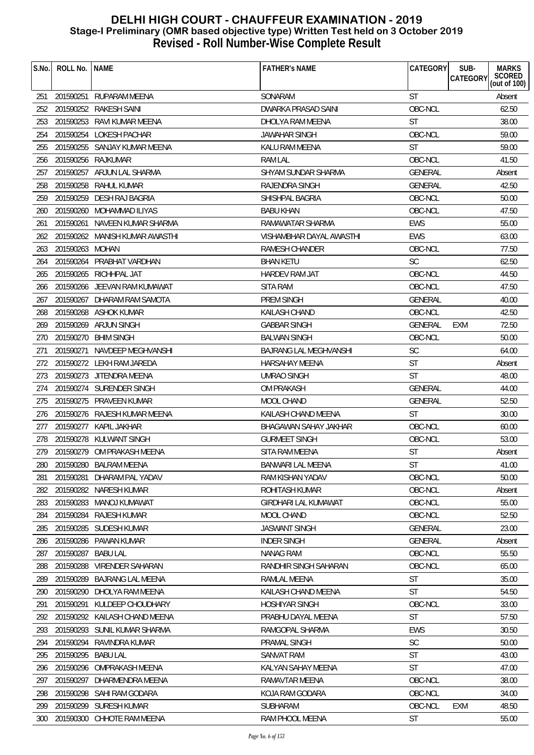| S.No. | ROLL No.        | <b>NAME</b>                    | <b>FATHER'S NAME</b>          | CATEGORY       | SUB-<br>CATEGORY | <b>MARKS</b><br>SCORED<br>(out of 100) |
|-------|-----------------|--------------------------------|-------------------------------|----------------|------------------|----------------------------------------|
| 251   |                 | 201590251 RUPARAM MEENA        | SONARAM                       | <b>ST</b>      |                  | Absent                                 |
| 252   |                 | 201590252 RAKESH SAINI         | DWARKA PRASAD SAINI           | OBC-NCL        |                  | 62.50                                  |
| 253   |                 | 201590253 RAVI KUMAR MEENA     | DHOLYA RAM MEENA              | <b>ST</b>      |                  | 38.00                                  |
| 254   |                 | 201590254 LOKESH PACHAR        | <b>JAWAHAR SINGH</b>          | OBC-NCL        |                  | 59.00                                  |
| 255   |                 | 201590255 SANJAY KUMAR MEENA   | KALU RAM MEENA                | <b>ST</b>      |                  | 59.00                                  |
| 256   |                 | 201590256 RAJKUMAR             | <b>RAM LAL</b>                | OBC-NCL        |                  | 41.50                                  |
| 257   |                 | 201590257 ARJUN LAL SHARMA     | SHYAM SUNDAR SHARMA           | GENERAL        |                  | Absent                                 |
| 258   |                 | 201590258 RAHUL KUMAR          | RAJENDRA SINGH                | <b>GENERAL</b> |                  | 42.50                                  |
| 259   |                 | 201590259 DESH RAJ BAGRIA      | SHISHPAL BAGRIA               | OBC-NCL        |                  | 50.00                                  |
| 260   |                 | 201590260 MOHAMMAD ILIYAS      | <b>BABU KHAN</b>              | OBC-NCL        |                  | 47.50                                  |
| 261   |                 | 201590261 NAVEEN KUMAR SHARMA  | RAMAWATAR SHARMA              | EWS            |                  | 55.00                                  |
| 262   |                 | 201590262 MANISH KUMAR AWASTHI | VISHAMBHAR DAYAL AWASTHI      | <b>EWS</b>     |                  | 63.00                                  |
| 263   | 201590263 MOHAN |                                | RAMESH CHANDER                | OBC-NCL        |                  | 77.50                                  |
| 264   |                 | 201590264 PRABHAT VARDHAN      | <b>BHAN KETU</b>              | <b>SC</b>      |                  | 62.50                                  |
| 265   |                 | 201590265 RICHHPAL JAT         | HARDEV RAM JAT                | OBC-NCL        |                  | 44.50                                  |
| 266   |                 | 201590266 JEEVAN RAM KUMAWAT   | <b>SITA RAM</b>               | OBC-NCL        |                  | 47.50                                  |
| 267   |                 | 201590267 DHARAM RAM SAMOTA    | PREM SINGH                    | <b>GENERAL</b> |                  | 40.00                                  |
| 268   |                 | 201590268 ASHOK KUMAR          | <b>KAILASH CHAND</b>          | OBC-NCL        |                  | 42.50                                  |
| 269   |                 | 201590269 ARJUN SINGH          | <b>GABBAR SINGH</b>           | <b>GENERAL</b> | EXM              | 72.50                                  |
| 270   |                 | 201590270 BHIM SINGH           | <b>BALWAN SINGH</b>           | OBC-NCL        |                  | 50.00                                  |
| 271   |                 | 201590271 NAVDEEP MEGHVANSHI   | <b>BAJRANG LAL MEGHVANSHI</b> | SC             |                  | 64.00                                  |
| 272   |                 | 201590272 LEKH RAM JAREDA      | <b>HARSAHAY MEENA</b>         | <b>ST</b>      |                  | Absent                                 |
| 273   |                 | 201590273 JITENDRA MEENA       | <b>UMRAO SINGH</b>            | <b>ST</b>      |                  | 48.00                                  |
| 274   |                 | 201590274 SURENDER SINGH       | <b>OM PRAKASH</b>             | <b>GENERAL</b> |                  | 44.00                                  |
| 275   |                 | 201590275 PRAVEEN KUMAR        | MOOL CHAND                    | GENERAL        |                  | 52.50                                  |
| 276   |                 | 201590276 RAJESH KUMAR MEENA   | KAILASH CHAND MEENA           | <b>ST</b>      |                  | 30.00                                  |
| 277   |                 | 201590277 KAPIL JAKHAR         | BHAGAWAN SAHAY JAKHAR         | OBC-NCL        |                  | 60.00                                  |
| 278   |                 | 201590278 KULWANT SINGH        | <b>GURMEET SINGH</b>          | OBC-NCL        |                  | 53.00                                  |
| 279   |                 | 201590279 OM PRAKASH MEENA     | SITA RAM MEENA                | <b>ST</b>      |                  | Absent                                 |
| 280   |                 | 201590280 BALRAM MEENA         | <b>BANWARI LAL MEENA</b>      | <b>ST</b>      |                  | 41.00                                  |
| 281   | 201590281       | DHARAM PAL YADAV               | RAM KISHAN YADAV              | OBC-NCL        |                  | 50.00                                  |
| 282   |                 | 201590282 NARESH KUMAR         | ROHITASH KUMAR                | OBC-NCL        |                  | Absent                                 |
| 283   | 201590283       | MANOJ KUMAWAT                  | <b>GIRDHARI LAL KUMAWAT</b>   | OBC-NCL        |                  | 55.00                                  |
| 284   | 201590284       | <b>RAJESH KUMAR</b>            | MOOL CHAND                    | OBC-NCL        |                  | 52.50                                  |
| 285   |                 | 201590285 SUDESH KUMAR         | <b>JASWANT SINGH</b>          | GENERAL        |                  | 23.00                                  |
| 286   | 201590286       | <b>PAWAN KUMAR</b>             | <b>INDER SINGH</b>            | GENERAL        |                  | Absent                                 |
| 287   | 201590287       | <b>BABU LAL</b>                | <b>NANAG RAM</b>              | OBC-NCL        |                  | 55.50                                  |
| 288   | 201590288       | <b>VIRENDER SAHARAN</b>        | RANDHIR SINGH SAHARAN         | OBC-NCL        |                  | 65.00                                  |
| 289   | 201590289       | <b>BAJRANG LAL MEENA</b>       | RAMLAL MEENA                  | <b>ST</b>      |                  | 35.00                                  |
| 290   | 201590290       | DHOLYA RAM MEENA               | KAILASH CHAND MEENA           | <b>ST</b>      |                  | 54.50                                  |
| 291   | 201590291       | KULDEEP CHOUDHARY              | <b>HOSHIYAR SINGH</b>         | OBC-NCL        |                  | 33.00                                  |
| 292   | 201590292       | KAILASH CHAND MEENA            | PRABHU DAYAL MEENA            | <b>ST</b>      |                  | 57.50                                  |
| 293   |                 | 201590293 SUNIL KUMAR SHARMA   | RAMGOPAL SHARMA               | <b>EWS</b>     |                  | 30.50                                  |
| 294   | 201590294       | RAVINDRA KUMAR                 | PRAMAL SINGH                  | SC             |                  | 50.00                                  |
| 295   | 201590295       | <b>BABU LAL</b>                | SANVAT RAM                    | <b>ST</b>      |                  | 43.00                                  |
| 296   | 201590296       | OMPRAKASH MEENA                | KALYAN SAHAY MEENA            | <b>ST</b>      |                  | 47.00                                  |
| 297   | 201590297       | DHARMENDRA MEENA               | RAMAVTAR MEENA                | OBC-NCL        |                  | 38.00                                  |
| 298   |                 | 201590298 SAHI RAM GODARA      | KOJA RAM GODARA               | OBC-NCL        |                  | 34.00                                  |
| 299   |                 | 201590299 SURESH KUMAR         | SUBHARAM                      | OBC-NCL        | <b>EXM</b>       | 48.50                                  |
| 300   |                 | 201590300 CHHOTE RAM MEENA     | RAM PHOOL MEENA               | <b>ST</b>      |                  | 55.00                                  |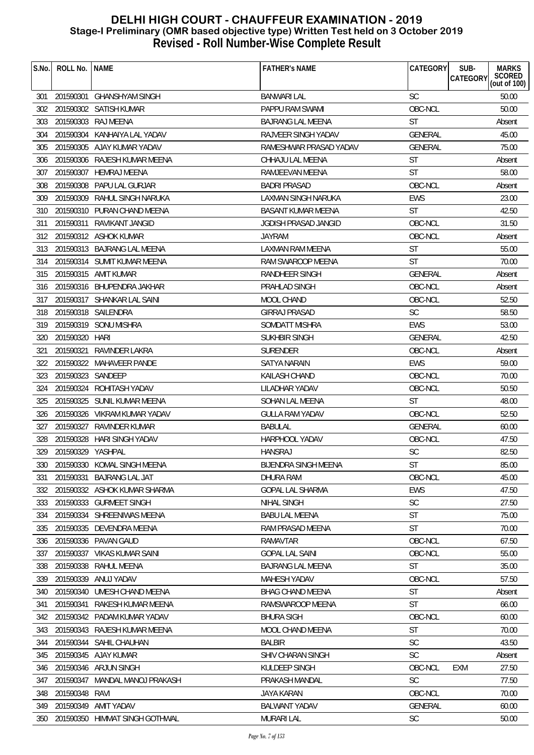| <b>BANWARI LAL</b><br><b>SC</b><br>201590301 GHANSHYAM SINGH<br>301<br>OBC-NCL<br>302<br>201590302 SATISH KUMAR<br>PAPPU RAM SWAMI | SCORED<br>(out of 100)<br>50.00<br>50.00<br>Absent |
|------------------------------------------------------------------------------------------------------------------------------------|----------------------------------------------------|
|                                                                                                                                    |                                                    |
|                                                                                                                                    |                                                    |
| 201590303 RAJ MEENA<br><b>ST</b><br>303<br><b>BAJRANG LAL MEENA</b>                                                                |                                                    |
| RAJVEER SINGH YADAV<br><b>GENERAL</b><br>201590304<br>KANHAIYA LAL YADAV<br>304                                                    | 45.00                                              |
| 305<br>201590305 AJAY KUMAR YADAV<br>RAMESHWAR PRASAD YADAV<br><b>GENERAL</b>                                                      | 75.00                                              |
| 201590306 RAJESH KUMAR MEENA<br>CHHAJU LAL MEENA<br><b>ST</b><br>306                                                               | Absent                                             |
| <b>ST</b><br>201590307 HEMRAJ MEENA<br>307<br>RAMJEEVAN MEENA                                                                      | 58.00                                              |
| OBC-NCL<br>201590308 PAPU LAL GURJAR<br>308<br><b>BADRI PRASAD</b>                                                                 | Absent                                             |
| 309<br>201590309 RAHUL SINGH NARUKA<br>LAXMAN SINGH NARUKA<br><b>EWS</b>                                                           | 23.00                                              |
| <b>ST</b><br>201590310 PURAN CHAND MEENA<br><b>BASANT KUMAR MEENA</b><br>310                                                       | 42.50                                              |
| OBC-NCL<br>201590311 RAVIKANT JANGID<br>JGDISH PRASAD JANGID<br>311                                                                | 31.50                                              |
| 312<br>201590312 ASHOK KUMAR<br><b>JAYRAM</b><br>OBC-NCL                                                                           | Absent                                             |
| <b>ST</b><br>313 201590313 BAJRANG LAL MEENA<br>LAXMAN RAM MEENA                                                                   | 55.00                                              |
| 201590314 SUMIT KUMAR MEENA<br><b>ST</b><br>314<br>RAM SWAROOP MEENA                                                               | 70.00                                              |
| <b>GENERAL</b><br>315<br>201590315 AMIT KUMAR<br>RANDHEER SINGH                                                                    | Absent                                             |
| OBC-NCL<br>201590316 BHUPENDRA JAKHAR<br>PRAHLAD SINGH<br>316                                                                      | Absent                                             |
| 201590317 SHANKAR LAL SAINI<br>OBC-NCL<br>317<br>MOOL CHAND                                                                        | 52.50                                              |
| <b>SC</b><br>201590318 SAILENDRA<br>318<br><b>GIRRAJ PRASAD</b>                                                                    | 58.50                                              |
| 201590319 SONU MISHRA<br><b>EWS</b><br>319<br>SOMDATT MISHRA                                                                       | 53.00                                              |
| 201590320 HARI<br><b>GENERAL</b><br>320<br>SUKHBIR SINGH                                                                           | 42.50                                              |
| OBC-NCL<br>321<br>201590321 RAVINDER LAKRA<br><b>SURENDER</b>                                                                      | Absent                                             |
| 201590322 MAHAVEER PANDE<br>322<br>SATYA NARAIN<br>EWS                                                                             | 59.00                                              |
| 323<br>201590323 SANDEEP<br><b>KAILASH CHAND</b><br>OBC-NCL                                                                        | 70.00                                              |
| 324<br>201590324 ROHITASH YADAV<br>LILADHAR YADAV<br>OBC-NCL                                                                       | 50.50                                              |
| 201590325 SUNIL KUMAR MEENA<br><b>ST</b><br>325<br>SOHAN LAL MEENA                                                                 | 48.00                                              |
| OBC-NCL<br>201590326 VIKRAM KUMAR YADAV<br><b>GULLA RAM YADAV</b><br>326                                                           | 52.50                                              |
| 327<br>201590327<br>RAVINDER KUMAR<br><b>BABULAL</b><br>GENERAL                                                                    | 60.00                                              |
| 328<br>201590328 HARI SINGH YADAV<br>HARPHOOL YADAV<br>OBC-NCL                                                                     | 47.50                                              |
| SC<br>201590329 YASHPAL<br><b>HANSRAJ</b><br>329                                                                                   | 82.50                                              |
| 201590330 KOMAL SINGH MEENA<br><b>BIJENDRA SINGH MEENA</b><br><b>ST</b><br>330                                                     | 85.00                                              |
| 201590331<br><b>BAJRANG LAL JAT</b><br>OBC-NCL<br>331<br>DHURA RAM                                                                 | 45.00                                              |
| <b>EWS</b><br>332<br>201590332 ASHOK KUMAR SHARMA<br><b>GOPAL LAL SHARMA</b>                                                       | 47.50                                              |
| SC<br>201590333 GURMEET SINGH<br><b>NIHAL SINGH</b><br>333                                                                         | 27.50                                              |
| <b>ST</b><br>201590334 SHREENIWAS MEENA<br><b>BABU LAL MEENA</b><br>334                                                            | 75.00                                              |
| <b>ST</b><br>201590335 DEVENDRA MEENA<br>RAM PRASAD MEENA<br>335                                                                   | 70.00                                              |
| 201590336 PAVAN GAUD<br>OBC-NCL<br>336<br><b>RAMAVTAR</b>                                                                          | 67.50                                              |
| 201590337 VIKAS KUMAR SAINI<br>OBC-NCL<br>337<br><b>GOPAL LAL SAINI</b>                                                            | 55.00                                              |
| 201590338 RAHUL MEENA<br><b>ST</b><br><b>BAJRANG LAL MEENA</b><br>338                                                              | 35.00                                              |
| 201590339<br>ANUJ YADAV<br>OBC-NCL<br>339<br><b>MAHESH YADAV</b>                                                                   | 57.50                                              |
| <b>ST</b><br>201590340<br>UMESH CHAND MEENA<br><b>BHAG CHAND MEENA</b><br>340                                                      | Absent                                             |
| <b>ST</b><br>201590341<br>RAKESH KUMAR MEENA<br>RAMSWAROOP MEENA<br>341                                                            | 66.00                                              |
| 201590342 PADAM KUMAR YADAV<br>OBC-NCL<br>342<br><b>BHURA SIGH</b>                                                                 | 60.00                                              |
| <b>ST</b><br>201590343 RAJESH KUMAR MEENA<br>343<br>MOOL CHAND MEENA                                                               | 70.00                                              |
| <b>SC</b><br>201590344 SAHIL CHAUHAN<br><b>BALBIR</b><br>344                                                                       | 43.50                                              |
| 201590345 AJAY KUMAR<br>SHIV CHARAN SINGH<br><b>SC</b><br>345                                                                      | Absent                                             |
| OBC-NCL<br>201590346 ARJUN SINGH<br>KULDEEP SINGH<br>EXM<br>346                                                                    | 27.50                                              |
| <b>SC</b><br>201590347<br>MANDAL MANOJ PRAKASH<br>PRAKASH MANDAL<br>347                                                            | 77.50                                              |
| 201590348 RAVI<br><b>JAYA KARAN</b><br>OBC-NCL<br>348                                                                              | 70.00                                              |
| 201590349 AMIT YADAV<br><b>BALWANT YADAV</b><br>GENERAL<br>349                                                                     | 60.00                                              |
| 350 201590350 HIMMAT SINGH GOTHWAL<br><b>MURARI LAL</b><br><b>SC</b>                                                               | 50.00                                              |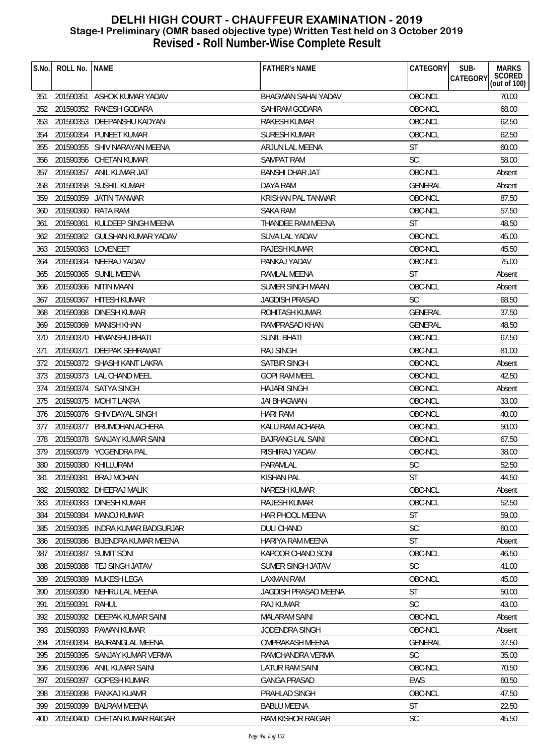| S.No. | ROLL No.  | <b>NAME</b>                   | <b>FATHER'S NAME</b>       | CATEGORY       | SUB-<br><b>MARKS</b><br>SCORED<br>(out of 100)<br><b>CATEGORY</b> |
|-------|-----------|-------------------------------|----------------------------|----------------|-------------------------------------------------------------------|
| 351   |           | 201590351 ASHOK KUMAR YADAV   | <b>BHAGWAN SAHAI YADAV</b> | OBC-NCL        | 70.00                                                             |
| 352   |           | 201590352 RAKESH GODARA       | SAHIRAM GODARA             | OBC-NCL        | 68.00                                                             |
| 353   |           | 201590353 DEEPANSHU KADYAN    | <b>RAKESH KUMAR</b>        | OBC-NCL        | 62.50                                                             |
| 354   |           | 201590354 PUNEET KUMAR        | <b>SURESH KUMAR</b>        | OBC-NCL        | 62.50                                                             |
| 355   |           | 201590355 SHIV NARAYAN MEENA  | ARJUN LAL MEENA            | <b>ST</b>      | 60.00                                                             |
| 356   | 201590356 | CHETAN KUMAR                  | <b>SAMPAT RAM</b>          | <b>SC</b>      | 58.00                                                             |
| 357   | 201590357 | ANIL KUMAR JAT                | BANSHI DHAR JAT            | OBC-NCL        | Absent                                                            |
| 358   |           | 201590358 SUSHIL KUMAR        | DAYA RAM                   | <b>GENERAL</b> | Absent                                                            |
| 359   |           | 201590359 JATIN TANWAR        | KRISHAN PAL TANWAR         | OBC-NCL        | 87.50                                                             |
| 360   |           | 201590360 RATA RAM            | <b>SAKA RAM</b>            | OBC-NCL        | 57.50                                                             |
| 361   | 201590361 | KULDEEP SINGH MEENA           | THANDEE RAM MEENA          | ST             | 48.50                                                             |
| 362   |           | 201590362 GULSHAN KUMAR YADAV | SUVA LAL YADAV             | OBC-NCL        | 45.00                                                             |
| 363   |           | 201590363 LOVENEET            | RAJESH KUMAR               | OBC-NCL        | 45.50                                                             |
| 364   |           | 201590364 NEERAJ YADAV        | PANKAJ YADAV               | OBC-NCL        | 75.00                                                             |
| 365   |           | 201590365 SUNIL MEENA         | RAMLAL MEENA               | <b>ST</b>      | Absent                                                            |
| 366   |           | 201590366 NITIN MAAN          | <b>SUMER SINGH MAAN</b>    | OBC-NCL        | Absent                                                            |
| 367   |           | 201590367 HITESH KUMAR        | <b>JAGDISH PRASAD</b>      | <b>SC</b>      | 68.50                                                             |
| 368   |           | 201590368 DINESH KUMAR        | <b>ROHITASH KUMAR</b>      | <b>GENERAL</b> | 37.50                                                             |
| 369   |           | 201590369 MANISH KHAN         | RAMPRASAD KHAN             | <b>GENERAL</b> | 48.50                                                             |
| 370   |           | 201590370 HIMANSHU BHATI      | <b>SUNIL BHATI</b>         | OBC-NCL        | 67.50                                                             |
| 371   | 201590371 | DEEPAK SEHRAWAT               | <b>RAJ SINGH</b>           | OBC-NCL        | 81.00                                                             |
| 372   |           | 201590372 SHASHI KANT LAKRA   | SATBIR SINGH               | OBC-NCL        | Absent                                                            |
| 373   |           | 201590373 LAL CHAND MEEL      | <b>GOPI RAM MEEL</b>       | OBC-NCL        | 42.50                                                             |
| 374   |           | 201590374 SATYA SINGH         | HAJARI SINGH               | OBC-NCL        | Absent                                                            |
| 375   |           | 201590375 MOHIT LAKRA         | <b>JAI BHAGWAN</b>         | OBC-NCL        | 33.00                                                             |
| 376   |           | 201590376 SHIV DAYAL SINGH    | <b>HARI RAM</b>            | OBC-NCL        | 40.00                                                             |
| 377   |           | 201590377 BRIJMOHAN ACHERA    | KALU RAM ACHARA            | OBC-NCL        | 50.00                                                             |
| 378   |           | 201590378 SANJAY KUMAR SAINI  | <b>BAJRANG LAL SAINI</b>   | OBC-NCL        | 67.50                                                             |
| 379   |           | 201590379 YOGENDRA PAL        | RISHIRAJ YADAV             | OBC-NCL        | 38.00                                                             |
| 380   |           | 201590380 KHILLURAM           | PARAMLAL                   | $\mathsf{SC}$  | 52.50                                                             |
| 381   | 201590381 | <b>BRAJ MOHAN</b>             | KISHAN PAL                 | <b>ST</b>      | 44.50                                                             |
| 382   | 201590382 | DHEERAJ MALIK                 | <b>NARESH KUMAR</b>        | OBC-NCL        | Absent                                                            |
| 383   | 201590383 | DINESH KUMAR                  | RAJESH KUMAR               | OBC-NCL        | 52.50                                                             |
| 384   | 201590384 | <b>MANOJ KUMAR</b>            | HAR PHOOL MEENA            | <b>ST</b>      | 59.00                                                             |
| 385   | 201590385 | INDRA KUMAR BADGURJAR         | <b>DULI CHAND</b>          | <b>SC</b>      | 60.00                                                             |
| 386   | 201590386 | BIJENDRA KUMAR MEENA          | <b>HARIYA RAM MEENA</b>    | ST             | Absent                                                            |
| 387   |           | 201590387 SUMIT SONI          | KAPOOR CHAND SONI          | OBC-NCL        | 46.50                                                             |
| 388   |           | 201590388 TEJ SINGH JATAV     | SUMER SINGH JATAV          | <b>SC</b>      | 41.00                                                             |
| 389   | 201590389 | MUKESH LEGA                   | <b>LAXMAN RAM</b>          | OBC-NCL        | 45.00                                                             |
| 390   | 201590390 | NEHRU LAL MEENA               | JAGDISH PRASAD MEENA       | ST             | 50.00                                                             |
| 391   | 201590391 | RAHUL                         | <b>RAJ KUMAR</b>           | <b>SC</b>      | 43.00                                                             |
| 392   | 201590392 | DEEPAK KUMAR SAINI            | MALARAM SAINI              | OBC-NCL        | Absent                                                            |
| 393   |           | 201590393 PAWAN KUMAR         | <b>JODENDRA SINGH</b>      | OBC-NCL        | Absent                                                            |
| 394   |           | 201590394 BAJRANGLAL MEENA    | OMPRAKASH MEENA            | <b>GENERAL</b> | 37.50                                                             |
| 395   | 201590395 | SANJAY KUMAR VERMA            | RAMCHANDRA VERMA           | <b>SC</b>      | 35.00                                                             |
| 396   |           | 201590396 ANIL KUMAR SAINI    | LATUR RAM SAINI            | OBC-NCL        | 70.50                                                             |
| 397   | 201590397 | <b>GOPESH KUMAR</b>           | <b>GANGA PRASAD</b>        | EWS            | 60.50                                                             |
| 398   | 201590398 | PANKAJ KUAMR                  | PRAHLAD SINGH              | OBC-NCL        | 47.50                                                             |
| 399   | 201590399 | <b>BALRAM MEENA</b>           | <b>BABLU MEENA</b>         | ST             | 22.50                                                             |
| 400   |           | 201590400 CHETAN KUMAR RAIGAR | RAM KISHOR RAIGAR          | SC             | 45.50                                                             |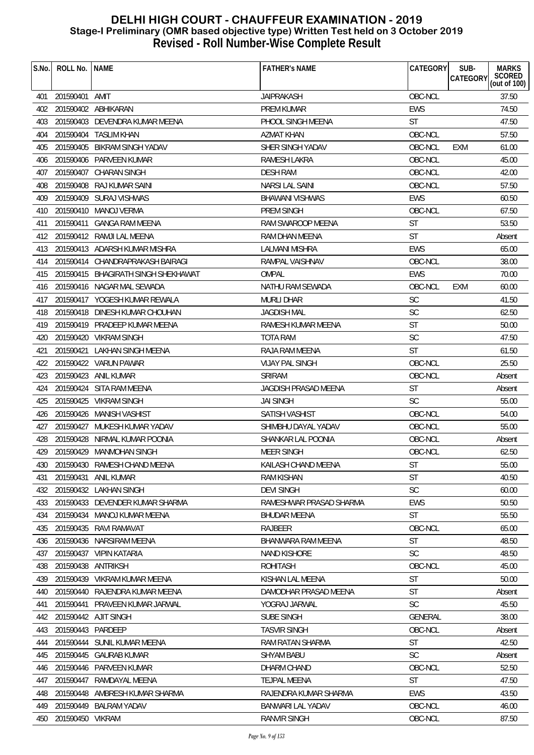| S.No. | ROLL No.           | <b>NAME</b>                         | <b>FATHER'S NAME</b>    | CATEGORY   | SUB-<br><b>CATEGORY</b> | <b>MARKS</b><br>SCORED |
|-------|--------------------|-------------------------------------|-------------------------|------------|-------------------------|------------------------|
|       |                    |                                     |                         |            |                         | (out of $100$ )        |
| 401   | 201590401 AMIT     |                                     | <b>JAIPRAKASH</b>       | OBC-NCL    |                         | 37.50                  |
| 402   |                    | 201590402 ABHIKARAN                 | <b>PREM KUMAR</b>       | EWS        |                         | 74.50                  |
| 403   |                    | 201590403 DEVENDRA KUMAR MEENA      | PHOOL SINGH MEENA       | <b>ST</b>  |                         | 47.50                  |
| 404   |                    | 201590404 TASLIM KHAN               | <b>AZMAT KHAN</b>       | OBC-NCL    |                         | 57.50                  |
| 405   | 201590405          | BIKRAM SINGH YADAV                  | SHER SINGH YADAV        | OBC-NCL    | EXM                     | 61.00                  |
| 406   |                    | 201590406 PARVEEN KUMAR             | <b>RAMESH LAKRA</b>     | OBC-NCL    |                         | 45.00                  |
| 407   | 201590407          | CHARAN SINGH                        | <b>DESH RAM</b>         | OBC-NCL    |                         | 42.00                  |
| 408   | 201590408          | RAJ KUMAR SAINI                     | <b>NARSI LAL SAINI</b>  | OBC-NCL    |                         | 57.50                  |
| 409   |                    | 201590409 SURAJ VISHWAS             | <b>BHAWANI VISHWAS</b>  | <b>EWS</b> |                         | 60.50                  |
| 410   |                    | 201590410 MANOJ VERMA               | <b>PREM SINGH</b>       | OBC-NCL    |                         | 67.50                  |
| 411   | 201590411          | GANGA RAM MEENA                     | RAM SWAROOP MEENA       | <b>ST</b>  |                         | 53.50                  |
| 412   |                    | 201590412 RAMJI LAL MEENA           | <b>RAM DHAN MEENA</b>   | <b>ST</b>  |                         | Absent                 |
| 413   |                    | 201590413 ADARSH KUMAR MISHRA       | LALMANI MISHRA          | <b>EWS</b> |                         | 65.00                  |
| 414   |                    | 201590414 CHANDRAPRAKASH BAIRAGI    | RAMPAL VAISHNAV         | OBC-NCL    |                         | 38.00                  |
| 415   |                    | 201590415 BHAGIRATH SINGH SHEKHAWAT | OMPAL                   | <b>EWS</b> |                         | 70.00                  |
| 416   |                    | 201590416 NAGAR MAL SEWADA          | NATHU RAM SEWADA        | OBC-NCL    | EXM                     | 60.00                  |
| 417   |                    | 201590417 YOGESH KUMAR REWALA       | MURLI DHAR              | <b>SC</b>  |                         | 41.50                  |
| 418   |                    | 201590418 DINESH KUMAR CHOUHAN      | <b>JAGDISH MAL</b>      | SC         |                         | 62.50                  |
| 419   |                    | 201590419 PRADEEP KUMAR MEENA       | RAMESH KUMAR MEENA      | <b>ST</b>  |                         | 50.00                  |
| 420   |                    | 201590420 VIKRAM SINGH              | TOTA RAM                | <b>SC</b>  |                         | 47.50                  |
| 421   | 201590421          | LAKHAN SINGH MEENA                  | RAJA RAM MEENA          | <b>ST</b>  |                         | 61.50                  |
| 422   |                    | 201590422 VARUN PAWAR               | <b>VIJAY PAL SINGH</b>  | OBC-NCL    |                         | 25.50                  |
| 423   |                    | 201590423 ANIL KUMAR                | <b>SRIRAM</b>           | OBC-NCL    |                         | Absent                 |
| 424   |                    | 201590424 SITA RAM MEENA            | JAGDISH PRASAD MEENA    | <b>ST</b>  |                         | Absent                 |
| 425   |                    | 201590425 VIKRAM SINGH              | <b>JAI SINGH</b>        | <b>SC</b>  |                         | 55.00                  |
| 426   |                    | 201590426 MANISH VASHIST            | SATISH VASHIST          | OBC-NCL    |                         | 54.00                  |
| 427   |                    | 201590427 MUKESH KUMAR YADAV        | SHIMBHU DAYAL YADAV     | OBC-NCL    |                         | 55.00                  |
| 428   | 201590428          | NIRMAL KUMAR POONIA                 | SHANKAR LAL POONIA      | OBC-NCL    |                         | Absent                 |
| 429   |                    | 201590429 MANMOHAN SINGH            | MEER SINGH              | OBC-NCL    |                         | 62.50                  |
|       |                    | 430 201590430 RAMESH CHAND MEENA    | KAILASH CHAND MEENA     | ST         |                         | 55.00                  |
| 431   | 201590431          | ANIL KUMAR                          | RAM KISHAN              | <b>ST</b>  |                         | 40.50                  |
| 432   |                    | 201590432 LAKHAN SINGH              | <b>DEVI SINGH</b>       | <b>SC</b>  |                         | 60.00                  |
| 433   |                    | 201590433 DEVENDER KUMAR SHARMA     | RAMESHWAR PRASAD SHARMA | <b>EWS</b> |                         | 50.50                  |
| 434   |                    | 201590434 MANOJ KUMAR MEENA         | <b>BHUDAR MEENA</b>     | ST         |                         | 55.50                  |
| 435   |                    | 201590435 RAVI RAMAVAT              | RAJBEER                 | OBC-NCL    |                         | 65.00                  |
| 436   | 201590436          | NARSIRAM MEENA                      | BHANWARA RAM MEENA      | ST         |                         | 48.50                  |
| 437   |                    | 201590437 VIPIN KATARIA             | <b>NAND KISHORE</b>     | <b>SC</b>  |                         | 48.50                  |
| 438   | 201590438 ANTRIKSH |                                     | <b>ROHITASH</b>         | OBC-NCL    |                         | 45.00                  |
| 439   |                    | 201590439 VIKRAM KUMAR MEENA        | KISHAN LAL MEENA        | <b>ST</b>  |                         | 50.00                  |
| 440   |                    | 201590440 RAJENDRA KUMAR MEENA      | DAMODHAR PRASAD MEENA   | <b>ST</b>  |                         | Absent                 |
| 441   |                    | 201590441 PRAVEEN KUMAR JARWAL      | YOGRAJ JARWAL           | <b>SC</b>  |                         | 45.50                  |
| 442   |                    | 201590442 AJIT SINGH                | SUBE SINGH              | GENERAL    |                         | 38.00                  |
| 443   | 201590443 PARDEEP  |                                     | <b>TASVIR SINGH</b>     | OBC-NCL    |                         | Absent                 |
| 444   |                    | 201590444 SUNIL KUMAR MEENA         | RAM RATAN SHARMA        | <b>ST</b>  |                         | 42.50                  |
| 445   |                    | 201590445 GAURAB KUMAR              | <b>SHYAM BABU</b>       | <b>SC</b>  |                         | Absent                 |
| 446   |                    | 201590446 PARVEEN KUMAR             | DHARM CHAND             | OBC-NCL    |                         | 52.50                  |
| 447   | 201590447          | RAMDAYAL MEENA                      | <b>TEJPAL MEENA</b>     | <b>ST</b>  |                         | 47.50                  |
| 448   |                    | 201590448 AMBRESH KUMAR SHARMA      | RAJENDRA KUMAR SHARMA   | <b>EWS</b> |                         | 43.50                  |
| 449   |                    | 201590449 BALRAM YADAV              | BANWARI LAL YADAV       | OBC-NCL    |                         | 46.00                  |
| 450   | 201590450 VIKRAM   |                                     | RANVIR SINGH            | OBC-NCL    |                         | 87.50                  |
|       |                    |                                     |                         |            |                         |                        |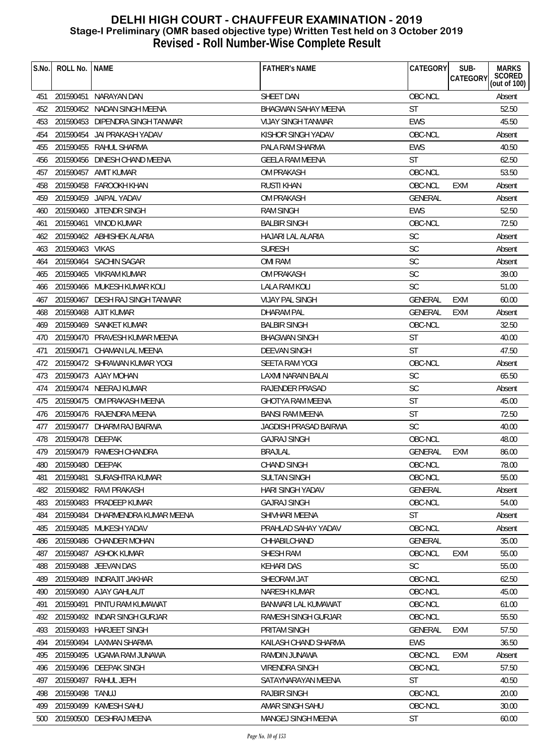| S.No. | ROLL No.         | <b>NAME</b>                      | <b>FATHER'S NAME</b>         | CATEGORY       | SUB-<br>CATEGORY | <b>MARKS</b><br>SCORED<br>(out of 100) |
|-------|------------------|----------------------------------|------------------------------|----------------|------------------|----------------------------------------|
| 451   |                  | 201590451 NARAYAN DAN            | SHEET DAN                    | OBC-NCL        |                  | Absent                                 |
| 452   |                  | 201590452 NADAN SINGH MEENA      | <b>BHAGWAN SAHAY MEENA</b>   | <b>ST</b>      |                  | 52.50                                  |
| 453   |                  | 201590453 DIPENDRA SINGH TANWAR  | <b>VIJAY SINGH TANWAR</b>    | EWS            |                  | 45.50                                  |
| 454   |                  | 201590454 JAI PRAKASH YADAV      | KISHOR SINGH YADAV           | OBC-NCL        |                  | Absent                                 |
| 455   |                  | 201590455 RAHUL SHARMA           | PALA RAM SHARMA              | <b>EWS</b>     |                  | 40.50                                  |
| 456   |                  | 201590456 DINESH CHAND MEENA     | <b>GEELA RAM MEENA</b>       | ST             |                  | 62.50                                  |
| 457   |                  | 201590457 AMIT KUMAR             | <b>OM PRAKASH</b>            | OBC-NCL        |                  | 53.50                                  |
| 458   |                  | 201590458 FAROOKH KHAN           | <b>RUSTI KHAN</b>            | OBC-NCL        | <b>EXM</b>       | Absent                                 |
| 459   |                  | 201590459 JAIPAL YADAV           | <b>OM PRAKASH</b>            | GENERAL        |                  | Absent                                 |
| 460   |                  | 201590460 JITENDR SINGH          | <b>RAM SINGH</b>             | <b>EWS</b>     |                  | 52.50                                  |
| 461   |                  | 201590461 VINOD KUMAR            | <b>BALBIR SINGH</b>          | OBC-NCL        |                  | 72.50                                  |
| 462   |                  | 201590462 ABHISHEK ALARIA        | HAJARI LAL ALARIA            | <b>SC</b>      |                  | Absent                                 |
| 463   | 201590463 VIKAS  |                                  | <b>SURESH</b>                | <b>SC</b>      |                  | Absent                                 |
| 464   |                  | 201590464 SACHIN SAGAR           | <b>OMI RAM</b>               | <b>SC</b>      |                  | Absent                                 |
| 465   |                  | 201590465 VIKRAM KUMAR           | <b>OM PRAKASH</b>            | <b>SC</b>      |                  | 39.00                                  |
| 466   |                  | 201590466 MUKESH KUMAR KOLI      | LALA RAM KOLI                | <b>SC</b>      |                  | 51.00                                  |
| 467   |                  | 201590467 DESH RAJ SINGH TANWAR  | <b>VIJAY PAL SINGH</b>       | <b>GENERAL</b> | EXM              | 60.00                                  |
| 468   |                  | 201590468 AJIT KUMAR             | DHARAM PAL                   | GENERAL        | EXM              | Absent                                 |
| 469   |                  | 201590469 SANKET KUMAR           | <b>BALBIR SINGH</b>          | OBC-NCL        |                  | 32.50                                  |
| 470   |                  | 201590470 PRAVESH KUMAR MEENA    | <b>BHAGWAN SINGH</b>         | <b>ST</b>      |                  | 40.00                                  |
| 471   |                  | 201590471 CHAMAN LAL MEENA       | <b>DEEVAN SINGH</b>          | <b>ST</b>      |                  | 47.50                                  |
| 472   |                  | 201590472 SHRAWAN KUMAR YOGI     | SEETA RAM YOGI               | OBC-NCL        |                  | Absent                                 |
| 473   |                  | 201590473 AJAY MOHAN             | <b>LAXMI NARAIN BALAI</b>    | <b>SC</b>      |                  | 65.50                                  |
| 474   |                  | 201590474 NEERAJ KUMAR           | RAJENDER PRASAD              | <b>SC</b>      |                  | Absent                                 |
| 475   |                  | 201590475 OM PRAKASH MEENA       | <b>GHOTYA RAM MEENA</b>      | <b>ST</b>      |                  | 45.00                                  |
| 476   |                  | 201590476 RAJENDRA MEENA         | <b>BANSI RAM MEENA</b>       | <b>ST</b>      |                  | 72.50                                  |
| 477   | 201590477        | DHARM RAJ BAIRWA                 | <b>JAGDISH PRASAD BAIRWA</b> | <b>SC</b>      |                  | 40.00                                  |
| 478   | 201590478 DEEPAK |                                  | <b>GAJRAJ SINGH</b>          | OBC-NCL        |                  | 48.00                                  |
| 479   |                  | 201590479 RAMESH CHANDRA         | <b>BRAJLAL</b>               | <b>GENERAL</b> | EXM              | 86.00                                  |
| 480   | 201590480 DEEPAK |                                  | CHAND SINGH                  | OBC-NCL        |                  | 78.00                                  |
| 481   | 201590481        | SURASHTRA KUMAR                  | <b>SULTAN SINGH</b>          | OBC-NCL        |                  | 55.00                                  |
| 482   |                  | 201590482 RAVI PRAKASH           | <b>HARI SINGH YADAV</b>      | GENERAL        |                  | Absent                                 |
| 483   |                  | 201590483 PRADEEP KUMAR          | <b>GAJRAJ SINGH</b>          | OBC-NCL        |                  | 54.00                                  |
| 484   |                  | 201590484 DHARMENDRA KUMAR MEENA | SHIVHARI MEENA               | <b>ST</b>      |                  | Absent                                 |
| 485   | 201590485        | MUKESH YADAV                     | PRAHLAD SAHAY YADAV          | OBC-NCL        |                  | Absent                                 |
| 486   | 201590486        | <b>CHANDER MOHAN</b>             | CHHABILCHAND                 | <b>GENERAL</b> |                  | 35.00                                  |
| 487   |                  | 201590487 ASHOK KUMAR            | SHESH RAM                    | OBC-NCL        | EXM              | 55.00                                  |
| 488   |                  | 201590488 JEEVAN DAS             | <b>KEHARI DAS</b>            | <b>SC</b>      |                  | 55.00                                  |
| 489   | 201590489        | <b>INDRAJIT JAKHAR</b>           | SHEORAM JAT                  | OBC-NCL        |                  | 62.50                                  |
| 490   | 201590490        | AJAY GAHLAUT                     | NARESH KUMAR                 | OBC-NCL        |                  | 45.00                                  |
| 491   | 201590491        | PINTU RAM KUMAWAT                | BANWARI LAL KUMAWAT          | OBC-NCL        |                  | 61.00                                  |
| 492   |                  | 201590492 INDAR SINGH GURJAR     | RAMESH SINGH GURJAR          | OBC-NCL        |                  | 55.50                                  |
| 493   |                  | 201590493 HARJEET SINGH          | PRITAM SINGH                 | GENERAL        | EXM              | 57.50                                  |
| 494   |                  | 201590494 LAXMAN SHARMA          | KAILASH CHAND SHARMA         | <b>EWS</b>     |                  | 36.50                                  |
| 495   |                  | 201590495 UGAMA RAM JUNAWA       | RAMDIN JUNAWA                | OBC-NCL        | <b>EXM</b>       | Absent                                 |
| 496   |                  | 201590496 DEEPAK SINGH           | VIRENDRA SINGH               | OBC-NCL        |                  | 57.50                                  |
| 497   | 201590497        | RAHUL JEPH                       | SATAYNARAYAN MEENA           | ST             |                  | 40.50                                  |
| 498   | 201590498 TANUJ  |                                  | <b>RAJBIR SINGH</b>          | OBC-NCL        |                  | 20.00                                  |
| 499   |                  | 201590499 KAMESH SAHU            | AMAR SINGH SAHU              | OBC-NCL        |                  | 30.00                                  |
| 500   |                  | 201590500 DESHRAJ MEENA          | MANGEJ SINGH MEENA           | <b>ST</b>      |                  | 60.00                                  |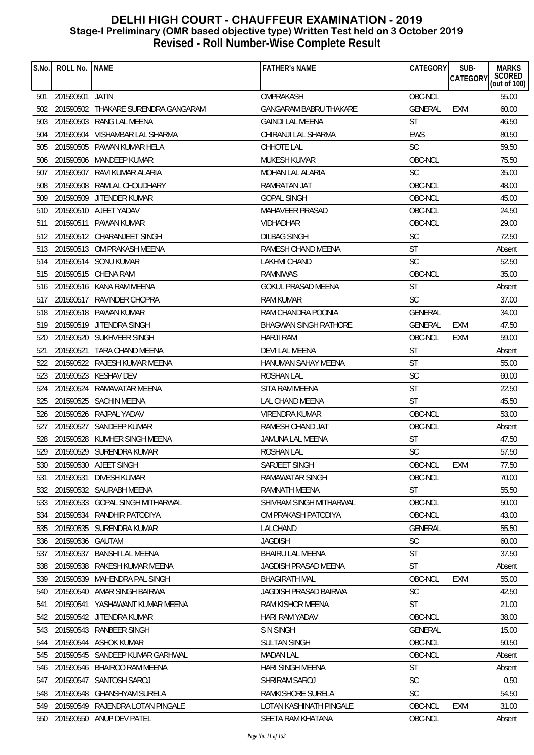| S.No. | ROLL No.        | <b>NAME</b>                         | <b>FATHER'S NAME</b>          | CATEGORY       | SUB-<br>CATEGORY | <b>MARKS</b><br>SCORED<br>(out of 100) |
|-------|-----------------|-------------------------------------|-------------------------------|----------------|------------------|----------------------------------------|
| 501   | 201590501 JATIN |                                     | OMPRAKASH                     | OBC-NCL        |                  | 55.00                                  |
| 502   |                 | 201590502 THAKARE SURENDRA GANGARAM | <b>GANGARAM BABRU THAKARE</b> | <b>GENERAL</b> | EXM              | 60.00                                  |
| 503   |                 | 201590503 RANG LAL MEENA            | <b>GAINDI LAL MEENA</b>       | <b>ST</b>      |                  | 46.50                                  |
| 504   |                 | 201590504 VISHAMBAR LAL SHARMA      | CHIRANJI LAL SHARMA           | <b>EWS</b>     |                  | 80.50                                  |
| 505   |                 | 201590505 PAWAN KUMAR HELA          | CHHOTE LAL                    | <b>SC</b>      |                  | 59.50                                  |
| 506   | 201590506       | <b>MANDEEP KUMAR</b>                | <b>MUKESH KUMAR</b>           | OBC-NCL        |                  | 75.50                                  |
| 507   | 201590507       | RAVI KUMAR ALARIA                   | MOHAN LAL ALARIA              | SC             |                  | 35.00                                  |
| 508   |                 | 201590508 RAMLAL CHOUDHARY          | RAMRATAN JAT                  | OBC-NCL        |                  | 48.00                                  |
| 509   | 201590509       | JITENDER KUMAR                      | <b>GOPAL SINGH</b>            | OBC-NCL        |                  | 45.00                                  |
| 510   |                 | 201590510 AJEET YADAV               | MAHAVEER PRASAD               | OBC-NCL        |                  | 24.50                                  |
| 511   |                 | 201590511 PAWAN KUMAR               | VIDHADHAR                     | OBC-NCL        |                  | 29.00                                  |
| 512   |                 | 201590512 CHARANJEET SINGH          | <b>DILBAG SINGH</b>           | <b>SC</b>      |                  | 72.50                                  |
| 513   |                 | 201590513 OM PRAKASH MEENA          | RAMESH CHAND MEENA            | <b>ST</b>      |                  | Absent                                 |
| 514   |                 | 201590514 SONU KUMAR                | <b>LAKHMI CHAND</b>           | <b>SC</b>      |                  | 52.50                                  |
| 515   |                 | 201590515 CHENA RAM                 | RAMNIWAS                      | OBC-NCL        |                  | 35.00                                  |
| 516   |                 | 201590516 KANA RAM MEENA            | <b>GOKUL PRASAD MEENA</b>     | <b>ST</b>      |                  | Absent                                 |
| 517   |                 | 201590517 RAVINDER CHOPRA           | RAM KUMAR                     | <b>SC</b>      |                  | 37.00                                  |
| 518   |                 | 201590518 PAWAN KUMAR               | RAM CHANDRA POONIA            | GENERAL        |                  | 34.00                                  |
| 519   |                 | 201590519 JITENDRA SINGH            | <b>BHAGWAN SINGH RATHORE</b>  | <b>GENERAL</b> | EXM              | 47.50                                  |
| 520   |                 | 201590520 SUKHVEER SINGH            | <b>HARJI RAM</b>              | OBC-NCL        | <b>EXM</b>       | 59.00                                  |
| 521   |                 | 201590521 TARA CHAND MEENA          | DEVI LAL MEENA                | <b>ST</b>      |                  | Absent                                 |
| 522   |                 | 201590522 RAJESH KUMAR MEENA        | HANUMAN SAHAY MEENA           | <b>ST</b>      |                  | 55.00                                  |
| 523   |                 | 201590523 KESHAV DEV                | <b>ROSHAN LAL</b>             | <b>SC</b>      |                  | 60.00                                  |
| 524   |                 | 201590524 RAMAVATAR MEENA           | SITA RAM MEENA                | <b>ST</b>      |                  | 22.50                                  |
| 525   |                 | 201590525 SACHIN MEENA              | LAL CHAND MEENA               | <b>ST</b>      |                  | 45.50                                  |
| 526   |                 | 201590526 RAJPAL YADAV              | <b>VIRENDRA KUMAR</b>         | OBC-NCL        |                  | 53.00                                  |
| 527   |                 | 201590527 SANDEEP KUMAR             | RAMESH CHAND JAT              | OBC-NCL        |                  | Absent                                 |
| 528   |                 | 201590528 KUMHER SINGH MEENA        | JAMUNA LAL MEENA              | <b>ST</b>      |                  | 47.50                                  |
| 529   |                 | 201590529 SURENDRA KUMAR            | ROSHAN LAL                    | <b>SC</b>      |                  | 57.50                                  |
| 530   |                 | 201590530 AJEET SINGH               | SARJEET SINGH                 | OBC-NCL        | EXM              | 77.50                                  |
| 531   | 201590531       | <b>DIVESH KUMAR</b>                 | RAMAWATAR SINGH               | OBC-NCL        |                  | 70.00                                  |
| 532   |                 | 201590532 SAURABH MEENA             | RAMNATH MEENA                 | <b>ST</b>      |                  | 55.50                                  |
| 533   |                 | 201590533 GOPAL SINGH MITHARWAL     | SHIVRAM SINGH MITHARWAL       | OBC-NCL        |                  | 50.00                                  |
| 534   | 201590534       | RANDHIR PATODIYA                    | OM PRAKASH PATODIYA           | OBC-NCL        |                  | 43.00                                  |
| 535   |                 | 201590535 SURENDRA KUMAR            | LALCHAND                      | GENERAL        |                  | 55.50                                  |
| 536   | 201590536       | GAUTAM                              | <b>JAGDISH</b>                | <b>SC</b>      |                  | 60.00                                  |
| 537   | 201590537       | <b>BANSHI LAL MEENA</b>             | <b>BHAIRU LAL MEENA</b>       | <b>ST</b>      |                  | 37.50                                  |
| 538   |                 | 201590538 RAKESH KUMAR MEENA        | JAGDISH PRASAD MEENA          | <b>ST</b>      |                  | Absent                                 |
| 539   | 201590539       | MAHENDRA PAL SINGH                  | <b>BHAGIRATH MAL</b>          | OBC-NCL        | <b>EXM</b>       | 55.00                                  |
| 540   | 201590540       | AMAR SINGH BAIRWA                   | <b>JAGDISH PRASAD BAIRWA</b>  | <b>SC</b>      |                  | 42.50                                  |
| 541   | 201590541       | YASHAWANT KUMAR MEENA               | RAM KISHOR MEENA              | <b>ST</b>      |                  | 21.00                                  |
| 542   |                 | 201590542 JITENDRA KUMAR            | HARI RAM YADAV                | OBC-NCL        |                  | 38.00                                  |
| 543   |                 | 201590543 RANBEER SINGH             | <b>S N SINGH</b>              | GENERAL        |                  | 15.00                                  |
| 544   |                 | 201590544 ASHOK KUMAR               | <b>SULTAN SINGH</b>           | OBC-NCL        |                  | 50.50                                  |
| 545   |                 | 201590545 SANDEEP KUMAR GARHWAL     | <b>MADAN LAL</b>              | OBC-NCL        |                  | Absent                                 |
| 546   |                 | 201590546 BHAIROO RAM MEENA         | HARI SINGH MEENA              | ST             |                  | Absent                                 |
| 547   | 201590547       | SANTOSH SAROJ                       | SHRIRAM SAROJ                 | <b>SC</b>      |                  | 0.50                                   |
| 548   |                 | 201590548 GHANSHYAM SURELA          | RAMKISHORE SURELA             | <b>SC</b>      |                  | 54.50                                  |
| 549   |                 | 201590549 RAJENDRA LOTAN PINGALE    | LOTAN KASHINATH PINGALE       | OBC-NCL        | <b>EXM</b>       | 31.00                                  |
| 550   |                 | 201590550 ANUP DEV PATEL            | SEETA RAM KHATANA             | OBC-NCL        |                  | Absent                                 |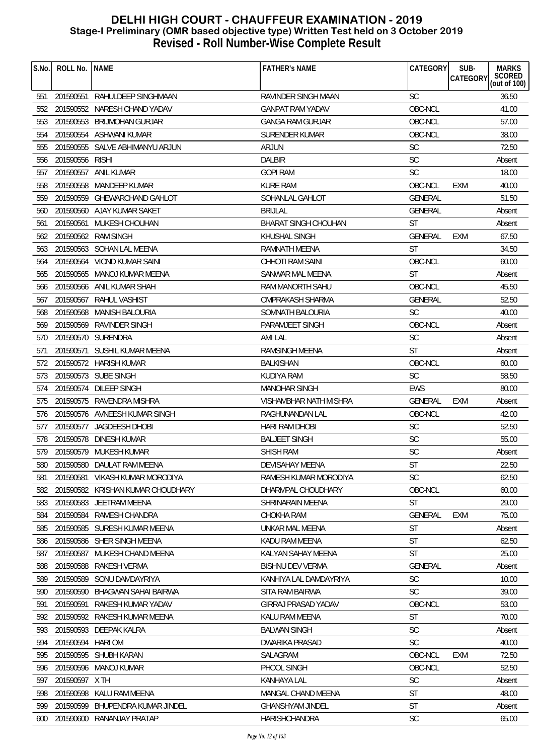| S.No. | ROLL No.         | <b>NAME</b>                       | <b>FATHER'S NAME</b>        | CATEGORY       | SUB-<br><b>CATEGORY</b> | <b>MARKS</b><br>SCORED<br>(out of 100) |
|-------|------------------|-----------------------------------|-----------------------------|----------------|-------------------------|----------------------------------------|
|       |                  |                                   |                             |                |                         |                                        |
| 551   |                  | 201590551 RAHULDEEP SINGHMAAN     | RAVINDER SINGH MAAN         | <b>SC</b>      |                         | 36.50                                  |
| 552   | 201590552        | NARESH CHAND YADAV                | <b>GANPAT RAM YADAV</b>     | OBC-NCL        |                         | 41.00                                  |
| 553   | 201590553        | BRIJMOHAN GURJAR                  | GANGA RAM GURJAR            | OBC-NCL        |                         | 57.00                                  |
| 554   |                  | 201590554 ASHWANI KUMAR           | SURENDER KUMAR              | OBC-NCL        |                         | 38.00                                  |
| 555   | 201590555        | SALVE ABHIMANYU ARJUN             | <b>ARJUN</b>                | <b>SC</b>      |                         | 72.50                                  |
| 556   | 201590556        | <b>RISHI</b>                      | <b>DALBIR</b>               | <b>SC</b>      |                         | Absent                                 |
| 557   | 201590557        | <b>ANIL KUMAR</b>                 | <b>GOPI RAM</b>             | <b>SC</b>      |                         | 18.00                                  |
| 558   | 201590558        | MANDEEP KUMAR                     | <b>KURE RAM</b>             | OBC-NCL        | <b>EXM</b>              | 40.00                                  |
| 559   |                  | 201590559 GHEWARCHAND GAHLOT      | SOHANLAL GAHLOT             | <b>GENERAL</b> |                         | 51.50                                  |
| 560   |                  | 201590560 AJAY KUMAR SAKET        | <b>BRIJLAL</b>              | GENERAL        |                         | Absent                                 |
| 561   | 201590561        | MUKESH CHOUHAN                    | <b>BHARAT SINGH CHOUHAN</b> | ST             |                         | Absent                                 |
| 562   | 201590562        | <b>RAM SINGH</b>                  | KHUSHAL SINGH               | <b>GENERAL</b> | <b>EXM</b>              | 67.50                                  |
| 563   |                  | 201590563 SOHAN LAL MEENA         | RAMNATH MEENA               | <b>ST</b>      |                         | 34.50                                  |
| 564   |                  | 201590564 VIOND KUMAR SAINI       | <b>CHHOTI RAM SAINI</b>     | OBC-NCL        |                         | 60.00                                  |
| 565   |                  | 201590565 MANOJ KUMAR MEENA       | SANWAR MAL MEENA            | <b>ST</b>      |                         | Absent                                 |
| 566   |                  | 201590566 ANIL KUMAR SHAH         | RAM MANORTH SAHU            | OBC-NCL        |                         | 45.50                                  |
| 567   | 201590567        | RAHUL VASHIST                     | OMPRAKASH SHARMA            | GENERAL        |                         | 52.50                                  |
| 568   |                  | 201590568 MANISH BALOURIA         | SOMNATH BALOURIA            | <b>SC</b>      |                         | 40.00                                  |
| 569   |                  | 201590569 RAVINDER SINGH          | PARAMJEET SINGH             | OBC-NCL        |                         | Absent                                 |
| 570   |                  | 201590570 SURENDRA                | <b>AMI LAL</b>              | <b>SC</b>      |                         | Absent                                 |
| 571   |                  | 201590571 SUSHIL KUMAR MEENA      | RAMSINGH MEENA              | <b>ST</b>      |                         | Absent                                 |
| 572   |                  | 201590572 HARISH KUMAR            | <b>BALKISHAN</b>            | OBC-NCL        |                         | 60.00                                  |
| 573   |                  | 201590573 SUBE SINGH              | KUDIYA RAM                  | <b>SC</b>      |                         | 58.50                                  |
| 574   |                  | 201590574 DILEEP SINGH            | <b>MANOHAR SINGH</b>        | <b>EWS</b>     |                         | 80.00                                  |
| 575   |                  | 201590575 RAVENDRA MISHRA         | VISHAMBHAR NATH MISHRA      | GENERAL        | <b>EXM</b>              | Absent                                 |
| 576   |                  | 201590576 AVNEESH KUMAR SINGH     | RAGHUNANDAN LAL             | OBC-NCL        |                         | 42.00                                  |
| 577   |                  | 201590577 JAGDEESH DHOBI          | HARI RAM DHOBI              | <b>SC</b>      |                         | 52.50                                  |
| 578   |                  | 201590578 DINESH KUMAR            | <b>BALJEET SINGH</b>        | SC             |                         | 55.00                                  |
| 579   |                  | 201590579 MUKESH KUMAR            | <b>SHISH RAM</b>            | <b>SC</b>      |                         | Absent                                 |
|       |                  | 580 201590580 DAULAT RAM MEENA    | DEVISAHAY MEENA             | ST             |                         | 22.50                                  |
| 581   | 201590581        | VIKASH KUMAR MORODIYA             | RAMESH KUMAR MORODIYA       | <b>SC</b>      |                         | 62.50                                  |
| 582   |                  | 201590582 KRISHAN KUMAR CHOUDHARY | DHARMPAL CHOUDHARY          | OBC-NCL        |                         | 60.00                                  |
| 583   |                  | 201590583 JEETRAM MEENA           | SHRINARAIN MEENA            | <b>ST</b>      |                         | 29.00                                  |
| 584   |                  | 201590584 RAMESH CHANDRA          | CHOKHA RAM                  | <b>GENERAL</b> | <b>EXM</b>              | 75.00                                  |
| 585   |                  | 201590585 SURESH KUMAR MEENA      | UNKAR MAL MEENA             | <b>ST</b>      |                         | Absent                                 |
| 586   |                  | 201590586 SHER SINGH MEENA        | KADU RAM MEENA              | <b>ST</b>      |                         | 62.50                                  |
| 587   | 201590587        | MUKESH CHAND MEENA                | KALYAN SAHAY MEENA          | <b>ST</b>      |                         | 25.00                                  |
| 588   |                  | 201590588 RAKESH VERMA            | <b>BISHNU DEV VERMA</b>     | <b>GENERAL</b> |                         | Absent                                 |
| 589   | 201590589        | SONU DAMDAYRIYA                   | KANHIYA LAL DAMDAYRIYA      | <b>SC</b>      |                         | 10.00                                  |
| 590   | 201590590        | BHAGWAN SAHAI BAIRWA              | SITA RAM BAIRWA             | <b>SC</b>      |                         | 39.00                                  |
| 591   | 201590591        | RAKESH KUMAR YADAV                | GIRRAJ PRASAD YADAV         | OBC-NCL        |                         | 53.00                                  |
| 592   |                  | 201590592 RAKESH KUMAR MEENA      | KALU RAM MEENA              | <b>ST</b>      |                         | 70.00                                  |
| 593   |                  | 201590593 DEEPAK KALRA            | <b>BALWAN SINGH</b>         | <b>SC</b>      |                         | Absent                                 |
| 594   | 201590594 HARIOM |                                   | DWARIKA PRASAD              | <b>SC</b>      |                         | 40.00                                  |
| 595   |                  | 201590595 SHUBH KARAN             | SALAGRAM                    | OBC-NCL        | <b>EXM</b>              | 72.50                                  |
| 596   |                  | 201590596 MANOJ KUMAR             | PHOOL SINGH                 | OBC-NCL        |                         | 52.50                                  |
| 597   | 201590597 X TH   |                                   | KANHAYA LAL                 | <b>SC</b>      |                         | Absent                                 |
| 598   | 201590598        | KALU RAM MEENA                    | MANGAL CHAND MEENA          | <b>ST</b>      |                         | 48.00                                  |
| 599   | 201590599        | BHUPENDRA KUMAR JINDEL            | <b>GHANSHYAM JINDEL</b>     | <b>ST</b>      |                         |                                        |
|       |                  |                                   |                             |                |                         | Absent                                 |
| 600   |                  | 201590600 RANANJAY PRATAP         | HARISHCHANDRA               | <b>SC</b>      |                         | 65.00                                  |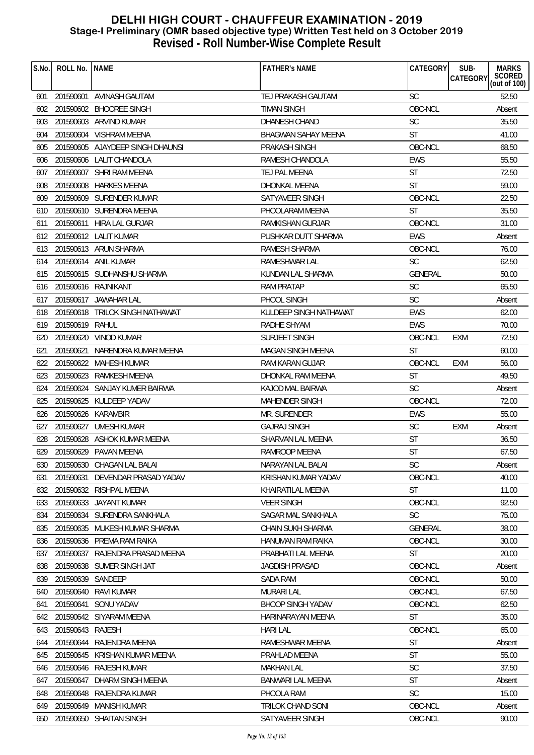| S.No. | ROLL No.         | <b>NAME</b>                      | <b>FATHER'S NAME</b>       | CATEGORY       | SUB-<br><b>MARKS</b>                      |
|-------|------------------|----------------------------------|----------------------------|----------------|-------------------------------------------|
|       |                  |                                  |                            |                | SCORED<br>(out of 100)<br><b>CATEGORY</b> |
| 601   | 201590601        | AVINASH GAUTAM                   | TEJ PRAKASH GAUTAM         | <b>SC</b>      | 52.50                                     |
| 602   |                  | 201590602 BHOOREE SINGH          | <b>TIMAN SINGH</b>         | OBC-NCL        | Absent                                    |
| 603   |                  | 201590603 ARVIND KUMAR           | <b>DHANESH CHAND</b>       | <b>SC</b>      | 35.50                                     |
| 604   |                  | 201590604 VISHRAM MEENA          | <b>BHAGWAN SAHAY MEENA</b> | <b>ST</b>      | 41.00                                     |
| 605   |                  | 201590605 AJAYDEEP SINGH DHAUNSI | PRAKASH SINGH              | OBC-NCL        | 68.50                                     |
| 606   | 201590606        | LALIT CHANDOLA                   | RAMESH CHANDOLA            | <b>EWS</b>     | 55.50                                     |
| 607   | 201590607        | SHRI RAM MEENA                   | TEJ PAL MEENA              | <b>ST</b>      | 72.50                                     |
| 608   |                  | 201590608 HARKES MEENA           | DHONKAL MEENA              | <b>ST</b>      | 59.00                                     |
| 609   |                  | 201590609 SURENDER KUMAR         | SATYAVEER SINGH            | OBC-NCL        | 22.50                                     |
| 610   |                  | 201590610 SURENDRA MEENA         | PHOOLARAM MEENA            | <b>ST</b>      | 35.50                                     |
| 611   |                  | 201590611 HIRA LAL GURJAR        | RAMKISHAN GURJAR           | OBC-NCL        | 31.00                                     |
| 612   |                  | 201590612 LALIT KUMAR            | PUSHKAR DUTT SHARMA        | <b>EWS</b>     | Absent                                    |
| 613   |                  | 201590613 ARUN SHARMA            | RAMESH SHARMA              | OBC-NCL        | 76.00                                     |
| 614   |                  | 201590614 ANIL KUMAR             | RAMESHWAR LAL              | <b>SC</b>      | 62.50                                     |
| 615   |                  | 201590615 SUDHANSHU SHARMA       | KUNDAN LAL SHARMA          | <b>GENERAL</b> | 50.00                                     |
| 616   |                  | 201590616 RAJNIKANT              | <b>RAM PRATAP</b>          | <b>SC</b>      | 65.50                                     |
| 617   |                  | 201590617 JAWAHAR LAL            | PHOOL SINGH                | <b>SC</b>      | Absent                                    |
| 618   |                  | 201590618 TRILOK SINGH NATHAWAT  | KULDEEP SINGH NATHAWAT     | <b>EWS</b>     | 62.00                                     |
| 619   | 201590619 RAHUL  |                                  | RADHE SHYAM                | <b>EWS</b>     | 70.00                                     |
| 620   |                  | 201590620 VINOD KUMAR            | <b>SURJEET SINGH</b>       | OBC-NCL        | 72.50<br>EXM                              |
| 621   | 201590621        | NARENDRA KUMAR MEENA             | <b>MAGAN SINGH MEENA</b>   | <b>ST</b>      | 60.00                                     |
| 622   |                  | 201590622 MAHESH KUMAR           | RAM KARAN GUJAR            | OBC-NCL        | 56.00<br>EXM                              |
| 623   |                  | 201590623 RAMKESH MEENA          | DHONKAL RAM MEENA          | <b>ST</b>      | 49.50                                     |
| 624   |                  | 201590624 SANJAY KUMER BAIRWA    | KAJOD MAL BAIRWA           | <b>SC</b>      | Absent                                    |
| 625   |                  | 201590625 KULDEEP YADAV          | <b>MAHENDER SINGH</b>      | OBC-NCL        | 72.00                                     |
| 626   |                  | 201590626 KARAMBIR               | MR. SURENDER               | <b>EWS</b>     | 55.00                                     |
| 627   |                  | 201590627 UMESH KUMAR            | <b>GAJRAJ SINGH</b>        | <b>SC</b>      | EXM<br>Absent                             |
| 628   |                  | 201590628 ASHOK KUMAR MEENA      | SHARVAN LAL MEENA          | <b>ST</b>      | 36.50                                     |
| 629   |                  | 201590629 PAVAN MEENA            | RAMROOP MEENA              | <b>ST</b>      | 67.50                                     |
|       |                  | 630 201590630 CHAGAN LAL BALAI   | NARAYAN LAL BALAI          | SC             | Absent                                    |
| 631   | 201590631        | DEVENDAR PRASAD YADAV            | KRISHAN KUMAR YADAV        | OBC-NCL        | 40.00                                     |
| 632   |                  | 201590632 RISHPAL MEENA          | KHAIRATILAL MEENA          | <b>ST</b>      | 11.00                                     |
| 633   |                  | 201590633 JAYANT KUMAR           | <b>VEER SINGH</b>          | OBC-NCL        | 92.50                                     |
| 634   |                  | 201590634 SURENDRA SANKHALA      | <b>SAGAR MAL SANKHALA</b>  | <b>SC</b>      | 75.00                                     |
| 635   |                  | 201590635 MUKESH KUMAR SHARMA    | CHAIN SUKH SHARMA          | <b>GENERAL</b> | 38.00                                     |
| 636   | 201590636        | PREMA RAM RAIKA                  | HANUMAN RAM RAIKA          | OBC-NCL        | 30.00                                     |
| 637   | 201590637        | RAJENDRA PRASAD MEENA            | PRABHATI LAL MEENA         | <b>ST</b>      | 20.00                                     |
| 638   |                  | 201590638 SUMER SINGH JAT        | <b>JAGDISH PRASAD</b>      | OBC-NCL        | Absent                                    |
| 639   | 201590639        | SANDEEP                          | <b>SADA RAM</b>            | OBC-NCL        | 50.00                                     |
| 640   |                  | 201590640 RAVI KUMAR             | <b>MURARI LAL</b>          | OBC-NCL        | 67.50                                     |
| 641   | 201590641        | <b>SONU YADAV</b>                | <b>BHOOP SINGH YADAV</b>   | OBC-NCL        | 62.50                                     |
| 642   |                  | 201590642 SIYARAM MEENA          | HARINARAYAN MEENA          | ST             | 35.00                                     |
| 643   | 201590643 RAJESH |                                  | <b>HARI LAL</b>            | OBC-NCL        | 65.00                                     |
| 644   | 201590644        | RAJENDRA MEENA                   | RAMESHWAR MEENA            | ST             | Absent                                    |
| 645   |                  | 201590645 KRISHAN KUMAR MEENA    | PRAHLAD MEENA              | <b>ST</b>      | 55.00                                     |
| 646   |                  | 201590646 RAJESH KUMAR           | <b>MAKHAN LAL</b>          | SC             | 37.50                                     |
| 647   | 201590647        | DHARM SINGH MEENA                | BANWARI LAL MEENA          | ST             | Absent                                    |
| 648   |                  | 201590648 RAJENDRA KUMAR         | PHOOLA RAM                 | <b>SC</b>      | 15.00                                     |
| 649   |                  | 201590649 MANISH KUMAR           | TRILOK CHAND SONI          | OBC-NCL        | Absent                                    |
| 650   |                  | 201590650 SHAITAN SINGH          |                            | OBC-NCL        | 90.00                                     |
|       |                  |                                  | SATYAVEER SINGH            |                |                                           |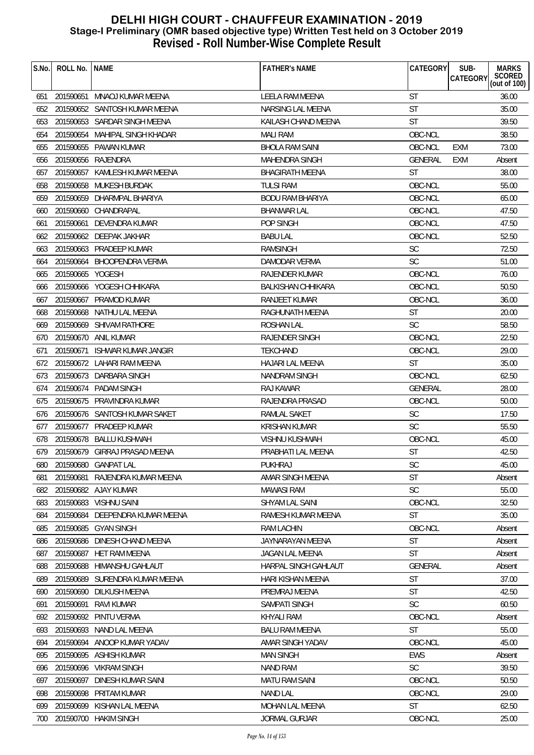| S.No. | ROLL No.         | <b>NAME</b>                     | <b>FATHER'S NAME</b>      | CATEGORY      | SUB-            | <b>MARKS</b>           |
|-------|------------------|---------------------------------|---------------------------|---------------|-----------------|------------------------|
|       |                  |                                 |                           |               | <b>CATEGORY</b> | SCORED<br>(out of 100) |
| 651   |                  | 201590651 MNAOJ KUMAR MEENA     | LEELA RAM MEENA           | <b>ST</b>     |                 | 36.00                  |
| 652   |                  | 201590652 SANTOSH KUMAR MEENA   | NARSING LAL MEENA         | <b>ST</b>     |                 | 35.00                  |
| 653   |                  | 201590653 SARDAR SINGH MEENA    | KAILASH CHAND MEENA       | <b>ST</b>     |                 | 39.50                  |
| 654   |                  | 201590654 MAHIPAL SINGH KHADAR  | <b>MALI RAM</b>           | OBC-NCL       |                 | 38.50                  |
| 655   |                  | 201590655 PAWAN KUMAR           | <b>BHOLA RAM SAINI</b>    | OBC-NCL       | EXM             | 73.00                  |
| 656   |                  | 201590656 RAJENDRA              | <b>MAHENDRA SINGH</b>     | GENERAL       | <b>EXM</b>      | Absent                 |
| 657   |                  | 201590657 KAMLESH KUMAR MEENA   | <b>BHAGIRATH MEENA</b>    | <b>ST</b>     |                 | 38.00                  |
| 658   |                  | 201590658 MUKESH BURDAK         | <b>TULSI RAM</b>          | OBC-NCL       |                 | 55.00                  |
| 659   |                  | 201590659 DHARMPAL BHARIYA      | <b>BODU RAM BHARIYA</b>   | OBC-NCL       |                 | 65.00                  |
| 660   |                  | 201590660 CHANDRAPAL            | <b>BHANWAR LAL</b>        | OBC-NCL       |                 | 47.50                  |
| 661   | 201590661        | DEVENDRA KUMAR                  | POP SINGH                 | OBC-NCL       |                 | 47.50                  |
| 662   |                  | 201590662 DEEPAK JAKHAR         | <b>BABULAL</b>            | OBC-NCL       |                 | 52.50                  |
| 663   |                  | 201590663 PRADEEP KUMAR         | <b>RAMSINGH</b>           | <b>SC</b>     |                 | 72.50                  |
| 664   |                  | 201590664 BHOOPENDRA VERMA      | <b>DAMODAR VERMA</b>      | <b>SC</b>     |                 | 51.00                  |
| 665   | 201590665 YOGESH |                                 | <b>RAJENDER KUMAR</b>     | OBC-NCL       |                 | 76.00                  |
| 666   |                  | 201590666 YOGESH CHHIKARA       | <b>BALKISHAN CHHIKARA</b> | OBC-NCL       |                 | 50.50                  |
| 667   |                  | 201590667 PRAMOD KUMAR          | <b>RANJEET KUMAR</b>      | OBC-NCL       |                 | 36.00                  |
| 668   |                  | 201590668 NATHU LAL MEENA       | RAGHUNATH MEENA           | <b>ST</b>     |                 | 20.00                  |
| 669   |                  | 201590669 SHIVAM RATHORE        | ROSHAN LAL                | <b>SC</b>     |                 | 58.50                  |
| 670   |                  | 201590670 ANIL KUMAR            | RAJENDER SINGH            | OBC-NCL       |                 | 22.50                  |
| 671   |                  | 201590671 ISHWAR KUMAR JANGIR   | <b>TEKCHAND</b>           | OBC-NCL       |                 | 29.00                  |
| 672   |                  | 201590672 LAHARI RAM MEENA      | <b>HAJARI LAL MEENA</b>   | <b>ST</b>     |                 | 35.00                  |
| 673   |                  | 201590673 DARBARA SINGH         | NANDRAM SINGH             | OBC-NCL       |                 | 62.50                  |
| 674   |                  | 201590674 PADAM SINGH           | RAJ KAWAR                 | GENERAL       |                 | 28.00                  |
| 675   |                  | 201590675 PRAVINDRA KUMAR       | RAJENDRA PRASAD           | OBC-NCL       |                 | 50.00                  |
| 676   |                  | 201590676 SANTOSH KUMAR SAKET   | RAMLAL SAKET              | <b>SC</b>     |                 | 17.50                  |
| 677   |                  | 201590677 PRADEEP KUMAR         | <b>KRISHAN KUMAR</b>      | <b>SC</b>     |                 | 55.50                  |
| 678   |                  | 201590678 BALLU KUSHWAH         | <b>VISHNU KUSHWAH</b>     | OBC-NCL       |                 | 45.00                  |
| 679   |                  | 201590679 GIRRAJ PRASAD MEENA   | PRABHATI LAL MEENA        | <b>ST</b>     |                 | 42.50                  |
| 680   |                  | 201590680 GANPAT LAL            | PUKHRAJ                   | $\mathsf{SC}$ |                 | 45.00                  |
| 681   | 201590681        | RAJENDRA KUMAR MEENA            | AMAR SINGH MEENA          | <b>ST</b>     |                 | Absent                 |
| 682   |                  | 201590682 AJAY KUMAR            | <b>MAWASI RAM</b>         | <b>SC</b>     |                 | 55.00                  |
| 683   |                  | 201590683 VISHNU SAINI          | <b>SHYAM LAL SAINI</b>    | OBC-NCL       |                 | 32.50                  |
| 684   |                  | 201590684 DEEPENDRA KUMAR MEENA | RAMESH KUMAR MEENA        | <b>ST</b>     |                 | 35.00                  |
| 685   |                  | 201590685 GYAN SINGH            | <b>RAM LACHIN</b>         | OBC-NCL       |                 | Absent                 |
| 686   | 201590686        | DINESH CHAND MEENA              | JAYNARAYAN MEENA          | <b>ST</b>     |                 | Absent                 |
| 687   | 201590687        | HET RAM MEENA                   | JAGAN LAL MEENA           | <b>ST</b>     |                 | Absent                 |
| 688   | 201590688        | HIMANSHU GAHLAUT                | HARPAL SINGH GAHLAUT      | GENERAL       |                 | Absent                 |
| 689   |                  | 201590689 SURENDRA KUMAR MEENA  | HARI KISHAN MEENA         | <b>ST</b>     |                 | 37.00                  |
| 690   | 201590690        | DILKUSH MEENA                   | PREMRAJ MEENA             | <b>ST</b>     |                 | 42.50                  |
| 691   | 201590691        | <b>RAVI KUMAR</b>               | SAMPATI SINGH             | <b>SC</b>     |                 | 60.50                  |
| 692   | 201590692        | PINTU VERMA                     | <b>KHYALI RAM</b>         | OBC-NCL       |                 | Absent                 |
| 693   |                  | 201590693 NAND LAL MEENA        | <b>BALU RAM MEENA</b>     | <b>ST</b>     |                 | 55.00                  |
| 694   | 201590694        | ANOOP KUMAR YADAV               | AMAR SINGH YADAV          | OBC-NCL       |                 | 45.00                  |
| 695   |                  | 201590695 ASHISH KUMAR          | <b>MAN SINGH</b>          | <b>EWS</b>    |                 | Absent                 |
| 696   |                  | 201590696 VIKRAM SINGH          | <b>NAND RAM</b>           | <b>SC</b>     |                 | 39.50                  |
| 697   | 201590697        | DINESH KUMAR SAINI              | <b>MATU RAM SAINI</b>     | OBC-NCL       |                 | 50.50                  |
| 698   | 201590698        | PRITAM KUMAR                    | <b>NAND LAL</b>           | OBC-NCL       |                 | 29.00                  |
| 699   | 201590699        | KISHAN LAL MEENA                | MOHAN LAL MEENA           | <b>ST</b>     |                 | 62.50                  |
| 700   |                  | 201590700 HAKIM SINGH           | <b>JORMAL GURJAR</b>      | OBC-NCL       |                 | 25.00                  |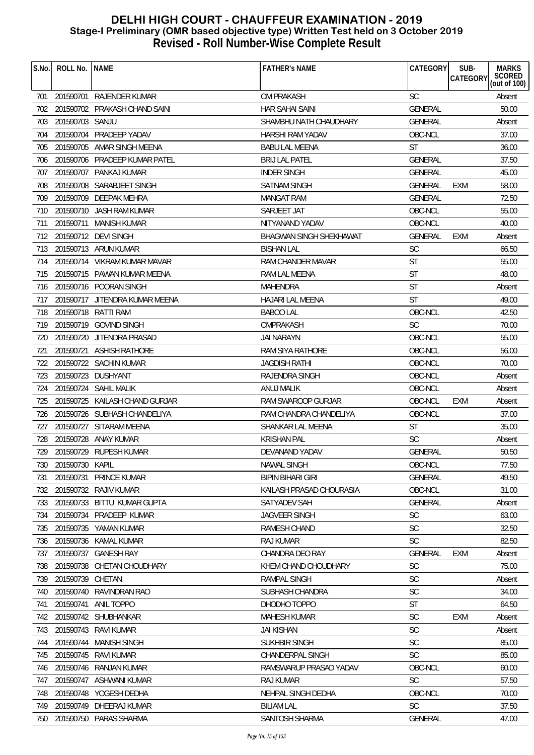| S.No. | ROLL No.         | <b>NAME</b>                    | <b>FATHER'S NAME</b>     | CATEGORY       | SUB-<br>CATEGORY | <b>MARKS</b><br>SCORED<br>(out of 100) |
|-------|------------------|--------------------------------|--------------------------|----------------|------------------|----------------------------------------|
| 701   |                  | 201590701 RAJENDER KUMAR       | <b>OM PRAKASH</b>        | <b>SC</b>      |                  | Absent                                 |
| 702   |                  | 201590702 PRAKASH CHAND SAINI  | <b>HAR SAHAI SAINI</b>   | GENERAL        |                  | 50.00                                  |
| 703   | 201590703 SANJU  |                                | SHAMBHU NATH CHAUDHARY   | <b>GENERAL</b> |                  | Absent                                 |
| 704   |                  | 201590704 PRADEEP YADAV        | <b>HARSHI RAM YADAV</b>  | OBC-NCL        |                  | 37.00                                  |
| 705   |                  | 201590705 AMAR SINGH MEENA     | <b>BABU LAL MEENA</b>    | <b>ST</b>      |                  | 36.00                                  |
| 706   |                  | 201590706 PRADEEP KUMAR PATEL  | <b>BRIJ LAL PATEL</b>    | <b>GENERAL</b> |                  | 37.50                                  |
| 707   |                  | 201590707 PANKAJ KUMAR         | <b>INDER SINGH</b>       | GENERAL        |                  | 45.00                                  |
| 708   |                  | 201590708 SARABJEET SINGH      | SATNAM SINGH             | <b>GENERAL</b> | EXM              | 58.00                                  |
| 709   |                  | 201590709 DEEPAK MEHRA         | <b>MANGAT RAM</b>        | <b>GENERAL</b> |                  | 72.50                                  |
| 710   |                  | 201590710 JASH RAM KUMAR       | SARJEET JAT              | OBC-NCL        |                  | 55.00                                  |
| 711   |                  | 201590711 MANISH KUMAR         | NITYANAND YADAV          | OBC-NCL        |                  | 40.00                                  |
| 712   |                  | 201590712 DEVI SINGH           | BHAGWAN SINGH SHEKHAWAT  | GENERAL        | <b>EXM</b>       | Absent                                 |
|       |                  | 713 201590713 ARUN KUMAR       | <b>BISHAN LAL</b>        | <b>SC</b>      |                  | 66.50                                  |
| 714   |                  | 201590714 VIKRAM KUMAR MAVAR   | RAM CHANDER MAVAR        | <b>ST</b>      |                  | 55.00                                  |
| 715   |                  | 201590715 PAWAN KUMAR MEENA    | RAM LAL MEENA            | <b>ST</b>      |                  | 48.00                                  |
| 716   |                  | 201590716 POORAN SINGH         | MAHENDRA                 | <b>ST</b>      |                  | Absent                                 |
| 717   |                  | 201590717 JITENDRA KUMAR MEENA | HAJARI LAL MEENA         | <b>ST</b>      |                  | 49.00                                  |
| 718   |                  | 201590718 RATTI RAM            | <b>BABOO LAL</b>         | OBC-NCL        |                  | 42.50                                  |
| 719   |                  | 201590719 GOVIND SINGH         | OMPRAKASH                | <b>SC</b>      |                  | 70.00                                  |
| 720   |                  | 201590720 JITENDRA PRASAD      | JAI NARAYN               | OBC-NCL        |                  | 55.00                                  |
| 721   |                  | 201590721 ASHISH RATHORE       | RAM SIYA RATHORE         | OBC-NCL        |                  | 56.00                                  |
| 722   |                  | 201590722 SACHIN KUMAR         | JAGDISH RATHI            | OBC-NCL        |                  | 70.00                                  |
| 723   |                  | 201590723 DUSHYANT             | <b>RAJENDRA SINGH</b>    | OBC-NCL        |                  | Absent                                 |
| 724   |                  | 201590724 SAHIL MALIK          | ANUJ MALIK               | OBC-NCL        |                  | Absent                                 |
| 725   |                  | 201590725 KAILASH CHAND GURJAR | RAM SWAROOP GURJAR       | OBC-NCL        | <b>EXM</b>       | Absent                                 |
| 726   |                  | 201590726 SUBHASH CHANDELIYA   | RAM CHANDRA CHANDELIYA   | OBC-NCL        |                  | 37.00                                  |
| 727   |                  | 201590727 SITARAM MEENA        | SHANKAR LAL MEENA        | <b>ST</b>      |                  | 35.00                                  |
| 728   |                  | 201590728 ANAY KUMAR           | <b>KRISHAN PAL</b>       | <b>SC</b>      |                  | Absent                                 |
| 729   |                  | 201590729 RUPESH KUMAR         | DEVANAND YADAV           | GENERAL        |                  | 50.50                                  |
| 730   | 201590730 KAPIL  |                                | NAWAL SINGH              | OBC-NCL        |                  | 77.50                                  |
| 731   |                  | 201590731 PRINCE KUMAR         | <b>BIPIN BIHARI GIRI</b> | GENERAL        |                  | 49.50                                  |
| 732   |                  | 201590732 RAJIV KUMAR          | KAILASH PRASAD CHOURASIA | OBC-NCL        |                  | 31.00                                  |
| 733   |                  | 201590733 BITTU KUMAR GUPTA    | SATYADEV SAH             | GENERAL        |                  | Absent                                 |
| 734   |                  | 201590734 PRADEEP KUMAR        | JAGVEER SINGH            | <b>SC</b>      |                  | 63.00                                  |
| 735   |                  | 201590735 YAMAN KUMAR          | RAMESH CHAND             | <b>SC</b>      |                  | 32.50                                  |
| 736   |                  | 201590736 KAMAL KUMAR          | <b>RAJ KUMAR</b>         | <b>SC</b>      |                  | 82.50                                  |
| 737   |                  | 201590737 GANESH RAY           | CHANDRA DEO RAY          | GENERAL        | <b>EXM</b>       | Absent                                 |
| 738   |                  | 201590738 CHETAN CHOUDHARY     | KHEM CHAND CHOUDHARY     | <b>SC</b>      |                  | 75.00                                  |
| 739   | 201590739 CHETAN |                                | RAMPAL SINGH             | <b>SC</b>      |                  | Absent                                 |
| 740   | 201590740        | RAVINDRAN RAO                  | SUBHASH CHANDRA          | <b>SC</b>      |                  | 34.00                                  |
| 741   |                  | 201590741 ANIL TOPPO           | DHODHO TOPPO             | <b>ST</b>      |                  | 64.50                                  |
| 742   |                  | 201590742 SHUBHANKAR           | <b>MAHESH KUMAR</b>      | <b>SC</b>      | <b>EXM</b>       | Absent                                 |
| 743   |                  | 201590743 RAVI KUMAR           | <b>JAI KISHAN</b>        | SC             |                  | Absent                                 |
| 744   |                  | 201590744 MANISH SINGH         | SUKHBIR SINGH            | <b>SC</b>      |                  | 85.00                                  |
| 745   |                  | 201590745 RAVI KUMAR           | CHANDERPAL SINGH         | <b>SC</b>      |                  | 85.00                                  |
| 746   |                  | 201590746 RANJAN KUMAR         | RAMSWARUP PRASAD YADAV   | OBC-NCL        |                  | 60.00                                  |
| 747   |                  | 201590747 ASHWANI KUMAR        | RAJ KUMAR                | <b>SC</b>      |                  | 57.50                                  |
| 748   |                  | 201590748 YOGESH DEDHA         | NEHPAL SINGH DEDHA       | OBC-NCL        |                  | 70.00                                  |
| 749   |                  | 201590749 DHEERAJ KUMAR        | <b>BILIAM LAL</b>        | <b>SC</b>      |                  | 37.50                                  |
|       |                  | 750 201590750 PARAS SHARMA     | SANTOSH SHARMA           | <b>GENERAL</b> |                  | 47.00                                  |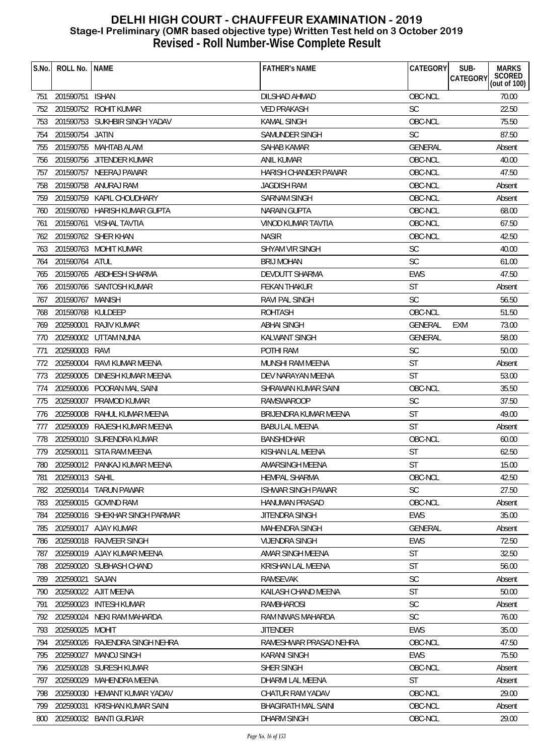| S.No. | ROLL No.   NAME   |                                | <b>FATHER'S NAME</b>        | CATEGORY       | SUB-<br><b>MARKS</b><br>SCORED<br>(out of 100)<br><b>CATEGORY</b> |
|-------|-------------------|--------------------------------|-----------------------------|----------------|-------------------------------------------------------------------|
| 751   | 201590751 ISHAN   |                                | DILSHAD AHMAD               | OBC-NCL        | 70.00                                                             |
| 752   |                   | 201590752 ROHIT KUMAR          | <b>VED PRAKASH</b>          | <b>SC</b>      | 22.50                                                             |
| 753   |                   | 201590753 SUKHBIR SINGH YADAV  | <b>KAMAL SINGH</b>          | OBC-NCL        | 75.50                                                             |
| 754   | 201590754 JATIN   |                                | SAMUNDER SINGH              | <b>SC</b>      | 87.50                                                             |
| 755   |                   | 201590755 MAHTAB ALAM          | SAHAB KAMAR                 | <b>GENERAL</b> | Absent                                                            |
| 756   |                   | 201590756 JITENDER KUMAR       | <b>ANIL KUMAR</b>           | OBC-NCL        | 40.00                                                             |
| 757   |                   | 201590757 NEERAJ PAWAR         | <b>HARISH CHANDER PAWAR</b> | OBC-NCL        | 47.50                                                             |
| 758   |                   | 201590758 ANURAJ RAM           | JAGDISH RAM                 | OBC-NCL        | Absent                                                            |
| 759   |                   | 201590759 KAPIL CHOUDHARY      | <b>SARNAM SINGH</b>         | OBC-NCL        | Absent                                                            |
| 760   |                   | 201590760 HARISH KUMAR GUPTA   | <b>NARAIN GUPTA</b>         | OBC-NCL        | 68.00                                                             |
| 761   |                   | 201590761 VISHAL TAVTIA        | VINOD KUMAR TAVTIA          | OBC-NCL        | 67.50                                                             |
| 762   |                   | 201590762 SHER KHAN            | <b>NASIR</b>                | OBC-NCL        | 42.50                                                             |
| 763   |                   | 201590763 MOHIT KUMAR          | SHYAM VIR SINGH             | <b>SC</b>      | 40.00                                                             |
| 764   | 201590764 ATUL    |                                | <b>BRIJ MOHAN</b>           | SC             | 61.00                                                             |
| 765   |                   | 201590765 ABDHESH SHARMA       | <b>DEVDUTT SHARMA</b>       | <b>EWS</b>     | 47.50                                                             |
| 766   |                   | 201590766 SANTOSH KUMAR        | <b>FEKAN THAKUR</b>         | ST             | Absent                                                            |
| 767   | 201590767 MANISH  |                                | RAVI PAL SINGH              | <b>SC</b>      | 56.50                                                             |
| 768   | 201590768 KULDEEP |                                | <b>ROHTASH</b>              | OBC-NCL        | 51.50                                                             |
| 769   |                   | 202590001 RAJIV KUMAR          | <b>ABHAI SINGH</b>          | <b>GENERAL</b> | 73.00<br>EXM                                                      |
| 770   |                   | 202590002 UTTAM NUNIA          | KALWANT SINGH               | <b>GENERAL</b> | 58.00                                                             |
| 771   | 202590003 RAVI    |                                | POTHI RAM                   | SC             | 50.00                                                             |
| 772   | 202590004         | RAVI KUMAR MEENA               | MUNSHI RAM MEENA            | ST             | Absent                                                            |
| 773   | 202590005         | DINESH KUMAR MEENA             | DEV NARAYAN MEENA           | <b>ST</b>      | 53.00                                                             |
| 774   |                   | 202590006 POORAN MAL SAINI     | SHRAWAN KUMAR SAINI         | OBC-NCL        | 35.50                                                             |
| 775   | 202590007         | PRAMOD KUMAR                   | <b>RAMSWAROOP</b>           | SC             | 37.50                                                             |
| 776   |                   | 202590008 RAHUL KUMAR MEENA    | BRIJENDRA KUMAR MEENA       | <b>ST</b>      | 49.00                                                             |
| 777   | 202590009         | RAJESH KUMAR MEENA             | <b>BABU LAL MEENA</b>       | <b>ST</b>      | Absent                                                            |
| 778   |                   | 202590010 SURENDRA KUMAR       | <b>BANSHIDHAR</b>           | OBC-NCL        | 60.00                                                             |
| 779   |                   | 202590011 SITA RAM MEENA       | KISHAN LAL MEENA            | ST             | 62.50                                                             |
| 780   |                   | 202590012 PANKAJ KUMAR MEENA   | AMARSINGH MEENA             | <b>ST</b>      | 15.00                                                             |
| 781   | 202590013 SAHIL   |                                | HEMPAL SHARMA               | OBC-NCL        | 42.50                                                             |
| 782   |                   | 202590014 TARUN PAWAR          | ISHWAR SINGH PAWAR          | <b>SC</b>      | 27.50                                                             |
| 783   |                   | 202590015 GOVIND RAM           | <b>HANUMAN PRASAD</b>       | OBC-NCL        | Absent                                                            |
| 784   |                   | 202590016 SHEKHAR SINGH PARMAR | JITENDRA SINGH              | <b>EWS</b>     | 35.00                                                             |
| 785   |                   | 202590017 AJAY KUMAR           | MAHENDRA SINGH              | <b>GENERAL</b> | Absent                                                            |
| 786   |                   | 202590018 RAJVEER SINGH        | <b>VIJENDRA SINGH</b>       | <b>EWS</b>     | 72.50                                                             |
| 787   |                   | 202590019 AJAY KUMAR MEENA     | AMAR SINGH MEENA            | <b>ST</b>      | 32.50                                                             |
| 788   |                   | 202590020 SUBHASH CHAND        | KRISHAN LAL MEENA           | ST             | 56.00                                                             |
| 789   | 202590021 SAJAN   |                                | <b>RAMSEVAK</b>             | <b>SC</b>      | Absent                                                            |
| 790   |                   | 202590022 AJIT MEENA           | KAILASH CHAND MEENA         | ST             | 50.00                                                             |
| 791   | 202590023         | <b>INTESH KUMAR</b>            | RAMBHAROSI                  | SC             | Absent                                                            |
| 792   | 202590024         | NEKI RAM MAHARDA               | RAM NIWAS MAHARDA           | <b>SC</b>      | 76.00                                                             |
| 793   | 202590025         | MOHIT                          | <b>JITENDER</b>             | <b>EWS</b>     | 35.00                                                             |
| 794   | 202590026         | RAJENDRA SINGH NEHRA           | RAMESHWAR PRASAD NEHRA      | OBC-NCL        | 47.50                                                             |
| 795   | 202590027         | <b>MANOJ SINGH</b>             | <b>KARANI SINGH</b>         | <b>EWS</b>     | 75.50                                                             |
| 796   |                   | 202590028 SURESH KUMAR         | SHER SINGH                  | OBC-NCL        | Absent                                                            |
| 797   | 202590029         | MAHENDRA MEENA                 | DHARMI LAL MEENA            | ST             | Absent                                                            |
| 798   | 202590030         | HEMANT KUMAR YADAV             | CHATUR RAM YADAV            | OBC-NCL        | 29.00                                                             |
| 799   | 202590031         | KRISHAN KUMAR SAINI            | <b>BHAGIRATH MAL SAINI</b>  | OBC-NCL        | Absent                                                            |
| 800   |                   | 202590032 BANTI GURJAR         | <b>DHARM SINGH</b>          | OBC-NCL        | 29.00                                                             |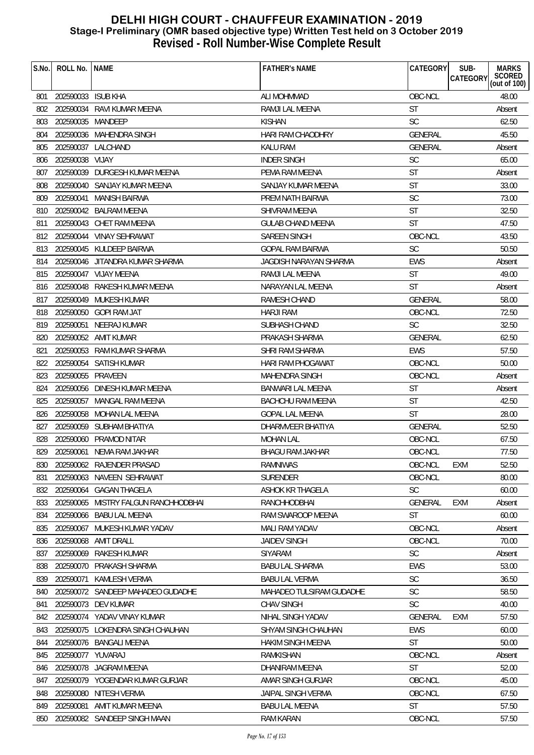| S.No. | ROLL No.           | <b>NAME</b>                          | <b>FATHER'S NAME</b>      | CATEGORY       | SUB-<br><b>MARKS</b><br><b>CATEGORY</b> |
|-------|--------------------|--------------------------------------|---------------------------|----------------|-----------------------------------------|
|       |                    |                                      |                           |                | SCORED<br>(out of 100)                  |
| 801   | 202590033 ISUB KHA |                                      | ALI MOHMMAD               | OBC-NCL        | 48.00                                   |
| 802   |                    | 202590034 RAVI KUMAR MEENA           | RAMJI LAL MEENA           | <b>ST</b>      | Absent                                  |
| 803   | 202590035 MANDEEP  |                                      | KISHAN                    | <b>SC</b>      | 62.50                                   |
| 804   |                    | 202590036 MAHENDRA SINGH             | HARI RAM CHAODHRY         | GENERAL        | 45.50                                   |
| 805   |                    | 202590037 LALCHAND                   | <b>KALU RAM</b>           | GENERAL        | Absent                                  |
| 806   | 202590038 VIJAY    |                                      | <b>INDER SINGH</b>        | <b>SC</b>      | 65.00                                   |
| 807   |                    | 202590039 DURGESH KUMAR MEENA        | PEMA RAM MEENA            | <b>ST</b>      | Absent                                  |
| 808   |                    | 202590040 SANJAY KUMAR MEENA         | SANJAY KUMAR MEENA        | <b>ST</b>      | 33.00                                   |
| 809   | 202590041          | <b>MANISH BAIRWA</b>                 | PREM NATH BAIRWA          | <b>SC</b>      | 73.00                                   |
| 810   |                    | 202590042 BALRAM MEENA               | <b>SHIVRAM MEENA</b>      | <b>ST</b>      | 32.50                                   |
| 811   |                    | 202590043 CHET RAM MEENA             | GULAB CHAND MEENA         | <b>ST</b>      | 47.50                                   |
| 812   |                    | 202590044 VINAY SEHRAWAT             | <b>SAREEN SINGH</b>       | OBC-NCL        | 43.50                                   |
| 813   |                    | 202590045 KULDEEP BAIRWA             | <b>GOPAL RAM BAIRWA</b>   | <b>SC</b>      | 50.50                                   |
| 814   |                    | 202590046 JITANDRA KUMAR SHARMA      | JAGDISH NARAYAN SHARMA    | <b>EWS</b>     | Absent                                  |
| 815   |                    | 202590047 VIJAY MEENA                | RAMJI LAL MEENA           | <b>ST</b>      | 49.00                                   |
| 816   |                    | 202590048 RAKESH KUMAR MEENA         | NARAYAN LAL MEENA         | <b>ST</b>      | Absent                                  |
| 817   |                    | 202590049 MUKESH KUMAR               | RAMESH CHAND              | <b>GENERAL</b> | 58.00                                   |
| 818   |                    | 202590050 GOPI RAM JAT               | <b>HARJI RAM</b>          | OBC-NCL        | 72.50                                   |
| 819   | 202590051          | NEERAJ KUMAR                         | SUBHASH CHAND             | <b>SC</b>      | 32.50                                   |
| 820   |                    | 202590052 AMIT KUMAR                 | PRAKASH SHARMA            | <b>GENERAL</b> | 62.50                                   |
| 821   |                    | 202590053 RAM KUMAR SHARMA           | SHRI RAM SHARMA           | <b>EWS</b>     | 57.50                                   |
| 822   | 202590054          | SATISH KUMAR                         | HARI RAM PHOGAWAT         | OBC-NCL        | 50.00                                   |
| 823   | 202590055 PRAVEEN  |                                      | <b>MAHENDRA SINGH</b>     | OBC-NCL        | Absent                                  |
| 824   |                    | 202590056 DINESH KUMAR MEENA         | BANWARI LAL MEENA         | <b>ST</b>      | Absent                                  |
| 825   | 202590057          | MANGAL RAM MEENA                     | BACHCHU RAM MEENA         | <b>ST</b>      | 42.50                                   |
| 826   |                    | 202590058 MOHAN LAL MEENA            | <b>GOPAL LAL MEENA</b>    | <b>ST</b>      | 28.00                                   |
| 827   |                    | 202590059 SUBHAM BHATIYA             | DHARMVEER BHATIYA         | <b>GENERAL</b> | 52.50                                   |
| 828   | 202590060          | PRAMOD NITAR                         | <b>MOHAN LAL</b>          | OBC-NCL        | 67.50                                   |
| 829   |                    | 202590061 NEMA RAM JAKHAR            | <b>BHAGU RAM JAKHAR</b>   | OBC-NCL        | 77.50                                   |
|       |                    | 830 202590062 RAJENDER PRASAD        | RAMNIWAS                  | OBC-NCL EXM    | 52.50                                   |
| 831   | 202590063          | NAVEEN SEHRAWAT                      | SURENDER                  | OBC-NCL        | 80.00                                   |
| 832   |                    | 202590064 GAGAN THAGELA              | ASHOK KR THAGELA          | <b>SC</b>      | 60.00                                   |
| 833   |                    | 202590065 MISTRY FALGUN RANCHHODBHAI | RANCHHODBHAI              | GENERAL        | <b>EXM</b><br>Absent                    |
| 834   |                    | 202590066 BABU LAL MEENA             | RAM SWAROOP MEENA         | ST             | 60.00                                   |
| 835   | 202590067          | MUKESH KUMAR YADAV                   | MALI RAM YADAV            | OBC-NCL        | Absent                                  |
| 836   | 202590068          | <b>AMIT DRALL</b>                    | JAIDEV SINGH              | OBC-NCL        | 70.00                                   |
| 837   |                    | 202590069 RAKESH KUMAR               | <b>SIYARAM</b>            | <b>SC</b>      | Absent                                  |
| 838   |                    | 202590070 PRAKASH SHARMA             | <b>BABU LAL SHARMA</b>    | EWS            | 53.00                                   |
| 839   | 202590071          | KAMLESH VERMA                        | <b>BABU LAL VERMA</b>     | <b>SC</b>      | 36.50                                   |
| 840   |                    | 202590072 SANDEEP MAHADEO GUDADHE    | MAHADEO TULSIRAM GUDADHE  | <b>SC</b>      | 58.50                                   |
| 841   |                    | 202590073 DEV KUMAR                  | <b>CHAV SINGH</b>         | <b>SC</b>      | 40.00                                   |
| 842   |                    | 202590074 YADAV VINAY KUMAR          | NIHAL SINGH YADAV         | GENERAL        | <b>EXM</b><br>57.50                     |
| 843   |                    | 202590075 LOKENDRA SINGH CHAUHAN     | SHYAM SINGH CHAUHAN       | <b>EWS</b>     | 60.00                                   |
| 844   |                    | 202590076 BANGALI MEENA              | <b>HAKIM SINGH MEENA</b>  | <b>ST</b>      | 50.00                                   |
| 845   | 202590077 YUVARAJ  |                                      | RAMKISHAN                 | OBC-NCL        | Absent                                  |
| 846   |                    | 202590078 JAGRAM MEENA               | DHANIRAM MEENA            | <b>ST</b>      | 52.00                                   |
| 847   |                    | 202590079 YOGENDAR KUMAR GURJAR      | AMAR SINGH GURJAR         | OBC-NCL        | 45.00                                   |
| 848   | 202590080          | NITESH VERMA                         | <b>JAIPAL SINGH VERMA</b> | OBC-NCL        | 67.50                                   |
| 849   | 202590081          | AMIT KUMAR MEENA                     | <b>BABU LAL MEENA</b>     | <b>ST</b>      | 57.50                                   |
| 850   |                    | 202590082 SANDEEP SINGH MAAN         | RAM KARAN                 | OBC-NCL        | 57.50                                   |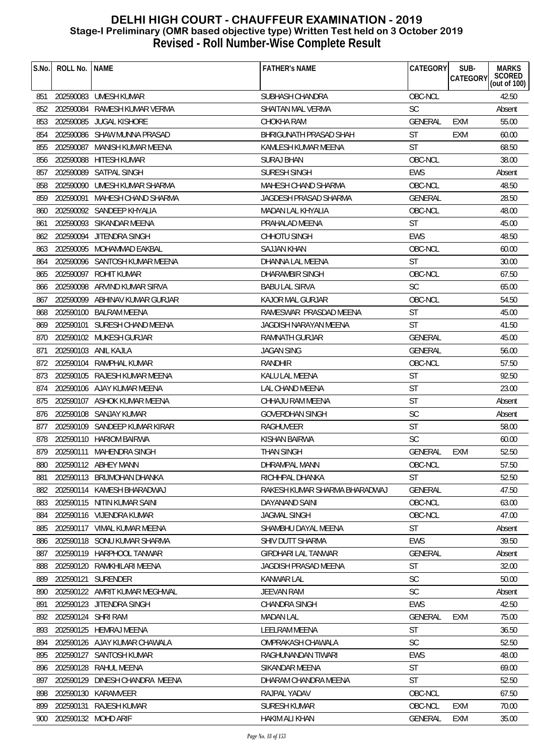| S.No. | ROLL No.           | <b>NAME</b>                    | <b>FATHER'S NAME</b>          | CATEGORY       | SUB-<br>CATEGORY | <b>MARKS</b><br>SCORED<br>(out of 100) |
|-------|--------------------|--------------------------------|-------------------------------|----------------|------------------|----------------------------------------|
| 851   |                    | 202590083 UMESH KUMAR          | SUBHASH CHANDRA               | OBC-NCL        |                  | 42.50                                  |
| 852   |                    | 202590084 RAMESH KUMAR VERMA   | SHAITAN MAL VERMA             | <b>SC</b>      |                  | Absent                                 |
| 853   | 202590085          | JUGAL KISHORE                  | CHOKHA RAM                    | <b>GENERAL</b> | <b>EXM</b>       | 55.00                                  |
| 854   |                    | 202590086 SHAW MUNNA PRASAD    | BHRIGUNATH PRASAD SHAH        | <b>ST</b>      | EXM              | 60.00                                  |
| 855   | 202590087          | MANISH KUMAR MEENA             | KAMLESH KUMAR MEENA           | <b>ST</b>      |                  | 68.50                                  |
| 856   | 202590088          | <b>HITESH KUMAR</b>            | SURAJ BHAN                    | OBC-NCL        |                  | 38.00                                  |
| 857   | 202590089          | SATPAL SINGH                   | <b>SURESH SINGH</b>           | <b>EWS</b>     |                  | Absent                                 |
| 858   |                    | 202590090 UMESH KUMAR SHARMA   | MAHESH CHAND SHARMA           | OBC-NCL        |                  | 48.50                                  |
| 859   | 202590091          | MAHESH CHAND SHARMA            | <b>JAGDESH PRASAD SHARMA</b>  | GENERAL        |                  | 28.50                                  |
| 860   |                    | 202590092 SANDEEP KHYALIA      | MADAN LAL KHYALIA             | OBC-NCL        |                  | 48.00                                  |
| 861   |                    | 202590093 SIKANDAR MEENA       | PRAHALAD MEENA                | ST             |                  | 45.00                                  |
| 862   | 202590094          | JITENDRA SINGH                 | CHHOTU SINGH                  | <b>EWS</b>     |                  | 48.50                                  |
| 863   |                    | 202590095 MOHAMMAD EAKBAL      | SAJJAN KHAN                   | OBC-NCL        |                  | 60.00                                  |
| 864   |                    | 202590096 SANTOSH KUMAR MEENA  | DHANNA LAL MEENA              | <b>ST</b>      |                  | 30.00                                  |
| 865   |                    | 202590097 ROHIT KUMAR          | DHARAMBIR SINGH               | OBC-NCL        |                  | 67.50                                  |
| 866   |                    | 202590098 ARVIND KUMAR SIRVA   | <b>BABU LAL SIRVA</b>         | <b>SC</b>      |                  | 65.00                                  |
| 867   |                    | 202590099 ABHINAV KUMAR GURJAR | KAJOR MAL GURJAR              | OBC-NCL        |                  | 54.50                                  |
| 868   |                    | 202590100 BALRAM MEENA         | RAMESWAR PRASDAD MEENA        | <b>ST</b>      |                  | 45.00                                  |
| 869   |                    | 202590101 SURESH CHAND MEENA   | JAGDISH NARAYAN MEENA         | <b>ST</b>      |                  | 41.50                                  |
| 870   |                    | 202590102 MUKESH GURJAR        | RAMNATH GURJAR                | <b>GENERAL</b> |                  | 45.00                                  |
| 871   |                    | 202590103 ANIL KAJLA           | <b>JAGAN SING</b>             | GENERAL        |                  | 56.00                                  |
| 872   | 202590104          | RAMPHAL KUMAR                  | RANDHIR                       | OBC-NCL        |                  | 57.50                                  |
| 873   |                    | 202590105 RAJESH KUMAR MEENA   | KALU LAL MEENA                | <b>ST</b>      |                  | 92.50                                  |
| 874   |                    | 202590106 AJAY KUMAR MEENA     | LAL CHAND MEENA               | <b>ST</b>      |                  | 23.00                                  |
| 875   |                    | 202590107 ASHOK KUMAR MEENA    | CHHAJU RAM MEENA              | <b>ST</b>      |                  | Absent                                 |
| 876   |                    | 202590108 SANJAY KUMAR         | <b>GOVERDHAN SINGH</b>        | SC             |                  | Absent                                 |
| 877   |                    | 202590109 SANDEEP KUMAR KIRAR  | <b>RAGHUVEER</b>              | <b>ST</b>      |                  | 58.00                                  |
| 878   |                    | 202590110 HARIOM BAIRWA        | KISHAN BAIRWA                 | <b>SC</b>      |                  | 60.00                                  |
| 879   |                    | 202590111 MAHENDRA SINGH       | <b>THAN SINGH</b>             | <b>GENERAL</b> | <b>EXM</b>       | 52.50                                  |
| 880   |                    | 202590112 ABHEY MANN           | DHRAMPAL MANN                 | OBC-NCL        |                  | 57.50                                  |
| 881   |                    | 202590113 BRIJMOHAN DHANKA     | RICHHPAL DHANKA               | ST             |                  | 52.50                                  |
| 882   |                    | 202590114 KAMESH BHARADWAJ     | RAKESH KUMAR SHARMA BHARADWAJ | <b>GENERAL</b> |                  | 47.50                                  |
| 883   |                    | 202590115 NITIN KUMAR SAINI    | DAYANAND SAINI                | OBC-NCL        |                  | 63.00                                  |
| 884   |                    | 202590116 VIJENDRA KUMAR       | <b>JAGMAL SINGH</b>           | OBC-NCL        |                  | 47.00                                  |
| 885   |                    | 202590117 VIMAL KUMAR MEENA    | SHAMBHU DAYAL MEENA           | <b>ST</b>      |                  | Absent                                 |
| 886   |                    | 202590118 SONU KUMAR SHARMA    | SHIV DUTT SHARMA              | <b>EWS</b>     |                  | 39.50                                  |
| 887   |                    | 202590119 HARPHOOL TANWAR      | <b>GIRDHARI LAL TANWAR</b>    | GENERAL        |                  | Absent                                 |
| 888   |                    | 202590120 RAMKHILARI MEENA     | JAGDISH PRASAD MEENA          | <b>ST</b>      |                  | 32.00                                  |
| 889   |                    | 202590121 SURENDER             | <b>KANWAR LAL</b>             | <b>SC</b>      |                  | 50.00                                  |
| 890   |                    | 202590122 AMRIT KUMAR MEGHWAL  | <b>JEEVAN RAM</b>             | <b>SC</b>      |                  | Absent                                 |
| 891   |                    | 202590123 JITENDRA SINGH       | <b>CHANDRA SINGH</b>          | <b>EWS</b>     |                  | 42.50                                  |
| 892   | 202590124 SHRI RAM |                                | <b>MADAN LAL</b>              | <b>GENERAL</b> | EXM              | 75.00                                  |
| 893   |                    | 202590125 HEMRAJ MEENA         | LEELRAM MEENA                 | <b>ST</b>      |                  | 36.50                                  |
| 894   |                    | 202590126 AJAY KUMAR CHAWALA   | OMPRAKASH CHAWALA             | <b>SC</b>      |                  | 52.50                                  |
| 895   | 202590127          | SANTOSH KUMAR                  | RAGHUNANDAN TIWARI            | <b>EWS</b>     |                  | 48.00                                  |
| 896   |                    | 202590128 RAHUL MEENA          | SIKANDAR MEENA                | ST             |                  | 69.00                                  |
| 897   | 202590129          | DINESH CHANDRA MEENA           | DHARAM CHANDRA MEENA          | <b>ST</b>      |                  | 52.50                                  |
| 898   | 202590130          | KARAMVEER                      | RAJPAL YADAV                  | OBC-NCL        |                  | 67.50                                  |
| 899   |                    | 202590131 RAJESH KUMAR         | <b>SURESH KUMAR</b>           | OBC-NCL        | <b>EXM</b>       | 70.00                                  |
| 900   |                    | 202590132 MOHD ARIF            | <b>HAKIM ALI KHAN</b>         | GENERAL        | <b>EXM</b>       | 35.00                                  |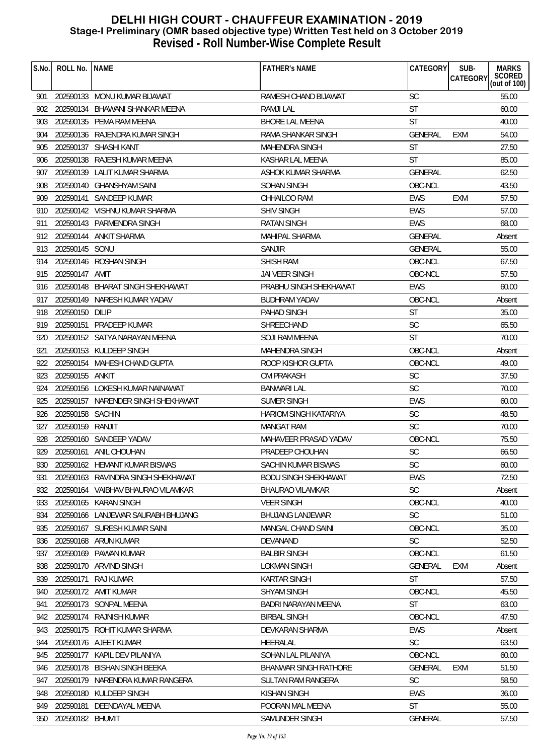| S.No. | ROLL No.         | <b>NAME</b>                        | <b>FATHER'S NAME</b>         | CATEGORY       | SUB-<br>CATEGORY | <b>MARKS</b><br>SCORED<br>(out of 100) |
|-------|------------------|------------------------------------|------------------------------|----------------|------------------|----------------------------------------|
| 901   |                  | 202590133 MONU KUMAR BIJAWAT       | RAMESH CHAND BIJAWAT         | <b>SC</b>      |                  | 55.00                                  |
| 902   |                  | 202590134 BHAWANI SHANKAR MEENA    | RAMJI LAL                    | <b>ST</b>      |                  | 60.00                                  |
| 903   |                  | 202590135 PEMA RAM MEENA           | <b>BHORE LAL MEENA</b>       | <b>ST</b>      |                  | 40.00                                  |
| 904   |                  | 202590136 RAJENDRA KUMAR SINGH     | RAMA SHANKAR SINGH           | <b>GENERAL</b> | EXM              | 54.00                                  |
| 905   |                  | 202590137 SHASHI KANT              | <b>MAHENDRA SINGH</b>        | <b>ST</b>      |                  | 27.50                                  |
| 906   |                  | 202590138 RAJESH KUMAR MEENA       | KASHAR LAL MEENA             | <b>ST</b>      |                  | 85.00                                  |
| 907   |                  | 202590139 LALIT KUMAR SHARMA       | ASHOK KUMAR SHARMA           | <b>GENERAL</b> |                  | 62.50                                  |
| 908   |                  | 202590140 GHANSHYAM SAINI          | SOHAN SINGH                  | OBC-NCL        |                  | 43.50                                  |
| 909   | 202590141        | SANDEEP KUMAR                      | CHHAILOO RAM                 | <b>EWS</b>     | <b>EXM</b>       | 57.50                                  |
| 910   |                  | 202590142 VISHNU KUMAR SHARMA      | <b>SHIV SINGH</b>            | EWS            |                  | 57.00                                  |
| 911   |                  | 202590143 PARMENDRA SINGH          | RATAN SINGH                  | <b>EWS</b>     |                  | 68.00                                  |
| 912   |                  | 202590144 ANKIT SHARMA             | MAHIPAL SHARMA               | <b>GENERAL</b> |                  | Absent                                 |
| 913   | 202590145 SONU   |                                    | <b>SANJIR</b>                | GENERAL        |                  | 55.00                                  |
| 914   |                  | 202590146 ROSHAN SINGH             | <b>SHISH RAM</b>             | OBC-NCL        |                  | 67.50                                  |
| 915   | 202590147 AMIT   |                                    | JAI VEER SINGH               | OBC-NCL        |                  | 57.50                                  |
| 916   |                  | 202590148 BHARAT SINGH SHEKHAWAT   | PRABHU SINGH SHEKHAWAT       | <b>EWS</b>     |                  | 60.00                                  |
| 917   |                  | 202590149 NARESH KUMAR YADAV       | <b>BUDHRAM YADAV</b>         | OBC-NCL        |                  | Absent                                 |
| 918   | 202590150 DILIP  |                                    | PAHAD SINGH                  | <b>ST</b>      |                  | 35.00                                  |
| 919   |                  | 202590151 PRADEEP KUMAR            | SHREECHAND                   | <b>SC</b>      |                  | 65.50                                  |
| 920   |                  | 202590152 SATYA NARAYAN MEENA      | SOJI RAM MEENA               | ST             |                  | 70.00                                  |
| 921   |                  | 202590153 KULDEEP SINGH            | <b>MAHENDRA SINGH</b>        | OBC-NCL        |                  | Absent                                 |
| 922   |                  | 202590154 MAHESH CHAND GUPTA       | ROOP KISHOR GUPTA            | OBC-NCL        |                  | 49.00                                  |
| 923   | 202590155 ANKIT  |                                    | <b>OM PRAKASH</b>            | <b>SC</b>      |                  | 37.50                                  |
| 924   |                  | 202590156 LOKESH KUMAR NAINAWAT    | BANWARI LAL                  | SC             |                  | 70.00                                  |
| 925   | 202590157        | NARENDER SINGH SHEKHAWAT           | <b>SUMER SINGH</b>           | <b>EWS</b>     |                  | 60.00                                  |
| 926   | 202590158 SACHIN |                                    | HARIOM SINGH KATARIYA        | <b>SC</b>      |                  | 48.50                                  |
| 927   | 202590159 RANJIT |                                    | <b>MANGAT RAM</b>            | <b>SC</b>      |                  | 70.00                                  |
| 928   |                  | 202590160 SANDEEP YADAV            | MAHAVEER PRASAD YADAV        | OBC-NCL        |                  | 75.50                                  |
| 929   |                  | 202590161 ANIL CHOUHAN             | PRADEEP CHOUHAN              | SC             |                  | 66.50                                  |
| 930   |                  | 202590162 HEMANT KUMAR BISWAS      | SACHIN KUMAR BISWAS          | SC             |                  | 60.00                                  |
| 931   |                  | 202590163 RAVINDRA SINGH SHEKHAWAT | <b>BODU SINGH SHEKHAWAT</b>  | EWS            |                  | 72.50                                  |
| 932   |                  | 202590164 VAIBHAV BHAURAO VILAMKAR | BHAURAO VILAMKAR             | <b>SC</b>      |                  | Absent                                 |
| 933   |                  | 202590165 KARAN SINGH              | <b>VEER SINGH</b>            | OBC-NCL        |                  | 40.00                                  |
| 934   |                  | 202590166 LANJEWAR SAURABH BHUJANG | <b>BHUJANG LANJEWAR</b>      | <b>SC</b>      |                  | 51.00                                  |
| 935   |                  | 202590167 SURESH KUMAR SAINI       | MANGAL CHAND SAINI           | OBC-NCL        |                  | 35.00                                  |
| 936   |                  | 202590168 ARUN KUMAR               | DEVANAND                     | <b>SC</b>      |                  | 52.50                                  |
| 937   |                  | 202590169 PAWAN KUMAR              | <b>BALBIR SINGH</b>          | OBC-NCL        |                  | 61.50                                  |
| 938   |                  | 202590170 ARVIND SINGH             | LOKMAN SINGH                 | <b>GENERAL</b> | <b>EXM</b>       | Absent                                 |
| 939   | 202590171        | RAJ KUMAR                          | <b>KARTAR SINGH</b>          | <b>ST</b>      |                  | 57.50                                  |
| 940   |                  | 202590172 AMIT KUMAR               | <b>SHYAM SINGH</b>           | OBC-NCL        |                  | 45.50                                  |
| 941   |                  | 202590173 SONPAL MEENA             | BADRI NARAYAN MEENA          | <b>ST</b>      |                  | 63.00                                  |
| 942   | 202590174        | <b>RAJNISH KUMAR</b>               | <b>BIRBAL SINGH</b>          | OBC-NCL        |                  | 47.50                                  |
| 943   |                  | 202590175 ROHIT KUMAR SHARMA       | DEVKARAN SHARMA              | <b>EWS</b>     |                  | Absent                                 |
| 944   |                  | 202590176 AJEET KUMAR              | HEERALAL                     | <b>SC</b>      |                  | 63.50                                  |
| 945   | 202590177        | KAPIL DEV PILANIYA                 | SOHAN LAL PILANIYA           | OBC-NCL        |                  | 60.00                                  |
| 946   |                  | 202590178 BISHAN SINGH BEEKA       | <b>BHANWAR SINGH RATHORE</b> | <b>GENERAL</b> | <b>EXM</b>       | 51.50                                  |
| 947   | 202590179        | NARENDRA KUMAR RANGERA             | SULTAN RAM RANGERA           | <b>SC</b>      |                  | 58.50                                  |
| 948   |                  | 202590180 KULDEEP SINGH            | <b>KISHAN SINGH</b>          | <b>EWS</b>     |                  | 36.00                                  |
| 949   | 202590181        | DEENDAYAL MEENA                    | POORAN MAL MEENA             | <b>ST</b>      |                  | 55.00                                  |
| 950   | 202590182 BHUMIT |                                    | SAMUNDER SINGH               | <b>GENERAL</b> |                  | 57.50                                  |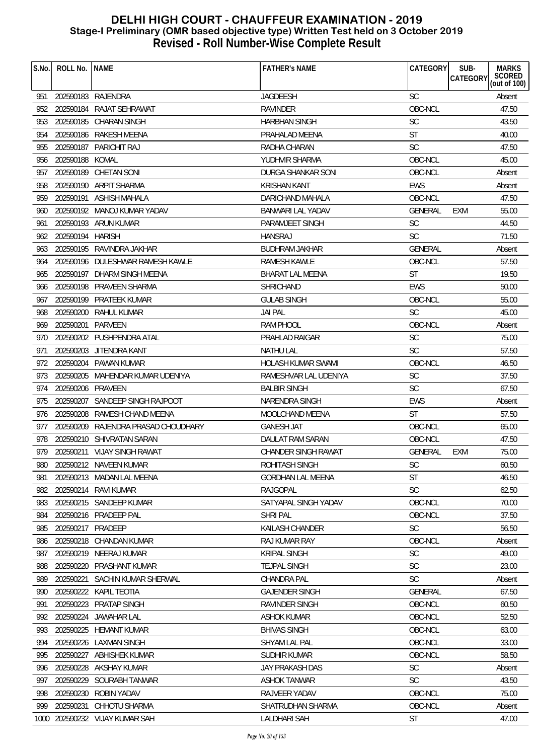| S.No. | ROLL No.          | <b>NAME</b>                         | <b>FATHER'S NAME</b>       | CATEGORY       | SUB-<br><b>MARKS</b><br><b>CATEGORY</b> |
|-------|-------------------|-------------------------------------|----------------------------|----------------|-----------------------------------------|
|       |                   |                                     |                            |                | SCORED<br>(out of 100)                  |
| 951   |                   | 202590183 RAJENDRA                  | JAGDEESH                   | <b>SC</b>      | Absent                                  |
| 952   |                   | 202590184 RAJAT SEHRAWAT            | <b>RAVINDER</b>            | OBC-NCL        | 47.50                                   |
| 953   | 202590185         | <b>CHARAN SINGH</b>                 | <b>HARBHAN SINGH</b>       | SC             | 43.50                                   |
| 954   |                   | 202590186 RAKESH MEENA              | PRAHALAD MEENA             | <b>ST</b>      | 40.00                                   |
| 955   | 202590187         | PARICHIT RAJ                        | RADHA CHARAN               | <b>SC</b>      | 47.50                                   |
| 956   | 202590188         | KOMAL                               | YUDHVIR SHARMA             | OBC-NCL        | 45.00                                   |
| 957   |                   | 202590189 CHETAN SONI               | DURGA SHANKAR SONI         | OBC-NCL        | Absent                                  |
| 958   |                   | 202590190 ARPIT SHARMA              | <b>KRISHAN KANT</b>        | <b>EWS</b>     | Absent                                  |
| 959   |                   | 202590191 ASHISH MAHALA             | DARICHAND MAHALA           | OBC-NCL        | 47.50                                   |
| 960   |                   | 202590192 MANOJ KUMAR YADAV         | <b>BANWARI LAL YADAV</b>   | GENERAL        | 55.00<br><b>EXM</b>                     |
| 961   |                   | 202590193 ARUN KUMAR                | PARAMJEET SINGH            | SC             | 44.50                                   |
| 962   | 202590194         | <b>HARISH</b>                       | <b>HANSRAJ</b>             | <b>SC</b>      | 71.50                                   |
| 963   |                   | 202590195 RAVINDRA JAKHAR           | <b>BUDHRAM JAKHAR</b>      | <b>GENERAL</b> | Absent                                  |
| 964   |                   | 202590196 DULESHWAR RAMESH KAWLE    | <b>RAMESH KAWLE</b>        | OBC-NCL        | 57.50                                   |
| 965   |                   | 202590197 DHARM SINGH MEENA         | <b>BHARAT LAL MEENA</b>    | <b>ST</b>      | 19.50                                   |
| 966   |                   | 202590198 PRAVEEN SHARMA            | <b>SHRICHAND</b>           | <b>EWS</b>     | 50.00                                   |
| 967   | 202590199         | PRATEEK KUMAR                       | <b>GULAB SINGH</b>         | OBC-NCL        | 55.00                                   |
| 968   |                   | 202590200 RAHUL KUMAR               | <b>JAI PAL</b>             | <b>SC</b>      | 45.00                                   |
| 969   | 202590201         | PARVEEN                             | <b>RAM PHOOL</b>           | OBC-NCL        | Absent                                  |
| 970   |                   | 202590202 PUSHPENDRA ATAL           | PRAHLAD RAIGAR             | <b>SC</b>      | 75.00                                   |
| 971   |                   | 202590203 JITENDRA KANT             | <b>NATHU LAL</b>           | <b>SC</b>      | 57.50                                   |
| 972   |                   | 202590204 PAWAN KUMAR               | <b>HOLASH KUMAR SWAMI</b>  | OBC-NCL        | 46.50                                   |
| 973   | 202590205         | MAHENDAR KUMAR UDENIYA              | RAMESHVAR LAL UDENIYA      | <b>SC</b>      | 37.50                                   |
| 974   | 202590206 PRAVEEN |                                     | <b>BALBIR SINGH</b>        | SC             | 67.50                                   |
| 975   | 202590207         | SANDEEP SINGH RAJPOOT               | NARENDRA SINGH             | <b>EWS</b>     | Absent                                  |
| 976   |                   | 202590208 RAMESH CHAND MEENA        | MOOLCHAND MEENA            | <b>ST</b>      | 57.50                                   |
| 977   |                   | 202590209 RAJENDRA PRASAD CHOUDHARY | <b>GANESH JAT</b>          | OBC-NCL        | 65.00                                   |
| 978   |                   | 202590210 SHIVRATAN SARAN           | DAULAT RAM SARAN           | OBC-NCL        | 47.50                                   |
| 979   |                   | 202590211 VIJAY SINGH RAWAT         | <b>CHANDER SINGH RAWAT</b> | <b>GENERAL</b> | 75.00<br><b>EXM</b>                     |
|       |                   | 980 202590212 NAVEEN KUMAR          | ROHITASH SINGH             | SC             | 60.50                                   |
| 981   |                   | 202590213 MADAN LAL MEENA           | <b>GORDHAN LAL MEENA</b>   | <b>ST</b>      | 46.50                                   |
| 982   |                   | 202590214 RAVI KUMAR                | <b>RAJGOPAL</b>            | <b>SC</b>      | 62.50                                   |
| 983   |                   | 202590215 SANDEEP KUMAR             | SATYAPAL SINGH YADAV       | OBC-NCL        | 70.00                                   |
| 984   |                   | 202590216 PRADEEP PAL               | <b>SHRI PAL</b>            | OBC-NCL        | 37.50                                   |
| 985   | 202590217 PRADEEP |                                     | KAILASH CHANDER            | SC             | 56.50                                   |
| 986   | 202590218         | <b>CHANDAN KUMAR</b>                | RAJ KUMAR RAY              | OBC-NCL        | Absent                                  |
| 987   |                   | 202590219 NEERAJ KUMAR              | <b>KRIPAL SINGH</b>        | SC             | 49.00                                   |
| 988   |                   | 202590220 PRASHANT KUMAR            | <b>TEJPAL SINGH</b>        | <b>SC</b>      | 23.00                                   |
| 989   | 202590221         | SACHIN KUMAR SHERWAL                | <b>CHANDRA PAL</b>         | <b>SC</b>      | Absent                                  |
| 990   |                   | 202590222 KAPIL TEOTIA              | <b>GAJENDER SINGH</b>      | GENERAL        | 67.50                                   |
| 991   | 202590223         | PRATAP SINGH                        | <b>RAVINDER SINGH</b>      | OBC-NCL        | 60.50                                   |
| 992   | 202590224         | <b>JAWAHAR LAL</b>                  | <b>ASHOK KUMAR</b>         | OBC-NCL        | 52.50                                   |
| 993   |                   | 202590225 HEMANT KUMAR              | <b>BHIVAS SINGH</b>        | OBC-NCL        | 63.00                                   |
| 994   |                   | 202590226 LAXMAN SINGH              | SHYAM LAL PAL              | OBC-NCL        | 33.00                                   |
| 995   | 202590227         | ABHISHEK KUMAR                      | SUDHIR KUMAR               | OBC-NCL        | 58.50                                   |
| 996   |                   | 202590228 AKSHAY KUMAR              | <b>JAY PRAKASH DAS</b>     | SC             | Absent                                  |
| 997   | 202590229         | SOURABH TANWAR                      | <b>ASHOK TANWAR</b>        | <b>SC</b>      | 43.50                                   |
| 998   | 202590230         | ROBIN YADAV                         | RAJVEER YADAV              | OBC-NCL        | 75.00                                   |
| 999   | 202590231         | CHHOTU SHARMA                       | SHATRUDHAN SHARMA          | OBC-NCL        | Absent                                  |
|       |                   | 1000 202590232 VIJAY KUMAR SAH      | LALDHARI SAH               | <b>ST</b>      | 47.00                                   |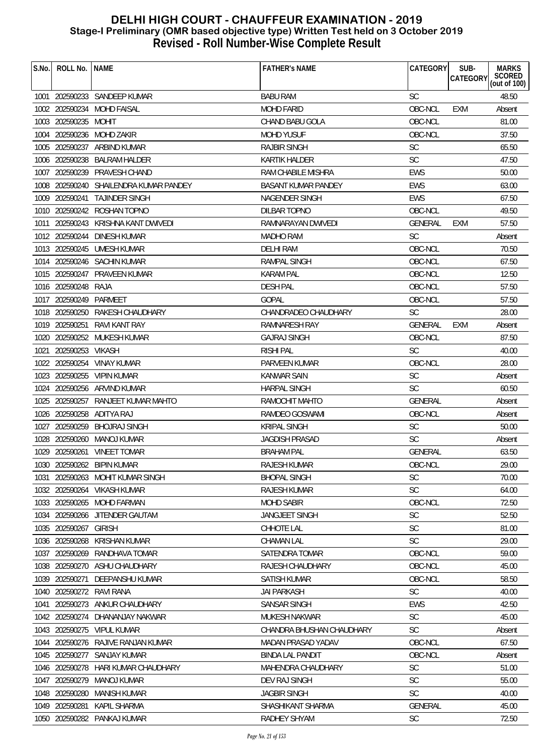| S.No. | ROLL No.            | <b>NAME</b>                            | <b>FATHER'S NAME</b>       | CATEGORY       | SUB-<br><b>CATEGORY</b> | <b>MARKS</b><br>SCORED<br>(out of 100) |
|-------|---------------------|----------------------------------------|----------------------------|----------------|-------------------------|----------------------------------------|
|       |                     | 1001 202590233 SANDEEP KUMAR           | <b>BABU RAM</b>            | <b>SC</b>      |                         | 48.50                                  |
|       |                     | 1002 202590234 MOHD FAISAL             | <b>MOHD FARID</b>          | OBC-NCL        | EXM                     | Absent                                 |
|       | 1003 202590235      | <b>MOHIT</b>                           | CHAND BABU GOLA            | OBC-NCL        |                         | 81.00                                  |
| 1004  |                     | 202590236 MOHD ZAKIR                   | <b>MOHD YUSUF</b>          | OBC-NCL        |                         | 37.50                                  |
|       | 1005 202590237      | ARBIND KUMAR                           | <b>RAJBIR SINGH</b>        | <b>SC</b>      |                         | 65.50                                  |
| 1006  | 202590238           | <b>BALRAM HALDER</b>                   | <b>KARTIK HALDER</b>       | <b>SC</b>      |                         | 47.50                                  |
| 1007  | 202590239           | PRAVESH CHAND                          | RAM CHABILE MISHRA         | <b>EWS</b>     |                         | 50.00                                  |
|       |                     | 1008 202590240 SHAILENDRA KUMAR PANDEY | <b>BASANT KUMAR PANDEY</b> | <b>EWS</b>     |                         | 63.00                                  |
|       |                     | 1009 202590241 TAJINDER SINGH          | <b>NAGENDER SINGH</b>      | <b>EWS</b>     |                         | 67.50                                  |
|       |                     | 1010 202590242 ROSHAN TOPNO            | <b>DILBAR TOPNO</b>        | OBC-NCL        |                         | 49.50                                  |
| 1011  |                     | 202590243 KRISHNA KANT DWIVEDI         | RAMNARAYAN DWIVEDI         | GENERAL        | EXM                     | 57.50                                  |
|       | 1012 202590244      | <b>DINESH KUMAR</b>                    | MADHO RAM                  | <b>SC</b>      |                         | Absent                                 |
|       |                     | 1013 202590245 UMESH KUMAR             | DELHI RAM                  | OBC-NCL        |                         | 70.50                                  |
|       |                     | 1014 202590246 SACHIN KUMAR            | RAMPAL SINGH               | OBC-NCL        |                         | 67.50                                  |
|       |                     | 1015 202590247 PRAVEEN KUMAR           | <b>KARAM PAL</b>           | OBC-NCL        |                         | 12.50                                  |
|       | 1016 202590248 RAJA |                                        | <b>DESH PAL</b>            | OBC-NCL        |                         | 57.50                                  |
|       | 1017 202590249      | PARMEET                                | <b>GOPAL</b>               | OBC-NCL        |                         | 57.50                                  |
|       |                     | 1018 202590250 RAKESH CHAUDHARY        | CHANDRADEO CHAUDHARY       | <b>SC</b>      |                         | 28.00                                  |
|       | 1019 202590251      | RAVI KANT RAY                          | <b>RAMNARESH RAY</b>       | <b>GENERAL</b> | <b>EXM</b>              | Absent                                 |
|       |                     | 1020 202590252 MUKESH KUMAR            | <b>GAJRAJ SINGH</b>        | OBC-NCL        |                         | 87.50                                  |
| 1021  | 202590253 VIKASH    |                                        | <b>RISHI PAL</b>           | SC             |                         | 40.00                                  |
| 1022  |                     | 202590254 VINAY KUMAR                  | PARVEEN KUMAR              | OBC-NCL        |                         | 28.00                                  |
|       |                     | 1023 202590255 VIPIN KUMAR             | <b>KANWAR SAIN</b>         | <b>SC</b>      |                         | Absent                                 |
|       |                     | 1024 202590256 ARVIND KUMAR            | <b>HARPAL SINGH</b>        | <b>SC</b>      |                         | 60.50                                  |
|       | 1025 202590257      | RANJEET KUMAR MAHTO                    | RAMOCHIT MAHTO             | <b>GENERAL</b> |                         | Absent                                 |
|       |                     | 1026 202590258 ADITYA RAJ              | RAMDEO GOSWAMI             | OBC-NCL        |                         | Absent                                 |
|       | 1027 202590259      | BHOJRAJ SINGH                          | <b>KRIPAL SINGH</b>        | <b>SC</b>      |                         | 50.00                                  |
|       | 1028 202590260      | <b>MANOJ KUMAR</b>                     | <b>JAGDISH PRASAD</b>      | <b>SC</b>      |                         | Absent                                 |
|       |                     | 1029 202590261 VINEET TOMAR            | <b>BRAHAM PAL</b>          | GENERAL        |                         | 63.50                                  |
|       |                     | 1030 202590262 BIPIN KUMAR             | RAJESH KUMAR               | OBC-NCL        |                         | 29.00                                  |
| 1031  |                     | 202590263 MOHIT KUMAR SINGH            | <b>BHOPAL SINGH</b>        | <b>SC</b>      |                         | 70.00                                  |
|       |                     | 1032 202590264 VIKASH KUMAR            | <b>RAJESH KUMAR</b>        | <b>SC</b>      |                         | 64.00                                  |
|       |                     | 1033 202590265 MOHD FARMAN             | <b>MOHD SABIR</b>          | OBC-NCL        |                         | 72.50                                  |
|       |                     | 1034 202590266 JITENDER GAUTAM         | <b>JANGJEET SINGH</b>      | <b>SC</b>      |                         | 52.50                                  |
| 1035  | 202590267           | <b>GIRISH</b>                          | CHHOTE LAL                 | SC             |                         | 81.00                                  |
| 1036  | 202590268           | <b>KRISHAN KUMAR</b>                   | <b>CHAMAN LAL</b>          | <b>SC</b>      |                         | 29.00                                  |
|       |                     | 1037 202590269 RANDHAVA TOMAR          | SATENDRA TOMAR             | OBC-NCL        |                         | 59.00                                  |
|       |                     | 1038 202590270 ASHU CHAUDHARY          | RAJESH CHAUDHARY           | OBC-NCL        |                         | 45.00                                  |
| 1039  | 202590271           | DEEPANSHU KUMAR                        | <b>SATISH KUMAR</b>        | OBC-NCL        |                         | 58.50                                  |
|       |                     | 1040 202590272 RAVI RANA               | <b>JAI PARKASH</b>         | <b>SC</b>      |                         | 40.00                                  |
| 1041  |                     | 202590273 ANKUR CHAUDHARY              | SANSAR SINGH               | EWS            |                         | 42.50                                  |
|       |                     | 1042 202590274 DHANANJAY NAKWAR        | MUKESH NAKWAR              | <b>SC</b>      |                         | 45.00                                  |
|       |                     | 1043 202590275 VIPUL KUMAR             | CHANDRA BHUSHAN CHAUDHARY  | SC.            |                         | Absent                                 |
|       |                     | 1044 202590276 RAJIVE RANJAN KUMAR     | MADAN PRASAD YADAV         | OBC-NCL        |                         | 67.50                                  |
|       |                     | 1045 202590277 SANJAY KUMAR            | <b>BINDA LAL PANDIT</b>    | OBC-NCL        |                         | Absent                                 |
| 1046  |                     | 202590278 HARI KUMAR CHAUDHARY         | MAHENDRA CHAUDHARY         | <b>SC</b>      |                         | 51.00                                  |
| 1047  | 202590279           | <b>MANOJ KUMAR</b>                     | DEV RAJ SINGH              | <b>SC</b>      |                         | 55.00                                  |
|       | 1048 202590280      | <b>MANISH KUMAR</b>                    | <b>JAGBIR SINGH</b>        | <b>SC</b>      |                         | 40.00                                  |
|       | 1049 202590281      | <b>KAPIL SHARMA</b>                    | SHASHIKANT SHARMA          | GENERAL        |                         | 45.00                                  |
|       |                     | 1050 202590282 PANKAJ KUMAR            | RADHEY SHYAM               | <b>SC</b>      |                         | 72.50                                  |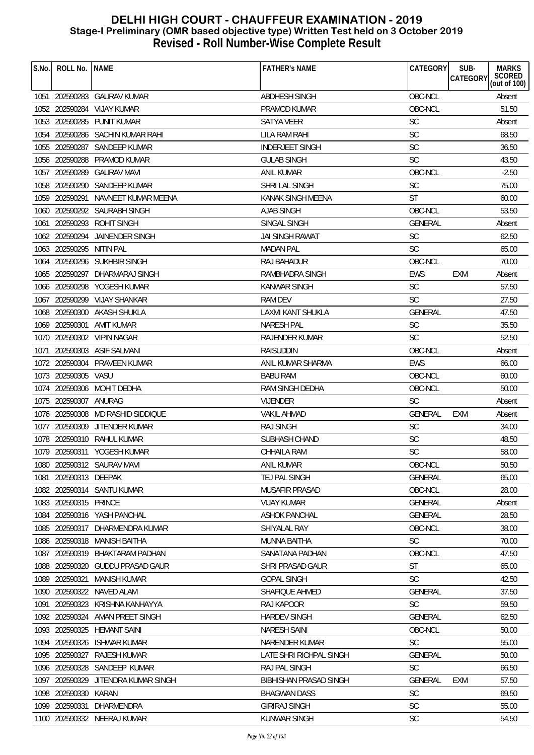| S.No. | ROLL No.              | <b>NAME</b>                       | <b>FATHER'S NAME</b>          | CATEGORY       | SUB-<br><b>CATEGORY</b> | <b>MARKS</b><br>SCORED<br>(out of 100) |
|-------|-----------------------|-----------------------------------|-------------------------------|----------------|-------------------------|----------------------------------------|
|       |                       |                                   |                               |                |                         |                                        |
|       |                       | 1051 202590283 GAURAV KUMAR       | ABDHESH SINGH                 | OBC-NCL        |                         | Absent                                 |
|       |                       | 1052 202590284 VIJAY KUMAR        | <b>PRAMOD KUMAR</b>           | OBC-NCL        |                         | 51.50                                  |
| 1053  | 202590285             | <b>PUNIT KUMAR</b>                | <b>SATYA VEER</b>             | <b>SC</b>      |                         | Absent                                 |
|       |                       | 1054 202590286 SACHIN KUMAR RAHI  | LILA RAM RAHI                 | SC             |                         | 68.50                                  |
|       | 1055 202590287        | SANDEEP KUMAR                     | <b>INDERJEET SINGH</b>        | <b>SC</b>      |                         | 36.50                                  |
| 1056  | 202590288             | PRAMOD KUMAR                      | <b>GULAB SINGH</b>            | <b>SC</b>      |                         | 43.50                                  |
| 1057  | 202590289             | <b>GAURAV MAVI</b>                | ANIL KUMAR                    | OBC-NCL        |                         | $-2.50$                                |
|       | 1058 202590290        | SANDEEP KUMAR                     | SHRI LAL SINGH                | <b>SC</b>      |                         | 75.00                                  |
|       | 1059 202590291        | NAVNEET KUMAR MEENA               | KANAK SINGH MEENA             | ST             |                         | 60.00                                  |
|       |                       | 1060 202590292 SAURABH SINGH      | <b>AJAB SINGH</b>             | OBC-NCL        |                         | 53.50                                  |
| 1061  |                       | 202590293 ROHIT SINGH             | SINGAL SINGH                  | <b>GENERAL</b> |                         | Absent                                 |
|       | 1062 202590294        | <b>JAINENDER SINGH</b>            | JAI SINGH RAWAT               | <b>SC</b>      |                         | 62.50                                  |
|       | 1063 202590295        | NITIN PAL                         | <b>MADAN PAL</b>              | <b>SC</b>      |                         | 65.00                                  |
| 1064  |                       | 202590296 SUKHBIR SINGH           | RAJ BAHADUR                   | OBC-NCL        |                         | 70.00                                  |
|       |                       | 1065 202590297 DHARMARAJ SINGH    | RAMBHADRA SINGH               | <b>EWS</b>     | <b>EXM</b>              | Absent                                 |
|       |                       | 1066 202590298 YOGESH KUMAR       | <b>KANWAR SINGH</b>           | <b>SC</b>      |                         | 57.50                                  |
| 1067  |                       | 202590299 VIJAY SHANKAR           | <b>RAM DEV</b>                | <b>SC</b>      |                         | 27.50                                  |
|       |                       | 1068 202590300 AKASH SHUKLA       | <b>LAXMI KANT SHUKLA</b>      | <b>GENERAL</b> |                         | 47.50                                  |
|       | 1069 202590301        | AMIT KUMAR                        | <b>NARESH PAL</b>             | SC             |                         | 35.50                                  |
|       |                       | 1070 202590302 VIPIN NAGAR        | RAJENDER KUMAR                | <b>SC</b>      |                         | 52.50                                  |
| 1071  |                       | 202590303 ASIF SALMANI            | <b>RAISUDDIN</b>              | OBC-NCL        |                         | Absent                                 |
| 1072  |                       | 202590304 PRAVEEN KUMAR           | ANIL KUMAR SHARMA             | <b>EWS</b>     |                         | 66.00                                  |
|       | 1073 202590305        | VASU                              | <b>BABU RAM</b>               | OBC-NCL        |                         | 60.00                                  |
| 1074  |                       | 202590306 MOHIT DEDHA             | RAM SINGH DEDHA               | OBC-NCL        |                         | 50.00                                  |
|       | 1075 202590307        | ANURAG                            | <b>VIJENDER</b>               | <b>SC</b>      |                         | Absent                                 |
|       |                       | 1076 202590308 MD RASHID SIDDIQUE | <b>VAKIL AHMAD</b>            | GENERAL        | <b>EXM</b>              | Absent                                 |
|       |                       | 1077 202590309 JITENDER KUMAR     | <b>RAJ SINGH</b>              | <b>SC</b>      |                         | 34.00                                  |
|       |                       | 1078 202590310 RAHUL KUMAR        | SUBHASH CHAND                 | <b>SC</b>      |                         | 48.50                                  |
|       |                       | 1079 202590311 YOGESH KUMAR       | CHHAILA RAM                   | <b>SC</b>      |                         | 58.00                                  |
|       |                       | 1080 202590312 SAURAV MAVI        | ANIL KUMAR                    | OBC-NCL        |                         | 50.50                                  |
| 1081  | 202590313 DEEPAK      |                                   | TEJ PAL SINGH                 | GENERAL        |                         | 65.00                                  |
|       |                       | 1082 202590314 SANTU KUMAR        | <b>MUSAFIR PRASAD</b>         | OBC-NCL        |                         | 28.00                                  |
|       | 1083 202590315 PRINCE |                                   | <b>VIJAY KUMAR</b>            | GENERAL        |                         | Absent                                 |
|       |                       | 1084 202590316 YASH PANCHAL       | <b>ASHOK PANCHAL</b>          | GENERAL        |                         | 28.50                                  |
|       |                       | 1085 202590317 DHARMENDRA KUMAR   | SHIYALAL RAY                  | OBC-NCL        |                         | 38.00                                  |
|       |                       | 1086 202590318 MANISH BAITHA      | <b>MUNNA BAITHA</b>           | <b>SC</b>      |                         | 70.00                                  |
|       |                       | 1087 202590319 BHAKTARAM PADHAN   | SANATANA PADHAN               | OBC-NCL        |                         | 47.50                                  |
|       |                       | 1088 202590320 GUDDU PRASAD GAUR  | <b>SHRI PRASAD GAUR</b>       | <b>ST</b>      |                         | 65.00                                  |
| 1089  | 202590321             | <b>MANISH KUMAR</b>               | <b>GOPAL SINGH</b>            | <b>SC</b>      |                         | 42.50                                  |
|       |                       | 1090 202590322 NAVED ALAM         | SHAFIQUE AHMED                | GENERAL        |                         | 37.50                                  |
| 1091  |                       | 202590323 KRISHNA KANHAYYA        | RAJ KAPOOR                    | <b>SC</b>      |                         | 59.50                                  |
|       | 1092 202590324        | AMAN PREET SINGH                  | <b>HARDEV SINGH</b>           | GENERAL        |                         | 62.50                                  |
|       |                       | 1093 202590325 HEMANT SAINI       | <b>NARESH SAINI</b>           | OBC-NCL        |                         | 50.00                                  |
|       |                       | 1094 202590326 ISHWAR KUMAR       | NARENDER KUMAR                | SC             |                         | 55.00                                  |
|       | 1095 202590327        | <b>RAJESH KUMAR</b>               | LATE SHRI RICHPAL SINGH       | <b>GENERAL</b> |                         | 50.00                                  |
| 1096  |                       | 202590328 SANDEEP KUMAR           | RAJ PAL SINGH                 | <b>SC</b>      |                         | 66.50                                  |
| 1097  | 202590329             | JITENDRA KUMAR SINGH              | <b>BIBHISHAN PRASAD SINGH</b> | GENERAL        | <b>EXM</b>              | 57.50                                  |
|       | 1098 202590330        | KARAN                             | <b>BHAGWAN DASS</b>           | <b>SC</b>      |                         | 69.50                                  |
|       | 1099 202590331        | DHARMENDRA                        | <b>GIRIRAJ SINGH</b>          | SC             |                         | 55.00                                  |
|       |                       | 1100 202590332 NEERAJ KUMAR       | <b>KUNWAR SINGH</b>           | <b>SC</b>      |                         | 54.50                                  |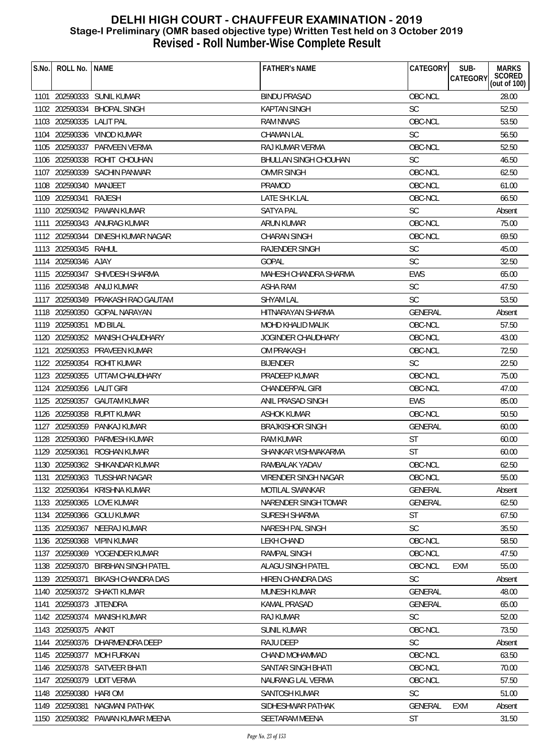| S.No. | ROLL No.   NAME           |                                    | <b>FATHER'S NAME</b>         | CATEGORY       | SUB-<br><b>MARKS</b>                      |
|-------|---------------------------|------------------------------------|------------------------------|----------------|-------------------------------------------|
|       |                           |                                    |                              |                | SCORED<br><b>CATEGORY</b><br>(out of 100) |
|       |                           | 1101 202590333 SUNIL KUMAR         | <b>BINDU PRASAD</b>          | OBC-NCL        | 28.00                                     |
|       |                           | 1102 202590334 BHOPAL SINGH        | <b>KAPTAN SINGH</b>          | <b>SC</b>      | 52.50                                     |
|       | 1103 202590335 LALIT PAL  |                                    | RAM NIWAS                    | OBC-NCL        | 53.50                                     |
|       |                           | 1104 202590336 VINOD KUMAR         | <b>CHAMAN LAL</b>            | <b>SC</b>      | 56.50                                     |
|       |                           | 1105 202590337 PARVEEN VERMA       | RAJ KUMAR VERMA              | OBC-NCL        | 52.50                                     |
|       | 1106 202590338            | ROHIT CHOUHAN                      | <b>BHULLAN SINGH CHOUHAN</b> | <b>SC</b>      | 46.50                                     |
|       |                           | 1107 202590339 SACHIN PANWAR       | <b>OMVIR SINGH</b>           | OBC-NCL        | 62.50                                     |
|       | 1108 202590340            | MANJEET                            | <b>PRAMOD</b>                | OBC-NCL        | 61.00                                     |
|       | 1109 202590341            | <b>RAJESH</b>                      | LATE SH.K.LAL                | OBC-NCL        | 66.50                                     |
|       |                           | 1110 202590342 PAWAN KUMAR         | <b>SATYA PAL</b>             | <b>SC</b>      | Absent                                    |
|       |                           | 1111 202590343 ANURAG KUMAR        | ARUN KUMAR                   | OBC-NCL        | 75.00                                     |
|       | 1112 202590344            | DINESH KUMAR NAGAR                 | <b>CHARAN SINGH</b>          | OBC-NCL        | 69.50                                     |
|       | 1113 202590345 RAHUL      |                                    | RAJENDER SINGH               | <b>SC</b>      | 45.00                                     |
|       | 1114 202590346 AJAY       |                                    | <b>GOPAL</b>                 | <b>SC</b>      | 32.50                                     |
|       |                           | 1115 202590347 SHIVDESH SHARMA     | MAHESH CHANDRA SHARMA        | <b>EWS</b>     | 65.00                                     |
|       |                           | 1116 202590348 ANUJ KUMAR          | ASHA RAM                     | <b>SC</b>      | 47.50                                     |
|       | 1117 202590349            | PRAKASH RAO GAUTAM                 | <b>SHYAM LAL</b>             | <b>SC</b>      | 53.50                                     |
|       |                           | 1118 202590350 GOPAL NARAYAN       | <b>HITNARAYAN SHARMA</b>     | <b>GENERAL</b> | Absent                                    |
|       | 1119 202590351            | <b>MD BILAL</b>                    | MOHD KHALID MALIK            | OBC-NCL        | 57.50                                     |
|       |                           | 1120 202590352 MANISH CHAUDHARY    | JOGINDER CHAUDHARY           | OBC-NCL        | 43.00                                     |
|       |                           | 1121 202590353 PRAVEEN KUMAR       | OM PRAKASH                   | OBC-NCL        | 72.50                                     |
|       | 1122 202590354            | ROHIT KUMAR                        | <b>BIJENDER</b>              | <b>SC</b>      | 22.50                                     |
|       |                           | 1123 202590355 UTTAM CHAUDHARY     | PRADEEP KUMAR                | OBC-NCL        | 75.00                                     |
|       | 1124 202590356 LALIT GIRI |                                    | CHANDERPAL GIRI              | OBC-NCL        | 47.00                                     |
|       | 1125 202590357            | GAUTAM KUMAR                       | ANIL PRASAD SINGH            | <b>EWS</b>     | 85.00                                     |
|       |                           | 1126 202590358 RUPIT KUMAR         | <b>ASHOK KUMAR</b>           | OBC-NCL        | 50.50                                     |
|       |                           | 1127 202590359 PANKAJ KUMAR        | <b>BRAJKISHOR SINGH</b>      | <b>GENERAL</b> | 60.00                                     |
|       | 1128 202590360            | PARMESH KUMAR                      | <b>RAM KUMAR</b>             | <b>ST</b>      | 60.00                                     |
|       |                           | 1129 202590361 ROSHAN KUMAR        | SHANKAR VISHWAKARMA          | <b>ST</b>      | 60.00                                     |
|       |                           | 1130 202590362 SHIKANDAR KUMAR     | RAMBALAK YADAV               | OBC-NCL        | 62.50                                     |
| 1131  |                           | 202590363 TUSSHAR NAGAR            | VIRENDER SINGH NAGAR         | OBC-NCL        | 55.00                                     |
|       |                           | 1132 202590364 KRISHNA KUMAR       | <b>MOTILAL SWANKAR</b>       | GENERAL        | Absent                                    |
|       |                           | 1133 202590365 LOVE KUMAR          | NARENDER SINGH TOMAR         | GENERAL        | 62.50                                     |
|       |                           | 1134 202590366 GOLU KUMAR          | SURESH SHARMA                | <b>ST</b>      | 67.50                                     |
| 1135  | 202590367                 | NEERAJ KUMAR                       | NARESH PAL SINGH             | <b>SC</b>      | 35.50                                     |
|       |                           | 1136 202590368 VIPIN KUMAR         | <b>LEKH CHAND</b>            | OBC-NCL        | 58.50                                     |
|       | 1137 202590369            | YOGENDER KUMAR                     | RAMPAL SINGH                 | OBC-NCL        | 47.50                                     |
|       |                           | 1138 202590370 BIRBHAN SINGH PATEL | ALAGU SINGH PATEL            | OBC-NCL        | <b>EXM</b><br>55.00                       |
|       | 1139 202590371            | <b>BIKASH CHANDRA DAS</b>          | HIREN CHANDRA DAS            | <b>SC</b>      | Absent                                    |
|       |                           | 1140 202590372 SHAKTI KUMAR        | MUNESH KUMAR                 | <b>GENERAL</b> | 48.00                                     |
| 1141  | 202590373 JITENDRA        |                                    | <b>KAMAL PRASAD</b>          | <b>GENERAL</b> | 65.00                                     |
|       | 1142 202590374            | <b>MANISH KUMAR</b>                | <b>RAJ KUMAR</b>             | <b>SC</b>      | 52.00                                     |
|       | 1143 202590375            | ankit                              | <b>SUNIL KUMAR</b>           | OBC-NCL        | 73.50                                     |
|       | 1144 202590376            | DHARMENDRA DEEP                    | RAJU DEEP                    | <b>SC</b>      | Absent                                    |
|       | 1145 202590377            | <b>MOH FURKAN</b>                  | CHAND MOHAMMAD               | OBC-NCL        | 63.50                                     |
| 1146  |                           | 202590378 SATVEER BHATI            | SANTAR SINGH BHATI           | OBC-NCL        | 70.00                                     |
| 1147  |                           | 202590379 UDIT VERMA               | NAURANG LAL VERMA            | OBC-NCL        | 57.50                                     |
|       | 1148 202590380            | <b>HARI OM</b>                     | SANTOSH KUMAR                | <b>SC</b>      | 51.00                                     |
|       | 1149 202590381            | NAGMANI PATHAK                     | SIDHESHWAR PATHAK            | <b>GENERAL</b> | <b>EXM</b><br>Absent                      |
|       |                           | 1150 202590382 PAWAN KUMAR MEENA   | SEETARAM MEENA               | <b>ST</b>      | 31.50                                     |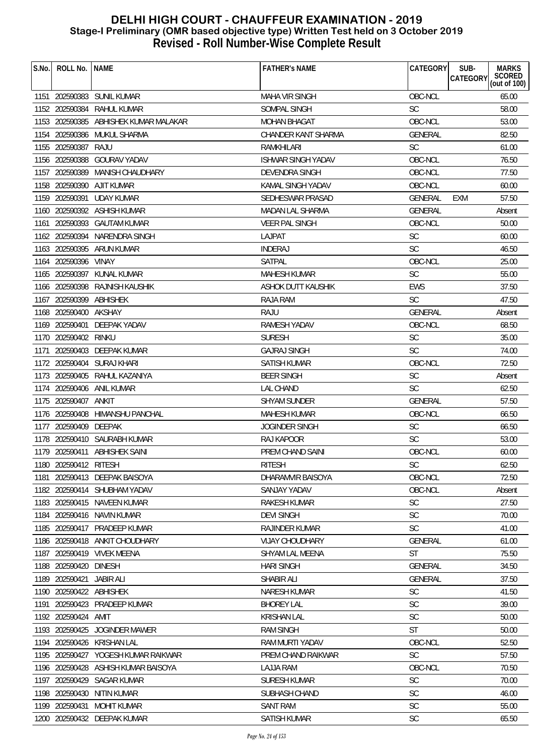| S.No. | ROLL No.                | <b>NAME</b>                         | <b>FATHER'S NAME</b>      | CATEGORY       | SUB-<br><b>MARKS</b><br>SCORED<br>(out of 100)<br><b>CATEGORY</b> |
|-------|-------------------------|-------------------------------------|---------------------------|----------------|-------------------------------------------------------------------|
|       |                         |                                     |                           |                |                                                                   |
|       |                         | 1151 202590383 SUNIL KUMAR          | <b>MAHA VIR SINGH</b>     | OBC-NCL        | 65.00                                                             |
|       | 1152 202590384          | RAHUL KUMAR                         | SOMPAL SINGH              | <b>SC</b>      | 58.00                                                             |
|       | 1153 202590385          | ABHISHEK KUMAR MALAKAR              | <b>MOHAN BHAGAT</b>       | OBC-NCL        | 53.00                                                             |
|       |                         | 1154 202590386 MUKUL SHARMA         | CHANDER KANT SHARMA       | <b>GENERAL</b> | 82.50                                                             |
|       | 1155 202590387          | RAJU                                | RAMKHILARI                | <b>SC</b>      | 61.00                                                             |
|       | 1156 202590388          | <b>GOURAV YADAV</b>                 | <b>ISHWAR SINGH YADAV</b> | OBC-NCL        | 76.50                                                             |
| 1157  | 202590389               | <b>MANISH CHAUDHARY</b>             | <b>DEVENDRA SINGH</b>     | OBC-NCL        | 77.50                                                             |
|       | 1158 202590390          | AJIT KUMAR                          | KAMAL SINGH YADAV         | OBC-NCL        | 60.00                                                             |
|       | 1159 202590391          | <b>UDAY KUMAR</b>                   | SEDHESWAR PRASAD          | GENERAL        | 57.50<br>EXM                                                      |
|       |                         | 1160 202590392 ASHISH KUMAR         | MADAN LAL SHARMA          | <b>GENERAL</b> | Absent                                                            |
| 1161  |                         | 202590393 GAUTAM KUMAR              | <b>VEER PAL SINGH</b>     | OBC-NCL        | 50.00                                                             |
|       | 1162 202590394          | NARENDRA SINGH                      | LAJPAT                    | <b>SC</b>      | 60.00                                                             |
|       |                         | 1163 202590395 ARUN KUMAR           | <b>INDERAJ</b>            | SC             | 46.50                                                             |
|       | 1164 202590396 VINAY    |                                     | SATPAL                    | OBC-NCL        | 25.00                                                             |
|       |                         | 1165 202590397 KUNAL KUMAR          | MAHESH KUMAR              | <b>SC</b>      | 55.00                                                             |
|       | 1166 202590398          | RAJNISH KAUSHIK                     | ASHOK DUTT KAUSHIK        | <b>EWS</b>     | 37.50                                                             |
|       | 1167 202590399          | ABHISHEK                            | RAJA RAM                  | <b>SC</b>      | 47.50                                                             |
|       | 1168 202590400          | <b>AKSHAY</b>                       | RAJU                      | <b>GENERAL</b> | Absent                                                            |
|       | 1169 202590401          | DEEPAK YADAV                        | RAMESH YADAV              | OBC-NCL        | 68.50                                                             |
|       | 1170 202590402          | rinku                               | <b>SURESH</b>             | <b>SC</b>      | 35.00                                                             |
| 1171  |                         | 202590403 DEEPAK KUMAR              | <b>GAJRAJ SINGH</b>       | <b>SC</b>      | 74.00                                                             |
|       | 1172 202590404          | SURAJ KHARI                         | SATISH KUMAR              | OBC-NCL        | 72.50                                                             |
|       | 1173 202590405          | RAHUL KAZANIYA                      | <b>BEER SINGH</b>         | <b>SC</b>      | Absent                                                            |
|       |                         | 1174 202590406 ANIL KUMAR           | <b>LAL CHAND</b>          | <b>SC</b>      | 62.50                                                             |
|       | 1175 202590407          | ANKIT                               | <b>SHYAM SUNDER</b>       | <b>GENERAL</b> | 57.50                                                             |
|       |                         | 1176 202590408 HIMANSHU PANCHAL     | MAHESH KUMAR              | OBC-NCL        | 66.50                                                             |
|       | 1177 202590409          | DEEPAK                              | <b>JOGINDER SINGH</b>     | <b>SC</b>      | 66.50                                                             |
|       |                         | 1178 202590410 SAURABH KUMAR        | <b>RAJ KAPOOR</b>         | <b>SC</b>      | 53.00                                                             |
|       |                         | 1179 202590411 ABHISHEK SAINI       | PREM CHAND SAINI          | OBC-NCL        | 60.00                                                             |
|       | 1180 202590412 RITESH   |                                     | <b>RITESH</b>             | $\mathsf{SC}$  | 62.50                                                             |
| 1181  |                         | 202590413 DEEPAK BAISOYA            | DHARAMVIR BAISOYA         | OBC-NCL        | 72.50                                                             |
|       |                         | 1182 202590414 SHUBHAM YADAV        | <b>SANJAY YADAV</b>       | OBC-NCL        | Absent                                                            |
|       |                         | 1183 202590415 NAVEEN KUMAR         | <b>RAKESH KUMAR</b>       | <b>SC</b>      | 27.50                                                             |
|       |                         | 1184 202590416 NAVIN KUMAR          | <b>DEVI SINGH</b>         | SC.            | 70.00                                                             |
| 1185  |                         | 202590417 PRADEEP KUMAR             | <b>RAJINDER KUMAR</b>     | <b>SC</b>      | 41.00                                                             |
|       |                         | 1186 202590418 ANKIT CHOUDHARY      | <b>VIJAY CHOUDHARY</b>    | <b>GENERAL</b> | 61.00                                                             |
|       |                         | 1187 202590419 VIVEK MEENA          | SHYAM LAL MEENA           | <b>ST</b>      | 75.50                                                             |
|       | 1188 202590420 DINESH   |                                     | <b>HARI SINGH</b>         | <b>GENERAL</b> | 34.50                                                             |
|       | 1189 202590421          | <b>JABIR ALI</b>                    | SHABIR ALI                | <b>GENERAL</b> | 37.50                                                             |
|       | 1190 202590422 ABHISHEK |                                     | NARESH KUMAR              | <b>SC</b>      | 41.50                                                             |
| 1191  |                         | 202590423 PRADEEP KUMAR             | <b>BHOREY LAL</b>         | <b>SC</b>      | 39.00                                                             |
|       | 1192 202590424          | AMIT                                | <b>KRISHAN LAL</b>        | <b>SC</b>      | 50.00                                                             |
|       | 1193 202590425          | JOGINDER MAWER                      | <b>RAM SINGH</b>          | <b>ST</b>      | 50.00                                                             |
|       |                         | 1194 202590426 KRISHAN LAL          | RAM MURTI YADAV           | OBC-NCL        | 52.50                                                             |
|       |                         | 1195 202590427 YOGESH KUMAR RAIKWAR | PREM CHAND RAIKWAR        | <b>SC</b>      | 57.50                                                             |
| 1196  |                         | 202590428 ASHISH KUMAR BAISOYA      | <b>LAJJA RAM</b>          | OBC-NCL        | 70.50                                                             |
| 1197  | 202590429               | <b>SAGAR KUMAR</b>                  | <b>SURESH KUMAR</b>       | SC             | 70.00                                                             |
|       | 1198 202590430          | NITIN KUMAR                         | SUBHASH CHAND             | <b>SC</b>      | 46.00                                                             |
|       |                         | 1199 202590431 MOHIT KUMAR          | <b>SANT RAM</b>           | SC             | 55.00                                                             |
|       |                         | 1200 202590432 DEEPAK KUMAR         | SATISH KUMAR              | <b>SC</b>      | 65.50                                                             |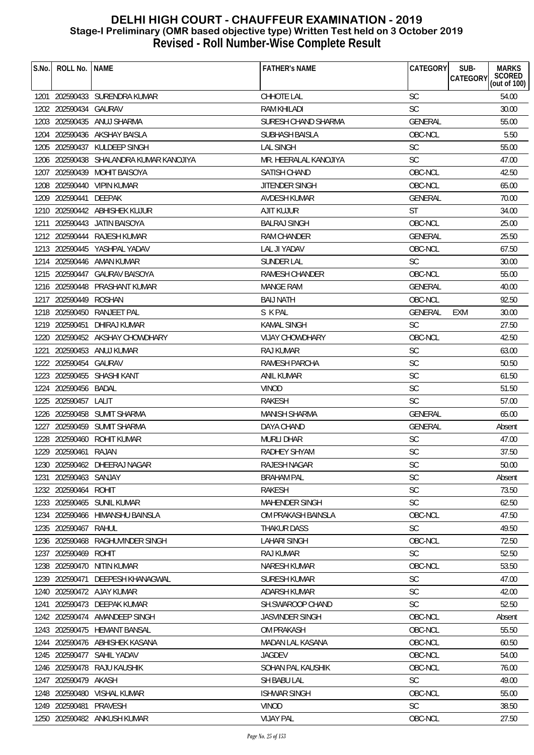| S.No. | ROLL No.              | <b>NAME</b>                        | <b>FATHER'S NAME</b>   | CATEGORY       | SUB-<br><b>MARKS</b><br>SCORED<br>(out of 100)<br><b>CATEGORY</b> |
|-------|-----------------------|------------------------------------|------------------------|----------------|-------------------------------------------------------------------|
|       |                       | 1201 202590433 SURENDRA KUMAR      | CHHOTE LAL             | <b>SC</b>      | 54.00                                                             |
|       | 1202 202590434 GAURAV |                                    | RAM KHILADI            | <b>SC</b>      | 30.00                                                             |
|       | 1203 202590435        | ANUJ SHARMA                        | SURESH CHAND SHARMA    | <b>GENERAL</b> | 55.00                                                             |
|       |                       | 1204 202590436 AKSHAY BAISLA       | SUBHASH BAISLA         | OBC-NCL        | 5.50                                                              |
|       | 1205 202590437        | KULDEEP SINGH                      | <b>LAL SINGH</b>       | <b>SC</b>      | 55.00                                                             |
| 1206  |                       | 202590438 SHALANDRA KUMAR KANOJIYA | MR. HEERALAL KANOJIYA  | <b>SC</b>      | 47.00                                                             |
| 1207  |                       | 202590439 MOHIT BAISOYA            | SATISH CHAND           | OBC-NCL        | 42.50                                                             |
|       |                       | 1208 202590440 VIPIN KUMAR         | JITENDER SINGH         | OBC-NCL        | 65.00                                                             |
|       | 1209 202590441        | DEEPAK                             | <b>AVDESH KUMAR</b>    | <b>GENERAL</b> | 70.00                                                             |
|       |                       | 1210 202590442 ABHISHEK KUJUR      | <b>AJIT KUJUR</b>      | <b>ST</b>      | 34.00                                                             |
| 1211  |                       | 202590443 JATIN BAISOYA            | <b>BALRAJ SINGH</b>    | OBC-NCL        | 25.00                                                             |
|       | 1212 202590444        | <b>RAJESH KUMAR</b>                | <b>RAM CHANDER</b>     | <b>GENERAL</b> | 25.50                                                             |
|       |                       | 1213 202590445 YASHPAL YADAV       | LAL JI YADAV           | OBC-NCL        | 67.50                                                             |
|       |                       | 1214 202590446 AMAN KUMAR          | SUNDER LAL             | <b>SC</b>      | 30.00                                                             |
|       |                       | 1215 202590447 GAURAV BAISOYA      | RAMESH CHANDER         | OBC-NCL        | 55.00                                                             |
|       |                       | 1216 202590448 PRASHANT KUMAR      | <b>MANGE RAM</b>       | <b>GENERAL</b> | 40.00                                                             |
|       | 1217 202590449        | ROSHAN                             | <b>BAIJ NATH</b>       | OBC-NCL        | 92.50                                                             |
|       | 1218 202590450        | RANJEET PAL                        | S K PAL                | <b>GENERAL</b> | <b>EXM</b><br>30.00                                               |
|       | 1219 202590451        | DHIRAJ KUMAR                       | <b>KAMAL SINGH</b>     | <b>SC</b>      | 27.50                                                             |
|       |                       | 1220 202590452 AKSHAY CHOWDHARY    | <b>VIJAY CHOWDHARY</b> | OBC-NCL        | 42.50                                                             |
| 1221  |                       | 202590453 ANUJ KUMAR               | <b>RAJ KUMAR</b>       | SC             | 63.00                                                             |
| 1222  | 202590454 GAURAV      |                                    | <b>RAMESH PARCHA</b>   | SC             | 50.50                                                             |
|       |                       | 1223 202590455 SHASHI KANT         | <b>ANIL KUMAR</b>      | <b>SC</b>      | 61.50                                                             |
|       | 1224 202590456 BADAL  |                                    | <b>VINOD</b>           | <b>SC</b>      | 51.50                                                             |
|       | 1225 202590457        | LALIT                              | RAKESH                 | <b>SC</b>      | 57.00                                                             |
|       |                       | 1226 202590458 SUMIT SHARMA        | MANISH SHARMA          | GENERAL        | 65.00                                                             |
|       |                       | 1227 202590459 SUMIT SHARMA        | DAYA CHAND             | <b>GENERAL</b> | Absent                                                            |
|       | 1228 202590460        | ROHIT KUMAR                        | <b>MURLI DHAR</b>      | SC             | 47.00                                                             |
|       | 1229 202590461 RAJAN  |                                    | RADHEY SHYAM           | SC             | 37.50                                                             |
|       |                       | 1230 202590462 DHEERAJ NAGAR       | RAJESH NAGAR           | SC             | 50.00                                                             |
| 1231  | 202590463 SANJAY      |                                    | BRAHAM PAL             | <b>SC</b>      | Absent                                                            |
|       | 1232 202590464        | ROHIT                              | <b>RAKESH</b>          | SC             | 73.50                                                             |
|       |                       | 1233 202590465 SUNIL KUMAR         | <b>MAHENDER SINGH</b>  | <b>SC</b>      | 62.50                                                             |
|       | 1234 202590466        | HIMANSHU BAINSLA                   | OM PRAKASH BAINSLA     | OBC-NCL        | 47.50                                                             |
| 1235  | 202590467             | RAHUL                              | <b>THAKUR DASS</b>     | SC             | 49.50                                                             |
| 1236  | 202590468             | RAGHUVINDER SINGH                  | <b>LAHARI SINGH</b>    | OBC-NCL        | 72.50                                                             |
|       | 1237 202590469        | <b>ROHIT</b>                       | RAJ KUMAR              | <b>SC</b>      | 52.50                                                             |
|       |                       | 1238 202590470 NITIN KUMAR         | <b>NARESH KUMAR</b>    | OBC-NCL        | 53.50                                                             |
|       | 1239 202590471        | DEEPESH KHANAGWAL                  | <b>SURESH KUMAR</b>    | <b>SC</b>      | 47.00                                                             |
|       |                       | 1240 202590472 AJAY KUMAR          | ADARSH KUMAR           | <b>SC</b>      | 42.00                                                             |
| 1241  |                       | 202590473 DEEPAK KUMAR             | SH.SWAROOP CHAND       | <b>SC</b>      | 52.50                                                             |
|       |                       | 1242 202590474 AMANDEEP SINGH      | <b>JASVINDER SINGH</b> | OBC-NCL        | Absent                                                            |
|       |                       | 1243 202590475 HEMANT BANSAL       | <b>OM PRAKASH</b>      | OBC-NCL        | 55.50                                                             |
|       |                       | 1244 202590476 ABHISHEK KASANA     | MADAN LAL KASANA       | OBC-NCL        | 60.50                                                             |
|       |                       | 1245 202590477 SAHIL YADAV         | <b>JAGDEV</b>          | OBC-NCL        | 54.00                                                             |
| 1246  |                       | 202590478 RAJU KAUSHIK             | SOHAN PAL KAUSHIK      | OBC-NCL        | 76.00                                                             |
| 1247  | 202590479             | AKASH                              | SH BABU LAL            | <b>SC</b>      | 49.00                                                             |
|       | 1248 202590480        | <b>VISHAL KUMAR</b>                | <b>ISHWAR SINGH</b>    | OBC-NCL        | 55.00                                                             |
|       | 1249 202590481        | PRAVESH                            | <b>VINOD</b>           | <b>SC</b>      | 38.50                                                             |
|       |                       | 1250 202590482 ANKUSH KUMAR        | <b>VIJAY PAL</b>       | OBC-NCL        | 27.50                                                             |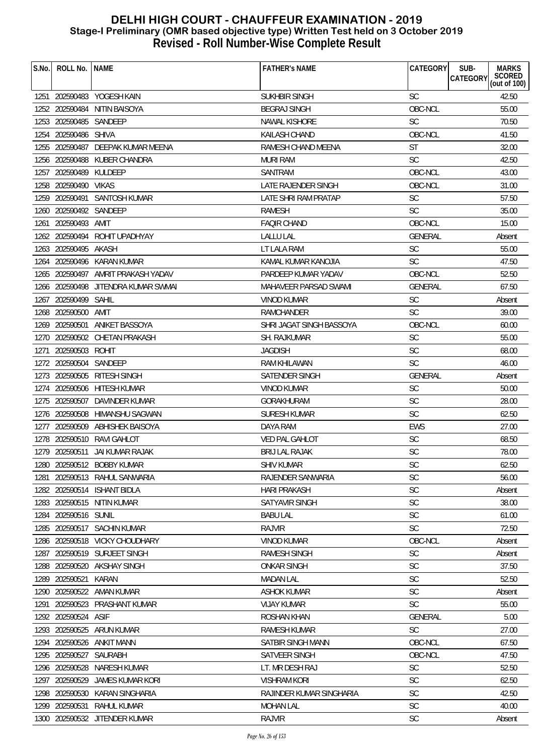| S.No. | ROLL No.               | <b>NAME</b>                         | <b>FATHER'S NAME</b>     | CATEGORY       | SUB-<br><b>MARKS</b><br>SCORED<br>(out of 100)<br><b>CATEGORY</b> |
|-------|------------------------|-------------------------------------|--------------------------|----------------|-------------------------------------------------------------------|
|       |                        | 1251 202590483 YOGESH KAIN          | <b>SUKHBIR SINGH</b>     | <b>SC</b>      | 42.50                                                             |
|       |                        | 1252 202590484 NITIN BAISOYA        | BEGRAJ SINGH             | OBC-NCL        | 55.00                                                             |
|       | 1253 202590485         | SANDEEP                             | NAWAL KISHORE            | <b>SC</b>      | 70.50                                                             |
|       | 1254 202590486 SHIVA   |                                     | <b>KAILASH CHAND</b>     | OBC-NCL        | 41.50                                                             |
|       | 1255 202590487         | DEEPAK KUMAR MEENA                  | RAMESH CHAND MEENA       | ST             | 32.00                                                             |
| 1256  | 202590488              | KUBER CHANDRA                       | MURI RAM                 | <b>SC</b>      | 42.50                                                             |
| 1257  | 202590489              | KULDEEP                             | SANTRAM                  | OBC-NCL        | 43.00                                                             |
|       | 1258 202590490 VIKAS   |                                     | LATE RAJENDER SINGH      | OBC-NCL        | 31.00                                                             |
|       |                        | 1259 202590491 SANTOSH KUMAR        | LATE SHRI RAM PRATAP     | <b>SC</b>      | 57.50                                                             |
|       | 1260 202590492 SANDEEP |                                     | <b>RAMESH</b>            | SC             | 35.00                                                             |
| 1261  | 202590493 AMIT         |                                     | <b>FAQIR CHAND</b>       | OBC-NCL        | 15.00                                                             |
|       | 1262 202590494         | ROHIT UPADHYAY                      | <b>LALLU LAL</b>         | <b>GENERAL</b> | Absent                                                            |
|       | 1263 202590495 AKASH   |                                     | LT LALA RAM              | <b>SC</b>      | 55.00                                                             |
|       |                        | 1264 202590496 KARAN KUMAR          | KAMAL KUMAR KANOJIA      | <b>SC</b>      | 47.50                                                             |
|       |                        | 1265 202590497 AMRIT PRAKASH YADAV  | PARDEEP KUMAR YADAV      | OBC-NCL        | 52.50                                                             |
|       |                        | 1266 202590498 JITENDRA KUMAR SWMAI | MAHAVEER PARSAD SWAMI    | <b>GENERAL</b> | 67.50                                                             |
|       | 1267 202590499 SAHIL   |                                     | <b>VINOD KUMAR</b>       | <b>SC</b>      | Absent                                                            |
|       | 1268 202590500         | AMIT                                | <b>RAMCHANDER</b>        | <b>SC</b>      | 39.00                                                             |
|       | 1269 202590501         | ANIKET BASSOYA                      | SHRI JAGAT SINGH BASSOYA | OBC-NCL        | 60.00                                                             |
|       |                        | 1270 202590502 CHETAN PRAKASH       | SH. RAJKUMAR             | <b>SC</b>      | 55.00                                                             |
| 1271  | 202590503              | ROHIT                               | <b>JAGDISH</b>           | SC             | 68.00                                                             |
| 1272  | 202590504              | SANDEEP                             | RAM KHILAWAN             | SC             | 46.00                                                             |
|       | 1273 202590505         | <b>RITESH SINGH</b>                 | SATENDER SINGH           | GENERAL        | Absent                                                            |
|       |                        | 1274 202590506 HITESH KUMAR         | <b>VINOD KUMAR</b>       | <b>SC</b>      | 50.00                                                             |
|       | 1275 202590507         | DAVINDER KUMAR                      | GORAKHURAM               | <b>SC</b>      | 28.00                                                             |
|       |                        | 1276 202590508 HIMANSHU SAGWAN      | SURESH KUMAR             | <b>SC</b>      | 62.50                                                             |
|       |                        | 1277 202590509 ABHISHEK BAISOYA     | DAYA RAM                 | <b>EWS</b>     | 27.00                                                             |
|       |                        | 1278 202590510 RAVI GAHLOT          | <b>VED PAL GAHLOT</b>    | SC             | 68.50                                                             |
|       |                        | 1279 202590511 JAI KUMAR RAJAK      | <b>BRIJ LAL RAJAK</b>    | <b>SC</b>      | 78.00                                                             |
|       |                        | 1280 202590512 BOBBY KUMAR          | SHIV KUMAR               | SC             | 62.50                                                             |
| 1281  |                        | 202590513 RAHUL SANWARIA            | RAJENDER SANWARIA        | <b>SC</b>      | 56.00                                                             |
| 1282  |                        | 202590514 ISHANT BIDLA              | <b>HARI PRAKASH</b>      | SC             | Absent                                                            |
|       |                        | 1283 202590515 NITIN KUMAR          | <b>SATYAVIR SINGH</b>    | SC             | 38.00                                                             |
| 1284  | 202590516 SUNIL        |                                     | <b>BABU LAL</b>          | SC             | 61.00                                                             |
| 1285  |                        | 202590517 SACHIN KUMAR              | <b>RAJVIR</b>            | SC             | 72.50                                                             |
| 1286  |                        | 202590518 VICKY CHOUDHARY           | VINOD KUMAR              | OBC-NCL        | Absent                                                            |
| 1287  |                        | 202590519 SURJEET SINGH             | <b>RAMESH SINGH</b>      | SC             | Absent                                                            |
| 1288  |                        | 202590520 AKSHAY SINGH              | <b>ONKAR SINGH</b>       | <b>SC</b>      | 37.50                                                             |
| 1289  | 202590521              | KARAN                               | <b>MADAN LAL</b>         | <b>SC</b>      | 52.50                                                             |
| 1290  |                        | 202590522 AMAN KUMAR                | <b>ASHOK KUMAR</b>       | <b>SC</b>      | Absent                                                            |
| 1291  |                        | 202590523 PRASHANT KUMAR            | <b>VIJAY KUMAR</b>       | <b>SC</b>      | 55.00                                                             |
| 1292  | 202590524              | ASIF                                | <b>ROSHAN KHAN</b>       | <b>GENERAL</b> | 5.00                                                              |
| 1293  | 202590525              | ARUN KUMAR                          | RAMESH KUMAR             | <b>SC</b>      | 27.00                                                             |
|       |                        | 1294 202590526 ANKIT MANN           | SATBIR SINGH MANN        | OBC-NCL        | 67.50                                                             |
| 1295  | 202590527              | SAURABH                             | SATVEER SINGH            | OBC-NCL        | 47.50                                                             |
| 1296  | 202590528              | NARESH KUMAR                        | LT. MR DESH RAJ          | SC             | 52.50                                                             |
| 1297  | 202590529              | <b>JAMES KUMAR KORI</b>             | <b>VISHRAM KORI</b>      | <b>SC</b>      | 62.50                                                             |
| 1298  | 202590530              | <b>KARAN SINGHARIA</b>              | RAJINDER KUMAR SINGHARIA | <b>SC</b>      | 42.50                                                             |
| 1299  | 202590531              | RAHUL KUMAR                         | MOHAN LAL                | SC             | 40.00                                                             |
|       |                        | 1300 202590532 JITENDER KUMAR       | <b>RAJVIR</b>            | <b>SC</b>      | Absent                                                            |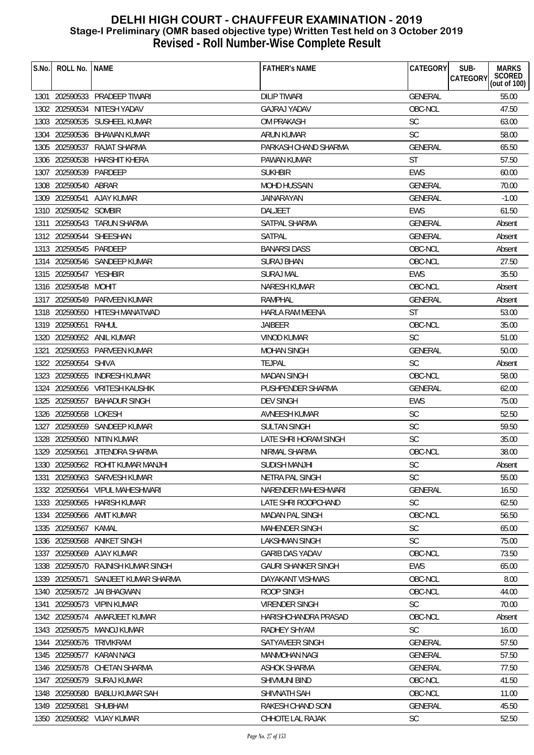| S.No. | ROLL No.               | <b>NAME</b>                        | <b>FATHER'S NAME</b>       | CATEGORY       | SUB-<br><b>MARKS</b><br>SCORED<br>(out of 100)<br><b>CATEGORY</b> |
|-------|------------------------|------------------------------------|----------------------------|----------------|-------------------------------------------------------------------|
|       |                        |                                    |                            |                |                                                                   |
|       |                        | 1301 202590533 PRADEEP TIWARI      | <b>DILIP TIWARI</b>        | <b>GENERAL</b> | 55.00                                                             |
|       |                        | 1302 202590534 NITESH YADAV        | <b>GAJRAJ YADAV</b>        | OBC-NCL        | 47.50                                                             |
|       |                        | 1303 202590535 SUSHEEL KUMAR       | OM PRAKASH                 | SC             | 63.00                                                             |
|       |                        | 1304 202590536 BHAWAN KUMAR        | <b>ARUN KUMAR</b>          | <b>SC</b>      | 58.00                                                             |
|       | 1305 202590537         | RAJAT SHARMA                       | PARKASH CHAND SHARMA       | <b>GENERAL</b> | 65.50                                                             |
| 1306  | 202590538              | <b>HARSHIT KHERA</b>               | PAWAN KUMAR                | <b>ST</b>      | 57.50                                                             |
| 1307  | 202590539              | PARDEEP                            | <b>SUKHBIR</b>             | <b>EWS</b>     | 60.00                                                             |
|       | 1308 202590540 ABRAR   |                                    | <b>MOHD HUSSAIN</b>        | <b>GENERAL</b> | 70.00                                                             |
|       |                        | 1309 202590541 AJAY KUMAR          | <b>JAINARAYAN</b>          | <b>GENERAL</b> | $-1.00$                                                           |
|       | 1310 202590542 SOMBIR  |                                    | DALJEET                    | <b>EWS</b>     | 61.50                                                             |
|       |                        | 1311 202590543 TARUN SHARMA        | SATPAL SHARMA              | <b>GENERAL</b> | Absent                                                            |
|       |                        | 1312 202590544 SHEESHAN            | <b>SATPAL</b>              | <b>GENERAL</b> | Absent                                                            |
|       | 1313 202590545 PARDEEP |                                    | <b>BANARSI DASS</b>        | OBC-NCL        | Absent                                                            |
|       |                        | 1314 202590546 SANDEEP KUMAR       | <b>SURAJ BHAN</b>          | OBC-NCL        | 27.50                                                             |
|       | 1315 202590547 YESHBIR |                                    | <b>SURAJ MAL</b>           | <b>EWS</b>     | 35.50                                                             |
|       | 1316 202590548 MOHIT   |                                    | NARESH KUMAR               | OBC-NCL        | Absent                                                            |
|       |                        | 1317 202590549 PARVEEN KUMAR       | <b>RAMPHAL</b>             | <b>GENERAL</b> | Absent                                                            |
|       |                        | 1318 202590550 HITESH MANATWAD     | <b>HARLA RAM MEENA</b>     | ST             | 53.00                                                             |
|       | 1319 202590551         | RAHUL                              | <b>JAIBEER</b>             | OBC-NCL        | 35.00                                                             |
|       |                        | 1320 202590552 ANIL KUMAR          | <b>VINOD KUMAR</b>         | <b>SC</b>      | 51.00                                                             |
| 1321  |                        | 202590553 PARVEEN KUMAR            | <b>MOHAN SINGH</b>         | <b>GENERAL</b> | 50.00                                                             |
|       | 1322 202590554         | SHIVA                              | <b>TEJPAL</b>              | <b>SC</b>      | Absent                                                            |
|       | 1323 202590555         | <b>INDRESH KUMAR</b>               | <b>MADAN SINGH</b>         | OBC-NCL        | 58.00                                                             |
|       |                        | 1324 202590556 VRITESH KAUSHIK     | PUSHPENDER SHARMA          | <b>GENERAL</b> | 62.00                                                             |
|       | 1325 202590557         | <b>BAHADUR SINGH</b>               | <b>DEV SINGH</b>           | <b>EWS</b>     | 75.00                                                             |
|       | 1326 202590558 LOKESH  |                                    | <b>AVNEESH KUMAR</b>       | <b>SC</b>      | 52.50                                                             |
|       |                        | 1327 202590559 SANDEEP KUMAR       | SULTAN SINGH               | <b>SC</b>      | 59.50                                                             |
|       | 1328 202590560         | NITIN KUMAR                        | LATE SHRI HORAM SINGH      | <b>SC</b>      | 35.00                                                             |
|       |                        | 1329 202590561 JITENDRA SHARMA     | NIRMAL SHARMA              | OBC-NCL        | 38.00                                                             |
|       |                        | 1330 202590562 ROHIT KUMAR MANJHI  | SUDISH MANJHI              | $\mathsf{SC}$  | Absent                                                            |
| 1331  |                        | 202590563 SARVESH KUMAR            | NETRA PAL SINGH            | <b>SC</b>      | 55.00                                                             |
| 1332  |                        | 202590564 VIPUL MAHESHWARI         | NARENDER MAHESHWARI        | <b>GENERAL</b> | 16.50                                                             |
|       |                        | 1333 202590565 HARISH KUMAR        | LATE SHRI ROOPCHAND        | <b>SC</b>      | 62.50                                                             |
|       |                        | 1334 202590566 AMIT KUMAR          | <b>MADAN PAL SINGH</b>     | OBC-NCL        | 56.50                                                             |
| 1335  | 202590567              | KAMAL                              | <b>MAHENDER SINGH</b>      | SC             | 65.00                                                             |
| 1336  | 202590568              | <b>ANIKET SINGH</b>                | LAKSHMAN SINGH             | <b>SC</b>      | 75.00                                                             |
|       |                        | 1337 202590569 AJAY KUMAR          | <b>GARIB DAS YADAV</b>     | OBC-NCL        | 73.50                                                             |
|       |                        | 1338 202590570 RAJNISH KUMAR SINGH | <b>GAURI SHANKER SINGH</b> | EWS            | 65.00                                                             |
| 1339  | 202590571              | SANJEET KUMAR SHARMA               | DAYAKANT VISHWAS           | OBC-NCL        | 8.00                                                              |
| 1340  |                        | 202590572 JAI BHAGWAN              | ROOP SINGH                 | OBC-NCL        | 44.00                                                             |
| 1341  |                        | 202590573 VIPIN KUMAR              | <b>VIRENDER SINGH</b>      | <b>SC</b>      | 70.00                                                             |
|       | 1342 202590574         | AMARJEET KUMAR                     | HARISHCHANDRA PRASAD       | OBC-NCL        | Absent                                                            |
| 1343  |                        | 202590575 MANOJ KUMAR              | RADHEY SHYAM               | <b>SC</b>      | 16.00                                                             |
|       | 1344 202590576         | TRIVIKRAM                          | SATYAVEER SINGH            | <b>GENERAL</b> | 57.50                                                             |
|       | 1345 202590577         | <b>KARAN NAGI</b>                  | MANMOHAN NAGI              | <b>GENERAL</b> | 57.50                                                             |
| 1346  | 202590578              | CHETAN SHARMA                      | <b>ASHOK SHARMA</b>        | <b>GENERAL</b> | 77.50                                                             |
| 1347  | 202590579              | <b>SURAJ KUMAR</b>                 | <b>SHIVMUNI BIND</b>       | OBC-NCL        | 41.50                                                             |
| 1348  | 202590580              | <b>BABLU KUMAR SAH</b>             | SHIVNATH SAH               | OBC-NCL        | 11.00                                                             |
|       | 1349 202590581         | <b>SHUBHAM</b>                     | RAKESH CHAND SONI          | GENERAL        | 45.50                                                             |
|       |                        | 1350 202590582 VIJAY KUMAR         | CHHOTE LAL RAJAK           | <b>SC</b>      | 52.50                                                             |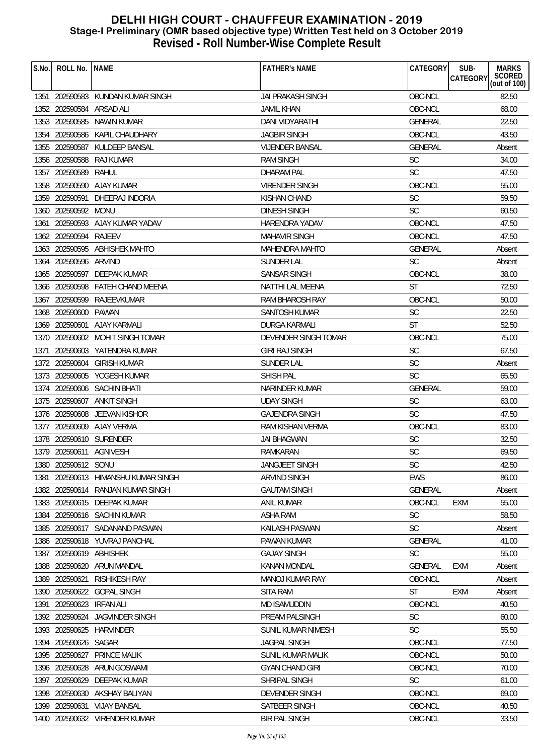| S.No. | ROLL No.                 | <b>NAME</b>                       | <b>FATHER'S NAME</b>     | CATEGORY       | SUB-<br><b>MARKS</b><br><b>CATEGORY</b> |
|-------|--------------------------|-----------------------------------|--------------------------|----------------|-----------------------------------------|
|       |                          |                                   |                          |                | SCORED<br>(out of 100)                  |
|       |                          | 1351 202590583 KUNDAN KUMAR SINGH | <b>JAI PRAKASH SINGH</b> | OBC-NCL        | 82.50                                   |
|       | 1352 202590584 ARSAD ALI |                                   | <b>JAMIL KHAN</b>        | OBC-NCL        | 68.00                                   |
|       | 1353 202590585           | NAWIN KUMAR                       | DANI VIDYARATHI          | <b>GENERAL</b> | 22.50                                   |
|       |                          | 1354 202590586 KAPIL CHAUDHARY    | <b>JAGBIR SINGH</b>      | OBC-NCL        | 43.50                                   |
|       | 1355 202590587           | KULDEEP BANSAL                    | <b>VIJENDER BANSAL</b>   | <b>GENERAL</b> | Absent                                  |
| 1356  | 202590588                | <b>RAJ KUMAR</b>                  | <b>RAM SINGH</b>         | SC             | 34.00                                   |
| 1357  | 202590589                | RAHUL                             | DHARAM PAL               | <b>SC</b>      | 47.50                                   |
|       |                          | 1358 202590590 AJAY KUMAR         | <b>VIRENDER SINGH</b>    | OBC-NCL        | 55.00                                   |
|       | 1359 202590591           | DHEERAJ INDORIA                   | <b>KISHAN CHAND</b>      | <b>SC</b>      | 59.50                                   |
|       | 1360 202590592 MONU      |                                   | <b>DINESH SINGH</b>      | SC             | 60.50                                   |
| 1361  |                          | 202590593 AJAY KUMAR YADAV        | HARENDRA YADAV           | OBC-NCL        | 47.50                                   |
|       | 1362 202590594           | RAJEEV                            | <b>MAHAVIR SINGH</b>     | OBC-NCL        | 47.50                                   |
|       |                          | 1363 202590595 ABHISHEK MAHTO     | MAHENDRA MAHTO           | <b>GENERAL</b> | Absent                                  |
|       | 1364 202590596 ARVIND    |                                   | SUNDER LAL               | <b>SC</b>      | Absent                                  |
|       |                          | 1365 202590597 DEEPAK KUMAR       | <b>SANSAR SINGH</b>      | OBC-NCL        | 38.00                                   |
|       |                          | 1366 202590598 FATEH CHAND MEENA  | NATTHI LAL MEENA         | <b>ST</b>      | 72.50                                   |
|       | 1367 202590599           | RAJEEVKUMAR                       | RAM BHAROSH RAY          | OBC-NCL        | 50.00                                   |
|       | 1368 202590600           | <b>PAWAN</b>                      | <b>SANTOSH KUMAR</b>     | <b>SC</b>      | 22.50                                   |
|       |                          | 1369 202590601 AJAY KARMALI       | DURGA KARMALI            | <b>ST</b>      | 52.50                                   |
|       |                          | 1370 202590602 MOHIT SINGH TOMAR  | DEVENDER SINGH TOMAR     | OBC-NCL        | 75.00                                   |
| 1371  |                          | 202590603 YATENDRA KUMAR          | <b>GIRI RAJ SINGH</b>    | SC             | 67.50                                   |
|       | 1372 202590604           | <b>GIRISH KUMAR</b>               | SUNDER LAL               | SC             | Absent                                  |
|       |                          | 1373 202590605 YOGESH KUMAR       | <b>SHISH PAL</b>         | <b>SC</b>      | 65.50                                   |
|       |                          | 1374 202590606 SACHIN BHATI       | NARINDER KUMAR           | GENERAL        | 59.00                                   |
|       | 1375 202590607           | ANKIT SINGH                       | <b>UDAY SINGH</b>        | <b>SC</b>      | 63.00                                   |
|       |                          | 1376 202590608 JEEVAN KISHOR      | <b>GAJENDRA SINGH</b>    | <b>SC</b>      | 47.50                                   |
|       |                          | 1377 202590609 AJAY VERMA         | RAM KISHAN VERMA         | OBC-NCL        | 83.00                                   |
|       |                          | 1378 202590610 SURENDER           | <b>JAI BHAGWAN</b>       | SC             | 32.50                                   |
|       | 1379 202590611 AGNIVESH  |                                   | RAMKARAN                 | SC             | 69.50                                   |
|       | 1380 202590612 SONU      |                                   | JANGJEET SINGH           | SC             | 42.50                                   |
| 1381  |                          | 202590613 HIMANSHU KUMAR SINGH    | ARVIND SINGH             | EWS            | 86.00                                   |
| 1382  |                          | 202590614 RANJAN KUMAR SINGH      | <b>GAUTAM SINGH</b>      | <b>GENERAL</b> | Absent                                  |
|       |                          | 1383 202590615 DEEPAK KUMAR       | <b>ANIL KUMAR</b>        | OBC-NCL        | 55.00<br>EXM                            |
| 1384  |                          | 202590616 SACHIN KUMAR            | <b>ASHA RAM</b>          | <b>SC</b>      | 58.50                                   |
| 1385  |                          | 202590617 SADANAND PASWAN         | KAILASH PASWAN           | <b>SC</b>      | Absent                                  |
| 1386  |                          | 202590618 YUVRAJ PANCHAL          | PAWAN KUMAR              | <b>GENERAL</b> | 41.00                                   |
|       | 1387 202590619 ABHISHEK  |                                   | <b>GAJAY SINGH</b>       | <b>SC</b>      | 55.00                                   |
| 1388  |                          | 202590620 ARUN MANDAL             | <b>KANAN MONDAL</b>      | <b>GENERAL</b> | <b>EXM</b><br>Absent                    |
| 1389  | 202590621                | <b>RISHIKESH RAY</b>              | <b>MANOJ KUMAR RAY</b>   | OBC-NCL        | Absent                                  |
| 1390  |                          | 202590622 GOPAL SINGH             | <b>SITA RAM</b>          | <b>ST</b>      | <b>EXM</b><br>Absent                    |
| 1391  | 202590623 IRFAN ALI      |                                   | <b>MD ISAMUDDIN</b>      | OBC-NCL        | 40.50                                   |
|       | 1392 202590624           | <b>JAGVINDER SINGH</b>            | PREAM PALSINGH           | <b>SC</b>      | 60.00                                   |
|       |                          | 1393 202590625 HARVINDER          | SUNIL KUMAR NIMESH       | <b>SC</b>      | 55.50                                   |
|       | 1394 202590626 SAGAR     |                                   | <b>JAGPAL SINGH</b>      | OBC-NCL        | 77.50                                   |
|       | 1395 202590627           | <b>PRINCE MALIK</b>               | <b>SUNIL KUMAR MALIK</b> | OBC-NCL        | 50.00                                   |
| 1396  |                          | 202590628 ARUN GOSWAMI            | <b>GYAN CHAND GIRI</b>   | OBC-NCL        | 70.00                                   |
| 1397  | 202590629                | DEEPAK KUMAR                      | SHRIPAL SINGH            | <b>SC</b>      | 61.00                                   |
| 1398  | 202590630                | AKSHAY BALIYAN                    | DEVENDER SINGH           | OBC-NCL        | 69.00                                   |
| 1399  |                          | 202590631 VIJAY BANSAL            | SATBEER SINGH            | OBC-NCL        | 40.50                                   |
|       |                          | 1400 202590632 VIRENDER KUMAR     | <b>BIR PAL SINGH</b>     | OBC-NCL        | 33.50                                   |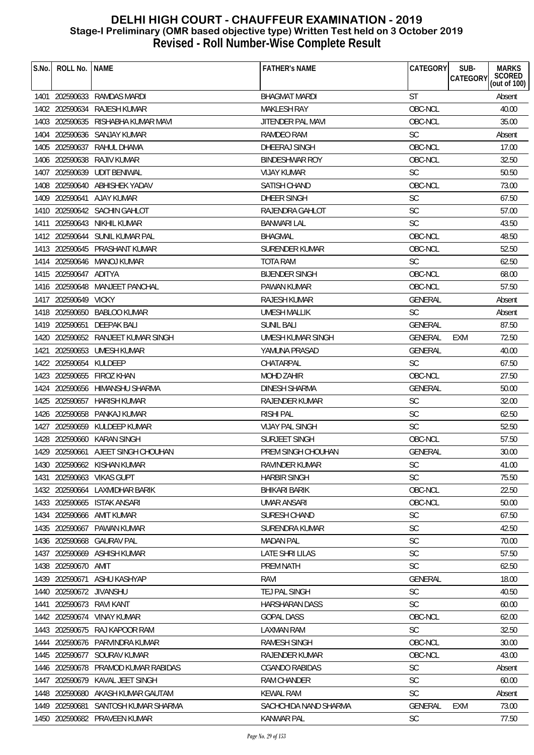| S.No. | ROLL No.              | <b>NAME</b>                        | <b>FATHER'S NAME</b>   | CATEGORY       | SUB-<br><b>MARKS</b><br>SCORED<br>(out of 100)<br><b>CATEGORY</b> |
|-------|-----------------------|------------------------------------|------------------------|----------------|-------------------------------------------------------------------|
|       |                       |                                    |                        |                |                                                                   |
|       |                       | 1401 202590633 RAMDAS MARDI        | <b>BHAGMAT MARDI</b>   | <b>ST</b>      | Absent                                                            |
|       |                       | 1402 202590634 RAJESH KUMAR        | <b>MAKLESH RAY</b>     | OBC-NCL        | 40.00                                                             |
|       | 1403 202590635        | RISHABHA KUMAR MAVI                | JITENDER PAL MAVI      | OBC-NCL        | 35.00                                                             |
|       |                       | 1404 202590636 SANJAY KUMAR        | <b>RAMDEO RAM</b>      | <b>SC</b>      | Absent                                                            |
|       | 1405 202590637        | RAHUL DHAMA                        | DHEERAJ SINGH          | OBC-NCL        | 17.00                                                             |
|       | 1406 202590638        | <b>RAJIV KUMAR</b>                 | <b>BINDESHWAR ROY</b>  | OBC-NCL        | 32.50                                                             |
| 1407  | 202590639             | <b>UDIT BENIWAL</b>                | <b>VIJAY KUMAR</b>     | <b>SC</b>      | 50.50                                                             |
|       |                       | 1408 202590640 ABHISHEK YADAV      | SATISH CHAND           | OBC-NCL        | 73.00                                                             |
|       |                       | 1409 202590641 AJAY KUMAR          | <b>DHEER SINGH</b>     | <b>SC</b>      | 67.50                                                             |
|       |                       | 1410 202590642 SACHIN GAHLOT       | RAJENDRA GAHLOT        | SC             | 57.00                                                             |
|       |                       | 1411 202590643 NIKHIL KUMAR        | BANWARI LAL            | <b>SC</b>      | 43.50                                                             |
|       |                       | 1412 202590644 SUNIL KUMAR PAL     | <b>BHAGMAL</b>         | OBC-NCL        | 48.50                                                             |
|       |                       | 1413 202590645 PRASHANT KUMAR      | <b>SURENDER KUMAR</b>  | OBC-NCL        | 52.50                                                             |
|       |                       | 1414 202590646 MANOJ KUMAR         | TOTA RAM               | <b>SC</b>      | 62.50                                                             |
|       | 1415 202590647 ADITYA |                                    | <b>BIJENDER SINGH</b>  | OBC-NCL        | 68.00                                                             |
|       |                       | 1416 202590648 MANJEET PANCHAL     | PAWAN KUMAR            | OBC-NCL        | 57.50                                                             |
|       | 1417 202590649 VICKY  |                                    | RAJESH KUMAR           | <b>GENERAL</b> | Absent                                                            |
|       |                       | 1418 202590650 BABLOO KUMAR        | <b>UMESH MALLIK</b>    | SC             | Absent                                                            |
|       | 1419 202590651        | DEEPAK BALI                        | <b>SUNIL BALI</b>      | <b>GENERAL</b> | 87.50                                                             |
|       |                       | 1420 202590652 RANJEET KUMAR SINGH | UMESH KUMAR SINGH      | <b>GENERAL</b> | 72.50<br>EXM                                                      |
| 1421  |                       | 202590653 UMESH KUMAR              | YAMUNA PRASAD          | <b>GENERAL</b> | 40.00                                                             |
|       | 1422 202590654        | KULDEEP                            | CHATARPAL              | <b>SC</b>      | 67.50                                                             |
|       | 1423 202590655        | FIROZ KHAN                         | <b>MOHD ZAHIR</b>      | OBC-NCL        | 27.50                                                             |
|       |                       | 1424 202590656 HIMANSHU SHARMA     | DINESH SHARMA          | <b>GENERAL</b> | 50.00                                                             |
|       | 1425 202590657        | HARISH KUMAR                       | RAJENDER KUMAR         | <b>SC</b>      | 32.00                                                             |
|       |                       | 1426 202590658 PANKAJ KUMAR        | <b>RISHI PAL</b>       | <b>SC</b>      | 62.50                                                             |
|       |                       | 1427 202590659 KULDEEP KUMAR       | <b>VIJAY PAL SINGH</b> | <b>SC</b>      | 52.50                                                             |
|       |                       | 1428 202590660 KARAN SINGH         | SURJEET SINGH          | OBC-NCL        | 57.50                                                             |
|       |                       | 1429 202590661 AJEET SINGH CHOUHAN | PREM SINGH CHOUHAN     | <b>GENERAL</b> | 30.00                                                             |
|       |                       | 1430 202590662 KISHAN KUMAR        | RAVINDER KUMAR         | SC             | 41.00                                                             |
| 1431  |                       | 202590663 VIKAS GUPT               | <b>HARBIR SINGH</b>    | <b>SC</b>      | 75.50                                                             |
|       |                       | 1432 202590664 LAXMIDHAR BARIK     | <b>BHIKARI BARIK</b>   | OBC-NCL        | 22.50                                                             |
|       |                       | 1433 202590665 ISTAK ANSARI        | <b>UMAR ANSARI</b>     | OBC-NCL        | 50.00                                                             |
|       |                       | 1434 202590666 AMIT KUMAR          | SURESH CHAND           | <b>SC</b>      | 67.50                                                             |
| 1435  | 202590667             | PAWAN KUMAR                        | SURENDRA KUMAR         | SC             | 42.50                                                             |
|       | 1436 202590668        | <b>GAURAV PAL</b>                  | <b>MADAN PAL</b>       | <b>SC</b>      | 70.00                                                             |
|       |                       | 1437 202590669 ASHISH KUMAR        | LATE SHRI LILAS        | <b>SC</b>      | 57.50                                                             |
|       | 1438 202590670 AMIT   |                                    | PREM NATH              | <b>SC</b>      | 62.50                                                             |
|       | 1439 202590671        | ASHU KASHYAP                       | RAVI                   | <b>GENERAL</b> | 18.00                                                             |
| 1440  | 202590672 JIVANSHU    |                                    | TEJ PAL SINGH          | <b>SC</b>      | 40.50                                                             |
| 1441  | 202590673             | RAVI KANT                          | <b>HARSHARAN DASS</b>  | <b>SC</b>      | 60.00                                                             |
|       |                       | 1442 202590674 VINAY KUMAR         | <b>GOPAL DASS</b>      | OBC-NCL        | 62.00                                                             |
|       |                       | 1443 202590675 RAJ KAPOOR RAM      | <b>LAXMAN RAM</b>      | <b>SC</b>      | 32.50                                                             |
|       |                       | 1444 202590676 PARVINDRA KUMAR     | <b>RAMESH SINGH</b>    | OBC-NCL        | 30.00                                                             |
|       |                       | 1445 202590677 SOURAV KUMAR        | RAJENDER KUMAR         | OBC-NCL        | 43.00                                                             |
| 1446  |                       | 202590678 PRAMOD KUMAR RABIDAS     | <b>CGANDO RABIDAS</b>  | SC             | Absent                                                            |
| 1447  | 202590679             | KAVAL JEET SINGH                   | <b>RAM CHANDER</b>     | <b>SC</b>      | 60.00                                                             |
| 1448  | 202590680             | AKASH KUMAR GAUTAM                 | <b>KEWAL RAM</b>       | <b>SC</b>      | Absent                                                            |
|       | 1449 202590681        | SANTOSH KUMAR SHARMA               | SACHCHIDA NAND SHARMA  | <b>GENERAL</b> | <b>EXM</b><br>73.00                                               |
|       |                       | 1450 202590682 PRAVEEN KUMAR       | KANWAR PAL             | <b>SC</b>      | 77.50                                                             |
|       |                       |                                    |                        |                |                                                                   |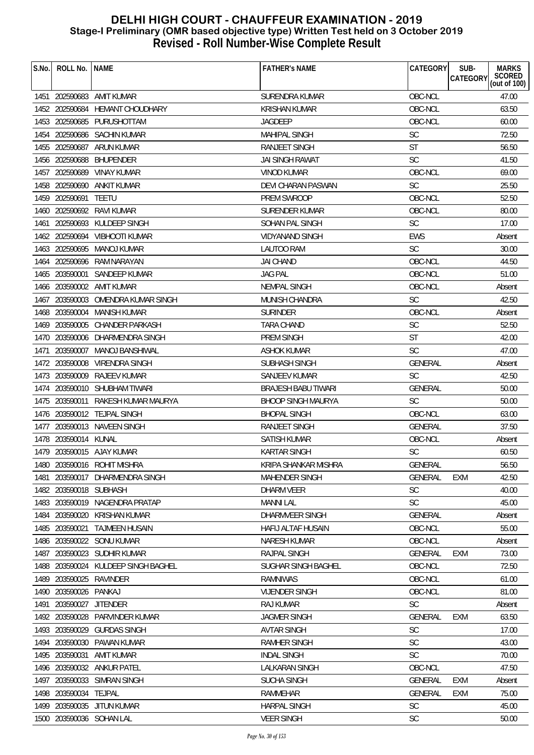| S.No. | ROLL No.              | l NAME                             | <b>FATHER'S NAME</b>      | CATEGORY       | SUB-<br><b>MARKS</b>               |
|-------|-----------------------|------------------------------------|---------------------------|----------------|------------------------------------|
|       |                       |                                    |                           |                | SCORED<br>CATEGORY<br>(out of 100) |
|       |                       | 1451 202590683 AMIT KUMAR          | SURENDRA KUMAR            | OBC-NCL        | 47.00                              |
|       |                       | 1452 202590684 HEMANT CHOUDHARY    | <b>KRISHAN KUMAR</b>      | OBC-NCL        | 63.50                              |
|       |                       | 1453 202590685 PURUSHOTTAM         | JAGDEEP                   | OBC-NCL        | 60.00                              |
|       |                       | 1454 202590686 SACHIN KUMAR        | <b>MAHIPAL SINGH</b>      | <b>SC</b>      | 72.50                              |
|       |                       | 1455 202590687 ARUN KUMAR          | <b>RANJEET SINGH</b>      | ST             | 56.50                              |
|       | 1456 202590688        | BHUPENDER                          | JAI SINGH RAWAT           | <b>SC</b>      | 41.50                              |
|       |                       | 1457 202590689 VINAY KUMAR         | <b>VINOD KUMAR</b>        | OBC-NCL        | 69.00                              |
|       |                       | 1458 202590690 ANKIT KUMAR         | DEVI CHARAN PASWAN        | <b>SC</b>      | 25.50                              |
|       | 1459 202590691        | TEETU                              | PREM SWROOP               | OBC-NCL        | 52.50                              |
|       |                       | 1460 202590692 RAVI KUMAR          | <b>SURENDER KUMAR</b>     | OBC-NCL        | 80.00                              |
| 1461  |                       | 202590693 KULDEEP SINGH            | SOHAN PAL SINGH           | <b>SC</b>      | 17.00                              |
|       |                       | 1462 202590694 VIBHOOTI KUMAR      | <b>VIDYANAND SINGH</b>    | EWS            | Absent                             |
|       |                       | 1463 202590695 MANOJ KUMAR         | LAUTOO RAM                | <b>SC</b>      | 30.00                              |
|       |                       | 1464 202590696 RAM NARAYAN         | <b>JAI CHAND</b>          | OBC-NCL        | 44.50                              |
|       |                       | 1465 203590001 SANDEEP KUMAR       | <b>JAG PAL</b>            | OBC-NCL        | 51.00                              |
|       |                       | 1466 203590002 AMIT KUMAR          | <b>NEMPAL SINGH</b>       | OBC-NCL        | Absent                             |
| 1467  | 203590003             | OMENDRA KUMAR SINGH                | <b>MUNISH CHANDRA</b>     | <b>SC</b>      | 42.50                              |
|       |                       | 1468 203590004 MANISH KUMAR        | <b>SURINDER</b>           | OBC-NCL        | Absent                             |
|       | 1469 203590005        | CHANDER PARKASH                    | <b>TARA CHAND</b>         | <b>SC</b>      | 52.50                              |
|       |                       | 1470 203590006 DHARMENDRA SINGH    | <b>PREM SINGH</b>         | <b>ST</b>      | 42.00                              |
| 1471  |                       | 203590007 MANOJ BANSHIWAL          | ASHOK KUMAR               | <b>SC</b>      | 47.00                              |
|       |                       | 1472 203590008 VIRENDRA SINGH      | SUBHASH SINGH             | GENERAL        | Absent                             |
|       | 1473 203590009        | RAJEEV KUMAR                       | <b>SANJEEV KUMAR</b>      | <b>SC</b>      | 42.50                              |
| 1474  |                       | 203590010 SHUBHAM TIWARI           | BRAJESH BABU TIWARI       | GENERAL        | 50.00                              |
|       |                       | 1475 203590011 RAKESH KUMAR MAURYA | <b>BHOOP SINGH MAURYA</b> | <b>SC</b>      | 50.00                              |
|       |                       | 1476 203590012 TEJPAL SINGH        | <b>BHOPAL SINGH</b>       | OBC-NCL        | 63.00                              |
| 1477  |                       | 203590013 NAVEEN SINGH             | <b>RANJEET SINGH</b>      | <b>GENERAL</b> | 37.50                              |
|       | 1478 203590014 KUNAL  |                                    | <b>SATISH KUMAR</b>       | OBC-NCL        | Absent                             |
|       |                       | 1479 203590015 AJAY KUMAR          | <b>KARTAR SINGH</b>       | <b>SC</b>      | 60.50                              |
|       |                       | 1480 203590016 ROHIT MISHRA        | KRIPA SHANKAR MISHRA      | GENERAL        | 56.50                              |
| 1481  | 203590017             | DHARMENDRA SINGH                   | MAHENDER SINGH            | GENERAL        | 42.50<br>EXM                       |
| 1482  | 203590018 SUBHASH     |                                    | <b>DHARM VEER</b>         | <b>SC</b>      | 40.00                              |
|       |                       | 1483 203590019 NAGENDRA PRATAP     | <b>MANNI LAL</b>          | <b>SC</b>      | 45.00                              |
| 1484  | 203590020             | <b>KRISHAN KUMAR</b>               | DHARMVEER SINGH           | GENERAL        | Absent                             |
| 1485  | 203590021             | <b>TAJMEEN HUSAIN</b>              | <b>HAFIJ ALTAF HUSAIN</b> | OBC-NCL        | 55.00                              |
| 1486  |                       | 203590022 SONU KUMAR               | <b>NARESH KUMAR</b>       | OBC-NCL        | Absent                             |
| 1487  | 203590023             | SUDHIR KUMAR                       | RAJPAL SINGH              | <b>GENERAL</b> | 73.00<br>EXM                       |
| 1488  |                       | 203590024 KULDEEP SINGH BAGHEL     | SUGHAR SINGH BAGHEL       | OBC-NCL        | 72.50                              |
| 1489  |                       | 203590025 RAVINDER                 | <b>RAMNIWAS</b>           | OBC-NCL        | 61.00                              |
| 1490  | 203590026 PANKAJ      |                                    | <b>VIJENDER SINGH</b>     | OBC-NCL        | 81.00                              |
| 1491  | 203590027             | <b>JITENDER</b>                    | <b>RAJ KUMAR</b>          | <b>SC</b>      | Absent                             |
| 1492  | 203590028             | PARVINDER KUMAR                    | <b>JAGMER SINGH</b>       | <b>GENERAL</b> | <b>EXM</b><br>63.50                |
| 1493  | 203590029             | <b>GURDAS SINGH</b>                | <b>AVTAR SINGH</b>        | <b>SC</b>      | 17.00                              |
| 1494  | 203590030             | PAWAN KUMAR                        | RAMHER SINGH              | <b>SC</b>      | 43.00                              |
| 1495  | 203590031             | <b>AMIT KUMAR</b>                  | <b>INDAL SINGH</b>        | <b>SC</b>      | 70.00                              |
| 1496  |                       | 203590032 ANKUR PATEL              | <b>LALKARAN SINGH</b>     | OBC-NCL        | 47.50                              |
| 1497  |                       | 203590033 SIMRAN SINGH             | <b>SUCHA SINGH</b>        | GENERAL        | EXM<br>Absent                      |
|       | 1498 203590034 TEJPAL |                                    | RAMMEHAR                  | GENERAL        | <b>EXM</b><br>75.00                |
| 1499  |                       | 203590035 JITUN KUMAR              | <b>HARPAL SINGH</b>       | SC             | 45.00                              |
|       |                       |                                    |                           | <b>SC</b>      |                                    |
|       |                       | 1500 203590036 SOHAN LAL           | <b>VEER SINGH</b>         |                | 50.00                              |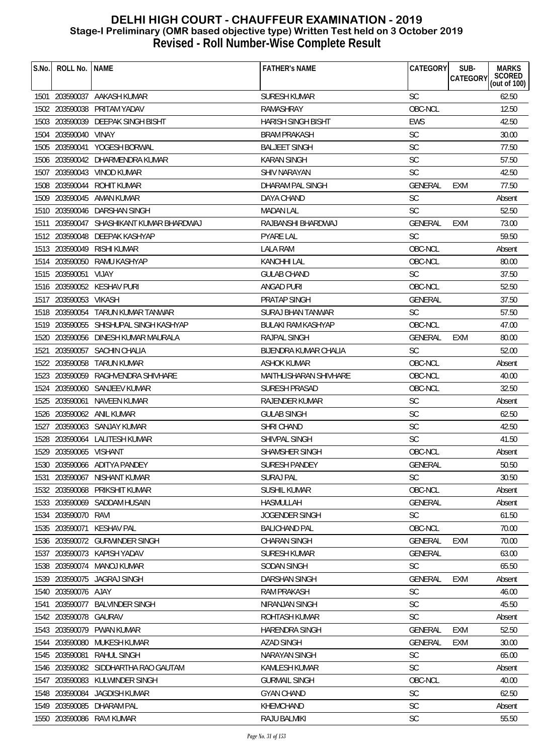| S.No. | ROLL No.               | <b>NAME</b>                            | <b>FATHER'S NAME</b>          | CATEGORY       | SUB-<br><b>CATEGORY</b> | <b>MARKS</b><br><b>SCORED</b><br>(out of $100$ ) |
|-------|------------------------|----------------------------------------|-------------------------------|----------------|-------------------------|--------------------------------------------------|
|       |                        | 1501 203590037 AAKASH KUMAR            | <b>SURESH KUMAR</b>           | <b>SC</b>      |                         | 62.50                                            |
|       |                        | 1502 203590038 PRITAM YADAV            | RAMASHRAY                     | OBC-NCL        |                         | 12.50                                            |
| 1503  | 203590039              | <b>DEEPAK SINGH BISHT</b>              | <b>HARISH SINGH BISHT</b>     | <b>EWS</b>     |                         | 42.50                                            |
| 1504  | 203590040 VINAY        |                                        | <b>BRAM PRAKASH</b>           | SC             |                         | 30.00                                            |
|       |                        | 1505 203590041 YOGESH BORWAL           | <b>BALJEET SINGH</b>          | <b>SC</b>      |                         | 77.50                                            |
| 1506  |                        | 203590042 DHARMENDRA KUMAR             | <b>KARAN SINGH</b>            | <b>SC</b>      |                         | 57.50                                            |
| 1507  |                        | 203590043 VINOD KUMAR                  | SHIV NARAYAN                  | <b>SC</b>      |                         | 42.50                                            |
|       |                        | 1508 203590044 ROHIT KUMAR             | DHARAM PAL SINGH              | GENERAL        | EXM                     | 77.50                                            |
|       |                        | 1509 203590045 AMAN KUMAR              | DAYA CHAND                    | <b>SC</b>      |                         | Absent                                           |
|       |                        | 1510 203590046 DARSHAN SINGH           | <b>MADAN LAL</b>              | <b>SC</b>      |                         | 52.50                                            |
| 1511  |                        | 203590047 SHASHIKANT KUMAR BHARDWAJ    | RAJBANSHI BHARDWAJ            | GENERAL        | EXM                     | 73.00                                            |
|       |                        | 1512 203590048 DEEPAK KASHYAP          | <b>PYARE LAL</b>              | <b>SC</b>      |                         | 59.50                                            |
|       | 1513 203590049         | RISHI KUMAR                            | <b>LALA RAM</b>               | OBC-NCL        |                         | Absent                                           |
| 1514  | 203590050              | RAMU KASHYAP                           | <b>KANCHHI LAL</b>            | OBC-NCL        |                         | 80.00                                            |
|       | 1515 203590051 VIJAY   |                                        | <b>GULAB CHAND</b>            | <b>SC</b>      |                         | 37.50                                            |
|       |                        | 1516 203590052 KESHAV PURI             | ANGAD PURI                    | OBC-NCL        |                         | 52.50                                            |
|       | 1517 203590053 VIKASH  |                                        | PRATAP SINGH                  | GENERAL        |                         | 37.50                                            |
|       |                        | 1518 203590054 TARUN KUMAR TANWAR      | <b>SURAJ BHAN TANWAR</b>      | <b>SC</b>      |                         | 57.50                                            |
|       |                        | 1519 203590055 SHISHUPAL SINGH KASHYAP | <b>BULAKI RAM KASHYAP</b>     | OBC-NCL        |                         | 47.00                                            |
|       |                        | 1520 203590056 DINESH KUMAR MAURALA    | <b>RAJPAL SINGH</b>           | <b>GENERAL</b> | EXM                     | 80.00                                            |
| 1521  | 203590057              | <b>SACHIN CHALIA</b>                   | <b>BIJENDRA KUMAR CHALIA</b>  | <b>SC</b>      |                         | 52.00                                            |
| 1522  |                        | 203590058 TARUN KUMAR                  | ASHOK KUMAR                   | OBC-NCL        |                         | Absent                                           |
|       |                        | 1523 203590059 RAGHVENDRA SHIVHARE     | <b>MAITHLISHARAN SHIVHARE</b> | OBC-NCL        |                         | 40.00                                            |
| 1524  |                        | 203590060 SANJEEV KUMAR                | SURESH PRASAD                 | OBC-NCL        |                         | 32.50                                            |
|       | 1525 203590061         | NAVEEN KUMAR                           | RAJENDER KUMAR                | <b>SC</b>      |                         | Absent                                           |
|       |                        | 1526 203590062 ANIL KUMAR              | <b>GULAB SINGH</b>            | <b>SC</b>      |                         | 62.50                                            |
|       |                        | 1527 203590063 SANJAY KUMAR            | <b>SHRI CHAND</b>             | <b>SC</b>      |                         | 42.50                                            |
| 1528  |                        | 203590064 LALITESH KUMAR               | SHIVPAL SINGH                 | <b>SC</b>      |                         | 41.50                                            |
|       | 1529 203590065 VISHANT |                                        | SHAMSHER SINGH                | OBC-NCL        |                         | Absent                                           |
|       |                        | 1530 203590066 ADITYA PANDEY           | SURESH PANDEY                 | GENERAL        |                         | 50.50                                            |
| 1531  | 203590067              | NISHANT KUMAR                          | SURAJ PAL                     | <b>SC</b>      |                         | 30.50                                            |
| 1532  |                        | 203590068 PRIKSHIT KUMAR               | <b>SUSHIL KUMAR</b>           | OBC-NCL        |                         | Absent                                           |
|       | 1533 203590069         | SADDAM HUSAIN                          | HASMULLAH                     | <b>GENERAL</b> |                         | Absent                                           |
| 1534  | 203590070              | RAVI                                   | JOGENDER SINGH                | <b>SC</b>      |                         | 61.50                                            |
| 1535  | 203590071              | <b>KESHAV PAL</b>                      | <b>BALICHAND PAL</b>          | OBC-NCL        |                         | 70.00                                            |
| 1536  | 203590072              | <b>GURWINDER SINGH</b>                 | <b>CHARAN SINGH</b>           | GENERAL        | <b>EXM</b>              | 70.00                                            |
| 1537  |                        | 203590073 KAPISH YADAV                 | <b>SURESH KUMAR</b>           | GENERAL        |                         | 63.00                                            |
| 1538  |                        | 203590074 MANOJ KUMAR                  | <b>SODAN SINGH</b>            | <b>SC</b>      |                         | 65.50                                            |
| 1539  | 203590075              | JAGRAJ SINGH                           | <b>DARSHAN SINGH</b>          | <b>GENERAL</b> | <b>EXM</b>              | Absent                                           |
| 1540  | 203590076 AJAY         |                                        | <b>RAM PRAKASH</b>            | <b>SC</b>      |                         | 46.00                                            |
| 1541  | 203590077              | <b>BALVINDER SINGH</b>                 | NIRANJAN SINGH                | <b>SC</b>      |                         | 45.50                                            |
| 1542  | 203590078 GAURAV       |                                        | ROHTASH KUMAR                 | <b>SC</b>      |                         | Absent                                           |
| 1543  | 203590079              | PWAN KUMAR                             | <b>HARENDRA SINGH</b>         | GENERAL        | <b>EXM</b>              | 52.50                                            |
|       | 1544 203590080         | MUKESH KUMAR                           | <b>AZAD SINGH</b>             | <b>GENERAL</b> | <b>EXM</b>              | 30.00                                            |
| 1545  | 203590081              | <b>RAHUL SINGH</b>                     | <b>NARAYAN SINGH</b>          | <b>SC</b>      |                         | 65.00                                            |
| 1546  |                        | 203590082 SIDDHARTHA RAO GAUTAM        | <b>KAMLESH KUMAR</b>          | <b>SC</b>      |                         | Absent                                           |
| 1547  | 203590083              | KULWINDER SINGH                        | <b>GURMAIL SINGH</b>          | OBC-NCL        |                         | 40.00                                            |
| 1548  | 203590084              | <b>JAGDISH KUMAR</b>                   | <b>GYAN CHAND</b>             | <b>SC</b>      |                         | 62.50                                            |
| 1549  | 203590085              | DHARAM PAL                             | KHEMCHAND                     | SC             |                         | Absent                                           |
|       |                        | 1550 203590086 RAVI KUMAR              | RAJU BALMIKI                  | <b>SC</b>      |                         | 55.50                                            |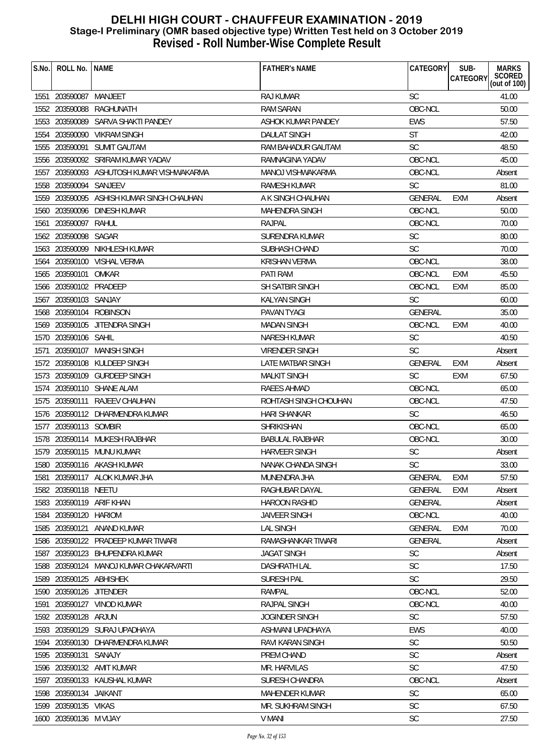| S.No. | ROLL No.               | <b>NAME</b>                               | <b>FATHER'S NAME</b>   | CATEGORY       | SUB-<br>CATEGORY | <b>MARKS</b><br>SCORED<br>(out of 100) |
|-------|------------------------|-------------------------------------------|------------------------|----------------|------------------|----------------------------------------|
|       | 1551 203590087 MANJEET |                                           | <b>RAJ KUMAR</b>       | SC             |                  | 41.00                                  |
|       | 1552 203590088         | RAGHUNATH                                 | <b>RAM SARAN</b>       | OBC-NCL        |                  | 50.00                                  |
|       | 1553 203590089         | SARVA SHAKTI PANDEY                       | ASHOK KUMAR PANDEY     | <b>EWS</b>     |                  | 57.50                                  |
|       |                        | 1554 203590090 VIKRAM SINGH               | <b>DAULAT SINGH</b>    | <b>ST</b>      |                  | 42.00                                  |
|       | 1555 203590091         | <b>SUMIT GAUTAM</b>                       | RAM BAHADUR GAUTAM     | <b>SC</b>      |                  | 48.50                                  |
|       |                        | 1556 203590092 SRIRAM KUMAR YADAV         | RAMNAGINA YADAV        | OBC-NCL        |                  | 45.00                                  |
| 1557  |                        | 203590093 ASHUTOSH KUMAR VISHWAKARMA      | MANOJ VISHWAKARMA      | OBC-NCL        |                  | Absent                                 |
|       | 1558 203590094         | <b>SANJEEV</b>                            | RAMESH KUMAR           | <b>SC</b>      |                  | 81.00                                  |
|       |                        | 1559 203590095 ASHISH KUMAR SINGH CHAUHAN | A K SINGH CHAUHAN      | GENERAL        | <b>EXM</b>       | Absent                                 |
|       |                        | 1560 203590096 DINESH KUMAR               | <b>MAHENDRA SINGH</b>  | OBC-NCL        |                  | 50.00                                  |
| 1561  | 203590097              | RAHUL                                     | RAJPAL                 | OBC-NCL        |                  | 70.00                                  |
|       | 1562 203590098 SAGAR   |                                           | SURENDRA KUMAR         | <b>SC</b>      |                  | 80.00                                  |
|       | 1563 203590099         | NIKHLESH KUMAR                            | SUBHASH CHAND          | <b>SC</b>      |                  | 70.00                                  |
|       |                        | 1564 203590100 VISHAL VERMA               | <b>KRISHAN VERMA</b>   | OBC-NCL        |                  | 38.00                                  |
|       | 1565 203590101         | OMKAR                                     | PATI RAM               | OBC-NCL        | EXM              | 45.50                                  |
|       | 1566 203590102 PRADEEP |                                           | SH SATBIR SINGH        | OBC-NCL        | <b>EXM</b>       | 85.00                                  |
|       | 1567 203590103 SANJAY  |                                           | <b>KALYAN SINGH</b>    | <b>SC</b>      |                  | 60.00                                  |
|       |                        | 1568 203590104 ROBINSON                   | PAVAN TYAGI            | <b>GENERAL</b> |                  | 35.00                                  |
|       |                        | 1569 203590105 JITENDRA SINGH             | <b>MADAN SINGH</b>     | OBC-NCL        | <b>EXM</b>       | 40.00                                  |
|       | 1570 203590106 SAHIL   |                                           | <b>NARESH KUMAR</b>    | <b>SC</b>      |                  | 40.50                                  |
| 1571  |                        | 203590107 MANISH SINGH                    | <b>VIRENDER SINGH</b>  | SC             |                  | Absent                                 |
|       |                        | 1572 203590108 KULDEEP SINGH              | LATE MATBAR SINGH      | <b>GENERAL</b> | EXM              | Absent                                 |
|       |                        | 1573 203590109 GURDEEP SINGH              | <b>MALKIT SINGH</b>    | <b>SC</b>      | EXM              | 67.50                                  |
|       |                        | 1574 203590110 SHANE ALAM                 | RAEES AHMAD            | OBC-NCL        |                  | 65.00                                  |
|       |                        | 1575 203590111 RAJEEV CHAUHAN             | ROHTASH SINGH CHOUHAN  | OBC-NCL        |                  | 47.50                                  |
|       |                        | 1576 203590112 DHARMENDRA KUMAR           | <b>HARI SHANKAR</b>    | <b>SC</b>      |                  | 46.50                                  |
|       | 1577 203590113 SOMBIR  |                                           | <b>SHRIKISHAN</b>      | OBC-NCL        |                  | 65.00                                  |
|       |                        | 1578 203590114 MUKESH RAJBHAR             | <b>BABULAL RAJBHAR</b> | OBC-NCL        |                  | 30.00                                  |
|       |                        | 1579 203590115 MUNU KUMAR                 | HARVEER SINGH          | SC             |                  | Absent                                 |
| 1580  |                        | 203590116 AKASH KUMAR                     | NANAK CHANDA SINGH     | SC             |                  | 33.00                                  |
| 1581  |                        | 203590117 ALOK KUMAR JHA                  | MUNENDRA JHA           | <b>GENERAL</b> | EXM              | 57.50                                  |
| 1582  | 203590118 NEETU        |                                           | RAGHUBAR DAYAL         | <b>GENERAL</b> | <b>EXM</b>       | Absent                                 |
|       |                        | 1583 203590119 ARIF KHAN                  | <b>HAROON RASHID</b>   | GENERAL        |                  | Absent                                 |
| 1584  | 203590120              | <b>HARIOM</b>                             | <b>JAIVEER SINGH</b>   | OBC-NCL        |                  | 40.00                                  |
| 1585  | 203590121              | ANAND KUMAR                               | <b>LAL SINGH</b>       | <b>GENERAL</b> | EXM              | 70.00                                  |
| 1586  | 203590122              | PRADEEP KUMAR TIWARI                      | RAMASHANKAR TIWARI     | <b>GENERAL</b> |                  | Absent                                 |
| 1587  |                        | 203590123 BHUPENDRA KUMAR                 | <b>JAGAT SINGH</b>     | <b>SC</b>      |                  | Absent                                 |
|       |                        | 1588 203590124 MANOJ KUMAR CHAKARVARTI    | <b>DASHRATH LAL</b>    | <b>SC</b>      |                  | 17.50                                  |
| 1589  | 203590125 ABHISHEK     |                                           | SURESH PAL             | <b>SC</b>      |                  | 29.50                                  |
| 1590  | 203590126              | <b>JITENDER</b>                           | <b>RAMPAL</b>          | OBC-NCL        |                  | 52.00                                  |
| 1591  |                        | 203590127 VINOD KUMAR                     | RAJPAL SINGH           | OBC-NCL        |                  | 40.00                                  |
|       | 1592 203590128 ARJUN   |                                           | JOGINDER SINGH         | <b>SC</b>      |                  | 57.50                                  |
| 1593  |                        | 203590129 SURAJ UPADHAYA                  | ASHWANI UPADHAYA       | <b>EWS</b>     |                  | 40.00                                  |
|       |                        | 1594 203590130 DHARMENDRA KUMAR           | RAVI KARAN SINGH       | <b>SC</b>      |                  | 50.50                                  |
|       | 1595 203590131         | SANAJY                                    | PREM CHAND             | <b>SC</b>      |                  | Absent                                 |
| 1596  |                        | 203590132 AMIT KUMAR                      | <b>MR. HARVILAS</b>    | SC             |                  | 47.50                                  |
| 1597  |                        | 203590133 KAUSHAL KUMAR                   | SURESH CHANDRA         | OBC-NCL        |                  | Absent                                 |
|       | 1598 203590134         | JAIKANT                                   | <b>MAHENDER KUMAR</b>  | SC             |                  | 65.00                                  |
|       | 1599 203590135 VIKAS   |                                           | MR. SUKHRAM SINGH      | <b>SC</b>      |                  | 67.50                                  |
|       | 1600 203590136 M VIJAY |                                           | <b>V MANI</b>          | SC             |                  | 27.50                                  |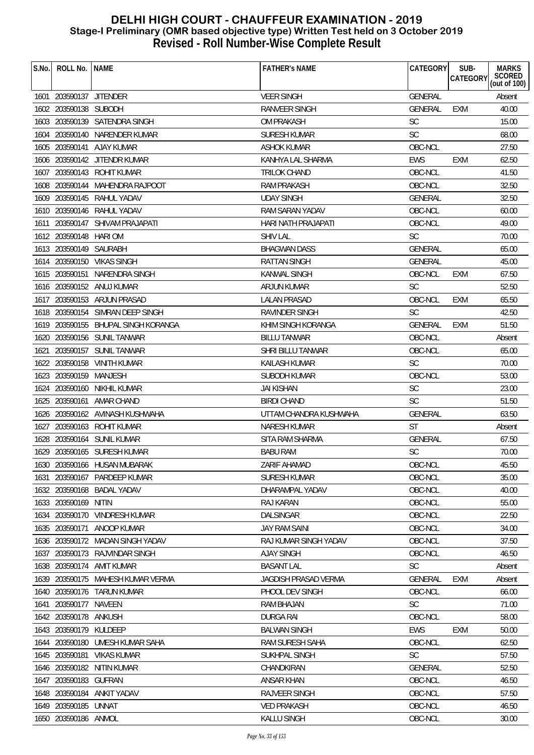| S.No. | ROLL No.   NAME         |                                   | <b>FATHER'S NAME</b>        | CATEGORY       | SUB-            | <b>MARKS</b>           |
|-------|-------------------------|-----------------------------------|-----------------------------|----------------|-----------------|------------------------|
|       |                         |                                   |                             |                | <b>CATEGORY</b> | SCORED<br>(out of 100) |
|       | 1601 203590137 JITENDER |                                   | <b>VEER SINGH</b>           | <b>GENERAL</b> |                 | Absent                 |
|       | 1602 203590138 SUBODH   |                                   | RANVEER SINGH               | GENERAL        | EXM             | 40.00                  |
|       |                         | 1603 203590139 SATENDRA SINGH     | <b>OM PRAKASH</b>           | <b>SC</b>      |                 | 15.00                  |
|       |                         | 1604 203590140 NARENDER KUMAR     | <b>SURESH KUMAR</b>         | <b>SC</b>      |                 | 68.00                  |
|       |                         | 1605 203590141 AJAY KUMAR         | ASHOK KUMAR                 | OBC-NCL        |                 | 27.50                  |
| 1606  |                         | 203590142 JITENDR KUMAR           | KANHYA LAL SHARMA           | <b>EWS</b>     | <b>EXM</b>      | 62.50                  |
|       |                         | 1607 203590143 ROHIT KUMAR        | TRILOK CHAND                | OBC-NCL        |                 | 41.50                  |
|       |                         | 1608 203590144 MAHENDRA RAJPOOT   | <b>RAM PRAKASH</b>          | OBC-NCL        |                 | 32.50                  |
|       |                         | 1609 203590145 RAHUL YADAV        | <b>UDAY SINGH</b>           | <b>GENERAL</b> |                 | 32.50                  |
|       |                         | 1610 203590146 RAHUL YADAV        | RAM SARAN YADAV             | OBC-NCL        |                 | 60.00                  |
|       |                         | 1611 203590147 SHIVAM PRAJAPATI   | HARI NATH PRAJAPATI         | OBC-NCL        |                 | 49.00                  |
|       | 1612 203590148 HARIOM   |                                   | <b>SHIV LAL</b>             | <b>SC</b>      |                 | 70.00                  |
|       | 1613 203590149 SAURABH  |                                   | <b>BHAGWAN DASS</b>         | <b>GENERAL</b> |                 | 65.00                  |
|       |                         | 1614 203590150 VIKAS SINGH        | RATTAN SINGH                | <b>GENERAL</b> |                 | 45.00                  |
|       |                         | 1615 203590151 NARENDRA SINGH     | <b>KANWAL SINGH</b>         | OBC-NCL        | EXM             | 67.50                  |
|       |                         | 1616 203590152 ANUJ KUMAR         | <b>ARJUN KUMAR</b>          | <b>SC</b>      |                 | 52.50                  |
| 1617  |                         | 203590153 ARJUN PRASAD            | <b>LALAN PRASAD</b>         | OBC-NCL        | <b>EXM</b>      | 65.50                  |
|       |                         | 1618 203590154 SIMRAN DEEP SINGH  | <b>RAVINDER SINGH</b>       | <b>SC</b>      |                 | 42.50                  |
|       | 1619 203590155          | BHUPAL SINGH KORANGA              | KHIM SINGH KORANGA          | <b>GENERAL</b> | <b>EXM</b>      | 51.50                  |
|       |                         | 1620 203590156 SUNIL TANWAR       | <b>BILLU TANWAR</b>         | OBC-NCL        |                 | Absent                 |
| 1621  |                         | 203590157 SUNIL TANWAR            | SHRI BILLU TANWAR           | OBC-NCL        |                 | 65.00                  |
|       |                         | 1622 203590158 VINITH KUMAR       | <b>KAILASH KUMAR</b>        | <b>SC</b>      |                 | 70.00                  |
|       | 1623 203590159 MANJESH  |                                   | <b>SUBODH KUMAR</b>         | OBC-NCL        |                 | 53.00                  |
|       |                         | 1624 203590160 NIKHIL KUMAR       | <b>JAI KISHAN</b>           | <b>SC</b>      |                 | 23.00                  |
|       |                         | 1625 203590161 AMAR CHAND         | <b>BIRDI CHAND</b>          | <b>SC</b>      |                 | 51.50                  |
|       |                         | 1626 203590162 AVINASH KUSHWAHA   | UTTAM CHANDRA KUSHWAHA      | <b>GENERAL</b> |                 | 63.50                  |
| 1627  |                         | 203590163 ROHIT KUMAR             | <b>NARESH KUMAR</b>         | <b>ST</b>      |                 | Absent                 |
| 1628  |                         | 203590164 SUNIL KUMAR             | SITA RAM SHARMA             | <b>GENERAL</b> |                 | 67.50                  |
|       |                         | 1629 203590165 SURESH KUMAR       | <b>BABU RAM</b>             | <b>SC</b>      |                 | 70.00                  |
|       |                         | 1630 203590166 HUSAN MUBARAK      | ZARIF AHAMAD                | OBC-NCL        |                 | 45.50                  |
| 1631  | 203590167               | PARDEEP KUMAR                     | <b>SURESH KUMAR</b>         | OBC-NCL        |                 | 35.00                  |
|       |                         | 1632 203590168 BADAL YADAV        | DHARAMPAL YADAV             | OBC-NCL        |                 | 40.00                  |
|       | 1633 203590169 NITIN    |                                   | <b>RAJ KARAN</b>            | OBC-NCL        |                 | 55.00                  |
| 1634  |                         | 203590170 VINDRESH KUMAR          | DALSINGAR                   | OBC-NCL        |                 | 22.50                  |
| 1635  | 203590171               | ANOOP KUMAR                       | <b>JAY RAM SAINI</b>        | OBC-NCL        |                 | 34.00                  |
| 1636  | 203590172               | MADAN SINGH YADAV                 | RAJ KUMAR SINGH YADAV       | OBC-NCL        |                 | 37.50                  |
| 1637  |                         | 203590173 RAJVINDAR SINGH         | <b>AJAY SINGH</b>           | OBC-NCL        |                 | 46.50                  |
|       |                         | 1638 203590174 AMIT KUMAR         | <b>BASANT LAL</b>           | SC             |                 | Absent                 |
|       |                         | 1639 203590175 MAHESH KUMAR VERMA | <b>JAGDISH PRASAD VERMA</b> | <b>GENERAL</b> | <b>EXM</b>      | Absent                 |
|       |                         | 1640 203590176 TARUN KUMAR        | PHOOL DEV SINGH             | OBC-NCL        |                 | 66.00                  |
| 1641  | 203590177               | NAVEEN                            | RAM BHAJAN                  | <b>SC</b>      |                 | 71.00                  |
| 1642  | 203590178               | ANKUSH                            | <b>DURGA RAI</b>            | OBC-NCL        |                 | 58.00                  |
|       | 1643 203590179          | KULDEEP                           | <b>BALWAN SINGH</b>         | <b>EWS</b>     | EXM             | 50.00                  |
|       |                         | 1644 203590180 UMESH KUMAR SAHA   | RAM SURESH SAHA             | OBC-NCL        |                 | 62.50                  |
|       | 1645 203590181          | <b>VIKAS KUMAR</b>                | SUKHPAL SINGH               | <b>SC</b>      |                 | 57.50                  |
| 1646  | 203590182               | NITIN KUMAR                       | CHANDKIRAN                  | <b>GENERAL</b> |                 | 52.50                  |
| 1647  | 203590183 GUFRAN        |                                   | ANSAR KHAN                  | OBC-NCL        |                 | 46.50                  |
|       | 1648 203590184          | ANKIT YADAV                       | RAJVEER SINGH               | OBC-NCL        |                 | 57.50                  |
| 1649  | 203590185 UNNAT         |                                   | <b>VED PRAKASH</b>          | OBC-NCL        |                 | 46.50                  |
|       | 1650 203590186 ANMOL    |                                   | KALLU SINGH                 | OBC-NCL        |                 | 30.00                  |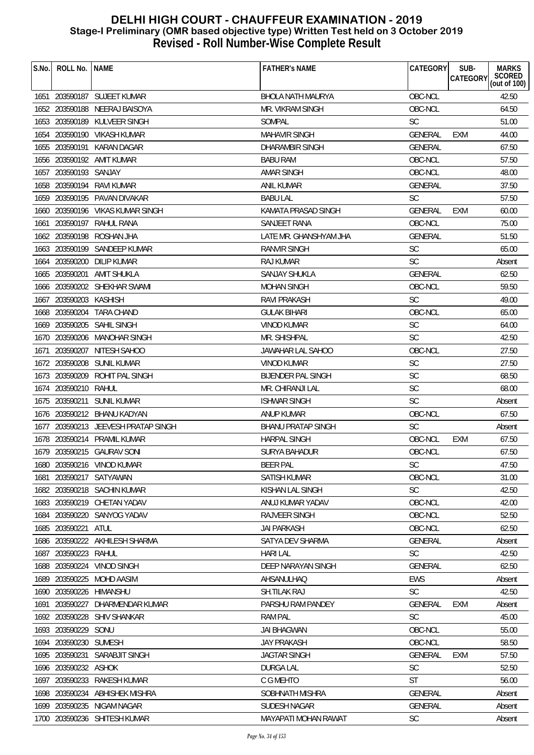| S.No. | ROLL No.                          | <b>NAME</b>                         | <b>FATHER'S NAME</b>             | CATEGORY             | SUB-<br><b>CATEGORY</b> | <b>MARKS</b>           |
|-------|-----------------------------------|-------------------------------------|----------------------------------|----------------------|-------------------------|------------------------|
|       |                                   |                                     |                                  |                      |                         | SCORED<br>(out of 100) |
| 1651  |                                   | 203590187 SUJEET KUMAR              | <b>BHOLA NATH MAURYA</b>         | OBC-NCL              |                         | 42.50                  |
|       |                                   | 1652 203590188 NEERAJ BAISOYA       | MR. VIKRAM SINGH                 | OBC-NCL              |                         | 64.50                  |
|       | 1653 203590189                    | KULVEER SINGH                       | SOMPAL                           | <b>SC</b>            |                         | 51.00                  |
| 1654  |                                   | 203590190 VIKASH KUMAR              | <b>MAHAVIR SINGH</b>             | <b>GENERAL</b>       | <b>EXM</b>              | 44.00                  |
| 1655  | 203590191                         | KARAN DAGAR                         | DHARAMBIR SINGH                  | <b>GENERAL</b>       |                         | 67.50                  |
| 1656  |                                   | 203590192 AMIT KUMAR                | <b>BABU RAM</b>                  | OBC-NCL              |                         | 57.50                  |
| 1657  | 203590193 SANJAY                  |                                     | AMAR SINGH                       | OBC-NCL              |                         | 48.00                  |
|       |                                   | 1658 203590194 RAVI KUMAR           | <b>ANIL KUMAR</b>                | <b>GENERAL</b>       |                         | 37.50                  |
|       |                                   | 1659 203590195 PAVAN DIVAKAR        | <b>BABU LAL</b>                  | <b>SC</b>            |                         | 57.50                  |
|       |                                   | 1660 203590196 VIKAS KUMAR SINGH    | KAMATA PRASAD SINGH              | <b>GENERAL</b>       | <b>EXM</b>              | 60.00                  |
| 1661  |                                   | 203590197 RAHUL RANA                | SANJEET RANA                     | OBC-NCL              |                         | 75.00                  |
|       |                                   | 1662 203590198 ROSHAN JHA           | LATE MR. GHANSHYAM JHA           | <b>GENERAL</b>       |                         | 51.50                  |
|       |                                   | 1663 203590199 SANDEEP KUMAR        | RANVIR SINGH                     | <b>SC</b>            |                         | 65.00                  |
| 1664  | 203590200                         | DILIP KUMAR                         | RAJ KUMAR                        | <b>SC</b>            |                         | Absent                 |
|       |                                   | 1665 203590201 AMIT SHUKLA          | <b>SANJAY SHUKLA</b>             | <b>GENERAL</b>       |                         | 62.50                  |
|       |                                   | 1666 203590202 SHEKHAR SWAMI        | <b>MOHAN SINGH</b>               | OBC-NCL              |                         | 59.50                  |
| 1667  | 203590203 KASHISH                 |                                     | <b>RAVI PRAKASH</b>              | <b>SC</b>            |                         | 49.00                  |
| 1668  |                                   | 203590204 TARA CHAND                | <b>GULAK BIHARI</b>              | OBC-NCL              |                         | 65.00                  |
|       |                                   | 1669 203590205 SAHIL SINGH          | <b>VINOD KUMAR</b>               | SC                   |                         | 64.00                  |
|       |                                   | 1670 203590206 MANOHAR SINGH        | MR. SHISHPAL                     | <b>SC</b>            |                         | 42.50                  |
| 1671  | 203590207                         | NITESH SAHOO                        | JAWAHAR LAL SAHOO                | OBC-NCL              |                         | 27.50                  |
| 1672  |                                   | 203590208 SUNIL KUMAR               | VINOD KUMAR                      | <b>SC</b>            |                         | 27.50                  |
| 1673  |                                   | 203590209 ROHIT PAL SINGH           | <b>BIJENDER PAL SINGH</b>        | <b>SC</b>            |                         | 68.50                  |
|       | 1674 203590210 RAHUL              |                                     | MR. CHIRANJI LAL                 | <b>SC</b>            |                         | 68.00                  |
|       | 1675 203590211                    | SUNIL KUMAR                         | <b>ISHWAR SINGH</b>              | <b>SC</b>            |                         | Absent                 |
|       |                                   | 1676 203590212 BHANU KADYAN         | ANUP KUMAR                       | OBC-NCL              |                         | 67.50                  |
|       |                                   | 1677 203590213 JEEVESH PRATAP SINGH | <b>BHANU PRATAP SINGH</b>        | <b>SC</b>            |                         | Absent                 |
| 1678  |                                   | 203590214 PRAMIL KUMAR              | <b>HARPAL SINGH</b>              | OBC-NCL              | <b>EXM</b>              | 67.50                  |
|       |                                   | 1679 203590215 GAURAV SONI          | <b>SURYA BAHADUR</b>             | OBC-NCL              |                         | 67.50                  |
|       |                                   | 1680 203590216 VINOD KUMAR          | <b>BEER PAL</b>                  | SC                   |                         | 47.50                  |
| 1681  |                                   | 203590217 SATYAWAN                  | <b>SATISH KUMAR</b>              | OBC-NCL              |                         | 31.00                  |
|       |                                   | 1682 203590218 SACHIN KUMAR         | KISHAN LAL SINGH                 | <b>SC</b>            |                         | 42.50                  |
|       |                                   | 1683 203590219 CHETAN YADAV         | ANUJ KUMAR YADAV                 | OBC-NCL              |                         | 42.00                  |
|       |                                   | 1684 203590220 SANYOG YADAV         | <b>RAJVEER SINGH</b>             | OBC-NCL              |                         | 52.50                  |
| 1685  | 203590221 ATUL                    |                                     | <b>JAI PARKASH</b>               | OBC-NCL              |                         | 62.50                  |
|       | 1686 203590222                    | AKHILESH SHARMA                     | SATYA DEV SHARMA                 | <b>GENERAL</b>       |                         | Absent                 |
|       | 1687 203590223 RAHUL              |                                     | <b>HARI LAL</b>                  | <b>SC</b>            |                         | 42.50                  |
| 1688  | 203590224                         | <b>VINOD SINGH</b>                  | DEEP NARAYAN SINGH               | <b>GENERAL</b>       |                         | 62.50                  |
| 1689  | 203590225                         | MOHD AASIM                          | AHSANULHAQ                       | <b>EWS</b>           |                         | Absent                 |
|       |                                   | 1690 203590226 HIMANSHU             | SH.TILAK RAJ                     | <b>SC</b>            |                         | 42.50                  |
| 1691  | 203590227                         | DHARMENDAR KUMAR                    | PARSHU RAM PANDEY                | <b>GENERAL</b>       | <b>EXM</b>              | Absent                 |
|       | 1692 203590228                    | <b>SHIV SHANKAR</b>                 | <b>RAM PAL</b>                   | <b>SC</b>            |                         | 45.00                  |
|       | 1693 203590229                    | SONU                                | <b>JAI BHAGWAN</b>               | OBC-NCL              |                         | 55.00                  |
|       |                                   |                                     |                                  |                      |                         |                        |
|       | 1694 203590230 SUMESH             | SARABJIT SINGH                      | <b>JAY PRAKASH</b>               | OBC-NCL              |                         | 58.50                  |
| 1696  | 1695 203590231<br>203590232 ASHOK |                                     | JAGTAR SINGH<br><b>DURGA LAL</b> | <b>GENERAL</b><br>SC | EXM                     | 57.50<br>52.50         |
|       | 1697 203590233                    | RAKESH KUMAR                        | C G MEHTO                        | <b>ST</b>            |                         | 56.00                  |
|       |                                   |                                     | SOBHNATH MISHRA                  |                      |                         |                        |
| 1698  |                                   | 203590234 ABHISHEK MISHRA           |                                  | <b>GENERAL</b>       |                         | Absent                 |
|       |                                   | 1699 203590235 NIGAM NAGAR          | SUDESH NAGAR                     | GENERAL              |                         | Absent                 |
|       |                                   | 1700 203590236 SHITESH KUMAR        | <b>MAYAPATI MOHAN RAWAT</b>      | <b>SC</b>            |                         | Absent                 |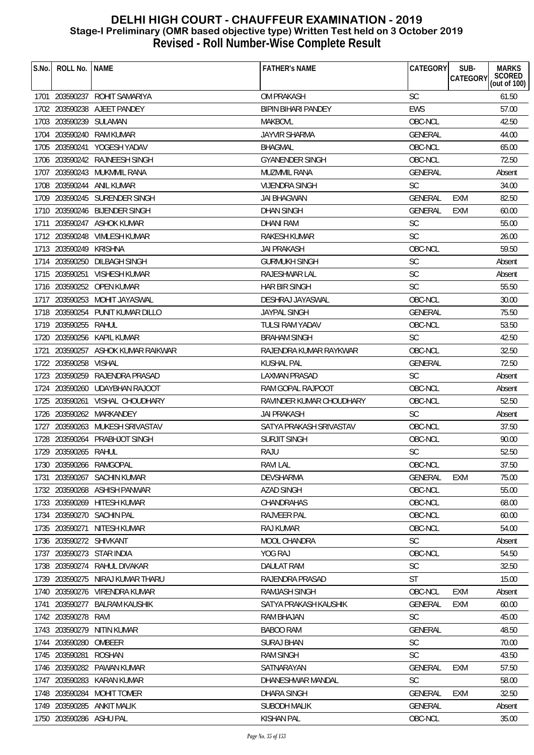| S.No. | ROLL No.                | <b>NAME</b>                      | <b>FATHER'S NAME</b>       | CATEGORY       | SUB-<br><b>CATEGORY</b> | <b>MARKS</b><br>SCORED<br>(out of 100) |
|-------|-------------------------|----------------------------------|----------------------------|----------------|-------------------------|----------------------------------------|
|       |                         | 1701 203590237 ROHIT SAMARIYA    | OM PRAKASH                 | <b>SC</b>      |                         | 61.50                                  |
|       |                         | 1702 203590238 AJEET PANDEY      | <b>BIPIN BIHARI PANDEY</b> | <b>EWS</b>     |                         | 57.00                                  |
|       | 1703 203590239          | SULAMAN                          | <b>MAKBOVL</b>             | OBC-NCL        |                         | 42.50                                  |
|       |                         | 1704 203590240 RAM KUMAR         | <b>JAYVIR SHARMA</b>       | <b>GENERAL</b> |                         | 44.00                                  |
|       |                         | 1705 203590241 YOGESH YADAV      | <b>BHAGMAL</b>             | OBC-NCL        |                         | 65.00                                  |
| 1706  |                         | 203590242 RAJNEESH SINGH         | <b>GYANENDER SINGH</b>     | OBC-NCL        |                         | 72.50                                  |
| 1707  |                         | 203590243 MUKMMIL RANA           | MUZMMIL RANA               | <b>GENERAL</b> |                         | Absent                                 |
|       |                         | 1708 203590244 ANIL KUMAR        | <b>VIJENDRA SINGH</b>      | <b>SC</b>      |                         | 34.00                                  |
|       |                         | 1709 203590245 SURENDER SINGH    | <b>JAI BHAGWAN</b>         | <b>GENERAL</b> | EXM                     | 82.50                                  |
|       |                         | 1710 203590246 BIJENDER SINGH    | <b>DHAN SINGH</b>          | <b>GENERAL</b> | <b>EXM</b>              | 60.00                                  |
| 1711  |                         | 203590247 ASHOK KUMAR            | DHANI RAM                  | SC             |                         | 55.00                                  |
|       |                         | 1712 203590248 VIMLESH KUMAR     | <b>RAKESH KUMAR</b>        | <b>SC</b>      |                         | 26.00                                  |
|       | 1713 203590249 KRISHNA  |                                  | JAI PRAKASH                | OBC-NCL        |                         | 59.50                                  |
| 1714  | 203590250               | DILBAGH SINGH                    | <b>GURMUKH SINGH</b>       | <b>SC</b>      |                         | Absent                                 |
|       |                         | 1715 203590251 VISHESH KUMAR     | RAJESHWAR LAL              | SC             |                         | Absent                                 |
|       |                         | 1716 203590252 OPEN KUMAR        | <b>HAR BIR SINGH</b>       | <b>SC</b>      |                         | 55.50                                  |
|       |                         | 1717 203590253 MOHIT JAYASWAL    | DESHRAJ JAYASWAL           | OBC-NCL        |                         | 30.00                                  |
|       |                         | 1718 203590254 PUNIT KUMAR DILLO | <b>JAYPAL SINGH</b>        | <b>GENERAL</b> |                         | 75.50                                  |
|       | 1719 203590255          | RAHUL                            | <b>TULSI RAM YADAV</b>     | OBC-NCL        |                         | 53.50                                  |
|       |                         | 1720 203590256 KAPIL KUMAR       | <b>BRAHAM SINGH</b>        | <b>SC</b>      |                         | 42.50                                  |
| 1721  |                         | 203590257 ASHOK KUMAR RAIKWAR    | RAJENDRA KUMAR RAYKWAR     | OBC-NCL        |                         | 32.50                                  |
| 1722  | 203590258 VISHAL        |                                  | KUSHAL PAL                 | <b>GENERAL</b> |                         | 72.50                                  |
|       |                         | 1723 203590259 RAJENDRA PRASAD   | <b>LAXMAN PRASAD</b>       | <b>SC</b>      |                         | Absent                                 |
| 1724  |                         | 203590260 UDAYBHAN RAJOOT        | RAM GOPAL RAJPOOT          | OBC-NCL        |                         | Absent                                 |
|       |                         | 1725 203590261 VISHAL CHOUDHARY  | RAVINDER KUMAR CHOUDHARY   | OBC-NCL        |                         | 52.50                                  |
|       |                         | 1726 203590262 MARKANDEY         | <b>JAI PRAKASH</b>         | <b>SC</b>      |                         | Absent                                 |
|       |                         | 1727 203590263 MUKESH SRIVASTAV  | SATYA PRAKASH SRIVASTAV    | OBC-NCL        |                         | 37.50                                  |
| 1728  | 203590264               | PRABHJOT SINGH                   | <b>SURJIT SINGH</b>        | OBC-NCL        |                         | 90.00                                  |
|       | 1729 203590265 RAHUL    |                                  | <b>RAJU</b>                | <b>SC</b>      |                         | 52.50                                  |
|       |                         | 1730 203590266 RAMGOPAL          | RAVI LAL                   | OBC-NCL        |                         | 37.50                                  |
| 1731  | 203590267               | <b>SACHIN KUMAR</b>              | <b>DEVSHARMA</b>           | <b>GENERAL</b> | EXM                     | 75.00                                  |
| 1732  |                         | 203590268 ASHISH PANWAR          | <b>AZAD SINGH</b>          | OBC-NCL        |                         | 55.00                                  |
|       | 1733 203590269          | HITESH KUMAR                     | CHANDRAHAS                 | OBC-NCL        |                         | 68.00                                  |
| 1734  |                         | 203590270 SACHIN PAL             | RAJVEER PAL                | OBC-NCL        |                         | 60.00                                  |
| 1735  | 203590271               | NITESH KUMAR                     | <b>RAJ KUMAR</b>           | OBC-NCL        |                         | 54.00                                  |
| 1736  | 203590272               | <b>SHIVKANT</b>                  | <b>MOOL CHANDRA</b>        | <b>SC</b>      |                         | Absent                                 |
| 1737  |                         | 203590273 STAR INDIA             | YOG RAJ                    | OBC-NCL        |                         | 54.50                                  |
| 1738  | 203590274               | RAHUL DIVAKAR                    | <b>DAULAT RAM</b>          | SC             |                         | 32.50                                  |
| 1739  | 203590275               | NIRAJ KUMAR THARU                | RAJENDRA PRASAD            | <b>ST</b>      |                         | 15.00                                  |
| 1740  |                         | 203590276 VIRENDRA KUMAR         | RAMJASH SINGH              | OBC-NCL        | EXM                     | Absent                                 |
| 1741  | 203590277               | <b>BALRAM KAUSHIK</b>            | SATYA PRAKASH KAUSHIK      | <b>GENERAL</b> | <b>EXM</b>              | 60.00                                  |
|       | 1742 203590278          | RAVI                             | RAM BHAJAN                 | <b>SC</b>      |                         | 45.00                                  |
| 1743  | 203590279               | NITIN KUMAR                      | <b>BABOO RAM</b>           | <b>GENERAL</b> |                         | 48.50                                  |
|       | 1744 203590280          | OMBEER                           | <b>SURAJ BHAN</b>          | SC             |                         | 70.00                                  |
|       | 1745 203590281          | <b>ROSHAN</b>                    | <b>RAM SINGH</b>           | <b>SC</b>      |                         | 43.50                                  |
| 1746  | 203590282               | PAWAN KUMAR                      | SATNARAYAN                 | <b>GENERAL</b> | <b>EXM</b>              | 57.50                                  |
| 1747  | 203590283               | KARAN KUMAR                      | DHANESHWAR MANDAL          | <b>SC</b>      |                         | 58.00                                  |
| 1748  | 203590284               | MOHIT TOMER                      | <b>DHARA SINGH</b>         | <b>GENERAL</b> | <b>EXM</b>              | 32.50                                  |
| 1749  | 203590285               | ANKIT MALIK                      | <b>SUBODH MALIK</b>        | GENERAL        |                         | Absent                                 |
|       | 1750 203590286 ASHU PAL |                                  | <b>KISHAN PAL</b>          | OBC-NCL        |                         | 35.00                                  |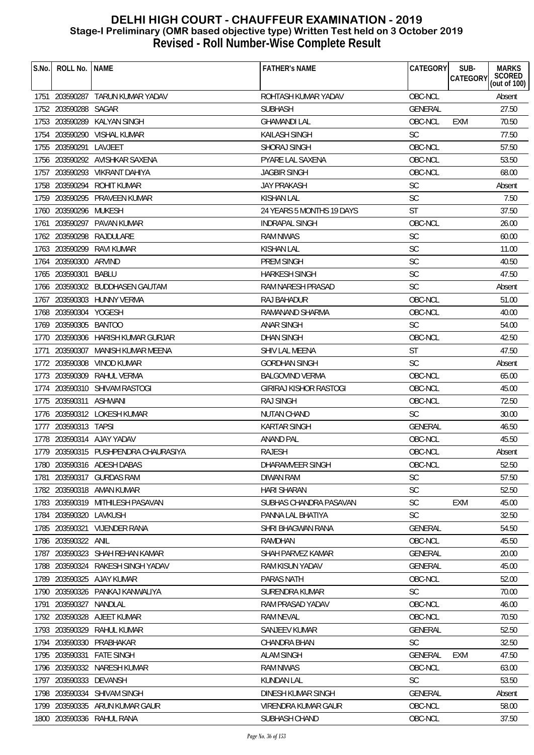| S.No. | ROLL No.               | <b>NAME</b>                          | <b>FATHER'S NAME</b>          | <b>CATEGORY</b> | SUB-<br><b>CATEGORY</b> | <b>MARKS</b><br>SCORED<br>(out of 100) |
|-------|------------------------|--------------------------------------|-------------------------------|-----------------|-------------------------|----------------------------------------|
|       |                        |                                      | ROHTASH KUMAR YADAV           |                 |                         |                                        |
|       |                        | 1751 203590287 TARUN KUMAR YADAV     |                               | OBC-NCL         |                         | Absent                                 |
|       | 1752 203590288         | SAGAR                                | <b>SUBHASH</b>                | GENERAL         |                         | 27.50                                  |
|       | 1753 203590289         | <b>KALYAN SINGH</b>                  | <b>GHAMANDI LAL</b>           | OBC-NCL         | <b>EXM</b>              | 70.50                                  |
|       |                        | 1754 203590290 VISHAL KUMAR          | <b>KAILASH SINGH</b>          | <b>SC</b>       |                         | 77.50                                  |
|       | 1755 203590291         | LAVJEET                              | SHORAJ SINGH                  | OBC-NCL         |                         | 57.50                                  |
|       |                        | 1756 203590292 AVISHKAR SAXENA       | <b>PYARE LAL SAXENA</b>       | OBC-NCL         |                         | 53.50                                  |
|       |                        | 1757 203590293 VIKRANT DAHIYA        | <b>JAGBIR SINGH</b>           | OBC-NCL         |                         | 68.00                                  |
|       |                        | 1758 203590294 ROHIT KUMAR           | <b>JAY PRAKASH</b>            | <b>SC</b>       |                         | Absent                                 |
|       |                        | 1759 203590295 PRAVEEN KUMAR         | <b>KISHAN LAL</b>             | <b>SC</b>       |                         | 7.50                                   |
|       | 1760 203590296 MUKESH  |                                      | 24 YEARS 5 MONTHS 19 DAYS     | <b>ST</b>       |                         | 37.50                                  |
| 1761  |                        | 203590297 PAVAN KUMAR                | <b>INDRAPAL SINGH</b>         | OBC-NCL         |                         | 26.00                                  |
|       | 1762 203590298         | RAJDULARE                            | <b>RAM NIWAS</b>              | <b>SC</b>       |                         | 60.00                                  |
|       | 1763 203590299         | RAVI KUMAR                           | <b>KISHAN LAL</b>             | <b>SC</b>       |                         | 11.00                                  |
|       | 1764 203590300         | ARVIND                               | <b>PREM SINGH</b>             | <b>SC</b>       |                         | 40.50                                  |
|       | 1765 203590301         | BABLU                                | <b>HARKESH SINGH</b>          | <b>SC</b>       |                         | 47.50                                  |
|       |                        | 1766 203590302 BUDDHASEN GAUTAM      | RAM NARESH PRASAD             | <b>SC</b>       |                         | Absent                                 |
|       |                        | 1767 203590303 HUNNY VERMA           | RAJ BAHADUR                   | OBC-NCL         |                         | 51.00                                  |
|       | 1768 203590304 YOGESH  |                                      | RAMANAND SHARMA               | OBC-NCL         |                         | 40.00                                  |
|       | 1769 203590305 BANTOO  |                                      | <b>ANAR SINGH</b>             | <b>SC</b>       |                         | 54.00                                  |
|       |                        | 1770 203590306 HARISH KUMAR GURJAR   | <b>DHAN SINGH</b>             | OBC-NCL         |                         | 42.50                                  |
| 1771  |                        | 203590307 MANISH KUMAR MEENA         | SHIV LAL MEENA                | <b>ST</b>       |                         | 47.50                                  |
|       |                        | 1772 203590308 VINOD KUMAR           | <b>GORDHAN SINGH</b>          | <b>SC</b>       |                         | Absent                                 |
|       | 1773 203590309         | RAHUL VERMA                          | <b>BALGOVIND VERMA</b>        | OBC-NCL         |                         | 65.00                                  |
|       |                        | 1774 203590310 SHIVAM RASTOGI        | <b>GIRIRAJ KISHOR RASTOGI</b> | OBC-NCL         |                         | 45.00                                  |
|       | 1775 203590311 ASHWANI |                                      | <b>RAJ SINGH</b>              | OBC-NCL         |                         | 72.50                                  |
|       |                        | 1776 203590312 LOKESH KUMAR          | <b>NUTAN CHAND</b>            | <b>SC</b>       |                         | 30.00                                  |
|       | 1777 203590313 TAPSI   |                                      | <b>KARTAR SINGH</b>           | <b>GENERAL</b>  |                         | 46.50                                  |
|       |                        | 1778 203590314 AJAY YADAV            | <b>ANAND PAL</b>              | OBC-NCL         |                         | 45.50                                  |
|       |                        | 1779 203590315 PUSHPENDRA CHAURASIYA | <b>RAJESH</b>                 | OBC-NCL         |                         | Absent                                 |
|       |                        | 1780 203590316 ADESH DABAS           | DHARAMVEER SINGH              | OBC-NCL         |                         | 52.50                                  |
| 1781  |                        | 203590317 GURDAS RAM                 | DIWAN RAM                     | <b>SC</b>       |                         | 57.50                                  |
|       |                        | 1782 203590318 AMAN KUMAR            | <b>HARI SHARAN</b>            | <b>SC</b>       |                         | 52.50                                  |
|       |                        | 1783 203590319 MITHILESH PASAVAN     | SUBHAS CHANDRA PASAVAN        | <b>SC</b>       | <b>EXM</b>              | 45.00                                  |
|       | 1784 203590320 LAVKUSH |                                      | PANNA LAL BHATIYA             | <b>SC</b>       |                         | 32.50                                  |
|       | 1785 203590321         | <b>VIJENDER RANA</b>                 | SHRI BHAGWAN RANA             | <b>GENERAL</b>  |                         | 54.50                                  |
|       | 1786 203590322         | ANIL                                 | <b>RAMDHAN</b>                | OBC-NCL         |                         | 45.50                                  |
|       |                        | 1787 203590323 SHAH REHAN KAMAR      | SHAH PARVEZ KAMAR             | <b>GENERAL</b>  |                         | 20.00                                  |
|       |                        | 1788 203590324 RAKESH SINGH YADAV    | <b>RAM KISUN YADAV</b>        | <b>GENERAL</b>  |                         | 45.00                                  |
|       |                        | 1789 203590325 AJAY KUMAR            | <b>PARAS NATH</b>             | OBC-NCL         |                         | 52.00                                  |
|       |                        | 1790 203590326 PANKAJ KANWALIYA      | SURENDRA KUMAR                | <b>SC</b>       |                         | 70.00                                  |
|       |                        | NANDLAL                              | RAM PRASAD YADAV              | OBC-NCL         |                         | 46.00                                  |
| 1791  | 203590327              | 1792 203590328 AJEET KUMAR           | <b>RAM NEVAL</b>              | OBC-NCL         |                         | 70.50                                  |
|       |                        |                                      |                               |                 |                         |                                        |
|       | 1793 203590329         | RAHUL KUMAR                          | <b>SANJEEV KUMAR</b>          | <b>GENERAL</b>  |                         | 52.50                                  |
|       | 1794 203590330         | PRABHAKAR                            | CHANDRA BHAN                  | <b>SC</b>       |                         | 32.50                                  |
|       | 1795 203590331         | <b>FATE SINGH</b>                    | <b>ALAM SINGH</b>             | <b>GENERAL</b>  | EXM                     | 47.50                                  |
| 1796  |                        | 203590332 NARESH KUMAR               | <b>RAM NIWAS</b>              | OBC-NCL         |                         | 63.00                                  |
| 1797  | 203590333              | DEVANSH                              | <b>KUNDAN LAL</b>             | <b>SC</b>       |                         | 53.50                                  |
|       | 1798 203590334         | <b>SHIVAM SINGH</b>                  | DINESH KUMAR SINGH            | <b>GENERAL</b>  |                         | Absent                                 |
|       |                        | 1799 203590335 ARUN KUMAR GAUR       | VIRENDRA KUMAR GAUR           | OBC-NCL         |                         | 58.00                                  |
|       |                        | 1800 203590336 RAHUL RANA            | SUBHASH CHAND                 | OBC-NCL         |                         | 37.50                                  |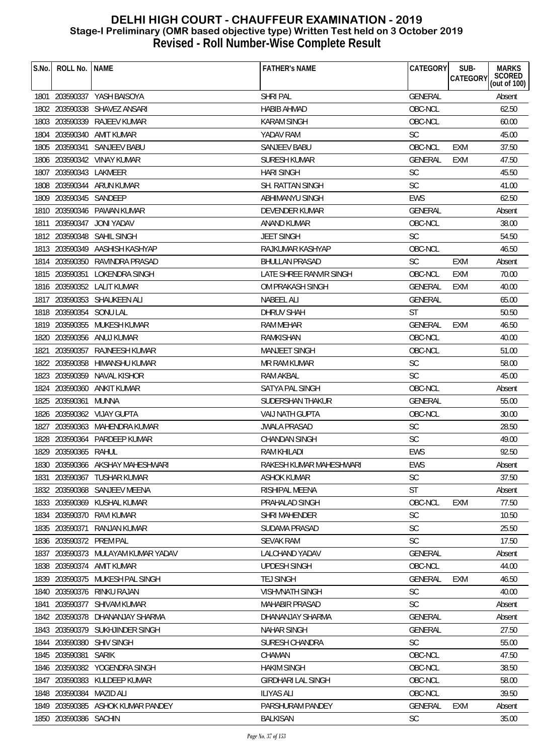| S.No. | ROLL No.   NAME         |                                   | <b>FATHER'S NAME</b>      | CATEGORY       | SUB-<br>CATEGORY | <b>MARKS</b><br>SCORED<br>(out of 100) |
|-------|-------------------------|-----------------------------------|---------------------------|----------------|------------------|----------------------------------------|
|       |                         | 1801 203590337 YASH BAISOYA       | <b>SHRI PAL</b>           | GENERAL        |                  | Absent                                 |
|       |                         | 1802 203590338 SHAVEZ ANSARI      | <b>HABIB AHMAD</b>        | OBC-NCL        |                  | 62.50                                  |
|       | 1803 203590339          | RAJEEV KUMAR                      | <b>KARAM SINGH</b>        | OBC-NCL        |                  | 60.00                                  |
| 1804  | 203590340               | AMIT KUMAR                        | YADAV RAM                 | <b>SC</b>      |                  | 45.00                                  |
|       |                         | 1805 203590341 SANJEEV BABU       | <b>SANJEEV BABU</b>       | OBC-NCL        | EXM              | 37.50                                  |
|       |                         | 1806 203590342 VINAY KUMAR        | <b>SURESH KUMAR</b>       | <b>GENERAL</b> | <b>EXM</b>       | 47.50                                  |
| 1807  | 203590343 LAKMEER       |                                   | <b>HARI SINGH</b>         | <b>SC</b>      |                  | 45.50                                  |
|       |                         | 1808 203590344 ARUN KUMAR         | SH. RATTAN SINGH          | <b>SC</b>      |                  | 41.00                                  |
|       | 1809 203590345 SANDEEP  |                                   | <b>ABHIMANYU SINGH</b>    | <b>EWS</b>     |                  | 62.50                                  |
|       |                         | 1810 203590346 PAWAN KUMAR        | <b>DEVENDER KUMAR</b>     | <b>GENERAL</b> |                  | Absent                                 |
| 1811  | 203590347               | <b>JONI YADAV</b>                 | ANAND KUMAR               | OBC-NCL        |                  | 38.00                                  |
|       |                         | 1812 203590348 SAHIL SINGH        | <b>JEET SINGH</b>         | <b>SC</b>      |                  | 54.50                                  |
|       |                         | 1813 203590349 AASHISH KASHYAP    | RAJKUMAR KASHYAP          | OBC-NCL        |                  | 46.50                                  |
|       |                         | 1814 203590350 RAVINDRA PRASAD    | <b>BHULLAN PRASAD</b>     | <b>SC</b>      | <b>EXM</b>       | Absent                                 |
|       |                         | 1815 203590351 LOKENDRA SINGH     | LATE SHREE RANVIR SINGH   | OBC-NCL        | <b>EXM</b>       | 70.00                                  |
|       |                         | 1816 203590352 LALIT KUMAR        | OM PRAKASH SINGH          | <b>GENERAL</b> | <b>EXM</b>       | 40.00                                  |
|       |                         | 1817 203590353 SHAUKEEN ALI       | <b>NABEEL ALI</b>         | GENERAL        |                  | 65.00                                  |
|       | 1818 203590354 SONU LAL |                                   | <b>DHRUV SHAH</b>         | <b>ST</b>      |                  | 50.50                                  |
|       |                         | 1819 203590355 MUKESH KUMAR       | RAM MEHAR                 | <b>GENERAL</b> | EXM              | 46.50                                  |
|       |                         | 1820 203590356 ANUJ KUMAR         | RAMKISHAN                 | OBC-NCL        |                  | 40.00                                  |
| 1821  |                         | 203590357 RAJNEESH KUMAR          | <b>MANJEET SINGH</b>      | OBC-NCL        |                  | 51.00                                  |
|       |                         | 1822 203590358 HIMANSHU KUMAR     | MR RAM KUMAR              | <b>SC</b>      |                  | 58.00                                  |
|       |                         | 1823 203590359 NAVAL KISHOR       | <b>RAM AKBAL</b>          | <b>SC</b>      |                  | 45.00                                  |
|       | 1824 203590360          | ANKIT KUMAR                       | SATYA PAL SINGH           | OBC-NCL        |                  | Absent                                 |
|       | 1825 203590361          | MUNNA                             | SUDERSHAN THAKUR          | <b>GENERAL</b> |                  | 55.00                                  |
|       |                         | 1826 203590362 VIJAY GUPTA        | <b>VAIJ NATH GUPTA</b>    | OBC-NCL        |                  | 30.00                                  |
| 1827  |                         | 203590363 MAHENDRA KUMAR          | <b>JWALA PRASAD</b>       | <b>SC</b>      |                  | 28.50                                  |
|       | 1828 203590364          | PARDEEP KUMAR                     | <b>CHANDAN SINGH</b>      | <b>SC</b>      |                  | 49.00                                  |
|       | 1829 203590365 RAHUL    |                                   | <b>RAM KHILADI</b>        | <b>EWS</b>     |                  | 92.50                                  |
| 1830. |                         | 830 203590366 AKSHAY MAHESHWARI   | RAKESH KUMAR MAHESHWARI   | <b>EWS</b>     |                  | Absent                                 |
| 1831  | 203590367               | TUSHAR KUMAR                      | ASHOK KUMAR               | <b>SC</b>      |                  | 37.50                                  |
|       |                         | 1832 203590368 SANJEEV MEENA      | RISHIPAL MEENA            | ST             |                  | Absent                                 |
|       |                         | 1833 203590369 KUSHAL KUMAR       | PRAHALAD SINGH            | OBC-NCL        | <b>EXM</b>       | 77.50                                  |
|       | 1834 203590370          | RAVI KUMAR                        | SHRI MAHENDER             | <b>SC</b>      |                  | 10.50                                  |
| 1835  | 203590371               | <b>RANJAN KUMAR</b>               | SUDAMA PRASAD             | <b>SC</b>      |                  | 25.50                                  |
| 1836  | 203590372               | PREM PAL                          | <b>SEVAK RAM</b>          | <b>SC</b>      |                  | 17.50                                  |
| 1837  |                         | 203590373 MULAYAM KUMAR YADAV     | <b>LALCHAND YADAV</b>     | <b>GENERAL</b> |                  | Absent                                 |
|       |                         | 1838 203590374 AMIT KUMAR         | UPDESH SINGH              | OBC-NCL        |                  | 44.00                                  |
| 1839  |                         | 203590375 MUKESH PAL SINGH        | <b>TEJ SINGH</b>          | <b>GENERAL</b> | EXM              | 46.50                                  |
| 1840  | 203590376               | RINKU RAJAN                       | VISHVNATH SINGH           | <b>SC</b>      |                  | 40.00                                  |
| 1841  | 203590377               | SHIVAM KUMAR                      | <b>MAHABIR PRASAD</b>     | <b>SC</b>      |                  | Absent                                 |
|       | 1842 203590378          | DHANANJAY SHARMA                  | DHANANJAY SHARMA          | <b>GENERAL</b> |                  | Absent                                 |
| 1843  |                         | 203590379 SUKHJINDER SINGH        | <b>NAHAR SINGH</b>        | <b>GENERAL</b> |                  | 27.50                                  |
| 1844  | 203590380               | <b>SHIV SINGH</b>                 | SURESH CHANDRA            | <b>SC</b>      |                  | 55.00                                  |
| 1845  | 203590381               | <b>SARIK</b>                      | CHAMAN                    | OBC-NCL        |                  | 47.50                                  |
| 1846  |                         | 203590382 YOGENDRA SINGH          | <b>HAKIM SINGH</b>        | OBC-NCL        |                  | 38.50                                  |
| 1847  | 203590383               | KULDEEP KUMAR                     | <b>GIRDHARI LAL SINGH</b> | OBC-NCL        |                  | 58.00                                  |
| 1848  | 203590384               | <b>MAZID ALI</b>                  | <b>ILIYAS ALI</b>         | OBC-NCL        |                  | 39.50                                  |
|       |                         | 1849 203590385 ASHOK KUMAR PANDEY | PARSHURAM PANDEY          | <b>GENERAL</b> | <b>EXM</b>       | Absent                                 |
|       | 1850 203590386 SACHIN   |                                   | <b>BALKISAN</b>           | <b>SC</b>      |                  | 35.00                                  |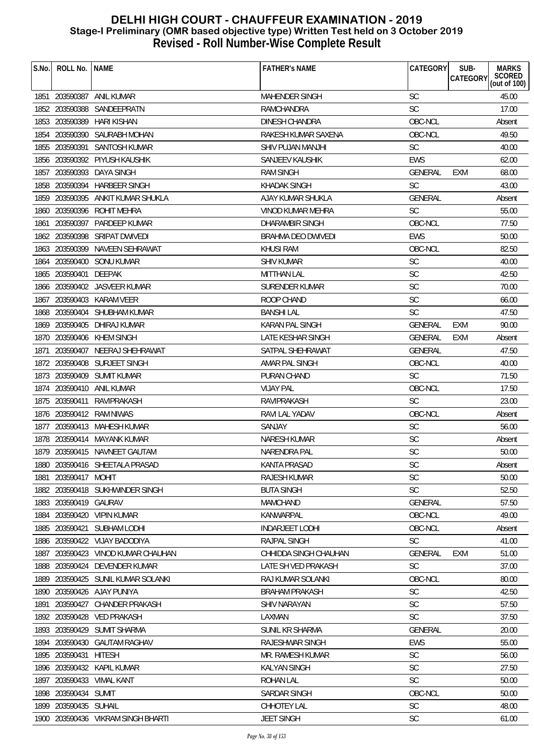| S.No. | ROLL No.              | <b>NAME</b>                        | <b>FATHER'S NAME</b>   | CATEGORY       | SUB-       | <b>MARKS</b>              |
|-------|-----------------------|------------------------------------|------------------------|----------------|------------|---------------------------|
|       |                       |                                    |                        |                | CATEGORY   | SCORED<br>(out of $100$ ) |
| 1851  |                       | 203590387 ANIL KUMAR               | <b>MAHENDER SINGH</b>  | <b>SC</b>      |            | 45.00                     |
|       |                       | 1852 203590388 SANDEEPRATN         | RAMCHANDRA             | SC             |            | 17.00                     |
|       | 1853 203590389        | HARI KISHAN                        | DINESH CHANDRA         | OBC-NCL        |            | Absent                    |
|       |                       | 1854 203590390 SAURABH MOHAN       | RAKESH KUMAR SAXENA    | OBC-NCL        |            | 49.50                     |
|       | 1855 203590391        | SANTOSH KUMAR                      | SHIV PUJAN MANJHI      | <b>SC</b>      |            | 40.00                     |
| 1856  |                       | 203590392 PIYUSH KAUSHIK           | SANJEEV KAUSHIK        | <b>EWS</b>     |            | 62.00                     |
|       |                       | 1857 203590393 DAYA SINGH          | <b>RAM SINGH</b>       | GENERAL        | <b>EXM</b> | 68.00                     |
|       |                       | 1858 203590394 HARBEER SINGH       | <b>KHADAK SINGH</b>    | <b>SC</b>      |            | 43.00                     |
| 1859  |                       | 203590395 ANKIT KUMAR SHUKLA       | AJAY KUMAR SHUKLA      | <b>GENERAL</b> |            | Absent                    |
| 1860  |                       | 203590396 ROHIT MEHRA              | VINOD KUMAR MEHRA      | <b>SC</b>      |            | 55.00                     |
| 1861  |                       | 203590397 PARDEEP KUMAR            | <b>DHARAMBIR SINGH</b> | OBC-NCL        |            | 77.50                     |
|       |                       | 1862 203590398 SRIPAT DWIVEDI      | BRAHMA DEO DWIVEDI     | <b>EWS</b>     |            | 50.00                     |
|       |                       | 1863 203590399 NAVEEN SEHRAWAT     | <b>KHUSI RAM</b>       | OBC-NCL        |            | 82.50                     |
|       | 1864 203590400        | SONU KUMAR                         | SHIV KUMAR             | <b>SC</b>      |            | 40.00                     |
|       | 1865 203590401 DEEPAK |                                    | <b>MITTHAN LAL</b>     | <b>SC</b>      |            | 42.50                     |
|       |                       | 1866 203590402 JASVEER KUMAR       | <b>SURENDER KUMAR</b>  | SC             |            | 70.00                     |
| 1867  |                       | 203590403 KARAM VEER               | ROOP CHAND             | <b>SC</b>      |            | 66.00                     |
| 1868  |                       | 203590404 SHUBHAM KUMAR            | <b>BANSHI LAL</b>      | <b>SC</b>      |            | 47.50                     |
|       |                       | 1869 203590405 DHIRAJ KUMAR        | <b>KARAN PAL SINGH</b> | GENERAL        | <b>EXM</b> | 90.00                     |
|       |                       | 1870 203590406 KHEM SINGH          | LATE KESHAR SINGH      | GENERAL        | <b>EXM</b> | Absent                    |
| 1871  | 203590407             | NEERAJ SHEHRAWAT                   | SATPAL SHEHRAWAT       | <b>GENERAL</b> |            | 47.50                     |
| 1872  | 203590408             | SURJEET SINGH                      | AMAR PAL SINGH         | OBC-NCL        |            | 40.00                     |
|       |                       | 1873 203590409 SUMIT KUMAR         | PURAN CHAND            | <b>SC</b>      |            | 71.50                     |
| 1874  |                       | 203590410 ANIL KUMAR               | <b>VIJAY PAL</b>       | OBC-NCL        |            | 17.50                     |
|       | 1875 203590411        | RAVIPRAKASH                        | RAVIPRAKASH            | <b>SC</b>      |            | 23.00                     |
|       |                       | 1876 203590412 RAM NIWAS           | RAVI LAL YADAV         | OBC-NCL        |            | Absent                    |
| 1877  |                       | 203590413 MAHESH KUMAR             | SANJAY                 | <b>SC</b>      |            | 56.00                     |
| 1878  |                       | 203590414 MAYANK KUMAR             | <b>NARESH KUMAR</b>    | <b>SC</b>      |            | Absent                    |
|       |                       | 1879 203590415 NAVNEET GAUTAM      | NARENDRA PAL           | <b>SC</b>      |            | 50.00                     |
|       |                       | 1880 203590416 SHEETALA PRASAD     | KANTA PRASAD           | SC             |            | Absent                    |
| 1881  | 203590417 MOHIT       |                                    | <b>RAJESH KUMAR</b>    | <b>SC</b>      |            | 50.00                     |
|       |                       | 1882 203590418 SUKHWINDER SINGH    | <b>BUTA SINGH</b>      | <b>SC</b>      |            | 52.50                     |
|       | 1883 203590419 GAURAV |                                    | <b>MAMCHAND</b>        | GENERAL        |            | 57.50                     |
| 1884  |                       | 203590420 VIPIN KUMAR              | KANWARPAL              | OBC-NCL        |            | 49.00                     |
| 1885  | 203590421             | SUBHAM LODHI                       | <b>INDARJEET LODHI</b> | OBC-NCL        |            | Absent                    |
| 1886  |                       | 203590422 VIJAY BADODIYA           | RAJPAL SINGH           | <b>SC</b>      |            | 41.00                     |
| 1887  |                       | 203590423 VINOD KUMAR CHAUHAN      | CHHIDDA SINGH CHAUHAN  | GENERAL        | <b>EXM</b> | 51.00                     |
| 1888  |                       | 203590424 DEVENDER KUMAR           | LATE SH VED PRAKASH    | <b>SC</b>      |            | 37.00                     |
| 1889  |                       | 203590425 SUNIL KUMAR SOLANKI      | RAJ KUMAR SOLANKI      | OBC-NCL        |            | 80.00                     |
| 1890  |                       | 203590426 AJAY PUNIYA              | <b>BRAHAM PRAKASH</b>  | <b>SC</b>      |            | 42.50                     |
| 1891  | 203590427             | <b>CHANDER PRAKASH</b>             | <b>SHIV NARAYAN</b>    | <b>SC</b>      |            | 57.50                     |
|       | 1892 203590428        | <b>VED PRAKASH</b>                 | LAXMAN                 | <b>SC</b>      |            | 37.50                     |
| 1893  | 203590429             | <b>SUMIT SHARMA</b>                | SUNIL KR SHARMA        | GENERAL        |            | 20.00                     |
|       |                       | 1894 203590430 GAUTAM RAGHAV       | RAJESHWAR SINGH        | <b>EWS</b>     |            | 55.00                     |
| 1895  | 203590431             | HITESH                             | MR. RAMESH KUMAR       | <b>SC</b>      |            | 56.00                     |
| 1896  |                       | 203590432 KAPIL KUMAR              | <b>KALYAN SINGH</b>    | <b>SC</b>      |            | 27.50                     |
| 1897  |                       | 203590433 VIMAL KANT               | ROHAN LAL              | <b>SC</b>      |            | 50.00                     |
| 1898  | 203590434 SUMIT       |                                    | <b>SARDAR SINGH</b>    | OBC-NCL        |            | 50.00                     |
| 1899  | 203590435 SUHAIL      |                                    | CHHOTEY LAL            | <b>SC</b>      |            | 48.00                     |
|       |                       | 1900 203590436 VIKRAM SINGH BHARTI | <b>JEET SINGH</b>      | <b>SC</b>      |            | 61.00                     |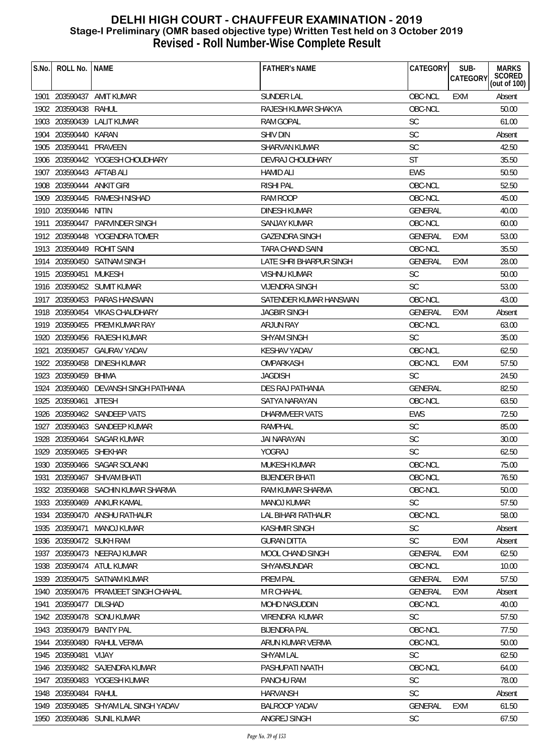| S.No. | ROLL No.                  | <b>NAME</b>                           | <b>FATHER'S NAME</b>      | CATEGORY       | SUB-<br>CATEGORY | <b>MARKS</b><br>SCORED<br>(out of 100) |
|-------|---------------------------|---------------------------------------|---------------------------|----------------|------------------|----------------------------------------|
|       |                           | 1901 203590437 AMIT KUMAR             | <b>SUNDER LAL</b>         | OBC-NCL        | <b>EXM</b>       | Absent                                 |
|       | 1902 203590438            | RAHUL                                 | RAJESH KUMAR SHAKYA       | OBC-NCL        |                  | 50.00                                  |
|       |                           | 1903 203590439 LALIT KUMAR            | <b>RAM GOPAL</b>          | <b>SC</b>      |                  | 61.00                                  |
|       | 1904 203590440 KARAN      |                                       | <b>SHIV DIN</b>           | SC             |                  | Absent                                 |
|       | 1905 203590441            | PRAVEEN                               | <b>SHARVAN KUMAR</b>      | <b>SC</b>      |                  | 42.50                                  |
|       |                           | 1906 203590442 YOGESH CHOUDHARY       | DEVRAJ CHOUDHARY          | <b>ST</b>      |                  | 35.50                                  |
|       | 1907 203590443 AFTAB ALI  |                                       | <b>HAMID ALI</b>          | <b>EWS</b>     |                  | 50.50                                  |
|       | 1908 203590444 ANKIT GIRI |                                       | <b>RISHI PAL</b>          | OBC-NCL        |                  | 52.50                                  |
|       |                           | 1909 203590445 RAMESH NISHAD          | <b>RAM ROOP</b>           | OBC-NCL        |                  | 45.00                                  |
|       | 1910 203590446 NITIN      |                                       | DINESH KUMAR              | <b>GENERAL</b> |                  | 40.00                                  |
|       |                           | 1911 203590447 PARVINDER SINGH        | SANJAY KUMAR              | OBC-NCL        |                  | 60.00                                  |
|       |                           | 1912 203590448 YOGENDRA TOMER         | <b>GAZENDRA SINGH</b>     | <b>GENERAL</b> | EXM              | 53.00                                  |
|       |                           | 1913 203590449 ROHIT SAINI            | TARA CHAND SAINI          | OBC-NCL        |                  | 35.50                                  |
|       |                           | 1914 203590450 SATNAM SINGH           | LATE SHRI BHARPUR SINGH   | <b>GENERAL</b> | EXM              | 28.00                                  |
|       | 1915 203590451 MUKESH     |                                       | <b>VISHNU KUMAR</b>       | <b>SC</b>      |                  | 50.00                                  |
|       |                           | 1916 203590452 SUMIT KUMAR            | <b>VIJENDRA SINGH</b>     | <b>SC</b>      |                  | 53.00                                  |
|       |                           | 1917 203590453 PARAS HANSWAN          | SATENDER KUMAR HANSWAN    | OBC-NCL        |                  | 43.00                                  |
|       |                           | 1918 203590454 VIKAS CHAUDHARY        | <b>JAGBIR SINGH</b>       | <b>GENERAL</b> | <b>EXM</b>       | Absent                                 |
|       |                           | 1919 203590455 PREM KUMAR RAY         | ARJUN RAY                 | OBC-NCL        |                  | 63.00                                  |
|       |                           | 1920 203590456 RAJESH KUMAR           | <b>SHYAM SINGH</b>        | <b>SC</b>      |                  | 35.00                                  |
| 1921  |                           | 203590457 GAURAV YADAV                | <b>KESHAV YADAV</b>       | OBC-NCL        |                  | 62.50                                  |
|       |                           | 1922 203590458 DINESH KUMAR           | OMPARKASH                 | OBC-NCL        | EXM              | 57.50                                  |
|       | 1923 203590459            | BHIMA                                 | <b>JAGDISH</b>            | <b>SC</b>      |                  | 24.50                                  |
|       |                           | 1924 203590460 DEVANSH SINGH PATHANIA | DES RAJ PATHANIA          | <b>GENERAL</b> |                  | 82.50                                  |
|       | 1925 203590461            | <b>JITESH</b>                         | SATYA NARAYAN             | OBC-NCL        |                  | 63.50                                  |
|       |                           | 1926 203590462 SANDEEP VATS           | DHARMVEER VATS            | <b>EWS</b>     |                  | 72.50                                  |
|       |                           | 1927 203590463 SANDEEP KUMAR          | RAMPHAL                   | <b>SC</b>      |                  | 85.00                                  |
|       |                           | 1928 203590464 SAGAR KUMAR            | <b>JAI NARAYAN</b>        | SC             |                  | 30.00                                  |
|       | 1929 203590465 SHEKHAR    |                                       | YOGRAJ                    | <b>SC</b>      |                  | 62.50                                  |
|       |                           | 1930 203590466 SAGAR SOLANKI          | MUKESH KUMAR              | OBC-NCL        |                  | 75.00                                  |
| 1931  |                           | 203590467 SHIVAM BHATI                | <b>BUENDER BHATL</b>      | OBC-NCL        |                  | 76.50                                  |
|       |                           | 1932 203590468 SACHIN KUMAR SHARMA    | RAM KUMAR SHARMA          | OBC-NCL        |                  | 50.00                                  |
|       |                           | 1933 203590469 ANKUR KAMAL            | <b>MANOJ KUMAR</b>        | <b>SC</b>      |                  | 57.50                                  |
|       |                           | 1934 203590470 ANSHU RATHAUR          | <b>LAL BIHARI RATHAUR</b> | OBC-NCL        |                  | 58.00                                  |
|       | 1935 203590471            | MANOJ KUMAR                           | <b>KASHMIR SINGH</b>      | SC             |                  | Absent                                 |
|       | 1936 203590472 SUKH RAM   |                                       | <b>GURAN DITTA</b>        | <b>SC</b>      | EXM              | Absent                                 |
|       |                           | 1937 203590473 NEERAJ KUMAR           | MOOL CHAND SINGH          | GENERAL        | <b>EXM</b>       | 62.50                                  |
|       |                           | 1938 203590474 ATUL KUMAR             | SHYAMSUNDAR               | OBC-NCL        |                  | 10.00                                  |
|       |                           | 1939 203590475 SATNAM KUMAR           | <b>PREM PAL</b>           | <b>GENERAL</b> | EXM              | 57.50                                  |
|       |                           | 1940 203590476 PRAMJEET SINGH CHAHAL  | M R CHAHAL                | GENERAL        | EXM              | Absent                                 |
| 1941  | 203590477                 | DILSHAD                               | <b>MOHD NASUDDIN</b>      | OBC-NCL        |                  | 40.00                                  |
|       |                           | 1942 203590478 SONU KUMAR             | VIRENDRA KUMAR            | <b>SC</b>      |                  | 57.50                                  |
|       |                           | 1943 203590479 BANTY PAL              | <b>BIJENDRA PAL</b>       | OBC-NCL        |                  | 77.50                                  |
|       | 1944 203590480            | RAHUL VERMA                           | ARUN KUMAR VERMA          | OBC-NCL        |                  | 50.00                                  |
|       | 1945 203590481            | VIJAY                                 | <b>SHYAM LAL</b>          | <b>SC</b>      |                  | 62.50                                  |
|       |                           | 1946 203590482 SAJENDRA KUMAR         | PASHUPATI NAATH           | OBC-NCL        |                  | 64.00                                  |
| 1947  |                           | 203590483 YOGESH KUMAR                | PANCHU RAM                | <b>SC</b>      |                  | 78.00                                  |
|       | 1948 203590484 RAHUL      |                                       | <b>HARVANSH</b>           | <b>SC</b>      |                  | Absent                                 |
|       |                           | 1949 203590485 SHYAM LAL SINGH YADAV  | <b>BALROOP YADAV</b>      | <b>GENERAL</b> | EXM              | 61.50                                  |
|       |                           | 1950 203590486 SUNIL KUMAR            | ANGREJ SINGH              | <b>SC</b>      |                  | 67.50                                  |
|       |                           |                                       |                           |                |                  |                                        |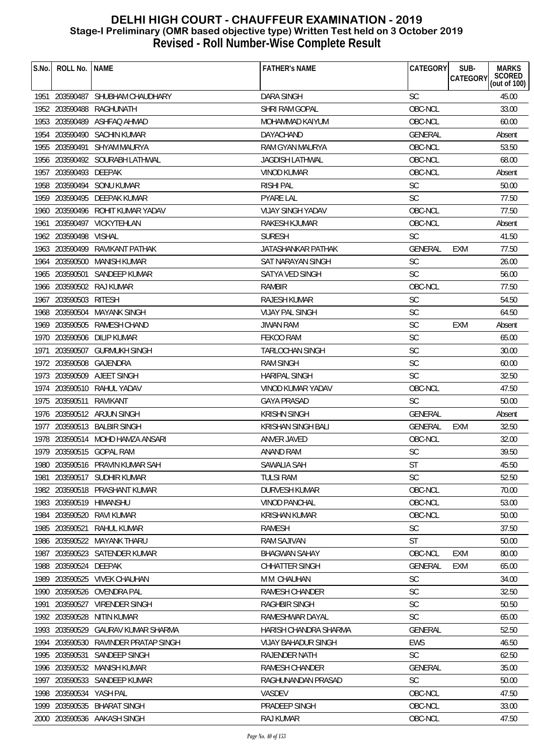| S.No. | ROLL No.                | <b>NAME</b>                      | <b>FATHER'S NAME</b>     | CATEGORY       | SUB-<br><b>CATEGORY</b> | <b>MARKS</b><br>SCORED<br>(out of 100) |
|-------|-------------------------|----------------------------------|--------------------------|----------------|-------------------------|----------------------------------------|
|       |                         | 1951 203590487 SHUBHAM CHAUDHARY | <b>DARA SINGH</b>        | <b>SC</b>      |                         | 45.00                                  |
|       | 1952 203590488          | RAGHUNATH                        | SHRI RAM GOPAL           | OBC-NCL        |                         | 33.00                                  |
| 1953  | 203590489               | ASHFAQ AHMAD                     | MOHAMMAD KAIYUM          | OBC-NCL        |                         | 60.00                                  |
|       | 1954 203590490          | <b>SACHIN KUMAR</b>              | <b>DAYACHAND</b>         | <b>GENERAL</b> |                         | Absent                                 |
|       | 1955 203590491          | SHYAM MAURYA                     | RAM GYAN MAURYA          | OBC-NCL        |                         | 53.50                                  |
| 1956  |                         | 203590492 SOURABH LATHWAL        | <b>JAGDISH LATHWAL</b>   | OBC-NCL        |                         | 68.00                                  |
| 1957  | 203590493 DEEPAK        |                                  | VINOD KUMAR              | OBC-NCL        |                         | Absent                                 |
|       |                         | 1958 203590494 SONU KUMAR        | <b>RISHI PAL</b>         | <b>SC</b>      |                         | 50.00                                  |
|       | 1959 203590495          | DEEPAK KUMAR                     | <b>PYARE LAL</b>         | <b>SC</b>      |                         | 77.50                                  |
|       |                         | 1960 203590496 ROHIT KUMAR YADAV | <b>VIJAY SINGH YADAV</b> | OBC-NCL        |                         | 77.50                                  |
| 1961  |                         | 203590497 VICKYTEHLAN            | RAKESH KJUMAR            | OBC-NCL        |                         | Absent                                 |
|       | 1962 203590498          | <b>VISHAL</b>                    | <b>SURESH</b>            | <b>SC</b>      |                         | 41.50                                  |
|       | 1963 203590499          | RAVIKANT PATHAK                  | JATASHANKAR PATHAK       | <b>GENERAL</b> | EXM                     | 77.50                                  |
| 1964  | 203590500               | <b>MANISH KUMAR</b>              | SAT NARAYAN SINGH        | <b>SC</b>      |                         | 26.00                                  |
|       | 1965 203590501          | SANDEEP KUMAR                    | SATYA VED SINGH          | <b>SC</b>      |                         | 56.00                                  |
|       |                         | 1966 203590502 RAJ KUMAR         | RAMBIR                   | OBC-NCL        |                         | 77.50                                  |
|       | 1967 203590503          | RITESH                           | <b>RAJESH KUMAR</b>      | SC             |                         | 54.50                                  |
|       | 1968 203590504          | <b>MAYANK SINGH</b>              | <b>VIJAY PAL SINGH</b>   | <b>SC</b>      |                         | 64.50                                  |
|       | 1969 203590505          | RAMESH CHAND                     | <b>JIWAN RAM</b>         | SC             | <b>EXM</b>              | Absent                                 |
|       | 1970 203590506          | <b>DILIP KUMAR</b>               | FEKOO RAM                | <b>SC</b>      |                         | 65.00                                  |
| 1971  | 203590507               | <b>GURMUKH SINGH</b>             | <b>TARLOCHAN SINGH</b>   | SC             |                         | 30.00                                  |
|       | 1972 203590508          | GAJENDRA                         | <b>RAM SINGH</b>         | SC             |                         | 60.00                                  |
|       |                         | 1973 203590509 AJEET SINGH       | <b>HARIPAL SINGH</b>     | <b>SC</b>      |                         | 32.50                                  |
| 1974  |                         | 203590510 RAHUL YADAV            | VINOD KUMAR YADAV        | OBC-NCL        |                         | 47.50                                  |
|       | 1975 203590511          | RAVIKANT                         | <b>GAYA PRASAD</b>       | <b>SC</b>      |                         | 50.00                                  |
|       |                         | 1976 203590512 ARJUN SINGH       | <b>KRISHN SINGH</b>      | <b>GENERAL</b> |                         | Absent                                 |
|       |                         | 1977 203590513 BALBIR SINGH      | KRISHAN SINGH BALI       | <b>GENERAL</b> | <b>EXM</b>              | 32.50                                  |
|       |                         | 1978 203590514 MOHD HAMZA ANSARI | <b>ANVER JAVED</b>       | OBC-NCL        |                         | 32.00                                  |
|       |                         | 1979 203590515 GOPAL RAM         | <b>ANAND RAM</b>         | <b>SC</b>      |                         | 39.50                                  |
|       |                         | 1980 203590516 PRAVIN KUMAR SAH  | SAWALIA SAH              | ST             |                         | 45.50                                  |
| 1981  |                         | 203590517 SUDHIR KUMAR           | <b>TULSI RAM</b>         | <b>SC</b>      |                         | 52.50                                  |
| 1982  |                         | 203590518 PRASHANT KUMAR         | <b>DURVESH KUMAR</b>     | OBC-NCL        |                         | 70.00                                  |
|       | 1983 203590519 HIMANSHU |                                  | <b>VINOD PANCHAL</b>     | OBC-NCL        |                         | 53.00                                  |
| 1984  | 203590520               | RAVI KUMAR                       | <b>KRISHAN KUMAR</b>     | OBC-NCL        |                         | 50.00                                  |
| 1985  | 203590521               | RAHUL KUMAR                      | <b>RAMESH</b>            | SC             |                         | 37.50                                  |
| 1986  | 203590522               | <b>MAYANK THARU</b>              | <b>RAM SAJIVAN</b>       | ST             |                         | 50.00                                  |
| 1987  |                         | 203590523 SATENDER KUMAR         | <b>BHAGWAN SAHAY</b>     | OBC-NCL        | EXM                     | 80.00                                  |
| 1988  | 203590524               | DEEPAK                           | <b>CHHATTER SINGH</b>    | <b>GENERAL</b> | <b>EXM</b>              | 65.00                                  |
| 1989  | 203590525               | <b>VIVEK CHAUHAN</b>             | M M CHAUHAN              | <b>SC</b>      |                         | 34.00                                  |
| 1990  |                         | 203590526 OVENDRA PAL            | RAMESH CHANDER           | <b>SC</b>      |                         | 32.50                                  |
| 1991  | 203590527               | <b>VIRENDER SINGH</b>            | <b>RAGHBIR SINGH</b>     | <b>SC</b>      |                         | 50.50                                  |
| 1992  | 203590528               | NITIN KUMAR                      | RAMESHWAR DAYAL          | SC             |                         | 65.00                                  |
| 1993  | 203590529               | GAURAV KUMAR SHARMA              | HARISH CHANDRA SHARMA    | <b>GENERAL</b> |                         | 52.50                                  |
|       | 1994 203590530          | RAVINDER PRATAP SINGH            | VIJAY BAHADUR SINGH      | <b>EWS</b>     |                         | 46.50                                  |
| 1995  | 203590531               | SANDEEP SINGH                    | RAJENDER NATH            | <b>SC</b>      |                         | 62.50                                  |
| 1996  | 203590532               | MANISH KUMAR                     | RAMESH CHANDER           | <b>GENERAL</b> |                         | 35.00                                  |
| 1997  | 203590533               | SANDEEP KUMAR                    | RAGHUNANDAN PRASAD       | <b>SC</b>      |                         | 50.00                                  |
| 1998  | 203590534               | YASH PAL                         | <b>VASDEV</b>            | OBC-NCL        |                         | 47.50                                  |
| 1999  | 203590535               | <b>BHARAT SINGH</b>              | PRADEEP SINGH            | OBC-NCL        |                         | 33.00                                  |
|       |                         | 2000 203590536 AAKASH SINGH      | RAJ KUMAR                | OBC-NCL        |                         | 47.50                                  |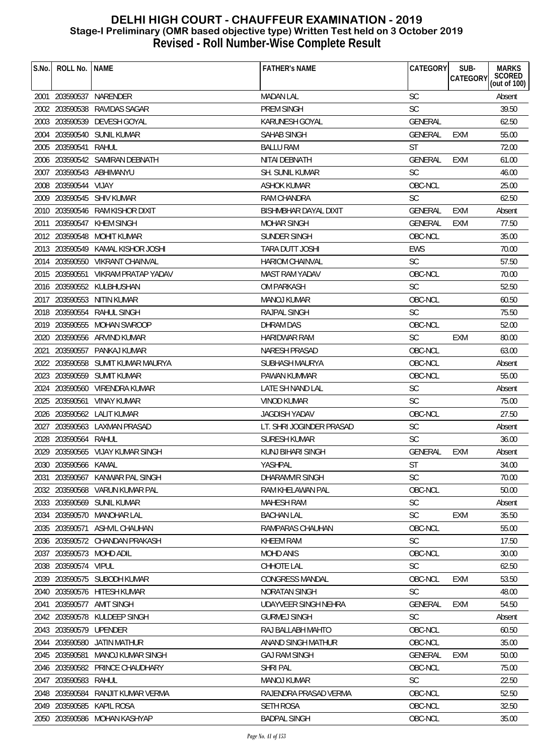| S.No. | ROLL No. INAME         |                                    | <b>FATHER'S NAME</b>        | CATEGORY       | SUB-<br>CATEGORY | <b>MARKS</b><br>SCORED<br>(out of 100) |
|-------|------------------------|------------------------------------|-----------------------------|----------------|------------------|----------------------------------------|
|       |                        | 2001 203590537 NARENDER            | <b>MADAN LAL</b>            | <b>SC</b>      |                  | Absent                                 |
|       | 2002 203590538         | RAVIDAS SAGAR                      | <b>PREM SINGH</b>           | <b>SC</b>      |                  | 39.50                                  |
|       |                        | 2003 203590539 DEVESH GOYAL        | KARUNESH GOYAL              | <b>GENERAL</b> |                  | 62.50                                  |
|       |                        | 2004 203590540 SUNIL KUMAR         | SAHAB SINGH                 | <b>GENERAL</b> | EXM              | 55.00                                  |
|       | 2005 203590541         | RAHUL                              | <b>BALLU RAM</b>            | <b>ST</b>      |                  | 72.00                                  |
|       |                        | 2006 203590542 SAMIRAN DEBNATH     | NITAI DEBNATH               | <b>GENERAL</b> | EXM              | 61.00                                  |
|       |                        | 2007 203590543 ABHIMANYU           | <b>SH. SUNIL KUMAR</b>      | <b>SC</b>      |                  | 46.00                                  |
|       | 2008 203590544 VIJAY   |                                    | ASHOK KUMAR                 | OBC-NCL        |                  | 25.00                                  |
|       |                        | 2009 203590545 SHIV KUMAR          | <b>RAM CHANDRA</b>          | <b>SC</b>      |                  | 62.50                                  |
|       |                        | 2010 203590546 RAM KISHOR DIXIT    | BISHMBHAR DAYAL DIXIT       | <b>GENERAL</b> | EXM              | Absent                                 |
| 2011  |                        | 203590547 KHEM SINGH               | <b>MOHAR SINGH</b>          | <b>GENERAL</b> | <b>EXM</b>       | 77.50                                  |
|       |                        | 2012 203590548 MOHIT KUMAR         | SUNDER SINGH                | OBC-NCL        |                  | 35.00                                  |
|       |                        | 2013 203590549 KAMAL KISHOR JOSHI  | TARA DUTT JOSHI             | EWS            |                  | 70.00                                  |
|       |                        | 2014 203590550 VIKRANT CHAINVAL    | <b>HARIOM CHAINVAL</b>      | <b>SC</b>      |                  | 57.50                                  |
|       |                        | 2015 203590551 VIKRAM PRATAP YADAV | MAST RAM YADAV              | OBC-NCL        |                  | 70.00                                  |
|       |                        | 2016 203590552 KULBHUSHAN          | <b>OM PARKASH</b>           | <b>SC</b>      |                  | 52.50                                  |
|       |                        | 2017 203590553 NITIN KUMAR         | MANOJ KUMAR                 | OBC-NCL        |                  | 60.50                                  |
|       |                        | 2018 203590554 RAHUL SINGH         | RAJPAL SINGH                | <b>SC</b>      |                  | 75.50                                  |
|       |                        | 2019 203590555 MOHAN SWROOP        | DHRAM DAS                   | OBC-NCL        |                  | 52.00                                  |
|       |                        | 2020 203590556 ARVIND KUMAR        | <b>HARIDWAR RAM</b>         | <b>SC</b>      | EXM              | 80.00                                  |
| 2021  |                        | 203590557 PANKAJ KUMAR             | <b>NARESH PRASAD</b>        | OBC-NCL        |                  | 63.00                                  |
|       |                        | 2022 203590558 SUMIT KUMAR MAURYA  | SUBHASH MAURYA              | OBC-NCL        |                  | Absent                                 |
|       |                        | 2023 203590559 SUMIT KUMAR         | <b>PAWAN KUMMAR</b>         | OBC-NCL        |                  | 55.00                                  |
|       |                        | 2024 203590560 VIRENDRA KUMAR      | LATE SH NAND LAL            | SC             |                  | Absent                                 |
|       | 2025 203590561         | <b>VINAY KUMAR</b>                 | <b>VINOD KUMAR</b>          | <b>SC</b>      |                  | 75.00                                  |
|       |                        | 2026 203590562 LALIT KUMAR         | <b>JAGDISH YADAV</b>        | OBC-NCL        |                  | 27.50                                  |
|       |                        | 2027 203590563 LAXMAN PRASAD       | LT. SHRI JOGINDER PRASAD    | <b>SC</b>      |                  | Absent                                 |
|       | 2028 203590564 RAHUL   |                                    | <b>SURESH KUMAR</b>         | <b>SC</b>      |                  | 36.00                                  |
|       |                        | 2029 203590565 VIJAY KUMAR SINGH   | <b>KUNJ BIHARI SINGH</b>    | <b>GENERAL</b> | EXM              | Absent                                 |
|       | 2030 203590566 KAMAL   |                                    | YASHPAL                     | ST             |                  | 34.00                                  |
| 2031  |                        | 203590567 KANWAR PAL SINGH         | DHARAMVIR SINGH             | <b>SC</b>      |                  | 70.00                                  |
|       |                        | 2032 203590568 VARUN KUMAR PAL     | RAM KHELAWAN PAL            | OBC-NCL        |                  | 50.00                                  |
|       |                        | 2033 203590569 SUNIL KUMAR         | <b>MAHESH RAM</b>           | <b>SC</b>      |                  | Absent                                 |
|       |                        | 2034 203590570 MANOHAR LAL         | <b>BACHAN LAL</b>           | <b>SC</b>      | <b>EXM</b>       | 35.50                                  |
|       | 2035 203590571         | ASHVIL CHAUHAN                     | RAMPARAS CHAUHAN            | OBC-NCL        |                  | 55.00                                  |
|       |                        | 2036 203590572 CHANDAN PRAKASH     | <b>KHEEM RAM</b>            | <b>SC</b>      |                  | 17.50                                  |
|       |                        | 2037 203590573 MOHD ADIL           | <b>MOHD ANIS</b>            | OBC-NCL        |                  | 30.00                                  |
|       | 2038 203590574 VIPUL   |                                    | CHHOTE LAL                  | <b>SC</b>      |                  | 62.50                                  |
| 2039  |                        | 203590575 SUBODH KUMAR             | <b>CONGRESS MANDAL</b>      | OBC-NCL        | <b>EXM</b>       | 53.50                                  |
| 2040  |                        | 203590576 HITESH KUMAR             | <b>NORATAN SINGH</b>        | <b>SC</b>      |                  | 48.00                                  |
| 2041  |                        | 203590577 AMIT SINGH               | <b>UDAYVEER SINGH NEHRA</b> | <b>GENERAL</b> | <b>EXM</b>       | 54.50                                  |
|       |                        | 2042 203590578 KULDEEP SINGH       | <b>GURMEJ SINGH</b>         | <b>SC</b>      |                  | Absent                                 |
|       | 2043 203590579 UPENDER |                                    | RAJ BALLABH MAHTO           | OBC-NCL        |                  | 60.50                                  |
|       |                        | 2044 203590580 JATIN MATHUR        | ANAND SINGH MATHUR          | OBC-NCL        |                  | 35.00                                  |
|       | 2045 203590581         | MANOJ KUMAR SINGH                  | <b>GAJ RAM SINGH</b>        | <b>GENERAL</b> | <b>EXM</b>       | 50.00                                  |
| 2046  |                        | 203590582 PRINCE CHAUDHARY         | <b>SHRI PAL</b>             | OBC-NCL        |                  | 75.00                                  |
| 2047  | 203590583              | RAHUL                              | MANOJ KUMAR                 | <b>SC</b>      |                  | 22.50                                  |
|       | 2048 203590584         | RANJIT KUMAR VERMA                 | RAJENDRA PRASAD VERMA       | OBC-NCL        |                  | 52.50                                  |
|       |                        | 2049 203590585 KAPIL ROSA          | <b>SETH ROSA</b>            | OBC-NCL        |                  | 32.50                                  |
|       |                        | 2050 203590586 MOHAN KASHYAP       | <b>BADPAL SINGH</b>         | OBC-NCL        |                  | 35.00                                  |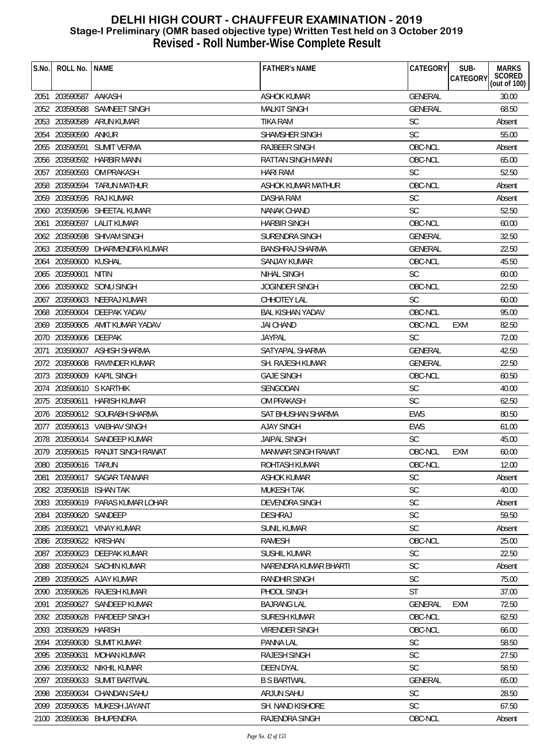| S.No. | ROLL No.              | <b>NAME</b>                       | <b>FATHER'S NAME</b>                 | CATEGORY       | SUB-<br><b>CATEGORY</b> | <b>MARKS</b><br>SCORED<br>(out of 100) |
|-------|-----------------------|-----------------------------------|--------------------------------------|----------------|-------------------------|----------------------------------------|
|       |                       |                                   |                                      |                |                         |                                        |
|       | 2051 203590587 AAKASH |                                   | <b>ASHOK KUMAR</b>                   | GENERAL        |                         | 30.00                                  |
|       |                       | 2052 203590588 SAMNEET SINGH      | <b>MALKIT SINGH</b>                  | <b>GENERAL</b> |                         | 68.50                                  |
|       | 2053 203590589        | ARUN KUMAR                        | <b>TIKA RAM</b>                      | <b>SC</b>      |                         | Absent                                 |
|       | 2054 203590590 ANKUR  |                                   | SHAMSHER SINGH                       | <b>SC</b>      |                         | 55.00                                  |
|       | 2055 203590591        | SUMIT VERMA                       | <b>RAJBEER SINGH</b>                 | OBC-NCL        |                         | Absent                                 |
|       |                       | 2056 203590592 HARBIR MANN        | RATTAN SINGH MANN                    | OBC-NCL        |                         | 65.00                                  |
|       |                       | 2057 203590593 OM PRAKASH         | <b>HARI RAM</b>                      | <b>SC</b>      |                         | 52.50                                  |
|       |                       | 2058 203590594 TARUN MATHUR       | ASHOK KUMAR MATHUR                   | OBC-NCL        |                         | Absent                                 |
|       |                       | 2059 203590595 RAJ KUMAR          | DASHA RAM                            | <b>SC</b>      |                         | Absent                                 |
|       |                       | 2060 203590596 SHEETAL KUMAR      | <b>NANAK CHAND</b>                   | <b>SC</b>      |                         | 52.50                                  |
|       |                       | 2061 203590597 LALIT KUMAR        | <b>HARBIR SINGH</b>                  | OBC-NCL        |                         | 60.00                                  |
|       |                       | 2062 203590598 SHIVAM SINGH       | <b>SURENDRA SINGH</b>                | <b>GENERAL</b> |                         | 32.50                                  |
|       |                       | 2063 203590599 DHARMENDRA KUMAR   | BANSHRAJ SHARMA                      | <b>GENERAL</b> |                         | 22.50                                  |
| 2064  | 203590600 KUSHAL      |                                   | <b>SANJAY KUMAR</b>                  | OBC-NCL        |                         | 45.50                                  |
|       | 2065 203590601        | NITIN                             | <b>NIHAL SINGH</b>                   | <b>SC</b>      |                         | 60.00                                  |
|       |                       | 2066 203590602 SONU SINGH         | <b>JOGINDER SINGH</b>                | OBC-NCL        |                         | 22.50                                  |
|       |                       | 2067 203590603 NEERAJ KUMAR       | CHHOTEY LAL                          | <b>SC</b>      |                         | 60.00                                  |
|       |                       | 2068 203590604 DEEPAK YADAV       | <b>BAL KISHAN YADAV</b>              | OBC-NCL        |                         | 95.00                                  |
|       |                       | 2069 203590605 AMIT KUMAR YADAV   | <b>JAI CHAND</b>                     | OBC-NCL        | <b>EXM</b>              | 82.50                                  |
|       | 2070 203590606 DEEPAK |                                   | <b>JAYPAL</b>                        | <b>SC</b>      |                         | 72.00                                  |
| 2071  |                       | 203590607 ASHISH SHARMA           | SATYAPAL SHARMA                      | GENERAL        |                         | 42.50                                  |
|       |                       | 2072 203590608 RAVINDER KUMAR     | <b>SH. RAJESH KUMAR</b>              | <b>GENERAL</b> |                         | 22.50                                  |
|       |                       | 2073 203590609 KAPIL SINGH        | <b>GAJE SINGH</b>                    | OBC-NCL        |                         | 60.50                                  |
|       |                       | 2074 203590610 S KARTHIK          | SENGODAN                             | <b>SC</b>      |                         | 40.00                                  |
|       |                       | 2075 203590611 HARISH KUMAR       | OM PRAKASH                           | <b>SC</b>      |                         | 62.50                                  |
|       |                       | 2076 203590612 SOURABH SHARMA     | SAT BHUSHAN SHARMA                   | <b>EWS</b>     |                         | 80.50                                  |
|       |                       | 2077 203590613 VAIBHAV SINGH      | <b>AJAY SINGH</b>                    | EWS            |                         | 61.00                                  |
|       |                       | 2078 203590614 SANDEEP KUMAR      | <b>JAIPAL SINGH</b>                  | <b>SC</b>      |                         | 45.00                                  |
|       |                       | 2079 203590615 RANJIT SINGH RAWAT | MANWAR SINGH RAWAT                   | OBC-NCL        | <b>EXM</b>              | 60.00                                  |
|       | 2080 203590616 TARUN  |                                   | ROHTASH KUMAR                        | OBC-NCL        |                         | 12.00                                  |
| 2081  |                       | 203590617 SAGAR TANWAR            | ASHOK KUMAR                          | <b>SC</b>      |                         | Absent                                 |
|       |                       | 2082 203590618 ISHAN TAK          | <b>MUKESH TAK</b>                    | SC             |                         | 40.00                                  |
|       |                       | 2083 203590619 PARAS KUMAR LOHAR  | DEVENDRA SINGH                       | SC             |                         | Absent                                 |
| 2084  | 203590620 SANDEEP     |                                   | <b>DESHRAJ</b>                       | <b>SC</b>      |                         | 59.50                                  |
|       |                       | <b>VINAY KUMAR</b>                | <b>SUNIL KUMAR</b>                   | SC             |                         |                                        |
| 2085  | 203590621             |                                   |                                      | OBC-NCL        |                         | Absent                                 |
| 2086  | 203590622             | KRISHAN                           | <b>RAMESH</b><br><b>SUSHIL KUMAR</b> |                |                         | 25.00                                  |
|       |                       | 2087 203590623 DEEPAK KUMAR       |                                      | SC             |                         | 22.50                                  |
|       |                       | 2088 203590624 SACHIN KUMAR       | NARENDRA KUMAR BHARTI                | <b>SC</b>      |                         | Absent                                 |
| 2089  |                       | 203590625 AJAY KUMAR              | <b>RANDHIR SINGH</b>                 | <b>SC</b>      |                         | 75.00                                  |
|       |                       | 2090 203590626 RAJESH KUMAR       | PHOOL SINGH                          | <b>ST</b>      |                         | 37.00                                  |
| 2091  | 203590627             | SANDEEP KUMAR                     | <b>BAJRANG LAL</b>                   | <b>GENERAL</b> | <b>EXM</b>              | 72.50                                  |
| 2092  |                       | 203590628 PARDEEP SINGH           | <b>SURESH KUMAR</b>                  | OBC-NCL        |                         | 62.50                                  |
|       | 2093 203590629        | <b>HARISH</b>                     | <b>VIRENDER SINGH</b>                | OBC-NCL        |                         | 66.00                                  |
|       |                       | 2094 203590630 SUMIT KUMAR        | PANNA LAL                            | <b>SC</b>      |                         | 58.50                                  |
|       | 2095 203590631        | <b>MOHAN KUMAR</b>                | <b>RAJESH SINGH</b>                  | <b>SC</b>      |                         | 27.50                                  |
| 2096  |                       | 203590632 NIKHIL KUMAR            | <b>DEEN DYAL</b>                     | <b>SC</b>      |                         | 58.50                                  |
| 2097  | 203590633             | SUMIT BARTWAL                     | <b>B S BARTWAL</b>                   | <b>GENERAL</b> |                         | 65.00                                  |
| 2098  |                       | 203590634 CHANDAN SAHU            | <b>ARJUN SAHU</b>                    | <b>SC</b>      |                         | 28.50                                  |
|       |                       | 2099 203590635 MUKESH JAYANT      | SH. NAND KISHORE                     | <b>SC</b>      |                         | 67.50                                  |
|       |                       | 2100 203590636 BHUPENDRA          | RAJENDRA SINGH                       | OBC-NCL        |                         | Absent                                 |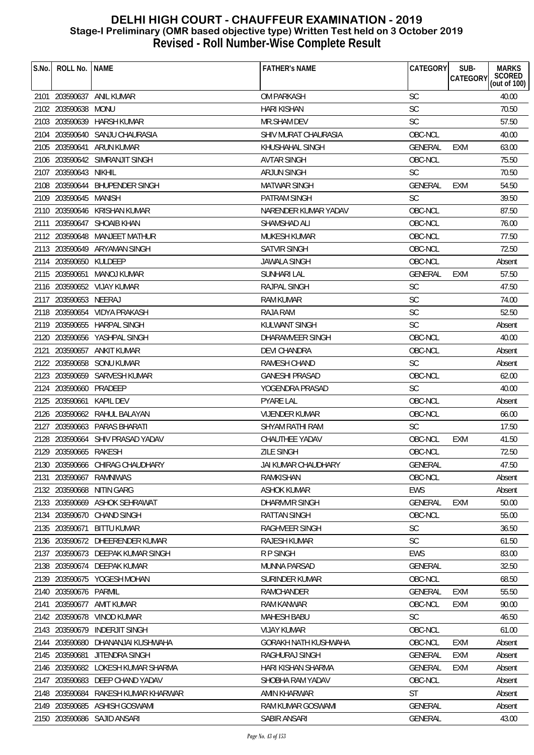| S.No. | ROLL No.               | <b>NAME</b>                       | <b>FATHER'S NAME</b>        | <b>CATEGORY</b> | SUB-<br>CATEGORY | <b>MARKS</b><br>SCORED<br>(out of 100) |
|-------|------------------------|-----------------------------------|-----------------------------|-----------------|------------------|----------------------------------------|
|       |                        |                                   |                             |                 |                  |                                        |
|       |                        | 2101 203590637 ANIL KUMAR         | OM PARKASH                  | <b>SC</b>       |                  | 40.00                                  |
|       | 2102 203590638         | MONU                              | <b>HARI KISHAN</b>          | <b>SC</b>       |                  | 70.50                                  |
|       | 2103 203590639         | HARSH KUMAR                       | <b>MR.SHAM DEV</b>          | <b>SC</b>       |                  | 57.50                                  |
|       |                        | 2104 203590640 SANJU CHAURASIA    | SHIV MURAT CHAURASIA        | OBC-NCL         |                  | 40.00                                  |
|       | 2105 203590641         | ARUN KUMAR                        | KHUSHAHAL SINGH             | <b>GENERAL</b>  | EXM              | 63.00                                  |
|       |                        | 2106 203590642 SIMRANJIT SINGH    | <b>AVTAR SINGH</b>          | OBC-NCL         |                  | 75.50                                  |
|       | 2107 203590643 NIKHIL  |                                   | ARJUN SINGH                 | <b>SC</b>       |                  | 70.50                                  |
|       |                        | 2108 203590644 BHUPENDER SINGH    | <b>MATWAR SINGH</b>         | <b>GENERAL</b>  | <b>EXM</b>       | 54.50                                  |
|       | 2109 203590645 MANISH  |                                   | <b>PATRAM SINGH</b>         | <b>SC</b>       |                  | 39.50                                  |
|       |                        | 2110 203590646 KRISHAN KUMAR      | NARENDER KUMAR YADAV        | OBC-NCL         |                  | 87.50                                  |
| 2111  |                        | 203590647 SHOAIB KHAN             | SHAMSHAD ALI                | OBC-NCL         |                  | 76.00                                  |
|       |                        | 2112 203590648 MANJEET MATHUR     | <b>MUKESH KUMAR</b>         | OBC-NCL         |                  | 77.50                                  |
|       |                        | 2113 203590649 ARYAMAN SINGH      | SATVIR SINGH                | OBC-NCL         |                  | 72.50                                  |
|       | 2114 203590650 KULDEEP |                                   | <b>JAWALA SINGH</b>         | OBC-NCL         |                  | Absent                                 |
|       |                        | 2115 203590651 MANOJ KUMAR        | <b>SUNHARI LAL</b>          | <b>GENERAL</b>  | <b>EXM</b>       | 57.50                                  |
|       |                        | 2116 203590652 VIJAY KUMAR        | RAJPAL SINGH                | <b>SC</b>       |                  | 47.50                                  |
|       | 2117 203590653 NEERAJ  |                                   | <b>RAM KUMAR</b>            | <b>SC</b>       |                  | 74.00                                  |
|       |                        | 2118 203590654 VIDYA PRAKASH      | <b>RAJA RAM</b>             | <b>SC</b>       |                  | 52.50                                  |
|       |                        | 2119 203590655 HARPAL SINGH       | KULWANT SINGH               | <b>SC</b>       |                  | Absent                                 |
|       |                        | 2120 203590656 YASHPAL SINGH      | DHARAMVEER SINGH            | OBC-NCL         |                  | 40.00                                  |
| 2121  |                        | 203590657 ANKIT KUMAR             | <b>DEVI CHANDRA</b>         | OBC-NCL         |                  | Absent                                 |
|       |                        | 2122 203590658 SONU KUMAR         | RAMESH CHAND                | <b>SC</b>       |                  | Absent                                 |
|       |                        | 2123 203590659 SARVESH KUMAR      | <b>GANESHI PRASAD</b>       | OBC-NCL         |                  | 62.00                                  |
|       | 2124 203590660 PRADEEP |                                   | YOGENDRA PRASAD             | <b>SC</b>       |                  | 40.00                                  |
|       | 2125 203590661         | KAPIL DEV                         | <b>PYARE LAL</b>            | OBC-NCL         |                  | Absent                                 |
|       |                        | 2126 203590662 RAHUL BALAYAN      | <b>VIJENDER KUMAR</b>       | OBC-NCL         |                  | 66.00                                  |
|       |                        | 2127 203590663 PARAS BHARATI      | SHYAM RATHI RAM             | <b>SC</b>       |                  | 17.50                                  |
| 2128  |                        | 203590664 SHIV PRASAD YADAV       | CHAUTHEE YADAV              | OBC-NCL         | <b>EXM</b>       | 41.50                                  |
|       | 2129 203590665 RAKESH  |                                   | <b>ZILE SINGH</b>           | OBC-NCL         |                  | 72.50                                  |
|       |                        | 2130 203590666 CHIRAG CHAUDHARY   | JAI KUMAR CHAUDHARY         | GENERAL         |                  | 47.50                                  |
| 2131  | 203590667              | RAMNIWAS                          | RAMKISHAN                   | OBC-NCL         |                  | Absent                                 |
|       |                        | 2132 203590668 NITIN GARG         | <b>ASHOK KUMAR</b>          | <b>EWS</b>      |                  | Absent                                 |
|       |                        | 2133 203590669 ASHOK SEHRAWAT     | DHARMVIR SINGH              | <b>GENERAL</b>  | <b>EXM</b>       | 50.00                                  |
|       |                        | 2134 203590670 CHAND SINGH        | <b>RATTAN SINGH</b>         | OBC-NCL         |                  | 55.00                                  |
| 2135  | 203590671              | <b>BITTU KUMAR</b>                | RAGHVEER SINGH              | SC              |                  | 36.50                                  |
|       |                        | 2136 203590672 DHEERENDER KUMAR   | RAJESH KUMAR                | <b>SC</b>       |                  | 61.50                                  |
|       |                        | 2137 203590673 DEEPAK KUMAR SINGH | R P SINGH                   | <b>EWS</b>      |                  | 83.00                                  |
|       |                        | 2138 203590674 DEEPAK KUMAR       | <b>MUNNA PARSAD</b>         | <b>GENERAL</b>  |                  | 32.50                                  |
| 2139  |                        | 203590675 YOGESH MOHAN            | SURINDER KUMAR              | OBC-NCL         |                  | 68.50                                  |
|       | 2140 203590676 PARMIL  |                                   | RAMCHANDER                  | GENERAL         | EXM              | 55.50                                  |
| 2141  | 203590677              | AMIT KUMAR                        | <b>RAM KANWAR</b>           | OBC-NCL         | <b>EXM</b>       | 90.00                                  |
|       | 2142 203590678         | VINOD KUMAR                       | <b>MAHESH BABU</b>          | <b>SC</b>       |                  | 46.50                                  |
|       | 2143 203590679         | <b>INDERJIT SINGH</b>             | <b>VIJAY KUMAR</b>          | OBC-NCL         |                  | 61.00                                  |
|       | 2144 203590680         | DHANANJAI KUSHWAHA                | <b>GORAKH NATH KUSHWAHA</b> | OBC-NCL         | <b>EXM</b>       | Absent                                 |
|       | 2145 203590681         | JITENDRA SINGH                    | RAGHURAJ SINGH              | <b>GENERAL</b>  | <b>EXM</b>       | Absent                                 |
| 2146  |                        | 203590682 LOKESH KUMAR SHARMA     | HARI KISHAN SHARMA          | <b>GENERAL</b>  | <b>EXM</b>       | Absent                                 |
| 2147  | 203590683              | DEEP CHAND YADAV                  | SHOBHA RAM YADAV            | OBC-NCL         |                  |                                        |
|       |                        |                                   |                             | <b>ST</b>       |                  | Absent                                 |
|       | 2148 203590684         | RAKESH KUMAR KHARWAR              | AMIN KHARWAR                |                 |                  | Absent                                 |
|       |                        | 2149 203590685 ASHISH GOSWAMI     | RAM KUMAR GOSWAMI           | <b>GENERAL</b>  |                  | Absent                                 |
|       |                        | 2150 203590686 SAJID ANSARI       | SABIR ANSARI                | <b>GENERAL</b>  |                  | 43.00                                  |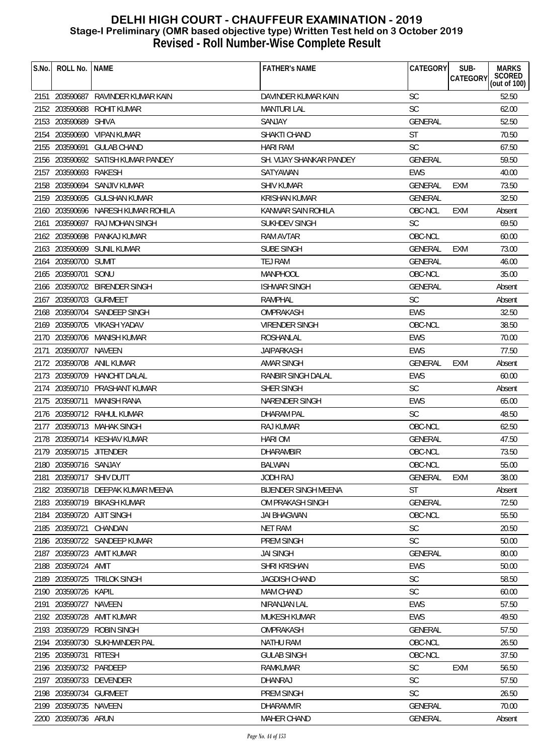| S.No. | ROLL No.                | <b>NAME</b>                        | <b>FATHER'S NAME</b>        | CATEGORY       | SUB-<br>CATEGORY | <b>MARKS</b><br>SCORED<br>(out of 100) |
|-------|-------------------------|------------------------------------|-----------------------------|----------------|------------------|----------------------------------------|
|       |                         | 2151 203590687 RAVINDER KUMAR KAIN | DAVINDER KUMAR KAIN         | <b>SC</b>      |                  | 52.50                                  |
|       | 2152 203590688          | ROHIT KUMAR                        | <b>MANTURI LAL</b>          | <b>SC</b>      |                  | 62.00                                  |
|       | 2153 203590689          | <b>SHIVA</b>                       | SANJAY                      | <b>GENERAL</b> |                  | 52.50                                  |
|       |                         | 2154 203590690 VIPAN KUMAR         | SHAKTI CHAND                | <b>ST</b>      |                  | 70.50                                  |
|       | 2155 203590691          | <b>GULAB CHAND</b>                 | <b>HARI RAM</b>             | <b>SC</b>      |                  | 67.50                                  |
|       |                         | 2156 203590692 SATISH KUMAR PANDEY | SH. VIJAY SHANKAR PANDEY    | <b>GENERAL</b> |                  | 59.50                                  |
| 2157  | 203590693 RAKESH        |                                    | SATYAWAN                    | <b>EWS</b>     |                  | 40.00                                  |
|       | 2158 203590694          | SANJIV KUMAR                       | SHIV KUMAR                  | <b>GENERAL</b> | <b>EXM</b>       | 73.50                                  |
|       | 2159 203590695          | GULSHAN KUMAR                      | <b>KRISHAN KUMAR</b>        | GENERAL        |                  | 32.50                                  |
|       |                         | 2160 203590696 NARESH KUMAR ROHILA | KANWAR SAIN ROHILA          | OBC-NCL        | <b>EXM</b>       | Absent                                 |
| 2161  | 203590697               | RAJ MOHAN SINGH                    | <b>SUKHDEV SINGH</b>        | <b>SC</b>      |                  | 69.50                                  |
|       |                         | 2162 203590698 PANKAJ KUMAR        | RAM AVTAR                   | OBC-NCL        |                  | 60.00                                  |
|       |                         | 2163 203590699 SUNIL KUMAR         | <b>SUBE SINGH</b>           | <b>GENERAL</b> | <b>EXM</b>       | 73.00                                  |
|       | 2164 203590700 SUMIT    |                                    | TEJ RAM                     | <b>GENERAL</b> |                  | 46.00                                  |
|       | 2165 203590701 SONU     |                                    | MANPHOOL                    | OBC-NCL        |                  | 35.00                                  |
|       |                         | 2166 203590702 BIRENDER SINGH      | <b>ISHWAR SINGH</b>         | <b>GENERAL</b> |                  | Absent                                 |
|       | 2167 203590703 GURMEET  |                                    | <b>RAMPHAL</b>              | <b>SC</b>      |                  | Absent                                 |
|       |                         | 2168 203590704 SANDEEP SINGH       | OMPRAKASH                   | <b>EWS</b>     |                  | 32.50                                  |
|       |                         | 2169 203590705 VIKASH YADAV        | <b>VIRENDER SINGH</b>       | OBC-NCL        |                  | 38.50                                  |
|       |                         | 2170 203590706 MANISH KUMAR        | <b>ROSHANLAL</b>            | <b>EWS</b>     |                  | 70.00                                  |
| 2171  | 203590707 NAVEEN        |                                    | <b>JAIPARKASH</b>           | <b>EWS</b>     |                  | 77.50                                  |
|       | 2172 203590708          | ANIL KUMAR                         | AMAR SINGH                  | <b>GENERAL</b> | <b>EXM</b>       | Absent                                 |
|       |                         | 2173 203590709 HANCHIT DALAL       | RANBIR SINGH DALAL          | <b>EWS</b>     |                  | 60.00                                  |
|       |                         | 2174 203590710 PRASHANT KUMAR      | SHER SINGH                  | <b>SC</b>      |                  | Absent                                 |
|       | 2175 203590711          | MANISH RANA                        | NARENDER SINGH              | <b>EWS</b>     |                  | 65.00                                  |
|       |                         | 2176 203590712 RAHUL KUMAR         | <b>DHARAM PAL</b>           | <b>SC</b>      |                  | 48.50                                  |
|       |                         | 2177 203590713 MAHAK SINGH         | <b>RAJ KUMAR</b>            | OBC-NCL        |                  | 62.50                                  |
|       |                         | 2178 203590714 KESHAV KUMAR        | <b>HARIOM</b>               | <b>GENERAL</b> |                  | 47.50                                  |
|       | 2179 203590715 JITENDER |                                    | <b>DHARAMBIR</b>            | OBC-NCL        |                  | 73.50                                  |
| 2180  | 203590716 SANJAY        |                                    | <b>BALWAN</b>               | OBC-NCL        |                  | 55.00                                  |
| 2181  |                         | 203590717 SHIV DUTT                | <b>JODH RAJ</b>             | <b>GENERAL</b> | EXM              | 38.00                                  |
|       |                         | 2182 203590718 DEEPAK KUMAR MEENA  | <b>BIJENDER SINGH MEENA</b> | ST             |                  | Absent                                 |
|       |                         | 2183 203590719 BIKASH KUMAR        | OM PRAKASH SINGH            | <b>GENERAL</b> |                  | 72.50                                  |
|       |                         | 2184 203590720 AJIT SINGH          | <b>JAI BHAGWAN</b>          | OBC-NCL        |                  | 55.50                                  |
| 2185  | 203590721               | CHANDAN                            | <b>NET RAM</b>              | SC             |                  | 20.50                                  |
| 2186  |                         | 203590722 SANDEEP KUMAR            | PREM SINGH                  | <b>SC</b>      |                  | 50.00                                  |
| 2187  |                         | 203590723 AMIT KUMAR               | <b>JAI SINGH</b>            | GENERAL        |                  | 80.00                                  |
|       | 2188 203590724 AMIT     |                                    | <b>SHRI KRISHAN</b>         | <b>EWS</b>     |                  | 50.00                                  |
|       | 2189 203590725          | <b>TRILOK SINGH</b>                | <b>JAGDISH CHAND</b>        | <b>SC</b>      |                  | 58.50                                  |
| 2190  | 203590726               | KAPIL                              | <b>MAM CHAND</b>            | <b>SC</b>      |                  | 60.00                                  |
| 2191  | 203590727               | NAVEEN                             | NIRANJAN LAL                | <b>EWS</b>     |                  | 57.50                                  |
|       | 2192 203590728          | AMIT KUMAR                         | <b>MUKESH KUMAR</b>         | <b>EWS</b>     |                  | 49.50                                  |
|       | 2193 203590729          | <b>ROBIN SINGH</b>                 | OMPRAKASH                   | <b>GENERAL</b> |                  | 57.50                                  |
|       |                         | 2194 203590730 SUKHWINDER PAL      | <b>NATHU RAM</b>            | OBC-NCL        |                  | 26.50                                  |
|       | 2195 203590731          | <b>RITESH</b>                      | <b>GULAB SINGH</b>          | OBC-NCL        |                  | 37.50                                  |
| 2196  | 203590732 PARDEEP       |                                    | <b>RAMKUMAR</b>             | SC             | <b>EXM</b>       | 56.50                                  |
| 2197  | 203590733               | DEVENDER                           | DHANRAJ                     | <b>SC</b>      |                  | 57.50                                  |
|       | 2198 203590734          | <b>GURMEET</b>                     | PREM SINGH                  | <b>SC</b>      |                  | 26.50                                  |
|       | 2199 203590735 NAVEEN   |                                    | <b>DHARAMVIR</b>            | GENERAL        |                  | 70.00                                  |
|       | 2200 203590736 ARUN     |                                    | MAHER CHAND                 | GENERAL        |                  | Absent                                 |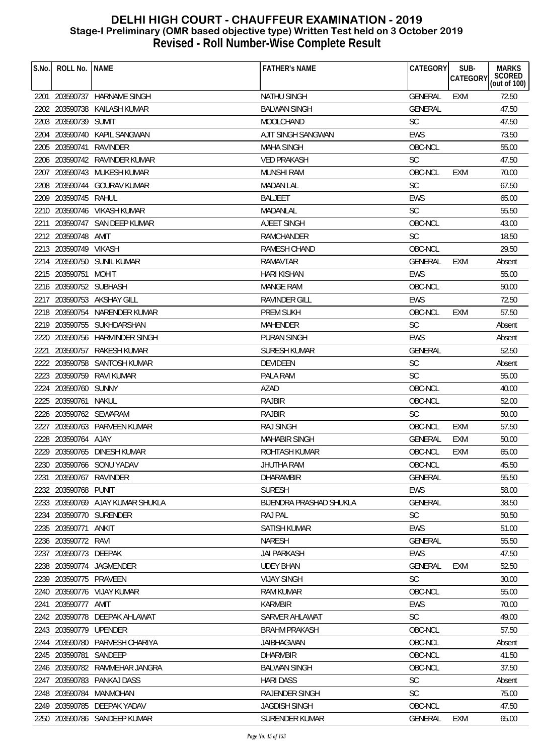| S.No. | ROLL No.   NAME        |                                  | <b>FATHER'S NAME</b>           | CATEGORY       | SUB-<br><b>CATEGORY</b> | <b>MARKS</b><br>SCORED<br>(out of 100) |
|-------|------------------------|----------------------------------|--------------------------------|----------------|-------------------------|----------------------------------------|
|       |                        | 2201 203590737 HARNAME SINGH     | <b>NATHU SINGH</b>             | <b>GENERAL</b> | <b>EXM</b>              | 72.50                                  |
|       | 2202 203590738         | KAILASH KUMAR                    | <b>BALWAN SINGH</b>            | <b>GENERAL</b> |                         | 47.50                                  |
|       | 2203 203590739 SUMIT   |                                  | MOOLCHAND                      | SC             |                         | 47.50                                  |
| 2204  |                        | 203590740 KAPIL SANGWAN          | AJIT SINGH SANGWAN             | <b>EWS</b>     |                         | 73.50                                  |
|       | 2205 203590741         | RAVINDER                         | <b>MAHA SINGH</b>              | OBC-NCL        |                         | 55.00                                  |
|       |                        | 2206 203590742 RAVINDER KUMAR    | <b>VED PRAKASH</b>             | <b>SC</b>      |                         | 47.50                                  |
| 2207  |                        | 203590743 MUKESH KUMAR           | MUNSHI RAM                     | OBC-NCL        | <b>EXM</b>              | 70.00                                  |
|       |                        | 2208 203590744 GOURAV KUMAR      | <b>MADAN LAL</b>               | <b>SC</b>      |                         | 67.50                                  |
|       | 2209 203590745 RAHUL   |                                  | <b>BALJEET</b>                 | <b>EWS</b>     |                         | 65.00                                  |
|       |                        | 2210 203590746 VIKASH KUMAR      | MADANLAL                       | <b>SC</b>      |                         | 55.50                                  |
|       |                        | 2211 203590747 SAN DEEP KUMAR    | AJEET SINGH                    | OBC-NCL        |                         | 43.00                                  |
|       | 2212 203590748 AMIT    |                                  | <b>RAMCHANDER</b>              | <b>SC</b>      |                         | 18.50                                  |
|       | 2213 203590749 VIKASH  |                                  | RAMESH CHAND                   | OBC-NCL        |                         | 29.50                                  |
|       |                        | 2214 203590750 SUNIL KUMAR       | <b>RAMAVTAR</b>                | <b>GENERAL</b> | <b>EXM</b>              | Absent                                 |
|       | 2215 203590751 MOHIT   |                                  | <b>HARI KISHAN</b>             | <b>EWS</b>     |                         | 55.00                                  |
|       | 2216 203590752 SUBHASH |                                  | <b>MANGE RAM</b>               | OBC-NCL        |                         | 50.00                                  |
|       |                        | 2217 203590753 AKSHAY GILL       | <b>RAVINDER GILL</b>           | <b>EWS</b>     |                         | 72.50                                  |
|       |                        | 2218 203590754 NARENDER KUMAR    | <b>PREM SUKH</b>               | OBC-NCL        | <b>EXM</b>              | 57.50                                  |
|       |                        | 2219 203590755 SUKHDARSHAN       | <b>MAHENDER</b>                | <b>SC</b>      |                         | Absent                                 |
|       |                        | 2220 203590756 HARMINDER SINGH   | <b>PURAN SINGH</b>             | <b>EWS</b>     |                         | Absent                                 |
| 2221  |                        | 203590757 RAKESH KUMAR           | <b>SURESH KUMAR</b>            | <b>GENERAL</b> |                         | 52.50                                  |
|       |                        | 2222 203590758 SANTOSH KUMAR     | DEVIDEEN                       | <b>SC</b>      |                         | Absent                                 |
|       |                        | 2223 203590759 RAVI KUMAR        | PALA RAM                       | <b>SC</b>      |                         | 55.00                                  |
|       | 2224 203590760 SUNNY   |                                  | AZAD                           | OBC-NCL        |                         | 40.00                                  |
|       | 2225 203590761 NAKUL   |                                  | <b>RAJBIR</b>                  | OBC-NCL        |                         | 52.00                                  |
|       | 2226 203590762 SEWARAM |                                  | <b>RAJBIR</b>                  | <b>SC</b>      |                         | 50.00                                  |
|       |                        | 2227 203590763 PARVEEN KUMAR     | <b>RAJ SINGH</b>               | OBC-NCL        | <b>EXM</b>              | 57.50                                  |
|       | 2228 203590764 AJAY    |                                  | <b>MAHABIR SINGH</b>           | GENERAL        | <b>EXM</b>              | 50.00                                  |
|       |                        | 2229 203590765 DINESH KUMAR      | ROHTASH KUMAR                  | OBC-NCL        | <b>EXM</b>              | 65.00                                  |
|       |                        | 2230 203590766 SONU YADAV        | JHUTHA RAM                     | OBC-NCL        |                         | 45.50                                  |
| 2231  | 203590767 RAVINDER     |                                  | <b>DHARAMBIR</b>               | GENERAL        |                         | 55.50                                  |
|       | 2232 203590768 PUNIT   |                                  | <b>SURESH</b>                  | <b>EWS</b>     |                         | 58.00                                  |
|       |                        | 2233 203590769 AJAY KUMAR SHUKLA | <b>BIJENDRA PRASHAD SHUKLA</b> | <b>GENERAL</b> |                         | 38.50                                  |
|       |                        | 2234 203590770 SURENDER          | <b>RAJ PAL</b>                 | <b>SC</b>      |                         | 50.50                                  |
|       | 2235 203590771         | ANKIT                            | <b>SATISH KUMAR</b>            | <b>EWS</b>     |                         | 51.00                                  |
| 2236  | 203590772 RAVI         |                                  | <b>NARESH</b>                  | <b>GENERAL</b> |                         | 55.50                                  |
|       | 2237 203590773 DEEPAK  |                                  | <b>JAI PARKASH</b>             | <b>EWS</b>     |                         | 47.50                                  |
|       |                        | 2238 203590774 JAGMENDER         | <b>UDEY BHAN</b>               | <b>GENERAL</b> | <b>EXM</b>              | 52.50                                  |
| 2239  | 203590775 PRAVEEN      |                                  | <b>VIJAY SINGH</b>             | <b>SC</b>      |                         | 30.00                                  |
|       |                        | 2240 203590776 VIJAY KUMAR       | <b>RAM KUMAR</b>               | OBC-NCL        |                         | 55.00                                  |
|       | 2241 203590777 AMIT    |                                  | <b>KARMBIR</b>                 | EWS            |                         | 70.00                                  |
|       |                        | 2242 203590778 DEEPAK AHLAWAT    | SARVER AHLAWAT                 | <b>SC</b>      |                         | 49.00                                  |
|       | 2243 203590779 UPENDER |                                  | <b>BRAHM PRAKASH</b>           | OBC-NCL        |                         | 57.50                                  |
|       |                        | 2244 203590780 PARVESH CHARIYA   | <b>JAIBHAGWAN</b>              | OBC-NCL        |                         | Absent                                 |
|       | 2245 203590781         | SANDEEP                          | <b>DHARMBIR</b>                | OBC-NCL        |                         | 41.50                                  |
| 2246  |                        | 203590782 RAMMEHAR JANGRA        | <b>BALWAN SINGH</b>            | OBC-NCL        |                         | 37.50                                  |
| 2247  |                        | 203590783 PANKAJ DASS            | <b>HARI DASS</b>               | <b>SC</b>      |                         | Absent                                 |
|       |                        | 2248 203590784 MANMOHAN          | RAJENDER SINGH                 | <b>SC</b>      |                         | 75.00                                  |
|       |                        | 2249 203590785 DEEPAK YADAV      | <b>JAGDISH SINGH</b>           | OBC-NCL        |                         | 47.50                                  |
|       |                        | 2250 203590786 SANDEEP KUMAR     | <b>SURENDER KUMAR</b>          | <b>GENERAL</b> | <b>EXM</b>              | 65.00                                  |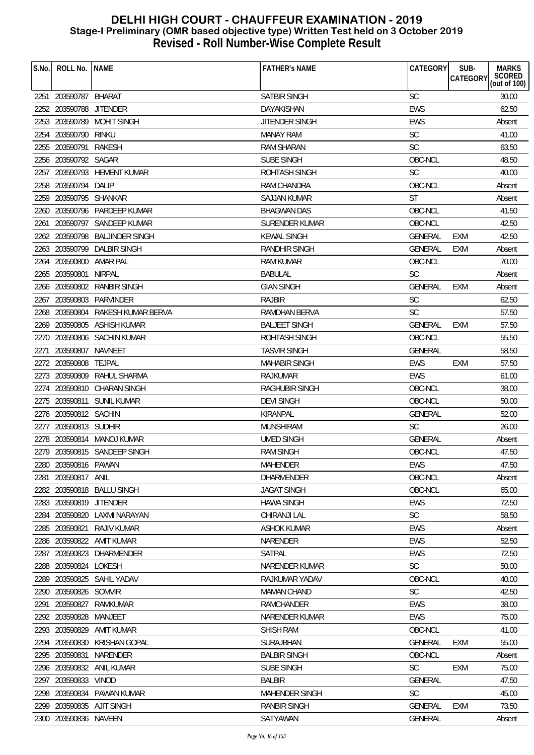| SATBIR SINGH<br><b>SC</b><br>30.00<br>2251 203590787 BHARAT<br>2252 203590788 JITENDER<br><b>EWS</b><br>62.50<br>DAYAKISHAN<br>203590789<br>EWS<br>2253<br><b>MOHIT SINGH</b><br>JITENDER SINGH<br>Absent<br>SC<br>2254<br>203590790<br>rinku<br><b>MANAY RAM</b><br>41.00<br><b>SC</b><br>2255 203590791<br>63.50<br>RAKESH<br><b>RAM SHARAN</b><br>203590792 SAGAR<br>SUBE SINGH<br>OBC-NCL<br>48.50<br>2256<br><b>SC</b><br>203590793 HEMENT KUMAR<br>40.00<br>2257<br>ROHTASH SINGH<br>2258 203590794 DALIP<br>OBC-NCL<br><b>RAM CHANDRA</b><br>Absent<br><b>ST</b><br>2259 203590795 SHANKAR<br>SAJJAN KUMAR<br>Absent<br>OBC-NCL<br>203590796 PARDEEP KUMAR<br><b>BHAGWAN DAS</b><br>41.50<br>2260<br>203590797 SANDEEP KUMAR<br>OBC-NCL<br>42.50<br>SURENDER KUMAR<br>2261<br>2262 203590798<br><b>BALJINDER SINGH</b><br><b>KEWAL SINGH</b><br>GENERAL<br><b>EXM</b><br>42.50<br>2263 203590799 DALBIR SINGH<br>RANDHIR SINGH<br><b>GENERAL</b><br>EXM<br>Absent<br>203590800<br>AMAR PAL<br>OBC-NCL<br>70.00<br><b>RAM KUMAR</b><br>2264<br>2265 203590801<br><b>NIRPAL</b><br><b>SC</b><br><b>BABULAL</b><br>Absent<br>2266 203590802 RANBIR SINGH<br><b>GIAN SINGH</b><br><b>GENERAL</b><br><b>EXM</b><br>Absent<br>203590803<br>PARVINDER<br><b>RAJBIR</b><br><b>SC</b><br>62.50<br>2267<br><b>SC</b><br>57.50<br>2268 203590804 RAKESH KUMAR BERVA<br><b>RAMDHAN BERVA</b><br>2269 203590805 ASHISH KUMAR<br><b>BALJEET SINGH</b><br>GENERAL<br>57.50<br><b>EXM</b><br>OBC-NCL<br>2270 203590806 SACHIN KUMAR<br><b>ROHTASH SINGH</b><br>55.50<br>203590807<br>NAVNEET<br><b>TASVIR SINGH</b><br><b>GENERAL</b><br>58.50<br>2271<br>2272 203590808<br><b>EWS</b><br>57.50<br>TEJPAL<br><b>MAHABIR SINGH</b><br>EXM<br>2273 203590809<br>RAHUL SHARMA<br><b>RAJKUMAR</b><br><b>EWS</b><br>61.00<br>2274 203590810 CHARAN SINGH<br>OBC-NCL<br>38.00<br>RAGHUBIR SINGH<br>OBC-NCL<br>2275 203590811<br>SUNIL KUMAR<br><b>DEVI SINGH</b><br>50.00<br>KIRANPAL<br>GENERAL<br>52.00<br>2276 203590812 SACHIN<br><b>SC</b><br>2277 203590813 SUDHIR<br><b>MUNSHIRAM</b><br>26.00<br>2278<br>203590814 MANOJ KUMAR<br><b>UMED SINGH</b><br>GENERAL<br>Absent<br>2279 203590815 SANDEEP SINGH<br>OBC-NCL<br><b>RAM SINGH</b><br>47.50<br>EWS<br>2280 203590816 PAWAN<br>MAHENDER<br>47.50<br>203590817<br>OBC-NCL<br><b>DHARMENDER</b><br>2281<br>ANIL<br>Absent<br>2282 203590818 BALLU SINGH<br>OBC-NCL<br>65.00<br><b>JAGAT SINGH</b><br>2283 203590819<br><b>JITENDER</b><br><b>HAWA SINGH</b><br><b>EWS</b><br>72.50<br>203590820 LAXMI NARAYAN<br><b>SC</b><br>58.50<br>CHIRANJI LAL<br>2284<br><b>EWS</b><br>203590821<br><b>RAJIV KUMAR</b><br><b>ASHOK KUMAR</b><br>2285<br>Absent<br>203590822<br>52.50<br>AMIT KUMAR<br>NARENDER<br><b>EWS</b><br>2286<br>203590823 DHARMENDER<br>SATPAL<br>EWS<br>72.50<br>2287<br><b>SC</b><br>2288 203590824 LOKESH<br>50.00<br>NARENDER KUMAR<br>203590825 SAHIL YADAV<br>OBC-NCL<br>RAJKUMAR YADAV<br>40.00<br>2289<br><b>SC</b><br>2290 203590826 SOMVIR<br>42.50<br><b>MAMAN CHAND</b><br>203590827<br>RAMCHANDER<br><b>EWS</b><br>38.00<br>2291<br>RAMKUMAR<br>203590828<br>EWS<br>2292<br>MANJEET<br>NARENDER KUMAR<br>75.00<br>2293 203590829<br><b>SHISH RAM</b><br>OBC-NCL<br>AMIT KUMAR<br>41.00<br>2294 203590830<br>55.00<br>KRISHAN GOPAL<br>SURAJBHAN<br><b>GENERAL</b><br><b>EXM</b><br>2295 203590831<br>NARENDER<br><b>BALBIR SINGH</b><br>OBC-NCL<br>Absent<br><b>SC</b><br>203590832 ANIL KUMAR<br>SUBE SINGH<br><b>EXM</b><br>75.00<br>2296<br>203590833<br><b>BALBIR</b><br><b>GENERAL</b><br>47.50<br>2297<br>VINOD<br>203590834<br><b>SC</b><br>PAWAN KUMAR<br><b>MAHENDER SINGH</b><br>45.00<br>2298<br>203590835 AJIT SINGH<br><b>RANBIR SINGH</b><br><b>GENERAL</b><br><b>EXM</b><br>73.50<br>2299<br>2300 203590836 NAVEEN<br>SATYAWAN<br>GENERAL<br>Absent | S.No. | ROLL No. | <b>NAME</b> | <b>FATHER'S NAME</b> | <b>CATEGORY</b> | SUB-<br><b>CATEGORY</b> | <b>MARKS</b>           |
|------------------------------------------------------------------------------------------------------------------------------------------------------------------------------------------------------------------------------------------------------------------------------------------------------------------------------------------------------------------------------------------------------------------------------------------------------------------------------------------------------------------------------------------------------------------------------------------------------------------------------------------------------------------------------------------------------------------------------------------------------------------------------------------------------------------------------------------------------------------------------------------------------------------------------------------------------------------------------------------------------------------------------------------------------------------------------------------------------------------------------------------------------------------------------------------------------------------------------------------------------------------------------------------------------------------------------------------------------------------------------------------------------------------------------------------------------------------------------------------------------------------------------------------------------------------------------------------------------------------------------------------------------------------------------------------------------------------------------------------------------------------------------------------------------------------------------------------------------------------------------------------------------------------------------------------------------------------------------------------------------------------------------------------------------------------------------------------------------------------------------------------------------------------------------------------------------------------------------------------------------------------------------------------------------------------------------------------------------------------------------------------------------------------------------------------------------------------------------------------------------------------------------------------------------------------------------------------------------------------------------------------------------------------------------------------------------------------------------------------------------------------------------------------------------------------------------------------------------------------------------------------------------------------------------------------------------------------------------------------------------------------------------------------------------------------------------------------------------------------------------------------------------------------------------------------------------------------------------------------------------------------------------------------------------------------------------------------------------------------------------------------------------------------------------------------------------------------------------------------------------------------------------------------------------------------------------------------------------------------------------------------------------------------------------------------------------------------------------------------------------------------------------------------------------------------------------------------|-------|----------|-------------|----------------------|-----------------|-------------------------|------------------------|
|                                                                                                                                                                                                                                                                                                                                                                                                                                                                                                                                                                                                                                                                                                                                                                                                                                                                                                                                                                                                                                                                                                                                                                                                                                                                                                                                                                                                                                                                                                                                                                                                                                                                                                                                                                                                                                                                                                                                                                                                                                                                                                                                                                                                                                                                                                                                                                                                                                                                                                                                                                                                                                                                                                                                                                                                                                                                                                                                                                                                                                                                                                                                                                                                                                                                                                                                                                                                                                                                                                                                                                                                                                                                                                                                                                                                                                          |       |          |             |                      |                 |                         | SCORED<br>(out of 100) |
|                                                                                                                                                                                                                                                                                                                                                                                                                                                                                                                                                                                                                                                                                                                                                                                                                                                                                                                                                                                                                                                                                                                                                                                                                                                                                                                                                                                                                                                                                                                                                                                                                                                                                                                                                                                                                                                                                                                                                                                                                                                                                                                                                                                                                                                                                                                                                                                                                                                                                                                                                                                                                                                                                                                                                                                                                                                                                                                                                                                                                                                                                                                                                                                                                                                                                                                                                                                                                                                                                                                                                                                                                                                                                                                                                                                                                                          |       |          |             |                      |                 |                         |                        |
|                                                                                                                                                                                                                                                                                                                                                                                                                                                                                                                                                                                                                                                                                                                                                                                                                                                                                                                                                                                                                                                                                                                                                                                                                                                                                                                                                                                                                                                                                                                                                                                                                                                                                                                                                                                                                                                                                                                                                                                                                                                                                                                                                                                                                                                                                                                                                                                                                                                                                                                                                                                                                                                                                                                                                                                                                                                                                                                                                                                                                                                                                                                                                                                                                                                                                                                                                                                                                                                                                                                                                                                                                                                                                                                                                                                                                                          |       |          |             |                      |                 |                         |                        |
|                                                                                                                                                                                                                                                                                                                                                                                                                                                                                                                                                                                                                                                                                                                                                                                                                                                                                                                                                                                                                                                                                                                                                                                                                                                                                                                                                                                                                                                                                                                                                                                                                                                                                                                                                                                                                                                                                                                                                                                                                                                                                                                                                                                                                                                                                                                                                                                                                                                                                                                                                                                                                                                                                                                                                                                                                                                                                                                                                                                                                                                                                                                                                                                                                                                                                                                                                                                                                                                                                                                                                                                                                                                                                                                                                                                                                                          |       |          |             |                      |                 |                         |                        |
|                                                                                                                                                                                                                                                                                                                                                                                                                                                                                                                                                                                                                                                                                                                                                                                                                                                                                                                                                                                                                                                                                                                                                                                                                                                                                                                                                                                                                                                                                                                                                                                                                                                                                                                                                                                                                                                                                                                                                                                                                                                                                                                                                                                                                                                                                                                                                                                                                                                                                                                                                                                                                                                                                                                                                                                                                                                                                                                                                                                                                                                                                                                                                                                                                                                                                                                                                                                                                                                                                                                                                                                                                                                                                                                                                                                                                                          |       |          |             |                      |                 |                         |                        |
|                                                                                                                                                                                                                                                                                                                                                                                                                                                                                                                                                                                                                                                                                                                                                                                                                                                                                                                                                                                                                                                                                                                                                                                                                                                                                                                                                                                                                                                                                                                                                                                                                                                                                                                                                                                                                                                                                                                                                                                                                                                                                                                                                                                                                                                                                                                                                                                                                                                                                                                                                                                                                                                                                                                                                                                                                                                                                                                                                                                                                                                                                                                                                                                                                                                                                                                                                                                                                                                                                                                                                                                                                                                                                                                                                                                                                                          |       |          |             |                      |                 |                         |                        |
|                                                                                                                                                                                                                                                                                                                                                                                                                                                                                                                                                                                                                                                                                                                                                                                                                                                                                                                                                                                                                                                                                                                                                                                                                                                                                                                                                                                                                                                                                                                                                                                                                                                                                                                                                                                                                                                                                                                                                                                                                                                                                                                                                                                                                                                                                                                                                                                                                                                                                                                                                                                                                                                                                                                                                                                                                                                                                                                                                                                                                                                                                                                                                                                                                                                                                                                                                                                                                                                                                                                                                                                                                                                                                                                                                                                                                                          |       |          |             |                      |                 |                         |                        |
|                                                                                                                                                                                                                                                                                                                                                                                                                                                                                                                                                                                                                                                                                                                                                                                                                                                                                                                                                                                                                                                                                                                                                                                                                                                                                                                                                                                                                                                                                                                                                                                                                                                                                                                                                                                                                                                                                                                                                                                                                                                                                                                                                                                                                                                                                                                                                                                                                                                                                                                                                                                                                                                                                                                                                                                                                                                                                                                                                                                                                                                                                                                                                                                                                                                                                                                                                                                                                                                                                                                                                                                                                                                                                                                                                                                                                                          |       |          |             |                      |                 |                         |                        |
|                                                                                                                                                                                                                                                                                                                                                                                                                                                                                                                                                                                                                                                                                                                                                                                                                                                                                                                                                                                                                                                                                                                                                                                                                                                                                                                                                                                                                                                                                                                                                                                                                                                                                                                                                                                                                                                                                                                                                                                                                                                                                                                                                                                                                                                                                                                                                                                                                                                                                                                                                                                                                                                                                                                                                                                                                                                                                                                                                                                                                                                                                                                                                                                                                                                                                                                                                                                                                                                                                                                                                                                                                                                                                                                                                                                                                                          |       |          |             |                      |                 |                         |                        |
|                                                                                                                                                                                                                                                                                                                                                                                                                                                                                                                                                                                                                                                                                                                                                                                                                                                                                                                                                                                                                                                                                                                                                                                                                                                                                                                                                                                                                                                                                                                                                                                                                                                                                                                                                                                                                                                                                                                                                                                                                                                                                                                                                                                                                                                                                                                                                                                                                                                                                                                                                                                                                                                                                                                                                                                                                                                                                                                                                                                                                                                                                                                                                                                                                                                                                                                                                                                                                                                                                                                                                                                                                                                                                                                                                                                                                                          |       |          |             |                      |                 |                         |                        |
|                                                                                                                                                                                                                                                                                                                                                                                                                                                                                                                                                                                                                                                                                                                                                                                                                                                                                                                                                                                                                                                                                                                                                                                                                                                                                                                                                                                                                                                                                                                                                                                                                                                                                                                                                                                                                                                                                                                                                                                                                                                                                                                                                                                                                                                                                                                                                                                                                                                                                                                                                                                                                                                                                                                                                                                                                                                                                                                                                                                                                                                                                                                                                                                                                                                                                                                                                                                                                                                                                                                                                                                                                                                                                                                                                                                                                                          |       |          |             |                      |                 |                         |                        |
|                                                                                                                                                                                                                                                                                                                                                                                                                                                                                                                                                                                                                                                                                                                                                                                                                                                                                                                                                                                                                                                                                                                                                                                                                                                                                                                                                                                                                                                                                                                                                                                                                                                                                                                                                                                                                                                                                                                                                                                                                                                                                                                                                                                                                                                                                                                                                                                                                                                                                                                                                                                                                                                                                                                                                                                                                                                                                                                                                                                                                                                                                                                                                                                                                                                                                                                                                                                                                                                                                                                                                                                                                                                                                                                                                                                                                                          |       |          |             |                      |                 |                         |                        |
|                                                                                                                                                                                                                                                                                                                                                                                                                                                                                                                                                                                                                                                                                                                                                                                                                                                                                                                                                                                                                                                                                                                                                                                                                                                                                                                                                                                                                                                                                                                                                                                                                                                                                                                                                                                                                                                                                                                                                                                                                                                                                                                                                                                                                                                                                                                                                                                                                                                                                                                                                                                                                                                                                                                                                                                                                                                                                                                                                                                                                                                                                                                                                                                                                                                                                                                                                                                                                                                                                                                                                                                                                                                                                                                                                                                                                                          |       |          |             |                      |                 |                         |                        |
|                                                                                                                                                                                                                                                                                                                                                                                                                                                                                                                                                                                                                                                                                                                                                                                                                                                                                                                                                                                                                                                                                                                                                                                                                                                                                                                                                                                                                                                                                                                                                                                                                                                                                                                                                                                                                                                                                                                                                                                                                                                                                                                                                                                                                                                                                                                                                                                                                                                                                                                                                                                                                                                                                                                                                                                                                                                                                                                                                                                                                                                                                                                                                                                                                                                                                                                                                                                                                                                                                                                                                                                                                                                                                                                                                                                                                                          |       |          |             |                      |                 |                         |                        |
|                                                                                                                                                                                                                                                                                                                                                                                                                                                                                                                                                                                                                                                                                                                                                                                                                                                                                                                                                                                                                                                                                                                                                                                                                                                                                                                                                                                                                                                                                                                                                                                                                                                                                                                                                                                                                                                                                                                                                                                                                                                                                                                                                                                                                                                                                                                                                                                                                                                                                                                                                                                                                                                                                                                                                                                                                                                                                                                                                                                                                                                                                                                                                                                                                                                                                                                                                                                                                                                                                                                                                                                                                                                                                                                                                                                                                                          |       |          |             |                      |                 |                         |                        |
|                                                                                                                                                                                                                                                                                                                                                                                                                                                                                                                                                                                                                                                                                                                                                                                                                                                                                                                                                                                                                                                                                                                                                                                                                                                                                                                                                                                                                                                                                                                                                                                                                                                                                                                                                                                                                                                                                                                                                                                                                                                                                                                                                                                                                                                                                                                                                                                                                                                                                                                                                                                                                                                                                                                                                                                                                                                                                                                                                                                                                                                                                                                                                                                                                                                                                                                                                                                                                                                                                                                                                                                                                                                                                                                                                                                                                                          |       |          |             |                      |                 |                         |                        |
|                                                                                                                                                                                                                                                                                                                                                                                                                                                                                                                                                                                                                                                                                                                                                                                                                                                                                                                                                                                                                                                                                                                                                                                                                                                                                                                                                                                                                                                                                                                                                                                                                                                                                                                                                                                                                                                                                                                                                                                                                                                                                                                                                                                                                                                                                                                                                                                                                                                                                                                                                                                                                                                                                                                                                                                                                                                                                                                                                                                                                                                                                                                                                                                                                                                                                                                                                                                                                                                                                                                                                                                                                                                                                                                                                                                                                                          |       |          |             |                      |                 |                         |                        |
|                                                                                                                                                                                                                                                                                                                                                                                                                                                                                                                                                                                                                                                                                                                                                                                                                                                                                                                                                                                                                                                                                                                                                                                                                                                                                                                                                                                                                                                                                                                                                                                                                                                                                                                                                                                                                                                                                                                                                                                                                                                                                                                                                                                                                                                                                                                                                                                                                                                                                                                                                                                                                                                                                                                                                                                                                                                                                                                                                                                                                                                                                                                                                                                                                                                                                                                                                                                                                                                                                                                                                                                                                                                                                                                                                                                                                                          |       |          |             |                      |                 |                         |                        |
|                                                                                                                                                                                                                                                                                                                                                                                                                                                                                                                                                                                                                                                                                                                                                                                                                                                                                                                                                                                                                                                                                                                                                                                                                                                                                                                                                                                                                                                                                                                                                                                                                                                                                                                                                                                                                                                                                                                                                                                                                                                                                                                                                                                                                                                                                                                                                                                                                                                                                                                                                                                                                                                                                                                                                                                                                                                                                                                                                                                                                                                                                                                                                                                                                                                                                                                                                                                                                                                                                                                                                                                                                                                                                                                                                                                                                                          |       |          |             |                      |                 |                         |                        |
|                                                                                                                                                                                                                                                                                                                                                                                                                                                                                                                                                                                                                                                                                                                                                                                                                                                                                                                                                                                                                                                                                                                                                                                                                                                                                                                                                                                                                                                                                                                                                                                                                                                                                                                                                                                                                                                                                                                                                                                                                                                                                                                                                                                                                                                                                                                                                                                                                                                                                                                                                                                                                                                                                                                                                                                                                                                                                                                                                                                                                                                                                                                                                                                                                                                                                                                                                                                                                                                                                                                                                                                                                                                                                                                                                                                                                                          |       |          |             |                      |                 |                         |                        |
|                                                                                                                                                                                                                                                                                                                                                                                                                                                                                                                                                                                                                                                                                                                                                                                                                                                                                                                                                                                                                                                                                                                                                                                                                                                                                                                                                                                                                                                                                                                                                                                                                                                                                                                                                                                                                                                                                                                                                                                                                                                                                                                                                                                                                                                                                                                                                                                                                                                                                                                                                                                                                                                                                                                                                                                                                                                                                                                                                                                                                                                                                                                                                                                                                                                                                                                                                                                                                                                                                                                                                                                                                                                                                                                                                                                                                                          |       |          |             |                      |                 |                         |                        |
|                                                                                                                                                                                                                                                                                                                                                                                                                                                                                                                                                                                                                                                                                                                                                                                                                                                                                                                                                                                                                                                                                                                                                                                                                                                                                                                                                                                                                                                                                                                                                                                                                                                                                                                                                                                                                                                                                                                                                                                                                                                                                                                                                                                                                                                                                                                                                                                                                                                                                                                                                                                                                                                                                                                                                                                                                                                                                                                                                                                                                                                                                                                                                                                                                                                                                                                                                                                                                                                                                                                                                                                                                                                                                                                                                                                                                                          |       |          |             |                      |                 |                         |                        |
|                                                                                                                                                                                                                                                                                                                                                                                                                                                                                                                                                                                                                                                                                                                                                                                                                                                                                                                                                                                                                                                                                                                                                                                                                                                                                                                                                                                                                                                                                                                                                                                                                                                                                                                                                                                                                                                                                                                                                                                                                                                                                                                                                                                                                                                                                                                                                                                                                                                                                                                                                                                                                                                                                                                                                                                                                                                                                                                                                                                                                                                                                                                                                                                                                                                                                                                                                                                                                                                                                                                                                                                                                                                                                                                                                                                                                                          |       |          |             |                      |                 |                         |                        |
|                                                                                                                                                                                                                                                                                                                                                                                                                                                                                                                                                                                                                                                                                                                                                                                                                                                                                                                                                                                                                                                                                                                                                                                                                                                                                                                                                                                                                                                                                                                                                                                                                                                                                                                                                                                                                                                                                                                                                                                                                                                                                                                                                                                                                                                                                                                                                                                                                                                                                                                                                                                                                                                                                                                                                                                                                                                                                                                                                                                                                                                                                                                                                                                                                                                                                                                                                                                                                                                                                                                                                                                                                                                                                                                                                                                                                                          |       |          |             |                      |                 |                         |                        |
|                                                                                                                                                                                                                                                                                                                                                                                                                                                                                                                                                                                                                                                                                                                                                                                                                                                                                                                                                                                                                                                                                                                                                                                                                                                                                                                                                                                                                                                                                                                                                                                                                                                                                                                                                                                                                                                                                                                                                                                                                                                                                                                                                                                                                                                                                                                                                                                                                                                                                                                                                                                                                                                                                                                                                                                                                                                                                                                                                                                                                                                                                                                                                                                                                                                                                                                                                                                                                                                                                                                                                                                                                                                                                                                                                                                                                                          |       |          |             |                      |                 |                         |                        |
|                                                                                                                                                                                                                                                                                                                                                                                                                                                                                                                                                                                                                                                                                                                                                                                                                                                                                                                                                                                                                                                                                                                                                                                                                                                                                                                                                                                                                                                                                                                                                                                                                                                                                                                                                                                                                                                                                                                                                                                                                                                                                                                                                                                                                                                                                                                                                                                                                                                                                                                                                                                                                                                                                                                                                                                                                                                                                                                                                                                                                                                                                                                                                                                                                                                                                                                                                                                                                                                                                                                                                                                                                                                                                                                                                                                                                                          |       |          |             |                      |                 |                         |                        |
|                                                                                                                                                                                                                                                                                                                                                                                                                                                                                                                                                                                                                                                                                                                                                                                                                                                                                                                                                                                                                                                                                                                                                                                                                                                                                                                                                                                                                                                                                                                                                                                                                                                                                                                                                                                                                                                                                                                                                                                                                                                                                                                                                                                                                                                                                                                                                                                                                                                                                                                                                                                                                                                                                                                                                                                                                                                                                                                                                                                                                                                                                                                                                                                                                                                                                                                                                                                                                                                                                                                                                                                                                                                                                                                                                                                                                                          |       |          |             |                      |                 |                         |                        |
|                                                                                                                                                                                                                                                                                                                                                                                                                                                                                                                                                                                                                                                                                                                                                                                                                                                                                                                                                                                                                                                                                                                                                                                                                                                                                                                                                                                                                                                                                                                                                                                                                                                                                                                                                                                                                                                                                                                                                                                                                                                                                                                                                                                                                                                                                                                                                                                                                                                                                                                                                                                                                                                                                                                                                                                                                                                                                                                                                                                                                                                                                                                                                                                                                                                                                                                                                                                                                                                                                                                                                                                                                                                                                                                                                                                                                                          |       |          |             |                      |                 |                         |                        |
|                                                                                                                                                                                                                                                                                                                                                                                                                                                                                                                                                                                                                                                                                                                                                                                                                                                                                                                                                                                                                                                                                                                                                                                                                                                                                                                                                                                                                                                                                                                                                                                                                                                                                                                                                                                                                                                                                                                                                                                                                                                                                                                                                                                                                                                                                                                                                                                                                                                                                                                                                                                                                                                                                                                                                                                                                                                                                                                                                                                                                                                                                                                                                                                                                                                                                                                                                                                                                                                                                                                                                                                                                                                                                                                                                                                                                                          |       |          |             |                      |                 |                         |                        |
|                                                                                                                                                                                                                                                                                                                                                                                                                                                                                                                                                                                                                                                                                                                                                                                                                                                                                                                                                                                                                                                                                                                                                                                                                                                                                                                                                                                                                                                                                                                                                                                                                                                                                                                                                                                                                                                                                                                                                                                                                                                                                                                                                                                                                                                                                                                                                                                                                                                                                                                                                                                                                                                                                                                                                                                                                                                                                                                                                                                                                                                                                                                                                                                                                                                                                                                                                                                                                                                                                                                                                                                                                                                                                                                                                                                                                                          |       |          |             |                      |                 |                         |                        |
|                                                                                                                                                                                                                                                                                                                                                                                                                                                                                                                                                                                                                                                                                                                                                                                                                                                                                                                                                                                                                                                                                                                                                                                                                                                                                                                                                                                                                                                                                                                                                                                                                                                                                                                                                                                                                                                                                                                                                                                                                                                                                                                                                                                                                                                                                                                                                                                                                                                                                                                                                                                                                                                                                                                                                                                                                                                                                                                                                                                                                                                                                                                                                                                                                                                                                                                                                                                                                                                                                                                                                                                                                                                                                                                                                                                                                                          |       |          |             |                      |                 |                         |                        |
|                                                                                                                                                                                                                                                                                                                                                                                                                                                                                                                                                                                                                                                                                                                                                                                                                                                                                                                                                                                                                                                                                                                                                                                                                                                                                                                                                                                                                                                                                                                                                                                                                                                                                                                                                                                                                                                                                                                                                                                                                                                                                                                                                                                                                                                                                                                                                                                                                                                                                                                                                                                                                                                                                                                                                                                                                                                                                                                                                                                                                                                                                                                                                                                                                                                                                                                                                                                                                                                                                                                                                                                                                                                                                                                                                                                                                                          |       |          |             |                      |                 |                         |                        |
|                                                                                                                                                                                                                                                                                                                                                                                                                                                                                                                                                                                                                                                                                                                                                                                                                                                                                                                                                                                                                                                                                                                                                                                                                                                                                                                                                                                                                                                                                                                                                                                                                                                                                                                                                                                                                                                                                                                                                                                                                                                                                                                                                                                                                                                                                                                                                                                                                                                                                                                                                                                                                                                                                                                                                                                                                                                                                                                                                                                                                                                                                                                                                                                                                                                                                                                                                                                                                                                                                                                                                                                                                                                                                                                                                                                                                                          |       |          |             |                      |                 |                         |                        |
|                                                                                                                                                                                                                                                                                                                                                                                                                                                                                                                                                                                                                                                                                                                                                                                                                                                                                                                                                                                                                                                                                                                                                                                                                                                                                                                                                                                                                                                                                                                                                                                                                                                                                                                                                                                                                                                                                                                                                                                                                                                                                                                                                                                                                                                                                                                                                                                                                                                                                                                                                                                                                                                                                                                                                                                                                                                                                                                                                                                                                                                                                                                                                                                                                                                                                                                                                                                                                                                                                                                                                                                                                                                                                                                                                                                                                                          |       |          |             |                      |                 |                         |                        |
|                                                                                                                                                                                                                                                                                                                                                                                                                                                                                                                                                                                                                                                                                                                                                                                                                                                                                                                                                                                                                                                                                                                                                                                                                                                                                                                                                                                                                                                                                                                                                                                                                                                                                                                                                                                                                                                                                                                                                                                                                                                                                                                                                                                                                                                                                                                                                                                                                                                                                                                                                                                                                                                                                                                                                                                                                                                                                                                                                                                                                                                                                                                                                                                                                                                                                                                                                                                                                                                                                                                                                                                                                                                                                                                                                                                                                                          |       |          |             |                      |                 |                         |                        |
|                                                                                                                                                                                                                                                                                                                                                                                                                                                                                                                                                                                                                                                                                                                                                                                                                                                                                                                                                                                                                                                                                                                                                                                                                                                                                                                                                                                                                                                                                                                                                                                                                                                                                                                                                                                                                                                                                                                                                                                                                                                                                                                                                                                                                                                                                                                                                                                                                                                                                                                                                                                                                                                                                                                                                                                                                                                                                                                                                                                                                                                                                                                                                                                                                                                                                                                                                                                                                                                                                                                                                                                                                                                                                                                                                                                                                                          |       |          |             |                      |                 |                         |                        |
|                                                                                                                                                                                                                                                                                                                                                                                                                                                                                                                                                                                                                                                                                                                                                                                                                                                                                                                                                                                                                                                                                                                                                                                                                                                                                                                                                                                                                                                                                                                                                                                                                                                                                                                                                                                                                                                                                                                                                                                                                                                                                                                                                                                                                                                                                                                                                                                                                                                                                                                                                                                                                                                                                                                                                                                                                                                                                                                                                                                                                                                                                                                                                                                                                                                                                                                                                                                                                                                                                                                                                                                                                                                                                                                                                                                                                                          |       |          |             |                      |                 |                         |                        |
|                                                                                                                                                                                                                                                                                                                                                                                                                                                                                                                                                                                                                                                                                                                                                                                                                                                                                                                                                                                                                                                                                                                                                                                                                                                                                                                                                                                                                                                                                                                                                                                                                                                                                                                                                                                                                                                                                                                                                                                                                                                                                                                                                                                                                                                                                                                                                                                                                                                                                                                                                                                                                                                                                                                                                                                                                                                                                                                                                                                                                                                                                                                                                                                                                                                                                                                                                                                                                                                                                                                                                                                                                                                                                                                                                                                                                                          |       |          |             |                      |                 |                         |                        |
|                                                                                                                                                                                                                                                                                                                                                                                                                                                                                                                                                                                                                                                                                                                                                                                                                                                                                                                                                                                                                                                                                                                                                                                                                                                                                                                                                                                                                                                                                                                                                                                                                                                                                                                                                                                                                                                                                                                                                                                                                                                                                                                                                                                                                                                                                                                                                                                                                                                                                                                                                                                                                                                                                                                                                                                                                                                                                                                                                                                                                                                                                                                                                                                                                                                                                                                                                                                                                                                                                                                                                                                                                                                                                                                                                                                                                                          |       |          |             |                      |                 |                         |                        |
|                                                                                                                                                                                                                                                                                                                                                                                                                                                                                                                                                                                                                                                                                                                                                                                                                                                                                                                                                                                                                                                                                                                                                                                                                                                                                                                                                                                                                                                                                                                                                                                                                                                                                                                                                                                                                                                                                                                                                                                                                                                                                                                                                                                                                                                                                                                                                                                                                                                                                                                                                                                                                                                                                                                                                                                                                                                                                                                                                                                                                                                                                                                                                                                                                                                                                                                                                                                                                                                                                                                                                                                                                                                                                                                                                                                                                                          |       |          |             |                      |                 |                         |                        |
|                                                                                                                                                                                                                                                                                                                                                                                                                                                                                                                                                                                                                                                                                                                                                                                                                                                                                                                                                                                                                                                                                                                                                                                                                                                                                                                                                                                                                                                                                                                                                                                                                                                                                                                                                                                                                                                                                                                                                                                                                                                                                                                                                                                                                                                                                                                                                                                                                                                                                                                                                                                                                                                                                                                                                                                                                                                                                                                                                                                                                                                                                                                                                                                                                                                                                                                                                                                                                                                                                                                                                                                                                                                                                                                                                                                                                                          |       |          |             |                      |                 |                         |                        |
|                                                                                                                                                                                                                                                                                                                                                                                                                                                                                                                                                                                                                                                                                                                                                                                                                                                                                                                                                                                                                                                                                                                                                                                                                                                                                                                                                                                                                                                                                                                                                                                                                                                                                                                                                                                                                                                                                                                                                                                                                                                                                                                                                                                                                                                                                                                                                                                                                                                                                                                                                                                                                                                                                                                                                                                                                                                                                                                                                                                                                                                                                                                                                                                                                                                                                                                                                                                                                                                                                                                                                                                                                                                                                                                                                                                                                                          |       |          |             |                      |                 |                         |                        |
|                                                                                                                                                                                                                                                                                                                                                                                                                                                                                                                                                                                                                                                                                                                                                                                                                                                                                                                                                                                                                                                                                                                                                                                                                                                                                                                                                                                                                                                                                                                                                                                                                                                                                                                                                                                                                                                                                                                                                                                                                                                                                                                                                                                                                                                                                                                                                                                                                                                                                                                                                                                                                                                                                                                                                                                                                                                                                                                                                                                                                                                                                                                                                                                                                                                                                                                                                                                                                                                                                                                                                                                                                                                                                                                                                                                                                                          |       |          |             |                      |                 |                         |                        |
|                                                                                                                                                                                                                                                                                                                                                                                                                                                                                                                                                                                                                                                                                                                                                                                                                                                                                                                                                                                                                                                                                                                                                                                                                                                                                                                                                                                                                                                                                                                                                                                                                                                                                                                                                                                                                                                                                                                                                                                                                                                                                                                                                                                                                                                                                                                                                                                                                                                                                                                                                                                                                                                                                                                                                                                                                                                                                                                                                                                                                                                                                                                                                                                                                                                                                                                                                                                                                                                                                                                                                                                                                                                                                                                                                                                                                                          |       |          |             |                      |                 |                         |                        |
|                                                                                                                                                                                                                                                                                                                                                                                                                                                                                                                                                                                                                                                                                                                                                                                                                                                                                                                                                                                                                                                                                                                                                                                                                                                                                                                                                                                                                                                                                                                                                                                                                                                                                                                                                                                                                                                                                                                                                                                                                                                                                                                                                                                                                                                                                                                                                                                                                                                                                                                                                                                                                                                                                                                                                                                                                                                                                                                                                                                                                                                                                                                                                                                                                                                                                                                                                                                                                                                                                                                                                                                                                                                                                                                                                                                                                                          |       |          |             |                      |                 |                         |                        |
|                                                                                                                                                                                                                                                                                                                                                                                                                                                                                                                                                                                                                                                                                                                                                                                                                                                                                                                                                                                                                                                                                                                                                                                                                                                                                                                                                                                                                                                                                                                                                                                                                                                                                                                                                                                                                                                                                                                                                                                                                                                                                                                                                                                                                                                                                                                                                                                                                                                                                                                                                                                                                                                                                                                                                                                                                                                                                                                                                                                                                                                                                                                                                                                                                                                                                                                                                                                                                                                                                                                                                                                                                                                                                                                                                                                                                                          |       |          |             |                      |                 |                         |                        |
|                                                                                                                                                                                                                                                                                                                                                                                                                                                                                                                                                                                                                                                                                                                                                                                                                                                                                                                                                                                                                                                                                                                                                                                                                                                                                                                                                                                                                                                                                                                                                                                                                                                                                                                                                                                                                                                                                                                                                                                                                                                                                                                                                                                                                                                                                                                                                                                                                                                                                                                                                                                                                                                                                                                                                                                                                                                                                                                                                                                                                                                                                                                                                                                                                                                                                                                                                                                                                                                                                                                                                                                                                                                                                                                                                                                                                                          |       |          |             |                      |                 |                         |                        |
|                                                                                                                                                                                                                                                                                                                                                                                                                                                                                                                                                                                                                                                                                                                                                                                                                                                                                                                                                                                                                                                                                                                                                                                                                                                                                                                                                                                                                                                                                                                                                                                                                                                                                                                                                                                                                                                                                                                                                                                                                                                                                                                                                                                                                                                                                                                                                                                                                                                                                                                                                                                                                                                                                                                                                                                                                                                                                                                                                                                                                                                                                                                                                                                                                                                                                                                                                                                                                                                                                                                                                                                                                                                                                                                                                                                                                                          |       |          |             |                      |                 |                         |                        |
|                                                                                                                                                                                                                                                                                                                                                                                                                                                                                                                                                                                                                                                                                                                                                                                                                                                                                                                                                                                                                                                                                                                                                                                                                                                                                                                                                                                                                                                                                                                                                                                                                                                                                                                                                                                                                                                                                                                                                                                                                                                                                                                                                                                                                                                                                                                                                                                                                                                                                                                                                                                                                                                                                                                                                                                                                                                                                                                                                                                                                                                                                                                                                                                                                                                                                                                                                                                                                                                                                                                                                                                                                                                                                                                                                                                                                                          |       |          |             |                      |                 |                         |                        |
|                                                                                                                                                                                                                                                                                                                                                                                                                                                                                                                                                                                                                                                                                                                                                                                                                                                                                                                                                                                                                                                                                                                                                                                                                                                                                                                                                                                                                                                                                                                                                                                                                                                                                                                                                                                                                                                                                                                                                                                                                                                                                                                                                                                                                                                                                                                                                                                                                                                                                                                                                                                                                                                                                                                                                                                                                                                                                                                                                                                                                                                                                                                                                                                                                                                                                                                                                                                                                                                                                                                                                                                                                                                                                                                                                                                                                                          |       |          |             |                      |                 |                         |                        |
|                                                                                                                                                                                                                                                                                                                                                                                                                                                                                                                                                                                                                                                                                                                                                                                                                                                                                                                                                                                                                                                                                                                                                                                                                                                                                                                                                                                                                                                                                                                                                                                                                                                                                                                                                                                                                                                                                                                                                                                                                                                                                                                                                                                                                                                                                                                                                                                                                                                                                                                                                                                                                                                                                                                                                                                                                                                                                                                                                                                                                                                                                                                                                                                                                                                                                                                                                                                                                                                                                                                                                                                                                                                                                                                                                                                                                                          |       |          |             |                      |                 |                         |                        |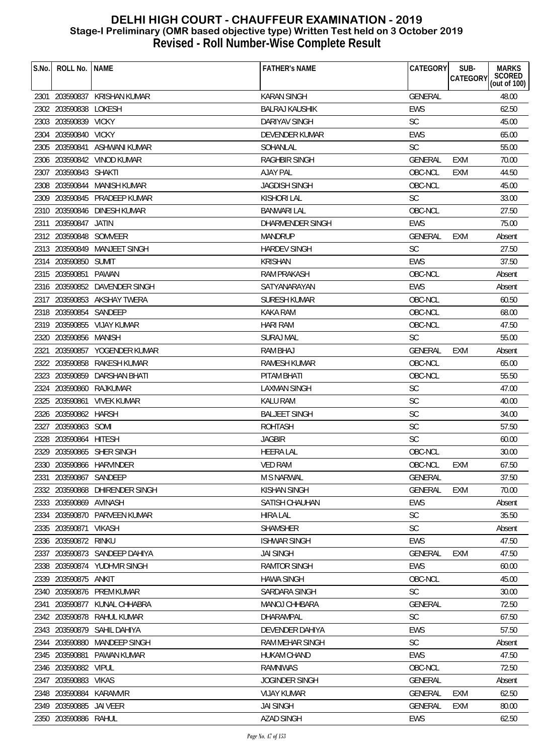| S.No. | ROLL No. INAME          |                                | <b>FATHER'S NAME</b>  | CATEGORY       | SUB-<br><b>CATEGORY</b> | <b>MARKS</b><br>SCORED<br>(out of 100) |
|-------|-------------------------|--------------------------------|-----------------------|----------------|-------------------------|----------------------------------------|
|       |                         | 2301 203590837 KRISHAN KUMAR   | <b>KARAN SINGH</b>    | GENERAL        |                         | 48.00                                  |
|       | 2302 203590838          | LOKESH                         | <b>BALRAJ KAUSHIK</b> | <b>EWS</b>     |                         | 62.50                                  |
|       | 2303 203590839 VICKY    |                                | DARIYAV SINGH         | SC             |                         | 45.00                                  |
| 2304  | 203590840 VICKY         |                                | DEVENDER KUMAR        | <b>EWS</b>     |                         | 65.00                                  |
|       |                         | 2305 203590841 ASHWANI KUMAR   | SOHANLAL              | <b>SC</b>      |                         | 55.00                                  |
|       |                         | 2306 203590842 VINOD KUMAR     | <b>RAGHBIR SINGH</b>  | <b>GENERAL</b> | <b>EXM</b>              | 70.00                                  |
|       | 2307 203590843 SHAKTI   |                                | <b>AJAY PAL</b>       | OBC-NCL        | <b>EXM</b>              | 44.50                                  |
|       |                         | 2308 203590844 MANISH KUMAR    | <b>JAGDISH SINGH</b>  | OBC-NCL        |                         | 45.00                                  |
|       |                         | 2309 203590845 PRADEEP KUMAR   | <b>KISHORI LAL</b>    | <b>SC</b>      |                         | 33.00                                  |
|       |                         | 2310 203590846 DINESH KUMAR    | <b>BANWARI LAL</b>    | OBC-NCL        |                         | 27.50                                  |
|       | 2311 203590847          | JATIN                          | DHARMENDER SINGH      | <b>EWS</b>     |                         | 75.00                                  |
|       | 2312 203590848 SOMVEER  |                                | <b>MANDRUP</b>        | <b>GENERAL</b> | <b>EXM</b>              | Absent                                 |
|       |                         | 2313 203590849 MANJEET SINGH   | <b>HARDEV SINGH</b>   | <b>SC</b>      |                         | 27.50                                  |
|       | 2314 203590850 SUMIT    |                                | <b>KRISHAN</b>        | <b>EWS</b>     |                         | 37.50                                  |
|       | 2315 203590851 PAWAN    |                                | <b>RAM PRAKASH</b>    | OBC-NCL        |                         | Absent                                 |
|       |                         | 2316 203590852 DAVENDER SINGH  | SATYANARAYAN          | <b>EWS</b>     |                         | Absent                                 |
|       |                         | 2317 203590853 AKSHAY TWERA    | <b>SURESH KUMAR</b>   | OBC-NCL        |                         | 60.50                                  |
|       | 2318 203590854 SANDEEP  |                                | <b>KAKA RAM</b>       | OBC-NCL        |                         | 68.00                                  |
|       |                         | 2319 203590855 VIJAY KUMAR     | <b>HARI RAM</b>       | OBC-NCL        |                         | 47.50                                  |
|       | 2320 203590856 MANISH   |                                | <b>SURAJ MAL</b>      | <b>SC</b>      |                         | 55.00                                  |
| 2321  |                         | 203590857 YOGENDER KUMAR       | <b>RAM BHAJ</b>       | <b>GENERAL</b> | <b>EXM</b>              | Absent                                 |
|       |                         | 2322 203590858 RAKESH KUMAR    | RAMESH KUMAR          | OBC-NCL        |                         | 65.00                                  |
|       |                         | 2323 203590859 DARSHAN BHATI   | PITAM BHATI           | OBC-NCL        |                         | 55.50                                  |
|       |                         | 2324 203590860 RAJKUMAR        | LAXMAN SINGH          | SC             |                         | 47.00                                  |
|       | 2325 203590861          | <b>VIVEK KUMAR</b>             | <b>KALU RAM</b>       | SC             |                         | 40.00                                  |
|       | 2326 203590862 HARSH    |                                | <b>BALJEET SINGH</b>  | <b>SC</b>      |                         | 34.00                                  |
|       | 2327 203590863 SOMI     |                                | <b>ROHTASH</b>        | SC             |                         | 57.50                                  |
|       | 2328 203590864 HITESH   |                                | <b>JAGBIR</b>         | <b>SC</b>      |                         | 60.00                                  |
|       |                         | 2329 203590865 SHER SINGH      | <b>HEERA LAL</b>      | OBC-NCL        |                         | 30.00                                  |
|       |                         | 2330 203590866 HARVINDER       | <b>VED RAM</b>        | OBC-NCL        | EXM                     | 67.50                                  |
| 2331  | 203590867               | SANDEEP                        | M S NARWAL            | <b>GENERAL</b> |                         | 37.50                                  |
|       |                         | 2332 203590868 DHIRENDER SINGH | <b>KISHAN SINGH</b>   | <b>GENERAL</b> | <b>EXM</b>              | 70.00                                  |
|       | 2333 203590869 AVINASH  |                                | SATISH CHAUHAN        | <b>EWS</b>     |                         | Absent                                 |
|       |                         | 2334 203590870 PARVEEN KUMAR   | <b>HIRA LAL</b>       | <b>SC</b>      |                         | 35.50                                  |
| 2335  | 203590871               | <b>VIKASH</b>                  | <b>SHAMSHER</b>       | <b>SC</b>      |                         | Absent                                 |
| 2336  | 203590872 RINKU         |                                | <b>ISHWAR SINGH</b>   | EWS            |                         | 47.50                                  |
| 2337  |                         | 203590873 SANDEEP DAHIYA       | <b>JAI SINGH</b>      | <b>GENERAL</b> | <b>EXM</b>              | 47.50                                  |
|       |                         | 2338 203590874 YUDHVIR SINGH   | <b>RAMTOR SINGH</b>   | EWS            |                         | 60.00                                  |
| 2339  | 203590875 ANKIT         |                                | <b>HAWA SINGH</b>     | OBC-NCL        |                         | 45.00                                  |
| 2340  |                         | 203590876 PREM KUMAR           | SARDARA SINGH         | <b>SC</b>      |                         | 30.00                                  |
| 2341  |                         | 203590877 KUNAL CHHABRA        | MANOJ CHHBARA         | <b>GENERAL</b> |                         | 72.50                                  |
|       |                         | 2342 203590878 RAHUL KUMAR     | DHARAMPAL             | <b>SC</b>      |                         | 67.50                                  |
|       | 2343 203590879          | SAHIL DAHIYA                   | DEVENDER DAHIYA       | <b>EWS</b>     |                         | 57.50                                  |
|       | 2344 203590880          | MANDEEP SINGH                  | RAM MEHAR SINGH       | <b>SC</b>      |                         | Absent                                 |
|       | 2345 203590881          | PAWAN KUMAR                    | <b>HUKAM CHAND</b>    | <b>EWS</b>     |                         | 47.50                                  |
| 2346  | 203590882               | <b>VIPUL</b>                   | RAMNIWAS              | OBC-NCL        |                         | 72.50                                  |
| 2347  | 203590883               | VIKAS                          | <b>JOGINDER SINGH</b> | <b>GENERAL</b> |                         | Absent                                 |
| 2348  | 203590884               | <b>KARAMVIR</b>                | <b>VIJAY KUMAR</b>    | <b>GENERAL</b> | <b>EXM</b>              | 62.50                                  |
|       | 2349 203590885 JAI VEER |                                | <b>JAI SINGH</b>      | <b>GENERAL</b> | <b>EXM</b>              | 80.00                                  |
|       | 2350 203590886 RAHUL    |                                | <b>AZAD SINGH</b>     | <b>EWS</b>     |                         | 62.50                                  |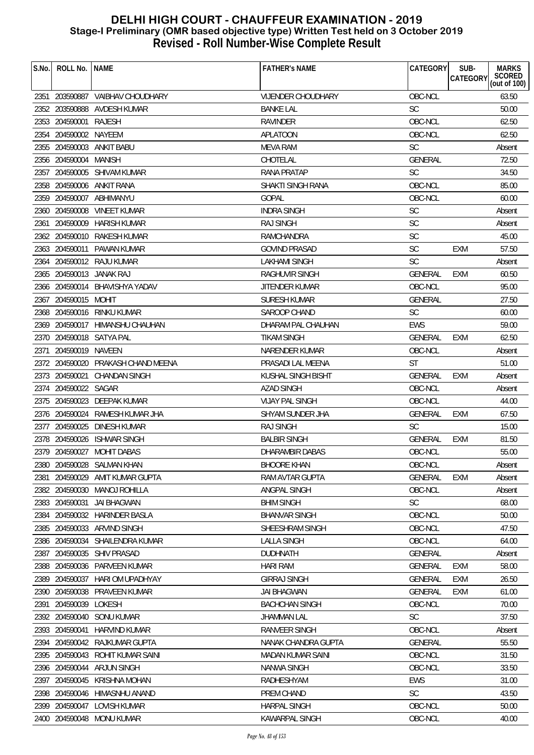| S.No. | ROLL No.   NAME       |                                    | <b>FATHER'S NAME</b>      | CATEGORY       | SUB-       | <b>MARKS</b>           |
|-------|-----------------------|------------------------------------|---------------------------|----------------|------------|------------------------|
|       |                       |                                    |                           |                | CATEGORY   | SCORED<br>(out of 100) |
|       |                       | 2351 203590887 VAIBHAV CHOUDHARY   | <b>VIJENDER CHOUDHARY</b> | OBC-NCL        |            | 63.50                  |
|       |                       | 2352 203590888 AVDESH KUMAR        | <b>BANKE LAL</b>          | <b>SC</b>      |            | 50.00                  |
|       | 2353 204590001        | RAJESH                             | <b>RAVINDER</b>           | OBC-NCL        |            | 62.50                  |
|       | 2354 204590002 NAYEEM |                                    | <b>APLATOON</b>           | OBC-NCL        |            | 62.50                  |
|       |                       | 2355 204590003 ANKIT BABU          | <b>MEVA RAM</b>           | <b>SC</b>      |            | Absent                 |
|       | 2356 204590004 MANISH |                                    | CHOTELAL                  | <b>GENERAL</b> |            | 72.50                  |
|       |                       | 2357 204590005 SHIVAM KUMAR        | <b>RANA PRATAP</b>        | <b>SC</b>      |            | 34.50                  |
|       |                       | 2358 204590006 ANKIT RANA          | SHAKTI SINGH RANA         | OBC-NCL        |            | 85.00                  |
|       |                       | 2359 204590007 ABHIMANYU           | <b>GOPAL</b>              | OBC-NCL        |            | 60.00                  |
|       |                       | 2360 204590008 VINEET KUMAR        | <b>INDRA SINGH</b>        | <b>SC</b>      |            | Absent                 |
|       |                       | 2361 204590009 HARISH KUMAR        | <b>RAJ SINGH</b>          | SC             |            | Absent                 |
|       |                       | 2362 204590010 RAKESH KUMAR        | <b>RAMCHANDRA</b>         | <b>SC</b>      |            | 45.00                  |
|       |                       | 2363 204590011 PAWAN KUMAR         | <b>GOVIND PRASAD</b>      | <b>SC</b>      | <b>EXM</b> | 57.50                  |
|       |                       | 2364 204590012 RAJU KUMAR          | LAKHAMI SINGH             | <b>SC</b>      |            | Absent                 |
|       |                       | 2365 204590013 JANAK RAJ           | <b>RAGHUVIR SINGH</b>     | GENERAL        | <b>EXM</b> | 60.50                  |
|       |                       | 2366 204590014 BHAVISHYA YADAV     | JITENDER KUMAR            | OBC-NCL        |            | 95.00                  |
|       | 2367 204590015 MOHIT  |                                    | SURESH KUMAR              | <b>GENERAL</b> |            | 27.50                  |
|       |                       | 2368 204590016 RINKU KUMAR         | SAROOP CHAND              | <b>SC</b>      |            | 60.00                  |
|       |                       | 2369 204590017 HIMANSHU CHAUHAN    | DHARAM PAL CHAUHAN        | <b>EWS</b>     |            | 59.00                  |
|       |                       | 2370 204590018 SATYA PAL           | <b>TIKAM SINGH</b>        | <b>GENERAL</b> | EXM        | 62.50                  |
|       | 2371 204590019 NAVEEN |                                    | NARENDER KUMAR            | OBC-NCL        |            | Absent                 |
|       |                       | 2372 204590020 PRAKASH CHAND MEENA | PRASADI LAL MEENA         | <b>ST</b>      |            | 51.00                  |
|       | 2373 204590021        | CHANDAN SINGH                      | KUSHAL SINGH BISHT        | <b>GENERAL</b> | EXM        | Absent                 |
|       | 2374 204590022 SAGAR  |                                    | <b>AZAD SINGH</b>         | OBC-NCL        |            | Absent                 |
|       |                       | 2375 204590023 DEEPAK KUMAR        | <b>VIJAY PAL SINGH</b>    | OBC-NCL        |            | 44.00                  |
|       |                       | 2376 204590024 RAMESH KUMAR JHA    | SHYAM SUNDER JHA          | GENERAL        | <b>EXM</b> | 67.50                  |
|       |                       | 2377 204590025 DINESH KUMAR        | <b>RAJ SINGH</b>          | <b>SC</b>      |            | 15.00                  |
|       |                       | 2378 204590026 ISHWAR SINGH        | <b>BALBIR SINGH</b>       | <b>GENERAL</b> | <b>EXM</b> | 81.50                  |
|       |                       | 2379 204590027 MOHIT DABAS         | DHARAMBIR DABAS           | OBC-NCL        |            | 55.00                  |
|       |                       | 2380 204590028 SALMAN KHAN         | <b>BHOORE KHAN</b>        | OBC-NCL        |            | Absent                 |
| 2381  | 204590029             | AMIT KUMAR GUPTA                   | RAM AVTAR GUPTA           | GENERAL        | EXM        | Absent                 |
|       |                       | 2382 204590030 MANOJ ROHILLA       | ANGPAL SINGH              | OBC-NCL        |            | Absent                 |
|       | 2383 204590031        | JAI BHAGWAN                        | <b>BHIM SINGH</b>         | <b>SC</b>      |            | 68.00                  |
| 2384  |                       | 204590032 HARINDER BASLA           | <b>BHANVAR SINGH</b>      | OBC-NCL        |            | 50.00                  |
| 2385  |                       | 204590033 ARVIND SINGH             | SHEESHRAM SINGH           | OBC-NCL        |            | 47.50                  |
|       | 2386 204590034        | SHAILENDRA KUMAR                   | <b>LALLA SINGH</b>        | OBC-NCL        |            | 64.00                  |
| 2387  | 204590035             | SHIV PRASAD                        | <b>DUDHNATH</b>           | <b>GENERAL</b> |            | Absent                 |
| 2388  |                       | 204590036 PARVEEN KUMAR            | <b>HARI RAM</b>           | GENERAL        | EXM        | 58.00                  |
| 2389  | 204590037             | HARI OM UPADHYAY                   | <b>GIRRAJ SINGH</b>       | <b>GENERAL</b> | <b>EXM</b> | 26.50                  |
| 2390  |                       | 204590038 PRAVEEN KUMAR            | <b>JAI BHAGWAN</b>        | <b>GENERAL</b> | <b>EXM</b> | 61.00                  |
| 2391  | 204590039 LOKESH      |                                    | <b>BACHCHAN SINGH</b>     | OBC-NCL        |            | 70.00                  |
| 2392  | 204590040             | SONU KUMAR                         | <b>JHAMMAN LAL</b>        | <b>SC</b>      |            | 37.50                  |
|       | 2393 204590041        | HARVIND KUMAR                      | RANVEER SINGH             | OBC-NCL        |            | Absent                 |
|       |                       | 2394 204590042 RAJKUMAR GUPTA      | NANAK CHANDRA GUPTA       | <b>GENERAL</b> |            | 55.50                  |
|       | 2395 204590043        | ROHIT KUMAR SAINI                  | MADAN KUMAR SAINI         | OBC-NCL        |            | 31.50                  |
| 2396  | 204590044             | ARJUN SINGH                        | NANWA SINGH               | OBC-NCL        |            | 33.50                  |
| 2397  | 204590045             | KRISHNA MOHAN                      | RADHESHYAM                | <b>EWS</b>     |            | 31.00                  |
| 2398  |                       | 204590046 HIMASNHU ANAND           | PREM CHAND                | <b>SC</b>      |            | 43.50                  |
| 2399  |                       | 204590047 LOVISH KUMAR             | <b>HARPAL SINGH</b>       | OBC-NCL        |            | 50.00                  |
|       |                       | 2400 204590048 MONU KUMAR          | KAWARPAL SINGH            | OBC-NCL        |            | 40.00                  |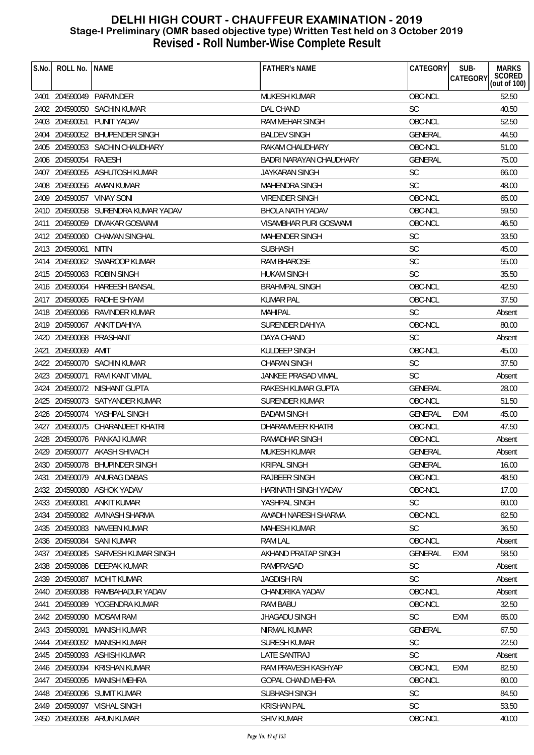| S.No. | ROLL No.              | <b>NAME</b>                         | <b>FATHER'S NAME</b>       | CATEGORY       | SUB-<br><b>MARKS</b>                      |
|-------|-----------------------|-------------------------------------|----------------------------|----------------|-------------------------------------------|
|       |                       |                                     |                            |                | SCORED<br><b>CATEGORY</b><br>(out of 100) |
|       |                       | 2401 204590049 PARVINDER            | <b>MUKESH KUMAR</b>        | OBC-NCL        | 52.50                                     |
|       |                       | 2402 204590050 SACHIN KUMAR         | <b>DAL CHAND</b>           | <b>SC</b>      | 40.50                                     |
|       |                       | 2403 204590051 PUNIT YADAV          | RAM MEHAR SINGH            | OBC-NCL        | 52.50                                     |
|       |                       | 2404 204590052 BHUPENDER SINGH      | <b>BALDEV SINGH</b>        | GENERAL        | 44.50                                     |
|       |                       | 2405 204590053 SACHIN CHAUDHARY     | RAKAM CHAUDHARY            | OBC-NCL        | 51.00                                     |
|       | 2406 204590054 RAJESH |                                     | BADRI NARAYAN CHAUDHARY    | <b>GENERAL</b> | 75.00                                     |
|       |                       | 2407 204590055 ASHUTOSH KUMAR       | <b>JAYKARAN SINGH</b>      | <b>SC</b>      | 66.00                                     |
|       |                       | 2408 204590056 AMAN KUMAR           | MAHENDRA SINGH             | <b>SC</b>      | 48.00                                     |
|       |                       | 2409 204590057 VINAY SONI           | <b>VIRENDER SINGH</b>      | OBC-NCL        | 65.00                                     |
|       |                       | 2410 204590058 SURENDRA KUMAR YADAV | <b>BHOLA NATH YADAV</b>    | OBC-NCL        | 59.50                                     |
|       |                       | 2411 204590059 DIVAKAR GOSWAMI      | VISAMBHAR PURI GOSWAMI     | OBC-NCL        | 46.50                                     |
|       |                       | 2412 204590060 CHAMAN SINGHAL       | <b>MAHENDER SINGH</b>      | <b>SC</b>      | 33.50                                     |
|       | 2413 204590061 NITIN  |                                     | <b>SUBHASH</b>             | <b>SC</b>      | 45.00                                     |
|       |                       | 2414 204590062 SWAROOP KUMAR        | <b>RAM BHAROSE</b>         | <b>SC</b>      | 55.00                                     |
|       |                       | 2415 204590063 ROBIN SINGH          | <b>HUKAM SINGH</b>         | <b>SC</b>      | 35.50                                     |
|       |                       | 2416 204590064 HAREESH BANSAL       | <b>BRAHMPAL SINGH</b>      | OBC-NCL        | 42.50                                     |
|       |                       | 2417 204590065 RADHE SHYAM          | KUMAR PAL                  | OBC-NCL        | 37.50                                     |
|       |                       | 2418 204590066 RAVINDER KUMAR       | <b>MAHIPAL</b>             | <b>SC</b>      | Absent                                    |
|       |                       | 2419 204590067 ANKIT DAHIYA         | SURENDER DAHIYA            | OBC-NCL        | 80.00                                     |
|       |                       | 2420 204590068 PRASHANT             | DAYA CHAND                 | <b>SC</b>      | Absent                                    |
|       | 2421 204590069        | AMIT                                | KULDEEP SINGH              | OBC-NCL        | 45.00                                     |
|       |                       | 2422 204590070 SACHIN KUMAR         | <b>CHARAN SINGH</b>        | <b>SC</b>      | 37.50                                     |
|       | 2423 204590071        | RAVI KANT VIMAL                     | <b>JANKEE PRASAD VIMAL</b> | <b>SC</b>      | Absent                                    |
|       |                       | 2424 204590072 NISHANT GUPTA        | RAKESH KUMAR GUPTA         | <b>GENERAL</b> | 28.00                                     |
|       |                       | 2425 204590073 SATYANDER KUMAR      | SURENDER KUMAR             | OBC-NCL        | 51.50                                     |
|       |                       | 2426 204590074 YASHPAL SINGH        | <b>BADAM SINGH</b>         | GENERAL        | 45.00<br>EXM                              |
|       |                       | 2427 204590075 CHARANJEET KHATRI    | DHARAMVEER KHATRI          | OBC-NCL        | 47.50                                     |
|       |                       | 2428 204590076 PANKAJ KUMAR         | <b>RAMADHAR SINGH</b>      | OBC-NCL        | Absent                                    |
|       |                       | 2429 204590077 AKASH SHIVACH        | MUKESH KUMAR               | <b>GENERAL</b> | Absent                                    |
|       |                       | 2430 204590078 BHUPINDER SINGH      | <b>KRIPAL SINGH</b>        | GENERAL        | 16.00                                     |
| 2431  | 204590079             | ANURAG DABAS                        | <b>RAJBEER SINGH</b>       | OBC-NCL        | 48.50                                     |
|       |                       | 2432 204590080 ASHOK YADAV          | HARINATH SINGH YADAV       | OBC-NCL        | 17.00                                     |
|       | 2433 204590081        | ANKIT KUMAR                         | YASHPAL SINGH              | <b>SC</b>      | 60.00                                     |
| 2434  |                       | 204590082 AVINASH SHARMA            | AWADH NARESH SHARMA        | OBC-NCL        | 62.50                                     |
|       |                       | 2435 204590083 NAVEEN KUMAR         | <b>MAHESH KUMAR</b>        | <b>SC</b>      | 36.50                                     |
|       | 2436 204590084        | SANI KUMAR                          | <b>RAM LAL</b>             | OBC-NCL        | Absent                                    |
| 2437  | 204590085             | SARVESH KUMAR SINGH                 | AKHAND PRATAP SINGH        | <b>GENERAL</b> | 58.50<br><b>EXM</b>                       |
|       |                       | 2438 204590086 DEEPAK KUMAR         | RAMPRASAD                  | <b>SC</b>      | Absent                                    |
|       | 2439 204590087        | MOHIT KUMAR                         | <b>JAGDISH RAI</b>         | <b>SC</b>      | Absent                                    |
|       | 2440 204590088        | RAMBAHADUR YADAV                    | CHANDRIKA YADAV            | OBC-NCL        | Absent                                    |
| 2441  | 204590089             | YOGENDRA KUMAR                      | <b>RAM BABU</b>            | OBC-NCL        | 32.50                                     |
|       | 2442 204590090        | <b>MOSAM RAM</b>                    | <b>JHAGADU SINGH</b>       | <b>SC</b>      | <b>EXM</b><br>65.00                       |
|       | 2443 204590091        | <b>MANISH KUMAR</b>                 | NIRMAL KUMAR               | <b>GENERAL</b> | 67.50                                     |
|       | 2444 204590092        | MANISH KUMAR                        | <b>SURESH KUMAR</b>        | <b>SC</b>      | 22.50                                     |
|       |                       | 2445 204590093 ASHISH KUMAR         | LATE SANTRAJ               | <b>SC</b>      | Absent                                    |
|       | 2446 204590094        | KRISHAN KUMAR                       | RAM PRAVESH KASHYAP        | OBC-NCL        | 82.50<br><b>EXM</b>                       |
| 2447  | 204590095             | <b>MANISH MEHRA</b>                 | <b>GOPAL CHAND MEHRA</b>   | OBC-NCL        | 60.00                                     |
|       | 2448 204590096        | SUMIT KUMAR                         | SUBHASH SINGH              | <b>SC</b>      | 84.50                                     |
|       |                       | 2449 204590097 VISHAL SINGH         | <b>KRISHAN PAL</b>         | <b>SC</b>      | 53.50                                     |
|       |                       | 2450 204590098 ARUN KUMAR           | <b>SHIV KUMAR</b>          | OBC-NCL        | 40.00                                     |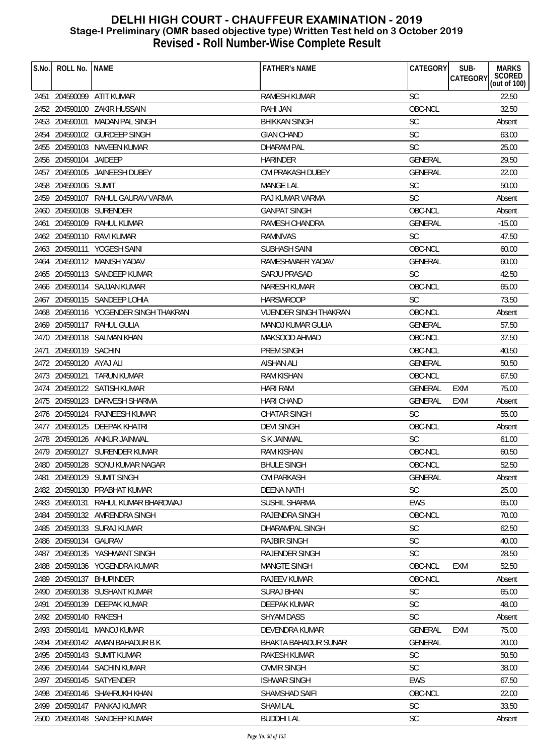| S.No. | ROLL No.                | <b>NAME</b>                           | <b>FATHER'S NAME</b>          | CATEGORY       | SUB-<br><b>CATEGORY</b> | <b>MARKS</b>           |
|-------|-------------------------|---------------------------------------|-------------------------------|----------------|-------------------------|------------------------|
|       |                         |                                       |                               |                |                         | SCORED<br>(out of 100) |
|       |                         | 2451 204590099 ATIT KUMAR             | <b>RAMESH KUMAR</b>           | <b>SC</b>      |                         | 22.50                  |
|       |                         | 2452 204590100 ZAKIR HUSSAIN          | RAHI JAN                      | OBC-NCL        |                         | 32.50                  |
|       |                         | 2453 204590101 MADAN PAL SINGH        | <b>BHIKKAN SINGH</b>          | SC             |                         | Absent                 |
|       |                         | 2454 204590102 GURDEEP SINGH          | <b>GIAN CHAND</b>             | <b>SC</b>      |                         | 63.00                  |
|       |                         | 2455 204590103 NAVEEN KUMAR           | DHARAM PAL                    | <b>SC</b>      |                         | 25.00                  |
|       | 2456 204590104 JAIDEEP  |                                       | <b>HARINDER</b>               | <b>GENERAL</b> |                         | 29.50                  |
|       |                         | 2457 204590105 JAINEESH DUBEY         | OM PRAKASH DUBEY              | <b>GENERAL</b> |                         | 22.00                  |
|       | 2458 204590106 SUMIT    |                                       | <b>MANGE LAL</b>              | SC             |                         | 50.00                  |
|       |                         | 2459 204590107 RAHUL GAURAV VARMA     | RAJ KUMAR VARMA               | <b>SC</b>      |                         | Absent                 |
|       |                         | 2460 204590108 SURENDER               | <b>GANPAT SINGH</b>           | OBC-NCL        |                         | Absent                 |
| 2461  |                         | 204590109 RAHUL KUMAR                 | <b>RAMESH CHANDRA</b>         | <b>GENERAL</b> |                         | $-15.00$               |
|       |                         | 2462 204590110 RAVI KUMAR             | <b>RAMNIVAS</b>               | <b>SC</b>      |                         | 47.50                  |
|       |                         | 2463 204590111 YOGESH SAINI           | <b>SUBHASH SAINI</b>          | OBC-NCL        |                         | 60.00                  |
| 2464  |                         | 204590112 MANISH YADAV                | RAMESHWAER YADAV              | GENERAL        |                         | 60.00                  |
|       |                         | 2465 204590113 SANDEEP KUMAR          | <b>SARJU PRASAD</b>           | <b>SC</b>      |                         | 42.50                  |
|       |                         | 2466 204590114 SAJJAN KUMAR           | <b>NARESH KUMAR</b>           | OBC-NCL        |                         | 65.00                  |
|       |                         | 2467 204590115 SANDEEP LOHIA          | <b>HARSWROOP</b>              | <b>SC</b>      |                         | 73.50                  |
|       |                         | 2468 204590116 YOGENDER SINGH THAKRAN | <b>VIJENDER SINGH THAKRAN</b> | OBC-NCL        |                         | Absent                 |
|       |                         | 2469 204590117 RAHUL GULIA            | MANOJ KUMAR GULIA             | <b>GENERAL</b> |                         | 57.50                  |
|       |                         | 2470 204590118 SALMAN KHAN            | MAKSOOD AHMAD                 | OBC-NCL        |                         | 37.50                  |
| 2471  | 204590119 SACHIN        |                                       | PREM SINGH                    | OBC-NCL        |                         | 40.50                  |
|       | 2472 204590120 AYAJ ALI |                                       | AISHAN ALI                    | <b>GENERAL</b> |                         | 50.50                  |
|       | 2473 204590121          | <b>TARUN KUMAR</b>                    | <b>RAM KISHAN</b>             | OBC-NCL        |                         | 67.50                  |
|       |                         | 2474 204590122 SATISH KUMAR           | <b>HARI RAM</b>               | GENERAL        | EXM                     | 75.00                  |
|       |                         | 2475 204590123 DARVESH SHARMA         | <b>HARI CHAND</b>             | <b>GENERAL</b> | <b>EXM</b>              | Absent                 |
|       |                         | 2476 204590124 RAJNEESH KUMAR         | <b>CHATAR SINGH</b>           | <b>SC</b>      |                         | 55.00                  |
|       |                         | 2477 204590125 DEEPAK KHATRI          | <b>DEVI SINGH</b>             | OBC-NCL        |                         | Absent                 |
|       |                         | 2478 204590126 ANKUR JAINWAL          | S K JAINWAL                   | <b>SC</b>      |                         | 61.00                  |
|       |                         | 2479 204590127 SURENDER KUMAR         | <b>RAM KISHAN</b>             | OBC-NCL        |                         | 60.50                  |
|       |                         | 2480 204590128 SONU KUMAR NAGAR       | <b>BHULE SINGH</b>            | OBC-NCL        |                         | 52.50                  |
| 2481  |                         | 204590129 SUMIT SINGH                 | OM PARKASH                    | <b>GENERAL</b> |                         | Absent                 |
|       |                         | 2482 204590130 PRABHAT KUMAR          | <b>DEENA NATH</b>             | <b>SC</b>      |                         | 25.00                  |
|       |                         | 2483 204590131 RAHUL KUMAR BHARDWAJ   | SUSHIL SHARMA                 | EWS            |                         | 65.00                  |
|       |                         | 2484 204590132 AMRENDRA SINGH         | RAJENDRA SINGH                | OBC-NCL        |                         | 70.00                  |
|       |                         | 2485 204590133 SURAJ KUMAR            | DHARAMPAL SINGH               | SC             |                         | 62.50                  |
|       | 2486 204590134 GAURAV   |                                       | <b>RAJBIR SINGH</b>           | <b>SC</b>      |                         | 40.00                  |
|       |                         | 2487 204590135 YASHWANT SINGH         | RAJENDER SINGH                | <b>SC</b>      |                         | 28.50                  |
|       |                         | 2488 204590136 YOGENDRA KUMAR         | <b>MANGTE SINGH</b>           | OBC-NCL        | EXM                     | 52.50                  |
| 2489  |                         | 204590137 BHUPINDER                   | <b>RAJEEV KUMAR</b>           | OBC-NCL        |                         | Absent                 |
|       |                         | 2490 204590138 SUSHANT KUMAR          | <b>SURAJ BHAN</b>             | <b>SC</b>      |                         | 65.00                  |
| 2491  |                         | 204590139 DEEPAK KUMAR                | DEEPAK KUMAR                  | <b>SC</b>      |                         | 48.00                  |
|       | 2492 204590140 RAKESH   |                                       | <b>SHYAM DASS</b>             | <b>SC</b>      |                         | Absent                 |
|       | 2493 204590141          | MANOJ KUMAR                           | DEVENDRA KUMAR                | <b>GENERAL</b> | EXM                     | 75.00                  |
|       |                         | 2494 204590142 AMAN BAHADUR B K       | BHAKTA BAHADUR SUNAR          | <b>GENERAL</b> |                         | 20.00                  |
|       |                         | 2495 204590143 SUMIT KUMAR            | <b>RAKESH KUMAR</b>           | <b>SC</b>      |                         | 50.50                  |
|       |                         | 2496 204590144 SACHIN KUMAR           | <b>OMVIR SINGH</b>            | SC             |                         | 38.00                  |
| 2497  |                         | 204590145 SATYENDER                   | <b>ISHWAR SINGH</b>           | <b>EWS</b>     |                         | 67.50                  |
|       |                         | 2498 204590146 SHAHRUKH KHAN          | SHAMSHAD SAIFI                | OBC-NCL        |                         | 22.00                  |
|       |                         | 2499 204590147 PANKAJ KUMAR           | <b>SHAM LAL</b>               | <b>SC</b>      |                         | 33.50                  |
|       |                         | 2500 204590148 SANDEEP KUMAR          | <b>BUDDHI LAL</b>             | <b>SC</b>      |                         | Absent                 |
|       |                         |                                       |                               |                |                         |                        |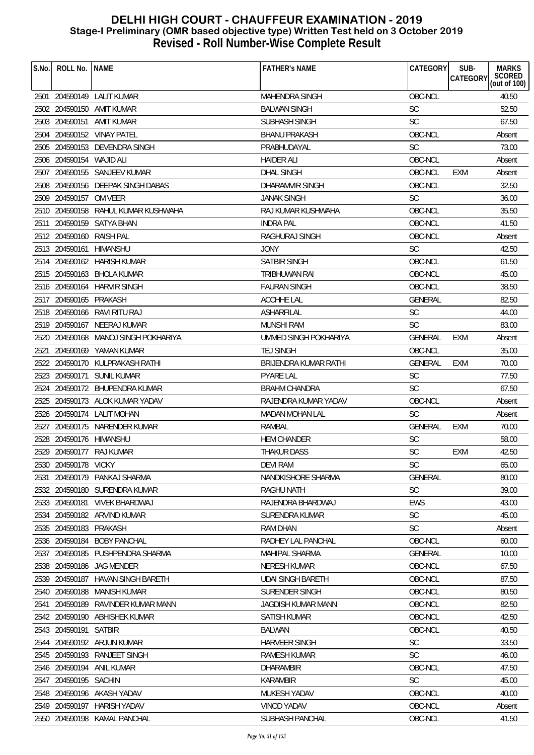| S.No. | ROLL No.                 | <b>NAME</b>                          | <b>FATHER'S NAME</b>     | CATEGORY       | SUB-<br>CATEGORY | <b>MARKS</b><br>SCORED<br>(out of 100) |
|-------|--------------------------|--------------------------------------|--------------------------|----------------|------------------|----------------------------------------|
|       |                          | 2501 204590149 LALIT KUMAR           | MAHENDRA SINGH           | OBC-NCL        |                  | 40.50                                  |
|       |                          | 2502 204590150 AMIT KUMAR            | <b>BALWAN SINGH</b>      | SC             |                  | 52.50                                  |
|       |                          | 2503 204590151 AMIT KUMAR            | SUBHASH SINGH            | <b>SC</b>      |                  | 67.50                                  |
|       |                          | 2504 204590152 VINAY PATEL           | <b>BHANU PRAKASH</b>     | OBC-NCL        |                  | Absent                                 |
|       |                          | 2505 204590153 DEVENDRA SINGH        | PRABHUDAYAL              | <b>SC</b>      |                  | 73.00                                  |
|       | 2506 204590154 WAJID ALI |                                      | <b>HAIDER ALI</b>        | OBC-NCL        |                  | Absent                                 |
|       |                          | 2507 204590155 SANJEEV KUMAR         | <b>DHAL SINGH</b>        | OBC-NCL        | EXM              | Absent                                 |
|       |                          | 2508 204590156 DEEPAK SINGH DABAS    | DHARAMVIR SINGH          | OBC-NCL        |                  | 32.50                                  |
|       | 2509 204590157 OM VEER   |                                      | <b>JANAK SINGH</b>       | <b>SC</b>      |                  | 36.00                                  |
|       |                          | 2510 204590158 RAHUL KUMAR KUSHWAHA  | RAJ KUMAR KUSHWAHA       | OBC-NCL        |                  | 35.50                                  |
|       |                          | 2511 204590159 SATYA BHAN            | <b>INDRA PAL</b>         | OBC-NCL        |                  | 41.50                                  |
|       | 2512 204590160 RAISH PAL |                                      | <b>RAGHURAJ SINGH</b>    | OBC-NCL        |                  | Absent                                 |
|       | 2513 204590161 HIMANSHU  |                                      | <b>JONY</b>              | <b>SC</b>      |                  | 42.50                                  |
|       |                          | 2514 204590162 HARISH KUMAR          | <b>SATBIR SINGH</b>      | OBC-NCL        |                  | 61.50                                  |
|       |                          | 2515 204590163 BHOLA KUMAR           | <b>TRIBHUWAN RAI</b>     | OBC-NCL        |                  | 45.00                                  |
|       |                          | 2516 204590164 HARVIR SINGH          | <b>FAURAN SINGH</b>      | OBC-NCL        |                  | 38.50                                  |
|       | 2517 204590165 PRAKASH   |                                      | <b>ACCHHE LAL</b>        | GENERAL        |                  | 82.50                                  |
|       |                          | 2518 204590166 RAVI RITU RAJ         | <b>ASHARFILAL</b>        | SC             |                  | 44.00                                  |
|       |                          | 2519 204590167 NEERAJ KUMAR          | <b>MUNSHI RAM</b>        | <b>SC</b>      |                  | 83.00                                  |
|       |                          | 2520 204590168 MANOJ SINGH POKHARIYA | UMMED SINGH POKHARIYA    | <b>GENERAL</b> | EXM              | Absent                                 |
| 2521  |                          | 204590169 YAMAN KUMAR                | <b>TEJ SINGH</b>         | OBC-NCL        |                  | 35.00                                  |
|       |                          | 2522 204590170 KULPRAKASH RATHI      | BRIJENDRA KUMAR RATHI    | GENERAL        | EXM              | 70.00                                  |
|       |                          | 2523 204590171 SUNIL KUMAR           | <b>PYARE LAL</b>         | <b>SC</b>      |                  | 77.50                                  |
|       |                          | 2524 204590172 BHUPENDRA KUMAR       | <b>BRAHM CHANDRA</b>     | <b>SC</b>      |                  | 67.50                                  |
|       |                          | 2525 204590173 ALOK KUMAR YADAV      | RAJENDRA KUMAR YADAV     | OBC-NCL        |                  | Absent                                 |
|       |                          | 2526 204590174 LALIT MOHAN           | MADAN MOHAN LAL          | <b>SC</b>      |                  | Absent                                 |
|       |                          | 2527 204590175 NARENDER KUMAR        | RAMBAL                   | GENERAL        | <b>EXM</b>       | 70.00                                  |
| 2528  | 204590176 HIMANSHU       |                                      | <b>HEM CHANDER</b>       | SC             |                  | 58.00                                  |
|       |                          | 2529 204590177 RAJ KUMAR             | <b>THAKUR DASS</b>       | <b>SC</b>      | <b>EXM</b>       | 42.50                                  |
|       | 2530 204590178 VICKY     |                                      | <b>DEVI RAM</b>          | SC             |                  | 65.00                                  |
| 2531  |                          | 204590179 PANKAJ SHARMA              | NANDKISHORE SHARMA       | <b>GENERAL</b> |                  | 80.00                                  |
|       |                          | 2532 204590180 SURENDRA KUMAR        | RAGHU NATH               | SC             |                  | 39.00                                  |
|       |                          | 2533 204590181 VIVEK BHARDWAJ        | RAJENDRA BHARDWAJ        | <b>EWS</b>     |                  | 43.00                                  |
| 2534  |                          | 204590182 ARVIND KUMAR               | SURENDRA KUMAR           | <b>SC</b>      |                  | 45.00                                  |
| 2535  | 204590183 PRAKASH        |                                      | RAM DHAN                 | <b>SC</b>      |                  | Absent                                 |
|       | 2536 204590184           | <b>BOBY PANCHAL</b>                  | RADHEY LAL PANCHAL       | OBC-NCL        |                  | 60.00                                  |
|       |                          | 2537 204590185 PUSHPENDRA SHARMA     | <b>MAHIPAL SHARMA</b>    | <b>GENERAL</b> |                  | 10.00                                  |
|       |                          | 2538 204590186 JAG MENDER            | <b>NERESH KUMAR</b>      | OBC-NCL        |                  | 67.50                                  |
| 2539  |                          | 204590187 HAVAN SINGH BARETH         | <b>UDAI SINGH BARETH</b> | OBC-NCL        |                  | 87.50                                  |
|       |                          | 2540 204590188 MANISH KUMAR          | <b>SURENDER SINGH</b>    | OBC-NCL        |                  | 80.50                                  |
| 2541  | 204590189                | RAVINDER KUMAR MANN                  | JAGDISH KUMAR MANN       | OBC-NCL        |                  | 82.50                                  |
|       |                          | 2542 204590190 ABHISHEK KUMAR        | <b>SATISH KUMAR</b>      | OBC-NCL        |                  | 42.50                                  |
|       | 2543 204590191           | SATBIR                               | <b>BALWAN</b>            | OBC-NCL        |                  | 40.50                                  |
|       |                          | 2544 204590192 ARJUN KUMAR           | <b>HARVEER SINGH</b>     | <b>SC</b>      |                  | 33.50                                  |
|       |                          | 2545 204590193 RANJEET SINGH         | <b>RAMESH KUMAR</b>      | <b>SC</b>      |                  | 46.00                                  |
| 2546  |                          | 204590194 ANIL KUMAR                 | <b>DHARAMBIR</b>         | OBC-NCL        |                  | 47.50                                  |
| 2547  | 204590195 SACHIN         |                                      | KARAMBIR                 | <b>SC</b>      |                  | 45.00                                  |
| 2548  |                          | 204590196 AKASH YADAV                | MUKESH YADAV             | OBC-NCL        |                  | 40.00                                  |
|       |                          | 2549 204590197 HARISH YADAV          | <b>VINOD YADAV</b>       | OBC-NCL        |                  | Absent                                 |
|       |                          | 2550 204590198 KAMAL PANCHAL         | SUBHASH PANCHAL          | OBC-NCL        |                  | 41.50                                  |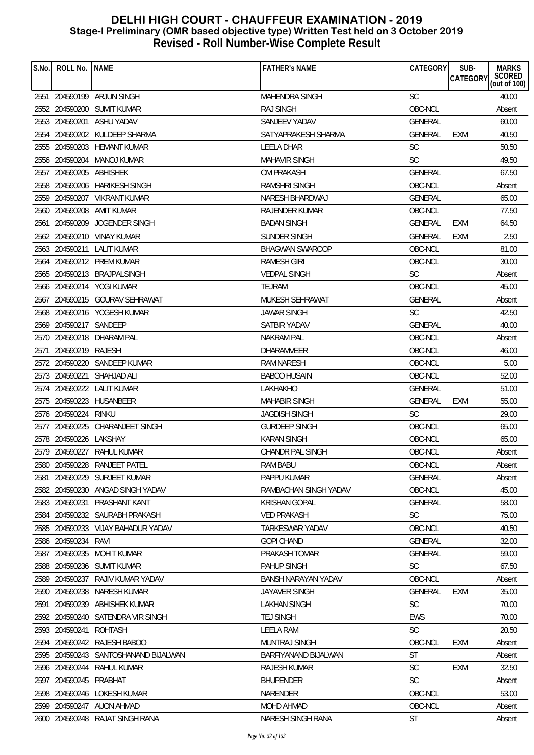| S.No. | ROLL No.               | <b>NAME</b>                          | <b>FATHER'S NAME</b>       | CATEGORY       | SUB-<br><b>CATEGORY</b> | <b>MARKS</b><br>SCORED<br>(out of 100) |
|-------|------------------------|--------------------------------------|----------------------------|----------------|-------------------------|----------------------------------------|
|       |                        | 2551 204590199 ARJUN SINGH           | <b>MAHENDRA SINGH</b>      | <b>SC</b>      |                         | 40.00                                  |
|       |                        | 2552 204590200 SUMIT KUMAR           | RAJ SINGH                  | OBC-NCL        |                         | Absent                                 |
| 2553  | 204590201              | ASHU YADAV                           | SANJEEV YADAV              | <b>GENERAL</b> |                         | 60.00                                  |
| 2554  |                        | 204590202 KULDEEP SHARMA             | SATYAPRAKESH SHARMA        | <b>GENERAL</b> | EXM                     | 40.50                                  |
|       |                        | 2555 204590203 HEMANT KUMAR          | <b>LEELA DHAR</b>          | <b>SC</b>      |                         | 50.50                                  |
| 2556  | 204590204              | MANOJ KUMAR                          | <b>MAHAVIR SINGH</b>       | <b>SC</b>      |                         | 49.50                                  |
| 2557  | 204590205 ABHISHEK     |                                      | <b>OM PRAKASH</b>          | <b>GENERAL</b> |                         | 67.50                                  |
|       |                        | 2558 204590206 HARIKESH SINGH        | <b>RAMSHRI SINGH</b>       | OBC-NCL        |                         | Absent                                 |
|       |                        | 2559 204590207 VIKRANT KUMAR         | <b>NARESH BHARDWAJ</b>     | <b>GENERAL</b> |                         | 65.00                                  |
|       | 2560 204590208         | AMIT KUMAR                           | RAJENDER KUMAR             | OBC-NCL        |                         | 77.50                                  |
| 2561  | 204590209              | JOGENDER SINGH                       | <b>BADAN SINGH</b>         | <b>GENERAL</b> | EXM                     | 64.50                                  |
|       |                        | 2562 204590210 VINAY KUMAR           | SUNDER SINGH               | GENERAL        | <b>EXM</b>              | 2.50                                   |
|       |                        | 2563 204590211 LALIT KUMAR           | <b>BHAGWAN SWAROOP</b>     | OBC-NCL        |                         | 81.00                                  |
| 2564  |                        | 204590212 PREM KUMAR                 | <b>RAMESH GIRI</b>         | OBC-NCL        |                         | 30.00                                  |
|       |                        | 2565 204590213 BRAJPALSINGH          | <b>VEDPAL SINGH</b>        | <b>SC</b>      |                         | Absent                                 |
|       |                        | 2566 204590214 YOGI KUMAR            | <b>TEJRAM</b>              | OBC-NCL        |                         | 45.00                                  |
| 2567  |                        | 204590215 GOURAV SEHRAWAT            | MUKESH SEHRAWAT            | <b>GENERAL</b> |                         | Absent                                 |
|       |                        | 2568 204590216 YOGESH KUMAR          | <b>JAWAR SINGH</b>         | SC             |                         | 42.50                                  |
|       | 2569 204590217 SANDEEP |                                      | SATBIR YADAV               | <b>GENERAL</b> |                         | 40.00                                  |
|       |                        | 2570 204590218 DHARAM PAL            | <b>NAKRAM PAL</b>          | OBC-NCL        |                         | Absent                                 |
| 2571  | 204590219              | RAJESH                               | <b>DHARAMVEER</b>          | OBC-NCL        |                         | 46.00                                  |
| 2572  | 204590220              | SANDEEP KUMAR                        | RAM NARESH                 | OBC-NCL        |                         | 5.00                                   |
|       | 2573 204590221         | SHAHJAD ALI                          | <b>BABOO HUSAIN</b>        | OBC-NCL        |                         | 52.00                                  |
| 2574  |                        | 204590222 LALIT KUMAR                | LAKHAKHO                   | <b>GENERAL</b> |                         | 51.00                                  |
|       |                        | 2575 204590223 HUSANBEER             | <b>MAHABIR SINGH</b>       | <b>GENERAL</b> | <b>EXM</b>              | 55.00                                  |
|       | 2576 204590224         | RINKU                                | <b>JAGDISH SINGH</b>       | <b>SC</b>      |                         | 29.00                                  |
|       | 2577 204590225         | CHARANJEET SINGH                     | <b>GURDEEP SINGH</b>       | OBC-NCL        |                         | 65.00                                  |
|       | 2578 204590226         | LAKSHAY                              | <b>KARAN SINGH</b>         | OBC-NCL        |                         | 65.00                                  |
|       |                        | 2579 204590227 RAHUL KUMAR           | <b>CHANDR PAL SINGH</b>    | OBC-NCL        |                         | Absent                                 |
|       |                        | 2580 204590228 RANJEET PATEL         | RAM BABU                   | OBC-NCL        |                         | Absent                                 |
| 2581  |                        | 204590229 SURJEET KUMAR              | PAPPU KUMAR                | GENERAL        |                         | Absent                                 |
|       |                        | 2582 204590230 ANGAD SINGH YADAV     | RAMBACHAN SINGH YADAV      | OBC-NCL        |                         | 45.00                                  |
|       | 2583 204590231         | PRASHANT KANT                        | <b>KRISHAN GOPAL</b>       | <b>GENERAL</b> |                         | 58.00                                  |
| 2584  |                        | 204590232 SAURABH PRAKASH            | <b>VED PRAKASH</b>         | <b>SC</b>      |                         | 75.00                                  |
| 2585  |                        | 204590233 VIJAY BAHADUR YADAV        | <b>TARKESWAR YADAV</b>     | OBC-NCL        |                         | 40.50                                  |
| 2586  | 204590234              | RAVI                                 | <b>GOPI CHAND</b>          | <b>GENERAL</b> |                         | 32.00                                  |
|       | 2587 204590235         | MOHIT KUMAR                          | PRAKASH TOMAR              | GENERAL        |                         | 59.00                                  |
| 2588  |                        | 204590236 SUMIT KUMAR                | PAHUP SINGH                | <b>SC</b>      |                         | 67.50                                  |
| 2589  | 204590237              | RAJIV KUMAR YADAV                    | <b>BANSH NARAYAN YADAV</b> | OBC-NCL        |                         | Absent                                 |
|       | 2590 204590238         | NARESH KUMAR                         | <b>JAYAVER SINGH</b>       | <b>GENERAL</b> | <b>EXM</b>              | 35.00                                  |
| 2591  |                        | 204590239 ABHISHEK KUMAR             | <b>LAKHAN SINGH</b>        | <b>SC</b>      |                         | 70.00                                  |
|       |                        | 2592 204590240 SATENDRA VIR SINGH    | <b>TEJ SINGH</b>           | <b>EWS</b>     |                         | 70.00                                  |
|       | 2593 204590241         | ROHTASH                              | <b>LEELA RAM</b>           | <b>SC</b>      |                         | 20.50                                  |
|       |                        | 2594 204590242 RAJESH BABOO          | <b>MUNTRAJ SINGH</b>       | OBC-NCL        | EXM                     | Absent                                 |
|       |                        | 2595 204590243 SANTOSHANAND BIJALWAN | BARFIYANAND BIJALWAN       | <b>ST</b>      |                         | Absent                                 |
| 2596  | 204590244              | RAHUL KUMAR                          | <b>RAJESH KUMAR</b>        | <b>SC</b>      | EXM                     | 32.50                                  |
| 2597  | 204590245              | PRABHAT                              | <b>BHUPENDER</b>           | <b>SC</b>      |                         | Absent                                 |
| 2598  |                        | 204590246 LOKESH KUMAR               | NARENDER                   | OBC-NCL        |                         | 53.00                                  |
|       |                        | 2599 204590247 AUON AHMAD            | <b>MOHD AHMAD</b>          | OBC-NCL        |                         | Absent                                 |
|       |                        | 2600 204590248 RAJAT SINGH RANA      | NARESH SINGH RANA          | <b>ST</b>      |                         | Absent                                 |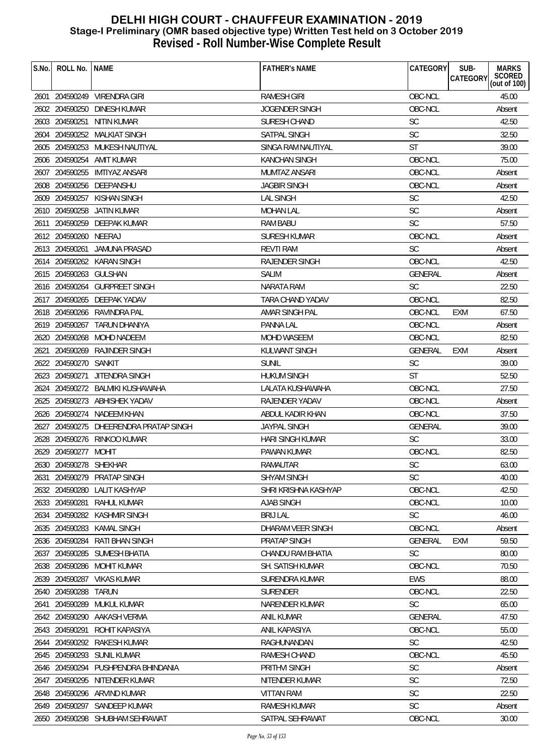| S.No. | ROLL No.               | <b>NAME</b>                            | <b>FATHER'S NAME</b>    | CATEGORY       | SUB-<br><b>CATEGORY</b> | <b>MARKS</b><br>SCORED<br>(out of 100) |
|-------|------------------------|----------------------------------------|-------------------------|----------------|-------------------------|----------------------------------------|
|       |                        | 2601 204590249 VIRENDRA GIRI           | <b>RAMESH GIRI</b>      | OBC-NCL        |                         | 45.00                                  |
|       |                        | 2602 204590250 DINESH KUMAR            | JOGENDER SINGH          | OBC-NCL        |                         | Absent                                 |
|       | 2603 204590251         | NITIN KUMAR                            | SURESH CHAND            | <b>SC</b>      |                         | 42.50                                  |
|       |                        | 2604 204590252 MALKIAT SINGH           | SATPAL SINGH            | <b>SC</b>      |                         | 32.50                                  |
|       |                        | 2605 204590253 MUKESH NAUTIYAL         | SINGA RAM NAUTIYAL      | <b>ST</b>      |                         | 39.00                                  |
|       |                        | 2606 204590254 AMIT KUMAR              | <b>KANCHAN SINGH</b>    | OBC-NCL        |                         | 75.00                                  |
|       |                        | 2607 204590255 IMTIYAZ ANSARI          | MUMTAZ ANSARI           | OBC-NCL        |                         | Absent                                 |
|       |                        | 2608 204590256 DEEPANSHU               | <b>JAGBIR SINGH</b>     | OBC-NCL        |                         | Absent                                 |
|       |                        | 2609 204590257 KISHAN SINGH            | <b>LAL SINGH</b>        | <b>SC</b>      |                         | 42.50                                  |
|       |                        | 2610 204590258 JATIN KUMAR             | <b>MOHAN LAL</b>        | <b>SC</b>      |                         | Absent                                 |
|       |                        | 2611 204590259 DEEPAK KUMAR            | RAM BABU                | <b>SC</b>      |                         | 57.50                                  |
|       | 2612 204590260 NEERAJ  |                                        | <b>SURESH KUMAR</b>     | OBC-NCL        |                         | Absent                                 |
|       |                        | 2613 204590261 JAMUNA PRASAD           | <b>REVTI RAM</b>        | <b>SC</b>      |                         | Absent                                 |
|       |                        | 2614 204590262 KARAN SINGH             | <b>RAJENDER SINGH</b>   | OBC-NCL        |                         | 42.50                                  |
|       | 2615 204590263 GULSHAN |                                        | <b>SALIM</b>            | <b>GENERAL</b> |                         | Absent                                 |
|       |                        | 2616 204590264 GURPREET SINGH          | NARATA RAM              | <b>SC</b>      |                         | 22.50                                  |
|       |                        | 2617 204590265 DEEPAK YADAV            | TARA CHAND YADAV        | OBC-NCL        |                         | 82.50                                  |
|       |                        | 2618 204590266 RAVINDRA PAL            | AMAR SINGH PAL          | OBC-NCL        | EXM                     | 67.50                                  |
|       |                        | 2619 204590267 TARUN DHANIYA           | PANNA LAL               | OBC-NCL        |                         | Absent                                 |
|       |                        | 2620 204590268 MOHD NADEEM             | <b>MOHD WASEEM</b>      | OBC-NCL        |                         | 82.50                                  |
| 2621  |                        | 204590269 RAJINDER SINGH               | KULWANT SINGH           | GENERAL        | <b>EXM</b>              | Absent                                 |
|       | 2622 204590270 SANKIT  |                                        | <b>SUNIL</b>            | <b>SC</b>      |                         | 39.00                                  |
|       | 2623 204590271         | <b>JITENDRA SINGH</b>                  | <b>HUKUM SINGH</b>      | ST             |                         | 52.50                                  |
|       |                        | 2624 204590272 BALMIKI KUSHAWAHA       | LALATA KUSHAWAHA        | OBC-NCL        |                         | 27.50                                  |
|       |                        | 2625 204590273 ABHISHEK YADAV          | RAJENDER YADAV          | OBC-NCL        |                         | Absent                                 |
|       |                        | 2626 204590274 NADEEM KHAN             | ABDUL KADIR KHAN        | OBC-NCL        |                         | 37.50                                  |
|       |                        | 2627 204590275 DHEERENDRA PRATAP SINGH | <b>JAYPAL SINGH</b>     | <b>GENERAL</b> |                         | 39.00                                  |
|       |                        | 2628 204590276 RINKOO KUMAR            | <b>HARI SINGH KUMAR</b> | <b>SC</b>      |                         | 33.00                                  |
|       | 2629 204590277 MOHIT   |                                        | PAWAN KUMAR             | OBC-NCL        |                         | 82.50                                  |
|       | 2630 204590278 SHEKHAR |                                        | RAMAUTAR                | SC             |                         | 63.00                                  |
| 2631  | 204590279              | <b>PRATAP SINGH</b>                    | <b>SHYAM SINGH</b>      | <b>SC</b>      |                         | 40.00                                  |
|       |                        | 2632 204590280 LALIT KASHYAP           | SHRI KRISHNA KASHYAP    | OBC-NCL        |                         | 42.50                                  |
|       | 2633 204590281         | RAHUL KUMAR                            | <b>AJAB SINGH</b>       | OBC-NCL        |                         | 10.00                                  |
|       |                        | 2634 204590282 KASHMIR SINGH           | <b>BRIJ LAL</b>         | <b>SC</b>      |                         | 46.00                                  |
|       | 2635 204590283         | KAMAL SINGH                            | DHARAM VEER SINGH       | OBC-NCL        |                         | Absent                                 |
|       | 2636 204590284         | RATI BHAN SINGH                        | <b>PRATAP SINGH</b>     | <b>GENERAL</b> | <b>EXM</b>              | 59.50                                  |
|       |                        | 2637 204590285 SUMESH BHATIA           | CHANDU RAM BHATIA       | <b>SC</b>      |                         | 80.00                                  |
|       |                        | 2638 204590286 MOHIT KUMAR             | SH. SATISH KUMAR        | OBC-NCL        |                         | 70.50                                  |
| 2639  | 204590287              | <b>VIKAS KUMAR</b>                     | SURENDRA KUMAR          | EWS            |                         | 88.00                                  |
|       | 2640 204590288         | TARUN                                  | <b>SURENDER</b>         | OBC-NCL        |                         | 22.50                                  |
| 2641  | 204590289              | MUKUL KUMAR                            | NARENDER KUMAR          | <b>SC</b>      |                         | 65.00                                  |
|       | 2642 204590290         | AAKASH VERMA                           | <b>ANIL KUMAR</b>       | <b>GENERAL</b> |                         | 47.50                                  |
|       | 2643 204590291         | ROHIT KAPASIYA                         | ANIL KAPASIYA           | OBC-NCL        |                         | 55.00                                  |
|       | 2644 204590292         | RAKESH KUMAR                           | RAGHUNANDAN             | <b>SC</b>      |                         | 42.50                                  |
|       | 2645 204590293         | <b>SUNIL KUMAR</b>                     | <b>RAMESH CHAND</b>     | OBC-NCL        |                         | 45.50                                  |
|       |                        | 2646 204590294 PUSHPENDRA BHINDANIA    | PRITHVI SINGH           | SC             |                         | Absent                                 |
| 2647  | 204590295              | NITENDER KUMAR                         | NITENDER KUMAR          | <b>SC</b>      |                         | 72.50                                  |
|       |                        | 2648 204590296 ARVIND KUMAR            | <b>VITTAN RAM</b>       | <b>SC</b>      |                         | 22.50                                  |
|       |                        | 2649 204590297 SANDEEP KUMAR           | <b>RAMESH KUMAR</b>     | <b>SC</b>      |                         | Absent                                 |
|       |                        | 2650 204590298 SHUBHAM SEHRAWAT        | SATPAL SEHRAWAT         | OBC-NCL        |                         | 30.00                                  |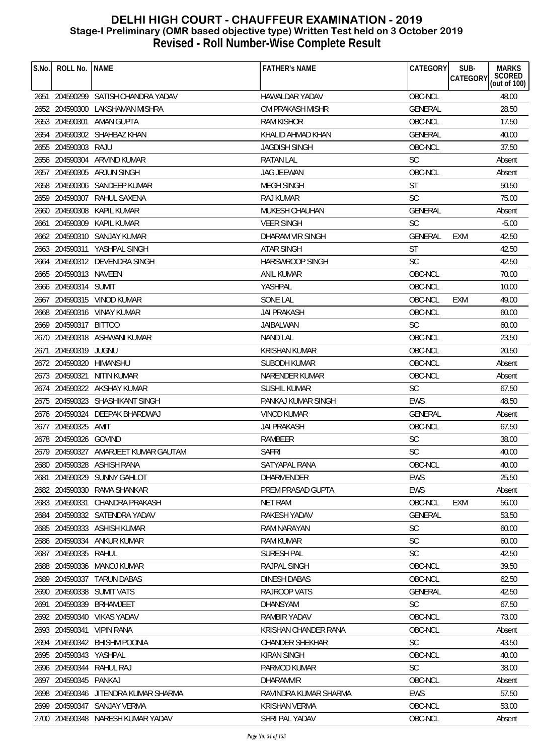| S.No. | ROLL No.                | <b>NAME</b>                          | <b>FATHER'S NAME</b>   | <b>CATEGORY</b> | SUB-<br><b>CATEGORY</b> | <b>MARKS</b><br>SCORED<br>(out of 100) |
|-------|-------------------------|--------------------------------------|------------------------|-----------------|-------------------------|----------------------------------------|
|       |                         |                                      |                        |                 |                         |                                        |
|       |                         | 2651 204590299 SATISH CHANDRA YADAV  | HAWALDAR YADAV         | OBC-NCL         |                         | 48.00                                  |
|       |                         | 2652 204590300 LAKSHAMAN MISHRA      | OM PRAKASH MISHR       | <b>GENERAL</b>  |                         | 28.50                                  |
|       | 2653 204590301          | AMAN GUPTA                           | <b>RAM KISHOR</b>      | OBC-NCL         |                         | 17.50                                  |
|       |                         | 2654 204590302 SHAHBAZ KHAN          | KHALID AHMAD KHAN      | <b>GENERAL</b>  |                         | 40.00                                  |
|       | 2655 204590303 RAJU     |                                      | JAGDISH SINGH          | OBC-NCL         |                         | 37.50                                  |
|       | 2656 204590304          | ARVIND KUMAR                         | <b>RATAN LAL</b>       | <b>SC</b>       |                         | Absent                                 |
|       |                         | 2657 204590305 ARJUN SINGH           | <b>JAG JEEWAN</b>      | OBC-NCL         |                         | Absent                                 |
|       |                         | 2658 204590306 SANDEEP KUMAR         | <b>MEGH SINGH</b>      | <b>ST</b>       |                         | 50.50                                  |
|       | 2659 204590307          | RAHUL SAXENA                         | <b>RAJ KUMAR</b>       | <b>SC</b>       |                         | 75.00                                  |
|       | 2660 204590308          | KAPIL KUMAR                          | MUKESH CHAUHAN         | <b>GENERAL</b>  |                         | Absent                                 |
| 2661  | 204590309               | KAPIL KUMAR                          | <b>VEER SINGH</b>      | <b>SC</b>       |                         | $-5.00$                                |
|       |                         | 2662 204590310 SANJAY KUMAR          | DHARAM VIR SINGH       | <b>GENERAL</b>  | <b>EXM</b>              | 42.50                                  |
|       |                         | 2663 204590311 YASHPAL SINGH         | <b>ATAR SINGH</b>      | <b>ST</b>       |                         | 42.50                                  |
| 2664  |                         | 204590312 DEVENDRA SINGH             | <b>HARSWROOP SINGH</b> | <b>SC</b>       |                         | 42.50                                  |
|       | 2665 204590313 NAVEEN   |                                      | ANIL KUMAR             | OBC-NCL         |                         | 70.00                                  |
|       | 2666 204590314 SUMIT    |                                      | YASHPAL                | OBC-NCL         |                         | 10.00                                  |
| 2667  |                         | 204590315 VINOD KUMAR                | <b>SONE LAL</b>        | OBC-NCL         | <b>EXM</b>              | 49.00                                  |
|       |                         | 2668 204590316 VINAY KUMAR           | <b>JAI PRAKASH</b>     | OBC-NCL         |                         | 60.00                                  |
|       | 2669 204590317 BITTOO   |                                      | JAIBALWAN              | <b>SC</b>       |                         | 60.00                                  |
|       |                         | 2670 204590318 ASHWANI KUMAR         | <b>NAND LAL</b>        | OBC-NCL         |                         | 23.50                                  |
| 2671  | 204590319 JUGNU         |                                      | <b>KRISHAN KUMAR</b>   | OBC-NCL         |                         | 20.50                                  |
|       | 2672 204590320 HIMANSHU |                                      | SUBODH KUMAR           | OBC-NCL         |                         | Absent                                 |
|       | 2673 204590321          | <b>NITIN KUMAR</b>                   | NARENDER KUMAR         | OBC-NCL         |                         | Absent                                 |
|       |                         | 2674 204590322 AKSHAY KUMAR          | SUSHIL KUMAR           | <b>SC</b>       |                         | 67.50                                  |
|       |                         | 2675 204590323 SHASHIKANT SINGH      | PANKAJ KUMAR SINGH     | <b>EWS</b>      |                         | 48.50                                  |
|       |                         | 2676 204590324 DEEPAK BHARDWAJ       | <b>VINOD KUMAR</b>     | <b>GENERAL</b>  |                         | Absent                                 |
|       | 2677 204590325          | AMIT                                 | <b>JAI PRAKASH</b>     | OBC-NCL         |                         | 67.50                                  |
|       | 2678 204590326 GOVIND   |                                      | RAMBEER                | <b>SC</b>       |                         | 38.00                                  |
|       |                         | 2679 204590327 AMARJEET KUMAR GAUTAM | <b>SAFRI</b>           | <b>SC</b>       |                         | 40.00                                  |
|       |                         | 2680 204590328 ASHISH RANA           | SATYAPAL RANA          | OBC-NCL         |                         | 40.00                                  |
| 2681  |                         | 204590329 SUNNY GAHLOT               | DHARMENDER             | EWS             |                         | 25.50                                  |
|       |                         | 2682 204590330 RAMA SHANKAR          | PREM PRASAD GUPTA      | <b>EWS</b>      |                         | Absent                                 |
|       | 2683 204590331          | CHANDRA PRAKASH                      | <b>NET RAM</b>         | OBC-NCL         | EXM                     | 56.00                                  |
|       |                         | 2684 204590332 SATENDRA YADAV        | RAKESH YADAV           | <b>GENERAL</b>  |                         | 53.50                                  |
|       |                         | 2685 204590333 ASHISH KUMAR          | RAM NARAYAN            | SC              |                         | 60.00                                  |
|       | 2686 204590334          | ANKUR KUMAR                          | <b>RAM KUMAR</b>       | <b>SC</b>       |                         | 60.00                                  |
|       | 2687 204590335 RAHUL    |                                      | SURESH PAL             | <b>SC</b>       |                         | 42.50                                  |
|       |                         | 2688 204590336 MANOJ KUMAR           | RAJPAL SINGH           | OBC-NCL         |                         | 39.50                                  |
| 2689  | 204590337               | <b>TARUN DABAS</b>                   | DINESH DABAS           | OBC-NCL         |                         | 62.50                                  |
|       |                         | 2690 204590338 SUMIT VATS            | RAJROOP VATS           | GENERAL         |                         | 42.50                                  |
| 2691  | 204590339               | BRHAMJEET                            | <b>DHANSYAM</b>        | <b>SC</b>       |                         | 67.50                                  |
|       | 2692 204590340          | VIKAS YADAV                          | <b>RAMBIR YADAV</b>    | OBC-NCL         |                         | 73.00                                  |
|       | 2693 204590341          | <b>VIPIN RANA</b>                    | KRISHAN CHANDER RANA   | OBC-NCL         |                         | Absent                                 |
|       |                         | 2694 204590342 BHISHM POONIA         | <b>CHANDER SHEKHAR</b> | <b>SC</b>       |                         | 43.50                                  |
|       | 2695 204590343 YASHPAL  |                                      | <b>KIRAN SINGH</b>     | OBC-NCL         |                         | 40.00                                  |
|       | 2696 204590344          | RAHUL RAJ                            | PARMOD KUMAR           | <b>SC</b>       |                         | 38.00                                  |
| 2697  | 204590345 PANKAJ        |                                      | <b>DHARAMVIR</b>       | OBC-NCL         |                         | Absent                                 |
|       |                         | 2698 204590346 JITENDRA KUMAR SHARMA | RAVINDRA KUMAR SHARMA  | <b>EWS</b>      |                         | 57.50                                  |
|       |                         | 2699 204590347 SANJAY VERMA          | KRISHAN VERMA          | OBC-NCL         |                         | 53.00                                  |
|       |                         | 2700 204590348 NARESH KUMAR YADAV    | SHRI PAL YADAV         | OBC-NCL         |                         | Absent                                 |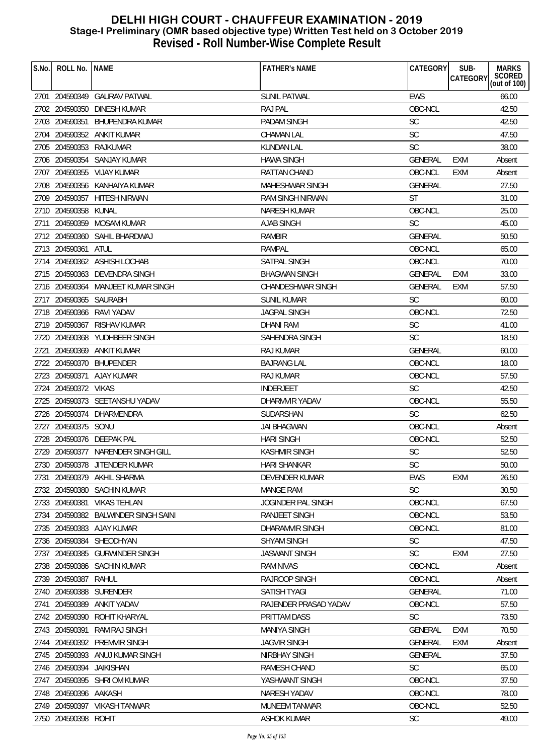| S.No. | ROLL No.               | <b>NAME</b>                                                   | <b>FATHER'S NAME</b>                       | <b>CATEGORY</b>             | SUB-<br>CATEGORY  | <b>MARKS</b><br>SCORED<br>(out of 100) |
|-------|------------------------|---------------------------------------------------------------|--------------------------------------------|-----------------------------|-------------------|----------------------------------------|
|       |                        | 2701 204590349 GAURAV PATWAL                                  | <b>SUNIL PATWAL</b>                        | <b>EWS</b>                  |                   | 66.00                                  |
|       |                        | 2702 204590350 DINESH KUMAR                                   | <b>RAJ PAL</b>                             | OBC-NCL                     |                   | 42.50                                  |
|       | 2703 204590351         | <b>BHUPENDRA KUMAR</b>                                        | PADAM SINGH                                | <b>SC</b>                   |                   | 42.50                                  |
|       |                        | 2704 204590352 ANKIT KUMAR                                    | <b>CHAMAN LAL</b>                          | <b>SC</b>                   |                   | 47.50                                  |
|       |                        | 2705 204590353 RAJKUMAR                                       | <b>KUNDAN LAL</b>                          | <b>SC</b>                   |                   | 38.00                                  |
|       |                        | 2706 204590354 SANJAY KUMAR                                   |                                            | <b>GENERAL</b>              |                   |                                        |
|       |                        | 2707 204590355 VIJAY KUMAR                                    | <b>HAWA SINGH</b><br>RATTAN CHAND          | OBC-NCL                     | EXM<br><b>EXM</b> | Absent                                 |
|       |                        |                                                               |                                            |                             |                   | Absent                                 |
|       |                        | 2708 204590356 KANHAIYA KUMAR<br>2709 204590357 HITESH NIRWAN | MAHESHWAR SINGH<br><b>RAM SINGH NIRWAN</b> | <b>GENERAL</b><br><b>ST</b> |                   | 27.50<br>31.00                         |
|       |                        |                                                               |                                            | OBC-NCL                     |                   |                                        |
|       | 2710 204590358 KUNAL   | 204590359 MOSAM KUMAR                                         | <b>NARESH KUMAR</b><br>AJAB SINGH          | <b>SC</b>                   |                   | 25.00<br>45.00                         |
| 2711  |                        | 2712 204590360 SAHIL BHARDWAJ                                 | <b>RAMBIR</b>                              | <b>GENERAL</b>              |                   |                                        |
|       |                        |                                                               |                                            | OBC-NCL                     |                   | 50.50<br>65.00                         |
|       | 2713 204590361         | ATUL                                                          | RAMPAL                                     |                             |                   |                                        |
|       |                        | 2714 204590362 ASHISH LOCHAB                                  | SATPAL SINGH                               | OBC-NCL                     |                   | 70.00                                  |
|       |                        | 2715 204590363 DEVENDRA SINGH                                 | <b>BHAGWAN SINGH</b>                       | <b>GENERAL</b>              | <b>EXM</b>        | 33.00                                  |
|       |                        | 2716 204590364 MANJEET KUMAR SINGH                            | <b>CHANDESHWAR SINGH</b>                   | <b>GENERAL</b>              | EXM               | 57.50                                  |
|       | 2717 204590365 SAURABH |                                                               | <b>SUNIL KUMAR</b>                         | <b>SC</b>                   |                   | 60.00                                  |
|       |                        | 2718 204590366 RAVI YADAV                                     | <b>JAGPAL SINGH</b>                        | OBC-NCL                     |                   | 72.50                                  |
|       |                        | 2719 204590367 RISHAV KUMAR                                   | DHANI RAM                                  | SC                          |                   | 41.00                                  |
|       |                        | 2720 204590368 YUDHBEER SINGH                                 | <b>SAHENDRA SINGH</b>                      | <b>SC</b>                   |                   | 18.50                                  |
| 2721  | 204590369              | ANKIT KUMAR                                                   | <b>RAJ KUMAR</b>                           | GENERAL                     |                   | 60.00                                  |
|       |                        | 2722 204590370 BHUPENDER                                      | <b>BAJRANG LAL</b>                         | OBC-NCL                     |                   | 18.00                                  |
|       | 2723 204590371         | AJAY KUMAR                                                    | RAJ KUMAR                                  | OBC-NCL                     |                   | 57.50                                  |
|       | 2724 204590372 VIKAS   |                                                               | <b>INDERJEET</b>                           | <b>SC</b>                   |                   | 42.50                                  |
|       |                        | 2725 204590373 SEETANSHU YADAV                                | DHARMVIR YADAV                             | OBC-NCL                     |                   | 55.50                                  |
|       |                        | 2726 204590374 DHARMENDRA                                     | SUDARSHAN                                  | <b>SC</b>                   |                   | 62.50                                  |
|       | 2727 204590375 SONU    |                                                               | JAI BHAGWAN                                | OBC-NCL                     |                   | Absent                                 |
| 2728  |                        | 204590376 DEEPAK PAL                                          | <b>HARI SINGH</b>                          | OBC-NCL                     |                   | 52.50                                  |
|       |                        | 2729 204590377 NARENDER SINGH GILL                            | <b>KASHMIR SINGH</b>                       | <b>SC</b>                   |                   | 52.50                                  |
|       |                        | 2730 204590378 JITENDER KUMAR                                 | HARI SHANKAR                               | SC                          |                   | 50.00                                  |
| 2731  |                        | 204590379 AKHIL SHARMA                                        | DEVENDER KUMAR                             | <b>EWS</b>                  | <b>EXM</b>        | 26.50                                  |
|       |                        | 2732 204590380 SACHIN KUMAR                                   | <b>MANGE RAM</b>                           | <b>SC</b>                   |                   | 30.50                                  |
|       | 2733 204590381         | <b>VIKAS TEHLAN</b>                                           | <b>JOGINDER PAL SINGH</b>                  | OBC-NCL                     |                   | 67.50                                  |
|       |                        | 2734 204590382 BALWINDER SINGH SAINI                          | RANJEET SINGH                              | OBC-NCL                     |                   | 53.50                                  |
| 2735  |                        | 204590383 AJAY KUMAR                                          | DHARAMVIR SINGH                            | OBC-NCL                     |                   | 81.00                                  |
|       | 2736 204590384         | SHEODHYAN                                                     | <b>SHYAM SINGH</b>                         | <b>SC</b>                   |                   | 47.50                                  |
|       |                        | 2737 204590385 GURWINDER SINGH                                | <b>JASWANT SINGH</b>                       | <b>SC</b>                   | <b>EXM</b>        | 27.50                                  |
|       |                        | 2738 204590386 SACHIN KUMAR                                   | <b>RAM NIVAS</b>                           | OBC-NCL                     |                   | Absent                                 |
| 2739  | 204590387              | RAHUL                                                         | <b>RAJROOP SINGH</b>                       | OBC-NCL                     |                   | Absent                                 |
|       |                        | 2740 204590388 SURENDER                                       | SATISH TYAGI                               | GENERAL                     |                   | 71.00                                  |
| 2741  | 204590389              | ANKIT YADAV                                                   | RAJENDER PRASAD YADAV                      | OBC-NCL                     |                   | 57.50                                  |
|       | 2742 204590390         | ROHIT KHARYAL                                                 | PRITTAM DASS                               | <b>SC</b>                   |                   | 73.50                                  |
|       | 2743 204590391         | RAM RAJ SINGH                                                 | <b>MANIYA SINGH</b>                        | <b>GENERAL</b>              | <b>EXM</b>        | 70.50                                  |
|       |                        | 2744 204590392 PREMVIR SINGH                                  | <b>JAGVIR SINGH</b>                        | <b>GENERAL</b>              | <b>EXM</b>        | Absent                                 |
|       | 2745 204590393         | ANUJ KUMAR SINGH                                              | NIRBHAY SINGH                              | <b>GENERAL</b>              |                   | 37.50                                  |
|       | 2746 204590394         | JAIKISHAN                                                     | RAMESH CHAND                               | <b>SC</b>                   |                   | 65.00                                  |
| 2747  |                        | 204590395 SHRIOM KUMAR                                        | YASHWANT SINGH                             | OBC-NCL                     |                   | 37.50                                  |
|       | 2748 204590396 AAKASH  |                                                               | NARESH YADAV                               | OBC-NCL                     |                   | 78.00                                  |
|       |                        | 2749 204590397 VIKASH TANWAR                                  | MUNEEM TANWAR                              | OBC-NCL                     |                   | 52.50                                  |
|       | 2750 204590398 ROHIT   |                                                               | <b>ASHOK KUMAR</b>                         | SC                          |                   | 49.00                                  |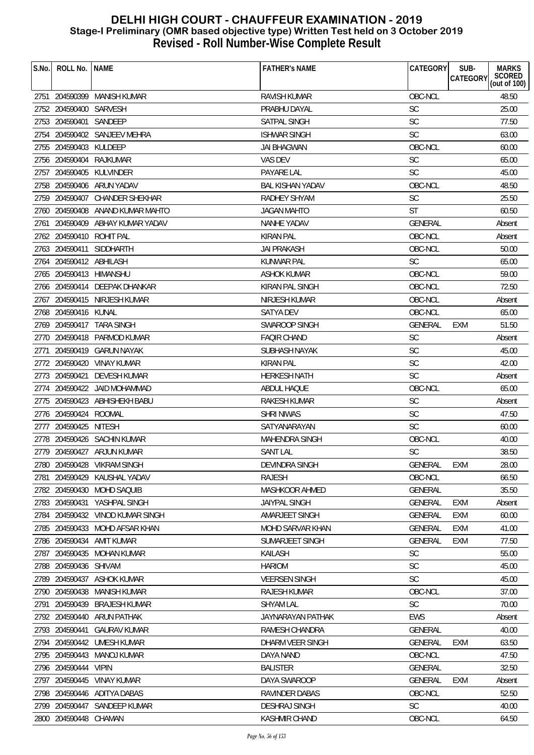| SCORED<br>(out of 100)<br>CATEGORY<br>OBC-NCL<br>48.50<br>2751 204590399 MANISH KUMAR<br><b>RAVISH KUMAR</b><br>2752 204590400 SARVESH<br><b>SC</b><br>25.00<br>PRABHU DAYAL<br><b>SC</b><br>2753 204590401 SANDEEP<br>77.50<br>SATPAL SINGH<br><b>SC</b><br>204590402 SANJEEV MEHRA<br><b>ISHWAR SINGH</b><br>63.00<br>2754<br>OBC-NCL<br>2755<br>204590403 KULDEEP<br><b>JAI BHAGWAN</b><br>60.00<br><b>SC</b><br>2756 204590404 RAJKUMAR<br>VAS DEV<br>65.00<br><b>SC</b><br>2757 204590405 KULVINDER<br>PAYARE LAL<br>45.00<br>OBC-NCL<br>2758 204590406 ARUN YADAV<br><b>BAL KISHAN YADAV</b><br>48.50<br><b>SC</b><br>2759 204590407 CHANDER SHEKHAR<br><b>RADHEY SHYAM</b><br>25.50<br><b>ST</b><br>60.50<br>2760 204590408 ANAND KUMAR MAHTO<br><b>JAGAN MAHTO</b><br><b>GENERAL</b><br>204590409 ABHAY KUMAR YADAV<br>NANHE YADAV<br>Absent<br>2761<br>2762 204590410<br>ROHIT PAL<br><b>KIRAN PAL</b><br>OBC-NCL<br>Absent<br>2763 204590411 SIDDHARTH<br>50.00<br><b>JAI PRAKASH</b><br>OBC-NCL<br><b>SC</b><br>65.00<br>2764 204590412 ABHILASH<br>KUNWAR PAL<br>OBC-NCL<br>59.00<br>2765 204590413 HIMANSHU<br><b>ASHOK KUMAR</b><br>72.50<br>2766 204590414 DEEPAK DHANKAR<br>KIRAN PAL SINGH<br>OBC-NCL<br>2767 204590415 NIRJESH KUMAR<br>OBC-NCL<br>NIRJESH KUMAR<br>Absent<br>2768 204590416 KUNAL<br>OBC-NCL<br>65.00<br>SATYA DEV<br>2769 204590417 TARA SINGH<br>SWAROOP SINGH<br>51.50<br><b>GENERAL</b><br><b>EXM</b><br><b>SC</b><br>2770 204590418 PARMOD KUMAR<br><b>FAQIR CHAND</b><br>Absent<br><b>SC</b><br>45.00<br>2771<br>204590419 GARUN NAYAK<br>SUBHASH NAYAK<br>SC<br>2772 204590420 VINAY KUMAR<br><b>KIRAN PAL</b><br>42.00<br>2773 204590421<br><b>DEVESH KUMAR</b><br><b>HERKESH NATH</b><br><b>SC</b><br>Absent<br>OBC-NCL<br>65.00<br>2774 204590422 JAID MOHAMMAD<br>ABDUL HAQUE<br><b>SC</b><br>2775 204590423 ABHISHEKH BABU<br>RAKESH KUMAR<br>Absent<br><b>SC</b><br>47.50<br>2776 204590424 ROOMAL<br><b>SHRI NIWAS</b><br><b>SC</b><br>2777 204590425 NITESH<br>SATYANARAYAN<br>60.00 |
|----------------------------------------------------------------------------------------------------------------------------------------------------------------------------------------------------------------------------------------------------------------------------------------------------------------------------------------------------------------------------------------------------------------------------------------------------------------------------------------------------------------------------------------------------------------------------------------------------------------------------------------------------------------------------------------------------------------------------------------------------------------------------------------------------------------------------------------------------------------------------------------------------------------------------------------------------------------------------------------------------------------------------------------------------------------------------------------------------------------------------------------------------------------------------------------------------------------------------------------------------------------------------------------------------------------------------------------------------------------------------------------------------------------------------------------------------------------------------------------------------------------------------------------------------------------------------------------------------------------------------------------------------------------------------------------------------------------------------------------------------------------------------------------------------------------------------------------------------------------------------------------------------------------------------------------------------------------------------------------------------------------------------------------|
|                                                                                                                                                                                                                                                                                                                                                                                                                                                                                                                                                                                                                                                                                                                                                                                                                                                                                                                                                                                                                                                                                                                                                                                                                                                                                                                                                                                                                                                                                                                                                                                                                                                                                                                                                                                                                                                                                                                                                                                                                                        |
|                                                                                                                                                                                                                                                                                                                                                                                                                                                                                                                                                                                                                                                                                                                                                                                                                                                                                                                                                                                                                                                                                                                                                                                                                                                                                                                                                                                                                                                                                                                                                                                                                                                                                                                                                                                                                                                                                                                                                                                                                                        |
|                                                                                                                                                                                                                                                                                                                                                                                                                                                                                                                                                                                                                                                                                                                                                                                                                                                                                                                                                                                                                                                                                                                                                                                                                                                                                                                                                                                                                                                                                                                                                                                                                                                                                                                                                                                                                                                                                                                                                                                                                                        |
|                                                                                                                                                                                                                                                                                                                                                                                                                                                                                                                                                                                                                                                                                                                                                                                                                                                                                                                                                                                                                                                                                                                                                                                                                                                                                                                                                                                                                                                                                                                                                                                                                                                                                                                                                                                                                                                                                                                                                                                                                                        |
|                                                                                                                                                                                                                                                                                                                                                                                                                                                                                                                                                                                                                                                                                                                                                                                                                                                                                                                                                                                                                                                                                                                                                                                                                                                                                                                                                                                                                                                                                                                                                                                                                                                                                                                                                                                                                                                                                                                                                                                                                                        |
|                                                                                                                                                                                                                                                                                                                                                                                                                                                                                                                                                                                                                                                                                                                                                                                                                                                                                                                                                                                                                                                                                                                                                                                                                                                                                                                                                                                                                                                                                                                                                                                                                                                                                                                                                                                                                                                                                                                                                                                                                                        |
|                                                                                                                                                                                                                                                                                                                                                                                                                                                                                                                                                                                                                                                                                                                                                                                                                                                                                                                                                                                                                                                                                                                                                                                                                                                                                                                                                                                                                                                                                                                                                                                                                                                                                                                                                                                                                                                                                                                                                                                                                                        |
|                                                                                                                                                                                                                                                                                                                                                                                                                                                                                                                                                                                                                                                                                                                                                                                                                                                                                                                                                                                                                                                                                                                                                                                                                                                                                                                                                                                                                                                                                                                                                                                                                                                                                                                                                                                                                                                                                                                                                                                                                                        |
|                                                                                                                                                                                                                                                                                                                                                                                                                                                                                                                                                                                                                                                                                                                                                                                                                                                                                                                                                                                                                                                                                                                                                                                                                                                                                                                                                                                                                                                                                                                                                                                                                                                                                                                                                                                                                                                                                                                                                                                                                                        |
|                                                                                                                                                                                                                                                                                                                                                                                                                                                                                                                                                                                                                                                                                                                                                                                                                                                                                                                                                                                                                                                                                                                                                                                                                                                                                                                                                                                                                                                                                                                                                                                                                                                                                                                                                                                                                                                                                                                                                                                                                                        |
|                                                                                                                                                                                                                                                                                                                                                                                                                                                                                                                                                                                                                                                                                                                                                                                                                                                                                                                                                                                                                                                                                                                                                                                                                                                                                                                                                                                                                                                                                                                                                                                                                                                                                                                                                                                                                                                                                                                                                                                                                                        |
|                                                                                                                                                                                                                                                                                                                                                                                                                                                                                                                                                                                                                                                                                                                                                                                                                                                                                                                                                                                                                                                                                                                                                                                                                                                                                                                                                                                                                                                                                                                                                                                                                                                                                                                                                                                                                                                                                                                                                                                                                                        |
|                                                                                                                                                                                                                                                                                                                                                                                                                                                                                                                                                                                                                                                                                                                                                                                                                                                                                                                                                                                                                                                                                                                                                                                                                                                                                                                                                                                                                                                                                                                                                                                                                                                                                                                                                                                                                                                                                                                                                                                                                                        |
|                                                                                                                                                                                                                                                                                                                                                                                                                                                                                                                                                                                                                                                                                                                                                                                                                                                                                                                                                                                                                                                                                                                                                                                                                                                                                                                                                                                                                                                                                                                                                                                                                                                                                                                                                                                                                                                                                                                                                                                                                                        |
|                                                                                                                                                                                                                                                                                                                                                                                                                                                                                                                                                                                                                                                                                                                                                                                                                                                                                                                                                                                                                                                                                                                                                                                                                                                                                                                                                                                                                                                                                                                                                                                                                                                                                                                                                                                                                                                                                                                                                                                                                                        |
|                                                                                                                                                                                                                                                                                                                                                                                                                                                                                                                                                                                                                                                                                                                                                                                                                                                                                                                                                                                                                                                                                                                                                                                                                                                                                                                                                                                                                                                                                                                                                                                                                                                                                                                                                                                                                                                                                                                                                                                                                                        |
|                                                                                                                                                                                                                                                                                                                                                                                                                                                                                                                                                                                                                                                                                                                                                                                                                                                                                                                                                                                                                                                                                                                                                                                                                                                                                                                                                                                                                                                                                                                                                                                                                                                                                                                                                                                                                                                                                                                                                                                                                                        |
|                                                                                                                                                                                                                                                                                                                                                                                                                                                                                                                                                                                                                                                                                                                                                                                                                                                                                                                                                                                                                                                                                                                                                                                                                                                                                                                                                                                                                                                                                                                                                                                                                                                                                                                                                                                                                                                                                                                                                                                                                                        |
|                                                                                                                                                                                                                                                                                                                                                                                                                                                                                                                                                                                                                                                                                                                                                                                                                                                                                                                                                                                                                                                                                                                                                                                                                                                                                                                                                                                                                                                                                                                                                                                                                                                                                                                                                                                                                                                                                                                                                                                                                                        |
|                                                                                                                                                                                                                                                                                                                                                                                                                                                                                                                                                                                                                                                                                                                                                                                                                                                                                                                                                                                                                                                                                                                                                                                                                                                                                                                                                                                                                                                                                                                                                                                                                                                                                                                                                                                                                                                                                                                                                                                                                                        |
|                                                                                                                                                                                                                                                                                                                                                                                                                                                                                                                                                                                                                                                                                                                                                                                                                                                                                                                                                                                                                                                                                                                                                                                                                                                                                                                                                                                                                                                                                                                                                                                                                                                                                                                                                                                                                                                                                                                                                                                                                                        |
|                                                                                                                                                                                                                                                                                                                                                                                                                                                                                                                                                                                                                                                                                                                                                                                                                                                                                                                                                                                                                                                                                                                                                                                                                                                                                                                                                                                                                                                                                                                                                                                                                                                                                                                                                                                                                                                                                                                                                                                                                                        |
|                                                                                                                                                                                                                                                                                                                                                                                                                                                                                                                                                                                                                                                                                                                                                                                                                                                                                                                                                                                                                                                                                                                                                                                                                                                                                                                                                                                                                                                                                                                                                                                                                                                                                                                                                                                                                                                                                                                                                                                                                                        |
|                                                                                                                                                                                                                                                                                                                                                                                                                                                                                                                                                                                                                                                                                                                                                                                                                                                                                                                                                                                                                                                                                                                                                                                                                                                                                                                                                                                                                                                                                                                                                                                                                                                                                                                                                                                                                                                                                                                                                                                                                                        |
|                                                                                                                                                                                                                                                                                                                                                                                                                                                                                                                                                                                                                                                                                                                                                                                                                                                                                                                                                                                                                                                                                                                                                                                                                                                                                                                                                                                                                                                                                                                                                                                                                                                                                                                                                                                                                                                                                                                                                                                                                                        |
|                                                                                                                                                                                                                                                                                                                                                                                                                                                                                                                                                                                                                                                                                                                                                                                                                                                                                                                                                                                                                                                                                                                                                                                                                                                                                                                                                                                                                                                                                                                                                                                                                                                                                                                                                                                                                                                                                                                                                                                                                                        |
|                                                                                                                                                                                                                                                                                                                                                                                                                                                                                                                                                                                                                                                                                                                                                                                                                                                                                                                                                                                                                                                                                                                                                                                                                                                                                                                                                                                                                                                                                                                                                                                                                                                                                                                                                                                                                                                                                                                                                                                                                                        |
|                                                                                                                                                                                                                                                                                                                                                                                                                                                                                                                                                                                                                                                                                                                                                                                                                                                                                                                                                                                                                                                                                                                                                                                                                                                                                                                                                                                                                                                                                                                                                                                                                                                                                                                                                                                                                                                                                                                                                                                                                                        |
| 2778 204590426 SACHIN KUMAR<br><b>MAHENDRA SINGH</b><br>OBC-NCL<br>40.00                                                                                                                                                                                                                                                                                                                                                                                                                                                                                                                                                                                                                                                                                                                                                                                                                                                                                                                                                                                                                                                                                                                                                                                                                                                                                                                                                                                                                                                                                                                                                                                                                                                                                                                                                                                                                                                                                                                                                               |
| <b>SANT LAL</b><br><b>SC</b><br>38.50<br>2779 204590427 ARJUN KUMAR                                                                                                                                                                                                                                                                                                                                                                                                                                                                                                                                                                                                                                                                                                                                                                                                                                                                                                                                                                                                                                                                                                                                                                                                                                                                                                                                                                                                                                                                                                                                                                                                                                                                                                                                                                                                                                                                                                                                                                    |
| GENERAL EXM<br>2780 204590428 VIKRAM SINGH<br>DEVINDRA SINGH<br>28.00                                                                                                                                                                                                                                                                                                                                                                                                                                                                                                                                                                                                                                                                                                                                                                                                                                                                                                                                                                                                                                                                                                                                                                                                                                                                                                                                                                                                                                                                                                                                                                                                                                                                                                                                                                                                                                                                                                                                                                  |
| OBC-NCL<br>204590429<br>KAUSHAL YADAV<br><b>RAJESH</b><br>66.50<br>2781                                                                                                                                                                                                                                                                                                                                                                                                                                                                                                                                                                                                                                                                                                                                                                                                                                                                                                                                                                                                                                                                                                                                                                                                                                                                                                                                                                                                                                                                                                                                                                                                                                                                                                                                                                                                                                                                                                                                                                |
| 2782 204590430 MOHD SAQUIB<br>35.50<br>MASHKOOR AHMED<br>GENERAL                                                                                                                                                                                                                                                                                                                                                                                                                                                                                                                                                                                                                                                                                                                                                                                                                                                                                                                                                                                                                                                                                                                                                                                                                                                                                                                                                                                                                                                                                                                                                                                                                                                                                                                                                                                                                                                                                                                                                                       |
| 2783 204590431<br>YASHPAL SINGH<br><b>JAIYPAL SINGH</b><br><b>GENERAL</b><br>EXM<br>Absent                                                                                                                                                                                                                                                                                                                                                                                                                                                                                                                                                                                                                                                                                                                                                                                                                                                                                                                                                                                                                                                                                                                                                                                                                                                                                                                                                                                                                                                                                                                                                                                                                                                                                                                                                                                                                                                                                                                                             |
| 2784 204590432 VINOD KUMAR SINGH<br>AMARJEET SINGH<br>GENERAL<br>60.00<br>EXM                                                                                                                                                                                                                                                                                                                                                                                                                                                                                                                                                                                                                                                                                                                                                                                                                                                                                                                                                                                                                                                                                                                                                                                                                                                                                                                                                                                                                                                                                                                                                                                                                                                                                                                                                                                                                                                                                                                                                          |
| 2785 204590433 MOHD AFSAR KHAN<br>MOHD SARVAR KHAN<br>GENERAL<br><b>EXM</b><br>41.00                                                                                                                                                                                                                                                                                                                                                                                                                                                                                                                                                                                                                                                                                                                                                                                                                                                                                                                                                                                                                                                                                                                                                                                                                                                                                                                                                                                                                                                                                                                                                                                                                                                                                                                                                                                                                                                                                                                                                   |
| 2786 204590434<br><b>AMIT KUMAR</b><br>SUMARJEET SINGH<br><b>GENERAL</b><br>EXM<br>77.50                                                                                                                                                                                                                                                                                                                                                                                                                                                                                                                                                                                                                                                                                                                                                                                                                                                                                                                                                                                                                                                                                                                                                                                                                                                                                                                                                                                                                                                                                                                                                                                                                                                                                                                                                                                                                                                                                                                                               |
| 2787 204590435 MOHAN KUMAR<br>KAILASH<br><b>SC</b><br>55.00                                                                                                                                                                                                                                                                                                                                                                                                                                                                                                                                                                                                                                                                                                                                                                                                                                                                                                                                                                                                                                                                                                                                                                                                                                                                                                                                                                                                                                                                                                                                                                                                                                                                                                                                                                                                                                                                                                                                                                            |
| <b>SC</b><br>2788 204590436 SHIVAM<br><b>HARIOM</b><br>45.00                                                                                                                                                                                                                                                                                                                                                                                                                                                                                                                                                                                                                                                                                                                                                                                                                                                                                                                                                                                                                                                                                                                                                                                                                                                                                                                                                                                                                                                                                                                                                                                                                                                                                                                                                                                                                                                                                                                                                                           |
| 2789 204590437<br><b>SC</b><br>ASHOK KUMAR<br><b>VEERSEN SINGH</b><br>45.00                                                                                                                                                                                                                                                                                                                                                                                                                                                                                                                                                                                                                                                                                                                                                                                                                                                                                                                                                                                                                                                                                                                                                                                                                                                                                                                                                                                                                                                                                                                                                                                                                                                                                                                                                                                                                                                                                                                                                            |
| OBC-NCL<br>RAJESH KUMAR<br>37.00<br>2790 204590438<br>MANISH KUMAR                                                                                                                                                                                                                                                                                                                                                                                                                                                                                                                                                                                                                                                                                                                                                                                                                                                                                                                                                                                                                                                                                                                                                                                                                                                                                                                                                                                                                                                                                                                                                                                                                                                                                                                                                                                                                                                                                                                                                                     |
| <b>SC</b><br>2791<br>204590439<br><b>BRAJESH KUMAR</b><br><b>SHYAM LAL</b><br>70.00                                                                                                                                                                                                                                                                                                                                                                                                                                                                                                                                                                                                                                                                                                                                                                                                                                                                                                                                                                                                                                                                                                                                                                                                                                                                                                                                                                                                                                                                                                                                                                                                                                                                                                                                                                                                                                                                                                                                                    |
| 2792 204590440<br>ARUN PATHAK<br>JAYNARAYAN PATHAK<br>EWS<br>Absent                                                                                                                                                                                                                                                                                                                                                                                                                                                                                                                                                                                                                                                                                                                                                                                                                                                                                                                                                                                                                                                                                                                                                                                                                                                                                                                                                                                                                                                                                                                                                                                                                                                                                                                                                                                                                                                                                                                                                                    |
| 2793 204590441<br><b>GAURAV KUMAR</b><br>RAMESH CHANDRA<br>GENERAL<br>40.00                                                                                                                                                                                                                                                                                                                                                                                                                                                                                                                                                                                                                                                                                                                                                                                                                                                                                                                                                                                                                                                                                                                                                                                                                                                                                                                                                                                                                                                                                                                                                                                                                                                                                                                                                                                                                                                                                                                                                            |
| 2794 204590442 UMESH KUMAR<br>DHARM VEER SINGH<br><b>GENERAL</b><br><b>EXM</b><br>63.50                                                                                                                                                                                                                                                                                                                                                                                                                                                                                                                                                                                                                                                                                                                                                                                                                                                                                                                                                                                                                                                                                                                                                                                                                                                                                                                                                                                                                                                                                                                                                                                                                                                                                                                                                                                                                                                                                                                                                |
| 2795 204590443 MANOJ KUMAR<br>OBC-NCL<br>DAYA NAND<br>47.50                                                                                                                                                                                                                                                                                                                                                                                                                                                                                                                                                                                                                                                                                                                                                                                                                                                                                                                                                                                                                                                                                                                                                                                                                                                                                                                                                                                                                                                                                                                                                                                                                                                                                                                                                                                                                                                                                                                                                                            |
| 32.50<br>2796 204590444<br><b>VIPIN</b><br><b>BALISTER</b><br>GENERAL                                                                                                                                                                                                                                                                                                                                                                                                                                                                                                                                                                                                                                                                                                                                                                                                                                                                                                                                                                                                                                                                                                                                                                                                                                                                                                                                                                                                                                                                                                                                                                                                                                                                                                                                                                                                                                                                                                                                                                  |
| 204590445<br>VINAY KUMAR<br>DAYA SWAROOP<br><b>GENERAL</b><br>2797<br>EXM<br>Absent                                                                                                                                                                                                                                                                                                                                                                                                                                                                                                                                                                                                                                                                                                                                                                                                                                                                                                                                                                                                                                                                                                                                                                                                                                                                                                                                                                                                                                                                                                                                                                                                                                                                                                                                                                                                                                                                                                                                                    |
| 2798 204590446 ADITYA DABAS<br>OBC-NCL<br>52.50<br>RAVINDER DABAS                                                                                                                                                                                                                                                                                                                                                                                                                                                                                                                                                                                                                                                                                                                                                                                                                                                                                                                                                                                                                                                                                                                                                                                                                                                                                                                                                                                                                                                                                                                                                                                                                                                                                                                                                                                                                                                                                                                                                                      |
| <b>SC</b><br>2799 204590447 SANDEEP KUMAR<br><b>DESHRAJ SINGH</b><br>40.00                                                                                                                                                                                                                                                                                                                                                                                                                                                                                                                                                                                                                                                                                                                                                                                                                                                                                                                                                                                                                                                                                                                                                                                                                                                                                                                                                                                                                                                                                                                                                                                                                                                                                                                                                                                                                                                                                                                                                             |
| OBC-NCL<br>2800 204590448 CHAMAN<br>KASHMIR CHAND<br>64.50                                                                                                                                                                                                                                                                                                                                                                                                                                                                                                                                                                                                                                                                                                                                                                                                                                                                                                                                                                                                                                                                                                                                                                                                                                                                                                                                                                                                                                                                                                                                                                                                                                                                                                                                                                                                                                                                                                                                                                             |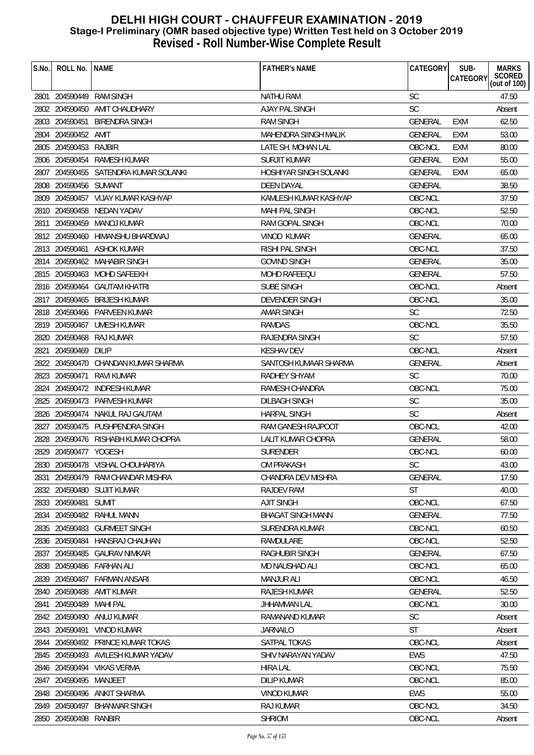| S.No. | ROLL No.              | <b>NAME</b>                           | <b>FATHER'S NAME</b>     | CATEGORY       | SUB-<br><b>CATEGORY</b> | <b>MARKS</b><br>SCORED<br>(out of 100) |
|-------|-----------------------|---------------------------------------|--------------------------|----------------|-------------------------|----------------------------------------|
|       |                       |                                       |                          |                |                         |                                        |
|       |                       | 2801 204590449 RAM SINGH              | <b>NATHU RAM</b>         | <b>SC</b>      |                         | 47.50                                  |
|       |                       | 2802 204590450 AMIT CHAUDHARY         | <b>AJAY PAL SINGH</b>    | <b>SC</b>      |                         | Absent                                 |
|       |                       | 2803 204590451 BIRENDRA SINGH         | <b>RAM SINGH</b>         | <b>GENERAL</b> | <b>EXM</b>              | 62.50                                  |
|       | 2804 204590452 AMIT   |                                       | MAHENDRA SIINGH MALIK    | <b>GENERAL</b> | <b>EXM</b>              | 53.00                                  |
|       | 2805 204590453 RAJBIR |                                       | LATE SH. MOHAN LAL       | OBC-NCL        | <b>EXM</b>              | 80.00                                  |
|       |                       | 2806 204590454 RAMESH KUMAR           | <b>SURJIT KUMAR</b>      | <b>GENERAL</b> | <b>EXM</b>              | 55.00                                  |
|       |                       | 2807 204590455 SATENDRA KUMAR SOLANKI | HOSHIYAR SINGH SOLANKI   | <b>GENERAL</b> | EXM                     | 65.00                                  |
|       | 2808 204590456 SUMANT |                                       | <b>DEEN DAYAL</b>        | <b>GENERAL</b> |                         | 38.50                                  |
|       |                       | 2809 204590457 VIJAY KUMAR KASHYAP    | KAMLESH KUMAR KASHYAP    | OBC-NCL        |                         | 37.50                                  |
|       |                       | 2810 204590458 NEDAN YADAV            | <b>MAHI PAL SINGH</b>    | OBC-NCL        |                         | 52.50                                  |
| 2811  |                       | 204590459 MANOJ KUMAR                 | RAM GOPAL SINGH          | OBC-NCL        |                         | 70.00                                  |
|       |                       | 2812 204590460 HIMANSHU BHARDWAJ      | <b>VINOD KUMAR</b>       | <b>GENERAL</b> |                         | 65.00                                  |
|       |                       | 2813 204590461 ASHOK KUMAR            | RISHI PAL SINGH          | OBC-NCL        |                         | 37.50                                  |
|       |                       | 2814 204590462 MAHABIR SINGH          | <b>GOVIND SINGH</b>      | <b>GENERAL</b> |                         | 35.00                                  |
|       |                       | 2815 204590463 MOHD SAFEEKH           | <b>MOHD RAFEEQU</b>      | GENERAL        |                         | 57.50                                  |
|       |                       | 2816 204590464 GAUTAM KHATRI          | SUBE SINGH               | OBC-NCL        |                         | Absent                                 |
|       |                       | 2817 204590465 BRIJESH KUMAR          | <b>DEVENDER SINGH</b>    | OBC-NCL        |                         | 35.00                                  |
|       |                       | 2818 204590466 PARVEEN KUMAR          | <b>AMAR SINGH</b>        | <b>SC</b>      |                         | 72.50                                  |
|       |                       | 2819 204590467 UMESH KUMAR            | RAMDAS                   | OBC-NCL        |                         | 35.50                                  |
|       |                       | 2820 204590468 RAJ KUMAR              | <b>RAJENDRA SINGH</b>    | <b>SC</b>      |                         | 57.50                                  |
| 2821  | 204590469             | Dilip                                 | <b>KESHAV DEV</b>        | OBC-NCL        |                         | Absent                                 |
|       |                       | 2822 204590470 CHANDAN KUMAR SHARMA   | SANTOSH KUMAAR SHARMA    | <b>GENERAL</b> |                         | Absent                                 |
|       | 2823 204590471        | <b>RAVI KUMAR</b>                     | <b>RADHEY SHYAM</b>      | <b>SC</b>      |                         | 70.00                                  |
|       |                       | 2824 204590472 INDRESH KUMAR          | RAMESH CHANDRA           | OBC-NCL        |                         | 75.00                                  |
|       |                       | 2825 204590473 PARVESH KUMAR          | <b>DILBAGH SINGH</b>     | <b>SC</b>      |                         | 35.00                                  |
|       |                       | 2826 204590474 NAKUL RAJ GAUTAM       | <b>HARPAL SINGH</b>      | <b>SC</b>      |                         | Absent                                 |
|       |                       | 2827 204590475 PUSHPENDRA SINGH       | RAM GANESH RAJPOOT       | OBC-NCL        |                         | 42.00                                  |
| 2828  |                       | 204590476 RISHABH KUMAR CHOPRA        | LALIT KUMAR CHOPRA       | <b>GENERAL</b> |                         | 58.00                                  |
|       | 2829 204590477 YOGESH |                                       | <b>SURENDER</b>          | OBC-NCL        |                         | 60.00                                  |
|       |                       | 2830 204590478 VISHAL CHOUHARIYA      | OM PRAKASH               | SC             |                         | 43.00                                  |
| 2831  |                       | 204590479 RAM CHANDAR MISHRA          | CHANDRA DEV MISHRA       | GENERAL        |                         | 17.50                                  |
|       |                       | 2832 204590480 SUJIT KUMAR            | <b>RAJDEV RAM</b>        | <b>ST</b>      |                         | 40.00                                  |
|       | 2833 204590481        | <b>SUMIT</b>                          | <b>AJIT SINGH</b>        | OBC-NCL        |                         | 67.50                                  |
| 2834  |                       | 204590482 RAHUL MANN                  | <b>BHAGAT SINGH MANN</b> | <b>GENERAL</b> |                         | 77.50                                  |
| 2835  |                       | 204590483 GURMEET SINGH               | SURENDRA KUMAR           | OBC-NCL        |                         | 60.50                                  |
|       | 2836 204590484        | HANSRAJ CHAUHAN                       | RAMDULARE                | OBC-NCL        |                         | 52.50                                  |
|       |                       | 2837 204590485 GAURAV NIMKAR          | <b>RAGHUBIR SINGH</b>    | <b>GENERAL</b> |                         | 67.50                                  |
|       |                       | 2838 204590486 FARHAN ALI             | <b>MD NAUSHAD ALI</b>    | OBC-NCL        |                         | 65.00                                  |
| 2839  | 204590487             | <b>FARMAN ANSARI</b>                  | <b>MANJUR ALI</b>        | OBC-NCL        |                         | 46.50                                  |
|       | 2840 204590488        | AMIT KUMAR                            | RAJESH KUMAR             | GENERAL        |                         | 52.50                                  |
| 2841  | 204590489             | MAHI PAL                              | JHHAMMAN LAL             | OBC-NCL        |                         | 30.00                                  |
|       | 2842 204590490        | ANUJ KUMAR                            | RAMANAND KUMAR           | <b>SC</b>      |                         | Absent                                 |
|       | 2843 204590491        | <b>VINOD KUMAR</b>                    | <b>JARNAILO</b>          | ST             |                         | Absent                                 |
|       |                       | 2844 204590492 PRINCE KUMAR TOKAS     | SATPAL TOKAS             | OBC-NCL        |                         | Absent                                 |
|       |                       | 2845 204590493 AVILESH KUMAR YADAV    | SHIV NARAYAN YADAV       | <b>EWS</b>     |                         | 47.50                                  |
|       | 2846 204590494        | <b>VIKAS VERMA</b>                    | <b>HIRA LAL</b>          | OBC-NCL        |                         | 75.50                                  |
| 2847  | 204590495             | MANJEET                               | <b>DILIP KUMAR</b>       | OBC-NCL        |                         | 85.00                                  |
|       |                       | 2848 204590496 ANKIT SHARMA           | <b>VINOD KUMAR</b>       | <b>EWS</b>     |                         | 55.00                                  |
|       |                       | 2849 204590497 BHANWAR SINGH          | <b>RAJ KUMAR</b>         | OBC-NCL        |                         | 34.50                                  |
|       | 2850 204590498 RANBIR |                                       | SHRIOM                   | OBC-NCL        |                         | Absent                                 |
|       |                       |                                       |                          |                |                         |                                        |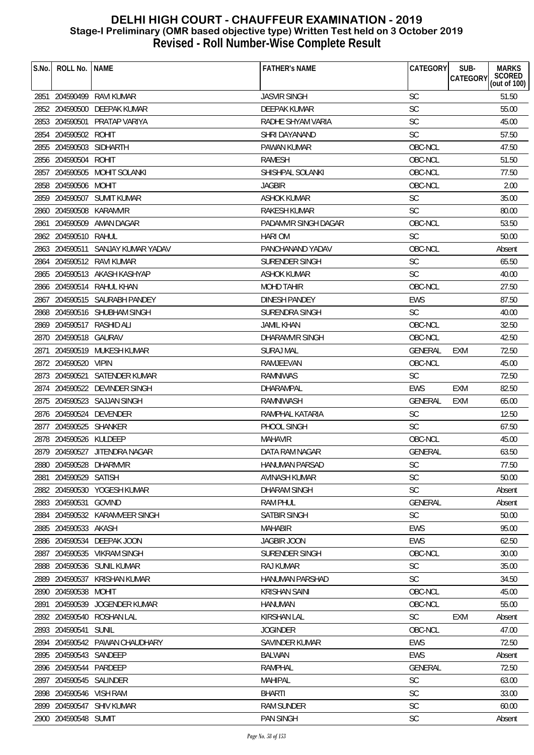| S.No. | ROLL No.   NAME         |                                   | <b>FATHER'S NAME</b>   | CATEGORY       | SUB-<br><b>MARKS</b>                      |
|-------|-------------------------|-----------------------------------|------------------------|----------------|-------------------------------------------|
|       |                         |                                   |                        |                | SCORED<br>(out of 100)<br><b>CATEGORY</b> |
|       |                         | 2851 204590499 RAVI KUMAR         | <b>JASVIR SINGH</b>    | <b>SC</b>      | 51.50                                     |
|       |                         | 2852 204590500 DEEPAK KUMAR       | DEEPAK KUMAR           | SC             | 55.00                                     |
|       |                         | 2853 204590501 PRATAP VARIYA      | RADHE SHYAM VARIA      | <b>SC</b>      | 45.00                                     |
|       | 2854 204590502 ROHIT    |                                   | SHRI DAYANAND          | <b>SC</b>      | 57.50                                     |
|       | 2855 204590503 SIDHARTH |                                   | PAWAN KUMAR            | OBC-NCL        | 47.50                                     |
|       | 2856 204590504 ROHIT    |                                   | <b>RAMESH</b>          | OBC-NCL        | 51.50                                     |
|       |                         | 2857 204590505 MOHIT SOLANKI      | SHISHPAL SOLANKI       | OBC-NCL        | 77.50                                     |
|       | 2858 204590506 MOHIT    |                                   | <b>JAGBIR</b>          | OBC-NCL        | 2.00                                      |
|       |                         | 2859 204590507 SUMIT KUMAR        | <b>ASHOK KUMAR</b>     | <b>SC</b>      | 35.00                                     |
|       | 2860 204590508 KARAMVIR |                                   | <b>RAKESH KUMAR</b>    | <b>SC</b>      | 80.00                                     |
|       |                         | 2861 204590509 AMAN DAGAR         | PADAMVIR SINGH DAGAR   | OBC-NCL        | 53.50                                     |
|       | 2862 204590510 RAHUL    |                                   | <b>HARI OM</b>         | <b>SC</b>      | 50.00                                     |
|       |                         | 2863 204590511 SANJAY KUMAR YADAV | PANCHANAND YADAV       | OBC-NCL        | Absent                                    |
|       |                         | 2864 204590512 RAVI KUMAR         | SURENDER SINGH         | <b>SC</b>      | 65.50                                     |
|       |                         | 2865 204590513 AKASH KASHYAP      | <b>ASHOK KUMAR</b>     | <b>SC</b>      | 40.00                                     |
|       |                         | 2866 204590514 RAHUL KHAN         | <b>MOHD TAHIR</b>      | OBC-NCL        | 27.50                                     |
|       |                         | 2867 204590515 SAURABH PANDEY     | <b>DINESH PANDEY</b>   | EWS            | 87.50                                     |
|       |                         | 2868 204590516 SHUBHAM SINGH      | <b>SURENDRA SINGH</b>  | <b>SC</b>      | 40.00                                     |
|       |                         | 2869 204590517 RASHID ALI         | <b>JAMIL KHAN</b>      | OBC-NCL        | 32.50                                     |
|       | 2870 204590518 GAURAV   |                                   | DHARAMVIR SINGH        | OBC-NCL        | 42.50                                     |
|       |                         | 2871 204590519 MUKESH KUMAR       | <b>SURAJ MAL</b>       | <b>GENERAL</b> | 72.50<br>EXM                              |
|       | 2872 204590520 VIPIN    |                                   | RAMJEEVAN              | OBC-NCL        | 45.00                                     |
|       |                         | 2873 204590521 SATENDER KUMAR     | <b>RAMNIWAS</b>        | <b>SC</b>      | 72.50                                     |
|       |                         | 2874 204590522 DEVINDER SINGH     | DHARAMPAL              | <b>EWS</b>     | <b>EXM</b><br>82.50                       |
|       |                         | 2875 204590523 SAJJAN SINGH       | RAMNIWASH              | GENERAL        | 65.00<br><b>EXM</b>                       |
|       |                         | 2876 204590524 DEVENDER           | RAMPHAL KATARIA        | <b>SC</b>      | 12.50                                     |
|       | 2877 204590525 SHANKER  |                                   | PHOOL SINGH            | SC             | 67.50                                     |
|       | 2878 204590526 KULDEEP  |                                   | <b>MAHAVIR</b>         | OBC-NCL        | 45.00                                     |
|       |                         | 2879 204590527 JITENDRA NAGAR     | DATA RAM NAGAR         | GENERAL        | 63.50                                     |
|       |                         | 2880 204590528 DHARMVIR           | HANUMAN PARSAD         | SC             | 77.50                                     |
| 2881  | 204590529 SATISH        |                                   | AVINASH KUMAR          | <b>SC</b>      | 50.00                                     |
|       |                         | 2882 204590530 YOGESH KUMAR       | DHARAM SINGH           | <b>SC</b>      | Absent                                    |
|       | 2883 204590531 GOVIND   |                                   | <b>RAM PHUL</b>        | <b>GENERAL</b> | Absent                                    |
|       |                         | 2884 204590532 KARAMVEER SINGH    | <b>SATBIR SINGH</b>    | <b>SC</b>      | 50.00                                     |
|       | 2885 204590533 AKASH    |                                   | <b>MAHABIR</b>         | <b>EWS</b>     | 95.00                                     |
|       | 2886 204590534          | DEEPAK JOON                       | <b>JAGBIR JOON</b>     | <b>EWS</b>     | 62.50                                     |
|       |                         | 2887 204590535 VIKRAM SINGH       | <b>SURENDER SINGH</b>  | OBC-NCL        | 30.00                                     |
|       |                         | 2888 204590536 SUNIL KUMAR        | <b>RAJ KUMAR</b>       | SC             | 35.00                                     |
|       |                         | 2889 204590537 KRISHAN KUMAR      | <b>HANUMAN PARSHAD</b> | <b>SC</b>      | 34.50                                     |
|       | 2890 204590538 MOHIT    |                                   | <b>KRISHAN SAINI</b>   | OBC-NCL        | 45.00                                     |
| 2891  |                         | 204590539 JOGENDER KUMAR          | <b>HANUMAN</b>         | OBC-NCL        | 55.00                                     |
|       |                         | 2892 204590540 ROSHAN LAL         | <b>KIRSHAN LAL</b>     | <b>SC</b>      | <b>EXM</b><br>Absent                      |
|       | 2893 204590541          | SUNIL                             | <b>JOGINDER</b>        | OBC-NCL        | 47.00                                     |
|       |                         | 2894 204590542 PAWAN CHAUDHARY    | SAVINDER KUMAR         | <b>EWS</b>     | 72.50                                     |
|       | 2895 204590543 SANDEEP  |                                   | <b>BALWAN</b>          | <b>EWS</b>     | Absent                                    |
|       | 2896 204590544 PARDEEP  |                                   | <b>RAMPHAL</b>         | <b>GENERAL</b> | 72.50                                     |
|       | 2897 204590545 SALINDER |                                   | <b>MAHIPAL</b>         | SC             | 63.00                                     |
|       | 2898 204590546 VISH RAM |                                   | <b>BHARTI</b>          | <b>SC</b>      | 33.00                                     |
| 2899  |                         | 204590547 SHIV KUMAR              | <b>RAM SUNDER</b>      | SC             | 60.00                                     |
|       | 2900 204590548 SUMIT    |                                   | <b>PAN SINGH</b>       | SC             | Absent                                    |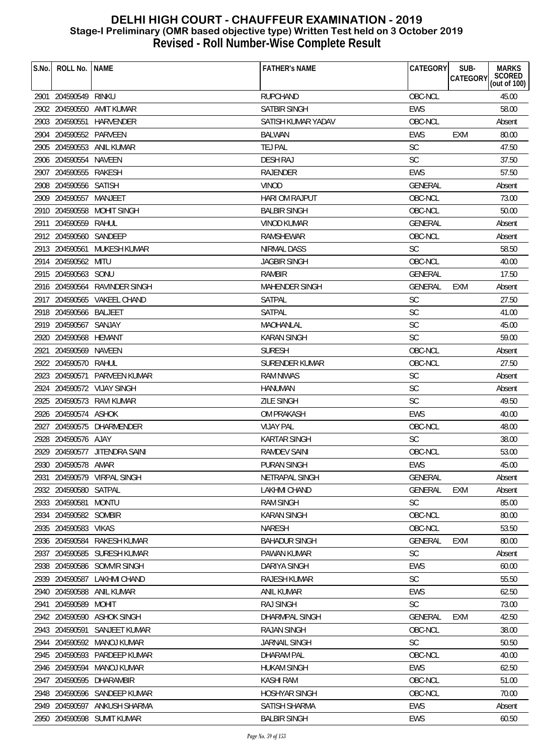| S.No. | ROLL No.               | l Name                        | <b>FATHER'S NAME</b>  | <b>CATEGORY</b> | SUB-       | <b>MARKS</b>           |
|-------|------------------------|-------------------------------|-----------------------|-----------------|------------|------------------------|
|       |                        |                               |                       |                 | CATEGORY   | SCORED<br>(out of 100) |
|       | 2901 204590549 RINKU   |                               | <b>RUPCHAND</b>       | OBC-NCL         |            | 45.00                  |
|       |                        | 2902 204590550 AMIT KUMAR     | <b>SATBIR SINGH</b>   | <b>EWS</b>      |            | 58.00                  |
|       |                        | 2903 204590551 HARVENDER      | SATISH KUMAR YADAV    | OBC-NCL         |            | Absent                 |
|       | 2904 204590552 PARVEEN |                               | <b>BALWAN</b>         | <b>EWS</b>      | EXM        | 80.00                  |
|       |                        | 2905 204590553 ANIL KUMAR     | TEJ PAL               | <b>SC</b>       |            | 47.50                  |
|       | 2906 204590554 NAVEEN  |                               | <b>DESH RAJ</b>       | SC              |            | 37.50                  |
|       | 2907 204590555 RAKESH  |                               | <b>RAJENDER</b>       | <b>EWS</b>      |            | 57.50                  |
|       | 2908 204590556 SATISH  |                               | <b>VINOD</b>          | GENERAL         |            | Absent                 |
|       | 2909 204590557 MANJEET |                               | HARI OM RAJPUT        | OBC-NCL         |            | 73.00                  |
|       |                        | 2910 204590558 MOHIT SINGH    | <b>BALBIR SINGH</b>   | OBC-NCL         |            | 50.00                  |
|       | 2911 204590559 RAHUL   |                               | <b>VINOD KUMAR</b>    | <b>GENERAL</b>  |            | Absent                 |
|       | 2912 204590560 SANDEEP |                               | RAMSHEWAR             | OBC-NCL         |            | Absent                 |
|       |                        | 2913 204590561 MUKESH KUMAR   | NIRMAL DASS           | <b>SC</b>       |            | 58.50                  |
|       | 2914 204590562 MITU    |                               | <b>JAGBIR SINGH</b>   | OBC-NCL         |            | 40.00                  |
|       | 2915 204590563 SONU    |                               | <b>RAMBIR</b>         | <b>GENERAL</b>  |            | 17.50                  |
|       |                        | 2916 204590564 RAVINDER SINGH | <b>MAHENDER SINGH</b> | <b>GENERAL</b>  | <b>EXM</b> | Absent                 |
|       |                        | 2917 204590565 VAKEEL CHAND   | SATPAL                | SC              |            | 27.50                  |
|       | 2918 204590566 BALJEET |                               | <b>SATPAL</b>         | SC              |            | 41.00                  |
|       | 2919 204590567 SANJAY  |                               | MAOHANLAL             | SC              |            | 45.00                  |
|       | 2920 204590568 HEMANT  |                               | <b>KARAN SINGH</b>    | <b>SC</b>       |            | 59.00                  |
|       | 2921 204590569 NAVEEN  |                               | <b>SURESH</b>         | OBC-NCL         |            | Absent                 |
|       | 2922 204590570 RAHUL   |                               | SURENDER KUMAR        | OBC-NCL         |            | 27.50                  |
|       | 2923 204590571         | <b>PARVEEN KUMAR</b>          | <b>RAM NIWAS</b>      | <b>SC</b>       |            | Absent                 |
|       |                        | 2924 204590572 VIJAY SINGH    | <b>HANUMAN</b>        | <b>SC</b>       |            | Absent                 |
|       |                        | 2925 204590573 RAVI KUMAR     | <b>ZILE SINGH</b>     | <b>SC</b>       |            | 49.50                  |
|       | 2926 204590574 ASHOK   |                               | <b>OM PRAKASH</b>     | <b>EWS</b>      |            | 40.00                  |
|       |                        | 2927 204590575 DHARMENDER     | <b>VIJAY PAL</b>      | OBC-NCL         |            | 48.00                  |
|       | 2928 204590576 AJAY    |                               | <b>KARTAR SINGH</b>   | <b>SC</b>       |            | 38.00                  |
|       |                        | 2929 204590577 JITENDRA SAINI | <b>RAMDEV SAINI</b>   | OBC-NCL         |            | 53.00                  |
|       | 2930 204590578 AMAR    |                               | PURAN SINGH           | EWS             |            | 45.00                  |
| 2931  |                        | 204590579 VIRPAL SINGH        | NETRAPAL SINGH        | <b>GENERAL</b>  |            | Absent                 |
|       | 2932 204590580 SATPAL  |                               | LAKHMI CHAND          | <b>GENERAL</b>  | <b>EXM</b> | Absent                 |
|       | 2933 204590581         | <b>MONTU</b>                  | <b>RAM SINGH</b>      | SC              |            | 85.00                  |
| 2934  | 204590582 SOMBIR       |                               | <b>KARAN SINGH</b>    | OBC-NCL         |            | 80.00                  |
| 2935  | 204590583              | <b>VIKAS</b>                  | <b>NARESH</b>         | OBC-NCL         |            | 53.50                  |
|       | 2936 204590584         | RAKESH KUMAR                  | <b>BAHADUR SINGH</b>  | <b>GENERAL</b>  | <b>EXM</b> | 80.00                  |
| 2937  | 204590585              | SURESH KUMAR                  | PAWAN KUMAR           | <b>SC</b>       |            | Absent                 |
| 2938  |                        | 204590586 SOMVIR SINGH        | <b>DARIYA SINGH</b>   | <b>EWS</b>      |            | 60.00                  |
| 2939  | 204590587              | <b>LAKHMI CHAND</b>           | <b>RAJESH KUMAR</b>   | <b>SC</b>       |            | 55.50                  |
| 2940  | 204590588              | ANIL KUMAR                    | ANIL KUMAR            | <b>EWS</b>      |            | 62.50                  |
| 2941  | 204590589              | <b>MOHIT</b>                  | <b>RAJ SINGH</b>      | <b>SC</b>       |            | 73.00                  |
| 2942  | 204590590              | <b>ASHOK SINGH</b>            | DHARMPAL SINGH        | <b>GENERAL</b>  | <b>EXM</b> | 42.50                  |
|       | 2943 204590591         | SANJEET KUMAR                 | <b>RAJAN SINGH</b>    | OBC-NCL         |            | 38.00                  |
|       | 2944 204590592         | MANOJ KUMAR                   | <b>JARNAIL SINGH</b>  | <b>SC</b>       |            | 50.50                  |
|       | 2945 204590593         | PARDEEP KUMAR                 | <b>DHARAM PAL</b>     | OBC-NCL         |            | 40.00                  |
|       | 2946 204590594         | MANOJ KUMAR                   | <b>HUKAM SINGH</b>    | <b>EWS</b>      |            | 62.50                  |
| 2947  | 204590595              | DHARAMBIR                     | <b>KASHI RAM</b>      | OBC-NCL         |            | 51.00                  |
|       |                        | 2948 204590596 SANDEEP KUMAR  | <b>HOSHYAR SINGH</b>  | OBC-NCL         |            | 70.00                  |
| 2949  |                        | 204590597 ANKUSH SHARMA       | SATISH SHARMA         | <b>EWS</b>      |            | Absent                 |
|       |                        | 2950 204590598 SUMIT KUMAR    | <b>BALBIR SINGH</b>   | EWS             |            | 60.50                  |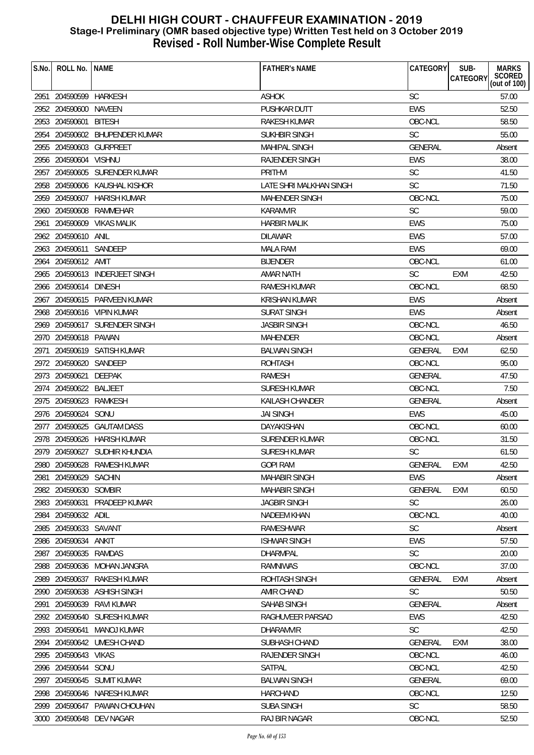| S.No. | ROLL No.               | <b>NAME</b>                    | <b>FATHER'S NAME</b>    | CATEGORY       | SUB-<br><b>CATEGORY</b> | <b>MARKS</b><br>SCORED<br>(out of 100) |
|-------|------------------------|--------------------------------|-------------------------|----------------|-------------------------|----------------------------------------|
|       | 2951 204590599 HARKESH |                                | <b>ASHOK</b>            | <b>SC</b>      |                         | 57.00                                  |
|       | 2952 204590600 NAVEEN  |                                | PUSHKAR DUTT            | <b>EWS</b>     |                         | 52.50                                  |
|       | 2953 204590601         | <b>BITESH</b>                  | <b>RAKESH KUMAR</b>     | OBC-NCL        |                         | 58.50                                  |
|       |                        | 2954 204590602 BHUPENDER KUMAR | <b>SUKHBIR SINGH</b>    | <b>SC</b>      |                         | 55.00                                  |
|       |                        | 2955 204590603 GURPREET        | <b>MAHIPAL SINGH</b>    | <b>GENERAL</b> |                         | Absent                                 |
|       | 2956 204590604 VISHNU  |                                | <b>RAJENDER SINGH</b>   | <b>EWS</b>     |                         | 38.00                                  |
|       |                        | 2957 204590605 SURENDER KUMAR  | <b>PRITHVI</b>          | SC             |                         | 41.50                                  |
|       |                        | 2958 204590606 KAUSHAL KISHOR  | LATE SHRI MALKHAN SINGH | <b>SC</b>      |                         | 71.50                                  |
|       |                        | 2959 204590607 HARISH KUMAR    | <b>MAHENDER SINGH</b>   | OBC-NCL        |                         | 75.00                                  |
|       | 2960 204590608         | RAMMEHAR                       | <b>KARAMVIR</b>         | SC             |                         | 59.00                                  |
|       |                        | 2961 204590609 VIKAS MALIK     | <b>HARBIR MALIK</b>     | <b>EWS</b>     |                         | 75.00                                  |
|       | 2962 204590610         | ANIL                           | <b>DILAWAR</b>          | <b>EWS</b>     |                         | 57.00                                  |
|       | 2963 204590611 SANDEEP |                                | <b>MALA RAM</b>         | <b>EWS</b>     |                         | 69.00                                  |
|       | 2964 204590612 AMIT    |                                | <b>BIJENDER</b>         | OBC-NCL        |                         | 61.00                                  |
|       |                        | 2965 204590613 INDERJEET SINGH | <b>AMAR NATH</b>        | <b>SC</b>      | <b>EXM</b>              | 42.50                                  |
|       | 2966 204590614 DINESH  |                                | <b>RAMESH KUMAR</b>     | OBC-NCL        |                         | 68.50                                  |
|       |                        | 2967 204590615 PARVEEN KUMAR   | <b>KRISHAN KUMAR</b>    | EWS            |                         | Absent                                 |
|       |                        | 2968 204590616 VIPIN KUMAR     | <b>SURAT SINGH</b>      | <b>EWS</b>     |                         | Absent                                 |
|       |                        | 2969 204590617 SURENDER SINGH  | <b>JASBIR SINGH</b>     | OBC-NCL        |                         | 46.50                                  |
|       | 2970 204590618 PAWAN   |                                | <b>MAHENDER</b>         | OBC-NCL        |                         | Absent                                 |
| 2971  |                        | 204590619 SATISH KUMAR         | <b>BALWAN SINGH</b>     | <b>GENERAL</b> | <b>EXM</b>              | 62.50                                  |
|       | 2972 204590620 SANDEEP |                                | <b>ROHTASH</b>          | OBC-NCL        |                         | 95.00                                  |
|       | 2973 204590621         | <b>DEEPAK</b>                  | <b>RAMESH</b>           | GENERAL        |                         | 47.50                                  |
|       | 2974 204590622 BALJEET |                                | <b>SURESH KUMAR</b>     | OBC-NCL        |                         | 7.50                                   |
|       | 2975 204590623 RAMKESH |                                | KAILASH CHANDER         | <b>GENERAL</b> |                         | Absent                                 |
|       | 2976 204590624 SONU    |                                | <b>JAI SINGH</b>        | <b>EWS</b>     |                         | 45.00                                  |
|       |                        | 2977 204590625 GAUTAM DASS     | DAYAKISHAN              | OBC-NCL        |                         | 60.00                                  |
|       |                        | 2978 204590626 HARISH KUMAR    | SURENDER KUMAR          | OBC-NCL        |                         | 31.50                                  |
|       |                        | 2979 204590627 SUDHIR KHUNDIA  | <b>SURESH KUMAR</b>     | <b>SC</b>      |                         | 61.50                                  |
|       |                        | 2980 204590628 RAMESH KUMAR    | <b>GOPI RAM</b>         | GENERAL EXM    |                         | 42.50                                  |
| 2981  | 204590629 SACHIN       |                                | <b>MAHABIR SINGH</b>    | <b>EWS</b>     |                         | Absent                                 |
|       | 2982 204590630 SOMBIR  |                                | <b>MAHABIR SINGH</b>    | <b>GENERAL</b> | <b>EXM</b>              | 60.50                                  |
|       |                        | 2983 204590631 PRADEEP KUMAR   | <b>JAGBIR SINGH</b>     | <b>SC</b>      |                         | 26.00                                  |
| 2984  | 204590632 ADIL         |                                | <b>NADEEM KHAN</b>      | OBC-NCL        |                         | 40.00                                  |
| 2985  | 204590633 SAVANT       |                                | <b>RAMESHWAR</b>        | SC             |                         | Absent                                 |
| 2986  | 204590634              | ANKIT                          | <b>ISHWAR SINGH</b>     | EWS            |                         | 57.50                                  |
|       | 2987 204590635 RAMDAS  |                                | <b>DHARMPAL</b>         | <b>SC</b>      |                         | 20.00                                  |
|       |                        | 2988 204590636 MOHAN JANGRA    | <b>RAMNIWAS</b>         | OBC-NCL        |                         | 37.00                                  |
| 2989  | 204590637              | RAKESH KUMAR                   | ROHTASH SINGH           | <b>GENERAL</b> | <b>EXM</b>              | Absent                                 |
|       | 2990 204590638         | ASHISH SINGH                   | AMIR CHAND              | <b>SC</b>      |                         | 50.50                                  |
| 2991  | 204590639              | RAVI KUMAR                     | SAHAB SINGH             | <b>GENERAL</b> |                         | Absent                                 |
| 2992  |                        | 204590640 SURESH KUMAR         | RAGHUVEER PARSAD        | <b>EWS</b>     |                         | 42.50                                  |
|       | 2993 204590641         | MANOJ KUMAR                    | <b>DHARAMVIR</b>        | <b>SC</b>      |                         | 42.50                                  |
|       |                        | 2994 204590642 UMESH CHAND     | SUBHASH CHAND           | <b>GENERAL</b> | EXM                     | 38.00                                  |
|       | 2995 204590643 VIKAS   |                                | RAJENDER SINGH          | OBC-NCL        |                         | 46.00                                  |
| 2996  | 204590644 SONU         |                                | SATPAL                  | OBC-NCL        |                         | 42.50                                  |
| 2997  |                        | 204590645 SUMIT KUMAR          | <b>BALWAN SINGH</b>     | <b>GENERAL</b> |                         | 69.00                                  |
|       |                        | 2998 204590646 NARESH KUMAR    | <b>HARCHAND</b>         | OBC-NCL        |                         | 12.50                                  |
|       |                        | 2999 204590647 PAWAN CHOUHAN   | <b>SUBA SINGH</b>       | <b>SC</b>      |                         | 58.50                                  |
|       |                        | 3000 204590648 DEV NAGAR       | RAJ BIR NAGAR           | OBC-NCL        |                         | 52.50                                  |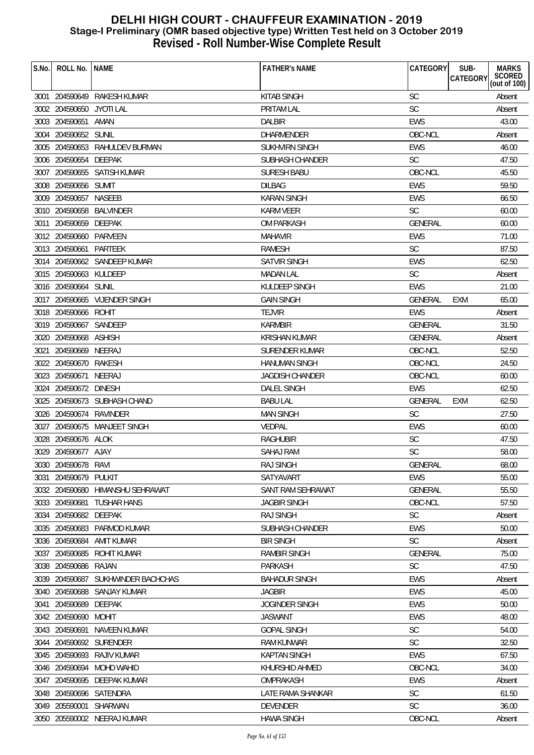| S.No. | ROLL No. INAME           |                                    | <b>FATHER'S NAME</b>   | CATEGORY       | SUB-<br>CATEGORY | <b>MARKS</b><br>SCORED<br>(out of 100) |
|-------|--------------------------|------------------------------------|------------------------|----------------|------------------|----------------------------------------|
|       |                          | 3001 204590649 RAKESH KUMAR        | <b>KITAB SINGH</b>     | <b>SC</b>      |                  | Absent                                 |
|       | 3002 204590650 JYOTI LAL |                                    | <b>PRITAM LAL</b>      | <b>SC</b>      |                  | Absent                                 |
|       | 3003 204590651 AMAN      |                                    | <b>DALBIR</b>          | <b>EWS</b>     |                  | 43.00                                  |
|       | 3004 204590652 SUNIL     |                                    | DHARMENDER             | OBC-NCL        |                  | Absent                                 |
|       |                          | 3005 204590653 RAHULDEV BURMAN     | SUKHVIRN SINGH         | EWS            |                  | 46.00                                  |
|       | 3006 204590654 DEEPAK    |                                    | <b>SUBHASH CHANDER</b> | <b>SC</b>      |                  | 47.50                                  |
|       |                          | 3007 204590655 SATISH KUMAR        | <b>SURESH BABU</b>     | OBC-NCL        |                  | 45.50                                  |
|       | 3008 204590656 SUMIT     |                                    | <b>DILBAG</b>          | <b>EWS</b>     |                  | 59.50                                  |
|       | 3009 204590657 NASEEB    |                                    | <b>KARAN SINGH</b>     | <b>EWS</b>     |                  | 66.50                                  |
|       |                          | 3010 204590658 BALVINDER           | <b>KARM VEER</b>       | <b>SC</b>      |                  | 60.00                                  |
|       | 3011 204590659 DEEPAK    |                                    | OM PARKASH             | <b>GENERAL</b> |                  | 60.00                                  |
|       | 3012 204590660 PARVEEN   |                                    | <b>MAHAVIR</b>         | <b>EWS</b>     |                  | 71.00                                  |
|       | 3013 204590661 PARTEEK   |                                    | RAMESH                 | <b>SC</b>      |                  | 87.50                                  |
|       |                          | 3014 204590662 SANDEEP KUMAR       | <b>SATVIR SINGH</b>    | <b>EWS</b>     |                  | 62.50                                  |
|       | 3015 204590663 KULDEEP   |                                    | <b>MADAN LAL</b>       | <b>SC</b>      |                  | Absent                                 |
|       | 3016 204590664 SUNIL     |                                    | KULDEEP SINGH          | <b>EWS</b>     |                  | 21.00                                  |
|       |                          | 3017 204590665 VIJENDER SINGH      | <b>GAIN SINGH</b>      | <b>GENERAL</b> | EXM              | 65.00                                  |
|       | 3018 204590666 ROHIT     |                                    | <b>TEJVIR</b>          | <b>EWS</b>     |                  | Absent                                 |
|       | 3019 204590667 SANDEEP   |                                    | <b>KARMBIR</b>         | <b>GENERAL</b> |                  | 31.50                                  |
|       | 3020 204590668 ASHISH    |                                    | <b>KRISHAN KUMAR</b>   | <b>GENERAL</b> |                  | Absent                                 |
|       | 3021 204590669 NEERAJ    |                                    | <b>SURENDER KUMAR</b>  | OBC-NCL        |                  | 52.50                                  |
|       | 3022 204590670 RAKESH    |                                    | <b>HANUMAN SINGH</b>   | OBC-NCL        |                  | 24.50                                  |
|       | 3023 204590671           | NEERAJ                             | <b>JAGDISH CHANDER</b> | OBC-NCL        |                  | 60.00                                  |
|       | 3024 204590672 DINESH    |                                    | <b>DALEL SINGH</b>     | EWS            |                  | 62.50                                  |
|       |                          | 3025 204590673 SUBHASH CHAND       | <b>BABU LAL</b>        | <b>GENERAL</b> | <b>EXM</b>       | 62.50                                  |
|       | 3026 204590674 RAVINDER  |                                    | <b>MAN SINGH</b>       | SC             |                  | 27.50                                  |
|       |                          | 3027 204590675 MANJEET SINGH       | VEDPAL                 | <b>EWS</b>     |                  | 60.00                                  |
|       | 3028 204590676 ALOK      |                                    | <b>RAGHUBIR</b>        | SC             |                  | 47.50                                  |
|       | 3029 204590677 AJAY      |                                    | SAHAJ RAM              | <b>SC</b>      |                  | 58.00                                  |
|       | 3030 204590678 RAVI      |                                    | <b>RAJ SINGH</b>       | GENERAL        |                  | 68.00                                  |
| 3031  | 204590679 PULKIT         |                                    | SATYAVART              | <b>EWS</b>     |                  | 55.00                                  |
|       |                          | 3032 204590680 HIMANSHU SEHRAWAT   | SANT RAM SEHRAWAT      | <b>GENERAL</b> |                  | 55.50                                  |
|       | 3033 204590681           | <b>TUSHAR HANS</b>                 | <b>JAGBIR SINGH</b>    | OBC-NCL        |                  | 57.50                                  |
|       | 3034 204590682 DEEPAK    |                                    | <b>RAJ SINGH</b>       | <b>SC</b>      |                  | Absent                                 |
|       |                          | 3035 204590683 PARMOD KUMAR        | SUBHASH CHANDER        | <b>EWS</b>     |                  | 50.00                                  |
|       | 3036 204590684           | AMIT KUMAR                         | <b>BIR SINGH</b>       | <b>SC</b>      |                  | Absent                                 |
|       |                          | 3037 204590685 ROHIT KUMAR         | <b>RAMBIR SINGH</b>    | GENERAL        |                  | 75.00                                  |
|       | 3038 204590686 RAJAN     |                                    | PARKASH                | <b>SC</b>      |                  | 47.50                                  |
|       |                          | 3039 204590687 SUKHWINDER BACHCHAS | <b>BAHADUR SINGH</b>   | EWS            |                  | Absent                                 |
|       |                          | 3040 204590688 SANJAY KUMAR        | <b>JAGBIR</b>          | <b>EWS</b>     |                  | 45.00                                  |
|       | 3041 204590689           | DEEPAK                             | <b>JOGINDER SINGH</b>  | <b>EWS</b>     |                  | 50.00                                  |
|       | 3042 204590690 MOHIT     |                                    | <b>JASWANT</b>         | <b>EWS</b>     |                  | 48.00                                  |
|       | 3043 204590691           | NAVEEN KUMAR                       | <b>GOPAL SINGH</b>     | SC             |                  | 54.00                                  |
|       |                          | 3044 204590692 SURENDER            | RAM KUNWAR             | <b>SC</b>      |                  | 32.50                                  |
|       |                          | 3045 204590693 RAJIV KUMAR         | <b>KAPTAN SINGH</b>    | <b>EWS</b>     |                  | 67.50                                  |
|       |                          | 3046 204590694 MOHD WAHID          | KHURSHID AHMED         | OBC-NCL        |                  | 34.00                                  |
| 3047  |                          | 204590695 DEEPAK KUMAR             | OMPRAKASH              | EWS            |                  | Absent                                 |
|       |                          | 3048 204590696 SATENDRA            | LATE RAMA SHANKAR      | SC             |                  | 61.50                                  |
|       | 3049 205590001 SHARWAN   |                                    | <b>DEVENDER</b>        | <b>SC</b>      |                  | 36.00                                  |
|       |                          | 3050 205590002 NEERAJ KUMAR        | <b>HAWA SINGH</b>      | OBC-NCL        |                  | Absent                                 |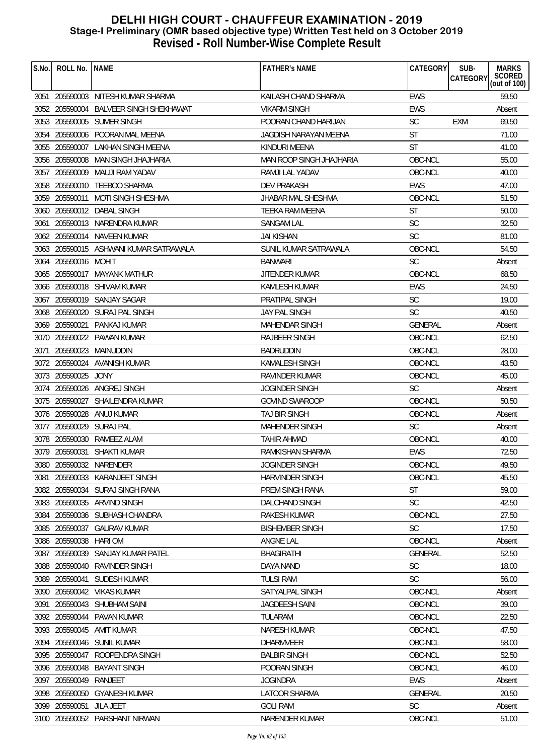| S.No. | ROLL No.                 | <b>NAME</b>                            | <b>FATHER'S NAME</b>      | CATEGORY       | <b>MARKS</b><br>SUB-<br>SCORED<br>(out of 100)<br>CATEGORY |
|-------|--------------------------|----------------------------------------|---------------------------|----------------|------------------------------------------------------------|
|       |                          | 3051 205590003 NITESH KUMAR SHARMA     | KAILASH CHAND SHARMA      | <b>EWS</b>     | 59.50                                                      |
|       | 3052 205590004           | BALVEER SINGH SHEKHAWAT                | <b>VIKARM SINGH</b>       | EWS            | Absent                                                     |
|       |                          | 3053 205590005 SUMER SINGH             | POORAN CHAND HARIJAN      | <b>SC</b>      | 69.50<br>EXM                                               |
| 3054  |                          | 205590006 POORAN MAL MEENA             | JAGDISH NARAYAN MEENA     | <b>ST</b>      | 71.00                                                      |
|       |                          | 3055 205590007 LAKHAN SINGH MEENA      | KINDURI MEENA             | <b>ST</b>      | 41.00                                                      |
|       | 3056 205590008           | MAN SINGH JHAJHARIA                    | MAN ROOP SINGH JHAJHARIA  | OBC-NCL        | 55.00                                                      |
| 3057  | 205590009                | MAUJI RAM YADAV                        | RAMJI LAL YADAV           | OBC-NCL        | 40.00                                                      |
|       |                          | 3058 205590010 TEEBOO SHARMA           | <b>DEV PRAKASH</b>        | <b>EWS</b>     | 47.00                                                      |
|       | 3059 205590011           | MOTI SINGH SHESHMA                     | <b>JHABAR MAL SHESHMA</b> | OBC-NCL        | 51.50                                                      |
|       |                          | 3060 205590012 DABAL SINGH             | <b>TEEKA RAM MEENA</b>    | <b>ST</b>      | 50.00                                                      |
| 3061  |                          | 205590013 NARENDRA KUMAR               | <b>SANGAM LAL</b>         | <b>SC</b>      | 32.50                                                      |
|       |                          | 3062 205590014 NAVEEN KUMAR            | <b>JAI KISHAN</b>         | <b>SC</b>      | 81.00                                                      |
|       |                          | 3063 205590015 ASHWANI KUMAR SATRAWALA | SUNIL KUMAR SATRAWALA     | OBC-NCL        | 54.50                                                      |
| 3064  | 205590016 MOHIT          |                                        | <b>BANWARI</b>            | <b>SC</b>      | Absent                                                     |
|       |                          | 3065 205590017 MAYANK MATHUR           | <b>JITENDER KUMAR</b>     | OBC-NCL        | 68.50                                                      |
|       |                          | 3066 205590018 SHIVAM KUMAR            | <b>KAMLESH KUMAR</b>      | <b>EWS</b>     | 24.50                                                      |
|       | 3067 205590019           | SANJAY SAGAR                           | PRATIPAL SINGH            | <b>SC</b>      | 19.00                                                      |
|       |                          | 3068 205590020 SURAJ PAL SINGH         | JAY PAL SINGH             | <b>SC</b>      | 40.50                                                      |
|       | 3069 205590021           | PANKAJ KUMAR                           | <b>MAHENDAR SINGH</b>     | <b>GENERAL</b> | Absent                                                     |
|       |                          | 3070 205590022 PAWAN KUMAR             | RAJBEER SINGH             | OBC-NCL        | 62.50                                                      |
| 3071  |                          | 205590023 MAINUDDIN                    | <b>BADRUDDIN</b>          | OBC-NCL        | 28.00                                                      |
|       |                          | 3072 205590024 AVANISH KUMAR           | KAMALESH SINGH            | OBC-NCL        | 43.50                                                      |
|       | 3073 205590025           | <b>JONY</b>                            | RAVINDER KUMAR            | OBC-NCL        | 45.00                                                      |
|       |                          | 3074 205590026 ANGREJ SINGH            | JOGINDER SINGH            | <b>SC</b>      | Absent                                                     |
|       | 3075 205590027           | SHAILENDRA KUMAR                       | <b>GOVIND SWAROOP</b>     | OBC-NCL        | 50.50                                                      |
|       | 3076 205590028           | ANUJ KUMAR                             | TAJ BIR SINGH             | OBC-NCL        | Absent                                                     |
|       | 3077 205590029           | <b>SURAJ PAL</b>                       | <b>MAHENDER SINGH</b>     | <b>SC</b>      | Absent                                                     |
|       | 3078 205590030           | RAMEEZ ALAM                            | TAHIR AHMAD               | OBC-NCL        | 40.00                                                      |
|       |                          | 3079 205590031 SHAKTI KUMAR            | RAMKISHAN SHARMA          | <b>EWS</b>     | 72.50                                                      |
| 3080  |                          | 205590032 NARENDER                     | JOGINDER SINGH            | OBC-NCL        | 49.50                                                      |
| 3081  |                          | 205590033 KARANJEET SINGH              | <b>HARVINDER SINGH</b>    | OBC-NCL        | 45.50                                                      |
|       |                          | 3082 205590034 SURAJ SINGH RANA        | PREM SINGH RANA           | <b>ST</b>      | 59.00                                                      |
|       |                          | 3083 205590035 ARVIND SINGH            | <b>DALCHAND SINGH</b>     | <b>SC</b>      | 42.50                                                      |
|       |                          | 3084 205590036 SUBHASH CHANDRA         | <b>RAKESH KUMAR</b>       | OBC-NCL        | 27.50                                                      |
|       |                          | 3085 205590037 GAURAV KUMAR            | <b>BISHEMBER SINGH</b>    | <b>SC</b>      | 17.50                                                      |
| 3086  | 205590038                | HARI OM                                | ANGNE LAL                 | OBC-NCL        | Absent                                                     |
|       |                          | 3087 205590039 SANJAY KUMAR PATEL      | <b>BHAGIRATHI</b>         | GENERAL        | 52.50                                                      |
|       |                          | 3088 205590040 RAVINDER SINGH          | DAYA NAND                 | <b>SC</b>      | 18.00                                                      |
| 3089  | 205590041                | SUDESH KUMAR                           | <b>TULSI RAM</b>          | <b>SC</b>      | 56.00                                                      |
| 3090  |                          | 205590042 VIKAS KUMAR                  | SATYALPAL SINGH           | OBC-NCL        | Absent                                                     |
| 3091  |                          | 205590043 SHUBHAM SAINI                | <b>JAGDEESH SAINI</b>     | OBC-NCL        | 39.00                                                      |
|       | 3092 205590044           | PAVAN KUMAR                            | TULARAM                   | OBC-NCL        | 22.50                                                      |
|       |                          | 3093 205590045 AMIT KUMAR              | <b>NARESH KUMAR</b>       | OBC-NCL        | 47.50                                                      |
|       |                          | 3094 205590046 SUNIL KUMAR             | <b>DHARMVEER</b>          | OBC-NCL        | 58.00                                                      |
|       | 3095 205590047           | ROOPENDRA SINGH                        | <b>BALBIR SINGH</b>       | OBC-NCL        | 52.50                                                      |
| 3096  |                          | 205590048 BAYANT SINGH                 | POORAN SINGH              | OBC-NCL        | 46.00                                                      |
| 3097  | 205590049                | RANJEET                                | <b>JOGINDRA</b>           | <b>EWS</b>     | Absent                                                     |
|       |                          | 3098 205590050 GYANESH KUMAR           | LATOOR SHARMA             | GENERAL        | 20.50                                                      |
|       | 3099 205590051 JILA JEET |                                        | <b>GOLI RAM</b>           | <b>SC</b>      | Absent                                                     |
|       |                          | 3100 205590052 PARSHANT NIRWAN         | NARENDER KUMAR            | OBC-NCL        | 51.00                                                      |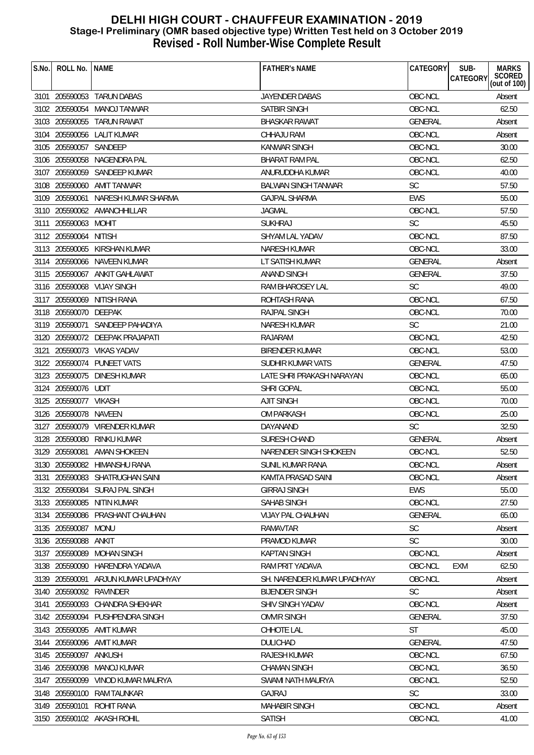| S.No. | ROLL No.                | <b>NAME</b>                     | <b>FATHER'S NAME</b>        | CATEGORY       | SUB-<br><b>MARKS</b>                      |
|-------|-------------------------|---------------------------------|-----------------------------|----------------|-------------------------------------------|
|       |                         |                                 |                             |                | SCORED<br>(out of 100)<br><b>CATEGORY</b> |
|       |                         | 3101 205590053 TARUN DABAS      | <b>JAYENDER DABAS</b>       | OBC-NCL        | Absent                                    |
|       |                         | 3102 205590054 MANOJ TANWAR     | <b>SATBIR SINGH</b>         | OBC-NCL        | 62.50                                     |
|       | 3103 205590055          | TARUN RAWAT                     | <b>BHASKAR RAWAT</b>        | <b>GENERAL</b> | Absent                                    |
|       |                         | 3104 205590056 LALIT KUMAR      | <b>CHHAJU RAM</b>           | OBC-NCL        | Absent                                    |
|       | 3105 205590057 SANDEEP  |                                 | <b>KANWAR SINGH</b>         | OBC-NCL        | 30.00                                     |
|       |                         | 3106 205590058 NAGENDRA PAL     | <b>BHARAT RAM PAL</b>       | OBC-NCL        | 62.50                                     |
|       |                         | 3107 205590059 SANDEEP KUMAR    | ANURUDDHA KUMAR             | OBC-NCL        | 40.00                                     |
|       |                         | 3108 205590060 AMIT TANWAR      | <b>BALWAN SINGH TANWAR</b>  | <b>SC</b>      | 57.50                                     |
|       | 3109 205590061          | NARESH KUMAR SHARMA             | <b>GAJPAL SHARMA</b>        | <b>EWS</b>     | 55.00                                     |
|       |                         | 3110 205590062 AMANCHHILLAR     | <b>JAGMAL</b>               | OBC-NCL        | 57.50                                     |
|       | 3111 205590063 MOHIT    |                                 | <b>SUKHRAJ</b>              | <b>SC</b>      | 45.50                                     |
|       | 3112 205590064          | <b>NITISH</b>                   | <b>SHYAM LAL YADAV</b>      | OBC-NCL        | 87.50                                     |
|       |                         | 3113 205590065 KIRSHAN KUMAR    | <b>NARESH KUMAR</b>         | OBC-NCL        | 33.00                                     |
|       |                         | 3114 205590066 NAVEEN KUMAR     | LT SATISH KUMAR             | <b>GENERAL</b> | Absent                                    |
|       |                         | 3115 205590067 ANKIT GAHLAWAT   | <b>ANAND SINGH</b>          | <b>GENERAL</b> | 37.50                                     |
|       |                         | 3116 205590068 VIJAY SINGH      | RAM BHAROSEY LAL            | <b>SC</b>      | 49.00                                     |
|       |                         | 3117 205590069 NITISH RANA      | ROHTASH RANA                | OBC-NCL        | 67.50                                     |
|       | 3118 205590070 DEEPAK   |                                 | <b>RAJPAL SINGH</b>         | OBC-NCL        | 70.00                                     |
|       |                         | 3119 205590071 SANDEEP PAHADIYA | <b>NARESH KUMAR</b>         | <b>SC</b>      | 21.00                                     |
|       |                         | 3120 205590072 DEEPAK PRAJAPATI | <b>RAJARAM</b>              | OBC-NCL        | 42.50                                     |
|       |                         | 3121 205590073 VIKAS YADAV      | <b>BIRENDER KUMAR</b>       | OBC-NCL        | 53.00                                     |
|       |                         | 3122 205590074 PUNEET VATS      | SUDHIR KUMAR VATS           | <b>GENERAL</b> | 47.50                                     |
|       |                         | 3123 205590075 DINESH KUMAR     | LATE SHRI PRAKASH NARAYAN   | OBC-NCL        | 65.00                                     |
|       | 3124 205590076 UDIT     |                                 | <b>SHRI GOPAL</b>           | OBC-NCL        | 55.00                                     |
|       | 3125 205590077 VIKASH   |                                 | <b>AJIT SINGH</b>           | OBC-NCL        | 70.00                                     |
|       | 3126 205590078 NAVEEN   |                                 | OM PARKASH                  | OBC-NCL        | 25.00                                     |
|       |                         | 3127 205590079 VIRENDER KUMAR   | DAYANAND                    | <b>SC</b>      | 32.50                                     |
|       | 3128 205590080          | RINKU KUMAR                     | SURESH CHAND                | <b>GENERAL</b> | Absent                                    |
|       |                         | 3129 205590081 AMAN SHOKEEN     | NARENDER SINGH SHOKEEN      | OBC-NCL        | 52.50                                     |
|       |                         | 3130 205590082 HIMANSHU RANA    | SUNIL KUMAR RANA            | OBC-NCL        | Absent                                    |
|       |                         | 3131 205590083 SHATRUGHAN SAINI | KAMTA PRASAD SAINI          | OBC-NCL        | Absent                                    |
|       |                         | 3132 205590084 SURAJ PAL SINGH  | <b>GIRRAJ SINGH</b>         | <b>EWS</b>     | 55.00                                     |
|       |                         | 3133 205590085 NITIN KUMAR      | SAHAB SINGH                 | OBC-NCL        | 27.50                                     |
|       |                         | 3134 205590086 PRASHANT CHAUHAN | <b>VIJAY PAL CHAUHAN</b>    | <b>GENERAL</b> | 65.00                                     |
|       | 3135 205590087 MONU     |                                 | RAMAVTAR                    | SC             | Absent                                    |
|       | 3136 205590088          | ANKIT                           | PRAMOD KUMAR                | <b>SC</b>      | 30.00                                     |
|       | 3137 205590089          | <b>MOHAN SINGH</b>              | <b>KAPTAN SINGH</b>         | OBC-NCL        | Absent                                    |
|       |                         | 3138 205590090 HARENDRA YADAVA  | RAM PRIT YADAVA             | OBC-NCL        | EXM<br>62.50                              |
|       | 3139 205590091          | ARJUN KUMAR UPADHYAY            | SH. NARENDER KUMAR UPADHYAY | OBC-NCL        | Absent                                    |
|       | 3140 205590092 RAVINDER |                                 | <b>BIJENDER SINGH</b>       | <b>SC</b>      | Absent                                    |
| 3141  | 205590093               | CHANDRA SHEKHAR                 | SHIV SINGH YADAV            | OBC-NCL        | Absent                                    |
|       |                         | 3142 205590094 PUSHPENDRA SINGH | <b>OMVIR SINGH</b>          | <b>GENERAL</b> | 37.50                                     |
|       |                         | 3143 205590095 AMIT KUMAR       | CHHOTE LAL                  | <b>ST</b>      | 45.00                                     |
|       |                         | 3144 205590096 AMIT KUMAR       | <b>DULICHAD</b>             | <b>GENERAL</b> | 47.50                                     |
|       | 3145 205590097          | ANKUSH                          | <b>RAJESH KUMAR</b>         | OBC-NCL        | 67.50                                     |
|       | 3146 205590098          | MANOJ KUMAR                     | <b>CHAMAN SINGH</b>         | OBC-NCL        | 36.50                                     |
|       | 3147 205590099          | VINOD KUMAR MAURYA              | SWAMI NATH MAURYA           | OBC-NCL        | 52.50                                     |
|       | 3148 205590100          | RAM TAUNKAR                     | <b>GAJRAJ</b>               | <b>SC</b>      | 33.00                                     |
|       | 3149 205590101          | ROHIT RANA                      | <b>MAHABIR SINGH</b>        | OBC-NCL        | Absent                                    |
|       |                         | 3150 205590102 AKASH ROHIL      | <b>SATISH</b>               | OBC-NCL        | 41.00                                     |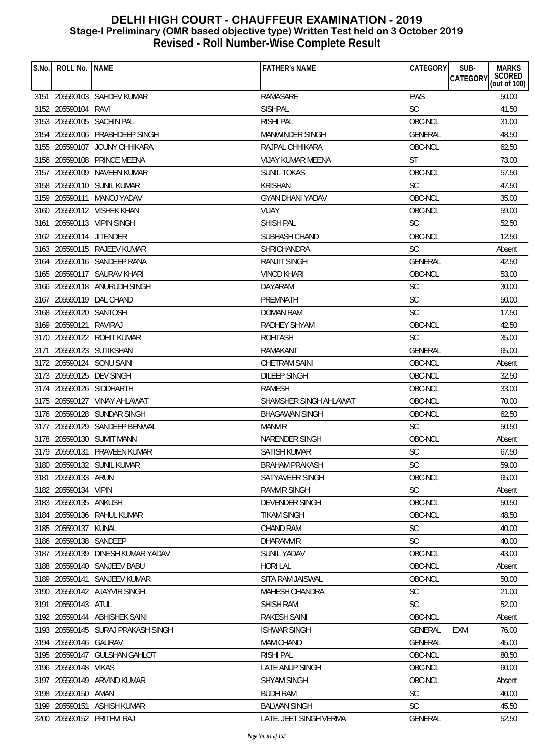| S.No. | ROLL No.                | <b>NAME</b>                        | <b>FATHER'S NAME</b>     | CATEGORY       | SUB-<br><b>MARKS</b><br><b>CATEGORY</b> |
|-------|-------------------------|------------------------------------|--------------------------|----------------|-----------------------------------------|
|       |                         |                                    |                          |                | SCORED<br>(out of 100)                  |
|       |                         | 3151 205590103 SAHDEV KUMAR        | RAMASARE                 | <b>EWS</b>     | 50.00                                   |
|       | 3152 205590104 RAVI     |                                    | <b>SISHPAL</b>           | <b>SC</b>      | 41.50                                   |
|       |                         | 3153 205590105 SACHIN PAL          | <b>RISHI PAL</b>         | OBC-NCL        | 31.00                                   |
|       |                         | 3154 205590106 PRABHDEEP SINGH     | MANWINDER SINGH          | <b>GENERAL</b> | 48.50                                   |
|       |                         | 3155 205590107 JOUNY CHHIKARA      | RAJPAL CHHIKARA          | OBC-NCL        | 62.50                                   |
|       |                         | 3156 205590108 PRINCE MEENA        | <b>VIJAY KUMAR MEENA</b> | <b>ST</b>      | 73.00                                   |
|       |                         | 3157 205590109 NAVEEN KUMAR        | <b>SUNIL TOKAS</b>       | OBC-NCL        | 57.50                                   |
|       |                         | 3158 205590110 SUNIL KUMAR         | <b>KRISHAN</b>           | <b>SC</b>      | 47.50                                   |
|       |                         | 3159 205590111 MANOJ YADAV         | <b>GYAN DHANI YADAV</b>  | OBC-NCL        | 35.00                                   |
|       |                         | 3160 205590112 VISHEK KHAN         | <b>VIJAY</b>             | OBC-NCL        | 59.00                                   |
|       |                         | 3161 205590113 VIPIN SINGH         | <b>SHISH PAL</b>         | <b>SC</b>      | 52.50                                   |
|       | 3162 205590114 JITENDER |                                    | SUBHASH CHAND            | OBC-NCL        | 12.50                                   |
|       |                         | 3163 205590115 RAJEEV KUMAR        | SHRICHANDRA              | <b>SC</b>      | Absent                                  |
|       |                         | 3164 205590116 SANDEEP RANA        | <b>RANJIT SINGH</b>      | <b>GENERAL</b> | 42.50                                   |
|       |                         | 3165 205590117 SAURAV KHARI        | <b>VINOD KHARI</b>       | OBC-NCL        | 53.00                                   |
|       |                         | 3166 205590118 ANURUDH SINGH       | <b>DAYARAM</b>           | <b>SC</b>      | 30.00                                   |
|       |                         | 3167 205590119 DAL CHAND           | PREMNATH                 | <b>SC</b>      | 50.00                                   |
|       | 3168 205590120 SANTOSH  |                                    | <b>DOMAN RAM</b>         | <b>SC</b>      | 17.50                                   |
|       | 3169 205590121          | RAVIRAJ                            | RADHEY SHYAM             | OBC-NCL        | 42.50                                   |
|       |                         | 3170 205590122 ROHIT KUMAR         | <b>ROHTASH</b>           | <b>SC</b>      | 35.00                                   |
| 3171  |                         | 205590123 SUTIKSHAN                | RAMAKANT                 | GENERAL        | 65.00                                   |
|       |                         | 3172 205590124 SONU SAINI          | <b>CHETRAM SAINI</b>     | OBC-NCL        | Absent                                  |
|       |                         | 3173 205590125 DEV SINGH           | <b>DILEEP SINGH</b>      | OBC-NCL        | 32.50                                   |
|       |                         | 3174 205590126 SIDDHARTH           | RAMESH                   | OBC-NCL        | 33.00                                   |
|       |                         | 3175 205590127 VINAY AHLAWAT       | SHAMSHER SINGH AHLAWAT   | OBC-NCL        | 70.00                                   |
|       |                         | 3176 205590128 SUNDAR SINGH        | <b>BHAGAWAN SINGH</b>    | OBC-NCL        | 62.50                                   |
|       |                         | 3177 205590129 SANDEEP BENWAL      | <b>MANVIR</b>            | <b>SC</b>      | 50.50                                   |
|       |                         | 3178 205590130 SUMIT MANN          | NARENDER SINGH           | OBC-NCL        | Absent                                  |
|       |                         | 3179 205590131 PRAVEEN KUMAR       | SATISH KUMAR             | <b>SC</b>      | 67.50                                   |
|       |                         | 3180 205590132 SUNIL KUMAR         |                          | SC             | 59.00                                   |
|       |                         |                                    | <b>BRAHAM PRAKASH</b>    |                |                                         |
|       | 3181 205590133 ARUN     |                                    | SATYAVEER SINGH          | OBC-NCL        | 65.00                                   |
|       | 3182 205590134 VIPIN    |                                    | <b>RAMVIR SINGH</b>      | <b>SC</b>      | Absent                                  |
|       | 3183 205590135 ANKUSH   |                                    | <b>DEVENDER SINGH</b>    | OBC-NCL        | 50.50                                   |
|       |                         | 3184 205590136 RAHUL KUMAR         | <b>TIKAM SINGH</b>       | OBC-NCL        | 48.50                                   |
|       | 3185 205590137 KUNAL    |                                    | <b>CHAND RAM</b>         | SC             | 40.00                                   |
|       | 3186 205590138 SANDEEP  |                                    | <b>DHARAMVIR</b>         | <b>SC</b>      | 40.00                                   |
|       |                         | 3187 205590139 DINESH KUMAR YADAV  | <b>SUNIL YADAV</b>       | OBC-NCL        | 43.00                                   |
|       |                         | 3188 205590140 SANJEEV BABU        | <b>HORI LAL</b>          | OBC-NCL        | Absent                                  |
|       |                         | 3189 205590141 SANJEEV KUMAR       | SITA RAM JAISWAL         | OBC-NCL        | 50.00                                   |
|       |                         | 3190 205590142 AJAYVIR SINGH       | <b>MAHESH CHANDRA</b>    | <b>SC</b>      | 21.00                                   |
|       | 3191 205590143 ATUL     |                                    | <b>SHISH RAM</b>         | <b>SC</b>      | 52.00                                   |
|       |                         | 3192 205590144 ABHISHEK SAINI      | <b>RAKESH SAINI</b>      | OBC-NCL        | Absent                                  |
|       |                         | 3193 205590145 SURAJ PRAKASH SINGH | <b>ISHWAR SINGH</b>      | <b>GENERAL</b> | 76.00<br>EXM                            |
|       | 3194 205590146 GAURAV   |                                    | <b>MAM CHAND</b>         | <b>GENERAL</b> | 45.00                                   |
|       |                         | 3195 205590147 GULSHAN GAHLOT      | <b>RISHI PAL</b>         | OBC-NCL        | 80.50                                   |
|       | 3196 205590148 VIKAS    |                                    | <b>LATE ANUP SINGH</b>   | OBC-NCL        | 60.00                                   |
|       |                         | 3197 205590149 ARVIND KUMAR        | <b>SHYAM SINGH</b>       | OBC-NCL        | Absent                                  |
|       | 3198 205590150 AMAN     |                                    | <b>BUDH RAM</b>          | <b>SC</b>      | 40.00                                   |
|       |                         | 3199 205590151 ASHISH KUMAR        | <b>BALWAN SINGH</b>      | <b>SC</b>      | 45.50                                   |
|       |                         | 3200 205590152 PRITHVI RAJ         | LATE. JEET SINGH VERMA   | GENERAL        | 52.50                                   |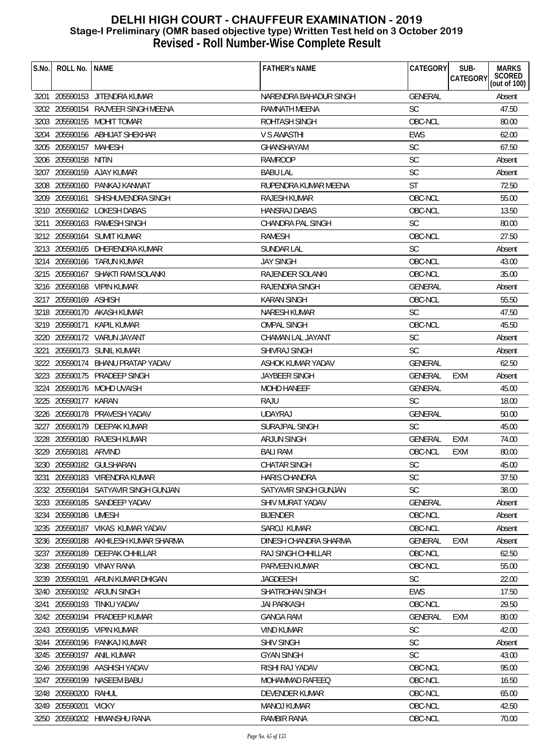| S.No. | ROLL No.   NAME       |                                      | <b>FATHER'S NAME</b>   | CATEGORY       | SUB-<br><b>MARKS</b>                      |
|-------|-----------------------|--------------------------------------|------------------------|----------------|-------------------------------------------|
|       |                       |                                      |                        |                | SCORED<br>(out of 100)<br><b>CATEGORY</b> |
|       |                       | 3201 205590153 JITENDRA KUMAR        | NARENDRA BAHADUR SINGH | <b>GENERAL</b> | Absent                                    |
|       |                       | 3202 205590154 RAJVEER SINGH MEENA   | RAMNATH MEENA          | <b>SC</b>      | 47.50                                     |
|       |                       | 3203 205590155 MOHIT TOMAR           | ROHTASH SINGH          | OBC-NCL        | 80.00                                     |
|       |                       | 3204 205590156 ABHIJAT SHEKHAR       | V S AWASTHI            | <b>EWS</b>     | 62.00                                     |
|       | 3205 205590157 MAHESH |                                      | <b>GHANSHAYAM</b>      | <b>SC</b>      | 67.50                                     |
|       | 3206 205590158 NITIN  |                                      | <b>RAMROOP</b>         | SC             | Absent                                    |
|       |                       | 3207 205590159 AJAY KUMAR            | <b>BABU LAL</b>        | <b>SC</b>      | Absent                                    |
|       |                       | 3208 205590160 PANKAJ KANWAT         | RUPENDRA KUMAR MEENA   | <b>ST</b>      | 72.50                                     |
|       |                       | 3209 205590161 SHISHUVENDRA SINGH    | RAJESH KUMAR           | OBC-NCL        | 55.00                                     |
|       |                       | 3210 205590162 LOKESH DABAS          | <b>HANSRAJ DABAS</b>   | OBC-NCL        | 13.50                                     |
| 3211  |                       | 205590163 RAMESH SINGH               | CHANDRA PAL SINGH      | <b>SC</b>      | 80.00                                     |
|       |                       | 3212 205590164 SUMIT KUMAR           | <b>RAMESH</b>          | OBC-NCL        | 27.50                                     |
|       |                       | 3213 205590165 DHERENDRA KUMAR       | <b>SUNDAR LAL</b>      | <b>SC</b>      | Absent                                    |
|       |                       | 3214 205590166 TARUN KUMAR           | <b>JAY SINGH</b>       | OBC-NCL        | 43.00                                     |
|       |                       | 3215 205590167 SHAKTI RAM SOLANKI    | RAJENDER SOLANKI       | OBC-NCL        | 35.00                                     |
|       |                       | 3216 205590168 VIPIN KUMAR           | RAJENDRA SINGH         | <b>GENERAL</b> | Absent                                    |
|       | 3217 205590169 ASHISH |                                      | <b>KARAN SINGH</b>     | OBC-NCL        | 55.50                                     |
|       |                       | 3218 205590170 AKASH KUMAR           | <b>NARESH KUMAR</b>    | <b>SC</b>      | 47.50                                     |
|       | 3219 205590171        | KAPIL KUMAR                          | <b>OMPAL SINGH</b>     | OBC-NCL        | 45.50                                     |
|       |                       | 3220 205590172 VARUN JAYANT          | CHAMAN LAL JAYANT      | <b>SC</b>      | Absent                                    |
|       |                       | 3221 205590173 SUNIL KUMAR           | SHIVRAJ SINGH          | <b>SC</b>      | Absent                                    |
|       |                       | 3222 205590174 BHANU PRATAP YADAV    | ASHOK KUMAR YADAV      | <b>GENERAL</b> | 62.50                                     |
|       |                       | 3223 205590175 PRADEEP SINGH         | <b>JAYBEER SINGH</b>   | <b>GENERAL</b> | EXM<br>Absent                             |
|       |                       | 3224 205590176 MOHD UVAISH           | <b>MOHD HANEEF</b>     | <b>GENERAL</b> | 45.00                                     |
|       | 3225 205590177 KARAN  |                                      | RAJU                   | <b>SC</b>      | 18.00                                     |
|       |                       | 3226 205590178 PRAVESH YADAV         | <b>UDAYRAJ</b>         | GENERAL        | 50.00                                     |
|       |                       | 3227 205590179 DEEPAK KUMAR          | <b>SURAJPAL SINGH</b>  | <b>SC</b>      | 45.00                                     |
| 3228  |                       | 205590180 RAJESH KUMAR               | <b>ARJUN SINGH</b>     | GENERAL        | <b>EXM</b><br>74.00                       |
|       | 3229 205590181 ARVIND |                                      | <b>BALI RAM</b>        | OBC-NCL        | <b>EXM</b><br>80.00                       |
|       |                       | 3230 205590182 GULSHARAN             | CHATAR SINGH           | SC             | 45.00                                     |
| 3231  |                       | 205590183 VIRENDRA KUMAR             | <b>HARIS CHANDRA</b>   | <b>SC</b>      | 37.50                                     |
|       |                       | 3232 205590184 SATYAVIR SINGH GUNJAN | SATYAVIR SINGH GUNJAN  | <b>SC</b>      | 38.00                                     |
|       |                       | 3233 205590185 SANDEEP YADAV         | SHIV MURAT YADAV       | <b>GENERAL</b> | Absent                                    |
|       | 3234 205590186 UMESH  |                                      | <b>BIJENDER</b>        | OBC-NCL        | Absent                                    |
|       |                       | 3235 205590187 VIKAS KUMAR YADAV     | SAROJ KUMAR            | OBC-NCL        | Absent                                    |
|       | 3236 205590188        | AKHILESH KUMAR SHARMA                | DINESH CHANDRA SHARMA  | <b>GENERAL</b> | EXM<br>Absent                             |
| 3237  | 205590189             | DEEPAK CHHILLAR                      | RAJ SINGH CHHILLAR     | OBC-NCL        | 62.50                                     |
|       |                       | 3238 205590190 VINAY RANA            | PARVEEN KUMAR          | OBC-NCL        | 55.00                                     |
|       | 3239 205590191        | ARUN KUMAR DHIGAN                    | <b>JAGDEESH</b>        | <b>SC</b>      | 22.00                                     |
|       |                       | 3240 205590192 ARJUN SINGH           | SHATROHAN SINGH        | <b>EWS</b>     | 17.50                                     |
| 3241  | 205590193             | TINKU YADAV                          | <b>JAI PARKASH</b>     | OBC-NCL        | 29.50                                     |
| 3242  | 205590194             | PRADEEP KUMAR                        | <b>GANGA RAM</b>       | <b>GENERAL</b> | <b>EXM</b><br>80.00                       |
|       |                       | 3243 205590195 VIPIN KUMAR           | <b>VIND KUMAR</b>      | <b>SC</b>      | 42.00                                     |
|       |                       | 3244 205590196 PANKAJ KUMAR          | <b>SHIV SINGH</b>      | <b>SC</b>      | Absent                                    |
|       |                       | 3245 205590197 ANIL KUMAR            | <b>GYAN SINGH</b>      | <b>SC</b>      | 43.00                                     |
|       |                       | 3246 205590198 AASHISH YADAV         | RISHI RAJ YADAV        | OBC-NCL        | 95.00                                     |
|       | 3247 205590199        | NASEEM BABU                          | MOHAMMAD RAFEEQ        | OBC-NCL        | 16.50                                     |
|       | 3248 205590200        | RAHUL                                | DEVENDER KUMAR         | OBC-NCL        | 65.00                                     |
| 3249  | 205590201             | <b>VICKY</b>                         | <b>MANOJ KUMAR</b>     | OBC-NCL        | 42.50                                     |
|       |                       | 3250 205590202 HIMANSHU RANA         | RAMBIR RANA            | OBC-NCL        | 70.00                                     |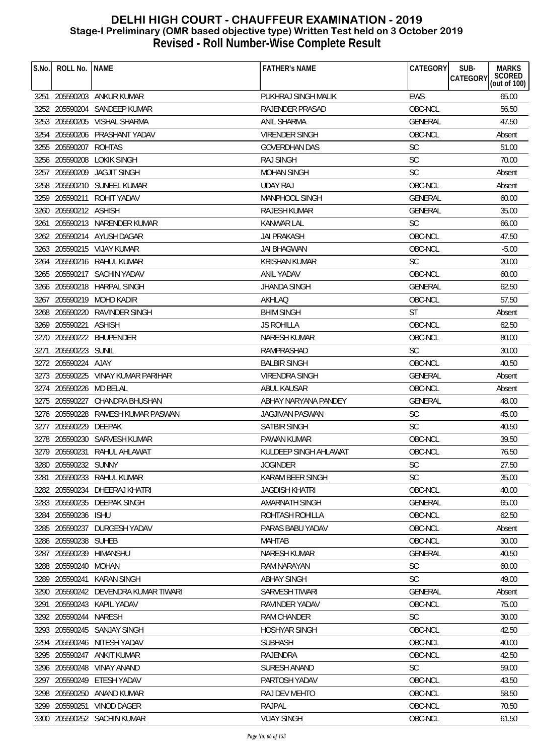| S.No. | ROLL No.                | <b>NAME</b>                          | <b>FATHER'S NAME</b>   | CATEGORY       | <b>MARKS</b><br>SUB-<br>SCORED<br>(out of 100)<br>CATEGORY |
|-------|-------------------------|--------------------------------------|------------------------|----------------|------------------------------------------------------------|
|       |                         |                                      |                        |                |                                                            |
|       |                         | 3251 205590203 ANKUR KUMAR           | PUKHRAJ SINGH MALIK    | <b>EWS</b>     | 65.00                                                      |
|       |                         | 3252 205590204 SANDEEP KUMAR         | RAJENDER PRASAD        | OBC-NCL        | 56.50                                                      |
| 3253  |                         | 205590205 VISHAL SHARMA              | <b>ANIL SHARMA</b>     | <b>GENERAL</b> | 47.50                                                      |
|       |                         | 3254 205590206 PRASHANT YADAV        | <b>VIRENDER SINGH</b>  | OBC-NCL        | Absent                                                     |
|       | 3255 205590207          | ROHTAS                               | <b>GOVERDHAN DAS</b>   | <b>SC</b>      | 51.00                                                      |
|       | 3256 205590208          | <b>LOKIK SINGH</b>                   | <b>RAJ SINGH</b>       | <b>SC</b>      | 70.00                                                      |
|       | 3257 205590209          | <b>JAGJIT SINGH</b>                  | <b>MOHAN SINGH</b>     | <b>SC</b>      | Absent                                                     |
|       |                         | 3258 205590210 SUNEEL KUMAR          | <b>UDAY RAJ</b>        | OBC-NCL        | Absent                                                     |
|       | 3259 205590211          | ROHIT YADAV                          | <b>MANPHOOL SINGH</b>  | <b>GENERAL</b> | 60.00                                                      |
|       | 3260 205590212 ASHISH   |                                      | <b>RAJESH KUMAR</b>    | <b>GENERAL</b> | 35.00                                                      |
| 3261  |                         | 205590213 NARENDER KUMAR             | KANWAR LAL             | <b>SC</b>      | 66.00                                                      |
|       |                         | 3262 205590214 AYUSH DAGAR           | <b>JAI PRAKASH</b>     | OBC-NCL        | 47.50                                                      |
|       |                         | 3263 205590215 VIJAY KUMAR           | JAI BHAGWAN            | OBC-NCL        | $-5.00$                                                    |
| 3264  |                         | 205590216 RAHUL KUMAR                | <b>KRISHAN KUMAR</b>   | <b>SC</b>      | 20.00                                                      |
|       |                         | 3265 205590217 SACHIN YADAV          | <b>ANIL YADAV</b>      | OBC-NCL        | 60.00                                                      |
|       |                         | 3266 205590218 HARPAL SINGH          | <b>JHANDA SINGH</b>    | <b>GENERAL</b> | 62.50                                                      |
|       |                         | 3267 205590219 MOHD KADIR            | AKHLAQ                 | OBC-NCL        | 57.50                                                      |
|       |                         | 3268 205590220 RAVINDER SINGH        | <b>BHIM SINGH</b>      | ST             | Absent                                                     |
|       | 3269 205590221          | <b>ASHISH</b>                        | <b>JS ROHILLA</b>      | OBC-NCL        | 62.50                                                      |
|       |                         | 3270 205590222 BHUPENDER             | <b>NARESH KUMAR</b>    | OBC-NCL        | 80.00                                                      |
| 3271  | 205590223 SUNIL         |                                      | RAMPRASHAD             | <b>SC</b>      | 30.00                                                      |
|       | 3272 205590224 AJAY     |                                      | <b>BALBIR SINGH</b>    | OBC-NCL        | 40.50                                                      |
|       |                         | 3273 205590225 VINAY KUMAR PARIHAR   | <b>VIRENDRA SINGH</b>  | GENERAL        | Absent                                                     |
|       | 3274 205590226 MD BELAL |                                      | ABUL KAUSAR            | OBC-NCL        | Absent                                                     |
|       |                         | 3275 205590227 CHANDRA BHUSHAN       | ABHAY NARYANA PANDEY   | <b>GENERAL</b> | 48.00                                                      |
|       |                         | 3276 205590228 RAMESH KUMAR PASWAN   | <b>JAGJIVAN PASWAN</b> | <b>SC</b>      | 45.00                                                      |
|       | 3277 205590229          | DEEPAK                               | <b>SATBIR SINGH</b>    | <b>SC</b>      | 40.50                                                      |
|       |                         | 3278 205590230 SARVESH KUMAR         | PAWAN KUMAR            | OBC-NCL        | 39.50                                                      |
|       |                         | 3279 205590231 RAHUL AHLAWAT         | KULDEEP SINGH AHLAWAT  | OBC-NCL        | 76.50                                                      |
|       | 3280 205590232 SUNNY    |                                      | <b>JOGINDER</b>        | SC             | 27.50                                                      |
| 3281  |                         | 205590233 RAHUL KUMAR                | KARAM BEER SINGH       | <b>SC</b>      | 35.00                                                      |
|       |                         | 3282 205590234 DHEERAJ KHATRI        | <b>JAGDISH KHATRI</b>  | OBC-NCL        | 40.00                                                      |
|       |                         | 3283 205590235 DEEPAK SINGH          | AMARNATH SINGH         | <b>GENERAL</b> | 65.00                                                      |
|       | 3284 205590236 ISHU     |                                      | ROHTASH ROHILLA        | OBC-NCL        | 62.50                                                      |
| 3285  |                         | 205590237 DURGESH YADAV              | PARAS BABU YADAV       | OBC-NCL        | Absent                                                     |
| 3286  | 205590238 SUHEB         |                                      | <b>MAHTAB</b>          | OBC-NCL        | 30.00                                                      |
|       |                         | 3287 205590239 HIMANSHU              | <b>NARESH KUMAR</b>    | <b>GENERAL</b> | 40.50                                                      |
|       | 3288 205590240 MOHAN    |                                      | RAM NARAYAN            | SC             | 60.00                                                      |
| 3289  | 205590241               | KARAN SINGH                          | <b>ABHAY SINGH</b>     | <b>SC</b>      | 49.00                                                      |
|       |                         | 3290 205590242 DEVENDRA KUMAR TIWARI | SARVESH TIWARI         | GENERAL        | Absent                                                     |
| 3291  |                         | 205590243 KAPIL YADAV                | RAVINDER YADAV         | OBC-NCL        | 75.00                                                      |
|       | 3292 205590244 NARESH   |                                      | RAM CHANDER            | <b>SC</b>      | 30.00                                                      |
|       |                         | 3293 205590245 SANJAY SINGH          | <b>HOSHYAR SINGH</b>   | OBC-NCL        | 42.50                                                      |
|       |                         | 3294 205590246 NITESH YADAV          | <b>SUBHASH</b>         | OBC-NCL        | 40.00                                                      |
|       |                         | 3295 205590247 ANKIT KUMAR           | <b>RAJENDRA</b>        | OBC-NCL        | 42.50                                                      |
| 3296  | 205590248               | VINAY ANAND                          | SURESH ANAND           | <b>SC</b>      | 59.00                                                      |
| 3297  | 205590249               | ETESH YADAV                          | PARTOSH YADAV          | OBC-NCL        | 43.50                                                      |
| 3298  |                         | 205590250 ANAND KUMAR                | RAJ DEV MEHTO          | OBC-NCL        | 58.50                                                      |
|       |                         | 3299 205590251 VINOD DAGER           | RAJPAL                 | OBC-NCL        | 70.50                                                      |
|       |                         | 3300 205590252 SACHIN KUMAR          | <b>VIJAY SINGH</b>     | OBC-NCL        | 61.50                                                      |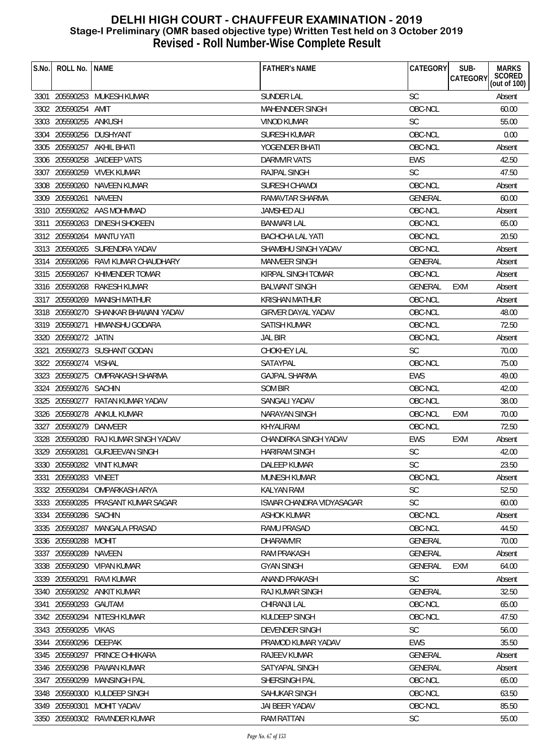| S.No. | ROLL No.               | <b>NAME</b>                          | <b>FATHER'S NAME</b>            | CATEGORY           | SUB-<br><b>CATEGORY</b> | <b>MARKS</b><br>SCORED<br>(out of 100) |
|-------|------------------------|--------------------------------------|---------------------------------|--------------------|-------------------------|----------------------------------------|
|       |                        | 3301 205590253 MUKESH KUMAR          | <b>SUNDER LAL</b>               | <b>SC</b>          |                         | Absent                                 |
|       | 3302 205590254 AMIT    |                                      | MAHENNDER SINGH                 | OBC-NCL            |                         | 60.00                                  |
|       | 3303 205590255 ANKUSH  |                                      | <b>VINOD KUMAR</b>              | <b>SC</b>          |                         | 55.00                                  |
|       |                        | 3304 205590256 DUSHYANT              | <b>SURESH KUMAR</b>             | OBC-NCL            |                         | 0.00                                   |
|       |                        | 3305 205590257 AKHIL BHATI           | YOGENDER BHATI                  | OBC-NCL            |                         | Absent                                 |
|       | 3306 205590258         | <b>JAIDEEP VATS</b>                  | <b>DARMVIR VATS</b>             | <b>EWS</b>         |                         | 42.50                                  |
|       |                        |                                      | RAJPAL SINGH                    | <b>SC</b>          |                         | 47.50                                  |
|       |                        | 3307 205590259 VIVEK KUMAR           |                                 | OBC-NCL            |                         |                                        |
|       |                        | 3308 205590260 NAVEEN KUMAR          | SURESH CHAWDI                   |                    |                         | Absent                                 |
|       | 3309 205590261         | NAVEEN                               | RAMAVTAR SHARMA                 | <b>GENERAL</b>     |                         | 60.00                                  |
|       |                        | 3310 205590262 AAS MOHMMAD           | <b>JAMSHED ALI</b>              | OBC-NCL<br>OBC-NCL |                         | Absent<br>65.00                        |
|       |                        | 3311 205590263 DINESH SHOKEEN        | <b>BANWARI LAL</b>              |                    |                         |                                        |
|       | 3312 205590264         | <b>MANTU YATI</b>                    | <b>BACHCHA LAL YATI</b>         | OBC-NCL            |                         | 20.50                                  |
|       |                        | 3313 205590265 SURENDRA YADAV        | SHAMBHU SINGH YADAV             | OBC-NCL            |                         | Absent                                 |
|       |                        | 3314 205590266 RAVI KUMAR CHAUDHARY  | <b>MANVEER SINGH</b>            | <b>GENERAL</b>     |                         | Absent                                 |
|       |                        | 3315 205590267 KHIMENDER TOMAR       | KIRPAL SINGH TOMAR              | OBC-NCL            |                         | Absent                                 |
|       |                        | 3316 205590268 RAKESH KUMAR          | <b>BALWANT SINGH</b>            | <b>GENERAL</b>     | EXM                     | Absent                                 |
|       |                        | 3317 205590269 MANISH MATHUR         | <b>KRISHAN MATHUR</b>           | OBC-NCL            |                         | Absent                                 |
|       |                        | 3318 205590270 SHANKAR BHAWANI YADAV | <b>GIRVER DAYAL YADAV</b>       | OBC-NCL            |                         | 48.00                                  |
|       | 3319 205590271         | HIMANSHU GODARA                      | <b>SATISH KUMAR</b>             | OBC-NCL            |                         | 72.50                                  |
|       | 3320 205590272 JATIN   |                                      | <b>JAL BIR</b>                  | OBC-NCL            |                         | Absent                                 |
| 3321  |                        | 205590273 SUSHANT GODAN              | <b>CHOKHEY LAL</b>              | SC                 |                         | 70.00                                  |
|       | 3322 205590274 VISHAL  |                                      | SATAYPAL                        | OBC-NCL            |                         | 75.00                                  |
|       |                        | 3323 205590275 OMPRAKASH SHARMA      | <b>GAJPAL SHARMA</b>            | <b>EWS</b>         |                         | 49.00                                  |
|       | 3324 205590276 SACHIN  |                                      | SOM BIR                         | OBC-NCL            |                         | 42.00                                  |
|       |                        | 3325 205590277 RATAN KUMAR YADAV     | SANGALI YADAV                   | OBC-NCL            |                         | 38.00                                  |
|       |                        | 3326 205590278 ANKUL KUMAR           | <b>NARAYAN SINGH</b>            | OBC-NCL            | EXM                     | 70.00                                  |
|       | 3327 205590279 DANVEER |                                      | KHYALIRAM                       | OBC-NCL            |                         | 72.50                                  |
|       |                        | 3328 205590280 RAJ KUMAR SINGH YADAV | CHANDIRKA SINGH YADAV           | EWS                | <b>EXM</b>              | Absent                                 |
|       |                        | 3329 205590281 GURJEEVAN SINGH       | <b>HARIRAM SINGH</b>            | <b>SC</b>          |                         | 42.00                                  |
|       |                        | 3330 205590282 VINIT KUMAR           | DALEEP KUMAR                    | SC                 |                         | 23.50                                  |
| 3331  | 205590283 VINEET       |                                      | MUNESH KUMAR                    | OBC-NCL            |                         | Absent                                 |
|       |                        | 3332 205590284 OMPARKASH ARYA        | <b>KALYAN RAM</b>               | SC                 |                         | 52.50                                  |
|       |                        | 3333 205590285 PRASANT KUMAR SAGAR   | <b>ISWAR CHANDRA VIDYASAGAR</b> | <b>SC</b>          |                         | 60.00                                  |
|       | 3334 205590286 SACHIN  |                                      | ASHOK KUMAR                     | OBC-NCL            |                         | Absent                                 |
|       | 3335 205590287         | <b>MANGALA PRASAD</b>                | <b>RAMU PRASAD</b>              | OBC-NCL            |                         | 44.50                                  |
|       | 3336 205590288         | <b>MOHIT</b>                         | <b>DHARAMVIR</b>                | <b>GENERAL</b>     |                         | 70.00                                  |
|       | 3337 205590289         | NAVEEN                               | <b>RAM PRAKASH</b>              | <b>GENERAL</b>     |                         | Absent                                 |
|       |                        | 3338 205590290 VIPAN KUMAR           | <b>GYAN SINGH</b>               | <b>GENERAL</b>     | EXM                     | 64.00                                  |
| 3339  | 205590291              | RAVI KUMAR                           | <b>ANAND PRAKASH</b>            | <b>SC</b>          |                         | Absent                                 |
|       |                        | 3340 205590292 ANKIT KUMAR           | RAJ KUMAR SINGH                 | GENERAL            |                         | 32.50                                  |
|       | 3341 205590293         | GAUTAM                               | CHIRANJI LAL                    | OBC-NCL            |                         | 65.00                                  |
|       |                        | 3342 205590294 NITESH KUMAR          | KULDEEP SINGH                   | OBC-NCL            |                         | 47.50                                  |
|       | 3343 205590295 VIKAS   |                                      | DEVENDER SINGH                  | <b>SC</b>          |                         | 56.00                                  |
|       | 3344 205590296 DEEPAK  |                                      | PRAMOD KUMAR YADAV              | EWS                |                         | 35.50                                  |
|       | 3345 205590297         | PRINCE CHHIKARA                      | RAJEEV KUMAR                    | <b>GENERAL</b>     |                         | Absent                                 |
|       | 3346 205590298         | PAWAN KUMAR                          | SATYAPAL SINGH                  | <b>GENERAL</b>     |                         | Absent                                 |
|       | 3347 205590299         | <b>MANSINGH PAL</b>                  | SHERSINGH PAL                   | OBC-NCL            |                         | 65.00                                  |
|       | 3348 205590300         | KULDEEP SINGH                        | SAHUKAR SINGH                   | OBC-NCL            |                         | 63.50                                  |
|       | 3349 205590301         | MOHIT YADAV                          | JAI BEER YADAV                  | OBC-NCL            |                         | 85.50                                  |
|       |                        | 3350 205590302 RAVINDER KUMAR        | RAM RATTAN                      | <b>SC</b>          |                         | 55.00                                  |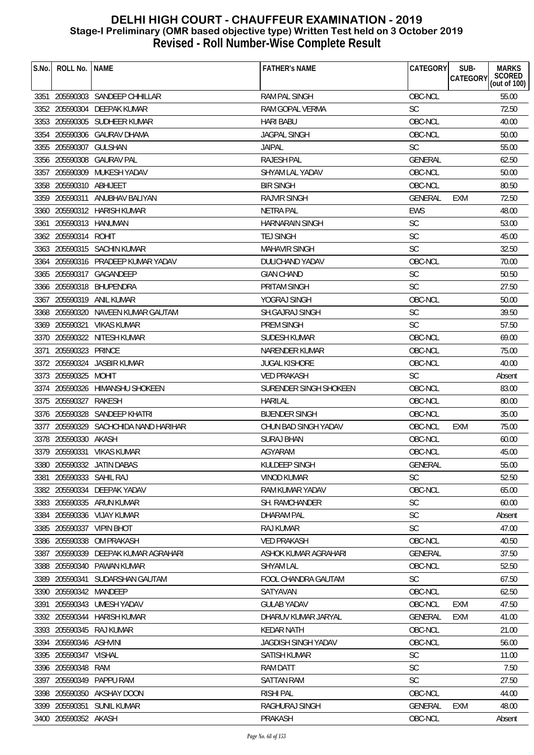| S.No. | ROLL No. INAME          |                                       | <b>FATHER'S NAME</b>       | CATEGORY       | SUB-<br><b>MARKS</b>                      |
|-------|-------------------------|---------------------------------------|----------------------------|----------------|-------------------------------------------|
|       |                         |                                       |                            |                | SCORED<br><b>CATEGORY</b><br>(out of 100) |
|       |                         | 3351 205590303 SANDEEP CHHILLAR       | <b>RAM PAL SINGH</b>       | OBC-NCL        | 55.00                                     |
|       |                         | 3352 205590304 DEEPAK KUMAR           | RAM GOPAL VERMA            | <b>SC</b>      | 72.50                                     |
|       |                         | 3353 205590305 SUDHEER KUMAR          | <b>HARI BABU</b>           | OBC-NCL        | 40.00                                     |
|       |                         | 3354 205590306 GAURAV DHAMA           | <b>JAGPAL SINGH</b>        | OBC-NCL        | 50.00                                     |
|       | 3355 205590307 GULSHAN  |                                       | <b>JAIPAL</b>              | <b>SC</b>      | 55.00                                     |
|       | 3356 205590308          | <b>GAURAV PAL</b>                     | <b>RAJESH PAL</b>          | <b>GENERAL</b> | 62.50                                     |
|       |                         | 3357 205590309 MUKESH YADAV           | SHYAM LAL YADAV            | OBC-NCL        | 50.00                                     |
|       | 3358 205590310 ABHIJEET |                                       | <b>BIR SINGH</b>           | OBC-NCL        | 80.50                                     |
|       |                         | 3359 205590311 ANUBHAV BALIYAN        | <b>RAJVIR SINGH</b>        | <b>GENERAL</b> | 72.50<br><b>EXM</b>                       |
|       |                         | 3360 205590312 HARISH KUMAR           | <b>NETRA PAL</b>           | <b>EWS</b>     | 48.00                                     |
|       | 3361 205590313 HANUMAN  |                                       | <b>HARNARAIN SINGH</b>     | <b>SC</b>      | 53.00                                     |
|       | 3362 205590314 ROHIT    |                                       | <b>TEJ SINGH</b>           | <b>SC</b>      | 45.00                                     |
|       |                         | 3363 205590315 SACHIN KUMAR           | <b>MAHAVIR SINGH</b>       | SC             | 32.50                                     |
|       |                         | 3364 205590316 PRADEEP KUMAR YADAV    | DULICHAND YADAV            | OBC-NCL        | 70.00                                     |
|       |                         | 3365 205590317 GAGANDEEP              | <b>GIAN CHAND</b>          | <b>SC</b>      | 50.50                                     |
|       |                         | 3366 205590318 BHUPENDRA              | <b>PRITAM SINGH</b>        | SC             | 27.50                                     |
| 3367  |                         | 205590319 ANIL KUMAR                  | YOGRAJ SINGH               | OBC-NCL        | 50.00                                     |
|       |                         | 3368 205590320 NAVEEN KUMAR GAUTAM    | <b>SH.GAJRAJ SINGH</b>     | <b>SC</b>      | 39.50                                     |
|       |                         | 3369 205590321 VIKAS KUMAR            | <b>PREM SINGH</b>          | <b>SC</b>      | 57.50                                     |
|       |                         | 3370 205590322 NITESH KUMAR           | SUDESH KUMAR               | OBC-NCL        | 69.00                                     |
| 3371  | 205590323 PRINCE        |                                       | NARENDER KUMAR             | OBC-NCL        | 75.00                                     |
|       | 3372 205590324          | <b>JASBIR KUMAR</b>                   | <b>JUGAL KISHORE</b>       | OBC-NCL        | 40.00                                     |
|       | 3373 205590325          | MOHIT                                 | <b>VED PRAKASH</b>         | <b>SC</b>      | Absent                                    |
|       |                         | 3374 205590326 HIMANSHU SHOKEEN       | SURENDER SINGH SHOKEEN     | OBC-NCL        | 83.00                                     |
|       | 3375 205590327          | RAKESH                                | <b>HARILAL</b>             | OBC-NCL        | 80.00                                     |
|       |                         | 3376 205590328 SANDEEP KHATRI         | <b>BIJENDER SINGH</b>      | OBC-NCL        | 35.00                                     |
|       |                         | 3377 205590329 SACHCHIDA NAND HARIHAR | CHUN BAD SINGH YADAV       | OBC-NCL        | 75.00<br>EXM                              |
|       | 3378 205590330 AKASH    |                                       | <b>SURAJ BHAN</b>          | OBC-NCL        | 60.00                                     |
|       |                         | 3379 205590331 VIKAS KUMAR            | AGYARAM                    | OBC-NCL        | 45.00                                     |
|       |                         | 3380 205590332 JATIN DABAS            | KULDEEP SINGH              | GENERAL        | 55.00                                     |
| 3381  | 205590333 SAHIL RAJ     |                                       | VINOD KUMAR                | <b>SC</b>      | 52.50                                     |
| 3382  |                         | 205590334 DEEPAK YADAV                | RAM KUMAR YADAV            | OBC-NCL        | 65.00                                     |
|       |                         | 3383 205590335 ARUN KUMAR             | SH. RAMCHANDER             | <b>SC</b>      | 60.00                                     |
| 3384  |                         | 205590336 VIJAY KUMAR                 | <b>DHARAM PAL</b>          | <b>SC</b>      | Absent                                    |
| 3385  | 205590337               | <b>VIPIN BHOT</b>                     | <b>RAJ KUMAR</b>           | <b>SC</b>      | 47.00                                     |
| 3386  | 205590338               | OM PRAKASH                            | <b>VED PRAKASH</b>         | OBC-NCL        | 40.50                                     |
| 3387  | 205590339               | DEEPAK KUMAR AGRAHARI                 | ASHOK KUMAR AGRAHARI       | <b>GENERAL</b> | 37.50                                     |
|       | 3388 205590340          | PAWAN KUMAR                           | <b>SHYAM LAL</b>           | OBC-NCL        | 52.50                                     |
| 3389  | 205590341               | SUDARSHAN GAUTAM                      | <b>FOOL CHANDRA GAUTAM</b> | <b>SC</b>      | 67.50                                     |
|       | 3390 205590342 MANDEEP  |                                       | SATYAVAN                   | OBC-NCL        | 62.50                                     |
| 3391  |                         | 205590343 UMESH YADAV                 | <b>GULAB YADAV</b>         | OBC-NCL        | <b>EXM</b><br>47.50                       |
| 3392  | 205590344               | <b>HARISH KUMAR</b>                   | DHARUV KUMAR JARYAL        | <b>GENERAL</b> | EXM<br>41.00                              |
|       |                         | 3393 205590345 RAJ KUMAR              | <b>KEDAR NATH</b>          | OBC-NCL        | 21.00                                     |
|       | 3394 205590346 ASHVINI  |                                       | <b>JAGDISH SINGH YADAV</b> | OBC-NCL        | 56.00                                     |
| 3395  | 205590347 VISHAL        |                                       | <b>SATISH KUMAR</b>        | <b>SC</b>      | 11.00                                     |
| 3396  | 205590348               | RAM                                   | <b>RAM DATT</b>            | <b>SC</b>      | 7.50                                      |
| 3397  | 205590349               | PAPPU RAM                             | <b>SATTAN RAM</b>          | <b>SC</b>      | 27.50                                     |
| 3398  | 205590350               | AKSHAY DOON                           | <b>RISHI PAL</b>           | OBC-NCL        | 44.00                                     |
| 3399  |                         | 205590351 SUNIL KUMAR                 | RAGHURAJ SINGH             | <b>GENERAL</b> | 48.00<br><b>EXM</b>                       |
|       | 3400 205590352 AKASH    |                                       | PRAKASH                    | OBC-NCL        | Absent                                    |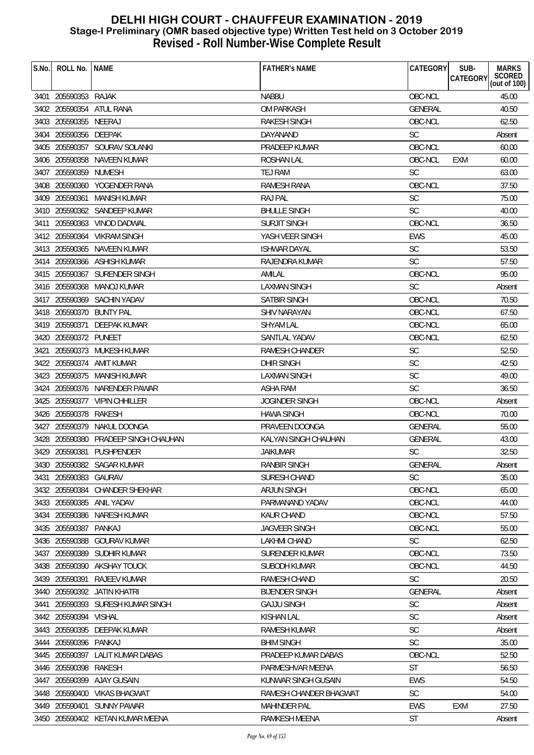| S.No. | ROLL No.   NAME       |                                  | <b>FATHER'S NAME</b>   | CATEGORY       | SUB-<br><b>MARKS</b>                      |
|-------|-----------------------|----------------------------------|------------------------|----------------|-------------------------------------------|
|       |                       |                                  |                        |                | SCORED<br><b>CATEGORY</b><br>(out of 100) |
|       | 3401 205590353 RAJAK  |                                  | <b>NABBU</b>           | OBC-NCL        | 45.00                                     |
|       |                       | 3402 205590354 ATUL RANA         | <b>OM PARKASH</b>      | <b>GENERAL</b> | 40.50                                     |
|       | 3403 205590355 NEERAJ |                                  | RAKESH SINGH           | OBC-NCL        | 62.50                                     |
|       | 3404 205590356 DEEPAK |                                  | DAYANAND               | <b>SC</b>      | Absent                                    |
|       |                       | 3405 205590357 SOURAV SOLANKI    | PRADEEP KUMAR          | OBC-NCL        | 60.00                                     |
|       |                       | 3406 205590358 NAVEEN KUMAR      | <b>ROSHAN LAL</b>      | OBC-NCL        | 60.00<br><b>EXM</b>                       |
|       | 3407 205590359 NUMESH |                                  | TEJ RAM                | <b>SC</b>      | 63.00                                     |
|       |                       | 3408 205590360 YOGENDER RANA     | <b>RAMESH RANA</b>     | OBC-NCL        | 37.50                                     |
|       | 3409 205590361        | <b>MANISH KUMAR</b>              | <b>RAJ PAL</b>         | <b>SC</b>      | 75.00                                     |
|       |                       | 3410 205590362 SANDEEP KUMAR     | <b>BHULLE SINGH</b>    | <b>SC</b>      | 40.00                                     |
|       |                       | 3411 205590363 VINOD DADWAL      | <b>SURJIT SINGH</b>    | OBC-NCL        | 36.50                                     |
|       |                       | 3412 205590364 VIKRAM SINGH      | YASH VEER SINGH        | <b>EWS</b>     | 45.00                                     |
|       |                       | 3413 205590365 NAVEEN KUMAR      | <b>ISHWAR DAYAL</b>    | <b>SC</b>      | 53.50                                     |
|       |                       | 3414 205590366 ASHISH KUMAR      | RAJENDRA KUMAR         | <b>SC</b>      | 57.50                                     |
|       |                       | 3415 205590367 SURENDER SINGH    | AMILAL                 | OBC-NCL        | 95.00                                     |
|       |                       | 3416 205590368 MANOJ KUMAR       | <b>LAXMAN SINGH</b>    | SC             | Absent                                    |
|       | 3417 205590369        | <b>SACHIN YADAV</b>              | <b>SATBIR SINGH</b>    | OBC-NCL        | 70.50                                     |
|       |                       | 3418 205590370 BUNTY PAL         | <b>SHIV NARAYAN</b>    | OBC-NCL        | 67.50                                     |
|       | 3419 205590371        | DEEPAK KUMAR                     | <b>SHYAM LAL</b>       | OBC-NCL        | 65.00                                     |
|       | 3420 205590372 PUNEET |                                  | SANTLAL YADAV          | OBC-NCL        | 62.50                                     |
| 3421  |                       | 205590373 MUKESH KUMAR           | <b>RAMESH CHANDER</b>  | <b>SC</b>      | 52.50                                     |
|       |                       | 3422 205590374 AMIT KUMAR        | <b>DHIR SINGH</b>      | <b>SC</b>      | 42.50                                     |
|       |                       | 3423 205590375 MANISH KUMAR      | LAXMAN SINGH           | <b>SC</b>      | 49.00                                     |
|       |                       | 3424 205590376 NARENDER PAWAR    | ASHA RAM               | SC             | 36.50                                     |
|       |                       | 3425 205590377 VIPIN CHHILLER    | <b>JOGINDER SINGH</b>  | OBC-NCL        | Absent                                    |
|       | 3426 205590378 RAKESH |                                  | <b>HAWA SINGH</b>      | OBC-NCL        | 70.00                                     |
| 3427  |                       | 205590379 NAKUL DOONGA           | PRAVEEN DOONGA         | <b>GENERAL</b> | 55.00                                     |
|       | 3428 205590380        | PRADEEP SINGH CHAUHAN            | KALYAN SINGH CHAUHAN   | <b>GENERAL</b> | 43.00                                     |
|       |                       | 3429 205590381 PUSHPENDER        | <b>JAIKUMAR</b>        | <b>SC</b>      | 32.50                                     |
|       |                       | 3430 205590382 SAGAR KUMAR       | RANBIR SINGH           | GENERAL        | Absent                                    |
| 3431  | 205590383 GAURAV      |                                  | SURESH CHAND           | <b>SC</b>      | 35.00                                     |
|       |                       | 3432 205590384 CHANDER SHEKHAR   | ARJUN SINGH            | OBC-NCL        | 65.00                                     |
|       |                       | 3433 205590385 ANIL YADAV        | PARMANAND YADAV        | OBC-NCL        | 44.00                                     |
|       | 3434 205590386        | NARESH KUMAR                     | <b>KAUR CHAND</b>      | OBC-NCL        | 57.50                                     |
|       | 3435 205590387        | PANKAJ                           | <b>JAGVEER SINGH</b>   | OBC-NCL        | 55.00                                     |
|       | 3436 205590388        | <b>GOURAV KUMAR</b>              | <b>LAKHMI CHAND</b>    | <b>SC</b>      | 62.50                                     |
|       | 3437 205590389        | SUDHIR KUMAR                     | SURENDER KUMAR         | OBC-NCL        | 73.50                                     |
|       |                       | 3438 205590390 AKSHAY TOUCK      | SUBODH KUMAR           | OBC-NCL        | 44.50                                     |
|       | 3439 205590391        | RAJEEV KUMAR                     | RAMESH CHAND           | <b>SC</b>      | 20.50                                     |
|       |                       | 3440 205590392 JATIN KHATRI      | <b>BIJENDER SINGH</b>  | <b>GENERAL</b> | Absent                                    |
| 3441  |                       | 205590393 SURESH KUMAR SINGH     | <b>GAJJU SINGH</b>     | <b>SC</b>      | Absent                                    |
|       | 3442 205590394        | <b>VISHAL</b>                    | <b>KISHAN LAL</b>      | <b>SC</b>      | Absent                                    |
|       |                       | 3443 205590395 DEEPAK KUMAR      | RAMESH KUMAR           | <b>SC</b>      | Absent                                    |
|       | 3444 205590396 PANKAJ |                                  | <b>BHIM SINGH</b>      | <b>SC</b>      | 35.00                                     |
|       | 3445 205590397        | LALIT KUMAR DABAS                | PRADEEP KUMAR DABAS    | OBC-NCL        | 52.50                                     |
|       | 3446 205590398 RAKESH |                                  | PARMESHVAR MEENA       | <b>ST</b>      | 56.50                                     |
|       | 3447 205590399        | AJAY GUSAIN                      | KUNWAR SINGH GUSAIN    | <b>EWS</b>     | 54.50                                     |
|       | 3448 205590400        | VIKAS BHAGWAT                    | RAMESH CHANDER BHAGWAT | <b>SC</b>      | 54.00                                     |
|       |                       | 3449 205590401 SUNNY PAWAR       | <b>MAHINDER PAL</b>    | <b>EWS</b>     | <b>EXM</b><br>27.50                       |
|       |                       | 3450 205590402 KETAN KUMAR MEENA | RAMKESH MEENA          | ST             | Absent                                    |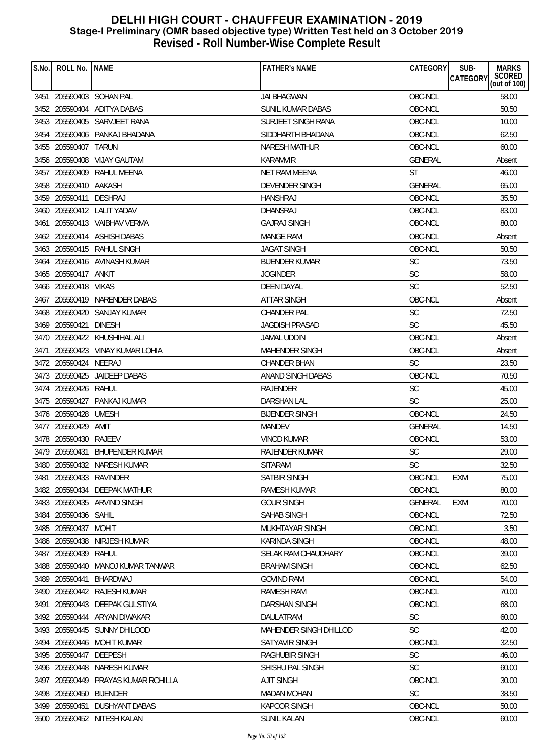| S.No. | ROLL No.              | <b>NAME</b>                       | <b>FATHER'S NAME</b>   | <b>CATEGORY</b> | <b>MARKS</b><br>SUB-<br>SCORED<br>(out of 100)<br><b>CATEGORY</b> |
|-------|-----------------------|-----------------------------------|------------------------|-----------------|-------------------------------------------------------------------|
|       |                       |                                   |                        |                 |                                                                   |
|       |                       | 3451 205590403 SOHAN PAL          | <b>JAI BHAGWAN</b>     | OBC-NCL         | 58.00                                                             |
|       |                       | 3452 205590404 ADITYA DABAS       | SUNIL KUMAR DABAS      | OBC-NCL         | 50.50                                                             |
|       |                       | 3453 205590405 SARVJEET RANA      | SURJEET SINGH RANA     | OBC-NCL         | 10.00                                                             |
|       |                       | 3454 205590406 PANKAJ BHADANA     | SIDDHARTH BHADANA      | OBC-NCL         | 62.50                                                             |
|       | 3455 205590407        | TARUN                             | NARESH MATHUR          | OBC-NCL         | 60.00                                                             |
|       | 3456 205590408        | <b>VIJAY GAUTAM</b>               | <b>KARAMVIR</b>        | <b>GENERAL</b>  | Absent                                                            |
|       | 3457 205590409        | RAHUL MEENA                       | NET RAM MEENA          | ST              | 46.00                                                             |
|       | 3458 205590410 AAKASH |                                   | DEVENDER SINGH         | GENERAL         | 65.00                                                             |
|       | 3459 205590411        | <b>DESHRAJ</b>                    | <b>HANSHRAJ</b>        | OBC-NCL         | 35.50                                                             |
|       |                       | 3460 205590412 LALIT YADAV        | DHANSRAJ               | OBC-NCL         | 83.00                                                             |
| 3461  |                       | 205590413 VAIBHAV VERMA           | <b>GAJRAJ SINGH</b>    | OBC-NCL         | 80.00                                                             |
|       |                       | 3462 205590414 ASHISH DABAS       | <b>MANGE RAM</b>       | OBC-NCL         | Absent                                                            |
|       |                       | 3463 205590415 RAHUL SINGH        | <b>JAGAT SINGH</b>     | OBC-NCL         | 50.50                                                             |
| 3464  |                       | 205590416 AVINASH KUMAR           | <b>BIJENDER KUMAR</b>  | <b>SC</b>       | 73.50                                                             |
|       | 3465 205590417 ANKIT  |                                   | <b>JOGINDER</b>        | <b>SC</b>       | 58.00                                                             |
|       | 3466 205590418 VIKAS  |                                   | <b>DEEN DAYAL</b>      | <b>SC</b>       | 52.50                                                             |
|       |                       | 3467 205590419 NARENDER DABAS     | <b>ATTAR SINGH</b>     | OBC-NCL         | Absent                                                            |
|       |                       | 3468 205590420 SANJAY KUMAR       | <b>CHANDER PAL</b>     | <b>SC</b>       | 72.50                                                             |
|       | 3469 205590421        | <b>DINESH</b>                     | <b>JAGDISH PRASAD</b>  | <b>SC</b>       | 45.50                                                             |
|       |                       | 3470 205590422 KHUSHIHAL ALI      | <b>JAMAL UDDIN</b>     | OBC-NCL         | Absent                                                            |
| 3471  |                       | 205590423 VINAY KUMAR LOHIA       | MAHENDER SINGH         | OBC-NCL         | Absent                                                            |
|       | 3472 205590424 NEERAJ |                                   | <b>CHANDER BHAN</b>    | <b>SC</b>       | 23.50                                                             |
|       | 3473 205590425        | <b>JAIDEEP DABAS</b>              | ANAND SINGH DABAS      | OBC-NCL         | 70.50                                                             |
|       | 3474 205590426 RAHUL  |                                   | RAJENDER               | <b>SC</b>       | 45.00                                                             |
|       |                       | 3475 205590427 PANKAJ KUMAR       | DARSHAN LAL            | <b>SC</b>       | 25.00                                                             |
|       | 3476 205590428        | <b>UMESH</b>                      | <b>BIJENDER SINGH</b>  | OBC-NCL         | 24.50                                                             |
|       | 3477 205590429        | amit                              | <b>MANDEV</b>          | <b>GENERAL</b>  | 14.50                                                             |
|       | 3478 205590430 RAJEEV |                                   | <b>VINOD KUMAR</b>     | OBC-NCL         | 53.00                                                             |
|       |                       | 3479 205590431 BHUPENDER KUMAR    | <b>RAJENDER KUMAR</b>  | <b>SC</b>       | 29.00                                                             |
|       |                       | 3480 205590432 NARESH KUMAR       | SITARAM                | SC              | 32.50                                                             |
| 3481  | 205590433 RAVINDER    |                                   | <b>SATBIR SINGH</b>    | OBC-NCL         | EXM<br>75.00                                                      |
|       |                       | 3482 205590434 DEEPAK MATHUR      | <b>RAMESH KUMAR</b>    | OBC-NCL         | 80.00                                                             |
|       |                       | 3483 205590435 ARVIND SINGH       | <b>GOUR SINGH</b>      | <b>GENERAL</b>  | EXM<br>70.00                                                      |
|       | 3484 205590436 SAHIL  |                                   | SAHAB SINGH            | OBC-NCL         | 72.50                                                             |
|       | 3485 205590437 MOHIT  |                                   | MUKHTAYAR SINGH        | OBC-NCL         | 3.50                                                              |
|       | 3486 205590438        | NIRJESH KUMAR                     | <b>KARINDA SINGH</b>   | OBC-NCL         | 48.00                                                             |
|       | 3487 205590439        | RAHUL                             | SELAK RAM CHAUDHARY    | OBC-NCL         | 39.00                                                             |
|       |                       | 3488 205590440 MANOJ KUMAR TANWAR | <b>BRAHAM SINGH</b>    | OBC-NCL         | 62.50                                                             |
| 3489  | 205590441             | BHARDWAJ                          | <b>GOVIND RAM</b>      | OBC-NCL         | 54.00                                                             |
|       |                       | 3490 205590442 RAJESH KUMAR       | <b>RAMESH RAM</b>      | OBC-NCL         | 70.00                                                             |
| 3491  |                       | 205590443 DEEPAK GULSTIYA         | DARSHAN SINGH          | OBC-NCL         | 68.00                                                             |
|       |                       | 3492 205590444 ARYAN DIWAKAR      | DAULATRAM              | <b>SC</b>       | 60.00                                                             |
|       |                       | 3493 205590445 SUNNY DHILOOD      | MAHENDER SINGH DHILLOD | <b>SC</b>       | 42.00                                                             |
|       |                       | 3494 205590446 MOHIT KUMAR        | <b>SATYAVIR SINGH</b>  | OBC-NCL         | 32.50                                                             |
|       | 3495 205590447        | DEEPESH                           | <b>RAGHUBIR SINGH</b>  | <b>SC</b>       | 46.00                                                             |
| 3496  |                       | 205590448 NARESH KUMAR            | SHISHU PAL SINGH       | SC              | 60.00                                                             |
| 3497  | 205590449             | PRAYAS KUMAR ROHILLA              | <b>AJIT SINGH</b>      | OBC-NCL         | 30.00                                                             |
|       | 3498 205590450        | <b>BIJENDER</b>                   | <b>MADAN MOHAN</b>     | <b>SC</b>       | 38.50                                                             |
|       |                       | 3499 205590451 DUSHYANT DABAS     | KAPOOR SINGH           | OBC-NCL         | 50.00                                                             |
|       |                       | 3500 205590452 NITESH KALAN       | SUNIL KALAN            | OBC-NCL         | 60.00                                                             |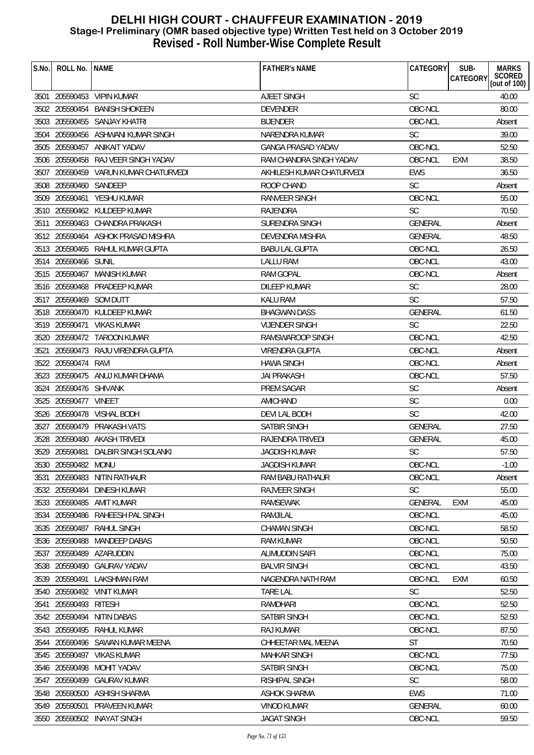| S.No. | ROLL No.   NAME         |                                       | <b>FATHER'S NAME</b>      | CATEGORY       | SUB-<br>CATEGORY | <b>MARKS</b><br>SCORED<br>(out of 100) |
|-------|-------------------------|---------------------------------------|---------------------------|----------------|------------------|----------------------------------------|
|       |                         | 3501 205590453 VIPIN KUMAR            | <b>AJEET SINGH</b>        | <b>SC</b>      |                  | 40.00                                  |
|       |                         | 3502 205590454 BANISH SHOKEEN         | <b>DEVENDER</b>           | OBC-NCL        |                  | 80.00                                  |
|       |                         | 3503 205590455 SANJAY KHATRI          | <b>BIJENDER</b>           | OBC-NCL        |                  | Absent                                 |
|       |                         | 3504 205590456 ASHWANI KUMAR SINGH    | NARENDRA KUMAR            | <b>SC</b>      |                  | 39.00                                  |
|       |                         | 3505 205590457 ANIKAIT YADAV          | <b>GANGA PRASAD YADAV</b> | OBC-NCL        |                  | 52.50                                  |
|       |                         | 3506 205590458 RAJ VEER SINGH YADAV   | RAM CHANDRA SINGH YADAV   | OBC-NCL        | EXM              | 38.50                                  |
|       |                         | 3507 205590459 VARUN KUMAR CHATURVEDI | AKHILESH KUMAR CHATURVEDI | <b>EWS</b>     |                  | 36.50                                  |
|       | 3508 205590460 SANDEEP  |                                       | ROOP CHAND                | <b>SC</b>      |                  | Absent                                 |
|       |                         | 3509 205590461 YESHU KUMAR            | RANVEER SINGH             | OBC-NCL        |                  | 55.00                                  |
|       |                         | 3510 205590462 KULDEEP KUMAR          | RAJENDRA                  | <b>SC</b>      |                  | 70.50                                  |
|       |                         | 3511 205590463 CHANDRA PRAKASH        | SURENDRA SINGH            | <b>GENERAL</b> |                  | Absent                                 |
|       |                         | 3512 205590464 ASHOK PRASAD MISHRA    | <b>DEVENDRA MISHRA</b>    | GENERAL        |                  | 48.50                                  |
|       |                         | 3513 205590465 RAHUL KUMAR GUPTA      | <b>BABU LAL GUPTA</b>     | OBC-NCL        |                  | 26.50                                  |
|       | 3514 205590466 SUNIL    |                                       | <b>LALLU RAM</b>          | OBC-NCL        |                  | 43.00                                  |
|       |                         | 3515 205590467 MANISH KUMAR           | <b>RAM GOPAL</b>          | OBC-NCL        |                  | Absent                                 |
|       |                         | 3516 205590468 PRADEEP KUMAR          | <b>DILEEP KUMAR</b>       | <b>SC</b>      |                  | 28.00                                  |
|       | 3517 205590469 SOM DUTT |                                       | <b>KALU RAM</b>           | <b>SC</b>      |                  | 57.50                                  |
|       |                         | 3518 205590470 KULDEEP KUMAR          | <b>BHAGWAN DASS</b>       | GENERAL        |                  | 61.50                                  |
|       |                         | 3519 205590471 VIKAS KUMAR            | <b>VIJENDER SINGH</b>     | <b>SC</b>      |                  | 22.50                                  |
|       |                         | 3520 205590472 TAROON KUMAR           | RAMSWAROOP SINGH          | OBC-NCL        |                  | 42.50                                  |
|       |                         | 3521 205590473 RAJU VIRENDRA GUPTA    | <b>VIRENDRA GUPTA</b>     | OBC-NCL        |                  | Absent                                 |
|       | 3522 205590474 RAVI     |                                       | <b>HAWA SINGH</b>         | OBC-NCL        |                  | Absent                                 |
|       |                         | 3523 205590475 ANUJ KUMAR DHAMA       | <b>JAI PRAKASH</b>        | OBC-NCL        |                  | 57.50                                  |
|       | 3524 205590476 SHIVANK  |                                       | <b>PREM SAGAR</b>         | SC             |                  | Absent                                 |
|       | 3525 205590477 VINEET   |                                       | AMICHAND                  | <b>SC</b>      |                  | 0.00                                   |
|       |                         | 3526 205590478 VISHAL BODH            | DEVI LAL BODH             | <b>SC</b>      |                  | 42.00                                  |
|       |                         | 3527 205590479 PRAKASH VATS           | <b>SATBIR SINGH</b>       | <b>GENERAL</b> |                  | 27.50                                  |
|       |                         | 3528 205590480 AKASH TRIVEDI          | RAJENDRA TRIVEDI          | <b>GENERAL</b> |                  | 45.00                                  |
|       |                         | 3529 205590481 DALBIR SINGH SOLANKI   | <b>JAGDISH KUMAR</b>      | <b>SC</b>      |                  | 57.50                                  |
|       | 3530 205590482 MONU     |                                       | JAGDISH KUMAR             | OBC-NCL        |                  | $-1.00$                                |
| 3531  |                         | 205590483 NITIN RATHAUR               | RAM BABU RATHAUR          | OBC-NCL        |                  | Absent                                 |
|       |                         | 3532 205590484 DINESH KUMAR           | <b>RAJVEER SINGH</b>      | <b>SC</b>      |                  | 55.00                                  |
|       |                         | 3533 205590485 AMIT KUMAR             | <b>RAMSEWAK</b>           | <b>GENERAL</b> | EXM              | 45.00                                  |
|       |                         | 3534 205590486 RAHEESH PAL SINGH      | RAMJILAL                  | OBC-NCL        |                  | 45.00                                  |
|       | 3535 205590487          | <b>RAHUL SINGH</b>                    | <b>CHAMAN SINGH</b>       | OBC-NCL        |                  | 58.50                                  |
|       | 3536 205590488          | <b>MANDEEP DABAS</b>                  | <b>RAM KUMAR</b>          | OBC-NCL        |                  | 50.50                                  |
|       |                         | 3537 205590489 AZARUDDIN              | ALIMUDDIN SAIFI           | OBC-NCL        |                  | 75.00                                  |
|       |                         | 3538 205590490 GAURAV YADAV           | <b>BALVIR SINGH</b>       | OBC-NCL        |                  | 43.50                                  |
| 3539  | 205590491               | LAKSHMAN RAM                          | NAGENDRA NATH RAM         | OBC-NCL        | EXM              | 60.50                                  |
|       |                         | 3540 205590492 VINIT KUMAR            | <b>TARE LAL</b>           | <b>SC</b>      |                  | 52.50                                  |
| 3541  | 205590493               | RITESH                                | RAMDHARI                  | OBC-NCL        |                  | 52.50                                  |
|       | 3542 205590494          | <b>NITIN DABAS</b>                    | <b>SATBIR SINGH</b>       | OBC-NCL        |                  | 52.50                                  |
|       |                         | 3543 205590495 RAHUL KUMAR            | <b>RAJ KUMAR</b>          | OBC-NCL        |                  | 87.50                                  |
|       |                         | 3544 205590496 SAWAN KUMAR MEENA      | CHHEETAR MAL MEENA        | <b>ST</b>      |                  | 70.50                                  |
|       | 3545 205590497          | VIKAS KUMAR                           | <b>MAHKAR SINGH</b>       | OBC-NCL        |                  | 77.50                                  |
| 3546  | 205590498               | MOHIT YADAV                           | SATBIR SINGH              | OBC-NCL        |                  | 75.00                                  |
| 3547  | 205590499               | <b>GAURAV KUMAR</b>                   | <b>RISHIPAL SINGH</b>     | <b>SC</b>      |                  | 58.00                                  |
|       | 3548 205590500          | ASHISH SHARMA                         | <b>ASHOK SHARMA</b>       | <b>EWS</b>     |                  | 71.00                                  |
|       | 3549 205590501          | <b>PRAVEEN KUMAR</b>                  | <b>VINOD KUMAR</b>        | <b>GENERAL</b> |                  | 60.00                                  |
|       |                         | 3550 205590502 INAYAT SINGH           | <b>JAGAT SINGH</b>        | OBC-NCL        |                  | 59.50                                  |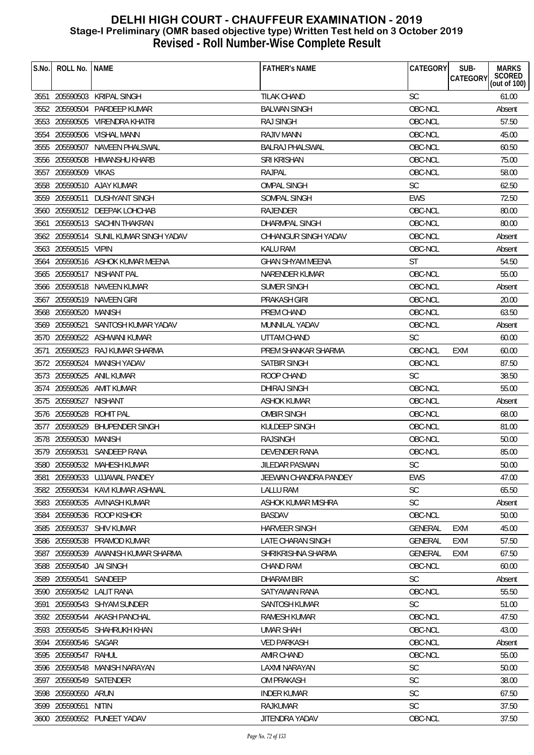| S.No. | ROLL No. NAME            |                                        | <b>FATHER'S NAME</b>    | CATEGORY       | SUB-<br><b>MARKS</b><br>SCORED<br>(out of 100)<br>CATEGORY |  |
|-------|--------------------------|----------------------------------------|-------------------------|----------------|------------------------------------------------------------|--|
|       |                          | 3551 205590503 KRIPAL SINGH            | <b>TILAK CHAND</b>      | <b>SC</b>      | 61.00                                                      |  |
|       |                          | 3552 205590504 PARDEEP KUMAR           | <b>BALWAN SINGH</b>     | OBC-NCL        | Absent                                                     |  |
|       |                          | 3553 205590505 VIRENDRA KHATRI         | <b>RAJ SINGH</b>        | OBC-NCL        | 57.50                                                      |  |
|       |                          | 3554 205590506 VISHAL MANN             | RAJIV MANN              | OBC-NCL        | 45.00                                                      |  |
|       |                          | 3555 205590507 NAVEEN PHALSWAL         | <b>BALRAJ PHALSWAL</b>  | OBC-NCL        | 60.50                                                      |  |
|       | 3556 205590508           | HIMANSHU KHARB                         | SRI KRISHAN             | OBC-NCL        | 75.00                                                      |  |
|       | 3557 205590509           | <b>VIKAS</b>                           | <b>RAJPAL</b>           | OBC-NCL        | 58.00                                                      |  |
|       |                          | 3558 205590510 AJAY KUMAR              | <b>OMPAL SINGH</b>      | <b>SC</b>      | 62.50                                                      |  |
|       | 3559 205590511           | <b>DUSHYANT SINGH</b>                  | SOMPAL SINGH            | <b>EWS</b>     | 72.50                                                      |  |
|       |                          | 3560 205590512 DEEPAK LOHCHAB          | RAJENDER                | OBC-NCL        | 80.00                                                      |  |
|       |                          | 3561 205590513 SACHIN THAKRAN          | DHARMPAL SINGH          | OBC-NCL        | 80.00                                                      |  |
|       |                          | 3562 205590514 SUNIL KUMAR SINGH YADAV | CHHANGUR SINGH YADAV    | OBC-NCL        | Absent                                                     |  |
|       | 3563 205590515 VIPIN     |                                        | <b>KALU RAM</b>         | OBC-NCL        | Absent                                                     |  |
|       |                          | 3564 205590516 ASHOK KUMAR MEENA       | <b>GHAN SHYAM MEENA</b> | <b>ST</b>      | 54.50                                                      |  |
|       |                          | 3565 205590517 NISHANT PAL             | NARENDER KUMAR          | OBC-NCL        | 55.00                                                      |  |
|       |                          | 3566 205590518 NAVEEN KUMAR            | <b>SUMER SINGH</b>      | OBC-NCL        | Absent                                                     |  |
|       |                          | 3567 205590519 NAVEEN GIRI             | <b>PRAKASH GIRI</b>     | OBC-NCL        | 20.00                                                      |  |
|       | 3568 205590520 MANISH    |                                        | PREM CHAND              | OBC-NCL        | 63.50                                                      |  |
|       | 3569 205590521           | SANTOSH KUMAR YADAV                    | MUNNILAL YADAV          | OBC-NCL        | Absent                                                     |  |
|       |                          | 3570 205590522 ASHWANI KUMAR           | UTTAM CHAND             | <b>SC</b>      | 60.00                                                      |  |
| 3571  |                          | 205590523 RAJ KUMAR SHARMA             | PREM SHANKAR SHARMA     | OBC-NCL        | 60.00<br>EXM                                               |  |
|       |                          | 3572 205590524 MANISH YADAV            | SATBIR SINGH            | OBC-NCL        | 87.50                                                      |  |
|       |                          | 3573 205590525 ANIL KUMAR              | ROOP CHAND              | <b>SC</b>      | 38.50                                                      |  |
|       |                          | 3574 205590526 AMIT KUMAR              | DHIRAJ SINGH            | OBC-NCL        | 55.00                                                      |  |
|       | 3575 205590527           | NISHANT                                | <b>ASHOK KUMAR</b>      | OBC-NCL        | Absent                                                     |  |
|       | 3576 205590528 ROHIT PAL |                                        | <b>OMBIR SINGH</b>      | OBC-NCL        | 68.00                                                      |  |
|       | 3577 205590529           | <b>BHUPENDER SINGH</b>                 | KULDEEP SINGH           | OBC-NCL        | 81.00                                                      |  |
|       | 3578 205590530 MANISH    |                                        | <b>RAJSINGH</b>         | OBC-NCL        | 50.00                                                      |  |
|       |                          | 3579 205590531 SANDEEP RANA            | DEVENDER RANA           | OBC-NCL        | 85.00                                                      |  |
|       |                          | 3580 205590532 MAHESH KUMAR            | JILEDAR PASWAN          | SC             | 50.00                                                      |  |
| 3581  |                          | 205590533 UJJAWAL PANDEY               | JEEWAN CHANDRA PANDEY   | EWS            | 47.00                                                      |  |
|       |                          | 3582 205590534 KAVI KUMAR ASHWAL       | <b>LALLU RAM</b>        | SC             | 65.50                                                      |  |
|       |                          | 3583 205590535 AVINASH KUMAR           | ASHOK KUMAR MISHRA      | <b>SC</b>      | Absent                                                     |  |
|       |                          | 3584 205590536 ROOP KISHOR             | <b>BASDAV</b>           | OBC-NCL        | 50.00                                                      |  |
|       |                          | 3585 205590537 SHIV KUMAR              | <b>HARVEER SINGH</b>    | GENERAL        | EXM<br>45.00                                               |  |
| 3586  |                          | 205590538 PRAMOD KUMAR                 | LATE CHARAN SINGH       | <b>GENERAL</b> | <b>EXM</b><br>57.50                                        |  |
|       |                          | 3587 205590539 AWANISH KUMAR SHARMA    | SHRIKRISHNA SHARMA      | <b>GENERAL</b> | 67.50<br>EXM                                               |  |
|       | 3588 205590540 JAI SINGH |                                        | <b>CHAND RAM</b>        | OBC-NCL        | 60.00                                                      |  |
| 3589  | 205590541 SANDEEP        |                                        | DHARAM BIR              | <b>SC</b>      | Absent                                                     |  |
| 3590  |                          | 205590542 LALIT RANA                   | SATYAWAN RANA           | OBC-NCL        | 55.50                                                      |  |
| 3591  |                          | 205590543 SHYAM SUNDER                 | SANTOSH KUMAR           | <b>SC</b>      | 51.00                                                      |  |
|       |                          | 3592 205590544 AKASH PANCHAL           | RAMESH KUMAR            | OBC-NCL        | 47.50                                                      |  |
|       |                          | 3593 205590545 SHAHRUKH KHAN           | <b>UMAR SHAH</b>        | OBC-NCL        | 43.00                                                      |  |
|       | 3594 205590546 SAGAR     |                                        | <b>VED PARKASH</b>      | OBC-NCL        | Absent                                                     |  |
|       | 3595 205590547           | RAHUL                                  | AMIR CHAND              | OBC-NCL        | 55.00                                                      |  |
| 3596  |                          | 205590548 MANISH NARAYAN               | LAXMI NARAYAN           | <b>SC</b>      | 50.00                                                      |  |
| 3597  | 205590549                | SATENDER                               | OM PRAKASH              | <b>SC</b>      | 38.00                                                      |  |
|       | 3598 205590550 ARUN      |                                        | <b>INDER KUMAR</b>      | <b>SC</b>      | 67.50                                                      |  |
|       | 3599 205590551           | NITIN                                  | <b>RAJKUMAR</b>         | <b>SC</b>      | 37.50                                                      |  |
|       |                          | 3600 205590552 PUNEET YADAV            | JITENDRA YADAV          | OBC-NCL        | 37.50                                                      |  |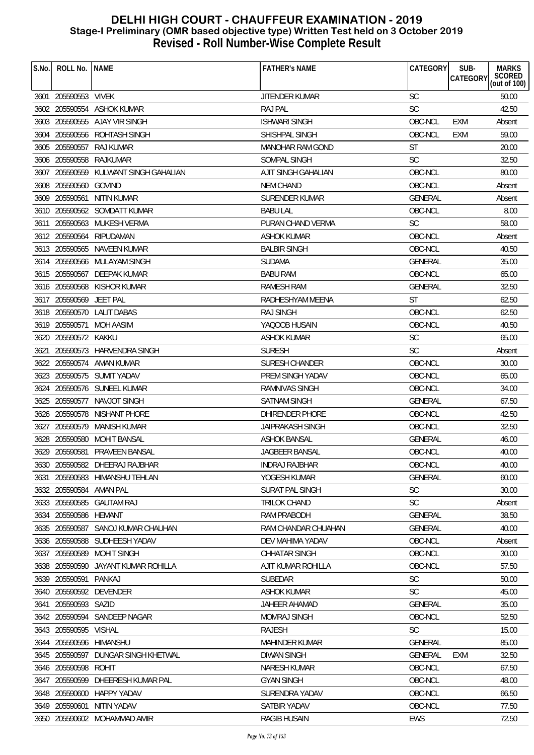| S.No. | ROLL No. NAME           |                                       | <b>FATHER'S NAME</b>    | CATEGORY       | SUB-<br><b>CATEGORY</b> | <b>MARKS</b><br>SCORED<br>(out of 100) |
|-------|-------------------------|---------------------------------------|-------------------------|----------------|-------------------------|----------------------------------------|
|       | 3601 205590553 VIVEK    |                                       | JITENDER KUMAR          | <b>SC</b>      |                         | 50.00                                  |
|       |                         | 3602 205590554 ASHOK KUMAR            | <b>RAJ PAL</b>          | <b>SC</b>      |                         | 42.50                                  |
|       |                         | 3603 205590555 AJAY VIR SINGH         | <b>ISHWARI SINGH</b>    | OBC-NCL        | <b>EXM</b>              | Absent                                 |
|       |                         | 3604 205590556 ROHTASH SINGH          | SHISHPAL SINGH          | OBC-NCL        | <b>EXM</b>              | 59.00                                  |
|       |                         | 3605 205590557 RAJ KUMAR              | MANOHAR RAM GOND        | <b>ST</b>      |                         | 20.00                                  |
|       |                         | 3606 205590558 RAJKUMAR               | SOMPAL SINGH            | <b>SC</b>      |                         | 32.50                                  |
|       |                         | 3607 205590559 KULWANT SINGH GAHALIAN | AJIT SINGH GAHALIAN     | OBC-NCL        |                         | 80.00                                  |
|       | 3608 205590560 GOVIND   |                                       | <b>NEM CHAND</b>        | OBC-NCL        |                         | Absent                                 |
|       | 3609 205590561          | NITIN KUMAR                           | SURENDER KUMAR          | GENERAL        |                         | Absent                                 |
|       |                         | 3610 205590562 SOMDATT KUMAR          | <b>BABU LAL</b>         | OBC-NCL        |                         | 8.00                                   |
|       |                         | 3611 205590563 MUKESH VERMA           | PURAN CHAND VERMA       | <b>SC</b>      |                         | 58.00                                  |
|       |                         | 3612 205590564 RIPUDAMAN              | <b>ASHOK KUMAR</b>      | OBC-NCL        |                         | Absent                                 |
|       |                         | 3613 205590565 NAVEEN KUMAR           | <b>BALBIR SINGH</b>     | OBC-NCL        |                         | 40.50                                  |
|       |                         | 3614 205590566 MULAYAM SINGH          | <b>SUDAMA</b>           | <b>GENERAL</b> |                         | 35.00                                  |
|       |                         | 3615 205590567 DEEPAK KUMAR           | <b>BABU RAM</b>         | OBC-NCL        |                         | 65.00                                  |
|       |                         | 3616 205590568 KISHOR KUMAR           | <b>RAMESH RAM</b>       | <b>GENERAL</b> |                         | 32.50                                  |
|       | 3617 205590569 JEET PAL |                                       | RADHESHYAM MEENA        | <b>ST</b>      |                         | 62.50                                  |
|       |                         | 3618 205590570 LALIT DABAS            | <b>RAJ SINGH</b>        | OBC-NCL        |                         | 62.50                                  |
|       |                         | 3619 205590571 MOH AASIM              | YAQOOB HUSAIN           | OBC-NCL        |                         | 40.50                                  |
|       | 3620 205590572 KAKKU    |                                       | <b>ASHOK KUMAR</b>      | <b>SC</b>      |                         | 65.00                                  |
|       |                         | 3621 205590573 HARVENDRA SINGH        | <b>SURESH</b>           | <b>SC</b>      |                         | Absent                                 |
|       |                         | 3622 205590574 AMAN KUMAR             | <b>SURESH CHANDER</b>   | OBC-NCL        |                         | 30.00                                  |
|       |                         | 3623 205590575 SUMIT YADAV            | PREM SINGH YADAV        | OBC-NCL        |                         | 65.00                                  |
|       |                         | 3624 205590576 SUNEEL KUMAR           | RAMNIVAS SINGH          | OBC-NCL        |                         | 34.00                                  |
|       |                         | 3625 205590577 NAVJOT SINGH           | <b>SATNAM SINGH</b>     | <b>GENERAL</b> |                         | 67.50                                  |
|       |                         | 3626 205590578 NISHANT PHORE          | DHIRENDER PHORE         | OBC-NCL        |                         | 42.50                                  |
|       | 3627 205590579          | MANISH KUMAR                          | <b>JAIPRAKASH SINGH</b> | OBC-NCL        |                         | 32.50                                  |
|       |                         | 3628 205590580 MOHIT BANSAL           | <b>ASHOK BANSAL</b>     | <b>GENERAL</b> |                         | 46.00                                  |
|       |                         | 3629 205590581 PRAVEEN BANSAL         | JAGBEER BANSAL          | OBC-NCL        |                         | 40.00                                  |
|       |                         | 3630 205590582 DHEERAJ RAJBHAR        | <b>INDRAJ RAJBHAR</b>   | OBC-NCL        |                         | 40.00                                  |
| 3631  |                         | 205590583 HIMANSHU TEHLAN             | YOGESH KUMAR            | <b>GENERAL</b> |                         | 60.00                                  |
|       | 3632 205590584 AMAN PAL |                                       | SURAT PAL SINGH         | <b>SC</b>      |                         | 30.00                                  |
|       |                         | 3633 205590585 GAUTAM RAJ             | <b>TRILOK CHAND</b>     | <b>SC</b>      |                         | Absent                                 |
|       | 3634 205590586 HEMANT   |                                       | <b>RAM PRABODH</b>      | <b>GENERAL</b> |                         | 38.50                                  |
|       | 3635 205590587          | SANOJ KUMAR CHAUHAN                   | RAM CHANDAR CHUAHAN     | <b>GENERAL</b> |                         | 40.00                                  |
|       |                         | 3636 205590588 SUDHEESH YADAV         | DEV MAHIMA YADAV        | OBC-NCL        |                         | Absent                                 |
|       |                         | 3637 205590589 MOHIT SINGH            | <b>CHHATAR SINGH</b>    | OBC-NCL        |                         | 30.00                                  |
|       |                         | 3638 205590590 JAYANT KUMAR ROHILLA   | AJIT KUMAR ROHILLA      | OBC-NCL        |                         | 57.50                                  |
|       | 3639 205590591          | PANKAJ                                | <b>SUBEDAR</b>          | <b>SC</b>      |                         | 50.00                                  |
|       |                         | 3640 205590592 DEVENDER               | <b>ASHOK KUMAR</b>      | <b>SC</b>      |                         | 45.00                                  |
|       | 3641 205590593 SAZID    |                                       | JAHEER AHAMAD           | <b>GENERAL</b> |                         | 35.00                                  |
|       |                         | 3642 205590594 SANDEEP NAGAR          | MOMRAJ SINGH            | OBC-NCL        |                         | 52.50                                  |
|       | 3643 205590595 VISHAL   |                                       | <b>RAJESH</b>           | <b>SC</b>      |                         | 15.00                                  |
|       | 3644 205590596          | HIMANSHU                              | MAHINDER KUMAR          | <b>GENERAL</b> |                         | 85.00                                  |
|       | 3645 205590597          | DUNGAR SINGH KHETWAL                  | <b>DIWAN SINGH</b>      | GENERAL        | <b>EXM</b>              | 32.50                                  |
|       | 3646 205590598          | ROHIT                                 | <b>NARESH KUMAR</b>     | OBC-NCL        |                         | 67.50                                  |
| 3647  | 205590599               | DHEERESH KUMAR PAL                    | <b>GYAN SINGH</b>       | OBC-NCL        |                         | 48.00                                  |
|       | 3648 205590600          | <b>HAPPY YADAV</b>                    | SURENDRA YADAV          | OBC-NCL        |                         | 66.50                                  |
|       | 3649 205590601          | NITIN YADAV                           | SATBIR YADAV            | OBC-NCL        |                         | 77.50                                  |
|       |                         | 3650 205590602 MOHAMMAD AMIR          | <b>RAGIB HUSAIN</b>     | <b>EWS</b>     |                         | 72.50                                  |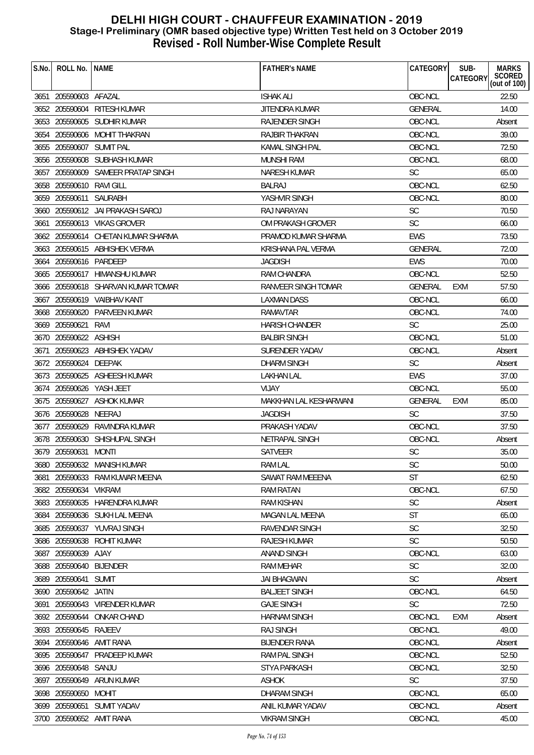| S.No. | ROLL No. NAME            |                                    | <b>FATHER'S NAME</b>   | CATEGORY       | SUB-<br><b>CATEGORY</b> | <b>MARKS</b><br>SCORED<br>(out of 100) |
|-------|--------------------------|------------------------------------|------------------------|----------------|-------------------------|----------------------------------------|
|       | 3651 205590603 AFAZAL    |                                    | <b>ISHAK ALI</b>       | OBC-NCL        |                         | 22.50                                  |
|       |                          | 3652 205590604 RITESH KUMAR        | JITENDRA KUMAR         | <b>GENERAL</b> |                         | 14.00                                  |
|       |                          | 3653 205590605 SUDHIR KUMAR        | <b>RAJENDER SINGH</b>  | OBC-NCL        |                         | Absent                                 |
|       |                          | 3654 205590606 MOHIT THAKRAN       | <b>RAJBIR THAKRAN</b>  | OBC-NCL        |                         | 39.00                                  |
|       | 3655 205590607 SUMIT PAL |                                    | <b>KAMAL SINGH PAL</b> | OBC-NCL        |                         | 72.50                                  |
|       |                          | 3656 205590608 SUBHASH KUMAR       | <b>MUNSHI RAM</b>      | OBC-NCL        |                         | 68.00                                  |
|       |                          | 3657 205590609 SAMEER PRATAP SINGH | NARESH KUMAR           | <b>SC</b>      |                         | 65.00                                  |
|       | 3658 205590610 RAVI GILL |                                    | <b>BALRAJ</b>          | OBC-NCL        |                         | 62.50                                  |
|       | 3659 205590611           | SAURABH                            | YASHVIR SINGH          | OBC-NCL        |                         | 80.00                                  |
|       |                          | 3660 205590612 JAI PRAKASH SAROJ   | RAJ NARAYAN            | <b>SC</b>      |                         | 70.50                                  |
|       |                          | 3661 205590613 VIKAS GROVER        | OM PRAKASH GROVER      | <b>SC</b>      |                         | 66.00                                  |
|       |                          | 3662 205590614 CHETAN KUMAR SHARMA | PRAMOD KUMAR SHARMA    | <b>EWS</b>     |                         | 73.50                                  |
|       |                          | 3663 205590615 ABHISHEK VERMA      | KRISHANA PAL VERMA     | <b>GENERAL</b> |                         | 72.00                                  |
|       | 3664 205590616 PARDEEP   |                                    | <b>JAGDISH</b>         | <b>EWS</b>     |                         | 70.00                                  |
|       |                          | 3665 205590617 HIMANSHU KUMAR      | <b>RAM CHANDRA</b>     | OBC-NCL        |                         | 52.50                                  |
|       |                          | 3666 205590618 SHARVAN KUMAR TOMAR | RANVEER SINGH TOMAR    | <b>GENERAL</b> | EXM                     | 57.50                                  |
|       |                          | 3667 205590619 VAIBHAV KANT        | LAXMAN DASS            | OBC-NCL        |                         | 66.00                                  |
|       |                          | 3668 205590620 PARVEEN KUMAR       | RAMAVTAR               | OBC-NCL        |                         | 74.00                                  |
|       | 3669 205590621           | RAVI                               | <b>HARISH CHANDER</b>  | <b>SC</b>      |                         | 25.00                                  |
|       | 3670 205590622 ASHISH    |                                    | <b>BALBIR SINGH</b>    | OBC-NCL        |                         | 51.00                                  |
|       |                          | 3671 205590623 ABHISHEK YADAV      | SURENDER YADAV         | OBC-NCL        |                         | Absent                                 |
|       | 3672 205590624 DEEPAK    |                                    | DHARM SINGH            | <b>SC</b>      |                         | Absent                                 |
|       |                          | 3673 205590625 ASHEESH KUMAR       | <b>LAKHAN LAL</b>      | <b>EWS</b>     |                         | 37.00                                  |
|       |                          | 3674 205590626 YASH JEET           | <b>VIJAY</b>           | OBC-NCL        |                         | 55.00                                  |
|       |                          | 3675 205590627 ASHOK KUMAR         | MAKKHAN LAL KESHARWANI | <b>GENERAL</b> | <b>EXM</b>              | 85.00                                  |
|       | 3676 205590628 NEERAJ    |                                    | <b>JAGDISH</b>         | <b>SC</b>      |                         | 37.50                                  |
|       | 3677 205590629           | RAVINDRA KUMAR                     | PRAKASH YADAV          | OBC-NCL        |                         | 37.50                                  |
|       |                          | 3678 205590630 SHISHUPAL SINGH     | NETRAPAL SINGH         | OBC-NCL        |                         | Absent                                 |
|       | 3679 205590631 MONTI     |                                    | SATVEER                | SC             |                         | 35.00                                  |
| 308U  |                          | 3680 205590632 MANISH KUMAR        | RAM LAL                | SC             |                         | 50.00                                  |
| 3681  |                          | 205590633 RAM KUWAR MEENA          | SAWAT RAM MEEENA       | ST             |                         | 62.50                                  |
|       | 3682 205590634 VIKRAM    |                                    | <b>RAM RATAN</b>       | OBC-NCL        |                         | 67.50                                  |
|       |                          | 3683 205590635 HARENDRA KUMAR      | <b>RAM KISHAN</b>      | <b>SC</b>      |                         | Absent                                 |
|       |                          | 3684 205590636 SUKH LAL MEENA      | MAGAN LAL MEENA        | <b>ST</b>      |                         | 65.00                                  |
|       |                          | 3685 205590637 YUVRAJ SINGH        | <b>RAVENDAR SINGH</b>  | <b>SC</b>      |                         | 32.50                                  |
| 3686  |                          | 205590638 ROHIT KUMAR              | <b>RAJESH KUMAR</b>    | <b>SC</b>      |                         | 50.50                                  |
|       | 3687 205590639 AJAY      |                                    | <b>ANAND SINGH</b>     | OBC-NCL        |                         | 63.00                                  |
|       | 3688 205590640 BIJENDER  |                                    | <b>RAM MEHAR</b>       | <b>SC</b>      |                         | 32.00                                  |
| 3689  | 205590641 SUMIT          |                                    | <b>JAI BHAGWAN</b>     | <b>SC</b>      |                         | Absent                                 |
| 3690  | 205590642 JATIN          |                                    | <b>BALJEET SINGH</b>   | OBC-NCL        |                         | 64.50                                  |
| 3691  |                          | 205590643 VIRENDER KUMAR           | <b>GAJE SINGH</b>      | <b>SC</b>      |                         | 72.50                                  |
|       | 3692 205590644           | <b>ONKAR CHAND</b>                 | <b>HARNAM SINGH</b>    | OBC-NCL        | EXM                     | Absent                                 |
|       | 3693 205590645 RAJEEV    |                                    | <b>RAJ SINGH</b>       | OBC-NCL        |                         | 49.00                                  |
|       |                          | 3694 205590646 AMIT RANA           | <b>BIJENDER RANA</b>   | OBC-NCL        |                         | Absent                                 |
|       | 3695 205590647           | PRADEEP KUMAR                      | RAM PAL SINGH          | OBC-NCL        |                         | 52.50                                  |
| 3696  | 205590648 SANJU          |                                    | STYA PARKASH           | OBC-NCL        |                         | 32.50                                  |
| 3697  | 205590649                | ARUN KUMAR                         | <b>ASHOK</b>           | <b>SC</b>      |                         | 37.50                                  |
|       | 3698 205590650           | <b>MOHIT</b>                       | <b>DHARAM SINGH</b>    | OBC-NCL        |                         | 65.00                                  |
|       |                          | 3699 205590651 SUMIT YADAV         | ANIL KUMAR YADAV       | OBC-NCL        |                         | Absent                                 |
|       |                          | 3700 205590652 AMIT RANA           | <b>VIKRAM SINGH</b>    | OBC-NCL        |                         | 45.00                                  |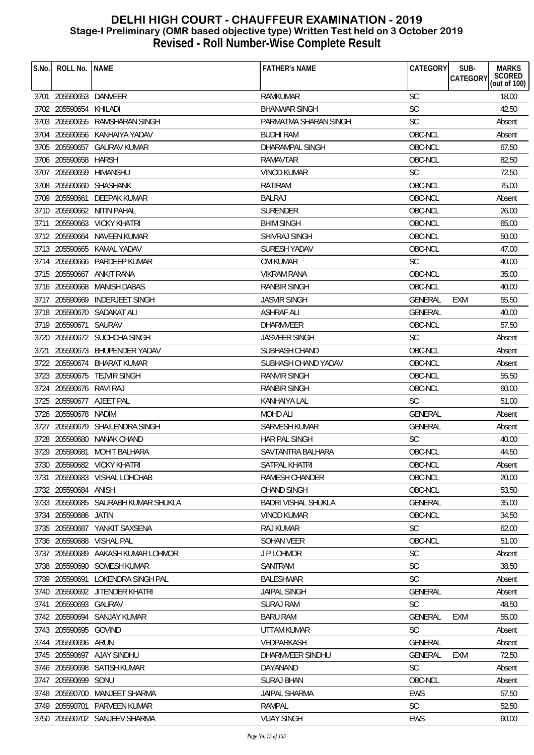| S.No. | ROLL No.                 | <b>NAME</b>                         | <b>FATHER'S NAME</b>       | CATEGORY       | SUB-<br><b>MARKS</b><br>SCORED<br>(out of 100)<br>CATEGORY |
|-------|--------------------------|-------------------------------------|----------------------------|----------------|------------------------------------------------------------|
|       | 3701 205590653 DANVEER   |                                     | <b>RAMKUMAR</b>            | <b>SC</b>      | 18.00                                                      |
|       | 3702 205590654 KHILADI   |                                     | <b>BHANWAR SINGH</b>       | <b>SC</b>      | 42.50                                                      |
|       |                          | 3703 205590655 RAMSHARAN SINGH      | PARMATMA SHARAN SINGH      | <b>SC</b>      | Absent                                                     |
|       |                          | 3704 205590656 KANHAIYA YADAV       | <b>BUDHI RAM</b>           | OBC-NCL        | Absent                                                     |
|       |                          | 3705 205590657 GAURAV KUMAR         | DHARAMPAL SINGH            | OBC-NCL        | 67.50                                                      |
|       | 3706 205590658           | HARSH                               | RAMAVTAR                   | OBC-NCL        | 82.50                                                      |
|       | 3707 205590659 HIMANSHU  |                                     | <b>VINOD KUMAR</b>         | <b>SC</b>      | 72.50                                                      |
|       |                          | 3708 205590660 SHASHANK             | RATIRAM                    | OBC-NCL        | 75.00                                                      |
|       |                          | 3709 205590661 DEEPAK KUMAR         | <b>BALRAJ</b>              | OBC-NCL        | Absent                                                     |
|       |                          | 3710 205590662 NITIN PAHAL          | <b>SURENDER</b>            | OBC-NCL        | 26.00                                                      |
| 3711  |                          | 205590663 VICKY KHATRI              | <b>BHIM SINGH</b>          | OBC-NCL        | 65.00                                                      |
|       |                          | 3712 205590664 NAVEEN KUMAR         | <b>SHIVRAJ SINGH</b>       | OBC-NCL        | 50.00                                                      |
|       |                          | 3713 205590665 KAMAL YADAV          | SURESH YADAV               | OBC-NCL        | 47.00                                                      |
|       |                          | 3714 205590666 PARDEEP KUMAR        | OM KUMAR                   | <b>SC</b>      | 40.00                                                      |
|       |                          | 3715 205590667 ANKIT RANA           | <b>VIKRAM RANA</b>         | OBC-NCL        | 35.00                                                      |
|       |                          | 3716 205590668 MANISH DABAS         | RANBIR SINGH               | OBC-NCL        | 40.00                                                      |
|       |                          | 3717 205590669 INDERJEET SINGH      | <b>JASVIR SINGH</b>        | <b>GENERAL</b> | <b>EXM</b><br>55.50                                        |
|       |                          | 3718 205590670 SADAKAT ALI          | <b>ASHRAF ALI</b>          | <b>GENERAL</b> | 40.00                                                      |
|       | 3719 205590671 SAURAV    |                                     | <b>DHARMVEER</b>           | OBC-NCL        | 57.50                                                      |
|       |                          | 3720 205590672 SUCHCHA SINGH        | <b>JASVEER SINGH</b>       | <b>SC</b>      | Absent                                                     |
| 3721  |                          | 205590673 BHUPENDER YADAV           | SUBHASH CHAND              | OBC-NCL        | Absent                                                     |
|       |                          | 3722 205590674 BHARAT KUMAR         | SUBHASH CHAND YADAV        | OBC-NCL        | Absent                                                     |
|       |                          | 3723 205590675 TEJVIR SINGH         | <b>RANVIR SINGH</b>        | OBC-NCL        | 55.50                                                      |
|       | 3724 205590676 RAVI RAJ  |                                     | RANBIR SINGH               | OBC-NCL        | 60.00                                                      |
|       | 3725 205590677 AJEET PAL |                                     | KANHAIYA LAL               | <b>SC</b>      | 51.00                                                      |
|       | 3726 205590678 NADIM     |                                     | <b>MOHD ALI</b>            | GENERAL        | Absent                                                     |
|       |                          | 3727 205590679 SHAILENDRA SINGH     | SARVESH KUMAR              | <b>GENERAL</b> | Absent                                                     |
|       |                          | 3728 205590680 NANAK CHAND          | HAR PAL SINGH              | <b>SC</b>      | 40.00                                                      |
|       |                          | 3729 205590681 MOHIT BALHARA        | SAVTANTRA BALHARA          | OBC-NCL        | 44.50                                                      |
|       |                          | 3730 205590682 VICKY KHATRI         | SATPAL KHATRI              | OBC-NCL        | Absent                                                     |
| 3731  |                          | 205590683 VISHAL LOHCHAB            | RAMESH CHANDER             | OBC-NCL        | 20.00                                                      |
|       | 3732 205590684 ANISH     |                                     | <b>CHAND SINGH</b>         | OBC-NCL        | 53.50                                                      |
|       |                          | 3733 205590685 SAURABH KUMAR SHUKLA | <b>BADRI VISHAL SHUKLA</b> | <b>GENERAL</b> | 35.00                                                      |
|       | 3734 205590686 JATIN     |                                     | <b>VINOD KUMAR</b>         | OBC-NCL        | 34.50                                                      |
|       |                          | 3735 205590687 YANKIT SAXSENA       | <b>RAJ KUMAR</b>           | <b>SC</b>      | 62.00                                                      |
|       | 3736 205590688           | <b>VISHAL PAL</b>                   | <b>SOHAN VEER</b>          | OBC-NCL        | 51.00                                                      |
|       |                          | 3737 205590689 AAKASH KUMAR LOHMOR  | J P LOHMOR                 | SC             | Absent                                                     |
|       |                          | 3738 205590690 SOMESH KUMAR         | SANTRAM                    | <b>SC</b>      | 38.50                                                      |
|       |                          | 3739 205590691 LOKENDRA SINGH PAL   | <b>BALESHWAR</b>           | <b>SC</b>      | Absent                                                     |
|       |                          | 3740 205590692 JITENDER KHATRI      | <b>JAIPAL SINGH</b>        | GENERAL        | Absent                                                     |
| 3741  | 205590693 GAURAV         |                                     | <b>SURAJ RAM</b>           | <b>SC</b>      | 48.50                                                      |
|       |                          | 3742 205590694 SANJAY KUMAR         | <b>BARU RAM</b>            | <b>GENERAL</b> | <b>EXM</b><br>55.00                                        |
|       | 3743 205590695 GOVIND    |                                     | UTTAM KUMAR                | <b>SC</b>      | Absent                                                     |
|       | 3744 205590696 ARUN      |                                     | VEDPARKASH                 | <b>GENERAL</b> | Absent                                                     |
|       |                          | 3745 205590697 AJAY SINDHU          | DHARMVEER SINDHU           | GENERAL        | 72.50<br><b>EXM</b>                                        |
|       | 3746 205590698           | SATISH KUMAR                        | DAYANAND                   | <b>SC</b>      | Absent                                                     |
| 3747  | 205590699                | SONU                                | SURAJ BHAN                 | OBC-NCL        | Absent                                                     |
|       | 3748 205590700           | MANJEET SHARMA                      | <b>JAIPAL SHARMA</b>       | <b>EWS</b>     | 57.50                                                      |
|       |                          | 3749 205590701 PARVEEN KUMAR        | RAMPAL                     | <b>SC</b>      | 52.50                                                      |
|       |                          | 3750 205590702 SANJEEV SHARMA       | <b>VIJAY SINGH</b>         | <b>EWS</b>     | 60.00                                                      |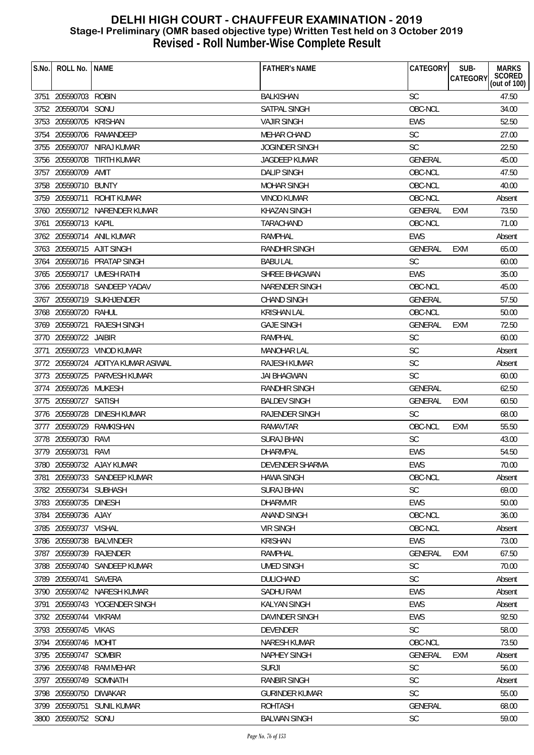| S.No. | ROLL No.                              | <b>NAME</b>                        | <b>FATHER'S NAME</b>  | <b>CATEGORY</b> | SUB-<br><b>CATEGORY</b> | <b>MARKS</b><br>SCORED<br>(out of 100) |
|-------|---------------------------------------|------------------------------------|-----------------------|-----------------|-------------------------|----------------------------------------|
|       |                                       | <b>ROBIN</b>                       | <b>BALKISHAN</b>      | <b>SC</b>       |                         | 47.50                                  |
|       | 3751 205590703<br>3752 205590704 SONU |                                    | SATPAL SINGH          | OBC-NCL         |                         | 34.00                                  |
|       | 3753 205590705 KRISHAN                |                                    | <b>VAJIR SINGH</b>    | EWS             |                         | 52.50                                  |
|       |                                       | 3754 205590706 RAMANDEEP           | <b>MEHAR CHAND</b>    | SC              |                         | 27.00                                  |
|       |                                       |                                    |                       |                 |                         |                                        |
|       |                                       | 3755 205590707 NIRAJ KUMAR         | <b>JOGINDER SINGH</b> | <b>SC</b>       |                         | 22.50                                  |
|       | 3756 205590708                        | <b>TIRTH KUMAR</b>                 | JAGDEEP KUMAR         | <b>GENERAL</b>  |                         | 45.00                                  |
|       | 3757 205590709                        | AMIT                               | <b>DALIP SINGH</b>    | OBC-NCL         |                         | 47.50                                  |
|       | 3758 205590710 BUNTY                  |                                    | <b>MOHAR SINGH</b>    | OBC-NCL         |                         | 40.00                                  |
|       | 3759 205590711                        | <b>ROHIT KUMAR</b>                 | <b>VINOD KUMAR</b>    | OBC-NCL         |                         | Absent                                 |
|       |                                       | 3760 205590712 NARENDER KUMAR      | <b>KHAZAN SINGH</b>   | <b>GENERAL</b>  | <b>EXM</b>              | 73.50                                  |
| 3761  | 205590713 KAPIL                       |                                    | TARACHAND             | OBC-NCL         |                         | 71.00                                  |
|       |                                       | 3762 205590714 ANIL KUMAR          | <b>RAMPHAL</b>        | <b>EWS</b>      |                         | Absent                                 |
|       |                                       | 3763 205590715 AJIT SINGH          | RANDHIR SINGH         | <b>GENERAL</b>  | <b>EXM</b>              | 65.00                                  |
|       |                                       | 3764 205590716 PRATAP SINGH        | <b>BABU LAL</b>       | <b>SC</b>       |                         | 60.00                                  |
|       |                                       | 3765 205590717 UMESH RATHI         | <b>SHREE BHAGWAN</b>  | <b>EWS</b>      |                         | 35.00                                  |
|       |                                       | 3766 205590718 SANDEEP YADAV       | NARENDER SINGH        | OBC-NCL         |                         | 45.00                                  |
|       |                                       | 3767 205590719 SUKHJENDER          | <b>CHAND SINGH</b>    | <b>GENERAL</b>  |                         | 57.50                                  |
|       | 3768 205590720 RAHUL                  |                                    | <b>KRISHAN LAL</b>    | OBC-NCL         |                         | 50.00                                  |
|       | 3769 205590721                        | <b>RAJESH SINGH</b>                | <b>GAJE SINGH</b>     | <b>GENERAL</b>  | EXM                     | 72.50                                  |
|       | 3770 205590722 JAIBIR                 |                                    | <b>RAMPHAL</b>        | <b>SC</b>       |                         | 60.00                                  |
| 3771  |                                       | 205590723 VINOD KUMAR              | <b>MANOHAR LAL</b>    | SC              |                         | Absent                                 |
|       |                                       | 3772 205590724 ADITYA KUMAR ASIWAL | RAJESH KUMAR          | <b>SC</b>       |                         | Absent                                 |
|       |                                       | 3773 205590725 PARVESH KUMAR       | <b>JAI BHAGWAN</b>    | <b>SC</b>       |                         | 60.00                                  |
|       | 3774 205590726 MUKESH                 |                                    | RANDHIR SINGH         | <b>GENERAL</b>  |                         | 62.50                                  |
|       | 3775 205590727 SATISH                 |                                    | <b>BALDEV SINGH</b>   | <b>GENERAL</b>  | <b>EXM</b>              | 60.50                                  |
|       |                                       | 3776 205590728 DINESH KUMAR        | RAJENDER SINGH        | <b>SC</b>       |                         | 68.00                                  |
|       | 3777 205590729                        | RAMKISHAN                          | RAMAVTAR              | OBC-NCL         | <b>EXM</b>              | 55.50                                  |
|       | 3778 205590730                        | RAVI                               | <b>SURAJ BHAN</b>     | SC              |                         | 43.00                                  |
|       | 3779 205590731 RAVI                   |                                    | <b>DHARMPAL</b>       | <b>EWS</b>      |                         | 54.50                                  |
|       |                                       | 3780 205590732 AJAY KUMAR          | DEVENDER SHARMA       | EWS             |                         | 70.00                                  |
| 3781  |                                       | 205590733 SANDEEP KUMAR            | <b>HAWA SINGH</b>     | OBC-NCL         |                         | Absent                                 |
|       | 3782 205590734 SUBHASH                |                                    | <b>SURAJ BHAN</b>     | <b>SC</b>       |                         | 69.00                                  |
|       | 3783 205590735 DINESH                 |                                    | <b>DHARMVIR</b>       | <b>EWS</b>      |                         | 50.00                                  |
|       | 3784 205590736 AJAY                   |                                    | <b>ANAND SINGH</b>    | OBC-NCL         |                         | 36.00                                  |
|       | 3785 205590737 VISHAL                 |                                    | <b>VIR SINGH</b>      | OBC-NCL         |                         | Absent                                 |
|       |                                       | 3786 205590738 BALVINDER           | <b>KRISHAN</b>        | EWS             |                         | 73.00                                  |
|       |                                       | 3787 205590739 RAJENDER            | <b>RAMPHAL</b>        | <b>GENERAL</b>  | EXM                     | 67.50                                  |
|       |                                       | 3788 205590740 SANDEEP KUMAR       | <b>UMED SINGH</b>     | SC              |                         | 70.00                                  |
|       | 3789 205590741 SAVERA                 |                                    | <b>DULICHAND</b>      | <b>SC</b>       |                         | Absent                                 |
|       |                                       | 3790 205590742 NARESH KUMAR        | <b>SADHU RAM</b>      | <b>EWS</b>      |                         | Absent                                 |
| 3791  |                                       | 205590743 YOGENDER SINGH           | <b>KALYAN SINGH</b>   | EWS             |                         | Absent                                 |
|       | 3792 205590744 VIKRAM                 |                                    | DAVINDER SINGH        | EWS             |                         | 92.50                                  |
|       | 3793 205590745 VIKAS                  |                                    | <b>DEVENDER</b>       | <b>SC</b>       |                         | 58.00                                  |
|       | 3794 205590746 MOHIT                  |                                    | <b>NARESH KUMAR</b>   | OBC-NCL         |                         | 73.50                                  |
|       | 3795 205590747 SOMBIR                 |                                    | NAPHEY SINGH          | <b>GENERAL</b>  | <b>EXM</b>              | Absent                                 |
|       |                                       | 3796 205590748 RAM MEHAR           | <b>SURJI</b>          | SC              |                         | 56.00                                  |
| 3797  | 205590749 SOMNATH                     |                                    | <b>RANBIR SINGH</b>   | <b>SC</b>       |                         | Absent                                 |
|       | 3798 205590750 DIWAKAR                |                                    | <b>GURINDER KUMAR</b> | <b>SC</b>       |                         | 55.00                                  |
|       |                                       | 3799 205590751 SUNIL KUMAR         | <b>ROHTASH</b>        | <b>GENERAL</b>  |                         | 68.00                                  |
|       | 3800 205590752 SONU                   |                                    | <b>BALWAN SINGH</b>   | SC              |                         | 59.00                                  |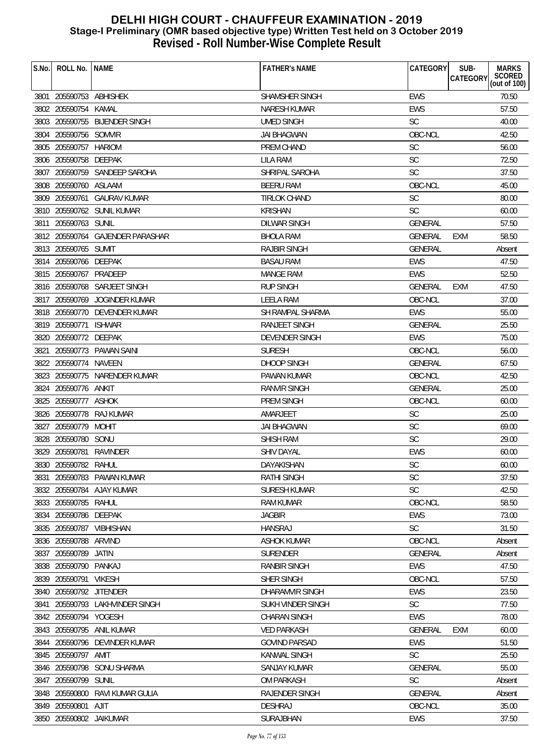| S.No. | ROLL No.                 | <b>NAME</b>                      | <b>FATHER'S NAME</b> | <b>CATEGORY</b> | SUB-<br><b>CATEGORY</b> | <b>MARKS</b><br>SCORED<br>(out of 100) |
|-------|--------------------------|----------------------------------|----------------------|-----------------|-------------------------|----------------------------------------|
|       | 3801 205590753 ABHISHEK  |                                  | SHAMSHER SINGH       | <b>EWS</b>      |                         | 70.50                                  |
|       | 3802 205590754           | KAMAL                            | NARESH KUMAR         | <b>EWS</b>      |                         | 57.50                                  |
| 3803  |                          | 205590755 BIJENDER SINGH         | <b>UMED SINGH</b>    | <b>SC</b>       |                         | 40.00                                  |
| 3804  | 205590756 SOMVIR         |                                  | <b>JAI BHAGWAN</b>   | OBC-NCL         |                         | 42.50                                  |
| 3805  | 205590757 HARIOM         |                                  | PREM CHAND           | <b>SC</b>       |                         | 56.00                                  |
| 3806  | 205590758 DEEPAK         |                                  | LILA RAM             | <b>SC</b>       |                         | 72.50                                  |
| 3807  |                          | 205590759 SANDEEP SAROHA         | SHRIPAL SAROHA       | <b>SC</b>       |                         | 37.50                                  |
|       | 3808 205590760 ASLAAM    |                                  | <b>BEERU RAM</b>     | OBC-NCL         |                         | 45.00                                  |
|       |                          | 3809 205590761 GAURAV KUMAR      | <b>TIRLOK CHAND</b>  | <b>SC</b>       |                         | 80.00                                  |
|       |                          | 3810 205590762 SUNIL KUMAR       | <b>KRISHAN</b>       | SC              |                         | 60.00                                  |
| 3811  | 205590763 SUNIL          |                                  | DILWAR SINGH         | <b>GENERAL</b>  |                         | 57.50                                  |
|       |                          | 3812 205590764 GAJENDER PARASHAR | <b>BHOLA RAM</b>     | GENERAL         | EXM                     | 58.50                                  |
|       | 3813 205590765 SUMIT     |                                  | <b>RAJBIR SINGH</b>  | <b>GENERAL</b>  |                         | Absent                                 |
| 3814  | 205590766 DEEPAK         |                                  | <b>BASAU RAM</b>     | <b>EWS</b>      |                         | 47.50                                  |
|       | 3815 205590767 PRADEEP   |                                  | <b>MANGE RAM</b>     | <b>EWS</b>      |                         | 52.50                                  |
|       |                          | 3816 205590768 SARJEET SINGH     | <b>RUP SINGH</b>     | GENERAL         | EXM                     | 47.50                                  |
|       |                          | 3817 205590769 JOGINDER KUMAR    | LEELA RAM            | OBC-NCL         |                         | 37.00                                  |
|       |                          | 3818 205590770 DEVENDER KUMAR    | SH RAMPAL SHARMA     | <b>EWS</b>      |                         | 55.00                                  |
|       | 3819 205590771 ISHWAR    |                                  | <b>RANJEET SINGH</b> | <b>GENERAL</b>  |                         | 25.50                                  |
|       | 3820 205590772 DEEPAK    |                                  | DEVENDER SINGH       | <b>EWS</b>      |                         | 75.00                                  |
| 3821  |                          | 205590773 PAWAN SAINI            | <b>SURESH</b>        | OBC-NCL         |                         | 56.00                                  |
| 3822  | 205590774 NAVEEN         |                                  | DHOOP SINGH          | <b>GENERAL</b>  |                         | 67.50                                  |
|       |                          | 3823 205590775 NARENDER KUMAR    | <b>PAWAN KUMAR</b>   | OBC-NCL         |                         | 42.50                                  |
| 3824  | 205590776 ANKIT          |                                  | <b>RANVIR SINGH</b>  | GENERAL         |                         | 25.00                                  |
| 3825  | 205590777 ASHOK          |                                  | <b>PREM SINGH</b>    | OBC-NCL         |                         | 60.00                                  |
| 3826  |                          | 205590778 RAJ KUMAR              | AMARJEET             | <b>SC</b>       |                         | 25.00                                  |
| 3827  | 205590779 MOHIT          |                                  | JAI BHAGWAN          | <b>SC</b>       |                         | 69.00                                  |
| 3828  | 205590780 SONU           |                                  | <b>SHISH RAM</b>     | SC              |                         | 29.00                                  |
|       | 3829 205590781 RAVINDER  |                                  | <b>SHIV DAYAL</b>    | <b>EWS</b>      |                         | 60.00                                  |
|       | 3830 205590782 RAHUL     |                                  | DAYAKISHAN           | SC              |                         | 60.00                                  |
| 3831  |                          | 205590783 PAWAN KUMAR            | <b>RATHI SINGH</b>   | <b>SC</b>       |                         | 37.50                                  |
|       |                          | 3832 205590784 AJAY KUMAR        | <b>SURESH KUMAR</b>  | <b>SC</b>       |                         | 42.50                                  |
|       | 3833 205590785 RAHUL     |                                  | RAM KUMAR            | OBC-NCL         |                         | 58.50                                  |
|       | 3834 205590786 DEEPAK    |                                  | <b>JAGBIR</b>        | <b>EWS</b>      |                         | 73.00                                  |
|       | 3835 205590787 VIBHISHAN |                                  | <b>HANSRAJ</b>       | SC              |                         | 31.50                                  |
| 3836  | 205590788                | ARVIND                           | <b>ASHOK KUMAR</b>   | OBC-NCL         |                         | Absent                                 |
|       | 3837 205590789           | JATIN                            | <b>SURENDER</b>      | GENERAL         |                         | Absent                                 |
|       | 3838 205590790 PANKAJ    |                                  | <b>RANBIR SINGH</b>  | <b>EWS</b>      |                         | 47.50                                  |
| 3839  | 205590791 VIKESH         |                                  | <b>SHER SINGH</b>    | OBC-NCL         |                         | 57.50                                  |
|       | 3840 205590792 JITENDER  |                                  | DHARAMVIR SINGH      | <b>EWS</b>      |                         | 23.50                                  |
| 3841  |                          | 205590793 LAKHVINDER SINGH       | SUKH VINDER SINGH    | <b>SC</b>       |                         | 77.50                                  |
|       | 3842 205590794 YOGESH    |                                  | <b>CHARAN SINGH</b>  | <b>EWS</b>      |                         | 78.00                                  |
|       |                          | 3843 205590795 ANIL KUMAR        | <b>VED PARKASH</b>   | GENERAL         | EXM                     | 60.00                                  |
|       |                          | 3844 205590796 DEVINDER KUMAR    | <b>GOVIND PARSAD</b> | <b>EWS</b>      |                         | 51.50                                  |
|       | 3845 205590797 AMIT      |                                  | <b>KANWAL SINGH</b>  | <b>SC</b>       |                         | 25.50                                  |
| 3846  |                          | 205590798 SONU SHARMA            | SANJAY KUMAR         | GENERAL         |                         | 55.00                                  |
| 3847  | 205590799 SUNIL          |                                  | <b>OM PARKASH</b>    | <b>SC</b>       |                         | Absent                                 |
|       | 3848 205590800           | RAVI KUMAR GULIA                 | RAJENDER SINGH       | <b>GENERAL</b>  |                         | Absent                                 |
|       | 3849 205590801 AJIT      |                                  | <b>DESHRAJ</b>       | OBC-NCL         |                         | 35.00                                  |
|       | 3850 205590802 JAIKUMAR  |                                  | SURAJBHAN            | <b>EWS</b>      |                         | 37.50                                  |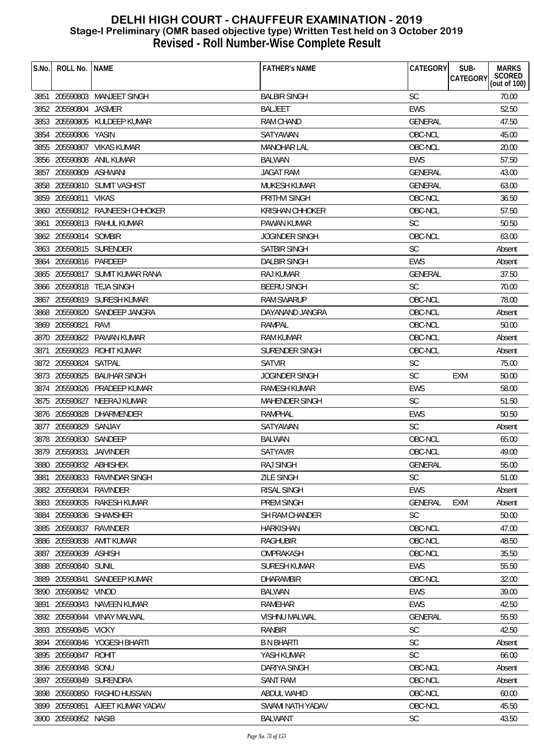| S.No. | ROLL No.                 | <b>NAME</b>                      | <b>FATHER'S NAME</b>  | CATEGORY       | SUB-<br><b>MARKS</b>                      |
|-------|--------------------------|----------------------------------|-----------------------|----------------|-------------------------------------------|
|       |                          |                                  |                       |                | SCORED<br>(out of 100)<br><b>CATEGORY</b> |
|       |                          | 3851 205590803 MANJEET SINGH     | <b>BALBIR SINGH</b>   | <b>SC</b>      | 70.00                                     |
|       | 3852 205590804 JASMER    |                                  | <b>BALJEET</b>        | <b>EWS</b>     | 52.50                                     |
|       |                          | 3853 205590805 KULDEEP KUMAR     | <b>RAM CHAND</b>      | GENERAL        | 47.50                                     |
|       | 3854 205590806 YASIN     |                                  | <b>SATYAWAN</b>       | OBC-NCL        | 45.00                                     |
|       |                          | 3855 205590807 VIKAS KUMAR       | <b>MANOHAR LAL</b>    | OBC-NCL        | 20.00                                     |
|       | 3856 205590808           | ANIL KUMAR                       | <b>BALWAN</b>         | <b>EWS</b>     | 57.50                                     |
|       | 3857 205590809           | ASHWANI                          | <b>JAGAT RAM</b>      | <b>GENERAL</b> | 43.00                                     |
|       |                          | 3858 205590810 SUMIT VASHIST     | <b>MUKESH KUMAR</b>   | <b>GENERAL</b> | 63.00                                     |
|       | 3859 205590811           | <b>VIKAS</b>                     | <b>PRITHVI SINGH</b>  | OBC-NCL        | 36.50                                     |
|       |                          | 3860 205590812 RAJNEESH CHHOKER  | KRISHAN CHHOKER       | OBC-NCL        | 57.50                                     |
|       |                          | 3861 205590813 RAHUL KUMAR       | PAWAN KUMAR           | <b>SC</b>      | 50.50                                     |
|       | 3862 205590814           | SOMBIR                           | <b>JOGINDER SINGH</b> | OBC-NCL        | 63.00                                     |
|       |                          | 3863 205590815 SURENDER          | SATBIR SINGH          | <b>SC</b>      | Absent                                    |
| 3864  | 205590816 PARDEEP        |                                  | <b>DALBIR SINGH</b>   | <b>EWS</b>     | Absent                                    |
|       |                          | 3865 205590817 SUMIT KUMAR RANA  | <b>RAJ KUMAR</b>      | <b>GENERAL</b> | 37.50                                     |
|       |                          | 3866 205590818 TEJA SINGH        | <b>BEERU SINGH</b>    | <b>SC</b>      | 70.00                                     |
|       |                          | 3867 205590819 SURESH KUMAR      | <b>RAM SWARUP</b>     | OBC-NCL        | 78.00                                     |
|       |                          | 3868 205590820 SANDEEP JANGRA    | DAYANAND JANGRA       | OBC-NCL        | Absent                                    |
|       | 3869 205590821           | RAVI                             | RAMPAL                | OBC-NCL        | 50.00                                     |
|       |                          | 3870 205590822 PAWAN KUMAR       | <b>RAM KUMAR</b>      | OBC-NCL        | Absent                                    |
| 3871  |                          | 205590823 ROHIT KUMAR            | SURENDER SINGH        | OBC-NCL        | Absent                                    |
|       | 3872 205590824           | SATPAL                           | <b>SATVIR</b>         | <b>SC</b>      | 75.00                                     |
|       | 3873 205590825           | <b>BALIHAR SINGH</b>             | <b>JOGINDER SINGH</b> | <b>SC</b>      | <b>EXM</b><br>50.00                       |
|       |                          | 3874 205590826 PRADEEP KUMAR     | RAMESH KUMAR          | <b>EWS</b>     | 58.00                                     |
|       | 3875 205590827           | NEERAJ KUMAR                     | <b>MAHENDER SINGH</b> | <b>SC</b>      | 51.50                                     |
|       |                          | 3876 205590828 DHARMENDER        | <b>RAMPHAL</b>        | <b>EWS</b>     | 50.50                                     |
|       | 3877 205590829 SANJAY    |                                  | SATYAWAN              | <b>SC</b>      | Absent                                    |
|       | 3878 205590830 SANDEEP   |                                  | <b>BALWAN</b>         | OBC-NCL        | 65.00                                     |
|       | 3879 205590831 JAIVINDER |                                  | SATYAVIR              | OBC-NCL        | 49.00                                     |
|       | 3880 205590832 ABHISHEK  |                                  | RAJ SINGH             | GENERAL        | 55.00                                     |
| 3881  |                          | 205590833 RAVINDAR SINGH         | <b>ZILE SINGH</b>     | <b>SC</b>      | 51.00                                     |
|       | 3882 205590834 RAVINDER  |                                  | <b>RISAL SINGH</b>    | <b>EWS</b>     | Absent                                    |
|       |                          | 3883 205590835 RAKESH KUMAR      | PREM SINGH            | <b>GENERAL</b> | EXM<br>Absent                             |
| 3884  |                          | 205590836 SHAMSHER               | SH RAM CHANDER        | <b>SC</b>      | 50.00                                     |
|       | 3885 205590837           | RAVINDER                         | HARKISHAN             | OBC-NCL        | 47.00                                     |
|       | 3886 205590838           | AMIT KUMAR                       | <b>RAGHUBIR</b>       | OBC-NCL        | 48.50                                     |
|       | 3887 205590839 ASHISH    |                                  | OMPRAKASH             | OBC-NCL        | 35.50                                     |
|       | 3888 205590840 SUNIL     |                                  | <b>SURESH KUMAR</b>   | EWS            | 55.50                                     |
| 3889  | 205590841                | SANDEEP KUMAR                    | <b>DHARAMBIR</b>      | OBC-NCL        | 32.00                                     |
|       | 3890 205590842 VINOD     |                                  | <b>BALWAN</b>         | <b>EWS</b>     | 39.00                                     |
| 3891  | 205590843                | NAVEEN KUMAR                     | RAMEHAR               | EWS            | 42.50                                     |
|       |                          | 3892 205590844 VINAY MALWAL      | <b>VISHNU MALWAL</b>  | <b>GENERAL</b> | 55.50                                     |
|       | 3893 205590845 VICKY     |                                  | RANBIR                | <b>SC</b>      | 42.50                                     |
|       |                          | 3894 205590846 YOGESH BHARTI     | <b>B N BHARTI</b>     | SC             | Absent                                    |
|       | 3895 205590847           | <b>ROHIT</b>                     | YASH KUMAR            | <b>SC</b>      | 66.00                                     |
| 3896  | 205590848 SONU           |                                  | <b>DARIYA SINGH</b>   | OBC-NCL        | Absent                                    |
| 3897  | 205590849                | SURENDRA                         | <b>SANT RAM</b>       | OBC-NCL        | Absent                                    |
|       |                          | 3898 205590850 RASHID HUSSAIN    | <b>ABDUL WAHID</b>    | OBC-NCL        | 60.00                                     |
|       |                          | 3899 205590851 AJEET KUMAR YADAV | SWAMI NATH YADAV      | OBC-NCL        | 45.50                                     |
|       | 3900 205590852 NASIB     |                                  | <b>BALWANT</b>        | <b>SC</b>      | 43.50                                     |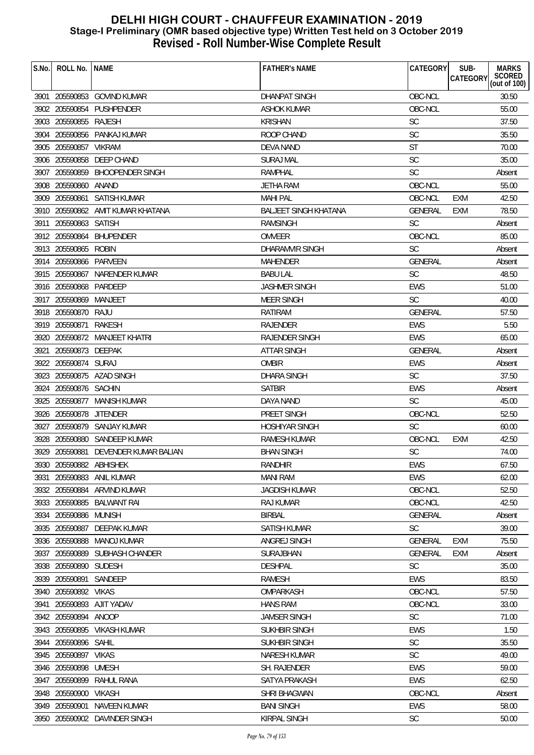| S.No. | ROLL No.                | <b>NAME</b>                          | <b>FATHER'S NAME</b>         | CATEGORY       | SUB-<br><b>CATEGORY</b> | <b>MARKS</b><br>SCORED<br>(out of 100) |
|-------|-------------------------|--------------------------------------|------------------------------|----------------|-------------------------|----------------------------------------|
|       |                         | 3901 205590853 GOVIND KUMAR          | <b>DHANPAT SINGH</b>         | OBC-NCL        |                         | 30.50                                  |
|       |                         | 3902 205590854 PUSHPENDER            | ASHOK KUMAR                  | OBC-NCL        |                         | 55.00                                  |
|       | 3903 205590855 RAJESH   |                                      | <b>KRISHAN</b>               | SC             |                         | 37.50                                  |
|       |                         | 3904 205590856 PANKAJ KUMAR          | ROOP CHAND                   | SC             |                         | 35.50                                  |
|       | 3905 205590857 VIKRAM   |                                      | DEVA NAND                    | <b>ST</b>      |                         | 70.00                                  |
|       |                         | 3906 205590858 DEEP CHAND            | <b>SURAJ MAL</b>             | <b>SC</b>      |                         | 35.00                                  |
|       |                         | 3907 205590859 BHOOPENDER SINGH      | <b>RAMPHAL</b>               | <b>SC</b>      |                         | Absent                                 |
|       | 3908 205590860 ANAND    |                                      | <b>JETHA RAM</b>             | OBC-NCL        |                         | 55.00                                  |
|       |                         | 3909 205590861 SATISH KUMAR          | <b>MAHI PAL</b>              | OBC-NCL        | EXM                     | 42.50                                  |
|       |                         | 3910 205590862 AMIT KUMAR KHATANA    | <b>BALJEET SINGH KHATANA</b> | <b>GENERAL</b> | EXM                     | 78.50                                  |
|       | 3911 205590863 SATISH   |                                      | RAMSINGH                     | <b>SC</b>      |                         | Absent                                 |
|       | 3912 205590864          | <b>BHUPENDER</b>                     | <b>OMVEER</b>                | OBC-NCL        |                         | 85.00                                  |
|       | 3913 205590865 ROBIN    |                                      | DHARAMVIR SINGH              | <b>SC</b>      |                         | Absent                                 |
|       | 3914 205590866 PARVEEN  |                                      | <b>MAHENDER</b>              | <b>GENERAL</b> |                         | Absent                                 |
|       |                         | 3915 205590867 NARENDER KUMAR        | <b>BABU LAL</b>              | <b>SC</b>      |                         | 48.50                                  |
|       | 3916 205590868 PARDEEP  |                                      | <b>JASHMER SINGH</b>         | <b>EWS</b>     |                         | 51.00                                  |
|       | 3917 205590869 MANJEET  |                                      | <b>MEER SINGH</b>            | <b>SC</b>      |                         | 40.00                                  |
|       | 3918 205590870 RAJU     |                                      | <b>RATIRAM</b>               | <b>GENERAL</b> |                         | 57.50                                  |
|       | 3919 205590871          | RAKESH                               | RAJENDER                     | EWS            |                         | 5.50                                   |
|       |                         | 3920 205590872 MANJEET KHATRI        | <b>RAJENDER SINGH</b>        | <b>EWS</b>     |                         | 65.00                                  |
| 3921  | 205590873 DEEPAK        |                                      | <b>ATTAR SINGH</b>           | GENERAL        |                         | Absent                                 |
|       | 3922 205590874 SURAJ    |                                      | <b>OMBIR</b>                 | <b>EWS</b>     |                         | Absent                                 |
|       |                         | 3923 205590875 AZAD SINGH            | <b>DHARA SINGH</b>           | <b>SC</b>      |                         | 37.50                                  |
|       | 3924 205590876 SACHIN   |                                      | <b>SATBIR</b>                | <b>EWS</b>     |                         | Absent                                 |
|       |                         | 3925 205590877 MANISH KUMAR          | DAYA NAND                    | <b>SC</b>      |                         | 45.00                                  |
|       | 3926 205590878 JITENDER |                                      | PREET SINGH                  | OBC-NCL        |                         | 52.50                                  |
|       |                         | 3927 205590879 SANJAY KUMAR          | <b>HOSHIYAR SINGH</b>        | <b>SC</b>      |                         | 60.00                                  |
|       |                         | 3928 205590880 SANDEEP KUMAR         | <b>RAMESH KUMAR</b>          | OBC-NCL        | <b>EXM</b>              | 42.50                                  |
|       |                         | 3929 205590881 DEVENDER KUMAR BALIAN | <b>BHAN SINGH</b>            | <b>SC</b>      |                         | 74.00                                  |
|       | 3930 205590882 ABHISHEK |                                      | RANDHIR                      | EWS            |                         | 67.50                                  |
| 3931  |                         | 205590883 ANIL KUMAR                 | <b>MANI RAM</b>              | EWS            |                         | 62.00                                  |
|       |                         | 3932 205590884 ARVIND KUMAR          | <b>JAGDISH KUMAR</b>         | OBC-NCL        |                         | 52.50                                  |
|       |                         | 3933 205590885 BALWANT RAI           | <b>RAJ KUMAR</b>             | OBC-NCL        |                         | 42.50                                  |
| 3934  | 205590886 MUNISH        |                                      | <b>BIRBAL</b>                | <b>GENERAL</b> |                         | Absent                                 |
| 3935  | 205590887               | DEEPAK KUMAR                         | <b>SATISH KUMAR</b>          | SC             |                         | 39.00                                  |
|       | 3936 205590888          | MANOJ KUMAR                          | ANGREJ SINGH                 | <b>GENERAL</b> | <b>EXM</b>              | 75.50                                  |
|       |                         | 3937 205590889 SUBHASH CHANDER       | SURAJBHAN                    | <b>GENERAL</b> | <b>EXM</b>              | Absent                                 |
|       | 3938 205590890 SUDESH   |                                      | <b>DESHPAL</b>               | <b>SC</b>      |                         | 35.00                                  |
| 3939  | 205590891               | SANDEEP                              | <b>RAMESH</b>                | EWS            |                         | 83.50                                  |
|       | 3940 205590892 VIKAS    |                                      | OMPARKASH                    | OBC-NCL        |                         | 57.50                                  |
| 3941  | 205590893               | AJIT YADAV                           | <b>HANS RAM</b>              | OBC-NCL        |                         | 33.00                                  |
|       | 3942 205590894 ANOOP    |                                      | <b>JAMSER SINGH</b>          | <b>SC</b>      |                         | 71.00                                  |
|       |                         | 3943 205590895 VIKASH KUMAR          | SUKHBIR SINGH                | <b>EWS</b>     |                         | 1.50                                   |
|       | 3944 205590896 SAHIL    |                                      | SUKHBIR SINGH                | SC             |                         | 35.50                                  |
|       | 3945 205590897          | <b>VIKAS</b>                         | NARESH KUMAR                 | <b>SC</b>      |                         | 49.00                                  |
| 3946  | 205590898               | <b>UMESH</b>                         | SH. RAJENDER                 | <b>EWS</b>     |                         | 59.00                                  |
| 3947  | 205590899               | RAHUL RANA                           | SATYA PRAKASH                | <b>EWS</b>     |                         | 62.50                                  |
|       | 3948 205590900          | <b>VIKASH</b>                        | SHRI BHAGWAN                 | OBC-NCL        |                         | Absent                                 |
|       | 3949 205590901          | NAVEEN KUMAR                         | <b>BANI SINGH</b>            | <b>EWS</b>     |                         | 58.00                                  |
|       |                         | 3950 205590902 DAVINDER SINGH        | KIRPAL SINGH                 | SC             |                         | 50.00                                  |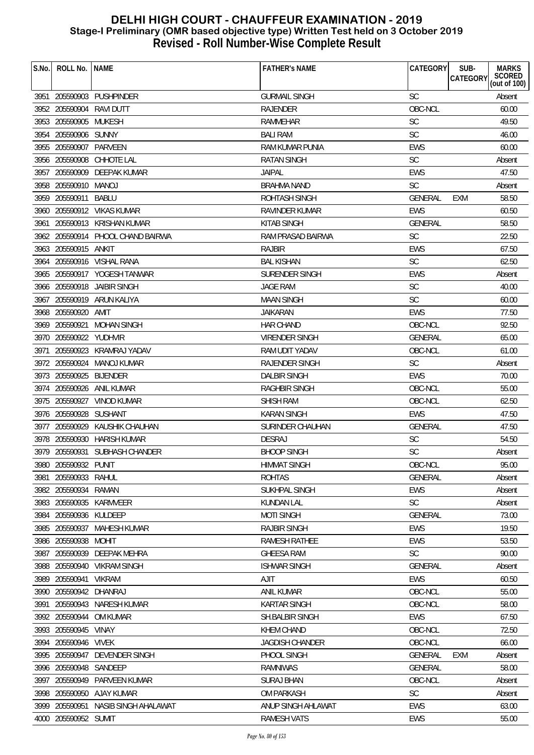| S.No. | ROLL No.                 | <b>NAME</b>                       | <b>FATHER'S NAME</b>    | <b>CATEGORY</b> | SUB-<br><b>MARKS</b>               |
|-------|--------------------------|-----------------------------------|-------------------------|-----------------|------------------------------------|
|       |                          |                                   |                         |                 | SCORED<br>(out of 100)<br>CATEGORY |
|       |                          | 3951 205590903 PUSHPINDER         | <b>GURMAIL SINGH</b>    | <b>SC</b>       | Absent                             |
|       | 3952 205590904 RAVI DUTT |                                   | RAJENDER                | OBC-NCL         | 60.00                              |
|       | 3953 205590905 MUKESH    |                                   | RAMMEHAR                | <b>SC</b>       | 49.50                              |
|       | 3954 205590906 SUNNY     |                                   | <b>BALI RAM</b>         | SC              | 46.00                              |
|       | 3955 205590907 PARVEEN   |                                   | RAM KUMAR PUNIA         | <b>EWS</b>      | 60.00                              |
|       | 3956 205590908           | CHHOTE LAL                        | <b>RATAN SINGH</b>      | SC              | Absent                             |
|       |                          | 3957 205590909 DEEPAK KUMAR       | <b>JAIPAL</b>           | <b>EWS</b>      | 47.50                              |
|       | 3958 205590910 MANOJ     |                                   | <b>BRAHMA NAND</b>      | <b>SC</b>       | Absent                             |
|       | 3959 205590911           | BABLU                             | <b>ROHTASH SINGH</b>    | <b>GENERAL</b>  | 58.50<br>EXM                       |
|       |                          | 3960 205590912 VIKAS KUMAR        | RAVINDER KUMAR          | <b>EWS</b>      | 60.50                              |
|       |                          | 3961 205590913 KRISHAN KUMAR      | <b>KITAB SINGH</b>      | GENERAL         | 58.50                              |
|       |                          | 3962 205590914 PHOOL CHAND BAIRWA | RAM PRASAD BAIRWA       | <b>SC</b>       | 22.50                              |
|       | 3963 205590915 ANKIT     |                                   | <b>RAJBIR</b>           | <b>EWS</b>      | 67.50                              |
|       |                          | 3964 205590916 VISHAL RANA        | <b>BAL KISHAN</b>       | <b>SC</b>       | 62.50                              |
|       |                          | 3965 205590917 YOGESH TANWAR      | SURENDER SINGH          | <b>EWS</b>      | Absent                             |
|       |                          | 3966 205590918 JAIBIR SINGH       | <b>JAGE RAM</b>         | <b>SC</b>       | 40.00                              |
|       |                          | 3967 205590919 ARUN KALIYA        | <b>MAAN SINGH</b>       | <b>SC</b>       | 60.00                              |
|       | 3968 205590920 AMIT      |                                   | <b>JAIKARAN</b>         | <b>EWS</b>      | 77.50                              |
|       | 3969 205590921           | MOHAN SINGH                       | <b>HAR CHAND</b>        | OBC-NCL         | 92.50                              |
|       | 3970 205590922 YUDHVIR   |                                   | <b>VIRENDER SINGH</b>   | <b>GENERAL</b>  | 65.00                              |
|       |                          | 3971 205590923 KRAMRAJ YADAV      | RAM UDIT YADAV          | OBC-NCL         | 61.00                              |
|       |                          | 3972 205590924 MANOJ KUMAR        | <b>RAJENDER SINGH</b>   | <b>SC</b>       | Absent                             |
|       | 3973 205590925           | BIJENDER                          | <b>DALBIR SINGH</b>     | <b>EWS</b>      | 70.00                              |
|       |                          | 3974 205590926 ANIL KUMAR         | <b>RAGHBIR SINGH</b>    | OBC-NCL         | 55.00                              |
|       |                          | 3975 205590927 VINOD KUMAR        | <b>SHISH RAM</b>        | OBC-NCL         | 62.50                              |
|       | 3976 205590928 SUSHANT   |                                   | <b>KARAN SINGH</b>      | <b>EWS</b>      | 47.50                              |
|       |                          | 3977 205590929 KAUSHIK CHAUHAN    | <b>SURINDER CHAUHAN</b> | <b>GENERAL</b>  | 47.50                              |
|       |                          | 3978 205590930 HARISH KUMAR       | <b>DESRAJ</b>           | <b>SC</b>       | 54.50                              |
|       |                          | 3979 205590931 SUBHASH CHANDER    | <b>BHOOP SINGH</b>      | SC              | Absent                             |
|       | 3980 205590932 PUNIT     |                                   | <b>HIMMAT SINGH</b>     | OBC-NCL         | 95.00                              |
| 3981  | 205590933 RAHUL          |                                   | <b>ROHTAS</b>           | <b>GENERAL</b>  | Absent                             |
|       | 3982 205590934 RAMAN     |                                   | <b>SUKHPAL SINGH</b>    | <b>EWS</b>      | Absent                             |
|       |                          | 3983 205590935 KARMVEER           | <b>KUNDAN LAL</b>       | <b>SC</b>       | Absent                             |
|       | 3984 205590936 KULDEEP   |                                   | <b>MOTI SINGH</b>       | <b>GENERAL</b>  | 73.00                              |
|       | 3985 205590937           | MAHESH KUMAR                      | <b>RAJBIR SINGH</b>     | <b>EWS</b>      | 19.50                              |
|       | 3986 205590938 MOHIT     |                                   | <b>RAMESH RATHEE</b>    | <b>EWS</b>      | 53.50                              |
|       | 3987 205590939           | DEEPAK MEHRA                      | <b>GHEESA RAM</b>       | <b>SC</b>       | 90.00                              |
|       |                          | 3988 205590940 VIKRAM SINGH       | <b>ISHWAR SINGH</b>     | <b>GENERAL</b>  | Absent                             |
|       | 3989 205590941           | VIKRAM                            | <b>AJIT</b>             | <b>EWS</b>      | 60.50                              |
|       | 3990 205590942 DHANRAJ   |                                   | ANIL KUMAR              | OBC-NCL         | 55.00                              |
| 3991  |                          | 205590943 NARESH KUMAR            | <b>KARTAR SINGH</b>     | OBC-NCL         | 58.00                              |
|       | 3992 205590944           | OM KUMAR                          | SH.BALBIR SINGH         | EWS             | 67.50                              |
|       | 3993 205590945 VINAY     |                                   | <b>KHEM CHAND</b>       | OBC-NCL         | 72.50                              |
|       | 3994 205590946 VIVEK     |                                   | <b>JAGDISH CHANDER</b>  | OBC-NCL         | 66.00                              |
|       |                          | 3995 205590947 DEVENDER SINGH     | PHOOL SINGH             | <b>GENERAL</b>  | EXM<br>Absent                      |
|       | 3996 205590948 SANDEEP   |                                   | <b>RAMNIWAS</b>         | <b>GENERAL</b>  | 58.00                              |
|       |                          | 3997 205590949 PARVEEN KUMAR      | <b>SURAJ BHAN</b>       | OBC-NCL         | Absent                             |
|       |                          | 3998 205590950 AJAY KUMAR         | <b>OM PARKASH</b>       | <b>SC</b>       | Absent                             |
| 3999  |                          | 205590951 NASIB SINGH AHALAWAT    | ANUP SINGH AHLAWAT      | <b>EWS</b>      | 63.00                              |
|       | 4000 205590952 SUMIT     |                                   | RAMESH VATS             | EWS             | 55.00                              |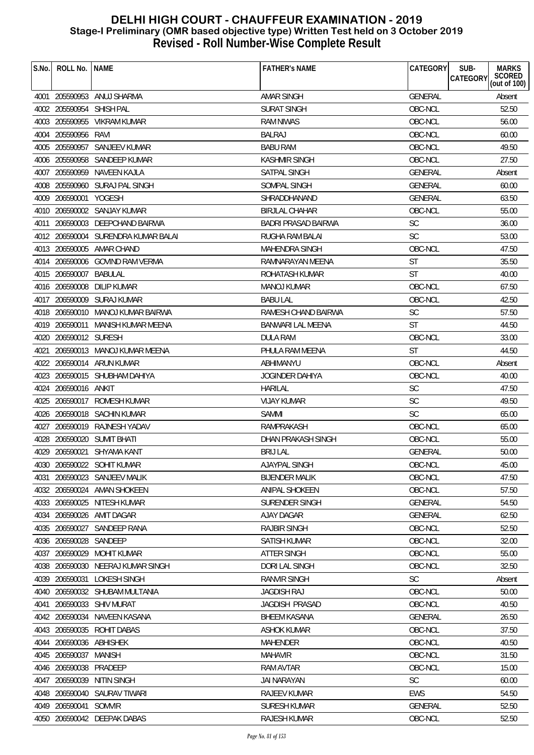| S.No. | ROLL No.   NAME          |                                     | <b>FATHER'S NAME</b>   | CATEGORY       | <b>MARKS</b><br>SUB-<br>SCORED<br>(out of 100)<br>CATEGORY |
|-------|--------------------------|-------------------------------------|------------------------|----------------|------------------------------------------------------------|
|       |                          | 4001 205590953 ANUJ SHARMA          | <b>AMAR SINGH</b>      | GENERAL        | Absent                                                     |
|       | 4002 205590954 SHISH PAL |                                     | <b>SURAT SINGH</b>     | OBC-NCL        | 52.50                                                      |
|       |                          | 4003 205590955 VIKRAM KUMAR         | <b>RAM NIWAS</b>       | OBC-NCL        | 56.00                                                      |
|       | 4004 205590956 RAVI      |                                     | <b>BALRAJ</b>          | OBC-NCL        | 60.00                                                      |
|       |                          | 4005 205590957 SANJEEV KUMAR        | <b>BABU RAM</b>        | OBC-NCL        | 49.50                                                      |
|       |                          | 4006 205590958 SANDEEP KUMAR        | <b>KASHMIR SINGH</b>   | OBC-NCL        | 27.50                                                      |
|       |                          | 4007 205590959 NAVEEN KAJLA         | <b>SATPAL SINGH</b>    | <b>GENERAL</b> | Absent                                                     |
|       |                          | 4008 205590960 SURAJ PAL SINGH      | SOMPAL SINGH           | <b>GENERAL</b> | 60.00                                                      |
|       | 4009 206590001 YOGESH    |                                     | SHRADDHANAND           | <b>GENERAL</b> | 63.50                                                      |
|       |                          | 4010 206590002 SANJAY KUMAR         | <b>BIRJLAL CHAHAR</b>  | OBC-NCL        | 55.00                                                      |
|       |                          | 4011 206590003 DEEPCHAND BAIRWA     | BADRI PRASAD BAIRWA    | <b>SC</b>      | 36.00                                                      |
|       |                          | 4012 206590004 SURENDRA KUMAR BALAI | <b>RUGHA RAM BALAI</b> | <b>SC</b>      | 53.00                                                      |
|       |                          | 4013 206590005 AMAR CHAND           | MAHENDRA SINGH         | OBC-NCL        | 47.50                                                      |
|       |                          | 4014 206590006 GOVIND RAM VERMA     |                        | <b>ST</b>      |                                                            |
|       |                          |                                     | RAMNARAYAN MEENA       | <b>ST</b>      | 35.50                                                      |
|       | 4015 206590007 BABULAL   |                                     | ROHATASH KUMAR         | OBC-NCL        | 40.00                                                      |
|       | 4016 206590008           | <b>DILIP KUMAR</b>                  | <b>MANOJ KUMAR</b>     |                | 67.50                                                      |
|       |                          | 4017 206590009 SURAJ KUMAR          | <b>BABU LAL</b>        | OBC-NCL        | 42.50                                                      |
|       |                          | 4018 206590010 MANOJ KUMAR BAIRWA   | RAMESH CHAND BAIRWA    | SC             | 57.50                                                      |
|       |                          | 4019 206590011 MANISH KUMAR MEENA   | BANWARI LAL MEENA      | <b>ST</b>      | 44.50                                                      |
|       | 4020 206590012 SURESH    |                                     | DULA RAM               | OBC-NCL        | 33.00                                                      |
|       |                          | 4021 206590013 MANOJ KUMAR MEENA    | PHULA RAM MEENA        | <b>ST</b>      | 44.50                                                      |
|       |                          | 4022 206590014 ARUN KUMAR           | ABHIMANYU              | OBC-NCL        | Absent                                                     |
|       |                          | 4023 206590015 SHUBHAM DAHIYA       | JOGINDER DAHIYA        | OBC-NCL        | 40.00                                                      |
|       | 4024 206590016 ANKIT     |                                     | <b>HARILAL</b>         | <b>SC</b>      | 47.50                                                      |
|       |                          | 4025 206590017 ROMESH KUMAR         | <b>VIJAY KUMAR</b>     | <b>SC</b>      | 49.50                                                      |
|       |                          | 4026 206590018 SACHIN KUMAR         | <b>SAMMI</b>           | <b>SC</b>      | 65.00                                                      |
|       |                          | 4027 206590019 RAJNESH YADAV        | RAMPRAKASH             | OBC-NCL        | 65.00                                                      |
|       |                          | 4028 206590020 SUMIT BHATI          | DHAN PRAKASH SINGH     | OBC-NCL        | 55.00                                                      |
|       |                          | 4029 206590021 SHYAMA KANT          | <b>BRIJ LAL</b>        | <b>GENERAL</b> | 50.00                                                      |
|       |                          | 4030 206590022 SOHIT KUMAR          | AJAYPAL SINGH          | OBC-NCL        | 45.00                                                      |
|       |                          | 4031 206590023 SANJEEV MALIK        | <b>BIJENDER MALIK</b>  | OBC-NCL        | 47.50                                                      |
|       |                          | 4032 206590024 AMAN SHOKEEN         | ANIPAL SHOKEEN         | OBC-NCL        | 57.50                                                      |
|       |                          | 4033 206590025 NITESH KUMAR         | SURENDER SINGH         | <b>GENERAL</b> | 54.50                                                      |
|       |                          | 4034 206590026 AMIT DAGAR           | AJAY DAGAR             | <b>GENERAL</b> | 62.50                                                      |
|       |                          | 4035 206590027 SANDEEP RANA         | <b>RAJBIR SINGH</b>    | OBC-NCL        | 52.50                                                      |
|       | 4036 206590028 SANDEEP   |                                     | <b>SATISH KUMAR</b>    | OBC-NCL        | 32.00                                                      |
|       |                          | 4037 206590029 MOHIT KUMAR          | <b>ATTER SINGH</b>     | OBC-NCL        | 55.00                                                      |
|       |                          | 4038 206590030 NEERAJ KUMAR SINGH   | DORI LAL SINGH         | OBC-NCL        | 32.50                                                      |
|       | 4039 206590031           | LOKESH SINGH                        | <b>RANVIR SINGH</b>    | <b>SC</b>      | Absent                                                     |
| 4040  |                          | 206590032 SHUBAM MULTANIA           | <b>JAGDISH RAJ</b>     | OBC-NCL        | 50.00                                                      |
| 4041  |                          | 206590033 SHIV MURAT                | JAGDISH PRASAD         | OBC-NCL        | 40.50                                                      |
|       |                          | 4042 206590034 NAVEEN KASANA        | <b>BHEEM KASANA</b>    | <b>GENERAL</b> | 26.50                                                      |
|       |                          | 4043 206590035 ROHIT DABAS          | <b>ASHOK KUMAR</b>     | OBC-NCL        | 37.50                                                      |
|       | 4044 206590036 ABHISHEK  |                                     | <b>MAHENDER</b>        | OBC-NCL        | 40.50                                                      |
|       | 4045 206590037           | <b>MANISH</b>                       | <b>MAHAVIR</b>         | OBC-NCL        | 31.50                                                      |
|       | 4046 206590038 PRADEEP   |                                     | <b>RAM AVTAR</b>       | OBC-NCL        | 15.00                                                      |
| 4047  | 206590039                | NITIN SINGH                         | <b>JAI NARAYAN</b>     | <b>SC</b>      | 60.00                                                      |
|       |                          | 4048 206590040 SAURAV TIWARI        | RAJEEV KUMAR           | <b>EWS</b>     | 54.50                                                      |
|       | 4049 206590041 SOMVIR    |                                     | <b>SURESH KUMAR</b>    | <b>GENERAL</b> | 52.50                                                      |
|       |                          | 4050 206590042 DEEPAK DABAS         | RAJESH KUMAR           | OBC-NCL        | 52.50                                                      |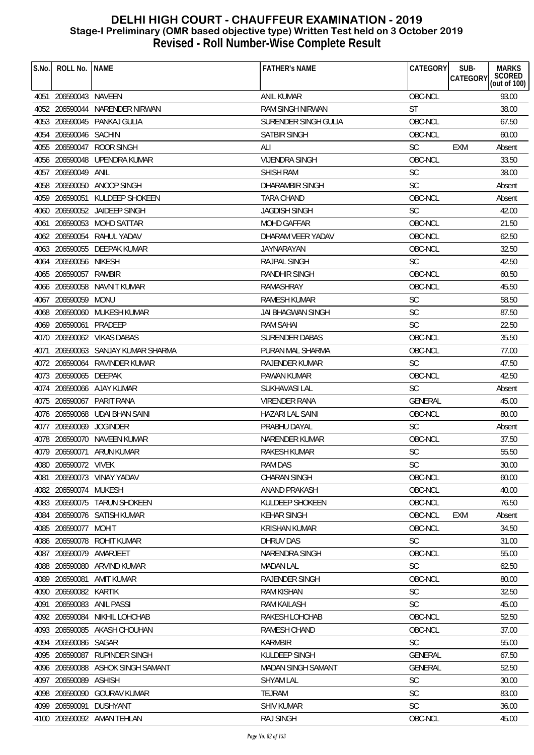| S.No. | ROLL No.   NAME         |                                    | <b>FATHER'S NAME</b>      | CATEGORY       | SUB-<br><b>MARKS</b>                      |
|-------|-------------------------|------------------------------------|---------------------------|----------------|-------------------------------------------|
|       |                         |                                    |                           |                | SCORED<br>(out of 100)<br><b>CATEGORY</b> |
|       | 4051 206590043 NAVEEN   |                                    | <b>ANIL KUMAR</b>         | OBC-NCL        | 93.00                                     |
|       |                         | 4052 206590044 NARENDER NIRWAN     | <b>RAM SINGH NIRWAN</b>   | <b>ST</b>      | 38.00                                     |
|       |                         | 4053 206590045 PANKAJ GULIA        | SURENDER SINGH GULIA      | OBC-NCL        | 67.50                                     |
|       | 4054 206590046 SACHIN   |                                    | SATBIR SINGH              | OBC-NCL        | 60.00                                     |
|       |                         | 4055 206590047 ROOR SINGH          | ALI                       | <b>SC</b>      | EXM<br>Absent                             |
|       |                         | 4056 206590048 UPENDRA KUMAR       | <b>VIJENDRA SINGH</b>     | OBC-NCL        | 33.50                                     |
|       | 4057 206590049          | ANIL                               | <b>SHISH RAM</b>          | <b>SC</b>      | 38.00                                     |
|       |                         | 4058 206590050 ANOOP SINGH         | <b>DHARAMBIR SINGH</b>    | <b>SC</b>      | Absent                                    |
|       | 4059 206590051          | KULDEEP SHOKEEN                    | TARA CHAND                | OBC-NCL        | Absent                                    |
|       |                         | 4060 206590052 JAIDEEP SINGH       | <b>JAGDISH SINGH</b>      | <b>SC</b>      | 42.00                                     |
|       |                         | 4061 206590053 MOHD SATTAR         | <b>MOHD GAFFAR</b>        | OBC-NCL        | 21.50                                     |
|       |                         | 4062 206590054 RAHUL YADAV         | DHARAM VEER YADAV         | OBC-NCL        | 62.50                                     |
|       |                         | 4063 206590055 DEEPAK KUMAR        | JAYNARAYAN                | OBC-NCL        | 32.50                                     |
|       | 4064 206590056 NIKESH   |                                    | RAJPAL SINGH              | <b>SC</b>      | 42.50                                     |
|       | 4065 206590057 RAMBIR   |                                    | <b>RANDHIR SINGH</b>      | OBC-NCL        | 60.50                                     |
|       |                         | 4066 206590058 NAVNIT KUMAR        | RAMASHRAY                 | OBC-NCL        | 45.50                                     |
|       | 4067 206590059 MONU     |                                    | RAMESH KUMAR              | <b>SC</b>      | 58.50                                     |
|       |                         | 4068 206590060 MUKESH KUMAR        | <b>JAI BHAGWAN SINGH</b>  | <b>SC</b>      | 87.50                                     |
|       | 4069 206590061          | PRADEEP                            | <b>RAM SAHAI</b>          | <b>SC</b>      | 22.50                                     |
|       |                         | 4070 206590062 VIKAS DABAS         | <b>SURENDER DABAS</b>     | OBC-NCL        | 35.50                                     |
|       |                         | 4071 206590063 SANJAY KUMAR SHARMA | PURAN MAL SHARMA          | OBC-NCL        | 77.00                                     |
|       |                         | 4072 206590064 RAVINDER KUMAR      | RAJENDER KUMAR            | <b>SC</b>      | 47.50                                     |
|       | 4073 206590065 DEEPAK   |                                    | PAWAN KUMAR               | OBC-NCL        | 42.50                                     |
|       |                         | 4074 206590066 AJAY KUMAR          | SUKHAVASI LAL             | <b>SC</b>      | Absent                                    |
|       |                         | 4075 206590067 PARIT RANA          | VIRENDER RANA             | <b>GENERAL</b> | 45.00                                     |
|       |                         | 4076 206590068 UDAI BHAN SAINI     | <b>HAZARI LAL SAINI</b>   | OBC-NCL        | 80.00                                     |
|       | 4077 206590069 JOGINDER |                                    | PRABHU DAYAL              | <b>SC</b>      | Absent                                    |
|       |                         | 4078 206590070 NAVEEN KUMAR        | NARENDER KUMAR            | OBC-NCL        | 37.50                                     |
|       |                         | 4079 206590071 ARUN KUMAR          | <b>RAKESH KUMAR</b>       | <b>SC</b>      | 55.50                                     |
|       | 4080 206590072 VIVEK    |                                    | RAM DAS                   | SC             | 30.00                                     |
| 4081  |                         | 206590073 VINAY YADAV              | <b>CHARAN SINGH</b>       | OBC-NCL        | 60.00                                     |
|       | 4082 206590074 MUKESH   |                                    | ANAND PRAKASH             | OBC-NCL        | 40.00                                     |
|       |                         | 4083 206590075 TARUN SHOKEEN       | KULDEEP SHOKEEN           | OBC-NCL        | 76.50                                     |
|       |                         | 4084 206590076 SATISH KUMAR        | <b>KEHAR SINGH</b>        | OBC-NCL        | EXM<br>Absent                             |
|       | 4085 206590077 MOHIT    |                                    | <b>KRISHAN KUMAR</b>      | OBC-NCL        | 34.50                                     |
|       |                         | 4086 206590078 ROHIT KUMAR         | DHRUV DAS                 | <b>SC</b>      | 31.00                                     |
|       | 4087 206590079          | AMARJEET                           | NARENDRA SINGH            | OBC-NCL        | 55.00                                     |
|       |                         | 4088 206590080 ARVIND KUMAR        | <b>MADAN LAL</b>          | SC             | 62.50                                     |
|       | 4089 206590081          | AMIT KUMAR                         | RAJENDER SINGH            | OBC-NCL        | 80.00                                     |
|       | 4090 206590082 KARTIK   |                                    | <b>RAM KISHAN</b>         | <b>SC</b>      | 32.50                                     |
|       |                         | 4091 206590083 ANIL PASSI          | <b>RAM KAILASH</b>        | <b>SC</b>      | 45.00                                     |
|       | 4092 206590084          | NIKHIL LOHCHAB                     | RAKESH LOHCHAB            | OBC-NCL        | 52.50                                     |
|       |                         | 4093 206590085 AKASH CHOUHAN       | <b>RAMESH CHAND</b>       | OBC-NCL        | 37.00                                     |
|       | 4094 206590086 SAGAR    |                                    | <b>KARMBIR</b>            | <b>SC</b>      | 55.00                                     |
|       | 4095 206590087          | RUPINDER SINGH                     | KULDEEP SINGH             | <b>GENERAL</b> | 67.50                                     |
|       |                         | 4096 206590088 ASHOK SINGH SAMANT  | <b>MADAN SINGH SAMANT</b> | <b>GENERAL</b> | 52.50                                     |
|       | 4097 206590089          | ASHISH                             | <b>SHYAM LAL</b>          | <b>SC</b>      | 30.00                                     |
|       |                         | 4098 206590090 GOURAV KUMAR        | TEJRAM                    | <b>SC</b>      | 83.00                                     |
| 4099  |                         | 206590091 DUSHYANT                 | <b>SHIV KUMAR</b>         | <b>SC</b>      | 36.00                                     |
|       |                         | 4100 206590092 AMAN TEHLAN         | <b>RAJ SINGH</b>          | OBC-NCL        | 45.00                                     |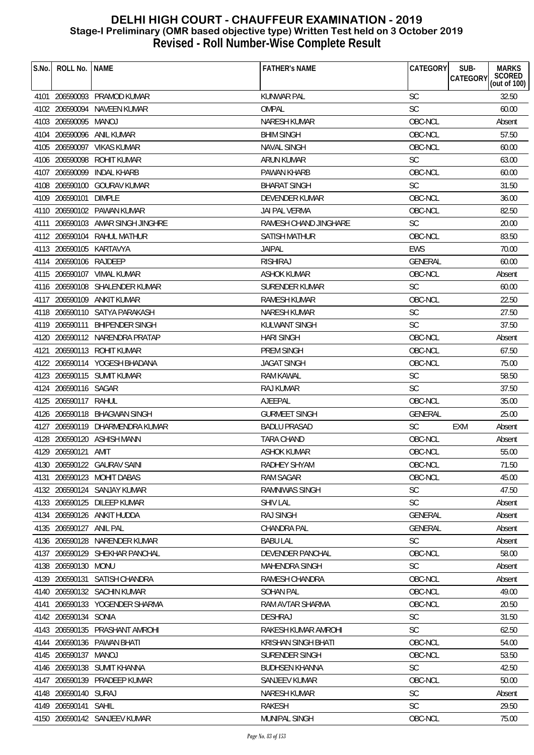| S.No. | ROLL No. INAME          |                                   | <b>FATHER'S NAME</b>    | CATEGORY             | SUB-<br><b>CATEGORY</b> | <b>MARKS</b><br>SCORED<br>(out of 100) |
|-------|-------------------------|-----------------------------------|-------------------------|----------------------|-------------------------|----------------------------------------|
|       |                         |                                   |                         |                      |                         |                                        |
|       |                         | 4101 206590093 PRAMOD KUMAR       | <b>KUNWAR PAL</b>       | <b>SC</b>            |                         | 32.50                                  |
|       |                         | 4102 206590094 NAVEEN KUMAR       | OMPAL                   | <b>SC</b><br>OBC-NCL |                         | 60.00                                  |
|       | 4103 206590095 MANOJ    |                                   | <b>NARESH KUMAR</b>     |                      |                         | Absent                                 |
|       |                         | 4104 206590096 ANIL KUMAR         | <b>BHIM SINGH</b>       | OBC-NCL              |                         | 57.50                                  |
|       |                         | 4105 206590097 VIKAS KUMAR        | <b>NAVAL SINGH</b>      | OBC-NCL              |                         | 60.00                                  |
|       | 4106 206590098          | <b>ROHIT KUMAR</b>                | <b>ARUN KUMAR</b>       | <b>SC</b>            |                         | 63.00                                  |
|       | 4107 206590099          | <b>INDAL KHARB</b>                | PAWAN KHARB             | OBC-NCL              |                         | 60.00                                  |
|       |                         | 4108 206590100 GOURAV KUMAR       | <b>BHARAT SINGH</b>     | <b>SC</b>            |                         | 31.50                                  |
|       | 4109 206590101          | <b>DIMPLE</b>                     | <b>DEVENDER KUMAR</b>   | OBC-NCL              |                         | 36.00                                  |
|       |                         | 4110 206590102 PAWAN KUMAR        | JAI PAL VERMA           | OBC-NCL              |                         | 82.50                                  |
|       |                         | 4111 206590103 AMAR SINGH JINGHRE | RAMESH CHAND JINGHARE   | <b>SC</b>            |                         | 20.00                                  |
|       |                         | 4112 206590104 RAHUL MATHUR       | <b>SATISH MATHUR</b>    | OBC-NCL              |                         | 83.50                                  |
|       | 4113 206590105 KARTAVYA |                                   | <b>JAIPAL</b>           | <b>EWS</b>           |                         | 70.00                                  |
|       | 4114 206590106 RAJDEEP  |                                   | <b>RISHIRAJ</b>         | <b>GENERAL</b>       |                         | 60.00                                  |
|       |                         | 4115 206590107 VIMAL KUMAR        | <b>ASHOK KUMAR</b>      | OBC-NCL              |                         | Absent                                 |
|       |                         | 4116 206590108 SHALENDER KUMAR    | <b>SURENDER KUMAR</b>   | <b>SC</b>            |                         | 60.00                                  |
|       |                         | 4117 206590109 ANKIT KUMAR        | <b>RAMESH KUMAR</b>     | OBC-NCL              |                         | 22.50                                  |
|       |                         | 4118 206590110 SATYA PARAKASH     | NARESH KUMAR            | SC                   |                         | 27.50                                  |
|       |                         | 4119 206590111 BHIPENDER SINGH    | KULWANT SINGH           | <b>SC</b>            |                         | 37.50                                  |
|       |                         | 4120 206590112 NARENDRA PRATAP    | <b>HARI SINGH</b>       | OBC-NCL              |                         | Absent                                 |
|       |                         | 4121 206590113 ROHIT KUMAR        | PREM SINGH              | OBC-NCL              |                         | 67.50                                  |
|       |                         | 4122 206590114 YOGESH BHADANA     | JAGAT SINGH             | OBC-NCL              |                         | 75.00                                  |
|       |                         | 4123 206590115 SUMIT KUMAR        | <b>RAM KAWAL</b>        | <b>SC</b>            |                         | 58.50                                  |
|       | 4124 206590116 SAGAR    |                                   | <b>RAJ KUMAR</b>        | <b>SC</b>            |                         | 37.50                                  |
|       | 4125 206590117 RAHUL    |                                   | AJEEPAL                 | OBC-NCL              |                         | 35.00                                  |
|       |                         | 4126 206590118 BHAGWAN SINGH      | <b>GURMEET SINGH</b>    | GENERAL              |                         | 25.00                                  |
|       |                         | 4127 206590119 DHARMENDRA KUMAR   | <b>BADLU PRASAD</b>     | <b>SC</b>            | EXM                     | Absent                                 |
|       |                         | 4128 206590120 ASHISH MANN        | <b>TARA CHAND</b>       | OBC-NCL              |                         | Absent                                 |
|       | 4129 206590121 AMIT     |                                   | <b>ASHOK KUMAR</b>      | OBC-NCL              |                         | 55.00                                  |
|       |                         | 4130 206590122 GAURAV SAINI       | RADHEY SHYAM            | OBC-NCL              |                         | 71.50                                  |
|       |                         | 4131 206590123 MOHIT DABAS        | RAM SAGAR               | OBC-NCL              |                         | 45.00                                  |
|       |                         | 4132 206590124 SANJAY KUMAR       | <b>RAMNIWAS SINGH</b>   | <b>SC</b>            |                         | 47.50                                  |
|       |                         | 4133 206590125 DILEEP KUMAR       | <b>SHIV LAL</b>         | <b>SC</b>            |                         | Absent                                 |
|       |                         | 4134 206590126 ANKIT HUDDA        | <b>RAJ SINGH</b>        | <b>GENERAL</b>       |                         | Absent                                 |
|       | 4135 206590127 ANIL PAL |                                   | CHANDRA PAL             | <b>GENERAL</b>       |                         | Absent                                 |
|       |                         | 4136 206590128 NARENDER KUMAR     | <b>BABU LAL</b>         | <b>SC</b>            |                         | Absent                                 |
|       |                         | 4137 206590129 SHEKHAR PANCHAL    | <b>DEVENDER PANCHAL</b> | OBC-NCL              |                         | 58.00                                  |
|       | 4138 206590130 MONU     |                                   | MAHENDRA SINGH          | <b>SC</b>            |                         | Absent                                 |
|       |                         | 4139 206590131 SATISH CHANDRA     | RAMESH CHANDRA          | OBC-NCL              |                         | Absent                                 |
|       |                         | 4140 206590132 SACHIN KUMAR       | <b>SOHAN PAL</b>        | OBC-NCL              |                         | 49.00                                  |
|       |                         | 4141 206590133 YOGENDER SHARMA    | RAM AVTAR SHARMA        | OBC-NCL              |                         | 20.50                                  |
|       | 4142 206590134 SONIA    |                                   | <b>DESHRAJ</b>          | <b>SC</b>            |                         | 31.50                                  |
|       |                         | 4143 206590135 PRASHANT AMROHI    | RAKESH KUMAR AMROHI     | <b>SC</b>            |                         | 62.50                                  |
|       |                         | 4144 206590136 PAWAN BHATI        | KRISHAN SINGH BHATI     | OBC-NCL              |                         | 54.00                                  |
|       | 4145 206590137          | MANOJ                             | SURENDER SINGH          | OBC-NCL              |                         | 53.50                                  |
|       |                         | 4146 206590138 SUMIT KHANNA       | BUDHSEN KHANNA          | SC                   |                         | 42.50                                  |
| 4147  |                         | 206590139 PRADEEP KUMAR           | <b>SANJEEV KUMAR</b>    | OBC-NCL              |                         | 50.00                                  |
|       | 4148 206590140 SURAJ    |                                   | NARESH KUMAR            | <b>SC</b>            |                         | Absent                                 |
|       | 4149 206590141 SAHIL    |                                   | RAKESH                  | <b>SC</b>            |                         | 29.50                                  |
|       |                         | 4150 206590142 SANJEEV KUMAR      | MUNIPAL SINGH           | OBC-NCL              |                         | 75.00                                  |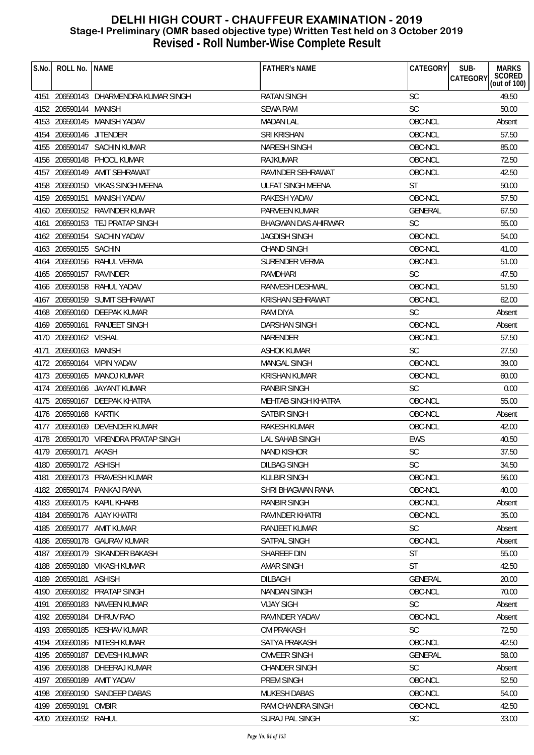| S.No.<br>ROLL No.   NAME        |                                       | <b>FATHER'S NAME</b>    | CATEGORY       | SUB-<br><b>MARKS</b>                      |
|---------------------------------|---------------------------------------|-------------------------|----------------|-------------------------------------------|
|                                 |                                       |                         |                | SCORED<br>(out of 100)<br><b>CATEGORY</b> |
|                                 | 4151 206590143 DHARMENDRA KUMAR SINGH | <b>RATAN SINGH</b>      | <b>SC</b>      | 49.50                                     |
| 4152 206590144 MANISH           |                                       | <b>SEWA RAM</b>         | SC             | 50.00                                     |
| 4153 206590145 MANISH YADAV     |                                       | <b>MADAN LAL</b>        | OBC-NCL        | Absent                                    |
| 4154 206590146 JITENDER         |                                       | <b>SRI KRISHAN</b>      | OBC-NCL        | 57.50                                     |
| 4155 206590147 SACHIN KUMAR     |                                       | <b>NARESH SINGH</b>     | OBC-NCL        | 85.00                                     |
| 4156 206590148 PHOOL KUMAR      |                                       | <b>RAJKUMAR</b>         | OBC-NCL        | 72.50                                     |
| 4157 206590149 AMIT SEHRAWAT    |                                       | RAVINDER SEHRAWAT       | OBC-NCL        | 42.50                                     |
|                                 | 4158 206590150 VIKAS SINGH MEENA      | ULFAT SINGH MEENA       | <b>ST</b>      | 50.00                                     |
| 4159 206590151 MANISH YADAV     |                                       | RAKESH YADAV            | OBC-NCL        | 57.50                                     |
| 4160 206590152 RAVINDER KUMAR   |                                       | PARVEEN KUMAR           | <b>GENERAL</b> | 67.50                                     |
| 4161 206590153 TEJ PRATAP SINGH |                                       | BHAGWAN DAS AHIRWAR     | <b>SC</b>      | 55.00                                     |
| 4162 206590154 SACHIN YADAV     |                                       | <b>JAGDISH SINGH</b>    | OBC-NCL        | 54.00                                     |
| 4163 206590155 SACHIN           |                                       | <b>CHAND SINGH</b>      | OBC-NCL        | 41.00                                     |
| 4164 206590156 RAHUL VERMA      |                                       | <b>SURENDER VERMA</b>   | OBC-NCL        | 51.00                                     |
| 4165 206590157 RAVINDER         |                                       | RAMDHARI                | <b>SC</b>      | 47.50                                     |
| 4166 206590158 RAHUL YADAV      |                                       | RANVESH DESHWAL         | OBC-NCL        | 51.50                                     |
| 4167 206590159 SUMIT SEHRAWAT   |                                       | <b>KRISHAN SEHRAWAT</b> | OBC-NCL        | 62.00                                     |
| 4168 206590160 DEEPAK KUMAR     |                                       | RAM DIYA                | <b>SC</b>      | Absent                                    |
| 4169 206590161 RANJEET SINGH    |                                       | DARSHAN SINGH           | OBC-NCL        | Absent                                    |
| 4170 206590162 VISHAL           |                                       | NARENDER                | OBC-NCL        | 57.50                                     |
| 4171 206590163 MANISH           |                                       | ASHOK KUMAR             | <b>SC</b>      | 27.50                                     |
| 4172 206590164 VIPIN YADAV      |                                       | <b>MANGAL SINGH</b>     | OBC-NCL        | 39.00                                     |
| 4173 206590165 MANOJ KUMAR      |                                       | <b>KRISHAN KUMAR</b>    | OBC-NCL        | 60.00                                     |
| 4174 206590166 JAYANT KUMAR     |                                       | RANBIR SINGH            | <b>SC</b>      | 0.00                                      |
| 4175 206590167 DEEPAK KHATRA    |                                       | MEHTAB SINGH KHATRA     | OBC-NCL        | 55.00                                     |
| 4176 206590168 KARTIK           |                                       | SATBIR SINGH            | OBC-NCL        | Absent                                    |
| 4177 206590169 DEVENDER KUMAR   |                                       | <b>RAKESH KUMAR</b>     | OBC-NCL        | 42.00                                     |
|                                 | 4178 206590170 VIRENDRA PRATAP SINGH  | LAL SAHAB SINGH         | <b>EWS</b>     | 40.50                                     |
| 4179 206590171 AKASH            |                                       | <b>NAND KISHOR</b>      | SC             | 37.50                                     |
| 4180 206590172 ASHISH           |                                       | <b>DILBAG SINGH</b>     | <b>SC</b>      | 34.50                                     |
| 4181                            | 206590173 PRAVESH KUMAR               | <b>KULBIR SINGH</b>     | OBC-NCL        | 56.00                                     |
| 4182 206590174 PANKAJ RANA      |                                       | SHRI BHAGWAN RANA       | OBC-NCL        | 40.00                                     |
| 4183 206590175 KAPIL KHARB      |                                       | <b>RANBIR SINGH</b>     | OBC-NCL        | Absent                                    |
| 4184 206590176 AJAY KHATRI      |                                       | RAVINDER KHATRI         | OBC-NCL        | 35.00                                     |
| 4185 206590177 AMIT KUMAR       |                                       | RANJEET KUMAR           | <b>SC</b>      | Absent                                    |
| 4186                            | 206590178 GAURAV KUMAR                | SATPAL SINGH            | OBC-NCL        | Absent                                    |
| 4187                            | 206590179 SIKANDER BAKASH             | SHAREEF DIN             | ST             | 55.00                                     |
| 4188 206590180 VIKASH KUMAR     |                                       | <b>AMAR SINGH</b>       | <b>ST</b>      | 42.50                                     |
| 4189 206590181                  | <b>ASHISH</b>                         | <b>DILBAGH</b>          | <b>GENERAL</b> | 20.00                                     |
| 4190 206590182 PRATAP SINGH     |                                       | <b>NANDAN SINGH</b>     | OBC-NCL        | 70.00                                     |
| 4191                            | 206590183 NAVEEN KUMAR                | <b>VIJAY SIGH</b>       | <b>SC</b>      | Absent                                    |
| 4192 206590184                  | DHRUV RAO                             | RAVINDER YADAV          | OBC-NCL        | Absent                                    |
| 4193 206590185 KESHAV KUMAR     |                                       | <b>OM PRAKASH</b>       | SC             | 72.50                                     |
| 4194                            | 206590186 NITESH KUMAR                | SATYA PRAKASH           | OBC-NCL        | 42.50                                     |
| 4195 206590187 DEVESH KUMAR     |                                       | <b>OMVEER SINGH</b>     | GENERAL        | 58.00                                     |
| 4196 206590188 DHEERAJ KUMAR    |                                       | <b>CHANDER SINGH</b>    | <b>SC</b>      | Absent                                    |
| 206590189<br>4197               | AMIT YADAV                            | PREM SINGH              | OBC-NCL        | 52.50                                     |
| 4198 206590190                  | SANDEEP DABAS                         | <b>MUKESH DABAS</b>     | OBC-NCL        | 54.00                                     |
| 4199 206590191                  | <b>OMBIR</b>                          | RAM CHANDRA SINGH       | OBC-NCL        | 42.50                                     |
| 4200 206590192 RAHUL            |                                       | <b>SURAJ PAL SINGH</b>  | <b>SC</b>      | 33.00                                     |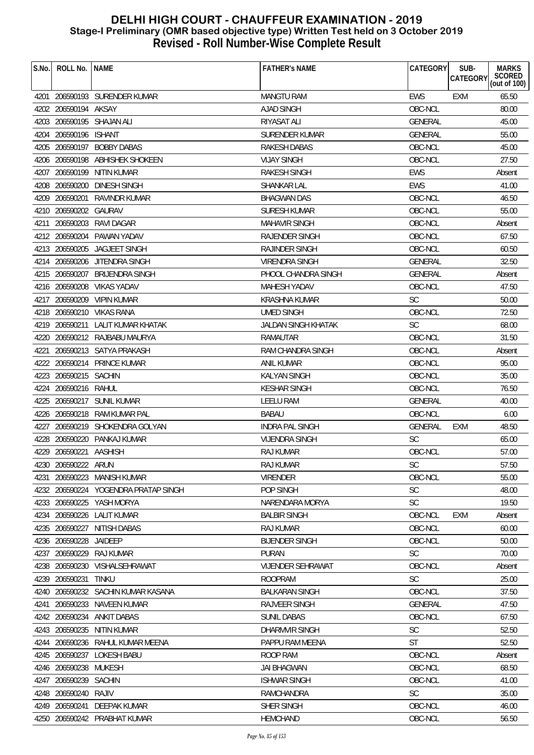| S.No. | ROLL No.               | <b>NAME</b>                          | <b>FATHER'S NAME</b>       | CATEGORY       | SUB-<br><b>CATEGORY</b> | <b>MARKS</b><br>SCORED<br>(out of 100) |
|-------|------------------------|--------------------------------------|----------------------------|----------------|-------------------------|----------------------------------------|
|       |                        | 4201 206590193 SURENDER KUMAR        | <b>MANGTU RAM</b>          | <b>EWS</b>     | <b>EXM</b>              | 65.50                                  |
|       | 4202 206590194 AKSAY   |                                      | AJAD SINGH                 | OBC-NCL        |                         | 80.00                                  |
|       |                        | 4203 206590195 SHAJAN ALI            | <b>RIYASAT ALI</b>         | <b>GENERAL</b> |                         | 45.00                                  |
| 4204  | 206590196 ISHANT       |                                      | SURENDER KUMAR             | <b>GENERAL</b> |                         | 55.00                                  |
|       |                        | 4205 206590197 BOBBY DABAS           | <b>RAKESH DABAS</b>        | OBC-NCL        |                         | 45.00                                  |
|       | 4206 206590198         | ABHISHEK SHOKEEN                     | <b>VIJAY SINGH</b>         | OBC-NCL        |                         | 27.50                                  |
|       |                        | 4207 206590199 NITIN KUMAR           | <b>RAKESH SINGH</b>        | EWS            |                         | Absent                                 |
|       |                        | 4208 206590200 DINESH SINGH          | <b>SHANKAR LAL</b>         | <b>EWS</b>     |                         | 41.00                                  |
|       | 4209 206590201         | RAVINDR KUMAR                        | <b>BHAGWAN DAS</b>         | OBC-NCL        |                         | 46.50                                  |
|       | 4210 206590202 GAURAV  |                                      | <b>SURESH KUMAR</b>        | OBC-NCL        |                         | 55.00                                  |
| 4211  | 206590203              | RAVI DAGAR                           | <b>MAHAVIR SINGH</b>       | OBC-NCL        |                         | Absent                                 |
|       |                        | 4212 206590204 PAWAN YADAV           | <b>RAJENDER SINGH</b>      | OBC-NCL        |                         | 67.50                                  |
|       | 4213 206590205         | JAGJEET SINGH                        | RAJINDER SINGH             | OBC-NCL        |                         | 60.50                                  |
|       | 4214 206590206         | JITENDRA SINGH                       | VIRENDRA SINGH             | <b>GENERAL</b> |                         | 32.50                                  |
|       |                        | 4215 206590207 BRIJENDRA SINGH       | PHOOL CHANDRA SINGH        | GENERAL        |                         | Absent                                 |
|       | 4216 206590208         | VIKAS YADAV                          | <b>MAHESH YADAV</b>        | OBC-NCL        |                         | 47.50                                  |
|       | 4217 206590209         | <b>VIPIN KUMAR</b>                   | KRASHNA KUMAR              | <b>SC</b>      |                         | 50.00                                  |
|       |                        | 4218 206590210 VIKAS RANA            | <b>UMED SINGH</b>          | OBC-NCL        |                         | 72.50                                  |
|       |                        | 4219 206590211 LALIT KUMAR KHATAK    | <b>JALDAN SINGH KHATAK</b> | <b>SC</b>      |                         | 68.00                                  |
|       |                        | 4220 206590212 RAJBABU MAURYA        | RAMAUTAR                   | OBC-NCL        |                         | 31.50                                  |
| 4221  |                        | 206590213 SATYA PRAKASH              | RAM CHANDRA SINGH          | OBC-NCL        |                         | Absent                                 |
|       |                        | 4222 206590214 PRINCE KUMAR          | ANIL KUMAR                 | OBC-NCL        |                         | 95.00                                  |
|       | 4223 206590215 SACHIN  |                                      | <b>KALYAN SINGH</b>        | OBC-NCL        |                         | 35.00                                  |
|       | 4224 206590216 RAHUL   |                                      | <b>KESHAR SINGH</b>        | OBC-NCL        |                         | 76.50                                  |
|       |                        | 4225 206590217 SUNIL KUMAR           | <b>LEELU RAM</b>           | <b>GENERAL</b> |                         | 40.00                                  |
| 4226  |                        | 206590218 RAM KUMAR PAL              | <b>BABAU</b>               | OBC-NCL        |                         | 6.00                                   |
| 4227  |                        | 206590219 SHOKENDRA GOLYAN           | <b>INDRA PAL SINGH</b>     | <b>GENERAL</b> | <b>EXM</b>              | 48.50                                  |
|       |                        | 4228 206590220 PANKAJ KUMAR          | <b>VIJENDRA SINGH</b>      | <b>SC</b>      |                         | 65.00                                  |
|       | 4229 206590221 AASHISH |                                      | <b>RAJ KUMAR</b>           | OBC-NCL        |                         | 57.00                                  |
|       | 4230 206590222 ARUN    |                                      | RAJ KUMAR                  | SC             |                         | 57.50                                  |
|       |                        | 4231 206590223 MANISH KUMAR          | <b>VIRENDER</b>            | OBC-NCL        |                         | 55.00                                  |
|       |                        | 4232 206590224 YOGENDRA PRATAP SINGH | POP SINGH                  | <b>SC</b>      |                         | 48.00                                  |
|       |                        | 4233 206590225 YASH MORYA            | NARENDARA MORYA            | <b>SC</b>      |                         | 19.50                                  |
|       | 4234 206590226         | <b>LALIT KUMAR</b>                   | <b>BALBIR SINGH</b>        | OBC-NCL        | <b>EXM</b>              | Absent                                 |
|       |                        | 4235 206590227 NITISH DABAS          | <b>RAJ KUMAR</b>           | OBC-NCL        |                         | 60.00                                  |
|       | 4236 206590228         | <b>JAIDEEP</b>                       | <b>BIJENDER SINGH</b>      | OBC-NCL        |                         | 50.00                                  |
|       |                        | 4237 206590229 RAJ KUMAR             | <b>PURAN</b>               | <b>SC</b>      |                         | 70.00                                  |
|       |                        | 4238  206590230  VISHALSEHRAWAT      | <b>VIJENDER SEHRAWAT</b>   | OBC-NCL        |                         | Absent                                 |
| 4239  | 206590231              | <b>TINKU</b>                         | <b>ROOPRAM</b>             | <b>SC</b>      |                         | 25.00                                  |
|       |                        | 4240 206590232 SACHIN KUMAR KASANA   | <b>BALKARAN SINGH</b>      | OBC-NCL        |                         | 37.50                                  |
|       |                        | 4241 206590233 NAVEEN KUMAR          | RAJVEER SINGH              | <b>GENERAL</b> |                         | 47.50                                  |
|       |                        | 4242 206590234 ANKIT DABAS           | <b>SUNIL DABAS</b>         | OBC-NCL        |                         | 67.50                                  |
|       |                        | 4243 206590235 NITIN KUMAR           | DHARMVIR SINGH             | SC             |                         | 52.50                                  |
|       |                        | 4244 206590236 RAHUL KUMAR MEENA     | PAPPU RAM MEENA            | <b>ST</b>      |                         | 52.50                                  |
|       | 4245 206590237         | LOKESH BABU                          | ROOP RAM                   | OBC-NCL        |                         | Absent                                 |
|       | 4246 206590238 MUKESH  |                                      | JAI BHAGWAN                | OBC-NCL        |                         | 68.50                                  |
| 4247  | 206590239              | <b>SACHIN</b>                        | <b>ISHWAR SINGH</b>        | OBC-NCL        |                         | 41.00                                  |
|       | 4248 206590240         | RAJIV                                | RAMCHANDRA                 | <b>SC</b>      |                         | 35.00                                  |
|       |                        | 4249 206590241 DEEPAK KUMAR          | SHER SINGH                 | OBC-NCL        |                         | 46.00                                  |
|       |                        | 4250 206590242 PRABHAT KUMAR         | <b>HEMCHAND</b>            | OBC-NCL        |                         | 56.50                                  |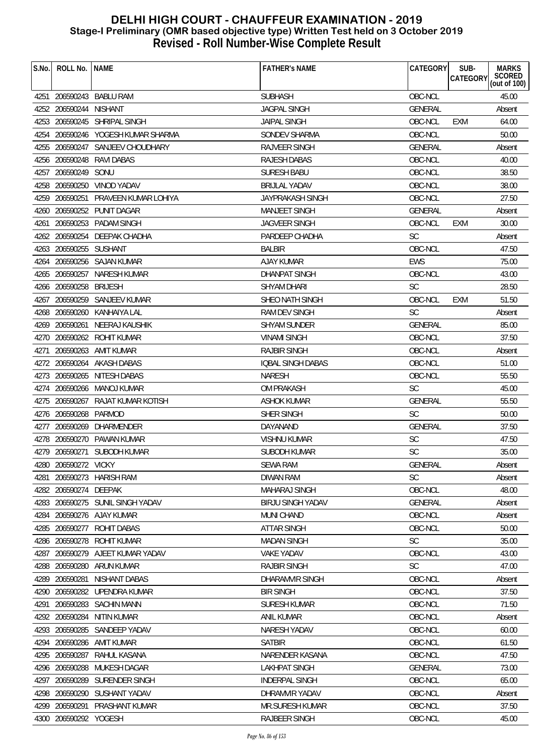| S.No. | ROLL No.   NAME        |                                     | <b>FATHER'S NAME</b>     | CATEGORY       | SUB-<br><b>CATEGORY</b> | <b>MARKS</b><br>SCORED<br>(out of 100) |
|-------|------------------------|-------------------------------------|--------------------------|----------------|-------------------------|----------------------------------------|
|       |                        | 4251 206590243 BABLU RAM            | <b>SUBHASH</b>           | OBC-NCL        |                         | 45.00                                  |
|       | 4252 206590244 NISHANT |                                     | <b>JAGPAL SINGH</b>      | GENERAL        |                         | Absent                                 |
|       |                        | 4253 206590245 SHRIPAL SINGH        | <b>JAIPAL SINGH</b>      | OBC-NCL        | EXM                     | 64.00                                  |
| 4254  |                        | 206590246 YOGESH KUMAR SHARMA       | SONDEV SHARMA            | OBC-NCL        |                         | 50.00                                  |
|       |                        | 4255 206590247 SANJEEV CHOUDHARY    | RAJVEER SINGH            | <b>GENERAL</b> |                         | Absent                                 |
|       |                        | 4256 206590248 RAVI DABAS           | <b>RAJESH DABAS</b>      | OBC-NCL        |                         | 40.00                                  |
|       | 4257 206590249 SONU    |                                     | <b>SURESH BABU</b>       | OBC-NCL        |                         | 38.50                                  |
|       |                        | 4258 206590250 VINOD YADAV          | <b>BRIJLAL YADAV</b>     | OBC-NCL        |                         | 38.00                                  |
|       |                        | 4259 206590251 PRAVEEN KUMAR LOHIYA | JAYPRAKASH SINGH         | OBC-NCL        |                         | 27.50                                  |
|       |                        | 4260 206590252 PUNIT DAGAR          | <b>MANJEET SINGH</b>     | <b>GENERAL</b> |                         | Absent                                 |
|       |                        | 4261 206590253 PADAM SINGH          | <b>JAGVEER SINGH</b>     | OBC-NCL        | <b>EXM</b>              | 30.00                                  |
|       |                        | 4262 206590254 DEEPAK CHADHA        | PARDEEP CHADHA           | <b>SC</b>      |                         | Absent                                 |
|       | 4263 206590255 SUSHANT |                                     | <b>BALBIR</b>            | OBC-NCL        |                         | 47.50                                  |
|       |                        | 4264 206590256 SAJAN KUMAR          | AJAY KUMAR               | <b>EWS</b>     |                         | 75.00                                  |
|       |                        | 4265 206590257 NARESH KUMAR         | <b>DHANPAT SINGH</b>     | OBC-NCL        |                         | 43.00                                  |
|       | 4266 206590258         | BRIJESH                             | <b>SHYAM DHARI</b>       | <b>SC</b>      |                         | 28.50                                  |
|       |                        | 4267 206590259 SANJEEV KUMAR        | SHEO NATH SINGH          | OBC-NCL        | EXM                     | 51.50                                  |
|       |                        | 4268 206590260 KANHAIYA LAL         | RAM DEV SINGH            | <b>SC</b>      |                         | Absent                                 |
|       | 4269 206590261         | NEERAJ KAUSHIK                      | <b>SHYAM SUNDER</b>      | <b>GENERAL</b> |                         | 85.00                                  |
|       |                        | 4270 206590262 ROHIT KUMAR          | <b>VINAMI SINGH</b>      | OBC-NCL        |                         | 37.50                                  |
| 4271  |                        | 206590263 AMIT KUMAR                | <b>RAJBIR SINGH</b>      | OBC-NCL        |                         | Absent                                 |
|       |                        | 4272 206590264 AKASH DABAS          | <b>IQBAL SINGH DABAS</b> | OBC-NCL        |                         | 51.00                                  |
|       |                        | 4273 206590265 NITESH DABAS         | <b>NARESH</b>            | OBC-NCL        |                         | 55.50                                  |
|       |                        | 4274 206590266 MANOJ KUMAR          | <b>OM PRAKASH</b>        | <b>SC</b>      |                         | 45.00                                  |
|       |                        | 4275 206590267 RAJAT KUMAR KOTISH   | <b>ASHOK KUMAR</b>       | <b>GENERAL</b> |                         | 55.50                                  |
|       | 4276 206590268 PARMOD  |                                     | SHER SINGH               | <b>SC</b>      |                         | 50.00                                  |
|       |                        | 4277 206590269 DHARMENDER           | DAYANAND                 | <b>GENERAL</b> |                         | 37.50                                  |
|       |                        | 4278 206590270 PAWAN KUMAR          | <b>VISHNU KUMAR</b>      | <b>SC</b>      |                         | 47.50                                  |
|       |                        | 4279 206590271 SUBODH KUMAR         | <b>SUBODH KUMAR</b>      | SC             |                         | 35.00                                  |
|       | 4280 206590272 VICKY   |                                     | <b>SEWA RAM</b>          | GENERAL        |                         | Absent                                 |
| 4281  |                        | 206590273 HARISH RAM                | <b>DIWAN RAM</b>         | <b>SC</b>      |                         | Absent                                 |
|       | 4282 206590274 DEEPAK  |                                     | <b>MAHARAJ SINGH</b>     | OBC-NCL        |                         | 48.00                                  |
|       |                        | 4283 206590275 SUNIL SINGH YADAV    | <b>BIRJU SINGH YADAV</b> | <b>GENERAL</b> |                         | Absent                                 |
| 4284  |                        | 206590276 AJAY KUMAR                | <b>MUNI CHAND</b>        | OBC-NCL        |                         | Absent                                 |
|       | 4285 206590277         | ROHIT DABAS                         | <b>ATTAR SINGH</b>       | OBC-NCL        |                         | 50.00                                  |
| 4286  | 206590278              | ROHIT KUMAR                         | <b>MADAN SINGH</b>       | <b>SC</b>      |                         | 35.00                                  |
| 4287  | 206590279              | AJEET KUMAR YADAV                   | <b>VAKE YADAV</b>        | OBC-NCL        |                         | 43.00                                  |
|       | 4288 206590280         | ARUN KUMAR                          | <b>RAJBIR SINGH</b>      | <b>SC</b>      |                         | 47.00                                  |
| 4289  | 206590281              | NISHANT DABAS                       | DHARAMVIR SINGH          | OBC-NCL        |                         | Absent                                 |
| 4290  |                        | 206590282 UPENDRA KUMAR             | <b>BIR SINGH</b>         | OBC-NCL        |                         | 37.50                                  |
| 4291  | 206590283              | SACHIN MANN                         | SURESH KUMAR             | OBC-NCL        |                         | 71.50                                  |
| 4292  | 206590284              | NITIN KUMAR                         | <b>ANIL KUMAR</b>        | OBC-NCL        |                         | Absent                                 |
| 4293  |                        | 206590285 SANDEEP YADAV             | NARESH YADAV             | OBC-NCL        |                         | 60.00                                  |
| 4294  | 206590286              | AMIT KUMAR                          | <b>SATBIR</b>            | OBC-NCL        |                         | 61.50                                  |
| 4295  | 206590287              | RAHUL KASANA                        | NARENDER KASANA          | OBC-NCL        |                         | 47.50                                  |
|       | 4296 206590288         | MUKESH DAGAR                        | <b>LAKHPAT SINGH</b>     | GENERAL        |                         | 73.00                                  |
| 4297  | 206590289              | SURENDER SINGH                      | <b>INDERPAL SINGH</b>    | OBC-NCL        |                         | 65.00                                  |
| 4298  |                        | 206590290 SUSHANT YADAV             | DHRAMVIR YADAV           | OBC-NCL        |                         | Absent                                 |
| 4299  | 206590291              | PRASHANT KUMAR                      | <b>MR.SURESH KUMAR</b>   | OBC-NCL        |                         | 37.50                                  |
|       | 4300 206590292 YOGESH  |                                     | <b>RAJBEER SINGH</b>     | OBC-NCL        |                         | 45.00                                  |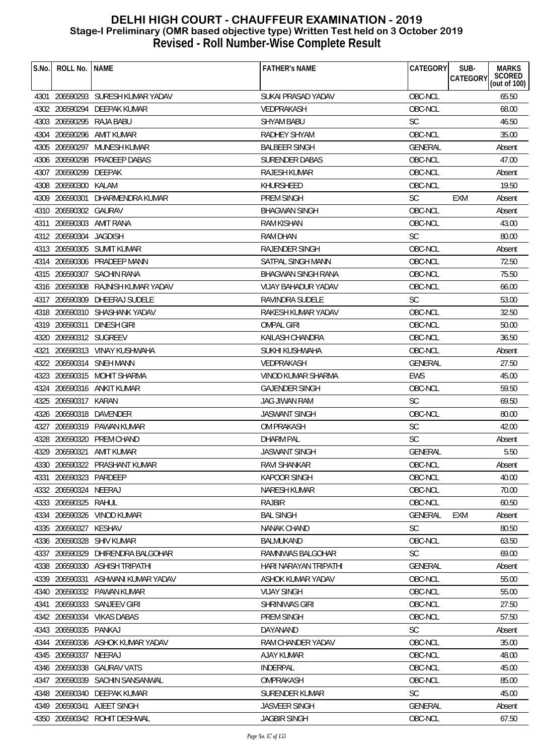| S.No. | ROLL No.               | <b>NAME</b>                       | <b>FATHER'S NAME</b>       | CATEGORY       | SUB-<br><b>MARKS</b><br>SCORED<br>(out of 100)<br>CATEGORY |
|-------|------------------------|-----------------------------------|----------------------------|----------------|------------------------------------------------------------|
|       |                        | 4301 206590293 SURESH KUMAR YADAV | SUKAI PRASAD YADAV         | OBC-NCL        | 65.50                                                      |
|       |                        | 4302 206590294 DEEPAK KUMAR       | VEDPRAKASH                 | OBC-NCL        | 68.00                                                      |
|       |                        | 4303 206590295 RAJA BABU          | <b>SHYAM BABU</b>          | <b>SC</b>      | 46.50                                                      |
|       |                        | 4304 206590296 AMIT KUMAR         | RADHEY SHYAM               | OBC-NCL        | 35.00                                                      |
|       | 4305 206590297         | MUNESH KUMAR                      | <b>BALBEER SINGH</b>       | GENERAL        | Absent                                                     |
|       | 4306 206590298         | PRADEEP DABAS                     | <b>SURENDER DABAS</b>      | OBC-NCL        | 47.00                                                      |
|       | 4307 206590299         | DEEPAK                            | <b>RAJESH KUMAR</b>        | OBC-NCL        | Absent                                                     |
|       | 4308 206590300         | KALAM                             | KHURSHEED                  | OBC-NCL        | 19.50                                                      |
|       | 4309 206590301         | DHARMENDRA KUMAR                  | PREM SINGH                 | <b>SC</b>      | <b>EXM</b><br>Absent                                       |
|       | 4310 206590302 GAURAV  |                                   | <b>BHAGWAN SINGH</b>       | OBC-NCL        | Absent                                                     |
|       | 4311 206590303         | AMIT RANA                         | RAM KISHAN                 | OBC-NCL        | 43.00                                                      |
|       | 4312 206590304         | <b>JAGDISH</b>                    | <b>RAM DHAN</b>            | <b>SC</b>      | 80.00                                                      |
|       |                        | 4313 206590305 SUMIT KUMAR        | RAJENDER SINGH             | OBC-NCL        | Absent                                                     |
|       | 4314 206590306         | PRADEEP MANN                      | SATPAL SINGH MANN          | OBC-NCL        | 72.50                                                      |
|       |                        | 4315 206590307 SACHIN RANA        | <b>BHAGWAN SINGH RANA</b>  | OBC-NCL        | 75.50                                                      |
|       | 4316 206590308         | RAJNISH KUMAR YADAV               | <b>VIJAY BAHADUR YADAV</b> | OBC-NCL        | 66.00                                                      |
|       |                        | 4317 206590309 DHEERAJ SUDELE     | <b>RAVINDRA SUDELE</b>     | <b>SC</b>      | 53.00                                                      |
|       |                        | 4318 206590310 SHASHANK YADAV     | RAKESH KUMAR YADAV         | OBC-NCL        | 32.50                                                      |
|       |                        | 4319 206590311 DINESH GIRI        | <b>OMPAL GIRI</b>          | OBC-NCL        | 50.00                                                      |
|       | 4320 206590312 SUGREEV |                                   | KAILASH CHANDRA            | OBC-NCL        | 36.50                                                      |
|       |                        | 4321 206590313 VINAY KUSHWAHA     | SUKHI KUSHWAHA             | OBC-NCL        | Absent                                                     |
|       | 4322 206590314         | SNEH MANN                         | <b>VEDPRAKASH</b>          | <b>GENERAL</b> | 27.50                                                      |
|       |                        | 4323 206590315 MOHIT SHARMA       | <b>VINOD KUMAR SHARMA</b>  | <b>EWS</b>     | 45.00                                                      |
|       |                        | 4324 206590316 ANKIT KUMAR        | <b>GAJENDER SINGH</b>      | OBC-NCL        | 59.50                                                      |
|       | 4325 206590317 KARAN   |                                   | JAG JIWAN RAM              | <b>SC</b>      | 69.50                                                      |
|       |                        | 4326 206590318 DAVENDER           | <b>JASWANT SINGH</b>       | OBC-NCL        | 80.00                                                      |
|       |                        | 4327 206590319 PAWAN KUMAR        | <b>OM PRAKASH</b>          | <b>SC</b>      | 42.00                                                      |
|       |                        | 4328 206590320 PREM CHAND         | <b>DHARM PAL</b>           | <b>SC</b>      | Absent                                                     |
|       |                        | 4329 206590321 AMIT KUMAR         | <b>JASWANT SINGH</b>       | <b>GENERAL</b> | 5.50                                                       |
| 4330  |                        | 206590322 PRASHANT KUMAR          | RAVI SHANKAR               | OBC-NCL        | Absent                                                     |
|       | 4331 206590323 PARDEEP |                                   | KAPOOR SINGH               | OBC-NCL        | 40.00                                                      |
|       | 4332 206590324 NEERAJ  |                                   | <b>NARESH KUMAR</b>        | OBC-NCL        | 70.00                                                      |
|       | 4333 206590325 RAHUL   |                                   | <b>RAJBIR</b>              | OBC-NCL        | 60.50                                                      |
|       |                        | 4334 206590326 VINOD KUMAR        | <b>BAL SINGH</b>           | GENERAL        | <b>EXM</b><br>Absent                                       |
|       | 4335 206590327         | KESHAV                            | NANAK CHAND                | <b>SC</b>      | 80.50                                                      |
|       | 4336 206590328         | <b>SHIV KUMAR</b>                 | <b>BALMUKAND</b>           | OBC-NCL        | 63.50                                                      |
|       |                        | 4337 206590329 DHIRENDRA BALGOHAR | RAMNIWAS BALGOHAR          | <b>SC</b>      | 69.00                                                      |
|       |                        | 4338 206590330 ASHISH TRIPATHI    | HARI NARAYAN TRIPATHI      | <b>GENERAL</b> | Absent                                                     |
| 4339  | 206590331              | ASHWANI KUMAR YADAV               | ASHOK KUMAR YADAV          | OBC-NCL        | 55.00                                                      |
|       |                        | 4340 206590332 PAWAN KUMAR        | <b>VIJAY SINGH</b>         | OBC-NCL        | 55.00                                                      |
| 4341  |                        | 206590333 SANJEEV GIRI            | SHRINIWAS GIRI             | OBC-NCL        | 27.50                                                      |
|       |                        | 4342 206590334 VIKAS DABAS        | PREM SINGH                 | OBC-NCL        | 57.50                                                      |
|       | 4343 206590335 PANKAJ  |                                   | DAYANAND                   | <b>SC</b>      | Absent                                                     |
| 4344  |                        | 206590336 ASHOK KUMAR YADAV       | RAM CHANDER YADAV          | OBC-NCL        | 35.00                                                      |
|       | 4345 206590337         | NEERAJ                            | <b>AJAY KUMAR</b>          | OBC-NCL        | 48.00                                                      |
|       | 4346 206590338         | <b>GAURAV VATS</b>                | INDERPAL                   | OBC-NCL        | 45.00                                                      |
| 4347  | 206590339              | SACHIN SANSANWAL                  | OMPRAKASH                  | OBC-NCL        | 85.00                                                      |
|       | 4348 206590340         | DEEPAK KUMAR                      | SURENDER KUMAR             | <b>SC</b>      | 45.00                                                      |
|       |                        | 4349 206590341 AJEET SINGH        | <b>JASVEER SINGH</b>       | GENERAL        | Absent                                                     |
|       |                        | 4350 206590342 ROHIT DESHWAL      | <b>JAGBIR SINGH</b>        | OBC-NCL        | 67.50                                                      |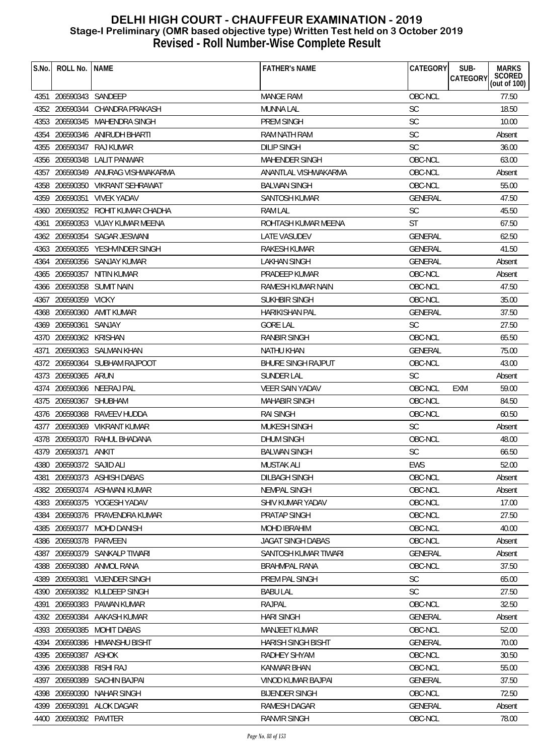| S.No. | ROLL No.                 | <b>NAME</b>                       | <b>FATHER'S NAME</b>      | <b>CATEGORY</b> | <b>MARKS</b><br>SUB-<br>SCORED     |
|-------|--------------------------|-----------------------------------|---------------------------|-----------------|------------------------------------|
|       |                          |                                   |                           |                 | <b>CATEGORY</b><br>(out of $100$ ) |
|       | 4351 206590343 SANDEEP   |                                   | <b>MANGE RAM</b>          | OBC-NCL         | 77.50                              |
|       |                          | 4352 206590344 CHANDRA PRAKASH    | <b>MUNNA LAL</b>          | <b>SC</b>       | 18.50                              |
|       |                          | 4353 206590345 MAHENDRA SINGH     | <b>PREM SINGH</b>         | SC              | 10.00                              |
|       |                          | 4354 206590346 ANIRUDH BHARTI     | <b>RAM NATH RAM</b>       | SC              | Absent                             |
|       |                          | 4355 206590347 RAJ KUMAR          | <b>DILIP SINGH</b>        | <b>SC</b>       | 36.00                              |
|       |                          | 4356 206590348 LALIT PANWAR       | <b>MAHENDER SINGH</b>     | OBC-NCL         | 63.00                              |
|       |                          | 4357 206590349 ANURAG VISHWAKARMA | ANANTLAL VISHWAKARMA      | OBC-NCL         | Absent                             |
|       |                          | 4358 206590350 VIKRANT SEHRAWAT   | <b>BALWAN SINGH</b>       | OBC-NCL         | 55.00                              |
|       | 4359 206590351           | <b>VIVEK YADAV</b>                | SANTOSH KUMAR             | <b>GENERAL</b>  | 47.50                              |
|       |                          | 4360 206590352 ROHIT KUMAR CHADHA | RAM LAL                   | <b>SC</b>       | 45.50                              |
| 4361  |                          | 206590353 VIJAY KUMAR MEENA       | ROHTASH KUMAR MEENA       | <b>ST</b>       | 67.50                              |
|       |                          | 4362 206590354 SAGAR JESWANI      | LATE VASUDEV              | <b>GENERAL</b>  | 62.50                              |
|       |                          | 4363 206590355 YESHVINDER SINGH   | RAKESH KUMAR              | <b>GENERAL</b>  | 41.50                              |
| 4364  |                          | 206590356 SANJAY KUMAR            | <b>LAKHAN SINGH</b>       | <b>GENERAL</b>  | Absent                             |
|       |                          | 4365 206590357 NITIN KUMAR        | PRADEEP KUMAR             | OBC-NCL         | Absent                             |
|       |                          | 4366 206590358 SUMIT NAIN         | RAMESH KUMAR NAIN         | OBC-NCL         | 47.50                              |
|       | 4367 206590359 VICKY     |                                   | SUKHBIR SINGH             | OBC-NCL         | 35.00                              |
|       |                          | 4368 206590360 AMIT KUMAR         | <b>HARIKISHAN PAL</b>     | <b>GENERAL</b>  | 37.50                              |
|       | 4369 206590361           | SANJAY                            | <b>GORE LAL</b>           | <b>SC</b>       | 27.50                              |
|       | 4370 206590362 KRISHAN   |                                   | <b>RANBIR SINGH</b>       | OBC-NCL         | 65.50                              |
| 4371  |                          | 206590363 SALMAN KHAN             | <b>NATHU KHAN</b>         | GENERAL         | 75.00                              |
|       |                          | 4372 206590364 SUBHAM RAJPOOT     | <b>BHURE SINGH RAJPUT</b> | OBC-NCL         | 43.00                              |
|       | 4373 206590365 ARUN      |                                   | <b>SUNDER LAL</b>         | <b>SC</b>       | Absent                             |
|       |                          | 4374 206590366 NEERAJ PAL         | <b>VEER SAIN YADAV</b>    | OBC-NCL         | 59.00<br><b>EXM</b>                |
|       | 4375 206590367           | SHUBHAM                           | <b>MAHABIR SINGH</b>      | OBC-NCL         | 84.50                              |
|       |                          | 4376 206590368 RAVEEV HUDDA       | <b>RAI SINGH</b>          | OBC-NCL         | 60.50                              |
|       |                          | 4377 206590369 VIKRANT KUMAR      | <b>MUKESH SINGH</b>       | <b>SC</b>       | Absent                             |
|       |                          | 4378 206590370 RAHUL BHADANA      | <b>DHUM SINGH</b>         | OBC-NCL         | 48.00                              |
|       | 4379 206590371 ANKIT     |                                   | <b>BALWAN SINGH</b>       | <b>SC</b>       | 66.50                              |
|       | 4380 206590372 SAJID ALI |                                   | MUSTAK ALI                | EWS             | 52.00                              |
| 4381  |                          | 206590373 ASHISH DABAS            | <b>DILBAGH SINGH</b>      | OBC-NCL         | Absent                             |
|       |                          | 4382 206590374 ASHWANI KUMAR      | <b>NEMPAL SINGH</b>       | OBC-NCL         | Absent                             |
|       |                          | 4383 206590375 YOGESH YADAV       | SHIV KUMAR YADAV          | OBC-NCL         | 17.00                              |
|       |                          | 4384 206590376 PRAVENDRA KUMAR    | PRATAP SINGH              | OBC-NCL         | 27.50                              |
| 4385  |                          | 206590377 MOHD DANISH             | <b>MOHD IBRAHIM</b>       | OBC-NCL         | 40.00                              |
|       | 4386 206590378           | PARVEEN                           | <b>JAGAT SINGH DABAS</b>  | OBC-NCL         | Absent                             |
|       |                          | 4387 206590379 SANKALP TIWARI     | SANTOSH KUMAR TIWARI      | <b>GENERAL</b>  | Absent                             |
|       |                          | 4388 206590380 ANMOL RANA         | <b>BRAHMPAL RANA</b>      | OBC-NCL         | 37.50                              |
| 4389  | 206590381                | <b>VIJENDER SINGH</b>             | PREM PAL SINGH            | <b>SC</b>       | 65.00                              |
|       |                          | 4390 206590382 KULDEEP SINGH      | <b>BABU LAL</b>           | <b>SC</b>       | 27.50                              |
| 4391  | 206590383                | PAWAN KUMAR                       | RAJPAL                    | OBC-NCL         | 32.50                              |
|       | 4392 206590384           | AAKASH KUMAR                      | <b>HARI SINGH</b>         | <b>GENERAL</b>  | Absent                             |
|       |                          | 4393 206590385 MOHIT DABAS        | <b>MANJEET KUMAR</b>      | OBC-NCL         | 52.00                              |
|       |                          | 4394 206590386 HIMANSHU BISHT     | <b>HARISH SINGH BISHT</b> | <b>GENERAL</b>  | 70.00                              |
|       | 4395 206590387           | ASHOK                             | RADHEY SHYAM              | OBC-NCL         | 30.50                              |
| 4396  | 206590388                | RISHI RAJ                         | <b>KANWAR BHAN</b>        | OBC-NCL         | 55.00                              |
| 4397  | 206590389                | <b>SACHIN BAJPAI</b>              | VINOD KUMAR BAJPAI        | <b>GENERAL</b>  | 37.50                              |
| 4398  | 206590390                | <b>NAHAR SINGH</b>                | <b>BIJENDER SINGH</b>     | OBC-NCL         | 72.50                              |
|       |                          | 4399 206590391 ALOK DAGAR         | RAMESH DAGAR              | GENERAL         | Absent                             |
|       | 4400 206590392 PAVITER   |                                   | RANVIR SINGH              | OBC-NCL         | 78.00                              |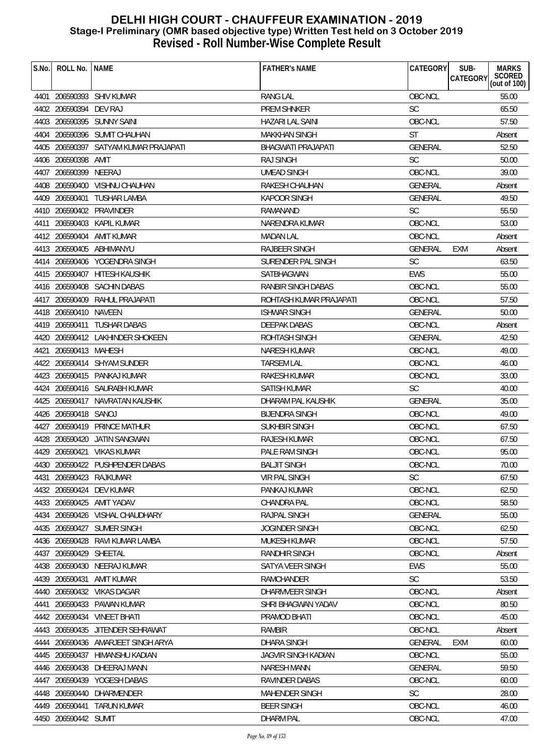| S.No. | ROLL No.               | <b>NAME</b>                           | <b>FATHER'S NAME</b>    | CATEGORY       | SUB-     | <b>MARKS</b>           |
|-------|------------------------|---------------------------------------|-------------------------|----------------|----------|------------------------|
|       |                        |                                       |                         |                | CATEGORY | SCORED<br>(out of 100) |
|       |                        | 4401 206590393 SHIV KUMAR             | <b>RANG LAL</b>         | OBC-NCL        |          | 55.00                  |
|       | 4402 206590394 DEV RAJ |                                       | <b>PREM SHNKER</b>      | <b>SC</b>      |          | 65.50                  |
|       |                        | 4403 206590395 SUNNY SAINI            | HAZARI LAL SAINI        | OBC-NCL        |          | 57.50                  |
|       |                        | 4404 206590396 SUMIT CHAUHAN          | <b>MAKKHAN SINGH</b>    | <b>ST</b>      |          | Absent                 |
|       |                        | 4405 206590397 SATYAM KUMAR PRAJAPATI | BHAGWATI PRAJAPATI      | <b>GENERAL</b> |          | 52.50                  |
|       | 4406 206590398         | AMIT                                  | <b>RAJ SINGH</b>        | <b>SC</b>      |          | 50.00                  |
|       | 4407 206590399 NEERAJ  |                                       | UMEAD SINGH             | OBC-NCL        |          | 39.00                  |
|       |                        | 4408 206590400 VISHNU CHAUHAN         | RAKESH CHAUHAN          | <b>GENERAL</b> |          | Absent                 |
|       | 4409 206590401         | <b>TUSHAR LAMBA</b>                   | <b>KAPOOR SINGH</b>     | <b>GENERAL</b> |          | 49.50                  |
|       |                        | 4410 206590402 PRAVINDER              | RAMANAND                | <b>SC</b>      |          | 55.50                  |
|       |                        | 4411 206590403 KAPIL KUMAR            | NARENDRA KUMAR          | OBC-NCL        |          | 53.00                  |
|       |                        | 4412 206590404 AMIT KUMAR             | <b>MADAN LAL</b>        | OBC-NCL        |          | Absent                 |
|       |                        | 4413 206590405 ABHIMANYU              | <b>RAJBEER SINGH</b>    | GENERAL        | EXM      | Absent                 |
|       |                        | 4414 206590406 YOGENDRA SINGH         | SURENDER PAL SINGH      | <b>SC</b>      |          | 63.50                  |
|       |                        | 4415 206590407 HITESH KAUSHIK         | SATBHAGWAN              | <b>EWS</b>     |          | 55.00                  |
|       |                        | 4416 206590408 SACHIN DABAS           | RANBIR SINGH DABAS      | OBC-NCL        |          | 55.00                  |
|       |                        | 4417 206590409 RAHUL PRAJAPATI        | ROHTASH KUMAR PRAJAPATI | OBC-NCL        |          | 57.50                  |
|       | 4418 206590410 NAVEEN  |                                       | <b>ISHWAR SINGH</b>     | <b>GENERAL</b> |          | 50.00                  |
|       |                        | 4419 206590411 TUSHAR DABAS           | <b>DEEPAK DABAS</b>     | OBC-NCL        |          | Absent                 |
|       |                        | 4420 206590412 LAKHINDER SHOKEEN      | ROHTASH SINGH           | <b>GENERAL</b> |          | 42.50                  |
|       | 4421 206590413 MAHESH  |                                       | NARESH KUMAR            | OBC-NCL        |          | 49.00                  |
|       |                        | 4422 206590414 SHYAM SUNDER           | <b>TARSEM LAL</b>       | OBC-NCL        |          | 46.00                  |
|       |                        | 4423 206590415 PANKAJ KUMAR           | <b>RAKESH KUMAR</b>     | OBC-NCL        |          | 33.00                  |
|       |                        | 4424 206590416 SAURABH KUMAR          | SATISH KUMAR            | <b>SC</b>      |          | 40.00                  |
|       |                        | 4425 206590417 NAVRATAN KAUSHIK       | DHARAM PAL KAUSHIK      | <b>GENERAL</b> |          | 35.00                  |
|       | 4426 206590418 SANOJ   |                                       | <b>BIJENDRA SINGH</b>   | OBC-NCL        |          | 49.00                  |
|       |                        | 4427 206590419 PRINCE MATHUR          | SUKHBIR SINGH           | OBC-NCL        |          | 67.50                  |
|       |                        | 4428 206590420 JATIN SANGWAN          | RAJESH KUMAR            | OBC-NCL        |          | 67.50                  |
|       |                        | 4429 206590421 VIKAS KUMAR            | PALE RAM SINGH          | OBC-NCL        |          | 95.00                  |
|       |                        | 4430 206590422 PUSHPENDER DABAS       | <b>BALJIT SINGH</b>     | OBC-NCL        |          | 70.00                  |
|       |                        | 4431 206590423 RAJKUMAR               | VIR PAL SINGH           | <b>SC</b>      |          | 67.50                  |
|       |                        | 4432 206590424 DEV KUMAR              | PANKAJ KUMAR            | OBC-NCL        |          | 62.50                  |
|       |                        | 4433 206590425 AMIT YADAV             | <b>CHANDRA PAL</b>      | OBC-NCL        |          | 58.50                  |
|       |                        | 4434 206590426 VISHAL CHAUDHARY       | RAJPAL SINGH            | <b>GENERAL</b> |          | 55.00                  |
|       |                        | 4435 206590427 SUMER SINGH            | <b>JOGINDER SINGH</b>   | OBC-NCL        |          | 62.50                  |
|       |                        | 4436 206590428 RAVI KUMAR LAMBA       | MUKESH KUMAR            | OBC-NCL        |          | 57.50                  |
|       | 4437 206590429 SHEETAL |                                       | RANDHIR SINGH           | OBC-NCL        |          | Absent                 |
|       |                        | 4438 206590430 NEERAJ KUMAR           | SATYA VEER SINGH        | <b>EWS</b>     |          | 55.00                  |
|       | 4439 206590431         | AMIT KUMAR                            | RAMCHANDER              | <b>SC</b>      |          | 53.50                  |
|       |                        | 4440 206590432 VIKAS DAGAR            | DHARMVEER SINGH         | OBC-NCL        |          | Absent                 |
| 4441  |                        | 206590433 PAWAN KUMAR                 | SHRI BHAGWAN YADAV      | OBC-NCL        |          | 80.50                  |
|       |                        | 4442 206590434 VINEET BHATI           | PRAMOD BHATI            | OBC-NCL        |          | 45.00                  |
|       |                        | 4443 206590435 JITENDER SEHRAWAT      | <b>RAMBIR</b>           | OBC-NCL        |          | Absent                 |
|       |                        | 4444 206590436 AMARJEET SINGH ARYA    | <b>DHARA SINGH</b>      | <b>GENERAL</b> | EXM      | 60.00                  |
|       |                        | 4445 206590437 HIMANSHU KADIAN        | JAGVIR SINGH KADIAN     | OBC-NCL        |          | 55.00                  |
|       |                        | 4446 206590438 DHEERAJ MANN           | <b>NARESH MANN</b>      | <b>GENERAL</b> |          | 59.50                  |
| 4447  | 206590439              | YOGESH DABAS                          | RAVINDER DABAS          | OBC-NCL        |          | 60.00                  |
|       | 4448 206590440         | DHARMENDER                            | <b>MAHENDER SINGH</b>   | <b>SC</b>      |          | 28.00                  |
|       |                        | 4449 206590441 TARUN KUMAR            | <b>BEER SINGH</b>       | OBC-NCL        |          | 46.00                  |
|       | 4450 206590442 SUMIT   |                                       | DHARM PAL               | OBC-NCL        |          | 47.00                  |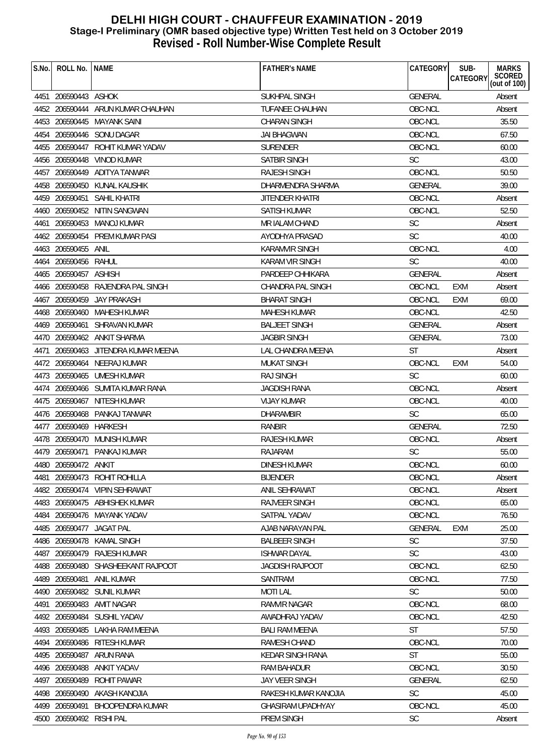| S.No. | ROLL No.                 | <b>NAME</b>                        | <b>FATHER'S NAME</b>    | <b>CATEGORY</b> | SUB-<br><b>CATEGORY</b> | <b>MARKS</b><br><b>SCORED</b> |
|-------|--------------------------|------------------------------------|-------------------------|-----------------|-------------------------|-------------------------------|
|       |                          |                                    |                         |                 |                         | (out of $100$ )               |
|       | 4451 206590443 ASHOK     |                                    | <b>SUKHPAL SINGH</b>    | GENERAL         |                         | Absent                        |
|       |                          | 4452 206590444 ARUN KUMAR CHAUHAN  | TUFANEE CHAUHAN         | OBC-NCL         |                         | Absent                        |
|       |                          | 4453 206590445 MAYANK SAINI        | <b>CHARAN SINGH</b>     | OBC-NCL         |                         | 35.50                         |
| 4454  |                          | 206590446 SONU DAGAR               | <b>JAI BHAGWAN</b>      | OBC-NCL         |                         | 67.50                         |
|       |                          | 4455 206590447 ROHIT KUMAR YADAV   | <b>SURENDER</b>         | OBC-NCL         |                         | 60.00                         |
|       | 4456 206590448           | VINOD KUMAR                        | <b>SATBIR SINGH</b>     | <b>SC</b>       |                         | 43.00                         |
|       | 4457 206590449           | ADITYA TANWAR                      | RAJESH SINGH            | OBC-NCL         |                         | 50.50                         |
|       |                          | 4458 206590450 KUNAL KAUSHIK       | DHARMENDRA SHARMA       | <b>GENERAL</b>  |                         | 39.00                         |
|       | 4459 206590451           | <b>SAHIL KHATRI</b>                | JITENDER KHATRI         | OBC-NCL         |                         | Absent                        |
|       |                          | 4460 206590452 NITIN SANGWAN       | <b>SATISH KUMAR</b>     | OBC-NCL         |                         | 52.50                         |
| 4461  |                          | 206590453 MANOJ KUMAR              | MR IALAM CHAND          | <b>SC</b>       |                         | Absent                        |
|       |                          | 4462 206590454 PREM KUMAR PASI     | AYODHYA PRASAD          | <b>SC</b>       |                         | 40.00                         |
|       | 4463 206590455 ANIL      |                                    | KARAMVIR SINGH          | OBC-NCL         |                         | 4.00                          |
| 4464  | 206590456 RAHUL          |                                    | <b>KARAM VIR SINGH</b>  | <b>SC</b>       |                         | 40.00                         |
|       | 4465 206590457 ASHISH    |                                    | PARDEEP CHHIKARA        | <b>GENERAL</b>  |                         | Absent                        |
|       |                          | 4466 206590458 RAJENDRA PAL SINGH  | CHANDRA PAL SINGH       | OBC-NCL         | EXM                     | Absent                        |
|       |                          | 4467 206590459 JAY PRAKASH         | <b>BHARAT SINGH</b>     | OBC-NCL         | <b>EXM</b>              | 69.00                         |
|       |                          | 4468 206590460 MAHESH KUMAR        | <b>MAHESH KUMAR</b>     | OBC-NCL         |                         | 42.50                         |
|       | 4469 206590461           | SHRAVAN KUMAR                      | <b>BALJEET SINGH</b>    | <b>GENERAL</b>  |                         | Absent                        |
|       |                          | 4470 206590462 ANKIT SHARMA        | <b>JAGBIR SINGH</b>     | <b>GENERAL</b>  |                         | 73.00                         |
| 4471  |                          | 206590463 JITENDRA KUMAR MEENA     | LAL CHANDRA MEENA       | ST              |                         | Absent                        |
|       |                          | 4472 206590464 NEERAJ KUMAR        | MUKAT SINGH             | OBC-NCL         | EXM                     | 54.00                         |
|       | 4473 206590465           | UMESH KUMAR                        | <b>RAJ SINGH</b>        | <b>SC</b>       |                         | 60.00                         |
|       |                          | 4474 206590466 SUMITA KUMAR RANA   | JAGDISH RANA            | OBC-NCL         |                         | Absent                        |
|       |                          | 4475 206590467 NITESH KUMAR        | <b>VIJAY KUMAR</b>      | OBC-NCL         |                         | 40.00                         |
|       |                          | 4476 206590468 PANKAJ TANWAR       | <b>DHARAMBIR</b>        | <b>SC</b>       |                         | 65.00                         |
|       | 4477 206590469 HARKESH   |                                    | RANBIR                  | <b>GENERAL</b>  |                         | 72.50                         |
|       |                          | 4478 206590470 MUNISH KUMAR        | RAJESH KUMAR            | OBC-NCL         |                         | Absent                        |
|       |                          | 4479 206590471 PANKAJ KUMAR        | <b>RAJARAM</b>          | <b>SC</b>       |                         | 55.00                         |
|       | 4480 206590472 ANKIT     |                                    | <b>DINESH KUMAR</b>     | OBC-NCL         |                         | 60.00                         |
|       |                          | 4481 206590473 ROHIT ROHILLA       | <b>BIJENDER</b>         | OBC-NCL         |                         | Absent                        |
|       |                          | 4482 206590474 VIPIN SEHRAWAT      | ANIL SEHRAWAT           | OBC-NCL         |                         | Absent                        |
|       |                          | 4483 206590475 ABHISHEK KUMAR      | <b>RAJVEER SINGH</b>    | OBC-NCL         |                         | 65.00                         |
|       |                          | 4484 206590476 MAYANK YADAV        | SATPAL YADAV            | OBC-NCL         |                         | 76.50                         |
|       |                          | 4485 206590477 JAGAT PAL           | AJAB NARAYAN PAL        | GENERAL         | EXM                     | 25.00                         |
|       |                          | 4486 206590478 KAMAL SINGH         | <b>BALBEER SINGH</b>    | <b>SC</b>       |                         | 37.50                         |
|       |                          | 4487 206590479 RAJESH KUMAR        | <b>ISHWAR DAYAL</b>     | <b>SC</b>       |                         | 43.00                         |
|       |                          | 4488 206590480 SHASHEEKANT RAJPOOT | <b>JAGDISH RAJPOOT</b>  | OBC-NCL         |                         | 62.50                         |
|       | 4489 206590481           | <b>ANIL KUMAR</b>                  | SANTRAM                 | OBC-NCL         |                         | 77.50                         |
|       |                          | 4490 206590482 SUNIL KUMAR         | <b>MOTILAL</b>          | <b>SC</b>       |                         | 50.00                         |
| 4491  |                          | 206590483 AMIT NAGAR               | RAMVIR NAGAR            | OBC-NCL         |                         | 68.00                         |
|       |                          | 4492 206590484 SUSHIL YADAV        | AWADHRAJ YADAV          | OBC-NCL         |                         | 42.50                         |
|       |                          | 4493 206590485 LAKHA RAM MEENA     | <b>BALI RAM MEENA</b>   | <b>ST</b>       |                         | 57.50                         |
|       |                          | 4494 206590486 RITESH KUMAR        | RAMESH CHAND            | OBC-NCL         |                         | 70.00                         |
|       | 4495 206590487           | ARUN RANA                          | <b>KEDAR SINGH RANA</b> | <b>ST</b>       |                         | 55.00                         |
| 4496  | 206590488                | ANKIT YADAV                        | <b>RAM BAHADUR</b>      | OBC-NCL         |                         | 30.50                         |
| 4497  | 206590489                | ROHIT PAWAR                        | <b>JAY VEER SINGH</b>   | <b>GENERAL</b>  |                         | 62.50                         |
|       | 4498 206590490           | AKASH KANOJIA                      | RAKESH KUMAR KANOJIA    | <b>SC</b>       |                         | 45.00                         |
|       | 4499 206590491           | BHOOPENDRA KUMAR                   | GHASIRAM UPADHYAY       | OBC-NCL         |                         | 45.00                         |
|       | 4500 206590492 RISHI PAL |                                    | PREM SINGH              | SC              |                         | Absent                        |
|       |                          |                                    |                         |                 |                         |                               |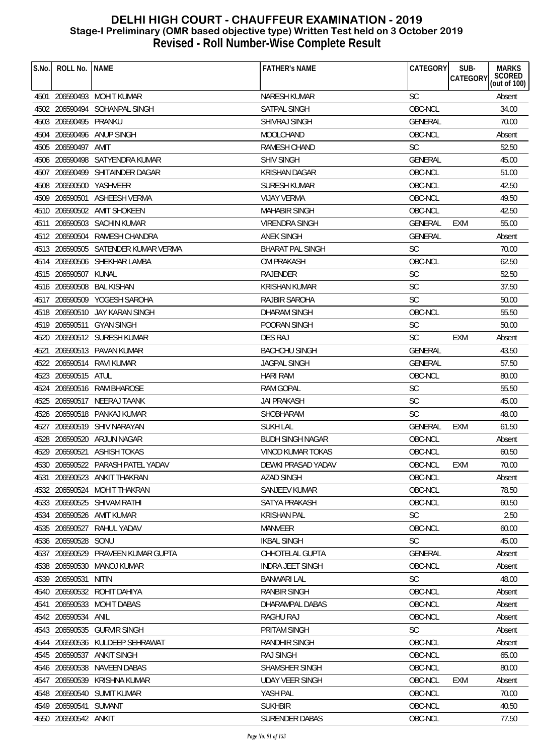| S.No. | ROLL No.   NAME       |                                     | <b>FATHER'S NAME</b>                       | CATEGORY       | SUB-<br>CATEGORY | <b>MARKS</b><br>SCORED<br>(out of 100) |
|-------|-----------------------|-------------------------------------|--------------------------------------------|----------------|------------------|----------------------------------------|
|       |                       |                                     |                                            |                |                  |                                        |
|       |                       | 4501 206590493 MOHIT KUMAR          | <b>NARESH KUMAR</b>                        | <b>SC</b>      |                  | Absent                                 |
|       |                       | 4502 206590494 SOHANPAL SINGH       | SATPAL SINGH                               | OBC-NCL        |                  | 34.00                                  |
|       | 4503 206590495 PRANKU |                                     | <b>SHIVRAJ SINGH</b>                       | <b>GENERAL</b> |                  | 70.00                                  |
| 4504  |                       | 206590496 ANUP SINGH                | MOOLCHAND                                  | OBC-NCL        |                  | Absent                                 |
|       | 4505 206590497 AMIT   |                                     | RAMESH CHAND                               | <b>SC</b>      |                  | 52.50                                  |
|       |                       | 4506 206590498 SATYENDRA KUMAR      | <b>SHIV SINGH</b>                          | <b>GENERAL</b> |                  | 45.00                                  |
|       |                       | 4507 206590499 SHITAINDER DAGAR     | <b>KRISHAN DAGAR</b>                       | OBC-NCL        |                  | 51.00                                  |
|       |                       | 4508 206590500 YASHVEER             | SURESH KUMAR                               | OBC-NCL        |                  | 42.50                                  |
|       | 4509 206590501        | ASHEESH VERMA                       | <b>VIJAY VERMA</b>                         | OBC-NCL        |                  | 49.50                                  |
|       |                       | 4510 206590502 AMIT SHOKEEN         | <b>MAHABIR SINGH</b>                       | OBC-NCL        |                  | 42.50                                  |
|       |                       | 4511 206590503 SACHIN KUMAR         | VIRENDRA SINGH                             | <b>GENERAL</b> | <b>EXM</b>       | 55.00                                  |
|       |                       | 4512 206590504 RAMESH CHANDRA       | <b>ANEK SINGH</b>                          | GENERAL        |                  | Absent                                 |
|       |                       | 4513 206590505 SATENDER KUMAR VERMA | <b>BHARAT PAL SINGH</b>                    | <b>SC</b>      |                  | 70.00                                  |
|       |                       | 4514 206590506 SHEKHAR LAMBA        | <b>OM PRAKASH</b>                          | OBC-NCL        |                  | 62.50                                  |
|       | 4515 206590507 KUNAL  |                                     | RAJENDER                                   | SC             |                  | 52.50                                  |
|       | 4516 206590508        | <b>BAL KISHAN</b>                   | <b>KRISHAN KUMAR</b>                       | <b>SC</b>      |                  | 37.50                                  |
|       |                       | 4517 206590509 YOGESH SAROHA        | RAJBIR SAROHA                              | <b>SC</b>      |                  | 50.00                                  |
|       |                       | 4518 206590510 JAY KARAN SINGH      | <b>DHARAM SINGH</b>                        | OBC-NCL        |                  | 55.50                                  |
|       |                       | 4519 206590511 GYAN SINGH           | POORAN SINGH                               | <b>SC</b>      |                  | 50.00                                  |
|       |                       | 4520 206590512 SURESH KUMAR         | <b>DES RAJ</b>                             | <b>SC</b>      | <b>EXM</b>       | Absent                                 |
| 4521  |                       | 206590513 PAVAN KUMAR               | <b>BACHCHU SINGH</b>                       | <b>GENERAL</b> |                  | 43.50                                  |
|       |                       | 4522 206590514 RAVI KUMAR           | <b>JAGPAL SINGH</b>                        | GENERAL        |                  | 57.50                                  |
|       | 4523 206590515 ATUL   |                                     | <b>HARI RAM</b>                            | OBC-NCL        |                  | 80.00                                  |
|       |                       | 4524 206590516 RAM BHAROSE          | <b>RAM GOPAL</b>                           | <b>SC</b>      |                  | 55.50                                  |
|       |                       | 4525 206590517 NEERAJ TAANK         | <b>JAI PRAKASH</b>                         | <b>SC</b>      |                  | 45.00                                  |
|       |                       | 4526 206590518 PANKAJ KUMAR         | SHOBHARAM                                  | <b>SC</b>      |                  | 48.00                                  |
|       | 4527 206590519        | SHIV NARAYAN                        | <b>SUKH LAL</b>                            | GENERAL        | EXM              | 61.50                                  |
|       | 4528 206590520        | ARJUN NAGAR                         | <b>BUDH SINGH NAGAR</b>                    | OBC-NCL        |                  | Absent                                 |
|       |                       | 4529 206590521 ASHISH TOKAS         | <b>VINOD KUMAR TOKAS</b>                   | OBC-NCL        |                  | 60.50                                  |
|       |                       | 4530 206590522 PARASH PATEL YADAV   | DEWKI PRASAD YADAV                         | OBC-NCL        | <b>EXM</b>       | 70.00                                  |
| 4531  | 206590523             | ANKIT THAKRAN                       | <b>AZAD SINGH</b>                          | OBC-NCL        |                  | Absent                                 |
|       |                       | 4532 206590524 MOHIT THAKRAN        | <b>SANJEEV KUMAR</b>                       | OBC-NCL        |                  | 78.50                                  |
|       |                       | 4533 206590525 SHIVAM RATHI         | SATYA PRAKASH                              | OBC-NCL        |                  | 60.50                                  |
|       | 4534 206590526        | AMIT KUMAR                          | <b>KRISHAN PAL</b>                         | <b>SC</b>      |                  | 2.50                                   |
|       | 4535 206590527        | RAHUL YADAV                         | MANVEER                                    | OBC-NCL        |                  | 60.00                                  |
|       | 4536 206590528        | SONU                                | <b>IKBAL SINGH</b>                         | <b>SC</b>      |                  | 45.00                                  |
|       |                       | PRAVEEN KUMAR GUPTA                 |                                            | <b>GENERAL</b> |                  |                                        |
| 4537  | 206590529             | MANOJ KUMAR                         | CHHOTELAL GUPTA<br><b>INDRA JEET SINGH</b> | OBC-NCL        |                  | Absent                                 |
|       | 4538 206590530        |                                     |                                            |                |                  | Absent                                 |
|       | 4539 206590531        | NITIN                               | <b>BANWARI LAL</b>                         | <b>SC</b>      |                  | 48.00                                  |
| 4540  |                       | 206590532 ROHIT DAHIYA              | <b>RANBIR SINGH</b>                        | OBC-NCL        |                  | Absent                                 |
| 4541  |                       | 206590533 MOHIT DABAS               | DHARAMPAL DABAS                            | OBC-NCL        |                  | Absent                                 |
|       | 4542 206590534        | ANIL                                | RAGHU RAJ                                  | OBC-NCL        |                  | Absent                                 |
|       |                       | 4543 206590535 GURVIR SINGH         | PRITAM SINGH                               | <b>SC</b>      |                  | Absent                                 |
| 4544  |                       | 206590536 KULDEEP SEHRAWAT          | RANDHIR SINGH                              | OBC-NCL        |                  | Absent                                 |
|       |                       | 4545 206590537 ANKIT SINGH          | <b>RAJ SINGH</b>                           | OBC-NCL        |                  | 65.00                                  |
|       | 4546 206590538        | NAVEEN DABAS                        | SHAMSHER SINGH                             | OBC-NCL        |                  | 80.00                                  |
| 4547  | 206590539             | <b>KRISHNA KUMAR</b>                | <b>UDAY VEER SINGH</b>                     | OBC-NCL        | <b>EXM</b>       | Absent                                 |
|       |                       | 4548 206590540 SUMIT KUMAR          | YASH PAL                                   | OBC-NCL        |                  | 70.00                                  |
|       | 4549 206590541 SUMANT |                                     | <b>SUKHBIR</b>                             | OBC-NCL        |                  | 40.50                                  |
|       | 4550 206590542 ANKIT  |                                     | <b>SURENDER DABAS</b>                      | OBC-NCL        |                  | 77.50                                  |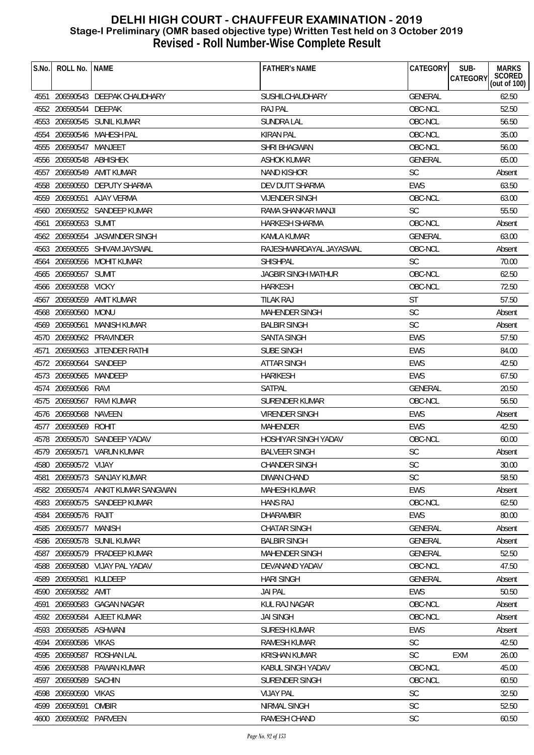| S.No. | ROLL No.   NAME         |                                    | <b>FATHER'S NAME</b>        | SUB-<br>CATEGORY<br>CATEGORY | <b>MARKS</b><br>SCORED<br>(out of 100) |
|-------|-------------------------|------------------------------------|-----------------------------|------------------------------|----------------------------------------|
|       |                         | 4551 206590543 DEEPAK CHAUDHARY    | <b>SUSHILCHAUDHARY</b>      | GENERAL                      | 62.50                                  |
|       | 4552 206590544 DEEPAK   |                                    | <b>RAJ PAL</b>              | OBC-NCL                      | 52.50                                  |
|       |                         | 4553 206590545 SUNIL KUMAR         | <b>SUNDRA LAL</b>           | OBC-NCL                      | 56.50                                  |
|       |                         | 4554 206590546 MAHESH PAL          | <b>KIRAN PAL</b>            | OBC-NCL                      | 35.00                                  |
|       | 4555 206590547 MANJEET  |                                    | SHRI BHAGWAN                | OBC-NCL                      | 56.00                                  |
|       | 4556 206590548 ABHISHEK |                                    | <b>ASHOK KUMAR</b>          | <b>GENERAL</b>               | 65.00                                  |
|       | 4557 206590549          | AMIT KUMAR                         | <b>NAND KISHOR</b>          | <b>SC</b>                    | Absent                                 |
|       |                         | 4558 206590550 DEPUTY SHARMA       | DEV DUTT SHARMA             | <b>EWS</b>                   | 63.50                                  |
|       |                         | 4559 206590551 AJAY VERMA          | <b>VIJENDER SINGH</b>       | OBC-NCL                      | 63.00                                  |
|       |                         | 4560 206590552 SANDEEP KUMAR       | RAMA SHANKAR MANJI          | <b>SC</b>                    | 55.50                                  |
|       | 4561 206590553 SUMIT    |                                    | HARKESH SHARMA              | OBC-NCL                      | Absent                                 |
|       |                         | 4562 206590554 JASWINDER SINGH     | <b>KAMLA KUMAR</b>          | GENERAL                      | 63.00                                  |
|       |                         | 4563 206590555 SHIVAM JAYSWAL      | RAJESHWARDAYAL JAYASWAL     | OBC-NCL                      | Absent                                 |
|       |                         | 4564 206590556 MOHIT KUMAR         | <b>SHISHPAL</b>             | <b>SC</b>                    | 70.00                                  |
|       | 4565 206590557 SUMIT    |                                    | <b>JAGBIR SINGH MATHUR</b>  | OBC-NCL                      | 62.50                                  |
|       | 4566 206590558 VICKY    |                                    | <b>HARKESH</b>              | OBC-NCL                      | 72.50                                  |
|       |                         | 4567 206590559 AMIT KUMAR          | TILAK RAJ                   | <b>ST</b>                    | 57.50                                  |
|       | 4568 206590560 MONU     |                                    | <b>MAHENDER SINGH</b>       | <b>SC</b>                    | Absent                                 |
|       |                         | 4569 206590561 MANISH KUMAR        | <b>BALBIR SINGH</b>         | SC                           | Absent                                 |
|       |                         | 4570 206590562 PRAVINDER           | <b>SANTA SINGH</b>          | <b>EWS</b>                   | 57.50                                  |
| 4571  |                         | 206590563 JITENDER RATHI           | <b>SUBE SINGH</b>           | <b>EWS</b>                   | 84.00                                  |
|       | 4572 206590564 SANDEEP  |                                    | ATTAR SINGH                 | <b>EWS</b>                   | 42.50                                  |
|       | 4573 206590565 MANDEEP  |                                    | <b>HARIKESH</b>             | <b>EWS</b>                   | 67.50                                  |
|       | 4574 206590566 RAVI     |                                    | SATPAL                      | <b>GENERAL</b>               | 20.50                                  |
|       | 4575 206590567          | <b>RAVI KUMAR</b>                  | <b>SURENDER KUMAR</b>       | OBC-NCL                      | 56.50                                  |
|       | 4576 206590568 NAVEEN   |                                    | <b>VIRENDER SINGH</b>       | <b>EWS</b>                   | Absent                                 |
|       | 4577 206590569          | ROHIT                              | <b>MAHENDER</b>             | <b>EWS</b>                   | 42.50                                  |
|       |                         | 4578 206590570 SANDEEP YADAV       | <b>HOSHIYAR SINGH YADAV</b> | OBC-NCL                      | 60.00                                  |
|       |                         | 4579 206590571 VARUN KUMAR         | <b>BALVEER SINGH</b>        | SC                           | Absent                                 |
|       | 4580 206590572 VIJAY    |                                    | CHANDER SINGH               | SC                           | 30.00                                  |
| 4581  |                         | 206590573 SANJAY KUMAR             | DIWAN CHAND                 | <b>SC</b>                    | 58.50                                  |
|       |                         | 4582 206590574 ANKIT KUMAR SANGWAN | <b>MAHESH KUMAR</b>         | <b>EWS</b>                   | Absent                                 |
|       |                         | 4583 206590575 SANDEEP KUMAR       | <b>HANS RAJ</b>             | OBC-NCL                      | 62.50                                  |
|       | 4584 206590576 RAJIT    |                                    | <b>DHARAMBIR</b>            | <b>EWS</b>                   | 80.00                                  |
|       | 4585 206590577          | MANISH                             | <b>CHATAR SINGH</b>         | <b>GENERAL</b>               | Absent                                 |
| 4586  | 206590578               | SUNIL KUMAR                        | <b>BALBIR SINGH</b>         | <b>GENERAL</b>               | Absent                                 |
|       |                         | 4587 206590579 PRADEEP KUMAR       | <b>MAHENDER SINGH</b>       | <b>GENERAL</b>               | 52.50                                  |
|       |                         | 4588 206590580 VIJAY PAL YADAV     | DEVANAND YADAV              | OBC-NCL                      | 47.50                                  |
| 4589  | 206590581               | KULDEEP                            | <b>HARI SINGH</b>           | <b>GENERAL</b>               | Absent                                 |
| 4590  | 206590582 AMIT          |                                    | <b>JAI PAL</b>              | <b>EWS</b>                   | 50.50                                  |
| 4591  |                         | 206590583 GAGAN NAGAR              | KUL RAJ NAGAR               | OBC-NCL                      | Absent                                 |
|       |                         | 4592 206590584 AJEET KUMAR         | <b>JAI SINGH</b>            | OBC-NCL                      | Absent                                 |
|       | 4593 206590585 ASHWANI  |                                    | <b>SURESH KUMAR</b>         | <b>EWS</b>                   | Absent                                 |
|       | 4594 206590586 VIKAS    |                                    | RAMESH KUMAR                | <b>SC</b>                    | 42.50                                  |
|       | 4595 206590587          | <b>ROSHAN LAL</b>                  | <b>KRISHAN KUMAR</b>        | <b>SC</b><br><b>EXM</b>      | 26.00                                  |
| 4596  | 206590588               | PAWAN KUMAR                        | KABUL SINGH YADAV           | OBC-NCL                      | 45.00                                  |
| 4597  | 206590589               | <b>SACHIN</b>                      | SURENDER SINGH              | OBC-NCL                      | 60.50                                  |
| 4598  | 206590590               | <b>VIKAS</b>                       | <b>VIJAY PAL</b>            | SC                           | 32.50                                  |
|       | 4599 206590591          | OMBIR                              | NIRMAL SINGH                | <b>SC</b>                    | 52.50                                  |
|       | 4600 206590592 PARVEEN  |                                    | RAMESH CHAND                | <b>SC</b>                    | 60.50                                  |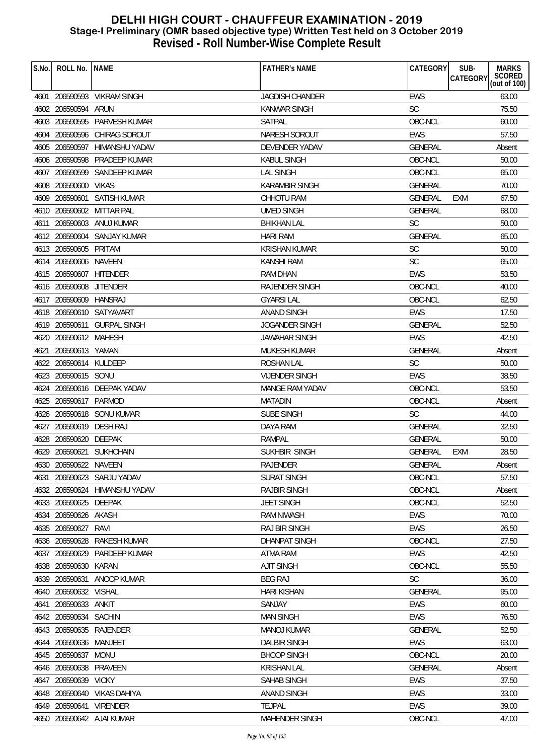| S.No. | ROLL No.                | <b>NAME</b>                   | <b>FATHER'S NAME</b>   | CATEGORY       | SUB-<br><b>MARKS</b><br><b>CATEGORY</b> |
|-------|-------------------------|-------------------------------|------------------------|----------------|-----------------------------------------|
|       |                         |                               |                        |                | SCORED<br>(out of 100)                  |
|       |                         | 4601 206590593 VIKRAM SINGH   | <b>JAGDISH CHANDER</b> | <b>EWS</b>     | 63.00                                   |
|       | 4602 206590594 ARUN     |                               | KANWAR SINGH           | <b>SC</b>      | 75.50                                   |
|       |                         | 4603 206590595 PARVESH KUMAR  | <b>SATPAL</b>          | OBC-NCL        | 60.00                                   |
|       |                         | 4604 206590596 CHIRAG SOROUT  | NARESH SOROUT          | <b>EWS</b>     | 57.50                                   |
|       |                         | 4605 206590597 HIMANSHU YADAV | DEVENDER YADAV         | <b>GENERAL</b> | Absent                                  |
|       | 4606 206590598          | PRADEEP KUMAR                 | <b>KABUL SINGH</b>     | OBC-NCL        | 50.00                                   |
|       |                         | 4607 206590599 SANDEEP KUMAR  | <b>LAL SINGH</b>       | OBC-NCL        | 65.00                                   |
|       | 4608 206590600 VIKAS    |                               | <b>KARAMBIR SINGH</b>  | <b>GENERAL</b> | 70.00                                   |
|       |                         | 4609 206590601 SATISH KUMAR   | <b>CHHOTU RAM</b>      | <b>GENERAL</b> | 67.50<br>EXM                            |
|       |                         | 4610 206590602 MITTAR PAL     | <b>UMED SINGH</b>      | <b>GENERAL</b> | 68.00                                   |
|       |                         | 4611 206590603 ANUJ KUMAR     | <b>BHIKHAN LAL</b>     | <b>SC</b>      | 50.00                                   |
|       |                         | 4612 206590604 SANJAY KUMAR   | <b>HARI RAM</b>        | <b>GENERAL</b> | 65.00                                   |
|       | 4613 206590605 PRITAM   |                               | <b>KRISHAN KUMAR</b>   | <b>SC</b>      | 50.00                                   |
|       | 4614 206590606 NAVEEN   |                               | <b>KANSHI RAM</b>      | SC             | 65.00                                   |
|       | 4615 206590607 HITENDER |                               | <b>RAM DHAN</b>        | <b>EWS</b>     | 53.50                                   |
|       | 4616 206590608 JITENDER |                               | RAJENDER SINGH         | OBC-NCL        | 40.00                                   |
|       | 4617 206590609 HANSRAJ  |                               | <b>GYARSI LAL</b>      | OBC-NCL        | 62.50                                   |
|       |                         | 4618 206590610 SATYAVART      | <b>ANAND SINGH</b>     | <b>EWS</b>     | 17.50                                   |
|       |                         | 4619 206590611 GURPAL SINGH   | <b>JOGANDER SINGH</b>  | <b>GENERAL</b> | 52.50                                   |
|       | 4620 206590612 MAHESH   |                               | <b>JAWAHAR SINGH</b>   | <b>EWS</b>     | 42.50                                   |
|       | 4621 206590613 YAMAN    |                               | MUKESH KUMAR           | GENERAL        | Absent                                  |
|       | 4622 206590614 KULDEEP  |                               | ROSHAN LAL             | <b>SC</b>      | 50.00                                   |
|       | 4623 206590615 SONU     |                               | <b>VIJENDER SINGH</b>  | <b>EWS</b>     | 38.50                                   |
|       |                         | 4624 206590616 DEEPAK YADAV   | MANGE RAM YADAV        | OBC-NCL        | 53.50                                   |
|       | 4625 206590617 PARMOD   |                               | <b>MATADIN</b>         | OBC-NCL        | Absent                                  |
|       |                         | 4626 206590618 SONU KUMAR     | SUBE SINGH             | <b>SC</b>      | 44.00                                   |
|       | 4627 206590619 DESH RAJ |                               | DAYA RAM               | GENERAL        | 32.50                                   |
|       | 4628 206590620 DEEPAK   |                               | <b>RAMPAL</b>          | <b>GENERAL</b> | 50.00                                   |
|       |                         | 4629 206590621 SUKHCHAIN      | SUKHBIR SINGH          | <b>GENERAL</b> | 28.50<br><b>EXM</b>                     |
|       | 4630 206590622 NAVEEN   |                               | RAJENDER               | GENERAL        | Absent                                  |
| 4631  |                         | 206590623 SARJU YADAV         | <b>SURAT SINGH</b>     | OBC-NCL        | 57.50                                   |
|       |                         | 4632 206590624 HIMANSHU YADAV | <b>RAJBIR SINGH</b>    | OBC-NCL        | Absent                                  |
|       | 4633 206590625 DEEPAK   |                               | <b>JEET SINGH</b>      | OBC-NCL        | 52.50                                   |
|       | 4634 206590626 AKASH    |                               | <b>RAM NIWASH</b>      | <b>EWS</b>     | 70.00                                   |
|       | 4635 206590627          | RAVI                          | RAJ BIR SINGH          | EWS            | 26.50                                   |
|       | 4636 206590628          | RAKESH KUMAR                  | DHANPAT SINGH          | OBC-NCL        | 27.50                                   |
|       |                         | 4637 206590629 PARDEEP KUMAR  | ATMA RAM               | <b>EWS</b>     | 42.50                                   |
|       | 4638 206590630 KARAN    |                               | <b>AJIT SINGH</b>      | OBC-NCL        | 55.50                                   |
|       | 4639 206590631          | ANOOP KUMAR                   | <b>BEG RAJ</b>         | <b>SC</b>      | 36.00                                   |
|       | 4640 206590632 VISHAL   |                               | <b>HARI KISHAN</b>     | GENERAL        | 95.00                                   |
| 4641  | 206590633 ANKIT         |                               | SANJAY                 | EWS            | 60.00                                   |
|       | 4642 206590634 SACHIN   |                               | <b>MAN SINGH</b>       | EWS            | 76.50                                   |
|       |                         | 4643 206590635 RAJENDER       | <b>MANOJ KUMAR</b>     | GENERAL        | 52.50                                   |
|       | 4644 206590636 MANJEET  |                               | <b>DALBIR SINGH</b>    | EWS            | 63.00                                   |
|       | 4645 206590637          | <b>MONU</b>                   | <b>BHOOP SINGH</b>     | OBC-NCL        | 20.00                                   |
|       | 4646 206590638          | PRAVEEN                       | <b>KRISHAN LAL</b>     | <b>GENERAL</b> | Absent                                  |
| 4647  | 206590639               | <b>VICKY</b>                  | SAHAB SINGH            | <b>EWS</b>     | 37.50                                   |
|       |                         | 4648 206590640 VIKAS DAHIYA   | <b>ANAND SINGH</b>     | <b>EWS</b>     | 33.00                                   |
|       | 4649 206590641 VIRENDER |                               | <b>TEJPAL</b>          | EWS            | 39.00                                   |
|       |                         | 4650 206590642 AJAI KUMAR     | MAHENDER SINGH         | OBC-NCL        | 47.00                                   |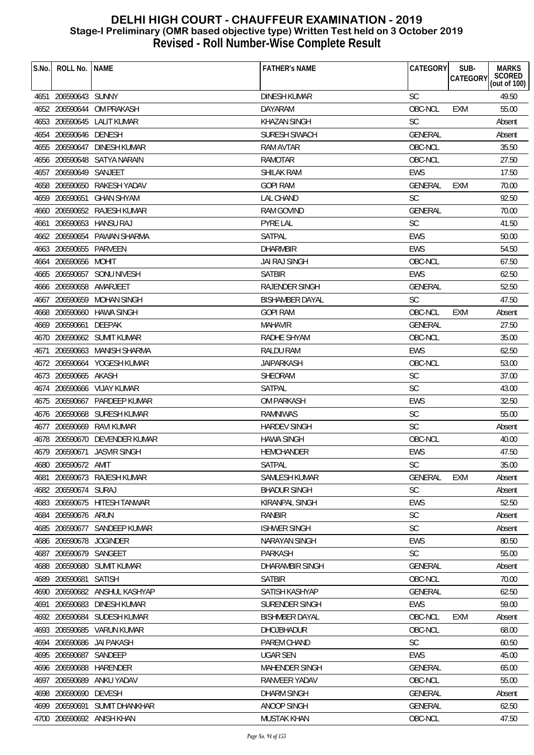| S.No. | ROLL No.                | <b>NAME</b>                   | <b>FATHER'S NAME</b>           | CATEGORY             | SUB-<br><b>CATEGORY</b> | <b>MARKS</b><br>SCORED<br>(out of 100) |
|-------|-------------------------|-------------------------------|--------------------------------|----------------------|-------------------------|----------------------------------------|
|       |                         |                               |                                |                      |                         |                                        |
|       | 4651 206590643 SUNNY    | 4652 206590644 OM PRAKASH     | <b>DINESH KUMAR</b>            | <b>SC</b><br>OBC-NCL |                         | 49.50<br>55.00                         |
|       |                         |                               | DAYARAM<br><b>KHAZAN SINGH</b> | <b>SC</b>            | <b>EXM</b>              |                                        |
| 4653  | 206590645               | <b>LALIT KUMAR</b>            |                                |                      |                         | Absent                                 |
| 4654  | 206590646 DENESH        |                               | <b>SURESH SIWACH</b>           | <b>GENERAL</b>       |                         | Absent                                 |
|       | 4655 206590647          | DINESH KUMAR                  | <b>RAM AVTAR</b>               | OBC-NCL              |                         | 35.50                                  |
| 4656  |                         | 206590648 SATYA NARAIN        | <b>RAMOTAR</b>                 | OBC-NCL              |                         | 27.50                                  |
| 4657  | 206590649               | SANJEET                       | <b>SHILAK RAM</b>              | <b>EWS</b>           |                         | 17.50                                  |
|       | 4658 206590650          | RAKESH YADAV                  | <b>GOPI RAM</b>                | <b>GENERAL</b>       | <b>EXM</b>              | 70.00                                  |
|       | 4659 206590651          | <b>GHAN SHYAM</b>             | <b>LAL CHAND</b>               | <b>SC</b>            |                         | 92.50                                  |
|       |                         | 4660 206590652 RAJESH KUMAR   | <b>RAM GOVIND</b>              | <b>GENERAL</b>       |                         | 70.00                                  |
| 4661  |                         | 206590653 HANSU RAJ           | <b>PYRE LAL</b>                | <b>SC</b>            |                         | 41.50                                  |
|       |                         | 4662 206590654 PAWAN SHARMA   | SATPAL                         | <b>EWS</b>           |                         | 50.00                                  |
|       | 4663 206590655 PARVEEN  |                               | <b>DHARMBIR</b>                | <b>EWS</b>           |                         | 54.50                                  |
| 4664  | 206590656 MOHIT         |                               | <b>JAI RAJ SINGH</b>           | OBC-NCL              |                         | 67.50                                  |
|       |                         | 4665 206590657 SONU NIVESH    | <b>SATBIR</b>                  | <b>EWS</b>           |                         | 62.50                                  |
|       | 4666 206590658 AMARJEET |                               | <b>RAJENDER SINGH</b>          | <b>GENERAL</b>       |                         | 52.50                                  |
| 4667  |                         | 206590659 MOHAN SINGH         | <b>BISHAMBER DAYAL</b>         | <b>SC</b>            |                         | 47.50                                  |
|       | 4668 206590660          | <b>HAWA SINGH</b>             | <b>GOPI RAM</b>                | OBC-NCL              | EXM                     | Absent                                 |
|       | 4669 206590661          | <b>DEEPAK</b>                 | <b>MAHAVIR</b>                 | <b>GENERAL</b>       |                         | 27.50                                  |
|       |                         | 4670 206590662 SUMIT KUMAR    | RADHE SHYAM                    | OBC-NCL              |                         | 35.00                                  |
| 4671  |                         | 206590663 MANISH SHARMA       | <b>RALDU RAM</b>               | <b>EWS</b>           |                         | 62.50                                  |
| 4672  |                         | 206590664 YOGESH KUMAR        | <b>JAIPARKASH</b>              | OBC-NCL              |                         | 53.00                                  |
|       | 4673 206590665 AKASH    |                               | SHEORAM                        | <b>SC</b>            |                         | 37.00                                  |
| 4674  |                         | 206590666 VIJAY KUMAR         | <b>SATPAL</b>                  | SC                   |                         | 43.00                                  |
|       | 4675 206590667          | PARDEEP KUMAR                 | <b>OM PARKASH</b>              | <b>EWS</b>           |                         | 32.50                                  |
|       |                         | 4676 206590668 SURESH KUMAR   | <b>RAMNIWAS</b>                | <b>SC</b>            |                         | 55.00                                  |
|       | 4677 206590669          | RAVI KUMAR                    | <b>HARDEV SINGH</b>            | <b>SC</b>            |                         | Absent                                 |
|       |                         | 4678 206590670 DEVENDER KUMAR | <b>HAWA SINGH</b>              | OBC-NCL              |                         | 40.00                                  |
|       |                         | 4679 206590671 JASVIR SINGH   | <b>HEMCHANDER</b>              | <b>EWS</b>           |                         | 47.50                                  |
|       | 4680 206590672 AMIT     |                               | SATPAL                         | SC                   |                         | 35.00                                  |
| 4681  |                         | 206590673 RAJESH KUMAR        | SAMLESH KUMAR                  | <b>GENERAL</b>       | EXM                     | Absent                                 |
|       | 4682 206590674 SURAJ    |                               | <b>BHADUR SINGH</b>            | <b>SC</b>            |                         | Absent                                 |
|       |                         | 4683 206590675 HITESH TANWAR  | <b>KIRANPAL SINGH</b>          | <b>EWS</b>           |                         | 52.50                                  |
|       | 4684 206590676 ARUN     |                               | RANBIR                         | <b>SC</b>            |                         | Absent                                 |
|       | 4685 206590677          | SANDEEP KUMAR                 | <b>ISHWER SINGH</b>            | <b>SC</b>            |                         | Absent                                 |
| 4686  | 206590678               | <b>JOGINDER</b>               | NARAYAN SINGH                  | EWS                  |                         | 80.50                                  |
|       | 4687 206590679 SANGEET  |                               | PARKASH                        | <b>SC</b>            |                         | 55.00                                  |
|       |                         | 4688 206590680 SUMIT KUMAR    | DHARAMBIR SINGH                | <b>GENERAL</b>       |                         | Absent                                 |
| 4689  | 206590681               | <b>SATISH</b>                 | <b>SATBIR</b>                  | OBC-NCL              |                         | 70.00                                  |
|       |                         | 4690 206590682 ANSHUL KASHYAP | SATISH KASHYAP                 | <b>GENERAL</b>       |                         | 62.50                                  |
| 4691  | 206590683               | DINESH KUMAR                  | SURENDER SINGH                 | <b>EWS</b>           |                         | 59.00                                  |
|       | 4692 206590684          | SUDESH KUMAR                  | <b>BISHMBER DAYAL</b>          | OBC-NCL              | <b>EXM</b>              |                                        |
|       |                         |                               |                                |                      |                         | Absent                                 |
|       |                         | 4693 206590685 VARUN KUMAR    | <b>DHOJBHADUR</b>              | OBC-NCL              |                         | 68.00                                  |
|       | 4694 206590686          | JAI PAKASH                    | PAREM CHAND                    | <b>SC</b>            |                         | 60.50                                  |
|       | 4695 206590687 SANDEEP  |                               | <b>UGAR SEN</b>                | <b>EWS</b>           |                         | 45.00                                  |
| 4696  | 206590688               | HARENDER                      | <b>MAHENDER SINGH</b>          | <b>GENERAL</b>       |                         | 65.00                                  |
| 4697  | 206590689               | ANKU YADAV                    | RANVEER YADAV                  | OBC-NCL              |                         | 55.00                                  |
| 4698  | 206590690               | <b>DEVESH</b>                 | <b>DHARM SINGH</b>             | <b>GENERAL</b>       |                         | Absent                                 |
|       |                         | 4699 206590691 SUMIT DHANKHAR | ANOOP SINGH                    | GENERAL              |                         | 62.50                                  |
|       |                         | 4700 206590692 ANISH KHAN     | MUSTAK KHAN                    | OBC-NCL              |                         | 47.50                                  |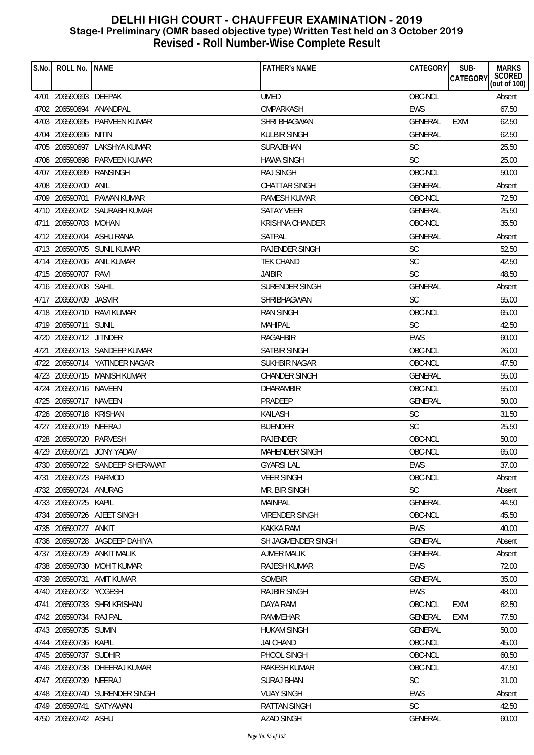| S.No. | ROLL No.                | <b>NAME</b>                     | <b>FATHER'S NAME</b>   | CATEGORY       | SUB-            | <b>MARKS</b>           |
|-------|-------------------------|---------------------------------|------------------------|----------------|-----------------|------------------------|
|       |                         |                                 |                        |                | <b>CATEGORY</b> | SCORED<br>(out of 100) |
|       | 4701 206590693 DEEPAK   |                                 | <b>UMED</b>            | OBC-NCL        |                 | Absent                 |
|       | 4702 206590694 ANANDPAL |                                 | OMPARKASH              | <b>EWS</b>     |                 | 67.50                  |
|       |                         | 4703 206590695 PARVEEN KUMAR    | SHRI BHAGWAN           | <b>GENERAL</b> | <b>EXM</b>      | 62.50                  |
|       | 4704 206590696 NITIN    |                                 | <b>KULBIR SINGH</b>    | <b>GENERAL</b> |                 | 62.50                  |
|       |                         | 4705 206590697 LAKSHYA KUMAR    | SURAJBHAN              | <b>SC</b>      |                 | 25.50                  |
|       |                         | 4706 206590698 PARVEEN KUMAR    | <b>HAWA SINGH</b>      | <b>SC</b>      |                 | 25.00                  |
|       | 4707 206590699 RANSINGH |                                 | <b>RAJ SINGH</b>       | OBC-NCL        |                 | 50.00                  |
|       | 4708 206590700          | ANIL                            | <b>CHATTAR SINGH</b>   | <b>GENERAL</b> |                 | Absent                 |
|       | 4709 206590701          | PAWAN KUMAR                     | <b>RAMESH KUMAR</b>    | OBC-NCL        |                 | 72.50                  |
|       |                         | 4710 206590702 SAURABH KUMAR    | <b>SATAY VEER</b>      | <b>GENERAL</b> |                 | 25.50                  |
|       | 4711 206590703 MOHAN    |                                 | <b>KRISHNA CHANDER</b> | OBC-NCL        |                 | 35.50                  |
|       |                         | 4712 206590704 ASHU RANA        | <b>SATPAL</b>          | GENERAL        |                 | Absent                 |
|       |                         | 4713 206590705 SUNIL KUMAR      | <b>RAJENDER SINGH</b>  | <b>SC</b>      |                 | 52.50                  |
|       |                         | 4714 206590706 ANIL KUMAR       | <b>TEK CHAND</b>       | SC             |                 | 42.50                  |
|       | 4715 206590707 RAVI     |                                 | <b>JAIBIR</b>          | <b>SC</b>      |                 | 48.50                  |
|       | 4716 206590708 SAHIL    |                                 | <b>SURENDER SINGH</b>  | <b>GENERAL</b> |                 | Absent                 |
|       | 4717 206590709 JASVIR   |                                 | SHRIBHAGWAN            | <b>SC</b>      |                 | 55.00                  |
|       |                         | 4718 206590710 RAVI KUMAR       | <b>RAN SINGH</b>       | OBC-NCL        |                 | 65.00                  |
|       | 4719 206590711 SUNIL    |                                 | <b>MAHIPAL</b>         | <b>SC</b>      |                 | 42.50                  |
|       | 4720 206590712 JITNDER  |                                 | <b>RAGAHBIR</b>        | <b>EWS</b>     |                 | 60.00                  |
|       |                         | 4721 206590713 SANDEEP KUMAR    | <b>SATBIR SINGH</b>    | OBC-NCL        |                 | 26.00                  |
|       |                         | 4722 206590714 YATINDER NAGAR   | <b>SUKHBIR NAGAR</b>   | OBC-NCL        |                 | 47.50                  |
|       |                         | 4723 206590715 MANISH KUMAR     | <b>CHANDER SINGH</b>   | GENERAL        |                 | 55.00                  |
|       | 4724 206590716 NAVEEN   |                                 | <b>DHARAMBIR</b>       | OBC-NCL        |                 | 55.00                  |
|       | 4725 206590717 NAVEEN   |                                 | PRADEEP                | <b>GENERAL</b> |                 | 50.00                  |
|       | 4726 206590718 KRISHAN  |                                 | <b>KAILASH</b>         | <b>SC</b>      |                 | 31.50                  |
|       | 4727 206590719 NEERAJ   |                                 | <b>BIJENDER</b>        | <b>SC</b>      |                 | 25.50                  |
|       | 4728 206590720 PARVESH  |                                 | <b>RAJENDER</b>        | OBC-NCL        |                 | 50.00                  |
|       |                         | 4729 206590721 JONY YADAV       | <b>MAHENDER SINGH</b>  | OBC-NCL        |                 | 65.00                  |
|       |                         | 4730 206590722 SANDEEP SHERAWAT | <b>GYARSI LAL</b>      | EWS            |                 | 37.00                  |
|       | 4731 206590723 PARMOD   |                                 | <b>VEER SINGH</b>      | OBC-NCL        |                 | Absent                 |
|       | 4732 206590724 ANURAG   |                                 | MR. BIR SINGH          | <b>SC</b>      |                 | Absent                 |
|       | 4733 206590725 KAPIL    |                                 | <b>MAINPAL</b>         | <b>GENERAL</b> |                 | 44.50                  |
|       |                         | 4734 206590726 AJEET SINGH      | <b>VIRENDER SINGH</b>  | OBC-NCL        |                 | 45.50                  |
|       | 4735 206590727 ANKIT    |                                 | KAKKA RAM              | EWS            |                 | 40.00                  |
|       | 4736 206590728          | JAGDEEP DAHIYA                  | SH JAGMENDER SINGH     | <b>GENERAL</b> |                 | Absent                 |
|       |                         | 4737 206590729 ANKIT MALIK      | <b>AJMER MALIK</b>     | GENERAL        |                 | Absent                 |
|       |                         | 4738 206590730 MOHIT KUMAR      | <b>RAJESH KUMAR</b>    | <b>EWS</b>     |                 | 72.00                  |
|       | 4739 206590731          | AMIT KUMAR                      | <b>SOMBIR</b>          | <b>GENERAL</b> |                 | 35.00                  |
|       | 4740 206590732 YOGESH   |                                 | <b>RAJBIR SINGH</b>    | <b>EWS</b>     |                 | 48.00                  |
| 4741  |                         | 206590733 SHRIKRISHAN           | DAYA RAM               | OBC-NCL        | <b>EXM</b>      | 62.50                  |
|       | 4742 206590734 RAJ PAL  |                                 | RAMMEHAR               | <b>GENERAL</b> | <b>EXM</b>      | 77.50                  |
|       | 4743 206590735 SUMIN    |                                 | <b>HUKAM SINGH</b>     | <b>GENERAL</b> |                 | 50.00                  |
|       | 4744 206590736 KAPIL    |                                 | <b>JAI CHAND</b>       | OBC-NCL        |                 | 45.00                  |
|       | 4745 206590737 SUDHIR   |                                 | PHOOL SINGH            | OBC-NCL        |                 | 60.50                  |
|       |                         | 4746 206590738 DHEERAJ KUMAR    | <b>RAKESH KUMAR</b>    | OBC-NCL        |                 | 47.50                  |
|       | 4747 206590739          | NEERAJ                          | <b>SURAJ BHAN</b>      | <b>SC</b>      |                 | 31.00                  |
|       |                         | 4748 206590740 SURENDER SINGH   | <b>VIJAY SINGH</b>     | <b>EWS</b>     |                 | Absent                 |
|       |                         | 4749 206590741 SATYAWAN         | <b>RATTAN SINGH</b>    | <b>SC</b>      |                 | 42.50                  |
|       | 4750 206590742 ASHU     |                                 | <b>AZAD SINGH</b>      | GENERAL        |                 | 60.00                  |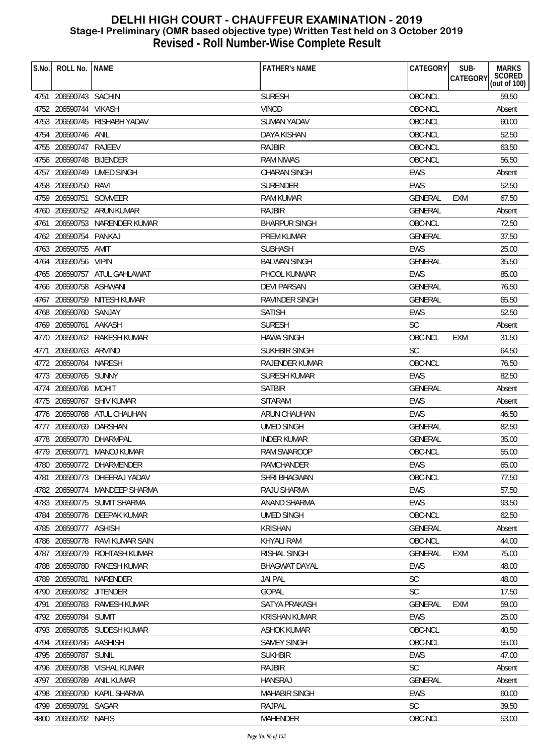| S.No. | ROLL No.                | <b>NAME</b>                   | <b>FATHER'S NAME</b>  | CATEGORY       | SUB-<br><b>MARKS</b><br>SCORED<br>(out of 100)<br>CATEGORY |
|-------|-------------------------|-------------------------------|-----------------------|----------------|------------------------------------------------------------|
|       |                         |                               |                       |                |                                                            |
|       | 4751 206590743 SACHIN   |                               | <b>SURESH</b>         | OBC-NCL        | 59.50                                                      |
|       | 4752 206590744 VIKASH   |                               | <b>VINOD</b>          | OBC-NCL        | Absent                                                     |
|       |                         | 4753 206590745 RISHABH YADAV  | SUMAN YADAV           | OBC-NCL        | 60.00                                                      |
| 4754  | 206590746 ANIL          |                               | DAYA KISHAN           | OBC-NCL        | 52.50                                                      |
|       | 4755 206590747          | RAJEEV                        | <b>RAJBIR</b>         | OBC-NCL        | 63.50                                                      |
|       | 4756 206590748 BLJENDER |                               | <b>RAM NIWAS</b>      | OBC-NCL        | 56.50                                                      |
|       |                         | 4757 206590749 UMED SINGH     | <b>CHARAN SINGH</b>   | <b>EWS</b>     | Absent                                                     |
|       | 4758 206590750 RAVI     |                               | <b>SURENDER</b>       | <b>EWS</b>     | 52.50                                                      |
|       | 4759 206590751 SOMVEER  |                               | <b>RAM KUMAR</b>      | GENERAL        | 67.50<br>EXM                                               |
|       |                         | 4760 206590752 ARUN KUMAR     | RAJBIR                | GENERAL        | Absent                                                     |
|       |                         | 4761 206590753 NARENDER KUMAR | <b>BHARPUR SINGH</b>  | OBC-NCL        | 72.50                                                      |
|       | 4762 206590754 PANKAJ   |                               | PREM KUMAR            | GENERAL        | 37.50                                                      |
|       | 4763 206590755 AMIT     |                               | <b>SUBHASH</b>        | EWS            | 25.00                                                      |
|       | 4764 206590756 VIPIN    |                               | <b>BALWAN SINGH</b>   | <b>GENERAL</b> | 35.50                                                      |
|       |                         | 4765 206590757 ATUL GAHLAWAT  | PHOOL KUNWAR          | <b>EWS</b>     | 85.00                                                      |
|       | 4766 206590758 ASHWANI  |                               | <b>DEVI PARSAN</b>    | GENERAL        | 76.50                                                      |
|       |                         | 4767 206590759 NITESH KUMAR   | RAVINDER SINGH        | <b>GENERAL</b> | 65.50                                                      |
|       | 4768 206590760 SANJAY   |                               | <b>SATISH</b>         | <b>EWS</b>     | 52.50                                                      |
|       | 4769 206590761 AAKASH   |                               | <b>SURESH</b>         | <b>SC</b>      | Absent                                                     |
|       |                         | 4770 206590762 RAKESH KUMAR   | <b>HAWA SINGH</b>     | OBC-NCL        | 31.50<br><b>EXM</b>                                        |
| 4771  | 206590763 ARVIND        |                               | <b>SUKHBIR SINGH</b>  | <b>SC</b>      | 64.50                                                      |
|       | 4772 206590764 NARESH   |                               | <b>RAJENDER KUMAR</b> | OBC-NCL        | 76.50                                                      |
|       | 4773 206590765 SUNNY    |                               | <b>SURESH KUMAR</b>   | <b>EWS</b>     | 82.50                                                      |
|       | 4774 206590766 MOHIT    |                               | <b>SATBIR</b>         | <b>GENERAL</b> | Absent                                                     |
|       |                         | 4775 206590767 SHIV KUMAR     | <b>SITARAM</b>        | EWS            | Absent                                                     |
|       |                         | 4776 206590768 ATUL CHAUHAN   | ARUN CHAUHAN          | <b>EWS</b>     | 46.50                                                      |
|       | 4777 206590769 DARSHAN  |                               | <b>UMED SINGH</b>     | GENERAL        | 82.50                                                      |
|       | 4778 206590770 DHARMPAL |                               | <b>INDER KUMAR</b>    | GENERAL        | 35.00                                                      |
|       |                         | 4779 206590771 MANOJ KUMAR    | <b>RAM SWAROOP</b>    | OBC-NCL        | 55.00                                                      |
|       |                         | 4780 206590772 DHARMENDER     | RAMCHANDER            | EWS            | 65.00                                                      |
| 4781  |                         | 206590773 DHEERAJ YADAV       | SHRI BHAGWAN          | OBC-NCL        | 77.50                                                      |
|       |                         | 4782 206590774 MANDEEP SHARMA | RAJU SHARMA           | <b>EWS</b>     | 57.50                                                      |
|       |                         | 4783 206590775 SUMIT SHARMA   | ANAND SHARMA          | <b>EWS</b>     | 93.50                                                      |
|       |                         | 4784 206590776 DEEPAK KUMAR   | <b>UMED SINGH</b>     | OBC-NCL        | 62.50                                                      |
|       | 4785 206590777 ASHISH   |                               | <b>KRISHAN</b>        | GENERAL        | Absent                                                     |
|       | 4786 206590778          | RAVI KUMAR SAIN               | KHYALI RAM            | OBC-NCL        | 44.00                                                      |
|       |                         | 4787 206590779 ROHTASH KUMAR  | <b>RISHAL SINGH</b>   | GENERAL        | EXM<br>75.00                                               |
|       |                         | 4788 206590780 RAKESH KUMAR   | <b>BHAGWAT DAYAL</b>  | EWS            | 48.00                                                      |
|       | 4789 206590781          | NARENDER                      | <b>JAI PAL</b>        | <b>SC</b>      | 48.00                                                      |
|       | 4790 206590782 JITENDER |                               | GOPAL                 | <b>SC</b>      | 17.50                                                      |
| 4791  |                         | 206590783 RAMESH KUMAR        | SATYA PRAKASH         | <b>GENERAL</b> | <b>EXM</b><br>59.00                                        |
|       | 4792 206590784 SUMIT    |                               | <b>KRISHAN KUMAR</b>  | <b>EWS</b>     | 25.00                                                      |
|       |                         | 4793 206590785 SUDESH KUMAR   | <b>ASHOK KUMAR</b>    | OBC-NCL        | 40.50                                                      |
|       | 4794 206590786 AASHISH  |                               | <b>SAMEY SINGH</b>    | OBC-NCL        | 55.00                                                      |
|       | 4795 206590787          | SUNIL                         | <b>SUKHBIR</b>        | <b>EWS</b>     | 47.00                                                      |
|       |                         | 4796 206590788 VISHAL KUMAR   | <b>RAJBIR</b>         | <b>SC</b>      | Absent                                                     |
| 4797  | 206590789               | ANIL KUMAR                    | <b>HANSRAJ</b>        | GENERAL        | Absent                                                     |
|       | 4798 206590790          | KAPIL SHARMA                  | <b>MAHABIR SINGH</b>  | <b>EWS</b>     | 60.00                                                      |
|       | 4799 206590791 SAGAR    |                               | RAJPAL                | <b>SC</b>      | 39.50                                                      |
|       | 4800 206590792 NAFIS    |                               | MAHENDER              | OBC-NCL        | 53.00                                                      |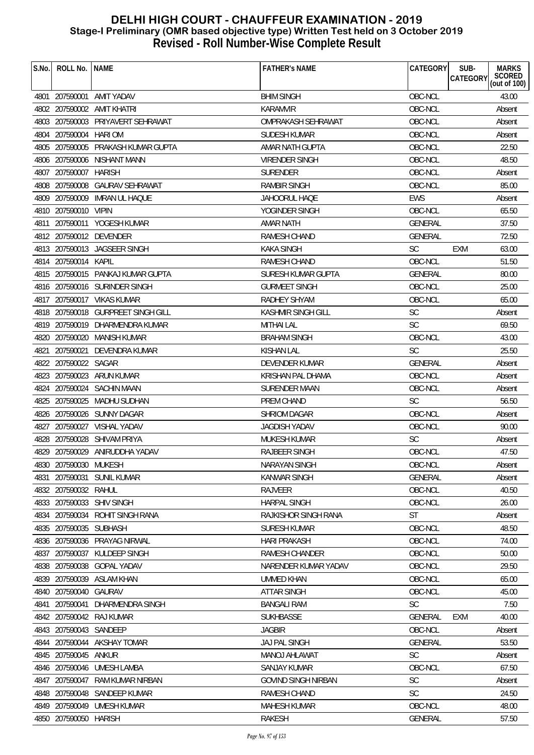| S.No. | ROLL No.               | <b>NAME</b>                        | <b>FATHER'S NAME</b>       | CATEGORY       | SUB-<br><b>MARKS</b><br>SCORED<br>(out of 100)<br><b>CATEGORY</b> |
|-------|------------------------|------------------------------------|----------------------------|----------------|-------------------------------------------------------------------|
|       |                        |                                    |                            |                |                                                                   |
|       |                        | 4801 207590001 AMIT YADAV          | <b>BHIM SINGH</b>          | OBC-NCL        | 43.00                                                             |
|       |                        | 4802 207590002 AMIT KHATRI         | KARAMVIR                   | OBC-NCL        | Absent                                                            |
|       |                        | 4803 207590003 PRIYAVERT SEHRAWAT  | OMPRAKASH SEHRAWAT         | OBC-NCL        | Absent                                                            |
|       | 4804 207590004 HARIOM  |                                    | <b>SUDESH KUMAR</b>        | OBC-NCL        | Absent                                                            |
|       |                        | 4805 207590005 PRAKASH KUMAR GUPTA | AMAR NATH GUPTA            | OBC-NCL        | 22.50                                                             |
|       |                        | 4806 207590006 NISHANT MANN        | <b>VIRENDER SINGH</b>      | OBC-NCL        | 48.50                                                             |
|       | 4807 207590007         | <b>HARISH</b>                      | <b>SURENDER</b>            | OBC-NCL        | Absent                                                            |
|       | 4808 207590008         | <b>GAURAV SEHRAWAT</b>             | <b>RAMBIR SINGH</b>        | OBC-NCL        | 85.00                                                             |
|       | 4809 207590009         | <b>IMRAN UL HAQUE</b>              | JAHOORUL HAQE              | <b>EWS</b>     | Absent                                                            |
|       | 4810 207590010 VIPIN   |                                    | YOGINDER SINGH             | OBC-NCL        | 65.50                                                             |
|       |                        | 4811 207590011 YOGESH KUMAR        | AMAR NATH                  | <b>GENERAL</b> | 37.50                                                             |
|       |                        | 4812 207590012 DEVENDER            | <b>RAMESH CHAND</b>        | <b>GENERAL</b> | 72.50                                                             |
|       |                        | 4813 207590013 JAGSEER SINGH       | KAKA SINGH                 | <b>SC</b>      | <b>EXM</b><br>63.00                                               |
|       | 4814 207590014 KAPIL   |                                    | RAMESH CHAND               | OBC-NCL        | 51.50                                                             |
|       |                        | 4815 207590015 PANKAJ KUMAR GUPTA  | SURESH KUMAR GUPTA         | GENERAL        | 80.00                                                             |
|       |                        | 4816 207590016 SURINDER SINGH      | <b>GURMEET SINGH</b>       | OBC-NCL        | 25.00                                                             |
|       |                        | 4817 207590017 VIKAS KUMAR         | RADHEY SHYAM               | OBC-NCL        | 65.00                                                             |
|       |                        | 4818 207590018 GURPREET SINGH GILL | KASHMIR SINGH GILL         | <b>SC</b>      | Absent                                                            |
|       |                        | 4819 207590019 DHARMENDRA KUMAR    | <b>MITHAI LAL</b>          | <b>SC</b>      | 69.50                                                             |
|       |                        | 4820 207590020 MANISH KUMAR        | <b>BRAHAM SINGH</b>        | OBC-NCL        | 43.00                                                             |
| 4821  |                        | 207590021 DEVENDRA KUMAR           | <b>KISHAN LAL</b>          | <b>SC</b>      | 25.50                                                             |
|       | 4822 207590022 SAGAR   |                                    | DEVENDER KUMAR             | <b>GENERAL</b> | Absent                                                            |
|       |                        | 4823 207590023 ARUN KUMAR          | <b>KRISHAN PAL DHAMA</b>   | OBC-NCL        | Absent                                                            |
|       |                        | 4824 207590024 SACHIN MAAN         | SURENDER MAAN              | OBC-NCL        | Absent                                                            |
|       |                        | 4825 207590025 MADHU SUDHAN        | PREM CHAND                 | <b>SC</b>      | 56.50                                                             |
|       |                        | 4826 207590026 SUNNY DAGAR         | SHRIOM DAGAR               | OBC-NCL        | Absent                                                            |
|       |                        | 4827 207590027 VISHAL YADAV        | JAGDISH YADAV              | OBC-NCL        | 90.00                                                             |
|       |                        | 4828 207590028 SHIVAM PRIYA        | MUKESH KUMAR               | <b>SC</b>      | Absent                                                            |
|       |                        | 4829 207590029 ANIRUDDHA YADAV     | RAJBEER SINGH              | OBC-NCL        | 47.50                                                             |
|       | 4830 207590030 MUKESH  |                                    | NARAYAN SINGH              | OBC-NCL        | Absent                                                            |
| 4831  | 207590031              | SUNIL KUMAR                        | KANWAR SINGH               | GENERAL        | Absent                                                            |
|       | 4832 207590032 RAHUL   |                                    | RAJVEER                    | OBC-NCL        | 40.50                                                             |
|       |                        | 4833 207590033 SHIV SINGH          | <b>HARPAL SINGH</b>        | OBC-NCL        | 26.00                                                             |
|       |                        | 4834 207590034 ROHIT SINGH RANA    | RAJKISHOR SINGH RANA       | <b>ST</b>      | Absent                                                            |
|       | 4835 207590035 SUBHASH |                                    | SURESH KUMAR               | OBC-NCL        | 48.50                                                             |
|       |                        | 4836 207590036 PRAYAG NIRWAL       | <b>HARI PRAKASH</b>        | OBC-NCL        | 74.00                                                             |
|       |                        | 4837 207590037 KULDEEP SINGH       | RAMESH CHANDER             | OBC-NCL        | 50.00                                                             |
|       |                        | 4838 207590038 GOPAL YADAV         | NARENDER KUMAR YADAV       | OBC-NCL        | 29.50                                                             |
|       |                        | 4839 207590039 ASLAM KHAN          | <b>UMMED KHAN</b>          | OBC-NCL        | 65.00                                                             |
|       | 4840 207590040 GAURAV  |                                    | <b>ATTAR SINGH</b>         | OBC-NCL        | 45.00                                                             |
| 4841  | 207590041              | DHARMENDRA SINGH                   | <b>BANGALI RAM</b>         | <b>SC</b>      | 7.50                                                              |
|       |                        | 4842 207590042 RAJ KUMAR           | <b>SUKHBASSE</b>           | <b>GENERAL</b> | EXM<br>40.00                                                      |
|       | 4843 207590043 SANDEEP |                                    | <b>JAGBIR</b>              | OBC-NCL        | Absent                                                            |
|       |                        | 4844 207590044 AKSHAY TOMAR        | <b>JAJ PAL SINGH</b>       | GENERAL        | 53.50                                                             |
|       | 4845 207590045 ANKUR   |                                    | MANOJ AHLAWAT              | <b>SC</b>      | Absent                                                            |
|       |                        | 4846 207590046 UMESH LAMBA         | <b>SANJAY KUMAR</b>        | OBC-NCL        | 67.50                                                             |
|       | 4847 207590047         | RAM KUMAR NIRBAN                   | <b>GOVIND SINGH NIRBAN</b> | <b>SC</b>      | Absent                                                            |
|       | 4848 207590048         | SANDEEP KUMAR                      | RAMESH CHAND               | <b>SC</b>      | 24.50                                                             |
|       |                        | 4849 207590049 UMESH KUMAR         | <b>MAHESH KUMAR</b>        | OBC-NCL        | 48.00                                                             |
|       | 4850 207590050 HARISH  |                                    | <b>RAKESH</b>              | <b>GENERAL</b> | 57.50                                                             |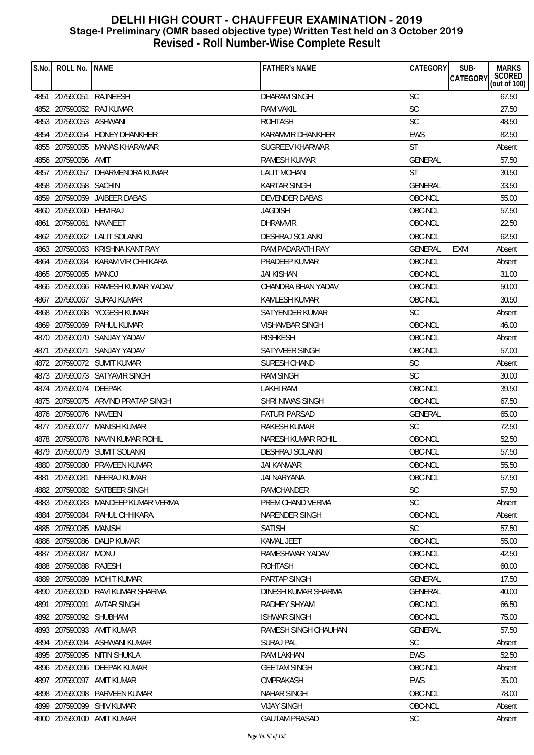|                                                                           | SCORED<br>(out of 100)<br><b>CATEGORY</b> |
|---------------------------------------------------------------------------|-------------------------------------------|
| 4851 207590051 RAJNEESH<br><b>DHARAM SINGH</b><br><b>SC</b>               | 67.50                                     |
| SC<br>4852 207590052 RAJ KUMAR<br><b>RAM VAKIL</b>                        | 27.50                                     |
| SC<br>4853 207590053 ASHWANI<br><b>ROHTASH</b>                            | 48.50                                     |
| 4854 207590054 HONEY DHANKHER<br><b>EWS</b><br>KARAMVIR DHANKHER          | 82.50                                     |
| <b>ST</b><br>4855 207590055 MANAS KHARAWAR<br><b>SUGREEV KHARWAR</b>      | Absent                                    |
| 4856 207590056 AMIT<br><b>RAMESH KUMAR</b><br><b>GENERAL</b>              | 57.50                                     |
| 207590057 DHARMENDRA KUMAR<br>ST<br>4857<br>LALIT MOHAN                   | 30.50                                     |
| 4858 207590058 SACHIN                                                     |                                           |
| GENERAL<br><b>KARTAR SINGH</b><br>4859 207590059 JAIBEER DABAS<br>OBC-NCL | 33.50<br>55.00                            |
| <b>DEVENDER DABAS</b>                                                     |                                           |
| 4860 207590060 HEM RAJ<br>OBC-NCL<br><b>JAGDISH</b><br>OBC-NCL            | 57.50<br>22.50                            |
| 207590061<br>NAVNEET<br><b>DHRAMVIR</b><br>4861                           |                                           |
| 4862 207590062 LALIT SOLANKI<br><b>DESHRAJ SOLANKI</b><br>OBC-NCL         | 62.50                                     |
| 4863 207590063 KRISHNA KANT RAY<br>RAM PADARATH RAY<br>GENERAL            | EXM<br>Absent                             |
| 4864 207590064 KARAM VIR CHHIKARA<br>OBC-NCL<br>PRADEEP KUMAR             | Absent                                    |
| OBC-NCL<br>4865 207590065 MANOJ<br><b>JAI KISHAN</b>                      | 31.00                                     |
| 4866 207590066 RAMESH KUMAR YADAV<br>CHANDRA BHAN YADAV<br>OBC-NCL        | 50.00                                     |
| 4867 207590067 SURAJ KUMAR<br><b>KAMLESH KUMAR</b><br>OBC-NCL             | 30.50                                     |
| <b>SC</b><br>4868 207590068 YOGESH KUMAR<br>SATYENDER KUMAR               | Absent                                    |
| 4869 207590069 RAHUL KUMAR<br>OBC-NCL<br><b>VISHAMBAR SINGH</b>           | 46.00                                     |
| OBC-NCL<br>4870 207590070 SANJAY YADAV<br><b>RISHKESH</b>                 | Absent                                    |
| 207590071 SANJAY YADAV<br>SATYVEER SINGH<br>OBC-NCL<br>4871               | 57.00                                     |
| <b>SC</b><br>4872 207590072 SUMIT KUMAR<br><b>SURESH CHAND</b>            | Absent                                    |
| 4873 207590073 SATYAVIR SINGH<br><b>RAM SINGH</b><br><b>SC</b>            | 30.00                                     |
| 4874 207590074 DEEPAK<br>OBC-NCL<br>LAKHI RAM                             | 39.50                                     |
| 4875 207590075 ARVIND PRATAP SINGH<br>OBC-NCL<br>SHRI NIWAS SINGH         | 67.50                                     |
| <b>FATURI PARSAD</b><br>GENERAL<br>4876 207590076 NAVEEN                  | 65.00                                     |
| <b>SC</b><br>4877 207590077 MANISH KUMAR<br>RAKESH KUMAR                  | 72.50                                     |
| 4878 207590078 NAVIN KUMAR ROHIL<br>OBC-NCL<br>NARESH KUMAR ROHIL         | 52.50                                     |
| 4879 207590079 SUMIT SOLANKI<br><b>DESHRAJ SOLANKI</b><br>OBC-NCL         | 57.50                                     |
| OBC-NCL<br>4880 207590080 PRAVEEN KUMAR<br><b>JAI KANWAR</b>              | 55.50                                     |
| 207590081<br>OBC-NCL<br>NEERAJ KUMAR<br>JAI NARYANA<br>4881               | 57.50                                     |
| 4882 207590082 SATBEER SINGH<br><b>SC</b><br><b>RAMCHANDER</b>            | 57.50                                     |
| <b>SC</b><br>4883 207590083 MANDEEP KUMAR VERMA<br>PREM CHAND VERMA       | Absent                                    |
| OBC-NCL<br>4884 207590084<br>RAHUL CHHIKARA<br><b>NARENDER SINGH</b>      | Absent                                    |
| SC<br>4885 207590085<br>MANISH<br><b>SATISH</b>                           | 57.50                                     |
| 207590086<br>DALIP KUMAR<br><b>KAMAL JEET</b><br>OBC-NCL<br>4886          | 55.00                                     |
| 4887 207590087<br>RAMESHWAR YADAV<br>OBC-NCL<br>MONU                      | 42.50                                     |
| 4888 207590088 RAJESH<br><b>ROHTASH</b><br>OBC-NCL                        | 60.00                                     |
| 207590089<br>4889<br><b>MOHIT KUMAR</b><br><b>PARTAP SINGH</b><br>GENERAL | 17.50                                     |
| 4890 207590090<br>DINESH KUMAR SHARMA<br>GENERAL<br>RAVI KUMAR SHARMA     | 40.00                                     |
| 207590091<br>AVTAR SINGH<br>RADHEY SHYAM<br>OBC-NCL<br>4891               | 66.50                                     |
| 4892 207590092 SHUBHAM<br>OBC-NCL<br><b>ISHWAR SINGH</b>                  | 75.00                                     |
| 4893 207590093 AMIT KUMAR<br>RAMESH SINGH CHAUHAN<br>GENERAL              | 57.50                                     |
| SC<br>4894 207590094 ASHWANI KUMAR<br><b>SURAJ PAL</b>                    | Absent                                    |
| 4895 207590095<br>NITIN SHUKLA<br>RAM LAKHAN<br><b>EWS</b>                | 52.50                                     |
| 207590096 DEEPAK KUMAR<br>OBC-NCL<br><b>GEETAM SINGH</b><br>4896          | Absent                                    |
| 207590097<br>AMIT KUMAR<br>OMPRAKASH<br>EWS<br>4897                       | 35.00                                     |
| 207590098 PARVEEN KUMAR<br>OBC-NCL<br>4898<br><b>NAHAR SINGH</b>          | 78.00                                     |
| 4899 207590099 SHIV KUMAR<br><b>VIJAY SINGH</b><br>OBC-NCL                | Absent                                    |
| 4900 207590100 AMIT KUMAR<br><b>SC</b><br><b>GAUTAM PRASAD</b>            | Absent                                    |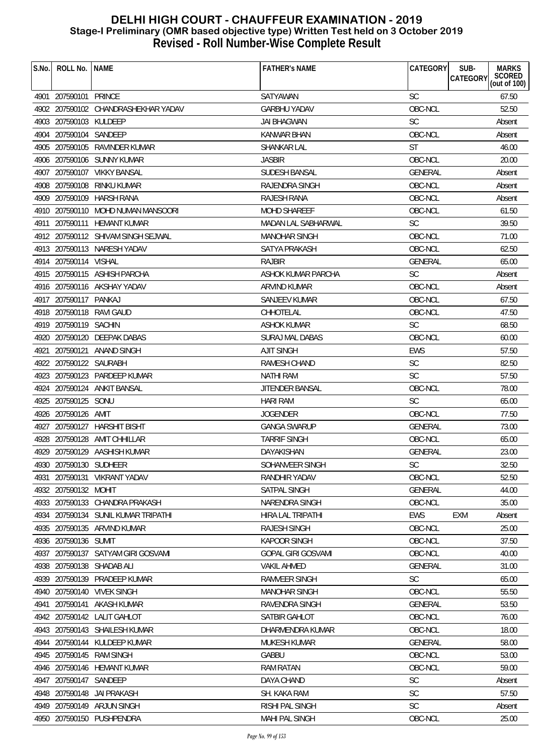| S.No. | ROLL No. INAME         |                                     | <b>FATHER'S NAME</b>     | CATEGORY       | SUB-<br><b>MARKS</b><br>SCORED<br>(out of 100)<br>CATEGORY |
|-------|------------------------|-------------------------------------|--------------------------|----------------|------------------------------------------------------------|
|       | 4901 207590101 PRINCE  |                                     | <b>SATYAWAN</b>          | <b>SC</b>      | 67.50                                                      |
|       |                        | 4902 207590102 CHANDRASHEKHAR YADAV | <b>GARBHU YADAV</b>      | OBC-NCL        | 52.50                                                      |
|       | 4903 207590103 KULDEEP |                                     | <b>JAI BHAGWAN</b>       | <b>SC</b>      | Absent                                                     |
|       | 4904 207590104 SANDEEP |                                     | <b>KANWAR BHAN</b>       | OBC-NCL        | Absent                                                     |
|       |                        | 4905 207590105 RAVINDER KUMAR       | <b>SHANKAR LAL</b>       | <b>ST</b>      | 46.00                                                      |
|       |                        | 4906 207590106 SUNNY KUMAR          | <b>JASBIR</b>            | OBC-NCL        | 20.00                                                      |
|       |                        | 4907 207590107 VIKKY BANSAL         | <b>SUDESH BANSAL</b>     | GENERAL        | Absent                                                     |
|       |                        | 4908 207590108 RINKU KUMAR          | RAJENDRA SINGH           | OBC-NCL        | Absent                                                     |
|       |                        | 4909 207590109 HARSH RANA           | RAJESH RANA              | OBC-NCL        | Absent                                                     |
|       |                        | 4910 207590110 MOHD NUMAN MANSOORI  | <b>MOHD SHAREEF</b>      | OBC-NCL        | 61.50                                                      |
|       |                        | 4911 207590111 HEMANT KUMAR         | MADAN LAL SABHARWAL      | <b>SC</b>      | 39.50                                                      |
|       |                        | 4912 207590112 SHIVAM SINGH SEJWAL  | <b>MANOHAR SINGH</b>     | OBC-NCL        | 71.00                                                      |
|       |                        | 4913 207590113 NARESH YADAV         | SATYA PRAKASH            | OBC-NCL        | 62.50                                                      |
|       | 4914 207590114 VISHAL  |                                     | <b>RAJBIR</b>            | <b>GENERAL</b> | 65.00                                                      |
|       |                        | 4915 207590115 ASHISH PARCHA        | ASHOK KUMAR PARCHA       | <b>SC</b>      | Absent                                                     |
|       |                        | 4916 207590116 AKSHAY YADAV         | ARVIND KUMAR             | OBC-NCL        | Absent                                                     |
|       | 4917 207590117 PANKAJ  |                                     | <b>SANJEEV KUMAR</b>     | OBC-NCL        | 67.50                                                      |
|       |                        | 4918 207590118 RAVI GAUD            | CHHOTELAL                | OBC-NCL        | 47.50                                                      |
|       | 4919 207590119 SACHIN  |                                     | ASHOK KUMAR              | <b>SC</b>      | 68.50                                                      |
|       |                        | 4920 207590120 DEEPAK DABAS         | <b>SURAJ MAL DABAS</b>   | OBC-NCL        | 60.00                                                      |
| 4921  |                        | 207590121 ANAND SINGH               | <b>AJIT SINGH</b>        | <b>EWS</b>     | 57.50                                                      |
|       | 4922 207590122 SAURABH |                                     | RAMESH CHAND             | <b>SC</b>      | 82.50                                                      |
|       |                        | 4923 207590123 PARDEEP KUMAR        | <b>NATHI RAM</b>         | <b>SC</b>      | 57.50                                                      |
|       |                        | 4924 207590124 ANKIT BANSAL         | JITENDER BANSAL          | OBC-NCL        | 78.00                                                      |
|       | 4925 207590125 SONU    |                                     | <b>HARI RAM</b>          | <b>SC</b>      | 65.00                                                      |
|       | 4926 207590126 AMIT    |                                     | <b>JOGENDER</b>          | OBC-NCL        | 77.50                                                      |
|       |                        | 4927 207590127 HARSHIT BISHT        | <b>GANGA SWARUP</b>      | <b>GENERAL</b> | 73.00                                                      |
|       |                        | 4928 207590128 AMIT CHHILLAR        | <b>TARRIF SINGH</b>      | OBC-NCL        | 65.00                                                      |
|       |                        | 4929 207590129 AASHISH KUMAR        | DAYAKISHAN               | <b>GENERAL</b> | 23.00                                                      |
|       | 4930 207590130 SUDHEER |                                     | SOHANVEER SINGH          | SC             | 32.50                                                      |
|       |                        | 4931 207590131 VIKRANT YADAV        | RANDHIR YADAV            | OBC-NCL        | 52.50                                                      |
|       | 4932 207590132 MOHIT   |                                     | SATPAL SINGH             | <b>GENERAL</b> | 44.00                                                      |
|       |                        | 4933 207590133 CHANDRA PRAKASH      | NARENDRA SINGH           | OBC-NCL        | 35.00                                                      |
|       |                        | 4934 207590134 SUNIL KUMAR TRIPATHI | <b>HIRA LAL TRIPATHI</b> | EWS            | <b>EXM</b><br>Absent                                       |
|       |                        | 4935 207590135 ARVIND KUMAR         | <b>RAJESH SINGH</b>      | OBC-NCL        | 25.00                                                      |
|       | 4936 207590136 SUMIT   |                                     | <b>KAPOOR SINGH</b>      | OBC-NCL        | 37.50                                                      |
|       |                        | 4937 207590137 SATYAM GIRI GOSVAMI  | GOPAL GIRI GOSVAMI       | OBC-NCL        | 40.00                                                      |
|       |                        | 4938 207590138 SHADAB ALI           | <b>VAKIL AHMED</b>       | <b>GENERAL</b> | 31.00                                                      |
| 4939  |                        | 207590139 PRADEEP KUMAR             | RAMVEER SINGH            | <b>SC</b>      | 65.00                                                      |
|       |                        | 4940 207590140 VIVEK SINGH          | <b>MANOHAR SINGH</b>     | OBC-NCL        | 55.50                                                      |
|       |                        | 4941 207590141 AKASH KUMAR          | RAVENDRA SINGH           | <b>GENERAL</b> | 53.50                                                      |
|       |                        | 4942 207590142 LALIT GAHLOT         | SATBIR GAHLOT            | OBC-NCL        | 76.00                                                      |
|       |                        | 4943 207590143 SHAILESH KUMAR       | DHARMENDRA KUMAR         | OBC-NCL        | 18.00                                                      |
|       |                        | 4944 207590144 KULDEEP KUMAR        | MUKESH KUMAR             | <b>GENERAL</b> | 58.00                                                      |
|       |                        | 4945 207590145 RAM SINGH            | <b>GABBU</b>             | OBC-NCL        | 53.00                                                      |
|       |                        | 4946 207590146 HEMANT KUMAR         | <b>RAM RATAN</b>         | OBC-NCL        | 59.00                                                      |
|       | 4947 207590147 SANDEEP |                                     | DAYA CHAND               | <b>SC</b>      | Absent                                                     |
|       |                        | 4948 207590148 JAI PRAKASH          | SH. KAKA RAM             | <b>SC</b>      | 57.50                                                      |
|       |                        | 4949 207590149 ARJUN SINGH          | RISHI PAL SINGH          | <b>SC</b>      | Absent                                                     |
|       |                        | 4950 207590150 PUSHPENDRA           | <b>MAHI PAL SINGH</b>    | OBC-NCL        | 25.00                                                      |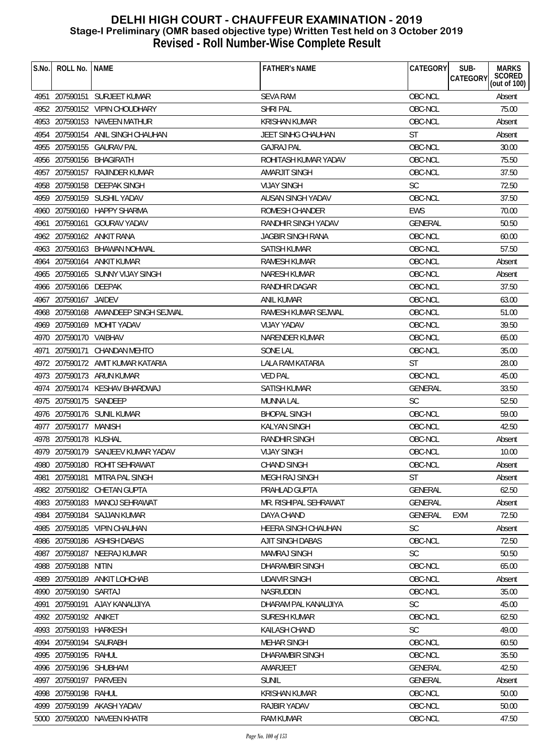| S.No. | ROLL No. NAME          |                                      | <b>FATHER'S NAME</b>      | CATEGORY       | SUB-<br><b>MARKS</b><br>SCORED<br>(out of 100)<br>CATEGORY |
|-------|------------------------|--------------------------------------|---------------------------|----------------|------------------------------------------------------------|
|       |                        | 4951 207590151 SURJEET KUMAR         | <b>SEVA RAM</b>           | OBC-NCL        | Absent                                                     |
|       |                        | 4952 207590152 VIPIN CHOUDHARY       | <b>SHRI PAL</b>           | OBC-NCL        | 75.00                                                      |
|       |                        | 4953 207590153 NAVEEN MATHUR         | <b>KRISHAN KUMAR</b>      | OBC-NCL        | Absent                                                     |
|       |                        | 4954 207590154 ANIL SINGH CHAUHAN    | <b>JEET SINHG CHAUHAN</b> | ST             | Absent                                                     |
|       |                        | 4955 207590155 GAURAV PAL            | <b>GAJRAJ PAL</b>         | OBC-NCL        | 30.00                                                      |
|       |                        | 4956 207590156 BHAGIRATH             | ROHITASH KUMAR YADAV      | OBC-NCL        | 75.50                                                      |
|       |                        | 4957 207590157 RAJINDER KUMAR        | <b>AMARJIT SINGH</b>      | OBC-NCL        | 37.50                                                      |
|       |                        | 4958 207590158 DEEPAK SINGH          | <b>VIJAY SINGH</b>        | <b>SC</b>      | 72.50                                                      |
|       |                        | 4959 207590159 SUSHIL YADAV          | AUSAN SINGH YADAV         | OBC-NCL        | 37.50                                                      |
|       |                        | 4960 207590160 HAPPY SHARMA          | ROMESH CHANDER            | <b>EWS</b>     | 70.00                                                      |
|       |                        | 4961 207590161 GOURAV YADAV          | RANDHIR SINGH YADAV       | <b>GENERAL</b> | 50.50                                                      |
|       |                        | 4962 207590162 ANKIT RANA            | <b>JAGBIR SINGH RANA</b>  | OBC-NCL        | 60.00                                                      |
|       |                        | 4963 207590163 BHAWAN NOHWAL         | SATISH KUMAR              | OBC-NCL        | 57.50                                                      |
|       |                        | 4964 207590164 ANKIT KUMAR           | RAMESH KUMAR              | OBC-NCL        | Absent                                                     |
|       |                        | 4965 207590165 SUNNY VIJAY SINGH     | <b>NARESH KUMAR</b>       | OBC-NCL        | Absent                                                     |
|       | 4966 207590166 DEEPAK  |                                      | RANDHIR DAGAR             | OBC-NCL        | 37.50                                                      |
|       | 4967 207590167 JAIDEV  |                                      | <b>ANIL KUMAR</b>         | OBC-NCL        | 63.00                                                      |
|       |                        | 4968 207590168 AMANDEEP SINGH SEJWAL | RAMESH KUMAR SEJWAL       | OBC-NCL        | 51.00                                                      |
|       |                        | 4969 207590169 MOHIT YADAV           | VIJAY YADAV               | OBC-NCL        | 39.50                                                      |
|       | 4970 207590170 VAIBHAV |                                      | NARENDER KUMAR            | OBC-NCL        | 65.00                                                      |
|       |                        | 4971 207590171 CHANDAN MEHTO         | <b>SONE LAL</b>           | OBC-NCL        | 35.00                                                      |
|       |                        | 4972 207590172 AMIT KUMAR KATARIA    | LALA RAM KATARIA          | <b>ST</b>      | 28.00                                                      |
|       |                        | 4973 207590173 ARUN KUMAR            | <b>VED PAL</b>            | OBC-NCL        | 45.00                                                      |
|       |                        | 4974 207590174 KESHAV BHARDWAJ       | SATISH KUMAR              | <b>GENERAL</b> | 33.50                                                      |
|       | 4975 207590175 SANDEEP |                                      | <b>MUNNA LAL</b>          | <b>SC</b>      | 52.50                                                      |
|       |                        | 4976 207590176 SUNIL KUMAR           | <b>BHOPAL SINGH</b>       | OBC-NCL        | 59.00                                                      |
|       | 4977 207590177 MANISH  |                                      | <b>KALYAN SINGH</b>       | OBC-NCL        | 42.50                                                      |
|       | 4978 207590178 KUSHAL  |                                      | <b>RANDHIR SINGH</b>      | OBC-NCL        | Absent                                                     |
|       |                        | 4979 207590179 SANJEEV KUMAR YADAV   | <b>VIJAY SINGH</b>        | OBC-NCL        | 10.00                                                      |
|       |                        | 4980 207590180 ROHIT SEHRAWAT        | CHAND SINGH               | OBC-NCL        | Absent                                                     |
| 4981  | 207590181              | MITRA PAL SINGH                      | MEGH RAJ SINGH            | ST             | Absent                                                     |
|       |                        | 4982 207590182 CHETAN GUPTA          | PRAHLAD GUPTA             | <b>GENERAL</b> | 62.50                                                      |
|       |                        | 4983 207590183 MANOJ SEHRAWAT        | MR. RISHIPAL SEHRAWAT     | <b>GENERAL</b> | Absent                                                     |
|       |                        | 4984 207590184 SAJJAN KUMAR          | DAYA CHAND                | <b>GENERAL</b> | 72.50<br><b>EXM</b>                                        |
|       |                        | 4985 207590185 VIPIN CHAUHAN         | HEERA SINGH CHAUHAN       | <b>SC</b>      | Absent                                                     |
|       |                        | 4986 207590186 ASHISH DABAS          | AJIT SINGH DABAS          | OBC-NCL        | 72.50                                                      |
|       |                        | 4987 207590187 NEERAJ KUMAR          | <b>MAMRAJ SINGH</b>       | <b>SC</b>      | 50.50                                                      |
|       | 4988 207590188 NITIN   |                                      | DHARAMBIR SINGH           | OBC-NCL        | 65.00                                                      |
| 4989  |                        | 207590189 ANKIT LOHCHAB              | <b>UDAIVIR SINGH</b>      | OBC-NCL        | Absent                                                     |
|       | 4990 207590190 SARTAJ  |                                      | NASRUDDIN                 | OBC-NCL        | 35.00                                                      |
| 4991  |                        | 207590191 AJAY KANAUJIYA             | DHARAM PAL KANAUJIYA      | <b>SC</b>      | 45.00                                                      |
|       | 4992 207590192 ANIKET  |                                      | SURESH KUMAR              | OBC-NCL        | 62.50                                                      |
|       | 4993 207590193 HARKESH |                                      | KAILASH CHAND             | <b>SC</b>      | 49.00                                                      |
|       | 4994 207590194 SAURABH |                                      | <b>MEHAR SINGH</b>        | OBC-NCL        | 60.50                                                      |
|       | 4995 207590195 RAHUL   |                                      | DHARAMBIR SINGH           | OBC-NCL        | 35.50                                                      |
| 4996  | 207590196 SHUBHAM      |                                      | AMARJEET                  | GENERAL        | 42.50                                                      |
| 4997  | 207590197 PARVEEN      |                                      | <b>SUNIL</b>              | <b>GENERAL</b> | Absent                                                     |
|       | 4998 207590198         | RAHUL                                | <b>KRISHAN KUMAR</b>      | OBC-NCL        | 50.00                                                      |
|       |                        | 4999 207590199 AKASH YADAV           | RAJBIR YADAV              | OBC-NCL        | 50.00                                                      |
|       |                        | 5000 207590200 NAVEEN KHATRI         | <b>RAM KUMAR</b>          | OBC-NCL        | 47.50                                                      |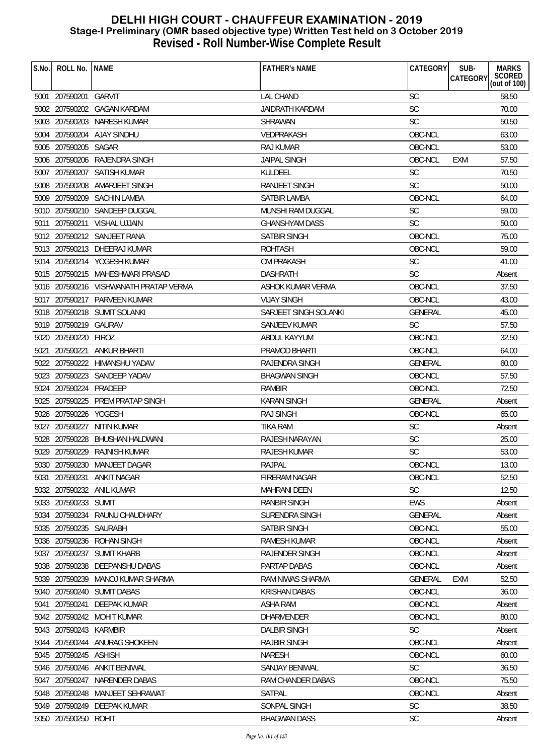| S.No. | ROLL No.               | <b>INAME</b>                           | <b>FATHER'S NAME</b>  | CATEGORY       | SUB-<br><b>MARKS</b>                  |
|-------|------------------------|----------------------------------------|-----------------------|----------------|---------------------------------------|
|       |                        |                                        |                       |                | SCORED<br>CATEGORY<br>(out of $100$ ) |
|       | 5001 207590201         | <b>GARVIT</b>                          | <b>LAL CHAND</b>      | <b>SC</b>      | 58.50                                 |
|       |                        | 5002 207590202 GAGAN KARDAM            | JAIDRATH KARDAM       | SC             | 70.00                                 |
|       |                        | 5003 207590203 NARESH KUMAR            | <b>SHRAWAN</b>        | <b>SC</b>      | 50.50                                 |
|       |                        | 5004 207590204 AJAY SINDHU             | VEDPRAKASH            | OBC-NCL        | 63.00                                 |
|       | 5005 207590205 SAGAR   |                                        | RAJ KUMAR             | OBC-NCL        | 53.00                                 |
|       |                        | 5006 207590206 RAJENDRA SINGH          | <b>JAIPAL SINGH</b>   | OBC-NCL        | 57.50<br><b>EXM</b>                   |
|       |                        | 5007 207590207 SATISH KUMAR            | <b>KULDEEL</b>        | <b>SC</b>      | 70.50                                 |
|       |                        | 5008 207590208 AMARJEET SINGH          | RANJEET SINGH         | <b>SC</b>      | 50.00                                 |
|       |                        | 5009 207590209 SACHIN LAMBA            | <b>SATBIR LAMBA</b>   | OBC-NCL        | 64.00                                 |
|       |                        | 5010 207590210 SANDEEP DUGGAL          | MUNSHI RAM DUGGAL     | <b>SC</b>      | 59.00                                 |
|       |                        | 5011 207590211 VISHAL UJJAIN           | <b>GHANSHYAM DASS</b> | <b>SC</b>      | 50.00                                 |
|       |                        | 5012 207590212 SANJEET RANA            | SATBIR SINGH          | OBC-NCL        | 75.00                                 |
|       |                        | 5013 207590213 DHEERAJ KUMAR           | <b>ROHTASH</b>        | OBC-NCL        | 59.00                                 |
|       |                        | 5014 207590214 YOGESH KUMAR            | OM PRAKASH            | <b>SC</b>      | 41.00                                 |
|       |                        | 5015 207590215 MAHESHWARI PRASAD       | <b>DASHRATH</b>       | <b>SC</b>      | Absent                                |
|       |                        | 5016 207590216 VISHWANATH PRATAP VERMA | ASHOK KUMAR VERMA     | OBC-NCL        | 37.50                                 |
|       |                        | 5017 207590217 PARVEEN KUMAR           | <b>VIJAY SINGH</b>    | OBC-NCL        | 43.00                                 |
|       |                        | 5018 207590218 SUMIT SOLANKI           | SARJEET SINGH SOLANKI | GENERAL        | 45.00                                 |
|       | 5019 207590219 GAURAV  |                                        | SANJEEV KUMAR         | <b>SC</b>      | 57.50                                 |
|       | 5020 207590220 FIROZ   |                                        | ABDUL KAYYUM          | OBC-NCL        | 32.50                                 |
|       |                        | 5021 207590221 ANKUR BHARTI            | PRAMOD BHARTI         | OBC-NCL        | 64.00                                 |
|       |                        | 5022 207590222 HIMANSHU YADAV          | RAJENDRA SINGH        | <b>GENERAL</b> | 60.00                                 |
|       |                        | 5023 207590223 SANDEEP YADAV           | <b>BHAGWAN SINGH</b>  | OBC-NCL        | 57.50                                 |
|       | 5024 207590224 PRADEEP |                                        | RAMBIR                | OBC-NCL        | 72.50                                 |
|       |                        | 5025 207590225 PREM PRATAP SINGH       | <b>KARAN SINGH</b>    | <b>GENERAL</b> | Absent                                |
|       | 5026 207590226 YOGESH  |                                        | <b>RAJ SINGH</b>      | OBC-NCL        | 65.00                                 |
|       |                        | 5027 207590227 NITIN KUMAR             | <b>TIKA RAM</b>       | <b>SC</b>      | Absent                                |
|       | 5028 207590228         | BHUSHAN HALDWANI                       | RAJESH NARAYAN        | <b>SC</b>      | 25.00                                 |
|       |                        | 5029 207590229 RAJNISH KUMAR           | RAJESH KUMAR          | <b>SC</b>      | 53.00                                 |
|       |                        | 5030 207590230 MANJEET DAGAR           | RAJPAL                | OBC-NCL        | 13.00                                 |
| 5031  | 207590231              | ANKIT NAGAR                            | <b>FIRERAM NAGAR</b>  | OBC-NCL        | 52.50                                 |
|       |                        | 5032 207590232 ANIL KUMAR              | MAHRANI DEEN          | <b>SC</b>      | 12.50                                 |
|       | 5033 207590233 SUMIT   |                                        | <b>RANBIR SINGH</b>   | EWS            | Absent                                |
|       | 5034 207590234         | RAUNU CHAUDHARY                        | SURENDRA SINGH        | <b>GENERAL</b> | Absent                                |
|       | 5035 207590235 SAURABH |                                        | SATBIR SINGH          | OBC-NCL        | 55.00                                 |
|       | 5036 207590236         | ROHAN SINGH                            | RAMESH KUMAR          | OBC-NCL        | Absent                                |
|       | 5037 207590237         | <b>SUMIT KHARB</b>                     | <b>RAJENDER SINGH</b> | OBC-NCL        | Absent                                |
|       |                        | 5038 207590238 DEEPANSHU DABAS         | PARTAP DABAS          | OBC-NCL        | Absent                                |
|       |                        | 5039 207590239 MANOJ KUMAR SHARMA      | RAM NIWAS SHARMA      | <b>GENERAL</b> | <b>EXM</b><br>52.50                   |
|       |                        | 5040 207590240 SUMIT DABAS             | <b>KRISHAN DABAS</b>  | OBC-NCL        | 36.00                                 |
| 5041  | 207590241              | DEEPAK KUMAR                           | <b>ASHA RAM</b>       | OBC-NCL        | Absent                                |
|       |                        | 5042 207590242 MOHIT KUMAR             | <b>DHARMENDER</b>     | OBC-NCL        | 80.00                                 |
|       | 5043 207590243 KARMBIR |                                        | <b>DALBIR SINGH</b>   | <b>SC</b>      | Absent                                |
|       |                        | 5044 207590244 ANURAG SHOKEEN          | <b>RAJBIR SINGH</b>   | OBC-NCL        | Absent                                |
|       | 5045 207590245 ASHISH  |                                        | <b>NARESH</b>         | OBC-NCL        | 60.00                                 |
|       |                        | 5046 207590246 ANKIT BENIWAL           | <b>SANJAY BENIWAL</b> | <b>SC</b>      | 36.50                                 |
|       |                        | 5047 207590247 NARENDER DABAS          | RAM CHANDER DABAS     | OBC-NCL        | 75.50                                 |
|       | 5048 207590248         | MANJEET SEHRAWAT                       | SATPAL                | OBC-NCL        | Absent                                |
|       |                        | 5049 207590249 DEEPAK KUMAR            | SONPAL SINGH          | SC             | 38.50                                 |
|       | 5050 207590250 ROHIT   |                                        | <b>BHAGWAN DASS</b>   | SC             | Absent                                |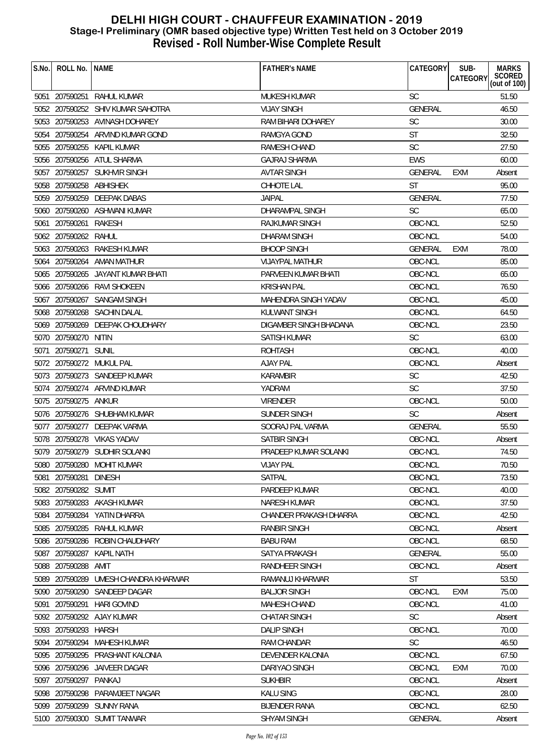| S.No. | ROLL No.                | <b>NAME</b>                       | <b>FATHER'S NAME</b>   | CATEGORY       | SUB-<br><b>MARKS</b><br>SCORED<br>(out of 100)<br><b>CATEGORY</b> |
|-------|-------------------------|-----------------------------------|------------------------|----------------|-------------------------------------------------------------------|
|       |                         |                                   |                        |                |                                                                   |
|       | 5051 207590251          | RAHUL KUMAR                       | MUKESH KUMAR           | <b>SC</b>      | 51.50                                                             |
|       |                         | 5052 207590252 SHIV KUMAR SAHOTRA | <b>VIJAY SINGH</b>     | <b>GENERAL</b> | 46.50                                                             |
|       |                         | 5053 207590253 AVINASH DOHAREY    | RAM BIHARI DOHAREY     | SC             | 30.00                                                             |
|       |                         | 5054 207590254 ARVIND KUMAR GOND  | <b>RAMGYA GOND</b>     | <b>ST</b>      | 32.50                                                             |
|       |                         | 5055 207590255 KAPIL KUMAR        | RAMESH CHAND           | <b>SC</b>      | 27.50                                                             |
|       |                         | 5056 207590256 ATUL SHARMA        | <b>GAJRAJ SHARMA</b>   | <b>EWS</b>     | 60.00                                                             |
|       |                         | 5057 207590257 SUKHVIR SINGH      | <b>AVTAR SINGH</b>     | GENERAL        | <b>EXM</b><br>Absent                                              |
|       | 5058 207590258 ABHISHEK |                                   | CHHOTE LAL             | <b>ST</b>      | 95.00                                                             |
|       |                         | 5059 207590259 DEEPAK DABAS       | <b>JAIPAL</b>          | <b>GENERAL</b> | 77.50                                                             |
|       |                         | 5060 207590260 ASHWANI KUMAR      | DHARAMPAL SINGH        | <b>SC</b>      | 65.00                                                             |
|       | 5061 207590261          | RAKESH                            | <b>RAJKUMAR SINGH</b>  | OBC-NCL        | 52.50                                                             |
|       | 5062 207590262          | RAHUL                             | <b>DHARAM SINGH</b>    | OBC-NCL        | 54.00                                                             |
|       |                         | 5063 207590263 RAKESH KUMAR       | <b>BHOOP SINGH</b>     | <b>GENERAL</b> | 78.00<br>EXM                                                      |
|       |                         | 5064 207590264 AMAN MATHUR        | <b>VIJAYPAL MATHUR</b> | OBC-NCL        | 85.00                                                             |
|       |                         | 5065 207590265 JAYANT KUMAR BHATI | PARVEEN KUMAR BHATI    | OBC-NCL        | 65.00                                                             |
|       |                         | 5066 207590266 RAVI SHOKEEN       | <b>KRISHAN PAL</b>     | OBC-NCL        | 76.50                                                             |
|       |                         | 5067 207590267 SANGAM SINGH       | MAHENDRA SINGH YADAV   | OBC-NCL        | 45.00                                                             |
|       |                         | 5068 207590268 SACHIN DALAL       | <b>KULWANT SINGH</b>   | OBC-NCL        | 64.50                                                             |
|       |                         | 5069 207590269 DEEPAK CHOUDHARY   | DIGAMBER SINGH BHADANA | OBC-NCL        | 23.50                                                             |
|       | 5070 207590270 NITIN    |                                   | SATISH KUMAR           | <b>SC</b>      | 63.00                                                             |
| 5071  | 207590271 SUNIL         |                                   | <b>ROHTASH</b>         | OBC-NCL        | 40.00                                                             |
|       |                         | 5072 207590272 MUKUL PAL          | <b>AJAY PAL</b>        | OBC-NCL        | Absent                                                            |
|       |                         | 5073 207590273 SANDEEP KUMAR      | <b>KARAMBIR</b>        | <b>SC</b>      | 42.50                                                             |
|       |                         | 5074 207590274 ARVIND KUMAR       | YADRAM                 | SC             | 37.50                                                             |
|       | 5075 207590275 ANKUR    |                                   | <b>VIRENDER</b>        | OBC-NCL        | 50.00                                                             |
|       |                         | 5076 207590276 SHUBHAM KUMAR      | SUNDER SINGH           | <b>SC</b>      | Absent                                                            |
|       |                         | 5077 207590277 DEEPAK VARMA       | SOORAJ PAL VARMA       | <b>GENERAL</b> | 55.50                                                             |
|       |                         | 5078 207590278 VIKAS YADAV        | SATBIR SINGH           | OBC-NCL        | Absent                                                            |
|       |                         | 5079 207590279 SUDHIR SOLANKI     | PRADEEP KUMAR SOLANKI  | OBC-NCL        | 74.50                                                             |
|       |                         | 5080 207590280 MOHIT KUMAR        | <b>VIJAY PAL</b>       | OBC-NCL        | 70.50                                                             |
|       | 5081 207590281          | <b>DINESH</b>                     | <b>SATPAL</b>          | OBC-NCL        | 73.50                                                             |
|       | 5082 207590282 SUMIT    |                                   | PARDEEP KUMAR          | OBC-NCL        | 40.00                                                             |
|       |                         | 5083 207590283 AKASH KUMAR        | <b>NARESH KUMAR</b>    | OBC-NCL        | 37.50                                                             |
|       |                         | 5084 207590284 YATIN DHARRA       | CHANDER PRAKASH DHARRA | OBC-NCL        | 42.50                                                             |
|       | 5085 207590285          | RAHUL KUMAR                       | RANBIR SINGH           | OBC-NCL        | Absent                                                            |
|       | 5086 207590286          | ROBIN CHAUDHARY                   | <b>BABU RAM</b>        | OBC-NCL        | 68.50                                                             |
|       |                         | 5087 207590287 KAPIL NATH         | SATYA PRAKASH          | <b>GENERAL</b> | 55.00                                                             |
|       | 5088 207590288          | AMIT                              | RANDHEER SINGH         | OBC-NCL        | Absent                                                            |
|       | 5089 207590289          | UMESH CHANDRA KHARWAR             | RAMANUJ KHARWAR        | <b>ST</b>      | 53.50                                                             |
|       | 5090 207590290          | SANDEEP DAGAR                     | <b>BALJOR SINGH</b>    | OBC-NCL        | 75.00<br><b>EXM</b>                                               |
| 5091  | 207590291               | <b>HARI GOVIND</b>                | MAHESH CHAND           | OBC-NCL        | 41.00                                                             |
|       |                         | 5092 207590292 AJAY KUMAR         | <b>CHATAR SINGH</b>    | <b>SC</b>      | Absent                                                            |
|       | 5093 207590293 HARSH    |                                   | <b>DALIP SINGH</b>     | OBC-NCL        | 70.00                                                             |
|       | 5094 207590294          | MAHESH KUMAR                      | RAM CHANDAR            | <b>SC</b>      | 46.50                                                             |
|       |                         | 5095 207590295 PRASHANT KALONIA   | DEVENDER KALONIA       | OBC-NCL        | 67.50                                                             |
|       |                         | 5096 207590296 JAIVEER DAGAR      | DARIYAO SINGH          | OBC-NCL        | 70.00<br><b>EXM</b>                                               |
|       | 5097 207590297          | PANKAJ                            | <b>SUKHBIR</b>         | OBC-NCL        | Absent                                                            |
|       | 5098 207590298          | PARAMJEET NAGAR                   | <b>KALU SING</b>       | OBC-NCL        | 28.00                                                             |
|       |                         | 5099 207590299 SUNNY RANA         | <b>BIJENDER RANA</b>   | OBC-NCL        | 62.50                                                             |
|       |                         | 5100 207590300 SUMIT TANWAR       | SHYAM SINGH            | GENERAL        | Absent                                                            |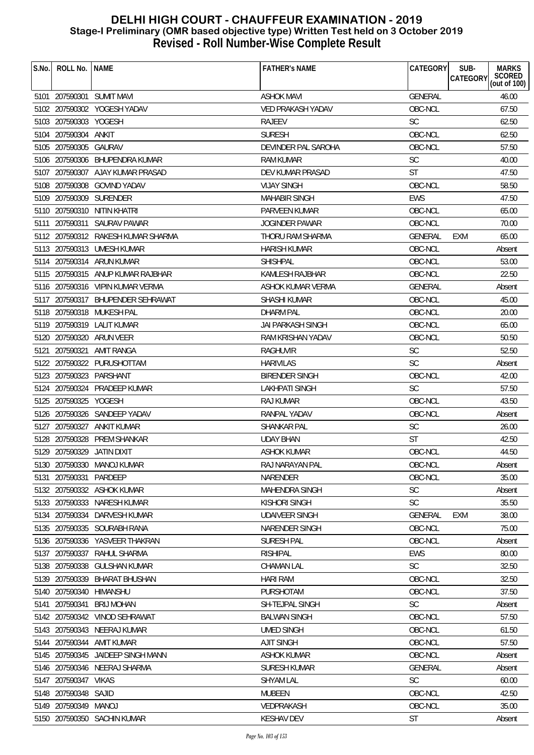| S.No. | ROLL No. INAME        |                                    | <b>FATHER'S NAME</b>     | CATEGORY       | SUB-<br><b>MARKS</b>                             |
|-------|-----------------------|------------------------------------|--------------------------|----------------|--------------------------------------------------|
|       |                       |                                    |                          |                | <b>SCORED</b><br><b>CATEGORY</b><br>(out of 100) |
|       |                       | 5101 207590301 SUMIT MAVI          | <b>ASHOK MAVI</b>        | <b>GENERAL</b> | 46.00                                            |
|       |                       | 5102 207590302 YOGESH YADAV        | VED PRAKASH YADAV        | OBC-NCL        | 67.50                                            |
|       | 5103 207590303 YOGESH |                                    | <b>RAJEEV</b>            | <b>SC</b>      | 62.50                                            |
|       | 5104 207590304 ANKIT  |                                    | <b>SURESH</b>            | OBC-NCL        | 62.50                                            |
|       | 5105 207590305 GAURAV |                                    | DEVINDER PAL SAROHA      | OBC-NCL        | 57.50                                            |
|       |                       | 5106 207590306 BHUPENDRA KUMAR     | RAM KUMAR                | <b>SC</b>      | 40.00                                            |
|       |                       | 5107 207590307 AJAY KUMAR PRASAD   | DEV KUMAR PRASAD         | <b>ST</b>      | 47.50                                            |
|       |                       | 5108 207590308 GOVIND YADAV        | <b>VIJAY SINGH</b>       | OBC-NCL        | 58.50                                            |
|       |                       | 5109 207590309 SURENDER            | <b>MAHABIR SINGH</b>     | <b>EWS</b>     | 47.50                                            |
|       |                       | 5110 207590310 NITIN KHATRI        | PARVEEN KUMAR            | OBC-NCL        | 65.00                                            |
|       |                       | 5111 207590311 SAURAV PAWAR        | <b>JOGINDER PAWAR</b>    | OBC-NCL        | 70.00                                            |
|       |                       | 5112 207590312 RAKESH KUMAR SHARMA | THORU RAM SHARMA         | <b>GENERAL</b> | 65.00<br>EXM                                     |
|       |                       | 5113 207590313 UMESH KUMAR         | <b>HARISH KUMAR</b>      | OBC-NCL        | Absent                                           |
|       |                       | 5114 207590314 ARUN KUMAR          | <b>SHISHPAL</b>          | OBC-NCL        | 53.00                                            |
|       |                       | 5115 207590315 ANUP KUMAR RAJBHAR  | KAMLESH RAJBHAR          | OBC-NCL        | 22.50                                            |
|       |                       | 5116 207590316 VIPIN KUMAR VERMA   | ASHOK KUMAR VERMA        | <b>GENERAL</b> | Absent                                           |
|       |                       | 5117 207590317 BHUPENDER SEHRAWAT  | SHASHI KUMAR             | OBC-NCL        | 45.00                                            |
|       |                       | 5118 207590318 MUKESH PAL          | <b>DHARM PAL</b>         | OBC-NCL        | 20.00                                            |
|       |                       | 5119 207590319 LALIT KUMAR         | <b>JAI PARKASH SINGH</b> | OBC-NCL        | 65.00                                            |
|       |                       | 5120 207590320 ARUN VEER           | RAM KRISHAN YADAV        | OBC-NCL        | 50.50                                            |
|       |                       | 5121 207590321 AMIT RANGA          | RAGHUVIR                 | <b>SC</b>      | 52.50                                            |
|       |                       | 5122 207590322 PURUSHOTTAM         | <b>HARIVILAS</b>         | <b>SC</b>      | Absent                                           |
|       |                       | 5123 207590323 PARSHANT            | <b>BIRENDER SINGH</b>    | OBC-NCL        | 42.00                                            |
|       |                       | 5124 207590324 PRADEEP KUMAR       | LAKHPATI SINGH           | <b>SC</b>      | 57.50                                            |
|       | 5125 207590325 YOGESH |                                    | RAJ KUMAR                | OBC-NCL        | 43.50                                            |
|       |                       | 5126 207590326 SANDEEP YADAV       | RANPAL YADAV             | OBC-NCL        | Absent                                           |
|       |                       | 5127 207590327 ANKIT KUMAR         | SHANKAR PAL              | <b>SC</b>      | 26.00                                            |
|       |                       | 5128 207590328 PREM SHANKAR        | <b>UDAY BHAN</b>         | <b>ST</b>      | 42.50                                            |
|       |                       | 5129 207590329 JATIN DIXIT         | <b>ASHOK KUMAR</b>       | OBC-NCL        | 44.50                                            |
|       |                       | 5130 207590330 MANOJ KUMAR         | RAJ NARAYAN PAL          | OBC-NCL        | Absent                                           |
| 5131  | 207590331             | PARDEEP                            | NARENDER                 | OBC-NCL        | 35.00                                            |
|       |                       | 5132 207590332 ASHOK KUMAR         | <b>MAHENDRA SINGH</b>    | <b>SC</b>      | Absent                                           |
|       | 5133 207590333        | NARESH KUMAR                       | KISHORI SINGH            | <b>SC</b>      | 35.50                                            |
|       | 5134 207590334        | DARVESH KUMAR                      | <b>UDAIVEER SINGH</b>    | <b>GENERAL</b> | 38.00<br><b>EXM</b>                              |
|       |                       | 5135 207590335 SOURABH RANA        | NARENDER SINGH           | OBC-NCL        | 75.00                                            |
|       | 5136 207590336        | YASVEER THAKRAN                    | SURESH PAL               | OBC-NCL        | Absent                                           |
|       | 5137 207590337        | RAHUL SHARMA                       | <b>RISHIPAL</b>          | <b>EWS</b>     | 80.00                                            |
|       |                       | 5138 207590338 GULSHAN KUMAR       | <b>CHAMAN LAL</b>        | <b>SC</b>      | 32.50                                            |
|       | 5139 207590339        | <b>BHARAT BHUSHAN</b>              | <b>HARI RAM</b>          | OBC-NCL        | 32.50                                            |
|       | 5140 207590340        | HIMANSHU                           | PURSHOTAM                | OBC-NCL        | 37.50                                            |
| 5141  | 207590341             | <b>BRIJ MOHAN</b>                  | <b>SH-TEJPAL SINGH</b>   | <b>SC</b>      | Absent                                           |
|       |                       | 5142 207590342 VINOD SEHRAWAT      | <b>BALWAN SINGH</b>      | OBC-NCL        | 57.50                                            |
|       |                       | 5143 207590343 NEERAJ KUMAR        | <b>UMED SINGH</b>        | OBC-NCL        | 61.50                                            |
|       |                       | 5144 207590344 AMIT KUMAR          | <b>AJIT SINGH</b>        | OBC-NCL        | 57.50                                            |
|       |                       | 5145 207590345 JAIDEEP SINGH MANN  | <b>ASHOK KUMAR</b>       | OBC-NCL        | Absent                                           |
|       |                       | 5146 207590346 NEERAJ SHARMA       | <b>SURESH KUMAR</b>      | <b>GENERAL</b> | Absent                                           |
|       | 5147 207590347 VIKAS  |                                    | <b>SHYAM LAL</b>         | <b>SC</b>      | 60.00                                            |
|       | 5148 207590348 SAJID  |                                    | MUBEEN                   | OBC-NCL        | 42.50                                            |
|       | 5149 207590349 MANOJ  |                                    | VEDPRAKASH               | OBC-NCL        | 35.00                                            |
|       |                       | 5150 207590350 SACHIN KUMAR        | <b>KESHAV DEV</b>        | <b>ST</b>      | Absent                                           |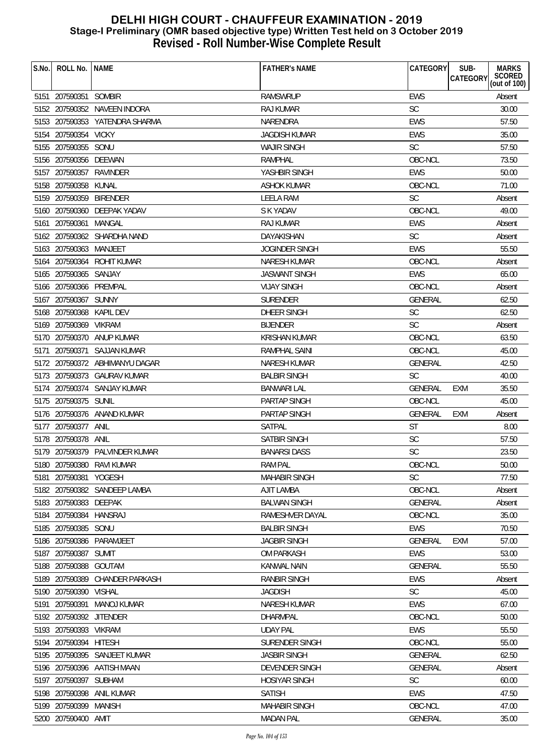| S.No. | ROLL No.                 | <b>NAME</b>                    | <b>FATHER'S NAME</b>  | <b>CATEGORY</b> | SUB-<br><b>MARKS</b>               |
|-------|--------------------------|--------------------------------|-----------------------|-----------------|------------------------------------|
|       |                          |                                |                       |                 | SCORED<br>(out of 100)<br>CATEGORY |
|       | 5151 207590351           | <b>SOMBIR</b>                  | <b>RAMSWRUP</b>       | <b>EWS</b>      | Absent                             |
|       |                          | 5152 207590352 NAVEEN INDORA   | RAJ KUMAR             | <b>SC</b>       | 30.00                              |
|       |                          | 5153 207590353 YATENDRA SHARMA | <b>NARENDRA</b>       | <b>EWS</b>      | 57.50                              |
|       | 5154 207590354 VICKY     |                                | <b>JAGDISH KUMAR</b>  | <b>EWS</b>      | 35.00                              |
|       | 5155 207590355 SONU      |                                | <b>WAJIR SINGH</b>    | <b>SC</b>       | 57.50                              |
|       | 5156 207590356 DEEWAN    |                                | <b>RAMPHAL</b>        | OBC-NCL         | 73.50                              |
|       | 5157 207590357 RAVINDER  |                                | YASHBIR SINGH         | <b>EWS</b>      | 50.00                              |
|       | 5158 207590358 KUNAL     |                                | <b>ASHOK KUMAR</b>    | OBC-NCL         | 71.00                              |
|       | 5159 207590359 BIRENDER  |                                | <b>LEELA RAM</b>      | <b>SC</b>       | Absent                             |
|       |                          | 5160 207590360 DEEPAK YADAV    | S K YADAV             | OBC-NCL         | 49.00                              |
|       | 5161 207590361           | MANGAL                         | RAJ KUMAR             | <b>EWS</b>      | Absent                             |
|       |                          | 5162 207590362 SHARDHA NAND    | <b>DAYAKISHAN</b>     | <b>SC</b>       | Absent                             |
|       | 5163 207590363 MANJEET   |                                | <b>JOGINDER SINGH</b> | <b>EWS</b>      | 55.50                              |
|       |                          | 5164 207590364 ROHIT KUMAR     | <b>NARESH KUMAR</b>   | OBC-NCL         | Absent                             |
|       | 5165 207590365 SANJAY    |                                | <b>JASWANT SINGH</b>  | <b>EWS</b>      | 65.00                              |
|       | 5166 207590366 PREMPAL   |                                | <b>VIJAY SINGH</b>    | OBC-NCL         | Absent                             |
|       | 5167 207590367 SUNNY     |                                | <b>SURENDER</b>       | <b>GENERAL</b>  | 62.50                              |
|       | 5168 207590368 KAPIL DEV |                                | DHEER SINGH           | <b>SC</b>       | 62.50                              |
|       | 5169 207590369 VIKRAM    |                                | <b>BIJENDER</b>       | <b>SC</b>       | Absent                             |
|       |                          | 5170 207590370 ANUP KUMAR      | <b>KRISHAN KUMAR</b>  | OBC-NCL         | 63.50                              |
| 5171  |                          | 207590371 SAJJAN KUMAR         | <b>RAMPHAL SAINI</b>  | OBC-NCL         | 45.00                              |
|       |                          | 5172 207590372 ABHIMANYU DAGAR | NARESH KUMAR          | <b>GENERAL</b>  | 42.50                              |
|       |                          | 5173 207590373 GAURAV KUMAR    | <b>BALBIR SINGH</b>   | <b>SC</b>       | 40.00                              |
|       |                          | 5174 207590374 SANJAY KUMAR    | <b>BANWARI LAL</b>    | <b>GENERAL</b>  | 35.50<br><b>EXM</b>                |
|       | 5175 207590375 SUNIL     |                                | <b>PARTAP SINGH</b>   | OBC-NCL         | 45.00                              |
|       |                          | 5176 207590376 ANAND KUMAR     | PARTAP SINGH          | GENERAL         | <b>EXM</b><br>Absent               |
|       | 5177 207590377 ANIL      |                                | <b>SATPAL</b>         | <b>ST</b>       | 8.00                               |
|       | 5178 207590378 ANIL      |                                | <b>SATBIR SINGH</b>   | <b>SC</b>       | 57.50                              |
|       |                          | 5179 207590379 PALVINDER KUMAR | <b>BANARSI DASS</b>   | <b>SC</b>       | 23.50                              |
|       |                          | 5180 207590380 RAVI KUMAR      | <b>RAM PAL</b>        | OBC-NCL         | 50.00                              |
|       | 5181 207590381           | YOGESH                         | <b>MAHABIR SINGH</b>  | <b>SC</b>       | 77.50                              |
|       |                          | 5182 207590382 SANDEEP LAMBA   | <b>AJIT LAMBA</b>     | OBC-NCL         | Absent                             |
|       | 5183 207590383 DEEPAK    |                                | <b>BALWAN SINGH</b>   | <b>GENERAL</b>  | Absent                             |
|       | 5184 207590384 HANSRAJ   |                                | RAMESHVER DAYAL       | OBC-NCL         | 35.00                              |
|       | 5185 207590385 SONU      |                                | <b>BALBIR SINGH</b>   | EWS             | 70.50                              |
|       |                          | 5186 207590386 PARAMJEET       | <b>JAGBIR SINGH</b>   | <b>GENERAL</b>  | EXM<br>57.00                       |
|       | 5187 207590387 SUMIT     |                                | OM PARKASH            | <b>EWS</b>      | 53.00                              |
|       | 5188 207590388 GOUTAM    |                                | <b>KANWAL NAIN</b>    | <b>GENERAL</b>  | 55.50                              |
|       | 5189 207590389           | <b>CHANDER PARKASH</b>         | <b>RANBIR SINGH</b>   | <b>EWS</b>      | Absent                             |
|       | 5190 207590390 VISHAL    |                                | <b>JAGDISH</b>        | <b>SC</b>       | 45.00                              |
|       | 5191 207590391           | MANOJ KUMAR                    | NARESH KUMAR          | <b>EWS</b>      | 67.00                              |
|       | 5192 207590392 JITENDER  |                                | <b>DHARMPAL</b>       | OBC-NCL         | 50.00                              |
|       | 5193 207590393 VIKRAM    |                                | <b>UDAY PAL</b>       | <b>EWS</b>      | 55.50                              |
|       | 5194 207590394 HITESH    |                                | SURENDER SINGH        | OBC-NCL         | 55.00                              |
|       |                          | 5195 207590395 SANJEET KUMAR   | <b>JASBIR SINGH</b>   | <b>GENERAL</b>  | 62.50                              |
|       |                          | 5196 207590396 AATISH MAAN     | <b>DEVENDER SINGH</b> | <b>GENERAL</b>  | Absent                             |
|       | 5197 207590397 SUBHAM    |                                | <b>HOSIYAR SINGH</b>  | <b>SC</b>       | 60.00                              |
|       |                          | 5198 207590398 ANIL KUMAR      | <b>SATISH</b>         | <b>EWS</b>      | 47.50                              |
|       | 5199 207590399 MANISH    |                                | <b>MAHABIR SINGH</b>  | OBC-NCL         | 47.00                              |
|       | 5200 207590400 AMIT      |                                | <b>MADAN PAL</b>      | <b>GENERAL</b>  | 35.00                              |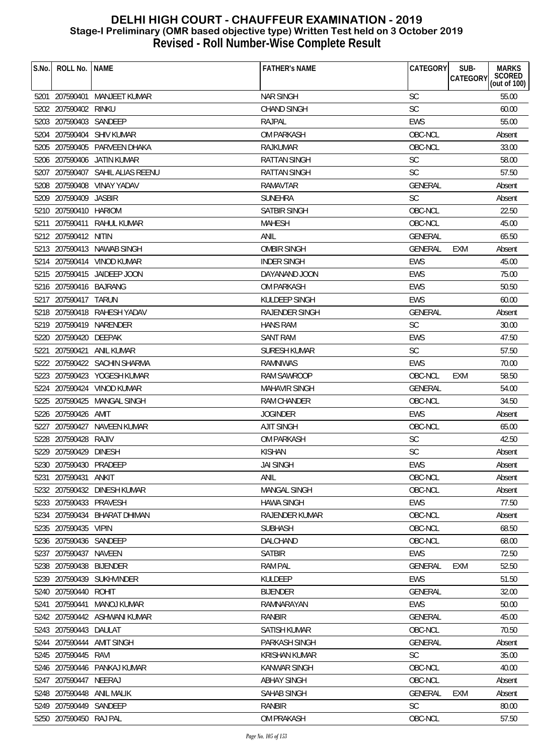| S.No. | ROLL No.                | <b>NAME</b>                      | <b>FATHER'S NAME</b>  | CATEGORY       | SUB-<br><b>CATEGORY</b> | <b>MARKS</b><br>SCORED<br>(out of 100) |
|-------|-------------------------|----------------------------------|-----------------------|----------------|-------------------------|----------------------------------------|
|       |                         | 5201 207590401 MANJEET KUMAR     | <b>NAR SINGH</b>      | <b>SC</b>      |                         | 55.00                                  |
|       | 5202 207590402          | rinku                            | <b>CHAND SINGH</b>    | <b>SC</b>      |                         | 60.00                                  |
|       | 5203 207590403 SANDEEP  |                                  | RAJPAL                | <b>EWS</b>     |                         | 55.00                                  |
|       |                         | 5204 207590404 SHIV KUMAR        | <b>OM PARKASH</b>     | OBC-NCL        |                         | Absent                                 |
|       | 5205 207590405          | PARVEEN DHAKA                    | <b>RAJKUMAR</b>       | OBC-NCL        |                         | 33.00                                  |
|       | 5206 207590406          | JATIN KUMAR                      | RATTAN SINGH          | <b>SC</b>      |                         | 58.00                                  |
|       |                         | 5207 207590407 SAHIL ALIAS REENU | <b>RATTAN SINGH</b>   | <b>SC</b>      |                         | 57.50                                  |
|       |                         | 5208 207590408 VINAY YADAV       | <b>RAMAVTAR</b>       | GENERAL        |                         | Absent                                 |
|       | 5209 207590409          | <b>JASBIR</b>                    | <b>SUNEHRA</b>        | <b>SC</b>      |                         | Absent                                 |
|       | 5210 207590410 HARIOM   |                                  | <b>SATBIR SINGH</b>   | OBC-NCL        |                         | 22.50                                  |
|       |                         | 5211 207590411 RAHUL KUMAR       | <b>MAHESH</b>         | OBC-NCL        |                         | 45.00                                  |
|       | 5212 207590412 NITIN    |                                  | ANIL                  | GENERAL        |                         | 65.50                                  |
|       |                         | 5213 207590413 NAWAB SINGH       | <b>OMBIR SINGH</b>    | GENERAL        | <b>EXM</b>              | Absent                                 |
|       |                         | 5214 207590414 VINOD KUMAR       | <b>INDER SINGH</b>    | <b>EWS</b>     |                         | 45.00                                  |
|       |                         | 5215 207590415 JAIDEEP JOON      | DAYANAND JOON         | <b>EWS</b>     |                         | 75.00                                  |
|       | 5216 207590416 BAJRANG  |                                  | OM PARKASH            | <b>EWS</b>     |                         | 50.50                                  |
|       | 5217 207590417 TARUN    |                                  | KULDEEP SINGH         | <b>EWS</b>     |                         | 60.00                                  |
|       |                         | 5218 207590418 RAHESH YADAV      | <b>RAJENDER SINGH</b> | GENERAL        |                         | Absent                                 |
|       |                         | 5219 207590419 NARENDER          | <b>HANS RAM</b>       | <b>SC</b>      |                         | 30.00                                  |
|       | 5220 207590420 DEEPAK   |                                  | <b>SANT RAM</b>       | EWS            |                         | 47.50                                  |
| 5221  |                         | 207590421 ANIL KUMAR             | <b>SURESH KUMAR</b>   | <b>SC</b>      |                         | 57.50                                  |
|       |                         | 5222 207590422 SACHIN SHARMA     | <b>RAMNIWAS</b>       | EWS            |                         | 70.00                                  |
|       |                         | 5223 207590423 YOGESH KUMAR      | <b>RAM SAWROOP</b>    | OBC-NCL        | EXM                     | 58.50                                  |
|       |                         | 5224 207590424 VINOD KUMAR       | <b>MAHAVIR SINGH</b>  | <b>GENERAL</b> |                         | 54.00                                  |
|       | 5225 207590425          | MANGAL SINGH                     | <b>RAM CHANDER</b>    | OBC-NCL        |                         | 34.50                                  |
|       | 5226 207590426 AMIT     |                                  | <b>JOGINDER</b>       | <b>EWS</b>     |                         | Absent                                 |
|       | 5227 207590427          | NAVEEN KUMAR                     | <b>AJIT SINGH</b>     | OBC-NCL        |                         | 65.00                                  |
|       | 5228 207590428 RAJIV    |                                  | OM PARKASH            | SC             |                         | 42.50                                  |
|       | 5229 207590429 DINESH   |                                  | <b>KISHAN</b>         | SC             |                         | Absent                                 |
|       | 5230 207590430 PRADEEP  |                                  | <b>JAI SINGH</b>      | EWS            |                         | Absent                                 |
|       | 5231 207590431          | ANKIT                            | ANIL                  | OBC-NCL        |                         | Absent                                 |
|       |                         | 5232 207590432 DINESH KUMAR      | <b>MANGAL SINGH</b>   | OBC-NCL        |                         | Absent                                 |
|       | 5233 207590433 PRAVESH  |                                  | <b>HAWA SINGH</b>     | EWS            |                         | 77.50                                  |
|       |                         | 5234 207590434 BHARAT DHIMAN     | RAJENDER KUMAR        | OBC-NCL        |                         | Absent                                 |
|       | 5235 207590435 VIPIN    |                                  | <b>SUBHASH</b>        | OBC-NCL        |                         | 68.50                                  |
|       | 5236 207590436 SANDEEP  |                                  | DALCHAND              | OBC-NCL        |                         | 68.00                                  |
|       | 5237 207590437 NAVEEN   |                                  | <b>SATBIR</b>         | <b>EWS</b>     |                         | 72.50                                  |
|       | 5238 207590438 BIJENDER |                                  | <b>RAM PAL</b>        | GENERAL        | <b>EXM</b>              | 52.50                                  |
| 5239  |                         | 207590439 SUKHVINDER             | KULDEEP               | <b>EWS</b>     |                         | 51.50                                  |
|       | 5240 207590440          | ROHIT                            | <b>BIJENDER</b>       | GENERAL        |                         | 32.00                                  |
|       | 5241 207590441          | MANOJ KUMAR                      | RAMNARAYAN            | <b>EWS</b>     |                         | 50.00                                  |
|       |                         | 5242 207590442 ASHWANI KUMAR     | <b>RANBIR</b>         | <b>GENERAL</b> |                         | 45.00                                  |
|       | 5243 207590443 DAULAT   |                                  | <b>SATISH KUMAR</b>   | OBC-NCL        |                         | 70.50                                  |
|       | 5244 207590444          | <b>AMIT SINGH</b>                | PARKASH SINGH         | <b>GENERAL</b> |                         | Absent                                 |
|       | 5245 207590445          | RAVI                             | <b>KRISHAN KUMAR</b>  | <b>SC</b>      |                         | 35.00                                  |
|       | 5246 207590446          | PANKAJ KUMAR                     | <b>KANWAR SINGH</b>   | OBC-NCL        |                         | 40.00                                  |
| 5247  | 207590447               | NEERAJ                           | <b>ABHAY SINGH</b>    | OBC-NCL        |                         | Absent                                 |
|       |                         | 5248 207590448 ANIL MALIK        | SAHAB SINGH           | GENERAL        | EXM                     | Absent                                 |
|       | 5249 207590449 SANDEEP  |                                  | RANBIR                | <b>SC</b>      |                         | 80.00                                  |
|       | 5250 207590450 RAJ PAL  |                                  | OM PRAKASH            | OBC-NCL        |                         | 57.50                                  |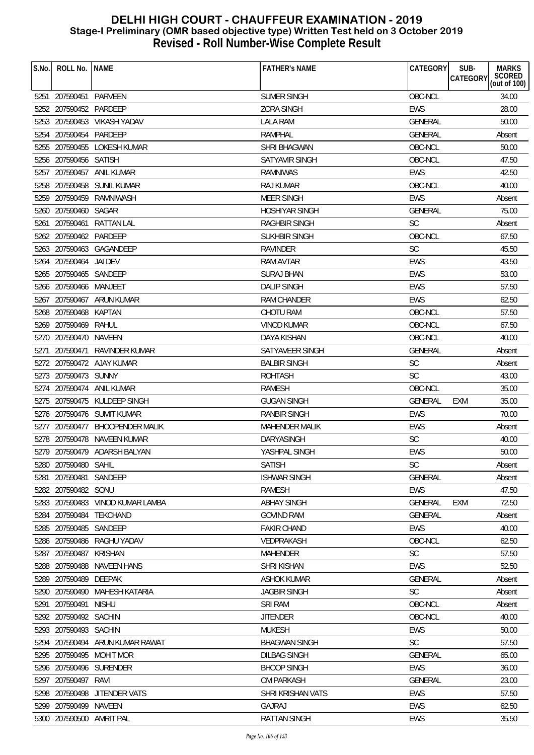| S.No. | ROLL No.                 | <b>NAME</b>                      | <b>FATHER'S NAME</b>  | <b>CATEGORY</b> | SUB-<br><b>MARKS</b>               |
|-------|--------------------------|----------------------------------|-----------------------|-----------------|------------------------------------|
|       |                          |                                  |                       |                 | SCORED<br>(out of 100)<br>CATEGORY |
|       | 5251 207590451 PARVEEN   |                                  | SUMER SINGH           | OBC-NCL         | 34.00                              |
|       | 5252 207590452 PARDEEP   |                                  | <b>ZORA SINGH</b>     | <b>EWS</b>      | 28.00                              |
|       |                          | 5253 207590453 VIKASH YADAV      | <b>LALA RAM</b>       | GENERAL         | 50.00                              |
|       | 5254 207590454 PARDEEP   |                                  | <b>RAMPHAL</b>        | <b>GENERAL</b>  | Absent                             |
|       |                          | 5255 207590455 LOKESH KUMAR      | SHRI BHAGWAN          | OBC-NCL         | 50.00                              |
|       | 5256 207590456 SATISH    |                                  | <b>SATYAVIR SINGH</b> | OBC-NCL         | 47.50                              |
| 5257  |                          | 207590457 ANIL KUMAR             | <b>RAMNIWAS</b>       | <b>EWS</b>      | 42.50                              |
|       |                          | 5258 207590458 SUNIL KUMAR       | <b>RAJ KUMAR</b>      | OBC-NCL         | 40.00                              |
|       |                          | 5259 207590459 RAMNIWASH         | <b>MEER SINGH</b>     | <b>EWS</b>      | Absent                             |
|       | 5260 207590460 SAGAR     |                                  | <b>HOSHIYAR SINGH</b> | <b>GENERAL</b>  | 75.00                              |
| 5261  | 207590461                | RATTAN LAL                       | <b>RAGHBIR SINGH</b>  | <b>SC</b>       | Absent                             |
|       | 5262 207590462 PARDEEP   |                                  | <b>SUKHBIR SINGH</b>  | OBC-NCL         | 67.50                              |
|       |                          | 5263 207590463 GAGANDEEP         | RAVINDER              | <b>SC</b>       | 45.50                              |
|       | 5264 207590464           | JAI DEV                          | <b>RAM AVTAR</b>      | EWS             | 43.50                              |
|       | 5265 207590465 SANDEEP   |                                  | <b>SURAJ BHAN</b>     | <b>EWS</b>      | 53.00                              |
|       | 5266 207590466 MANJEET   |                                  | <b>DALIP SINGH</b>    | EWS             | 57.50                              |
|       |                          | 5267 207590467 ARUN KUMAR        | <b>RAM CHANDER</b>    | <b>EWS</b>      | 62.50                              |
|       | 5268 207590468 KAPTAN    |                                  | <b>CHOTU RAM</b>      | OBC-NCL         | 57.50                              |
|       | 5269 207590469 RAHUL     |                                  | <b>VINOD KUMAR</b>    | OBC-NCL         | 67.50                              |
|       | 5270 207590470 NAVEEN    |                                  | <b>DAYA KISHAN</b>    | OBC-NCL         | 40.00                              |
| 5271  | 207590471                | RAVINDER KUMAR                   | SATYAVEER SINGH       | GENERAL         | Absent                             |
|       |                          | 5272 207590472 AJAY KUMAR        | <b>BALBIR SINGH</b>   | <b>SC</b>       | Absent                             |
|       | 5273 207590473 SUNNY     |                                  | <b>ROHTASH</b>        | <b>SC</b>       | 43.00                              |
|       |                          | 5274 207590474 ANIL KUMAR        | RAMESH                | OBC-NCL         | 35.00                              |
|       |                          | 5275 207590475 KULDEEP SINGH     | <b>GUGAN SINGH</b>    | <b>GENERAL</b>  | <b>EXM</b><br>35.00                |
|       |                          | 5276 207590476 SUMIT KUMAR       | <b>RANBIR SINGH</b>   | <b>EWS</b>      | 70.00                              |
|       |                          | 5277 207590477 BHOOPENDER MALIK  | <b>MAHENDER MALIK</b> | EWS             | Absent                             |
|       |                          | 5278 207590478 NAVEEN KUMAR      | DARYASINGH            | SC              | 40.00                              |
|       |                          | 5279 207590479 ADARSH BALYAN     | YASHPAL SINGH         | <b>EWS</b>      | 50.00                              |
|       | 5280 207590480 SAHIL     |                                  | <b>SATISH</b>         | SC              | Absent                             |
|       | 5281 207590481           | SANDEEP                          | <b>ISHWAR SINGH</b>   | <b>GENERAL</b>  | Absent                             |
|       | 5282 207590482 SONU      |                                  | RAMESH                | <b>EWS</b>      | 47.50                              |
|       |                          | 5283 207590483 VINOD KUMAR LAMBA | <b>ABHAY SINGH</b>    | <b>GENERAL</b>  | 72.50<br><b>EXM</b>                |
|       |                          | 5284 207590484 TEKCHAND          | <b>GOVIND RAM</b>     | <b>GENERAL</b>  | Absent                             |
|       | 5285 207590485 SANDEEP   |                                  | <b>FAKIR CHAND</b>    | <b>EWS</b>      | 40.00                              |
|       |                          | 5286 207590486 RAGHU YADAV       | <b>VEDPRAKASH</b>     | OBC-NCL         | 62.50                              |
|       | 5287 207590487           | <b>KRISHAN</b>                   | <b>MAHENDER</b>       | <b>SC</b>       | 57.50                              |
|       |                          | 5288 207590488 NAVEEN HANS       | <b>SHRI KISHAN</b>    | <b>EWS</b>      | 52.50                              |
|       | 5289 207590489           | DEEPAK                           | <b>ASHOK KUMAR</b>    | GENERAL         | Absent                             |
|       |                          | 5290 207590490 MAHESH KATARIA    | <b>JAGBIR SINGH</b>   | <b>SC</b>       | Absent                             |
|       | 5291 207590491           | <b>NISHU</b>                     | <b>SRI RAM</b>        | OBC-NCL         | Absent                             |
|       | 5292 207590492 SACHIN    |                                  | <b>JITENDER</b>       | OBC-NCL         | 40.00                              |
|       | 5293 207590493 SACHIN    |                                  | <b>MUKESH</b>         | EWS             | 50.00                              |
|       |                          | 5294 207590494 ARUN KUMAR RAWAT  | <b>BHAGWAN SINGH</b>  | <b>SC</b>       | 57.50                              |
|       |                          | 5295 207590495 MOHIT MOR         | <b>DILBAG SINGH</b>   | <b>GENERAL</b>  | 65.00                              |
|       |                          | 5296 207590496 SURENDER          | <b>BHOOP SINGH</b>    | <b>EWS</b>      | 36.00                              |
|       | 5297 207590497 RAVI      |                                  | <b>OM PARKASH</b>     | <b>GENERAL</b>  | 23.00                              |
|       | 5298 207590498           | JITENDER VATS                    | SHRI KRISHAN VATS     | <b>EWS</b>      | 57.50                              |
|       | 5299 207590499 NAVEEN    |                                  | <b>GAJRAJ</b>         | EWS             | 62.50                              |
|       | 5300 207590500 AMRIT PAL |                                  | <b>RATTAN SINGH</b>   | EWS             | 35.50                              |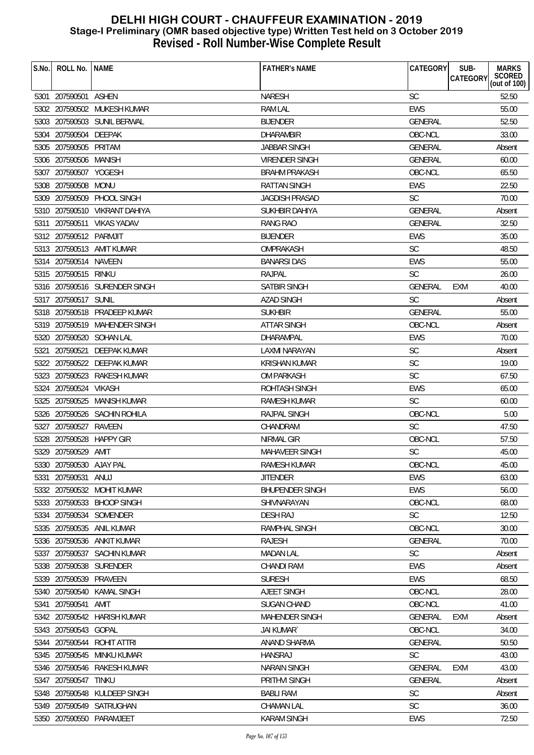| S.No. | ROLL No. INAME          |                               | <b>FATHER'S NAME</b>   | CATEGORY       | SUB-<br><b>CATEGORY</b> | <b>MARKS</b><br>SCORED<br>(out of 100) |
|-------|-------------------------|-------------------------------|------------------------|----------------|-------------------------|----------------------------------------|
|       | 5301 207590501 ASHEN    |                               | <b>NARESH</b>          | <b>SC</b>      |                         | 52.50                                  |
|       |                         | 5302 207590502 MUKESH KUMAR   | <b>RAM LAL</b>         | <b>EWS</b>     |                         | 55.00                                  |
|       |                         | 5303 207590503 SUNIL BERWAL   | <b>BIJENDER</b>        | <b>GENERAL</b> |                         | 52.50                                  |
|       | 5304 207590504 DEEPAK   |                               | <b>DHARAMBIR</b>       | OBC-NCL        |                         | 33.00                                  |
|       | 5305 207590505 PRITAM   |                               | <b>JABBAR SINGH</b>    | <b>GENERAL</b> |                         | Absent                                 |
|       | 5306 207590506 MANISH   |                               | <b>VIRENDER SINGH</b>  | <b>GENERAL</b> |                         | 60.00                                  |
|       | 5307 207590507 YOGESH   |                               | <b>BRAHM PRAKASH</b>   | OBC-NCL        |                         | 65.50                                  |
|       | 5308 207590508 MONU     |                               | <b>RATTAN SINGH</b>    | <b>EWS</b>     |                         | 22.50                                  |
|       |                         | 5309 207590509 PHOOL SINGH    | <b>JAGDISH PRASAD</b>  | <b>SC</b>      |                         | 70.00                                  |
|       |                         | 5310 207590510 VIKRANT DAHIYA | SUKHBIR DAHIYA         | <b>GENERAL</b> |                         | Absent                                 |
|       |                         | 5311 207590511 VIKAS YADAV    | <b>RANG RAO</b>        | <b>GENERAL</b> |                         | 32.50                                  |
|       | 5312 207590512 PARMJIT  |                               | <b>BIJENDER</b>        | EWS            |                         | 35.00                                  |
|       |                         | 5313 207590513 AMIT KUMAR     | OMPRAKASH              | <b>SC</b>      |                         | 48.50                                  |
|       | 5314 207590514 NAVEEN   |                               | <b>BANARSIDAS</b>      | <b>EWS</b>     |                         | 55.00                                  |
|       | 5315 207590515 RINKU    |                               | <b>RAJPAL</b>          | <b>SC</b>      |                         | 26.00                                  |
|       |                         | 5316 207590516 SURENDER SINGH | <b>SATBIR SINGH</b>    | <b>GENERAL</b> | <b>EXM</b>              | 40.00                                  |
|       | 5317 207590517 SUNIL    |                               | <b>AZAD SINGH</b>      | <b>SC</b>      |                         | Absent                                 |
|       |                         | 5318 207590518 PRADEEP KUMAR  | <b>SUKHBIR</b>         | GENERAL        |                         | 55.00                                  |
|       |                         | 5319 207590519 MAHENDER SINGH | <b>ATTAR SINGH</b>     | OBC-NCL        |                         | Absent                                 |
|       |                         | 5320 207590520 SOHAN LAL      | <b>DHARAMPAL</b>       | <b>EWS</b>     |                         | 70.00                                  |
| 5321  | 207590521               | DEEPAK KUMAR                  | LAXMI NARAYAN          | SC             |                         | Absent                                 |
|       |                         | 5322 207590522 DEEPAK KUMAR   | KRISHAN KUMAR          | <b>SC</b>      |                         | 19.00                                  |
|       |                         | 5323 207590523 RAKESH KUMAR   | <b>OM PARKASH</b>      | <b>SC</b>      |                         | 67.50                                  |
|       | 5324 207590524 VIKASH   |                               | ROHTASH SINGH          | <b>EWS</b>     |                         | 65.00                                  |
|       |                         | 5325 207590525 MANISH KUMAR   | <b>RAMESH KUMAR</b>    | <b>SC</b>      |                         | 60.00                                  |
|       |                         | 5326 207590526 SACHIN ROHILA  | RAJPAL SINGH           | OBC-NCL        |                         | 5.00                                   |
|       | 5327 207590527          | RAVEEN                        | CHANDRAM               | <b>SC</b>      |                         | 47.50                                  |
|       |                         | 5328 207590528 HAPPY GIR      | NIRMAL GIR             | OBC-NCL        |                         | 57.50                                  |
|       | 5329 207590529 AMIT     |                               | MAHAVEER SINGH         | SC             |                         | 45.00                                  |
|       | 5330 207590530 AJAY PAL |                               | RAMESH KUMAR           | OBC-NCL        |                         | 45.00                                  |
| 5331  | 207590531               | ANUJ                          | <b>JITENDER</b>        | <b>EWS</b>     |                         | 63.00                                  |
|       |                         | 5332 207590532 MOHIT KUMAR    | <b>BHUPENDER SINGH</b> | <b>EWS</b>     |                         | 56.00                                  |
|       |                         | 5333 207590533 BHOOP SINGH    | SHIVNARAYAN            | OBC-NCL        |                         | 68.00                                  |
|       |                         | 5334 207590534 SOMENDER       | <b>DESH RAJ</b>        | <b>SC</b>      |                         | 12.50                                  |
|       |                         | 5335 207590535 ANIL KUMAR     | RAMPHAL SINGH          | OBC-NCL        |                         | 30.00                                  |
|       |                         | 5336 207590536 ANKIT KUMAR    | <b>RAJESH</b>          | <b>GENERAL</b> |                         | 70.00                                  |
|       |                         | 5337 207590537 SACHIN KUMAR   | <b>MADAN LAL</b>       | <b>SC</b>      |                         | Absent                                 |
|       |                         | 5338 207590538 SURENDER       | <b>CHANDI RAM</b>      | <b>EWS</b>     |                         | Absent                                 |
| 5339  | 207590539 PRAVEEN       |                               | <b>SURESH</b>          | EWS            |                         | 68.50                                  |
| 5340  | 207590540               | KAMAL SINGH                   | <b>AJEET SINGH</b>     | OBC-NCL        |                         | 28.00                                  |
|       | 5341 207590541          | AMIT                          | <b>SUGAN CHAND</b>     | OBC-NCL        |                         | 41.00                                  |
|       |                         | 5342 207590542 HARISH KUMAR   | <b>MAHENDER SINGH</b>  | <b>GENERAL</b> | EXM                     | Absent                                 |
|       | 5343 207590543 GOPAL    |                               | <b>JAI KUMAR</b>       | OBC-NCL        |                         | 34.00                                  |
|       | 5344 207590544          | ROHIT ATTRI                   | ANAND SHARMA           | <b>GENERAL</b> |                         | 50.50                                  |
|       | 5345 207590545          | MINKU KUMAR                   | <b>HANSRAJ</b>         | <b>SC</b>      |                         | 43.00                                  |
| 5346  |                         | 207590546 RAKESH KUMAR        | <b>NARAIN SINGH</b>    | <b>GENERAL</b> | <b>EXM</b>              | 43.00                                  |
| 5347  | 207590547               | <b>TINKU</b>                  | <b>PRITHVI SINGH</b>   | <b>GENERAL</b> |                         | Absent                                 |
|       |                         | 5348 207590548 KULDEEP SINGH  | <b>BABLI RAM</b>       | SC             |                         | Absent                                 |
|       |                         | 5349 207590549 SATRUGHAN      | <b>CHAMAN LAL</b>      | SC             |                         | 36.00                                  |
|       |                         | 5350 207590550 PARAMJEET      | <b>KARAM SINGH</b>     | <b>EWS</b>     |                         | 72.50                                  |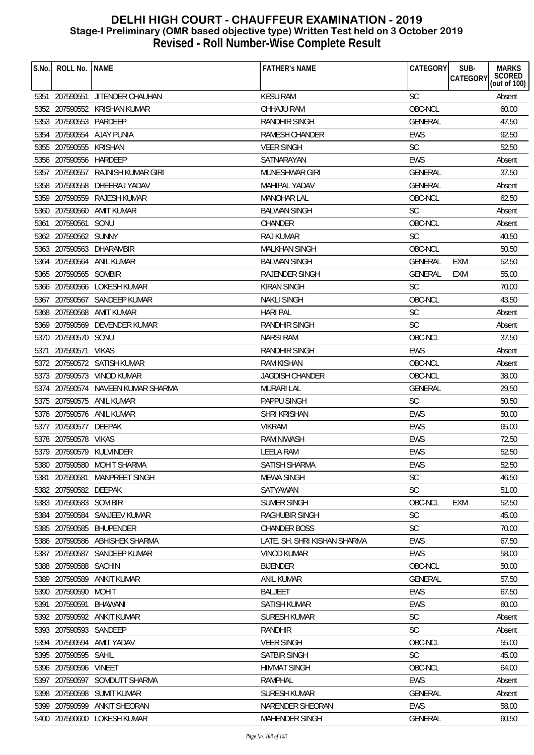| S.No. | ROLL No.               | <b>NAME</b>                        | <b>FATHER'S NAME</b>         | <b>CATEGORY</b> | SUB-<br><b>CATEGORY</b> | <b>MARKS</b><br>SCORED<br>(out of 100) |
|-------|------------------------|------------------------------------|------------------------------|-----------------|-------------------------|----------------------------------------|
|       |                        | 5351 207590551 JITENDER CHAUHAN    | <b>KESU RAM</b>              | <b>SC</b>       |                         | Absent                                 |
|       |                        | 5352 207590552 KRISHAN KUMAR       | CHHAJU RAM                   | OBC-NCL         |                         | 60.00                                  |
|       | 5353 207590553 PARDEEP |                                    | <b>RANDHIR SINGH</b>         | GENERAL         |                         | 47.50                                  |
|       |                        | 5354 207590554 AJAY PUNIA          | RAMESH CHANDER               | <b>EWS</b>      |                         | 92.50                                  |
|       | 5355 207590555         | KRISHAN                            | <b>VEER SINGH</b>            | <b>SC</b>       |                         | 52.50                                  |
|       | 5356 207590556 HARDEEP |                                    | SATNARAYAN                   | <b>EWS</b>      |                         | Absent                                 |
|       |                        | 5357 207590557 RAJNISH KUMAR GIRI  | MUNESHWAR GIRI               | <b>GENERAL</b>  |                         | 37.50                                  |
|       |                        | 5358 207590558 DHEERAJ YADAV       | <b>MAHIPAL YADAV</b>         | GENERAL         |                         | Absent                                 |
|       |                        | 5359 207590559 RAJESH KUMAR        | <b>MANOHAR LAL</b>           | OBC-NCL         |                         | 62.50                                  |
|       |                        | 5360 207590560 AMIT KUMAR          | <b>BALWAN SINGH</b>          | <b>SC</b>       |                         | Absent                                 |
|       | 5361 207590561 SONU    |                                    | <b>CHANDER</b>               | OBC-NCL         |                         | Absent                                 |
|       | 5362 207590562 SUNNY   |                                    | <b>RAJ KUMAR</b>             | <b>SC</b>       |                         | 40.50                                  |
|       |                        | 5363 207590563 DHARAMBIR           | <b>MALKHAN SINGH</b>         | OBC-NCL         |                         | 50.50                                  |
|       |                        | 5364 207590564 ANIL KUMAR          | <b>BALWAN SINGH</b>          | <b>GENERAL</b>  | <b>EXM</b>              | 52.50                                  |
|       | 5365 207590565 SOMBIR  |                                    | <b>RAJENDER SINGH</b>        | <b>GENERAL</b>  | <b>EXM</b>              | 55.00                                  |
|       |                        | 5366 207590566 LOKESH KUMAR        | KIRAN SINGH                  | <b>SC</b>       |                         | 70.00                                  |
|       |                        | 5367 207590567 SANDEEP KUMAR       | <b>NAKLI SINGH</b>           | OBC-NCL         |                         | 43.50                                  |
|       |                        | 5368 207590568 AMIT KUMAR          | <b>HARI PAL</b>              | <b>SC</b>       |                         | Absent                                 |
|       |                        | 5369 207590569 DEVENDER KUMAR      | <b>RANDHIR SINGH</b>         | <b>SC</b>       |                         | Absent                                 |
|       | 5370 207590570 SONU    |                                    | <b>NARSI RAM</b>             | OBC-NCL         |                         | 37.50                                  |
| 5371  | 207590571              | VIKAS                              | <b>RANDHIR SINGH</b>         | <b>EWS</b>      |                         | Absent                                 |
|       |                        | 5372 207590572 SATISH KUMAR        | RAM KISHAN                   | OBC-NCL         |                         | Absent                                 |
|       |                        | 5373 207590573 VINOD KUMAR         | <b>JAGDISH CHANDER</b>       | OBC-NCL         |                         | 38.00                                  |
|       |                        | 5374 207590574 NAVEEN KUMAR SHARMA | <b>MURARI LAL</b>            | <b>GENERAL</b>  |                         | 29.50                                  |
|       |                        | 5375 207590575 ANIL KUMAR          | PAPPU SINGH                  | <b>SC</b>       |                         | 50.50                                  |
|       |                        | 5376 207590576 ANIL KUMAR          | SHRI KRISHAN                 | <b>EWS</b>      |                         | 50.00                                  |
|       | 5377 207590577 DEEPAK  |                                    | <b>VIKRAM</b>                | EWS             |                         | 65.00                                  |
|       | 5378 207590578 VIKAS   |                                    | <b>RAM NIWASH</b>            | <b>EWS</b>      |                         | 72.50                                  |
|       |                        | 5379 207590579 KULVINDER           | <b>LEELA RAM</b>             | <b>EWS</b>      |                         | 52.50                                  |
|       |                        | 5380 207590580 MOHIT SHARMA        | SATISH SHARMA                | <b>EWS</b>      |                         | 52.50                                  |
| 5381  | 207590581              | MANPREET SINGH                     | <b>MEWA SINGH</b>            | <b>SC</b>       |                         | 46.50                                  |
|       | 5382 207590582 DEEPAK  |                                    | SATYAWAN                     | <b>SC</b>       |                         | 51.00                                  |
|       | 5383 207590583 SOM BIR |                                    | SUMER SINGH                  | OBC-NCL         | <b>EXM</b>              | 52.50                                  |
|       |                        | 5384 207590584 SANJEEV KUMAR       | RAGHUBIR SINGH               | <b>SC</b>       |                         | 45.00                                  |
|       |                        | 5385 207590585 BHUPENDER           | <b>CHANDER BOSS</b>          | SC              |                         | 70.00                                  |
|       |                        | 5386 207590586 ABHISHEK SHARMA     | LATE. SH. SHRI KISHAN SHARMA | <b>EWS</b>      |                         | 67.50                                  |
|       |                        | 5387 207590587 SANDEEP KUMAR       | <b>VINOD KUMAR</b>           | <b>EWS</b>      |                         | 58.00                                  |
|       | 5388 207590588 SACHIN  |                                    | <b>BIJENDER</b>              | OBC-NCL         |                         | 50.00                                  |
|       | 5389 207590589         | ANKIT KUMAR                        | <b>ANIL KUMAR</b>            | <b>GENERAL</b>  |                         | 57.50                                  |
|       | 5390 207590590 MOHIT   |                                    | <b>BALJEET</b>               | <b>EWS</b>      |                         | 67.50                                  |
| 5391  | 207590591              | BHAWANI                            | <b>SATISH KUMAR</b>          | <b>EWS</b>      |                         | 60.00                                  |
|       |                        | 5392 207590592 ANKIT KUMAR         | SURESH KUMAR                 | <b>SC</b>       |                         | Absent                                 |
|       | 5393 207590593 SANDEEP |                                    | <b>RANDHIR</b>               | <b>SC</b>       |                         | Absent                                 |
|       |                        | 5394 207590594 AMIT YADAV          | <b>VEER SINGH</b>            | OBC-NCL         |                         | 55.00                                  |
|       | 5395 207590595 SAHIL   |                                    | <b>SATBIR SINGH</b>          | <b>SC</b>       |                         | 45.00                                  |
|       | 5396 207590596         | VINEET                             | <b>HIMMAT SINGH</b>          | OBC-NCL         |                         | 64.00                                  |
| 5397  |                        | 207590597 SOMDUTT SHARMA           | <b>RAMPHAL</b>               | <b>EWS</b>      |                         | Absent                                 |
|       |                        | 5398 207590598 SUMIT KUMAR         | <b>SURESH KUMAR</b>          | GENERAL         |                         | Absent                                 |
|       |                        | 5399 207590599 ANKIT SHEORAN       | NARENDER SHEORAN             | EWS             |                         | 58.00                                  |
|       |                        | 5400 207590600 LOKESH KUMAR        | <b>MAHENDER SINGH</b>        | GENERAL         |                         | 60.50                                  |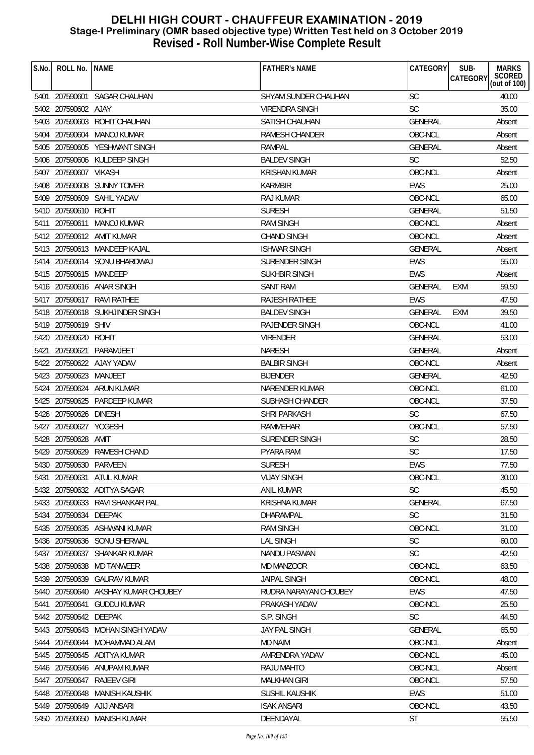| S.No. | ROLL No.               | <b>INAME</b>                        | <b>FATHER'S NAME</b>  | <b>CATEGORY</b> | SUB-<br><b>MARKS</b>               |
|-------|------------------------|-------------------------------------|-----------------------|-----------------|------------------------------------|
|       |                        |                                     |                       |                 | SCORED<br>(out of 100)<br>CATEGORY |
|       |                        | 5401 207590601 SAGAR CHAUHAN        | SHYAM SUNDER CHAUHAN  | <b>SC</b>       | 40.00                              |
|       | 5402 207590602 AJAY    |                                     | VIRENDRA SINGH        | SC              | 35.00                              |
|       |                        | 5403 207590603 ROHIT CHAUHAN        | <b>SATISH CHAUHAN</b> | <b>GENERAL</b>  | Absent                             |
|       |                        | 5404 207590604 MANOJ KUMAR          | RAMESH CHANDER        | OBC-NCL         | Absent                             |
|       |                        | 5405 207590605 YESHWANT SINGH       | RAMPAL                | <b>GENERAL</b>  | Absent                             |
|       |                        | 5406 207590606 KULDEEP SINGH        | <b>BALDEV SINGH</b>   | <b>SC</b>       | 52.50                              |
|       | 5407 207590607 VIKASH  |                                     | <b>KRISHAN KUMAR</b>  | OBC-NCL         | Absent                             |
|       |                        | 5408 207590608 SUNNY TOMER          | <b>KARMBIR</b>        | <b>EWS</b>      | 25.00                              |
|       |                        | 5409 207590609 SAHIL YADAV          | RAJ KUMAR             | OBC-NCL         | 65.00                              |
|       | 5410 207590610 ROHIT   |                                     | <b>SURESH</b>         | GENERAL         | 51.50                              |
|       | 5411 207590611         | MANOJ KUMAR                         | <b>RAM SINGH</b>      | OBC-NCL         | Absent                             |
|       |                        | 5412 207590612 AMIT KUMAR           | <b>CHAND SINGH</b>    | OBC-NCL         | Absent                             |
|       |                        | 5413 207590613 MANDEEP KAJAL        | <b>ISHWAR SINGH</b>   | <b>GENERAL</b>  | Absent                             |
|       |                        | 5414 207590614 SONU BHARDWAJ        | SURENDER SINGH        | EWS             | 55.00                              |
|       | 5415 207590615 MANDEEP |                                     | <b>SUKHBIR SINGH</b>  | <b>EWS</b>      | Absent                             |
|       |                        | 5416 207590616 ANAR SINGH           | SANT RAM              | <b>GENERAL</b>  | 59.50<br>EXM                       |
|       |                        | 5417 207590617 RAVI RATHEE          | RAJESH RATHEE         | <b>EWS</b>      | 47.50                              |
|       |                        | 5418 207590618 SUKHJINDER SINGH     | <b>BALDEV SINGH</b>   | <b>GENERAL</b>  | 39.50<br><b>EXM</b>                |
|       | 5419 207590619 SHIV    |                                     | <b>RAJENDER SINGH</b> | OBC-NCL         | 41.00                              |
|       | 5420 207590620 ROHIT   |                                     | <b>VIRENDER</b>       | <b>GENERAL</b>  | 53.00                              |
|       |                        | 5421 207590621 PARAMJEET            | <b>NARESH</b>         | <b>GENERAL</b>  | Absent                             |
|       |                        | 5422 207590622 AJAY YADAV           | <b>BALBIR SINGH</b>   | OBC-NCL         | Absent                             |
|       | 5423 207590623 MANJEET |                                     | <b>BIJENDER</b>       | <b>GENERAL</b>  | 42.50                              |
|       |                        | 5424 207590624 ARUN KUMAR           | NARENDER KUMAR        | OBC-NCL         | 61.00                              |
|       |                        | 5425 207590625 PARDEEP KUMAR        | SUBHASH CHANDER       | OBC-NCL         | 37.50                              |
|       | 5426 207590626 DINESH  |                                     | SHRI PARKASH          | <b>SC</b>       | 67.50                              |
|       | 5427 207590627 YOGESH  |                                     | RAMMEHAR              | OBC-NCL         | 57.50                              |
|       | 5428 207590628         | AMIT                                | <b>SURENDER SINGH</b> | <b>SC</b>       | 28.50                              |
|       |                        | 5429 207590629 RAMESH CHAND         | PYARA RAM             | <b>SC</b>       | 17.50                              |
|       | 5430 207590630 PARVEEN |                                     | <b>SURESH</b>         | EWS             | 77.50                              |
| 5431  | 207590631              | ATUL KUMAR                          | <b>VIJAY SINGH</b>    | OBC-NCL         | 30.00                              |
|       |                        | 5432 207590632 ADITYA SAGAR         | <b>ANIL KUMAR</b>     | <b>SC</b>       | 45.50                              |
|       |                        | 5433 207590633 RAVI SHANKAR PAL     | <b>KRISHNA KUMAR</b>  | GENERAL         | 67.50                              |
|       | 5434 207590634 DEEPAK  |                                     | DHARAMPAL             | <b>SC</b>       | 31.50                              |
|       |                        | 5435 207590635 ASHWANI KUMAR        | <b>RAM SINGH</b>      | OBC-NCL         | 31.00                              |
|       |                        | 5436 207590636 SONU SHERWAL         | <b>LAL SINGH</b>      | <b>SC</b>       | 60.00                              |
|       |                        | 5437 207590637 SHANKAR KUMAR        | <b>NANDU PASWAN</b>   | <b>SC</b>       | 42.50                              |
|       |                        | 5438 207590638 MD TANWEER           | MD MANZOOR            | OBC-NCL         | 63.50                              |
|       |                        | 5439 207590639 GAURAV KUMAR         | <b>JAIPAL SINGH</b>   | OBC-NCL         | 48.00                              |
|       |                        | 5440 207590640 AKSHAY KUMAR CHOUBEY | RUDRA NARAYAN CHOUBEY | EWS             | 47.50                              |
|       | 5441 207590641         | <b>GUDDU KUMAR</b>                  | PRAKASH YADAV         | OBC-NCL         | 25.50                              |
|       | 5442 207590642 DEEPAK  |                                     | S.P. SINGH            | <b>SC</b>       | 44.50                              |
|       |                        | 5443 207590643 MOHAN SINGH YADAV    | JAY PAL SINGH         | <b>GENERAL</b>  | 65.50                              |
|       |                        | 5444 207590644 MOHAMMAD ALAM        | <b>MD NAIM</b>        | OBC-NCL         | Absent                             |
|       |                        | 5445 207590645 ADITYA KUMAR         | AMRENDRA YADAV        | OBC-NCL         | 45.00                              |
|       |                        | 5446 207590646 ANUPAM KUMAR         | RAJU MAHTO            | OBC-NCL         | Absent                             |
|       | 5447 207590647         | RAJEEV GIRI                         | <b>MALKHAN GIRI</b>   | OBC-NCL         | 57.50                              |
|       | 5448 207590648         | MANISH KAUSHIK                      | SUSHIL KAUSHIK        | <b>EWS</b>      | 51.00                              |
|       |                        | 5449 207590649 AJIJ ANSARI          | <b>ISAK ANSARI</b>    | OBC-NCL         | 43.50                              |
|       |                        | 5450 207590650 MANISH KUMAR         | DEENDAYAL             | ST              | 55.50                              |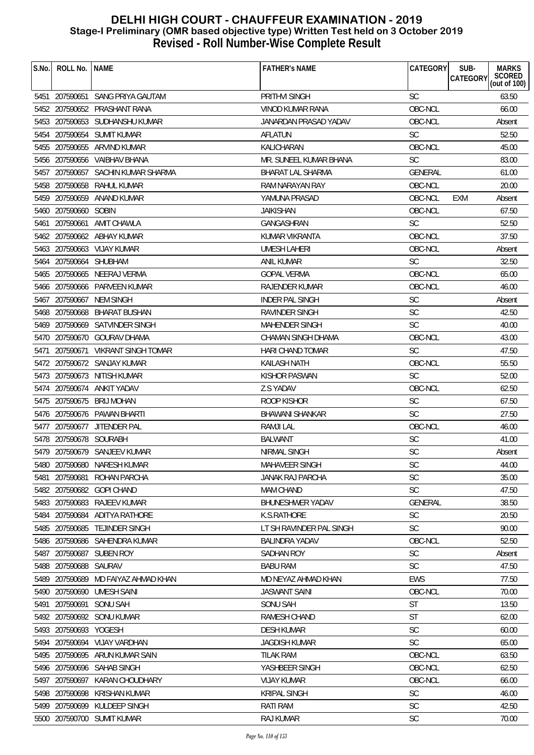| S.No. | ROLL No.               | <b>NAME</b>                      | <b>FATHER'S NAME</b>     | CATEGORY       | SUB-<br><b>MARKS</b><br>SCORED<br>(out of 100)<br>CATEGORY |
|-------|------------------------|----------------------------------|--------------------------|----------------|------------------------------------------------------------|
|       |                        | 5451 207590651 SANG PRIYA GAUTAM | PRITHVI SINGH            | <b>SC</b>      | 63.50                                                      |
|       |                        | 5452 207590652 PRASHANT RANA     | VINOD KUMAR RANA         | OBC-NCL        | 66.00                                                      |
|       |                        | 5453 207590653 SUDHANSHU KUMAR   | JANARDAN PRASAD YADAV    | OBC-NCL        | Absent                                                     |
| 5454  |                        | 207590654 SUMIT KUMAR            | AFLATUN                  | <b>SC</b>      | 52.50                                                      |
|       |                        | 5455 207590655 ARVIND KUMAR      | KALICHARAN               | OBC-NCL        | 45.00                                                      |
|       |                        | 5456 207590656 VAIBHAV BHANA     | MR. SUNEEL KUMAR BHANA   | <b>SC</b>      | 83.00                                                      |
| 5457  |                        | 207590657 SACHIN KUMAR SHARMA    | <b>BHARAT LAL SHARMA</b> | <b>GENERAL</b> | 61.00                                                      |
|       |                        | 5458 207590658 RAHUL KUMAR       | RAM NARAYAN RAY          | OBC-NCL        | 20.00                                                      |
|       |                        | 5459 207590659 ANAND KUMAR       | YAMUNA PRASAD            | OBC-NCL        | <b>EXM</b><br>Absent                                       |
|       | 5460 207590660 SOBIN   |                                  | <b>JAIKISHAN</b>         | OBC-NCL        | 67.50                                                      |
| 5461  | 207590661              | AMIT CHAWLA                      | GANGASHRAN               | <b>SC</b>      | 52.50                                                      |
|       |                        | 5462 207590662 ABHAY KUMAR       | <b>KUMAR VIKRANTA</b>    | OBC-NCL        | 37.50                                                      |
|       |                        | 5463 207590663 VIJAY KUMAR       | <b>UMESH LAHERI</b>      | OBC-NCL        | Absent                                                     |
| 5464  | 207590664 SHUBHAM      |                                  | <b>ANIL KUMAR</b>        | <b>SC</b>      | 32.50                                                      |
|       |                        | 5465 207590665 NEERAJ VERMA      | <b>GOPAL VERMA</b>       | OBC-NCL        | 65.00                                                      |
|       |                        | 5466 207590666 PARVEEN KUMAR     | <b>RAJENDER KUMAR</b>    | OBC-NCL        | 46.00                                                      |
|       | 5467 207590667         | <b>NEM SINGH</b>                 | <b>INDER PAL SINGH</b>   | SC             | Absent                                                     |
|       |                        | 5468 207590668 BHARAT BUSHAN     | <b>RAVINDER SINGH</b>    | <b>SC</b>      | 42.50                                                      |
|       | 5469 207590669         | SATVINDER SINGH                  | <b>MAHENDER SINGH</b>    | <b>SC</b>      | 40.00                                                      |
|       |                        | 5470 207590670 GOURAV DHAMA      | CHAMAN SINGH DHAMA       | OBC-NCL        | 43.00                                                      |
| 5471  |                        | 207590671 VIKRANT SINGH TOMAR    | <b>HARI CHAND TOMAR</b>  | <b>SC</b>      | 47.50                                                      |
|       |                        | 5472 207590672 SANJAY KUMAR      | KAILASH NATH             | OBC-NCL        | 55.50                                                      |
|       |                        | 5473 207590673 NITISH KUMAR      | KISHOR PASWAN            | <b>SC</b>      | 52.00                                                      |
|       |                        | 5474 207590674 ANKIT YADAV       | <b>Z.S YADAV</b>         | OBC-NCL        | 62.50                                                      |
|       |                        | 5475 207590675 BRIJ MOHAN        | ROOP KISHOR              | <b>SC</b>      | 67.50                                                      |
|       |                        | 5476 207590676 PAWAN BHARTI      | <b>BHAWANI SHANKAR</b>   | <b>SC</b>      | 27.50                                                      |
|       |                        | 5477 207590677 JITENDER PAL      | <b>RAMJILAL</b>          | OBC-NCL        | 46.00                                                      |
|       | 5478 207590678 SOURABH |                                  | BALWANT                  | SC             | 41.00                                                      |
|       |                        | 5479 207590679 SANJEEV KUMAR     | NIRMAL SINGH             | SC             | Absent                                                     |
| 5480  |                        | 207590680 NARESH KUMAR           | MAHAVEER SINGH           | SC             | 44.00                                                      |
| 5481  | 207590681              | ROHAN PARCHA                     | JANAK RAJ PARCHA         | <b>SC</b>      | 35.00                                                      |
|       |                        | 5482 207590682 GOPI CHAND        | <b>MAM CHAND</b>         | SC             | 47.50                                                      |
|       |                        | 5483 207590683 RAJEEV KUMAR      | <b>BHUNESHWER YADAV</b>  | <b>GENERAL</b> | 38.50                                                      |
|       |                        | 5484 207590684 ADITYA RATHORE    | K.S.RATHORE              | <b>SC</b>      | 20.50                                                      |
| 5485  | 207590685              | TEJINDER SINGH                   | LT SH RAVINDER PAL SINGH | <b>SC</b>      | 90.00                                                      |
| 5486  |                        | 207590686 SAHENDRA KUMAR         | <b>BALINDRA YADAV</b>    | OBC-NCL        | 52.50                                                      |
|       |                        | 5487 207590687 SUBEN ROY         | <b>SADHAN ROY</b>        | <b>SC</b>      | Absent                                                     |
|       | 5488 207590688 SAURAV  |                                  | <b>BABU RAM</b>          | <b>SC</b>      | 47.50                                                      |
| 5489  | 207590689              | MD FAIYAZ AHMAD KHAN             | MD NEYAZ AHMAD KHAN      | <b>EWS</b>     | 77.50                                                      |
| 5490  | 207590690              | <b>UMESH SAINI</b>               | <b>JASWANT SAINI</b>     | OBC-NCL        | 70.00                                                      |
| 5491  | 207590691              | SONU SAH                         | <b>SONU SAH</b>          | ST             | 13.50                                                      |
|       |                        | 5492 207590692 SONU KUMAR        | RAMESH CHAND             | <b>ST</b>      | 62.00                                                      |
|       | 5493 207590693 YOGESH  |                                  | <b>DESH KUMAR</b>        | SC             | 60.00                                                      |
|       |                        | 5494 207590694 VIJAY VARDHAN     | <b>JAGDISH KUMAR</b>     | <b>SC</b>      | 65.00                                                      |
|       |                        | 5495 207590695 ARUN KUMAR SAIN   | <b>TILAK RAM</b>         | OBC-NCL        | 63.50                                                      |
| 5496  |                        | 207590696 SAHAB SINGH            | YASHBEER SINGH           | OBC-NCL        | 62.50                                                      |
| 5497  | 207590697              | KARAN CHOUDHARY                  | <b>VIJAY KUMAR</b>       | OBC-NCL        | 66.00                                                      |
|       | 5498 207590698         | <b>KRISHAN KUMAR</b>             | <b>KRIPAL SINGH</b>      | SC             | 46.00                                                      |
|       |                        | 5499 207590699 KULDEEP SINGH     | RATI RAM                 | SC             | 42.50                                                      |
|       |                        | 5500 207590700 SUMIT KUMAR       | RAJ KUMAR                | SC             | 70.00                                                      |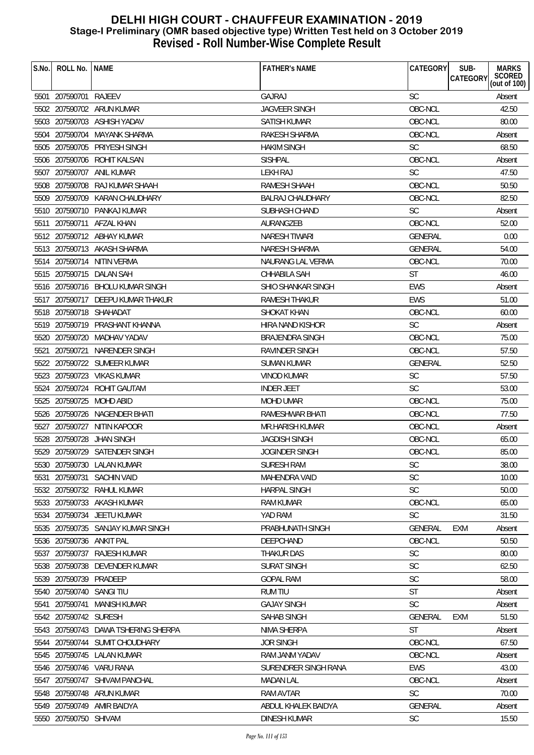| S.No. | ROLL No.                 | <b>NAME</b>                         | <b>FATHER'S NAME</b>    | CATEGORY       | SUB-<br><b>MARKS</b>               |
|-------|--------------------------|-------------------------------------|-------------------------|----------------|------------------------------------|
|       |                          |                                     |                         |                | SCORED<br>(out of 100)<br>CATEGORY |
|       | 5501 207590701 RAJEEV    |                                     | <b>GAJRAJ</b>           | <b>SC</b>      | Absent                             |
|       |                          | 5502 207590702 ARUN KUMAR           | <b>JAGVEER SINGH</b>    | OBC-NCL        | 42.50                              |
|       |                          | 5503 207590703 ASHISH YADAV         | <b>SATISH KUMAR</b>     | OBC-NCL        | 80.00                              |
| 5504  |                          | 207590704 MAYANK SHARMA             | RAKESH SHARMA           | OBC-NCL        | Absent                             |
|       | 5505 207590705           | PRIYESH SINGH                       | <b>HAKIM SINGH</b>      | <b>SC</b>      | 68.50                              |
| 5506  | 207590706                | ROHIT KALSAN                        | <b>SISHPAL</b>          | OBC-NCL        | Absent                             |
| 5507  | 207590707                | ANIL KUMAR                          | LEKH RAJ                | <b>SC</b>      | 47.50                              |
|       |                          | 5508 207590708 RAJ KUMAR SHAAH      | RAMESH SHAAH            | OBC-NCL        | 50.50                              |
|       |                          | 5509 207590709 KARAN CHAUDHARY      | <b>BALRAJ CHAUDHARY</b> | OBC-NCL        | 82.50                              |
|       |                          | 5510 207590710 PANKAJ KUMAR         | SUBHASH CHAND           | <b>SC</b>      | Absent                             |
| 5511  |                          | 207590711 AFZAL KHAN                | AURANGZEB               | OBC-NCL        | 52.00                              |
|       |                          | 5512 207590712 ABHAY KUMAR          | <b>NARESH TIWARI</b>    | GENERAL        | 0.00                               |
|       |                          | 5513 207590713 AKASH SHARMA         | NARESH SHARMA           | GENERAL        | 54.00                              |
| 5514  |                          | 207590714 NITIN VERMA               | NAURANG LAL VERMA       | OBC-NCL        | 70.00                              |
|       |                          | 5515 207590715 DALAN SAH            | CHHABILA SAH            | <b>ST</b>      | 46.00                              |
|       |                          | 5516 207590716 BHOLU KUMAR SINGH    | SHIO SHANKAR SINGH      | EWS            | Absent                             |
|       |                          | 5517 207590717 DEEPU KUMAR THAKUR   | <b>RAMESH THAKUR</b>    | <b>EWS</b>     | 51.00                              |
|       |                          | 5518 207590718 SHAHADAT             | <b>SHOKAT KHAN</b>      | OBC-NCL        | 60.00                              |
|       |                          | 5519 207590719 PRASHANT KHANNA      | HIRA NAND KISHOR        | <b>SC</b>      | Absent                             |
|       |                          | 5520 207590720 MADHAV YADAV         | <b>BRAJENDRA SINGH</b>  | OBC-NCL        | 75.00                              |
| 5521  |                          | 207590721 NARENDER SINGH            | RAVINDER SINGH          | OBC-NCL        | 57.50                              |
| 5522  |                          | 207590722 SUMEER KUMAR              | SUMAN KUMAR             | <b>GENERAL</b> | 52.50                              |
|       |                          | 5523 207590723 VIKAS KUMAR          | VINOD KUMAR             | <b>SC</b>      | 57.50                              |
| 5524  |                          | 207590724 ROHIT GAUTAM              | <b>INDER JEET</b>       | <b>SC</b>      | 53.00                              |
|       |                          | 5525 207590725 MOHD ABID            | <b>MOHD UMAR</b>        | OBC-NCL        | 75.00                              |
|       |                          | 5526 207590726 NAGENDER BHATI       | RAMESHWAR BHATI         | OBC-NCL        | 77.50                              |
|       | 5527 207590727           | NITIN KAPOOR                        | MR.HARISH KUMAR         | OBC-NCL        | Absent                             |
|       | 5528 207590728           | <b>JHAN SINGH</b>                   | <b>JAGDISH SINGH</b>    | OBC-NCL        | 65.00                              |
|       |                          | 5529 207590729 SATENDER SINGH       | <b>JOGINDER SINGH</b>   | OBC-NCL        | 85.00                              |
|       |                          | 5530 207590730 LALAN KUMAR          | SURESH RAM              | SC             | 38.00                              |
| 5531  |                          | 207590731 SACHIN VAID               | MAHENDRA VAID           | <b>SC</b>      | 10.00                              |
|       |                          | 5532 207590732 RAHUL KUMAR          | <b>HARPAL SINGH</b>     | <b>SC</b>      | 50.00                              |
|       |                          | 5533 207590733 AKASH KUMAR          | <b>RAM KUMAR</b>        | OBC-NCL        | 65.00                              |
|       |                          | 5534 207590734 JEETU KUMAR          | YAD RAM                 | <b>SC</b>      | 31.50                              |
|       |                          | 5535 207590735 SANJAY KUMAR SINGH   | PRABHUNATH SINGH        | GENERAL        | <b>EXM</b><br>Absent               |
|       | 5536 207590736 ANKIT PAL |                                     | DEEPCHAND               | OBC-NCL        | 50.50                              |
|       |                          | 5537 207590737 RAJESH KUMAR         | THAKUR DAS              | SC             | 80.00                              |
|       |                          | 5538 207590738 DEVENDER KUMAR       | <b>SURAT SINGH</b>      | <b>SC</b>      | 62.50                              |
|       | 5539 207590739 PRADEEP   |                                     | <b>GOPAL RAM</b>        | <b>SC</b>      | 58.00                              |
|       | 5540 207590740 SANGI TIU |                                     | <b>RUM TIU</b>          | <b>ST</b>      | Absent                             |
| 5541  | 207590741                | MANISH KUMAR                        | <b>GAJAY SINGH</b>      | <b>SC</b>      | Absent                             |
|       | 5542 207590742 SURESH    |                                     | SAHAB SINGH             | GENERAL        | <b>EXM</b><br>51.50                |
|       |                          | 5543 207590743 DAWA TSHERING SHERPA | NIMA SHERPA             | <b>ST</b>      | Absent                             |
|       |                          | 5544 207590744 SUMIT CHOUDHARY      | <b>JOR SINGH</b>        | OBC-NCL        | 67.50                              |
|       |                          | 5545 207590745 LALAN KUMAR          | RAM JANM YADAV          | OBC-NCL        | Absent                             |
| 5546  |                          | 207590746 VARU RANA                 | SURENDRER SINGH RANA    | <b>EWS</b>     | 43.00                              |
| 5547  |                          | 207590747 SHIVAM PANCHAL            | MADAN LAL               | OBC-NCL        | Absent                             |
|       |                          | 5548 207590748 ARUN KUMAR           | <b>RAM AVTAR</b>        | <b>SC</b>      | 70.00                              |
|       |                          | 5549 207590749 AMIR BAIDYA          | ABDUL KHALEK BAIDYA     | GENERAL        | Absent                             |
|       | 5550 207590750 SHIVAM    |                                     | <b>DINESH KUMAR</b>     | <b>SC</b>      | 15.50                              |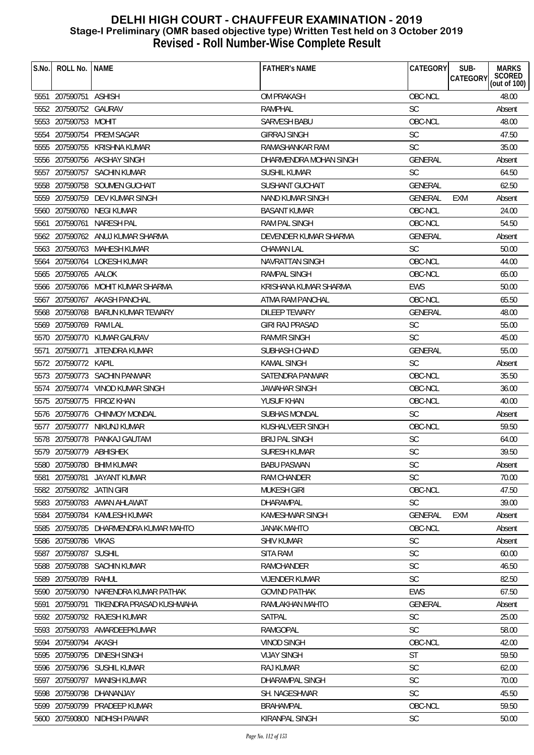| S.No. | ROLL No.                  | <b>NAME</b>                           | <b>FATHER'S NAME</b>    | <b>CATEGORY</b> | SUB-<br><b>MARKS</b><br>SCORED<br>(out of 100)<br><b>CATEGORY</b> |
|-------|---------------------------|---------------------------------------|-------------------------|-----------------|-------------------------------------------------------------------|
|       |                           |                                       |                         |                 |                                                                   |
|       | 5551 207590751 ASHISH     |                                       | OM PRAKASH              | OBC-NCL         | 48.00                                                             |
|       | 5552 207590752 GAURAV     |                                       | <b>RAMPHAL</b>          | <b>SC</b>       | Absent                                                            |
|       | 5553 207590753 MOHIT      |                                       | SARVESH BABU            | OBC-NCL         | 48.00                                                             |
|       |                           | 5554 207590754 PREM SAGAR             | <b>GIRRAJ SINGH</b>     | SC              | 47.50                                                             |
|       | 5555 207590755            | KRISHNA KUMAR                         | RAMASHANKAR RAM         | <b>SC</b>       | 35.00                                                             |
|       |                           | 5556 207590756 AKSHAY SINGH           | DHARMENDRA MOHAN SINGH  | <b>GENERAL</b>  | Absent                                                            |
|       |                           | 5557 207590757 SACHIN KUMAR           | SUSHIL KUMAR            | <b>SC</b>       | 64.50                                                             |
|       |                           | 5558 207590758 SOUMEN GUCHAIT         | <b>SUSHANT GUCHAIT</b>  | <b>GENERAL</b>  | 62.50                                                             |
|       |                           | 5559 207590759 DEV KUMAR SINGH        | <b>NAND KUMAR SINGH</b> | <b>GENERAL</b>  | EXM<br>Absent                                                     |
|       |                           | 5560 207590760 NEGI KUMAR             | <b>BASANT KUMAR</b>     | OBC-NCL         | 24.00                                                             |
|       |                           | 5561 207590761 NARESH PAL             | RAM PAL SINGH           | OBC-NCL         | 54.50                                                             |
|       |                           | 5562 207590762 ANUJ KUMAR SHARMA      | DEVENDER KUMAR SHARMA   | GENERAL         | Absent                                                            |
|       |                           | 5563 207590763 MAHESH KUMAR           | <b>CHAMAN LAL</b>       | <b>SC</b>       | 50.00                                                             |
|       |                           | 5564 207590764 LOKESH KUMAR           | <b>NAVRATTAN SINGH</b>  | OBC-NCL         | 44.00                                                             |
|       | 5565 207590765 AALOK      |                                       | <b>RAMPAL SINGH</b>     | OBC-NCL         | 65.00                                                             |
|       |                           | 5566 207590766 MOHIT KUMAR SHARMA     | KRISHANA KUMAR SHARMA   | <b>EWS</b>      | 50.00                                                             |
|       |                           | 5567 207590767 AKASH PANCHAL          | ATMA RAM PANCHAL        | OBC-NCL         | 65.50                                                             |
|       |                           | 5568 207590768 BARUN KUMAR TEWARY     | <b>DILEEP TEWARY</b>    | <b>GENERAL</b>  | 48.00                                                             |
|       | 5569 207590769 RAM LAL    |                                       | <b>GIRI RAJ PRASAD</b>  | SC              | 55.00                                                             |
|       |                           | 5570 207590770 KUMAR GAURAV           | <b>RAMVIR SINGH</b>     | <b>SC</b>       | 45.00                                                             |
| 5571  |                           | 207590771 JITENDRA KUMAR              | SUBHASH CHAND           | GENERAL         | 55.00                                                             |
|       | 5572 207590772 KAPIL      |                                       | KAMAL SINGH             | <b>SC</b>       | Absent                                                            |
|       |                           | 5573 207590773 SACHIN PANWAR          | SATENDRA PANWAR         | OBC-NCL         | 35.50                                                             |
|       |                           | 5574 207590774 VINOD KUMAR SINGH      | JAWAHAR SINGH           | OBC-NCL         | 36.00                                                             |
|       |                           | 5575 207590775 FIROZ KHAN             | YUSUF KHAN              | OBC-NCL         | 40.00                                                             |
|       |                           | 5576 207590776 CHINMOY MONDAL         | <b>SUBHAS MONDAL</b>    | <b>SC</b>       | Absent                                                            |
|       |                           | 5577 207590777 NIKUNJ KUMAR           | KUSHALVEER SINGH        | OBC-NCL         | 59.50                                                             |
|       |                           | 5578 207590778 PANKAJ GAUTAM          | <b>BRIJ PAL SINGH</b>   | <b>SC</b>       | 64.00                                                             |
|       | 5579 207590779 ABHISHEK   |                                       | <b>SURESH KUMAR</b>     | <b>SC</b>       | 39.50                                                             |
|       |                           | 5580 207590780 BHIM KUMAR             | <b>BABU PASWAN</b>      | SC              | Absent                                                            |
| 5581  | 207590781                 | JAYANT KUMAR                          | <b>RAM CHANDER</b>      | <b>SC</b>       | 70.00                                                             |
|       | 5582 207590782 JATIN GIRI |                                       | <b>MUKESH GIRI</b>      | OBC-NCL         | 47.50                                                             |
|       |                           | 5583 207590783 AMAN AHLAWAT           | <b>DHARAMPAL</b>        | <b>SC</b>       | 39.00                                                             |
|       |                           | 5584 207590784 KAMLESH KUMAR          | <b>KAMESHWAR SINGH</b>  | GENERAL         | <b>EXM</b><br>Absent                                              |
|       |                           | 5585 207590785 DHARMENDRA KUMAR MAHTO | <b>JANAK MAHTO</b>      | OBC-NCL         | Absent                                                            |
|       | 5586 207590786 VIKAS      |                                       | <b>SHIV KUMAR</b>       | <b>SC</b>       | Absent                                                            |
|       | 5587 207590787 SUSHIL     |                                       | <b>SITA RAM</b>         | <b>SC</b>       | 60.00                                                             |
|       |                           | 5588 207590788 SACHIN KUMAR           | <b>RAMCHANDER</b>       | <b>SC</b>       | 46.50                                                             |
|       | 5589 207590789            | RAHUL                                 | <b>VIJENDER KUMAR</b>   | <b>SC</b>       | 82.50                                                             |
|       |                           | 5590 207590790 NARENDRA KUMAR PATHAK  | <b>GOVIND PATHAK</b>    | <b>EWS</b>      | 67.50                                                             |
| 5591  | 207590791                 | TIKENDRA PRASAD KUSHWAHA              | RAMLAKHAN MAHTO         | <b>GENERAL</b>  | Absent                                                            |
|       |                           | 5592 207590792 RAJESH KUMAR           | SATPAL                  | <b>SC</b>       | 25.00                                                             |
|       |                           | 5593 207590793 AMARDEEPKUMAR          | RAMGOPAL                | <b>SC</b>       | 58.00                                                             |
|       | 5594 207590794 AKASH      |                                       | <b>VINOD SINGH</b>      | OBC-NCL         | 42.00                                                             |
|       |                           | 5595 207590795 DINESH SINGH           | <b>VIJAY SINGH</b>      | <b>ST</b>       | 59.50                                                             |
|       |                           | 5596 207590796 SUSHIL KUMAR           | <b>RAJ KUMAR</b>        | <b>SC</b>       | 62.00                                                             |
|       | 5597 207590797            | MANISH KUMAR                          | DHARAMPAL SINGH         | <b>SC</b>       | 70.00                                                             |
|       | 5598 207590798            | DHANANJAY                             | SH. NAGESHWAR           | <b>SC</b>       | 45.50                                                             |
|       |                           | 5599 207590799 PRADEEP KUMAR          | <b>BRAHAMPAL</b>        | OBC-NCL         | 59.50                                                             |
|       |                           | 5600 207590800 NIDHISH PAWAR          | KIRANPAL SINGH          | <b>SC</b>       | 50.00                                                             |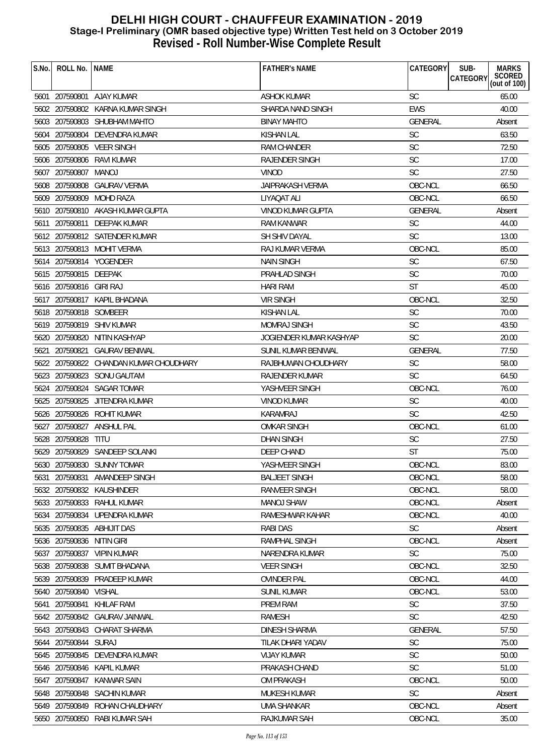| S.No. | ROLL No.                | <b>NAME</b>                            | <b>FATHER'S NAME</b>     | CATEGORY       | SUB-<br><b>MARKS</b>                  |
|-------|-------------------------|----------------------------------------|--------------------------|----------------|---------------------------------------|
|       |                         |                                        |                          |                | SCORED<br>CATEGORY<br>(out of $100$ ) |
|       |                         | 5601 207590801 AJAY KUMAR              | <b>ASHOK KUMAR</b>       | <b>SC</b>      | 65.00                                 |
|       |                         | 5602 207590802 KARNA KUMAR SINGH       | SHARDA NAND SINGH        | <b>EWS</b>     | 40.00                                 |
|       |                         | 5603 207590803 SHUBHAM MAHTO           | <b>BINAY MAHTO</b>       | <b>GENERAL</b> | Absent                                |
|       |                         | 5604 207590804 DEVENDRA KUMAR          | <b>KISHAN LAL</b>        | <b>SC</b>      | 63.50                                 |
|       |                         | 5605 207590805 VEER SINGH              | RAM CHANDER              | <b>SC</b>      | 72.50                                 |
|       | 5606 207590806          | RAVI KUMAR                             | <b>RAJENDER SINGH</b>    | <b>SC</b>      | 17.00                                 |
|       | 5607 207590807          | MANOJ                                  | <b>VINOD</b>             | <b>SC</b>      | 27.50                                 |
|       | 5608 207590808          | <b>GAURAV VERMA</b>                    | <b>JAIPRAKASH VERMA</b>  | OBC-NCL        | 66.50                                 |
|       |                         | 5609 207590809 MOHD RAZA               | LIYAQAT ALI              | OBC-NCL        | 66.50                                 |
|       |                         | 5610 207590810 AKASH KUMAR GUPTA       | <b>VINOD KUMAR GUPTA</b> | <b>GENERAL</b> | Absent                                |
|       |                         | 5611 207590811 DEEPAK KUMAR            | <b>RAM KANWAR</b>        | <b>SC</b>      | 44.00                                 |
|       |                         | 5612 207590812 SATENDER KUMAR          | SH SHIV DAYAL            | <b>SC</b>      | 13.00                                 |
|       |                         | 5613 207590813 MOHIT VERMA             | RAJ KUMAR VERMA          | OBC-NCL        | 85.00                                 |
|       |                         | 5614 207590814 YOGENDER                | <b>NAIN SINGH</b>        | <b>SC</b>      | 67.50                                 |
|       | 5615 207590815 DEEPAK   |                                        | PRAHLAD SINGH            | <b>SC</b>      | 70.00                                 |
|       | 5616 207590816 GIRI RAJ |                                        | <b>HARI RAM</b>          | <b>ST</b>      | 45.00                                 |
|       |                         | 5617 207590817 KAPIL BHADANA           | <b>VIR SINGH</b>         | OBC-NCL        | 32.50                                 |
|       | 5618 207590818 SOMBEER  |                                        | <b>KISHAN LAL</b>        | <b>SC</b>      | 70.00                                 |
|       |                         | 5619 207590819 SHIV KUMAR              | <b>MOMRAJ SINGH</b>      | SC             | 43.50                                 |
|       |                         | 5620 207590820 NITIN KASHYAP           | JOGIENDER KUMAR KASHYAP  | <b>SC</b>      | 20.00                                 |
|       |                         | 5621 207590821 GAURAV BENIWAL          | SUNIL KUMAR BENIWAL      | <b>GENERAL</b> | 77.50                                 |
|       |                         | 5622 207590822 CHANDAN KUMAR CHOUDHARY | RAJBHUWAN CHOUDHARY      | SC             | 58.00                                 |
|       | 5623 207590823          | SONU GAUTAM                            | <b>RAJENDER KUMAR</b>    | <b>SC</b>      | 64.50                                 |
|       |                         | 5624 207590824 SAGAR TOMAR             | YASHVEER SINGH           | OBC-NCL        | 76.00                                 |
|       | 5625 207590825          | JITENDRA KUMAR                         | VINOD KUMAR              | <b>SC</b>      | 40.00                                 |
|       |                         | 5626 207590826 ROHIT KUMAR             | <b>KARAMRAJ</b>          | <b>SC</b>      | 42.50                                 |
|       |                         | 5627 207590827 ANSHUL PAL              | <b>OMKAR SINGH</b>       | OBC-NCL        | 61.00                                 |
|       | 5628 207590828          | <b>TITU</b>                            | <b>DHAN SINGH</b>        | <b>SC</b>      | 27.50                                 |
|       |                         | 5629 207590829 SANDEEP SOLANKI         | DEEP CHAND               | <b>ST</b>      | 75.00                                 |
|       |                         | 5630 207590830 SUNNY TOMAR             | YASHVEER SINGH           | OBC-NCL        | 83.00                                 |
| 5631  | 207590831               | AMANDEEP SINGH                         | <b>BALJEET SINGH</b>     | OBC-NCL        | 58.00                                 |
|       |                         | 5632 207590832 KAUSHINDER              | <b>RANVEER SINGH</b>     | OBC-NCL        | 58.00                                 |
|       |                         | 5633 207590833 RAHUL KUMAR             | <b>MANOJ SHAW</b>        | OBC-NCL        | Absent                                |
|       |                         | 5634 207590834 UPENDRA KUMAR           | RAMESHWAR KAHAR          | OBC-NCL        | 40.00                                 |
|       |                         | 5635 207590835 ABHIJIT DAS             | <b>RABI DAS</b>          | <b>SC</b>      | Absent                                |
|       | 5636 207590836          | NITIN GIRI                             | RAMPHAL SINGH            | OBC-NCL        | Absent                                |
|       | 5637 207590837          | <b>VIPIN KUMAR</b>                     | NARENDRA KUMAR           | <b>SC</b>      | 75.00                                 |
|       |                         | 5638 207590838 SUMIT BHADANA           | <b>VEER SINGH</b>        | OBC-NCL        | 32.50                                 |
|       |                         | 5639 207590839 PRADEEP KUMAR           | <b>OVINDER PAL</b>       | OBC-NCL        | 44.00                                 |
|       | 5640 207590840 VISHAL   |                                        | <b>SUNIL KUMAR</b>       | OBC-NCL        | 53.00                                 |
|       | 5641 207590841          | KHILAF RAM                             | <b>PREM RAM</b>          | <b>SC</b>      | 37.50                                 |
|       |                         | 5642 207590842 GAURAV JAINWAL          | <b>RAMESH</b>            | <b>SC</b>      | 42.50                                 |
|       |                         | 5643 207590843 CHARAT SHARMA           | <b>DINESH SHARMA</b>     | GENERAL        | 57.50                                 |
|       | 5644 207590844 SURAJ    |                                        | TILAK DHARI YADAV        | <b>SC</b>      | 75.00                                 |
|       |                         | 5645 207590845 DEVENDRA KUMAR          | <b>VIJAY KUMAR</b>       | <b>SC</b>      | 50.00                                 |
|       |                         | 5646 207590846 KAPIL KUMAR             | PRAKASH CHAND            | <b>SC</b>      | 51.00                                 |
|       | 5647 207590847          | KANWAR SAIN                            | <b>OM PRAKASH</b>        | OBC-NCL        | 50.00                                 |
|       | 5648 207590848          | <b>SACHIN KUMAR</b>                    | MUKESH KUMAR             | <b>SC</b>      | Absent                                |
|       |                         | 5649 207590849 ROHAN CHAUDHARY         | <b>UMA SHANKAR</b>       | OBC-NCL        | Absent                                |
|       |                         | 5650 207590850 RABI KUMAR SAH          | RAJKUMAR SAH             | OBC-NCL        | 35.00                                 |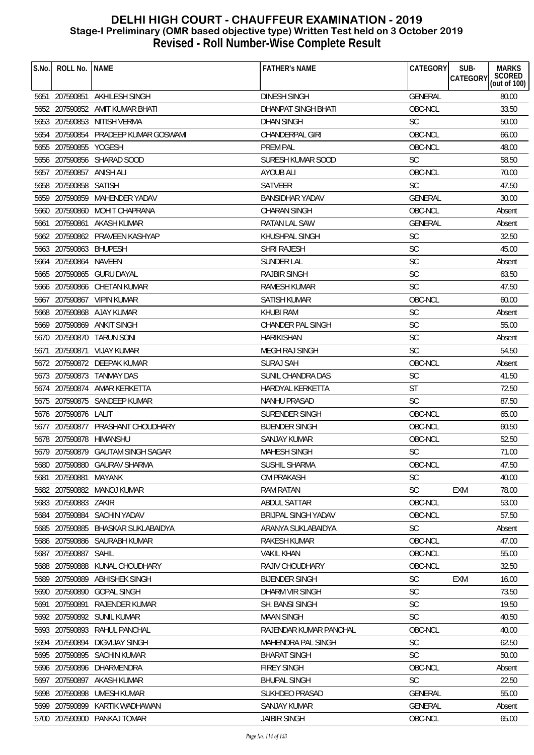| S.No. | ROLL No.   NAME          |                                      | <b>FATHER'S NAME</b>                   | CATEGORY       | SUB-<br><b>CATEGORY</b> | <b>MARKS</b><br>SCORED<br>(out of 100) |
|-------|--------------------------|--------------------------------------|----------------------------------------|----------------|-------------------------|----------------------------------------|
|       |                          | 5651 207590851 AKHILESH SINGH        | <b>DINESH SINGH</b>                    | <b>GENERAL</b> |                         | 80.00                                  |
|       |                          | 5652 207590852 AMIT KUMAR BHATI      | DHANPAT SINGH BHATI                    | OBC-NCL        |                         | 33.50                                  |
|       |                          | 5653 207590853 NITISH VERMA          | <b>DHAN SINGH</b>                      | <b>SC</b>      |                         | 50.00                                  |
|       |                          | 5654 207590854 PRADEEP KUMAR GOSWAMI | CHANDERPAL GIRI                        | OBC-NCL        |                         | 66.00                                  |
|       | 5655 207590855 YOGESH    |                                      | PREM PAL                               | OBC-NCL        |                         | 48.00                                  |
|       |                          | 5656 207590856 SHARAD SOOD           | SURESH KUMAR SOOD                      | <b>SC</b>      |                         | 58.50                                  |
|       | 5657 207590857 ANISH ALI |                                      | AYOUB ALI                              | OBC-NCL        |                         | 70.00                                  |
|       | 5658 207590858 SATISH    |                                      | <b>SATVEER</b>                         | <b>SC</b>      |                         | 47.50                                  |
|       |                          | 5659 207590859 MAHENDER YADAV        | <b>BANSIDHAR YADAV</b>                 | GENERAL        |                         | 30.00                                  |
|       |                          | 5660 207590860 MOHIT CHAPRANA        | <b>CHARAN SINGH</b>                    | OBC-NCL        |                         | Absent                                 |
|       | 5661 207590861           | AKASH KUMAR                          | RATAN LAL SAW                          | GENERAL        |                         | Absent                                 |
|       |                          | 5662 207590862 PRAVEEN KASHYAP       | KHUSHPAL SINGH                         | <b>SC</b>      |                         | 32.50                                  |
|       | 5663 207590863 BHUPESH   |                                      | <b>SHRI RAJESH</b>                     | SC             |                         | 45.00                                  |
|       | 5664 207590864 NAVEEN    |                                      | <b>SUNDER LAL</b>                      | <b>SC</b>      |                         | Absent                                 |
|       |                          | 5665 207590865 GURU DAYAL            | <b>RAJBIR SINGH</b>                    | SC             |                         | 63.50                                  |
|       |                          | 5666 207590866 CHETAN KUMAR          | <b>RAMESH KUMAR</b>                    | SC             |                         | 47.50                                  |
|       |                          | 5667 207590867 VIPIN KUMAR           | SATISH KUMAR                           | OBC-NCL        |                         | 60.00                                  |
|       |                          | 5668 207590868 AJAY KUMAR            | <b>KHUBI RAM</b>                       | SC             |                         |                                        |
|       |                          | 5669 207590869 ANKIT SINGH           |                                        | <b>SC</b>      |                         | Absent<br>55.00                        |
|       |                          |                                      | CHANDER PAL SINGH<br><b>HARIKISHAN</b> | <b>SC</b>      |                         |                                        |
|       |                          | 5670 207590870 TARUN SONI            |                                        | SC             |                         | Absent<br>54.50                        |
|       |                          | 5671 207590871 VIJAY KUMAR           | MEGH RAJ SINGH                         |                |                         |                                        |
|       |                          | 5672 207590872 DEEPAK KUMAR          | SURAJ SAH                              | OBC-NCL        |                         | Absent                                 |
|       |                          | 5673 207590873 TANMAY DAS            | SUNIL CHANDRA DAS                      | <b>SC</b>      |                         | 41.50                                  |
|       |                          | 5674 207590874 AMAR KERKETTA         | HARDYAL KERKETTA                       | ST             |                         | 72.50                                  |
|       |                          | 5675 207590875 SANDEEP KUMAR         | <b>NANHU PRASAD</b>                    | <b>SC</b>      |                         | 87.50                                  |
|       | 5676 207590876 LALIT     |                                      | SURENDER SINGH                         | OBC-NCL        |                         | 65.00                                  |
|       |                          | 5677 207590877 PRASHANT CHOUDHARY    | <b>BIJENDER SINGH</b>                  | OBC-NCL        |                         | 60.50                                  |
|       | 5678 207590878           | HIMANSHU                             | SANJAY KUMAR                           | OBC-NCL        |                         | 52.50                                  |
|       |                          | 5679 207590879 GAUTAM SINGH SAGAR    | <b>MAHESH SINGH</b>                    | SC             |                         | 71.00                                  |
| სხბს  |                          | 207590880 GAURAV SHARMA              | <b>SUSHIL SHARMA</b>                   | OBC-NCL        |                         | 47.50                                  |
| 5681  | 207590881                | MAYANK                               | <b>OM PRAKASH</b>                      | <b>SC</b>      |                         | 40.00                                  |
|       |                          | 5682 207590882 MANOJ KUMAR           | <b>RAM RATAN</b>                       | <b>SC</b>      | <b>EXM</b>              | 78.00                                  |
|       | 5683 207590883           | ZAKIR                                | ABDUL SATTAR                           | OBC-NCL        |                         | 53.00                                  |
| 5684  | 207590884                | <b>SACHIN YADAV</b>                  | <b>BRIJPAL SINGH YADAV</b>             | OBC-NCL        |                         | 57.50                                  |
|       | 5685 207590885           | BHASKAR SUKLABAIDYA                  | ARANYA SUKLABAIDYA                     | <b>SC</b>      |                         | Absent                                 |
| 5686  | 207590886                | SAURABH KUMAR                        | <b>RAKESH KUMAR</b>                    | OBC-NCL        |                         | 47.00                                  |
| 5687  | 207590887                | SAHIL                                | <b>VAKIL KHAN</b>                      | OBC-NCL        |                         | 55.00                                  |
|       | 5688 207590888           | KUNAL CHOUDHARY                      | RAJIV CHOUDHARY                        | OBC-NCL        |                         | 32.50                                  |
|       | 5689 207590889           | <b>ABHISHEK SINGH</b>                | <b>BIJENDER SINGH</b>                  | <b>SC</b>      | <b>EXM</b>              | 16.00                                  |
|       | 5690 207590890           | <b>GOPAL SINGH</b>                   | DHARM VIR SINGH                        | SC             |                         | 73.50                                  |
| 5691  | 207590891                | RAJENDER KUMAR                       | SH. BANSI SINGH                        | <b>SC</b>      |                         | 19.50                                  |
|       |                          | 5692 207590892 SUNIL KUMAR           | <b>MAAN SINGH</b>                      | <b>SC</b>      |                         | 40.50                                  |
|       | 5693 207590893           | RAHUL PANCHAL                        | RAJENDAR KUMAR PANCHAL                 | OBC-NCL        |                         | 40.00                                  |
|       | 5694 207590894           | <b>DIGVIJAY SINGH</b>                | MAHENDRA PAL SINGH                     | <b>SC</b>      |                         | 62.50                                  |
|       |                          | 5695 207590895 SACHIN KUMAR          | <b>BHARAT SINGH</b>                    | <b>SC</b>      |                         | 50.00                                  |
|       | 5696 207590896           | DHARMENDRA                           | <b>FIREY SINGH</b>                     | OBC-NCL        |                         | Absent                                 |
| 5697  | 207590897                | AKASH KUMAR                          | <b>BHUPAL SINGH</b>                    | <b>SC</b>      |                         | 22.50                                  |
|       | 5698 207590898           | UMESH KUMAR                          | <b>SUKHDEO PRASAD</b>                  | GENERAL        |                         | 55.00                                  |
|       | 5699 207590899           | KARTIK WADHAWAN                      | <b>SANJAY KUMAR</b>                    | <b>GENERAL</b> |                         | Absent                                 |
|       |                          | 5700 207590900 PANKAJ TOMAR          | <b>JAIBIR SINGH</b>                    | OBC-NCL        |                         | 65.00                                  |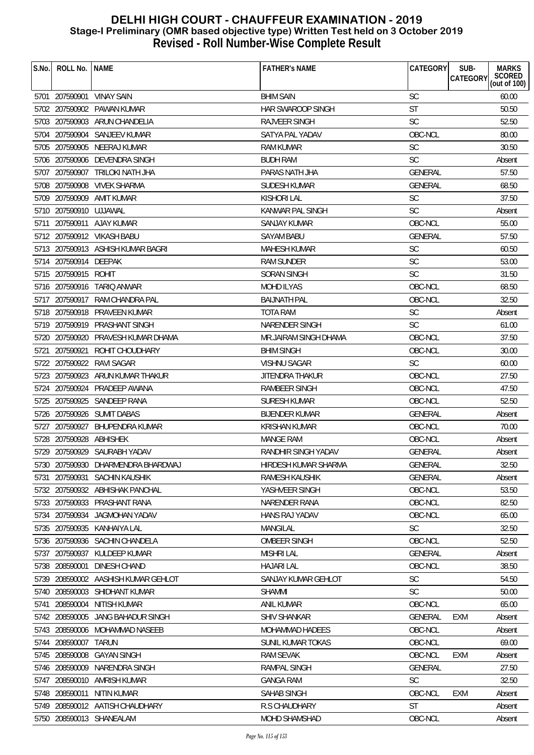| S.No. | ROLL No.                | <b>NAME</b>                         | <b>FATHER'S NAME</b>   | <b>CATEGORY</b> | SUB-<br><b>MARKS</b>                  |
|-------|-------------------------|-------------------------------------|------------------------|-----------------|---------------------------------------|
|       |                         |                                     |                        |                 | SCORED<br>CATEGORY<br>(out of $100$ ) |
|       | 5701 207590901          | <b>VINAY SAIN</b>                   | <b>BHIM SAIN</b>       | <b>SC</b>       | 60.00                                 |
|       |                         | 5702 207590902 PAWAN KUMAR          | HAR SWAROOP SINGH      | <b>ST</b>       | 50.50                                 |
|       |                         | 5703 207590903 ARUN CHANDELIA       | RAJVEER SINGH          | <b>SC</b>       | 52.50                                 |
|       |                         | 5704 207590904 SANJEEV KUMAR        | SATYA PAL YADAV        | OBC-NCL         | 80.00                                 |
|       |                         | 5705 207590905 NEERAJ KUMAR         | <b>RAM KUMAR</b>       | <b>SC</b>       | 30.50                                 |
|       |                         | 5706 207590906 DEVENDRA SINGH       | <b>BUDH RAM</b>        | <b>SC</b>       | Absent                                |
|       |                         | 5707 207590907 TRILOKI NATH JHA     | PARAS NATH JHA         | <b>GENERAL</b>  | 57.50                                 |
|       |                         | 5708 207590908 VIVEK SHARMA         | SUDESH KUMAR           | <b>GENERAL</b>  | 68.50                                 |
|       |                         | 5709 207590909 AMIT KUMAR           | <b>KISHORI LAL</b>     | <b>SC</b>       | 37.50                                 |
|       | 5710 207590910 UJJAWAL  |                                     | KANWAR PAL SINGH       | SC              | Absent                                |
|       |                         | 5711 207590911 AJAY KUMAR           | <b>SANJAY KUMAR</b>    | OBC-NCL         | 55.00                                 |
|       |                         | 5712 207590912 VIKASH BABU          | <b>SAYAM BABU</b>      | <b>GENERAL</b>  | 57.50                                 |
|       |                         | 5713 207590913 ASHISH KUMAR BAGRI   | <b>MAHESH KUMAR</b>    | <b>SC</b>       | 60.50                                 |
|       | 5714 207590914 DEEPAK   |                                     | RAM SUNDER             | <b>SC</b>       | 53.00                                 |
|       | 5715 207590915 ROHIT    |                                     | SORAN SINGH            | <b>SC</b>       | 31.50                                 |
|       |                         | 5716 207590916 TARIQ ANWAR          | <b>MOHD ILYAS</b>      | OBC-NCL         | 68.50                                 |
|       |                         | 5717 207590917 RAM CHANDRA PAL      | <b>BAIJNATH PAL</b>    | OBC-NCL         | 32.50                                 |
|       |                         | 5718 207590918 PRAVEEN KUMAR        | <b>TOTA RAM</b>        | <b>SC</b>       | Absent                                |
|       |                         | 5719 207590919 PRASHANT SINGH       | NARENDER SINGH         | <b>SC</b>       | 61.00                                 |
|       |                         | 5720 207590920 PRAVESH KUMAR DHAMA  | MR.JAIRAM SINGH DHAMA  | OBC-NCL         | 37.50                                 |
|       |                         | 5721 207590921 ROHIT CHOUDHARY      | <b>BHIM SINGH</b>      | OBC-NCL         | 30.00                                 |
|       |                         | 5722 207590922 RAVI SAGAR           | <b>VISHNU SAGAR</b>    | <b>SC</b>       | 60.00                                 |
|       |                         | 5723 207590923 ARUN KUMAR THAKUR    | <b>JITENDRA THAKUR</b> | OBC-NCL         | 27.50                                 |
|       |                         | 5724 207590924 PRADEEP AWANA        | RAMBEER SINGH          | OBC-NCL         | 47.50                                 |
|       |                         | 5725 207590925 SANDEEP RANA         | <b>SURESH KUMAR</b>    | OBC-NCL         | 52.50                                 |
|       |                         | 5726 207590926 SUMIT DABAS          | <b>BIJENDER KUMAR</b>  | <b>GENERAL</b>  | Absent                                |
|       |                         | 5727 207590927 BHUPENDRA KUMAR      | <b>KRISHAN KUMAR</b>   | OBC-NCL         | 70.00                                 |
|       | 5728 207590928 ABHISHEK |                                     | <b>MANGE RAM</b>       | OBC-NCL         | Absent                                |
|       |                         | 5729 207590929 SAURABH YADAV        | RANDHIR SINGH YADAV    | <b>GENERAL</b>  | Absent                                |
|       |                         | 5730 207590930 DHARMENDRA BHARDWAJ  | HIRDESH KUMAR SHARMA   | GENERAL         | 32.50                                 |
| 5731  | 207590931               | <b>SACHIN KAUSHIK</b>               | RAMESH KAUSHIK         | <b>GENERAL</b>  | Absent                                |
|       |                         | 5732 207590932 ABHISHAK PANCHAL     | YASHVEER SINGH         | OBC-NCL         | 53.50                                 |
|       |                         | 5733 207590933 PRASHANT RANA        | NARENDER RANA          | OBC-NCL         | 82.50                                 |
|       | 5734 207590934          | JAGMOHAN YADAV                      | HANS RAJ YADAV         | OBC-NCL         | 65.00                                 |
| 5735  | 207590935               | KANHAIYA LAL                        | <b>MANGILAL</b>        | <b>SC</b>       | 32.50                                 |
|       | 5736 207590936          | SACHIN CHANDELA                     | OMBEER SINGH           | OBC-NCL         | 52.50                                 |
| 5737  | 207590937               | KULDEEP KUMAR                       | <b>MISHRI LAL</b>      | GENERAL         | Absent                                |
| 5738  | 208590001               | <b>DINESH CHAND</b>                 | <b>HAJARI LAL</b>      | OBC-NCL         | 38.50                                 |
|       |                         | 5739 208590002 AASHISH KUMAR GEHLOT | SANJAY KUMAR GEHLOT    | <b>SC</b>       | 54.50                                 |
| 5740  | 208590003               | SHIDHANT KUMAR                      | <b>SHAMMI</b>          | <b>SC</b>       | 50.00                                 |
| 5741  | 208590004               | NITISH KUMAR                        | <b>ANIL KUMAR</b>      | OBC-NCL         | 65.00                                 |
|       | 5742 208590005          | JANG BAHADUR SINGH                  | <b>SHIV SHANKAR</b>    | <b>GENERAL</b>  | <b>EXM</b><br>Absent                  |
|       |                         | 5743 208590006 MOHAMMAD NASEEB      | <b>MOHAMMAD HADEES</b> | OBC-NCL         | Absent                                |
|       | 5744 208590007          | TARUN                               | SUNIL KUMAR TOKAS      | OBC-NCL         | 69.00                                 |
|       | 5745 208590008          | <b>GAYAN SINGH</b>                  | <b>RAM SEVAK</b>       | OBC-NCL         | <b>EXM</b><br>Absent                  |
| 5746  | 208590009               | NARENDRA SINGH                      | RAMPAL SINGH           | <b>GENERAL</b>  | 27.50                                 |
| 5747  | 208590010               | AMRISH KUMAR                        | <b>GANGA RAM</b>       | <b>SC</b>       | 32.50                                 |
|       | 5748 208590011          | NITIN KUMAR                         | SAHAB SINGH            | OBC-NCL         | <b>EXM</b><br>Absent                  |
| 5749  |                         | 208590012 AATISH CHAUDHARY          | <b>R.S CHAUDHARY</b>   | <b>ST</b>       | Absent                                |
|       |                         | 5750 208590013 SHANEALAM            | <b>MOHD SHAMSHAD</b>   | OBC-NCL         | Absent                                |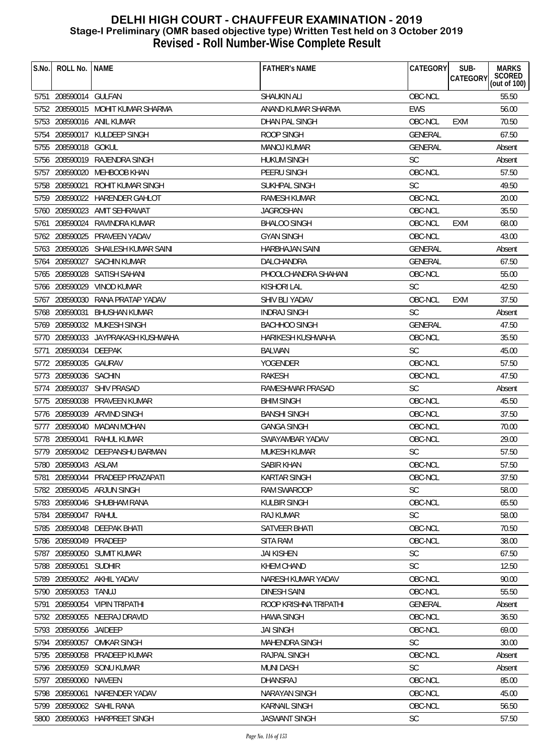| S.No. | ROLL No.   NAME        |                                     | <b>FATHER'S NAME</b>     | CATEGORY       | SUB-<br>CATEGORY | <b>MARKS</b><br>SCORED<br>(out of 100) |
|-------|------------------------|-------------------------------------|--------------------------|----------------|------------------|----------------------------------------|
|       | 5751 208590014 GULFAN  |                                     | <b>SHAUKIN ALI</b>       | OBC-NCL        |                  | 55.50                                  |
|       |                        | 5752 208590015 MOHIT KUMAR SHARMA   | ANAND KUMAR SHARMA       | <b>EWS</b>     |                  | 56.00                                  |
|       |                        | 5753 208590016 ANIL KUMAR           | DHAN PAL SINGH           | OBC-NCL        | <b>EXM</b>       | 70.50                                  |
|       |                        | 5754 208590017 KULDEEP SINGH        | <b>ROOP SINGH</b>        | <b>GENERAL</b> |                  | 67.50                                  |
|       | 5755 208590018 GOKUL   |                                     | <b>MANOJ KUMAR</b>       | <b>GENERAL</b> |                  | Absent                                 |
|       |                        | 5756 208590019 RAJENDRA SINGH       | <b>HUKUM SINGH</b>       | <b>SC</b>      |                  | Absent                                 |
|       |                        | 5757 208590020 MEHBOOB KHAN         | PEERU SINGH              | OBC-NCL        |                  | 57.50                                  |
|       | 5758 208590021         | ROHIT KUMAR SINGH                   | <b>SUKHPAL SINGH</b>     | <b>SC</b>      |                  | 49.50                                  |
|       |                        | 5759 208590022 HARENDER GAHLOT      | RAMESH KUMAR             | OBC-NCL        |                  | 20.00                                  |
|       |                        | 5760 208590023 AMIT SEHRAWAT        | <b>JAGROSHAN</b>         | OBC-NCL        |                  | 35.50                                  |
|       |                        | 5761 208590024 RAVINDRA KUMAR       | <b>BHALOO SINGH</b>      | OBC-NCL        | <b>EXM</b>       | 68.00                                  |
|       |                        | 5762 208590025 PRAVEEN YADAV        | <b>GYAN SINGH</b>        | OBC-NCL        |                  | 43.00                                  |
|       |                        | 5763 208590026 SHAILESH KUMAR SAINI | <b>HARBHAJAN SAINI</b>   | <b>GENERAL</b> |                  | Absent                                 |
|       |                        | 5764 208590027 SACHIN KUMAR         | DALCHANDRA               | <b>GENERAL</b> |                  | 67.50                                  |
|       |                        | 5765 208590028 SATISH SAHANI        | PHOOLCHANDRA SHAHANI     | OBC-NCL        |                  | 55.00                                  |
|       |                        | 5766 208590029 VINOD KUMAR          | <b>KISHORI LAL</b>       | <b>SC</b>      |                  | 42.50                                  |
|       |                        | 5767 208590030 RANA PRATAP YADAV    | SHIV BLI YADAV           | OBC-NCL        | EXM              | 37.50                                  |
|       |                        | 5768 208590031 BHUSHAN KUMAR        | <b>INDRAJ SINGH</b>      | <b>SC</b>      |                  | Absent                                 |
|       |                        | 5769 208590032 MUKESH SINGH         | <b>BACHHOO SINGH</b>     | <b>GENERAL</b> |                  | 47.50                                  |
|       |                        | 5770 208590033 JAYPRAKASH KUSHWAHA  | <b>HARIKESH KUSHWAHA</b> | OBC-NCL        |                  | 35.50                                  |
| 5771  | 208590034 DEEPAK       |                                     | <b>BALWAN</b>            | <b>SC</b>      |                  | 45.00                                  |
|       | 5772 208590035 GAURAV  |                                     | <b>YOGENDER</b>          | OBC-NCL        |                  | 57.50                                  |
|       | 5773 208590036 SACHIN  |                                     | <b>RAKESH</b>            | OBC-NCL        |                  | 47.50                                  |
|       |                        | 5774 208590037 SHIV PRASAD          | RAMESHWAR PRASAD         | <b>SC</b>      |                  | Absent                                 |
|       |                        | 5775 208590038 PRAVEEN KUMAR        | <b>BHIM SINGH</b>        | OBC-NCL        |                  | 45.50                                  |
|       |                        | 5776 208590039 ARVIND SINGH         | <b>BANSHI SINGH</b>      | OBC-NCL        |                  | 37.50                                  |
|       |                        | 5777 208590040 MADAN MOHAN          | <b>GANGA SINGH</b>       | OBC-NCL        |                  | 70.00                                  |
|       | 5778 208590041         | RAHUL KUMAR                         | SWAYAMBAR YADAV          | OBC-NCL        |                  | 29.00                                  |
|       |                        | 5779 208590042 DEEPANSHU BARMAN     | MUKESH KUMAR             | SC             |                  | 57.50                                  |
|       | 5780 208590043 ASLAM   |                                     | SABIR KHAN               | OBC-NCL        |                  | 57.50                                  |
| 5781  |                        | 208590044 PRADEEP PRAZAPATI         | <b>KARTAR SINGH</b>      | OBC-NCL        |                  | 37.50                                  |
|       |                        | 5782 208590045 ARJUN SINGH          | <b>RAM SWAROOP</b>       | <b>SC</b>      |                  | 58.00                                  |
|       |                        | 5783 208590046 SHUBHAM RANA         | <b>KULBIR SINGH</b>      | OBC-NCL        |                  | 65.50                                  |
|       | 5784 208590047         | RAHUL                               | RAJ KUMAR                | <b>SC</b>      |                  | 58.00                                  |
|       | 5785 208590048         | DEEPAK BHATI                        | <b>SATVEER BHATI</b>     | OBC-NCL        |                  | 70.50                                  |
|       | 5786 208590049         | PRADEEP                             | <b>SITA RAM</b>          | OBC-NCL        |                  | 38.00                                  |
|       |                        | 5787 208590050 SUMIT KUMAR          | <b>JAI KISHEN</b>        | <b>SC</b>      |                  | 67.50                                  |
|       | 5788 208590051 SUDHIR  |                                     | <b>KHEM CHAND</b>        | <b>SC</b>      |                  | 12.50                                  |
| 5789  |                        | 208590052 AKHIL YADAV               | NARESH KUMAR YADAV       | OBC-NCL        |                  | 90.00                                  |
|       | 5790 208590053         | TANUJ                               | <b>DINESH SAINI</b>      | OBC-NCL        |                  | 55.50                                  |
| 5791  |                        | 208590054 VIPIN TRIPATHI            | ROOP KRISHNA TRIPATHI    | <b>GENERAL</b> |                  | Absent                                 |
|       |                        | 5792 208590055 NEERAJ DRAVID        | <b>HAWA SINGH</b>        | OBC-NCL        |                  | 36.50                                  |
|       | 5793 208590056 JAIDEEP |                                     | <b>JAI SINGH</b>         | OBC-NCL        |                  | 69.00                                  |
|       | 5794 208590057         | <b>OMKAR SINGH</b>                  | <b>MAHENDRA SINGH</b>    | <b>SC</b>      |                  | 30.00                                  |
|       | 5795 208590058         | PRADEEP KUMAR                       | RAJPAL SINGH             | OBC-NCL        |                  | Absent                                 |
| 5796  |                        | 208590059 SONU KUMAR                | <b>MUNI DASH</b>         | SC             |                  | Absent                                 |
| 5797  | 208590060              | NAVEEN                              | DHANSRAJ                 | OBC-NCL        |                  | 85.00                                  |
|       | 5798 208590061         | NARENDER YADAV                      | <b>NARAYAN SINGH</b>     | OBC-NCL        |                  | 45.00                                  |
|       |                        | 5799 208590062 SAHIL RANA           | <b>KARNAIL SINGH</b>     | OBC-NCL        |                  | 56.50                                  |
|       |                        | 5800 208590063 HARPREET SINGH       | <b>JASWANT SINGH</b>     | <b>SC</b>      |                  | 57.50                                  |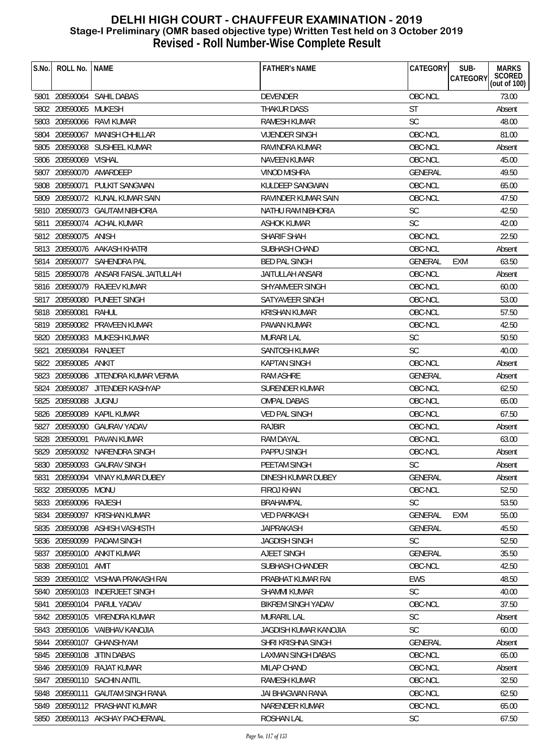| S.No. | ROLL No.   NAME       |                                        | <b>FATHER'S NAME</b>       | CATEGORY       | SUB-<br>CATEGORY | <b>MARKS</b><br>SCORED<br>(out of 100) |
|-------|-----------------------|----------------------------------------|----------------------------|----------------|------------------|----------------------------------------|
|       |                       | 5801 208590064 SAHIL DABAS             | <b>DEVENDER</b>            | OBC-NCL        |                  | 73.00                                  |
|       | 5802 208590065 MUKESH |                                        | <b>THAKUR DASS</b>         | ST             |                  | Absent                                 |
|       |                       | 5803 208590066 RAVI KUMAR              | RAMESH KUMAR               | <b>SC</b>      |                  | 48.00                                  |
|       |                       | 5804 208590067 MANISH CHHILLAR         | <b>VIJENDER SINGH</b>      | OBC-NCL        |                  | 81.00                                  |
|       |                       | 5805 208590068 SUSHEEL KUMAR           | RAVINDRA KUMAR             | OBC-NCL        |                  | Absent                                 |
|       | 5806 208590069 VISHAL |                                        | <b>NAVEEN KUMAR</b>        | OBC-NCL        |                  | 45.00                                  |
|       |                       | 5807 208590070 AMARDEEP                | VINOD MISHRA               | <b>GENERAL</b> |                  | 49.50                                  |
|       |                       | 5808 208590071 PULKIT SANGWAN          | KULDEEP SANGWAN            | OBC-NCL        |                  | 65.00                                  |
|       |                       | 5809 208590072 KUNAL KUMAR SAIN        | <b>RAVINDER KUMAR SAIN</b> | OBC-NCL        |                  | 47.50                                  |
|       |                       | 5810 208590073 GAUTAM NIBHORIA         | NATHU RAM NIBHORIA         | <b>SC</b>      |                  | 42.50                                  |
|       |                       | 5811 208590074 ACHAL KUMAR             | ASHOK KUMAR                | <b>SC</b>      |                  | 42.00                                  |
|       | 5812 208590075 ANISH  |                                        | SHARIF SHAH                | OBC-NCL        |                  | 22.50                                  |
|       |                       | 5813 208590076 AAKASH KHATRI           | SUBHASH CHAND              | OBC-NCL        |                  | Absent                                 |
|       |                       | 5814 208590077 SAHENDRA PAL            | <b>BED PAL SINGH</b>       | <b>GENERAL</b> | <b>EXM</b>       | 63.50                                  |
|       |                       | 5815 208590078 ANSARI FAISAL JAITULLAH | JAITULLAH ANSARI           | OBC-NCL        |                  | Absent                                 |
|       |                       | 5816 208590079 RAJEEV KUMAR            | SHYAMVEER SINGH            | OBC-NCL        |                  | 60.00                                  |
|       |                       | 5817 208590080 PUNEET SINGH            | SATYAVEER SINGH            | OBC-NCL        |                  | 53.00                                  |
|       | 5818 208590081        | RAHUL                                  | KRISHAN KUMAR              | OBC-NCL        |                  | 57.50                                  |
|       |                       | 5819 208590082 PRAVEEN KUMAR           | PAWAN KUMAR                | OBC-NCL        |                  | 42.50                                  |
|       |                       | 5820 208590083 MUKESH KUMAR            | <b>MURARI LAL</b>          | <b>SC</b>      |                  | 50.50                                  |
| 5821  | 208590084 RANJEET     |                                        | SANTOSH KUMAR              | <b>SC</b>      |                  | 40.00                                  |
|       | 5822 208590085        | ANKIT                                  | <b>KAPTAN SINGH</b>        | OBC-NCL        |                  | Absent                                 |
|       |                       | 5823 208590086 JITENDRA KUMAR VERMA    | <b>RAM ASHRE</b>           | GENERAL        |                  | Absent                                 |
|       |                       | 5824 208590087 JITENDER KASHYAP        | <b>SURENDER KUMAR</b>      | OBC-NCL        |                  | 62.50                                  |
|       | 5825 208590088 JUGNU  |                                        | <b>OMPAL DABAS</b>         | OBC-NCL        |                  | 65.00                                  |
|       |                       | 5826 208590089 KAPIL KUMAR             | <b>VED PAL SINGH</b>       | OBC-NCL        |                  | 67.50                                  |
|       | 5827 208590090        | <b>GAURAV YADAV</b>                    | RAJBIR                     | OBC-NCL        |                  | Absent                                 |
|       | 5828 208590091        | PAVAN KUMAR                            | RAM DAYAL                  | OBC-NCL        |                  | 63.00                                  |
|       |                       | 5829 208590092 NARENDRA SINGH          | PAPPU SINGH                | OBC-NCL        |                  | Absent                                 |
|       |                       | 5830 208590093 GAURAV SINGH            | PEETAM SINGH               | SC             |                  | Absent                                 |
| 5831  |                       | 208590094 VINAY KUMAR DUBEY            | DINESH KUMAR DUBEY         | <b>GENERAL</b> |                  | Absent                                 |
|       | 5832 208590095 MONU   |                                        | FIROJ KHAN                 | OBC-NCL        |                  | 52.50                                  |
|       | 5833 208590096 RAJESH |                                        | <b>BRAHAMPAL</b>           | <b>SC</b>      |                  | 53.50                                  |
|       | 5834 208590097        | <b>KRISHAN KUMAR</b>                   | <b>VED PARKASH</b>         | GENERAL        | <b>EXM</b>       | 55.00                                  |
|       | 5835 208590098        | ASHISH VASHISTH                        | <b>JAIPRAKASH</b>          | <b>GENERAL</b> |                  | 45.50                                  |
| 5836  | 208590099             | PADAM SINGH                            | <b>JAGDISH SINGH</b>       | <b>SC</b>      |                  | 52.50                                  |
|       |                       | 5837 208590100 ANKIT KUMAR             | <b>AJEET SINGH</b>         | GENERAL        |                  | 35.50                                  |
|       | 5838 208590101        | AMIT                                   | SUBHASH CHANDER            | OBC-NCL        |                  | 42.50                                  |
| 5839  |                       | 208590102 VISHWA PRAKASH RAI           | PRABHAT KUMAR RAI          | <b>EWS</b>     |                  | 48.50                                  |
| 5840  |                       | 208590103 INDERJEET SINGH              | SHAMMI KUMAR               | <b>SC</b>      |                  | 40.00                                  |
| 5841  |                       | 208590104 PARUL YADAV                  | BIKREM SINGH YADAV         | OBC-NCL        |                  | 37.50                                  |
|       |                       | 5842 208590105 VIRENDRA KUMAR          | <b>MURARIL LAL</b>         | <b>SC</b>      |                  | Absent                                 |
|       |                       | 5843 208590106 VAIBHAV KANOJIA         | JAGDISH KUMAR KANOJIA      | <b>SC</b>      |                  | 60.00                                  |
|       |                       | 5844 208590107 GHANSHYAM               | SHRI KRISHNA SINGH         | GENERAL        |                  | Absent                                 |
|       | 5845 208590108        | <b>JITIN DABAS</b>                     | LAXMAN SINGH DABAS         | OBC-NCL        |                  | 65.00                                  |
| 5846  |                       | 208590109 RAJAT KUMAR                  | MILAP CHAND                | OBC-NCL        |                  | Absent                                 |
| 5847  | 208590110             | SACHIN ANTIL                           | <b>RAMESH KUMAR</b>        | OBC-NCL        |                  | 32.50                                  |
|       | 5848 208590111        | <b>GAUTAM SINGH RANA</b>               | JAI BHAGWAN RANA           | OBC-NCL        |                  | 62.50                                  |
|       |                       | 5849 208590112 PRASHANT KUMAR          | NARENDER KUMAR             | OBC-NCL        |                  | 65.00                                  |
|       |                       | 5850 208590113 AKSHAY PACHERWAL        | ROSHAN LAL                 | <b>SC</b>      |                  | 67.50                                  |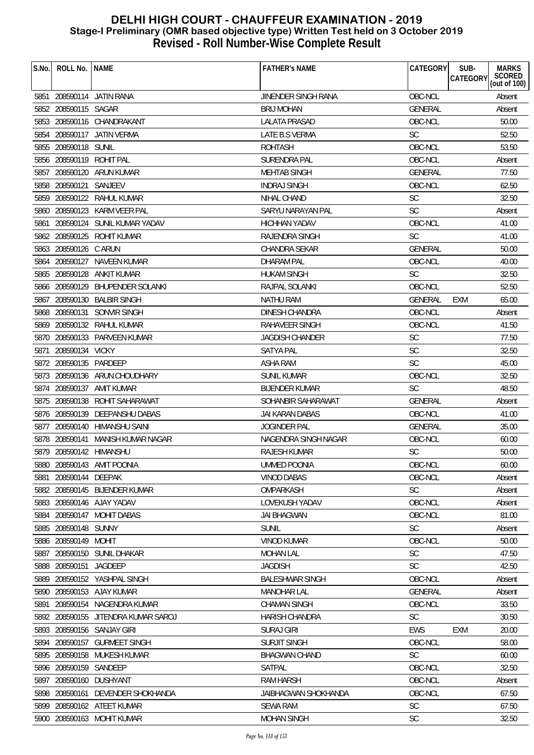| S.No. | ROLL No.   NAME          |                                     | <b>FATHER'S NAME</b>       | CATEGORY       | SUB-       | <b>MARKS</b>           |
|-------|--------------------------|-------------------------------------|----------------------------|----------------|------------|------------------------|
|       |                          |                                     |                            |                | CATEGORY   | SCORED<br>(out of 100) |
|       |                          | 5851 208590114 JATIN RANA           | <b>JINENDER SINGH RANA</b> | OBC-NCL        |            | Absent                 |
|       | 5852 208590115 SAGAR     |                                     | <b>BRIJ MOHAN</b>          | <b>GENERAL</b> |            | Absent                 |
|       |                          | 5853 208590116 CHANDRAKANT          | <b>LALATA PRASAD</b>       | OBC-NCL        |            | 50.00                  |
|       |                          | 5854 208590117 JATIN VERMA          | LATE B.S VERMA             | <b>SC</b>      |            | 52.50                  |
|       | 5855 208590118 SUNIL     |                                     | <b>ROHTASH</b>             | OBC-NCL        |            | 53.50                  |
|       | 5856 208590119 ROHIT PAL |                                     | SURENDRA PAL               | OBC-NCL        |            | Absent                 |
|       |                          | 5857 208590120 ARUN KUMAR           | <b>MEHTAB SINGH</b>        | GENERAL        |            | 77.50                  |
|       | 5858 208590121 SANJEEV   |                                     | <b>INDRAJ SINGH</b>        | OBC-NCL        |            | 62.50                  |
|       |                          | 5859 208590122 RAHUL KUMAR          | NIHAL CHAND                | <b>SC</b>      |            | 32.50                  |
|       |                          | 5860 208590123 KARM VEER PAL        | SARYU NARAYAN PAL          | <b>SC</b>      |            | Absent                 |
|       |                          | 5861 208590124 SUNIL KUMAR YADAV    | <b>HICHHAN YADAV</b>       | OBC-NCL        |            | 41.00                  |
|       |                          | 5862 208590125 ROHIT KUMAR          | <b>RAJENDRA SINGH</b>      | <b>SC</b>      |            | 41.00                  |
|       | 5863 208590126 C ARUN    |                                     | CHANDRA SEKAR              | <b>GENERAL</b> |            | 50.00                  |
|       |                          | 5864 208590127 NAVEEN KUMAR         | <b>DHARAM PAL</b>          | OBC-NCL        |            | 40.00                  |
|       | 5865 208590128           | ANKIT KUMAR                         | <b>HUKAM SINGH</b>         | <b>SC</b>      |            | 32.50                  |
|       |                          | 5866 208590129 BHUPENDER SOLANKI    | <b>RAJPAL SOLANKI</b>      | OBC-NCL        |            | 52.50                  |
|       |                          | 5867 208590130 BALBIR SINGH         | <b>NATHU RAM</b>           | <b>GENERAL</b> | EXM        | 65.00                  |
|       | 5868 208590131           | SONVIR SINGH                        | <b>DINESH CHANDRA</b>      | OBC-NCL        |            | Absent                 |
|       |                          | 5869 208590132 RAHUL KUMAR          | RAHAVEER SINGH             | OBC-NCL        |            | 41.50                  |
|       |                          | 5870 208590133 PARVEEN KUMAR        | <b>JAGDISH CHANDER</b>     | <b>SC</b>      |            | 77.50                  |
| 5871  | 208590134 VICKY          |                                     | <b>SATYA PAL</b>           | <b>SC</b>      |            | 32.50                  |
|       | 5872 208590135 PARDEEP   |                                     | ASHA RAM                   | <b>SC</b>      |            | 45.00                  |
|       |                          | 5873 208590136 ARUN CHOUDHARY       | <b>SUNIL KUMAR</b>         | OBC-NCL        |            | 32.50                  |
|       |                          | 5874 208590137 AMIT KUMAR           | <b>BIJENDER KUMAR</b>      | <b>SC</b>      |            | 48.50                  |
|       |                          | 5875 208590138 ROHIT SAHARAWAT      | SOHANBIR SAHARAWAT         | <b>GENERAL</b> |            | Absent                 |
|       |                          | 5876 208590139 DEEPANSHU DABAS      | JAI KARAN DABAS            | OBC-NCL        |            | 41.00                  |
|       |                          | 5877 208590140 HIMANSHU SAINI       | JOGINDER PAL               | <b>GENERAL</b> |            | 35.00                  |
|       |                          | 5878 208590141 MANISH KUMAR NAGAR   | NAGENDRA SINGH NAGAR       | OBC-NCL        |            | 60.00                  |
|       |                          | 5879 208590142 HIMANSHU             | <b>RAJESH KUMAR</b>        | <b>SC</b>      |            | 50.00                  |
|       |                          | 5880 208590143 AMIT POONIA          | <b>UMMED POONIA</b>        | OBC-NCL        |            | 60.00                  |
| 5881  | 208590144 DEEPAK         |                                     | <b>VINOD DABAS</b>         | OBC-NCL        |            | Absent                 |
|       |                          | 5882 208590145 BIJENDER KUMAR       | OMPARKASH                  | <b>SC</b>      |            | Absent                 |
|       |                          | 5883 208590146 AJAY YADAV           | LOVEKUSH YADAV             | OBC-NCL        |            | Absent                 |
| 5884  | 208590147                | <b>MOHIT DABAS</b>                  | <b>JAI BHAGWAN</b>         | OBC-NCL        |            | 81.00                  |
|       | 5885 208590148 SUNNY     |                                     | <b>SUNIL</b>               | <b>SC</b>      |            | Absent                 |
|       | 5886 208590149 MOHIT     |                                     | <b>VINOD KUMAR</b>         | OBC-NCL        |            | 50.00                  |
| 5887  |                          | 208590150 SUNIL DHAKAR              | <b>MOHAN LAL</b>           | <b>SC</b>      |            | 47.50                  |
|       | 5888 208590151 JAGDEEP   |                                     | <b>JAGDISH</b>             | <b>SC</b>      |            | 42.50                  |
|       |                          | 5889 208590152 YASHPAL SINGH        | <b>BALESHWAR SINGH</b>     | OBC-NCL        |            | Absent                 |
|       |                          | 5890 208590153 AJAY KUMAR           | <b>MANOHAR LAL</b>         | <b>GENERAL</b> |            | Absent                 |
| 5891  |                          | 208590154 NAGENDRA KUMAR            | <b>CHAMAN SINGH</b>        | OBC-NCL        |            | 33.50                  |
|       |                          | 5892 208590155 JITENDRA KUMAR SAROJ | HARISH CHANDRA             | <b>SC</b>      |            | 30.50                  |
|       |                          | 5893 208590156 SANJAY GIRI          | <b>SURAJ GIRI</b>          | <b>EWS</b>     | <b>EXM</b> | 20.00                  |
|       |                          | 5894 208590157 GURMEET SINGH        | <b>SURJIT SINGH</b>        | OBC-NCL        |            | 58.00                  |
|       |                          | 5895 208590158 MUKESH KUMAR         | <b>BHAGWAN CHAND</b>       | <b>SC</b>      |            | 60.00                  |
|       | 5896 208590159 SANDEEP   |                                     | SATPAL                     | OBC-NCL        |            | 32.50                  |
|       |                          | 5897 208590160 DUSHYANT             | <b>RAM HARSH</b>           | OBC-NCL        |            | Absent                 |
| 5898  |                          | 208590161 DEVENDER SHOKHANDA        | JAIBHAGWAN SHOKHANDA       | OBC-NCL        |            | 67.50                  |
|       |                          | 5899 208590162 ATEET KUMAR          | <b>SEWA RAM</b>            | <b>SC</b>      |            | 67.50                  |
|       |                          | 5900 208590163 MOHIT KUMAR          | <b>MOHAN SINGH</b>         | SC             |            | 32.50                  |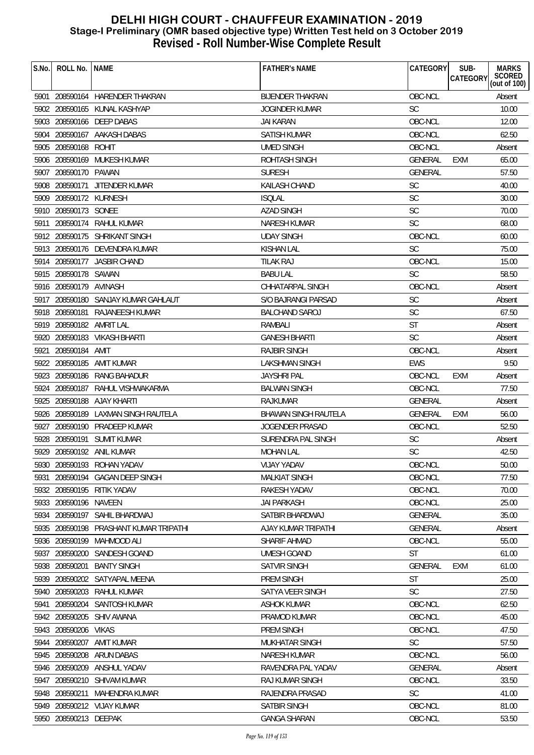| S.No. | ROLL No.                 | <b>NAME</b>                            | <b>FATHER'S NAME</b>        | <b>CATEGORY</b> | SUB-<br><b>CATEGORY</b> | <b>MARKS</b>           |
|-------|--------------------------|----------------------------------------|-----------------------------|-----------------|-------------------------|------------------------|
|       |                          |                                        |                             |                 |                         | SCORED<br>(out of 100) |
|       |                          | 5901 208590164 HARENDER THAKRAN        | <b>BIJENDER THAKRAN</b>     | OBC-NCL         |                         | Absent                 |
|       |                          | 5902 208590165 KUNAL KASHYAP           | <b>JOGINDER KUMAR</b>       | <b>SC</b>       |                         | 10.00                  |
|       |                          | 5903 208590166 DEEP DABAS              | JAI KARAN                   | OBC-NCL         |                         | 12.00                  |
|       |                          | 5904 208590167 AAKASH DABAS            | <b>SATISH KUMAR</b>         | OBC-NCL         |                         | 62.50                  |
|       | 5905 208590168           | ROHIT                                  | <b>UMED SINGH</b>           | OBC-NCL         |                         | Absent                 |
|       |                          | 5906 208590169 MUKESH KUMAR            | ROHTASH SINGH               | <b>GENERAL</b>  | EXM                     | 65.00                  |
|       | 5907 208590170 PAWAN     |                                        | <b>SURESH</b>               | <b>GENERAL</b>  |                         | 57.50                  |
|       |                          | 5908 208590171 JITENDER KUMAR          | KAILASH CHAND               | SC              |                         | 40.00                  |
|       | 5909 208590172 KURNESH   |                                        | <b>ISQLAL</b>               | <b>SC</b>       |                         | 30.00                  |
|       | 5910 208590173 SONEE     |                                        | <b>AZAD SINGH</b>           | <b>SC</b>       |                         | 70.00                  |
| 5911  |                          | 208590174 RAHUL KUMAR                  | <b>NARESH KUMAR</b>         | <b>SC</b>       |                         | 68.00                  |
|       |                          | 5912 208590175 SHRIKANT SINGH          | <b>UDAY SINGH</b>           | OBC-NCL         |                         | 60.00                  |
|       |                          | 5913 208590176 DEVENDRA KUMAR          | KISHAN LAL                  | <b>SC</b>       |                         | 75.00                  |
|       |                          | 5914 208590177 JASBIR CHAND            | <b>TILAK RAJ</b>            | OBC-NCL         |                         | 15.00                  |
|       | 5915 208590178 SAWAN     |                                        | <b>BABU LAL</b>             | <b>SC</b>       |                         | 58.50                  |
|       | 5916 208590179 AVINASH   |                                        | CHHATARPAL SINGH            | OBC-NCL         |                         | Absent                 |
|       |                          | 5917 208590180 SANJAY KUMAR GAHLAUT    | S/O BAJRANGI PARSAD         | <b>SC</b>       |                         | Absent                 |
|       |                          | 5918 208590181 RAJANEESH KUMAR         | <b>BALCHAND SAROJ</b>       | <b>SC</b>       |                         | 67.50                  |
|       | 5919 208590182 AMRIT LAL |                                        | RAMBALI                     | <b>ST</b>       |                         | Absent                 |
|       |                          | 5920 208590183 VIKASH BHARTI           | <b>GANESH BHARTI</b>        | <b>SC</b>       |                         | Absent                 |
| 5921  | 208590184 AMIT           |                                        | <b>RAJBIR SINGH</b>         | OBC-NCL         |                         | Absent                 |
|       |                          | 5922 208590185 AMIT KUMAR              | LAKSHMAN SINGH              | <b>EWS</b>      |                         | 9.50                   |
|       |                          | 5923 208590186 RANG BAHADUR            | <b>JAYSHRI PAL</b>          | OBC-NCL         | EXM                     | Absent                 |
|       |                          | 5924 208590187 RAHUL VISHWAKARMA       | <b>BALWAN SINGH</b>         | OBC-NCL         |                         | 77.50                  |
|       |                          | 5925 208590188 AJAY KHARTI             | <b>RAJKUMAR</b>             | <b>GENERAL</b>  |                         | Absent                 |
|       |                          | 5926 208590189 LAXMAN SINGH RAUTELA    | <b>BHAWAN SINGH RAUTELA</b> | GENERAL         | <b>EXM</b>              | 56.00                  |
|       |                          | 5927 208590190 PRADEEP KUMAR           | <b>JOGENDER PRASAD</b>      | OBC-NCL         |                         | 52.50                  |
| 5928  |                          | 208590191 SUMIT KUMAR                  | SURENDRA PAL SINGH          | <b>SC</b>       |                         | Absent                 |
|       |                          | 5929 208590192 ANIL KUMAR              | <b>MOHAN LAL</b>            | <b>SC</b>       |                         | 42.50                  |
|       |                          | 5930 208590193 ROHAN YADAV             | VIJAY YADAV                 | OBC-NCL         |                         | 50.00                  |
|       |                          | 5931 208590194 GAGAN DEEP SINGH        | <b>MALKIAT SINGH</b>        | OBC-NCL         |                         | 77.50                  |
|       |                          | 5932 208590195 RITIK YADAV             | RAKESH YADAV                | OBC-NCL         |                         | 70.00                  |
|       | 5933 208590196 NAVEEN    |                                        | <b>JAI PARKASH</b>          | OBC-NCL         |                         | 25.00                  |
|       |                          | 5934 208590197 SAHIL BHARDWAJ          | SATBIR BHARDWAJ             | <b>GENERAL</b>  |                         | 35.00                  |
|       |                          | 5935 208590198 PRASHANT KUMAR TRIPATHI | AJAY KUMAR TRIPATHI         | <b>GENERAL</b>  |                         | Absent                 |
|       | 5936 208590199           | MAHMOOD ALI                            | SHARIF AHMAD                | OBC-NCL         |                         | 55.00                  |
|       |                          | 5937 208590200 SANDESH GOAND           | <b>UMESH GOAND</b>          | <b>ST</b>       |                         | 61.00                  |
|       | 5938 208590201           | <b>BANTY SINGH</b>                     | <b>SATVIR SINGH</b>         | <b>GENERAL</b>  | <b>EXM</b>              | 61.00                  |
|       |                          | 5939 208590202 SATYAPAL MEENA          | <b>PREM SINGH</b>           | <b>ST</b>       |                         | 25.00                  |
|       |                          | 5940 208590203 RAHUL KUMAR             | SATYA VEER SINGH            | <b>SC</b>       |                         | 27.50                  |
| 5941  | 208590204                | SANTOSH KUMAR                          | <b>ASHOK KUMAR</b>          | OBC-NCL         |                         | 62.50                  |
|       | 5942 208590205           | SHIV AWANA                             | PRAMOD KUMAR                | OBC-NCL         |                         | 45.00                  |
|       | 5943 208590206           | <b>VIKAS</b>                           | PREM SINGH                  | OBC-NCL         |                         | 47.50                  |
|       | 5944 208590207           | AMIT KUMAR                             | <b>MUKHATAR SINGH</b>       | <b>SC</b>       |                         | 57.50                  |
|       | 5945 208590208           | <b>ARUN DABAS</b>                      | NARESH KUMAR                | OBC-NCL         |                         | 56.00                  |
|       | 5946 208590209           | ANSHUL YADAV                           | RAVENDRA PAL YADAV          | <b>GENERAL</b>  |                         | Absent                 |
| 5947  | 208590210                | SHIVAM KUMAR                           | <b>RAJ KUMAR SINGH</b>      | OBC-NCL         |                         | 33.50                  |
|       | 5948 208590211           | MAHENDRA KUMAR                         | RAJENDRA PRASAD             | <b>SC</b>       |                         | 41.00                  |
|       |                          | 5949 208590212 VIJAY KUMAR             | SATBIR SINGH                | OBC-NCL         |                         | 81.00                  |
|       | 5950 208590213 DEEPAK    |                                        | <b>GANGA SHARAN</b>         | OBC-NCL         |                         | 53.50                  |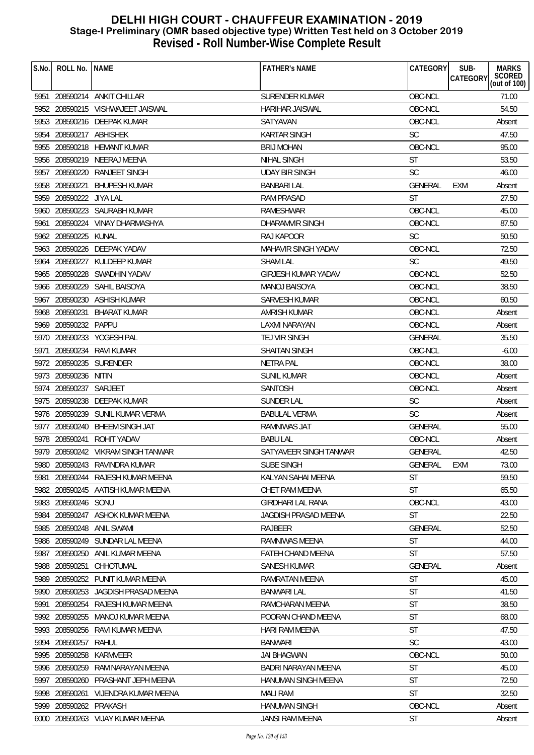| S.No. | ROLL No.                | <b>NAME</b>                         | <b>FATHER'S NAME</b>       | CATEGORY       | SUB-<br><b>MARKS</b><br>SCORED<br>(out of 100)<br>CATEGORY |
|-------|-------------------------|-------------------------------------|----------------------------|----------------|------------------------------------------------------------|
|       |                         | 5951 208590214 ANKIT CHILLAR        | SURENDER KUMAR             | OBC-NCL        | 71.00                                                      |
|       |                         | 5952 208590215 VISHWAJEET JAISWAL   | HARIHAR JAISWAL            | OBC-NCL        | 54.50                                                      |
|       |                         | 5953 208590216 DEEPAK KUMAR         | SATYAVAN                   | OBC-NCL        | Absent                                                     |
|       | 5954 208590217 ABHISHEK |                                     | <b>KARTAR SINGH</b>        | <b>SC</b>      | 47.50                                                      |
|       |                         | 5955 208590218 HEMANT KUMAR         | <b>BRIJ MOHAN</b>          | OBC-NCL        | 95.00                                                      |
|       |                         | 5956 208590219 NEERAJ MEENA         | NIHAL SINGH                | <b>ST</b>      | 53.50                                                      |
|       |                         | 5957 208590220 RANJEET SINGH        | <b>UDAY BIR SINGH</b>      | <b>SC</b>      | 46.00                                                      |
|       |                         | 5958 208590221 BHUPESH KUMAR        | <b>BANBARI LAL</b>         | GENERAL        | <b>EXM</b><br>Absent                                       |
|       | 5959 208590222 JIYA LAL |                                     | <b>RAM PRASAD</b>          | ST             | 27.50                                                      |
|       |                         | 5960 208590223 SAURABH KUMAR        | RAMESHWAR                  | OBC-NCL        | 45.00                                                      |
|       |                         | 5961 208590224 VINAY DHARMASHYA     | DHARAMVIR SINGH            | OBC-NCL        | 87.50                                                      |
|       | 5962 208590225          | KUNAL                               | RAJ KAPOOR                 | <b>SC</b>      | 50.50                                                      |
|       |                         | 5963 208590226 DEEPAK YADAV         | MAHAVIR SINGH YADAV        | OBC-NCL        | 72.50                                                      |
|       |                         | 5964 208590227 KULDEEP KUMAR        | <b>SHAM LAL</b>            | <b>SC</b>      | 49.50                                                      |
|       |                         | 5965 208590228 SWADHIN YADAV        | <b>GIRJESH KUMAR YADAV</b> | OBC-NCL        | 52.50                                                      |
|       | 5966 208590229          | SAHIL BAISOYA                       | <b>MANOJ BAISOYA</b>       | OBC-NCL        | 38.50                                                      |
|       |                         | 5967 208590230 ASHISH KUMAR         | <b>SARVESH KUMAR</b>       | OBC-NCL        | 60.50                                                      |
|       |                         | 5968 208590231 BHARAT KUMAR         | AMRISH KUMAR               | OBC-NCL        | Absent                                                     |
|       | 5969 208590232 PAPPU    |                                     | LAXMI NARAYAN              | OBC-NCL        | Absent                                                     |
|       |                         | 5970 208590233 YOGESH PAL           | TEJ VIR SINGH              | <b>GENERAL</b> | 35.50                                                      |
| 5971  |                         | 208590234 RAVI KUMAR                | <b>SHAITAN SINGH</b>       | OBC-NCL        | $-6.00$                                                    |
|       |                         | 5972 208590235 SURENDER             | NETRA PAL                  | OBC-NCL        | 38.00                                                      |
|       | 5973 208590236 NITIN    |                                     | <b>SUNIL KUMAR</b>         | OBC-NCL        | Absent                                                     |
|       | 5974 208590237 SARJEET  |                                     | SANTOSH                    | OBC-NCL        | Absent                                                     |
|       |                         | 5975 208590238 DEEPAK KUMAR         | SUNDER LAL                 | <b>SC</b>      | Absent                                                     |
|       |                         | 5976 208590239 SUNIL KUMAR VERMA    | <b>BABULAL VERMA</b>       | <b>SC</b>      | Absent                                                     |
|       |                         | 5977 208590240 BHEEM SINGH JAT      | RAMNIWAS JAT               | GENERAL        | 55.00                                                      |
|       | 5978 208590241          | ROHIT YADAV                         | <b>BABU LAL</b>            | OBC-NCL        | Absent                                                     |
|       |                         | 5979 208590242 VIKRAM SINGH TANWAR  | SATYAVEER SINGH TANWAR     | GENERAL        | 42.50                                                      |
|       |                         | 5980 208590243 RAVINDRA KUMAR       | SUBE SINGH                 | GENERAL        | EXM<br>73.00                                               |
|       |                         | 5981 208590244 RAJESH KUMAR MEENA   | KALYAN SAHAI MEENA         | ST             | 59.50                                                      |
|       |                         | 5982 208590245 AATISH KUMAR MEENA   | CHET RAM MEENA             | <b>ST</b>      | 65.50                                                      |
|       | 5983 208590246 SONU     |                                     | <b>GIRDHARI LAL RANA</b>   | OBC-NCL        | 43.00                                                      |
|       |                         | 5984 208590247 ASHOK KUMAR MEENA    | JAGDISH PRASAD MEENA       | <b>ST</b>      | 22.50                                                      |
|       |                         | 5985 208590248 ANIL SWAMI           | RAJBEER                    | <b>GENERAL</b> | 52.50                                                      |
|       |                         | 5986 208590249 SUNDAR LAL MEENA     | RAMNIWAS MEENA             | <b>ST</b>      | 44.00                                                      |
|       |                         | 5987 208590250 ANIL KUMAR MEENA     | <b>FATEH CHAND MEENA</b>   | <b>ST</b>      | 57.50                                                      |
|       | 5988 208590251          | CHHOTUMAL                           | <b>SANESH KUMAR</b>        | GENERAL        | Absent                                                     |
| 5989  |                         | 208590252 PUNIT KUMAR MEENA         | RAMRATAN MEENA             | <b>ST</b>      | 45.00                                                      |
|       |                         | 5990 208590253 JAGDISH PRASAD MEENA | <b>BANWARI LAL</b>         | <b>ST</b>      | 41.50                                                      |
| 5991  |                         | 208590254 RAJESH KUMAR MEENA        | RAMCHARAN MEENA            | <b>ST</b>      | 38.50                                                      |
|       |                         | 5992 208590255 MANOJ KUMAR MEENA    | POORAN CHAND MEENA         | <b>ST</b>      | 68.00                                                      |
|       |                         | 5993 208590256 RAVI KUMAR MEENA     | <b>HARI RAM MEENA</b>      | <b>ST</b>      | 47.50                                                      |
|       | 5994 208590257          | RAHUL                               | <b>BANWARI</b>             | <b>SC</b>      | 43.00                                                      |
|       | 5995 208590258          | KARMVEER                            | <b>JAI BHAGWAN</b>         | OBC-NCL        | 50.00                                                      |
| 5996  |                         | 208590259 RAM NARAYAN MEENA         | BADRI NARAYAN MEENA        | ST             | 45.00                                                      |
| 5997  | 208590260               | PRASHANT JEPH MEENA                 | HANUMAN SINGH MEENA        | <b>ST</b>      | 72.50                                                      |
|       |                         | 5998 208590261 VIJENDRA KUMAR MEENA | <b>MALI RAM</b>            | <b>ST</b>      | 32.50                                                      |
|       | 5999 208590262 PRAKASH  |                                     | <b>HANUMAN SINGH</b>       | OBC-NCL        | Absent                                                     |
|       |                         | 6000 208590263 VIJAY KUMAR MEENA    | JANSI RAM MEENA            | <b>ST</b>      | Absent                                                     |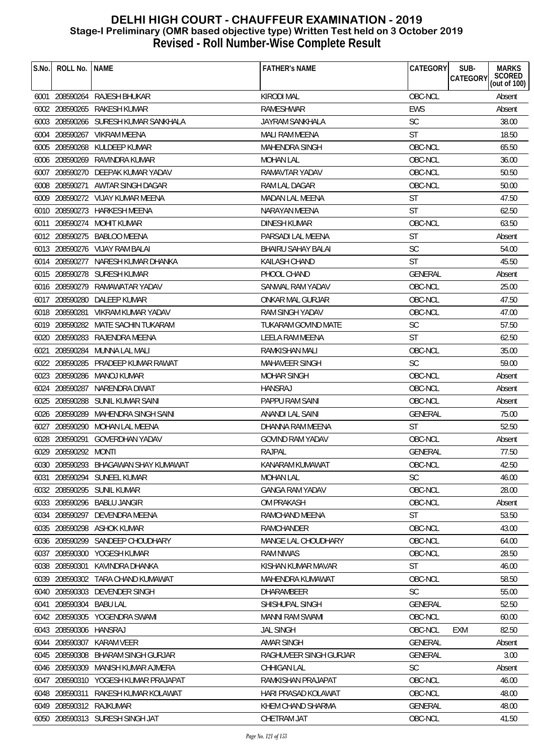| S.No. | ROLL No.               | <b>NAME</b>                          | <b>FATHER'S NAME</b>      | CATEGORY       | <b>MARKS</b><br>SUB-<br>SCORED<br>(out of 100)<br>CATEGORY |
|-------|------------------------|--------------------------------------|---------------------------|----------------|------------------------------------------------------------|
|       |                        | 6001 208590264 RAJESH BHUKAR         | <b>KIRODI MAL</b>         | OBC-NCL        | Absent                                                     |
|       | 6002 208590265         | RAKESH KUMAR                         | <b>RAMESHWAR</b>          | EWS            | Absent                                                     |
|       |                        | 6003 208590266 SURESH KUMAR SANKHALA | <b>JAYRAM SANKHALA</b>    | <b>SC</b>      | 38.00                                                      |
| 6004  |                        | 208590267 VIKRAM MEENA               | MALI RAM MEENA            | ST             | 18.50                                                      |
|       |                        | 6005 208590268 KULDEEP KUMAR         | MAHENDRA SINGH            | OBC-NCL        | 65.50                                                      |
|       | 6006 208590269         | RAVINDRA KUMAR                       | <b>MOHAN LAL</b>          | OBC-NCL        | 36.00                                                      |
| 6007  |                        | 208590270 DEEPAK KUMAR YADAV         | RAMAVTAR YADAV            | OBC-NCL        | 50.50                                                      |
|       |                        | 6008 208590271 AWTAR SINGH DAGAR     | RAM LAL DAGAR             | OBC-NCL        | 50.00                                                      |
|       |                        | 6009 208590272 VIJAY KUMAR MEENA     | <b>MADAN LAL MEENA</b>    | <b>ST</b>      | 47.50                                                      |
|       |                        | 6010 208590273 HARKESH MEENA         | NARAYAN MEENA             | ST             | 62.50                                                      |
| 6011  | 208590274              | MOHIT KUMAR                          | DINESH KUMAR              | OBC-NCL        | 63.50                                                      |
|       |                        | 6012 208590275 BABLOO MEENA          | PARSADI LAL MEENA         | <b>ST</b>      | Absent                                                     |
|       |                        | 6013 208590276 VIJAY RAM BALAI       | <b>BHAIRU SAHAY BALAI</b> | <b>SC</b>      | 54.00                                                      |
|       |                        | 6014 208590277 NARESH KUMAR DHANKA   | KAILASH CHAND             | <b>ST</b>      | 45.50                                                      |
|       |                        | 6015 208590278 SURESH KUMAR          | PHOOL CHAND               | <b>GENERAL</b> | Absent                                                     |
|       | 6016 208590279         | RAMAWATAR YADAV                      | SANWAL RAM YADAV          | OBC-NCL        | 25.00                                                      |
|       |                        | 6017 208590280 DALEEP KUMAR          | ONKAR MAL GURJAR          | OBC-NCL        | 47.50                                                      |
|       | 6018 208590281         | VIKRAM KUMAR YADAV                   | RAM SINGH YADAV           | OBC-NCL        | 47.00                                                      |
|       |                        | 6019 208590282 MATE SACHIN TUKARAM   | TUKARAM GOVIND MATE       | <b>SC</b>      | 57.50                                                      |
|       |                        | 6020 208590283 RAJENDRA MEENA        | LEELA RAM MEENA           | ST             | 62.50                                                      |
| 6021  |                        | 208590284 MUNNA LAL MALI             | <b>RAMKISHAN MALI</b>     | OBC-NCL        | 35.00                                                      |
|       | 6022 208590285         | PRADEEP KUMAR RAWAT                  | <b>MAHAVEER SINGH</b>     | <b>SC</b>      | 59.00                                                      |
|       |                        | 6023 208590286 MANOJ KUMAR           | <b>MOHAR SINGH</b>        | OBC-NCL        | Absent                                                     |
|       | 6024 208590287         | NARENDRA DIWAT                       | <b>HANSRAJ</b>            | OBC-NCL        | Absent                                                     |
|       |                        | 6025 208590288 SUNIL KUMAR SAINI     | PAPPU RAM SAINI           | OBC-NCL        | Absent                                                     |
|       |                        | 6026 208590289 MAHENDRA SINGH SAINI  | <b>ANANDI LAL SAINI</b>   | GENERAL        | 75.00                                                      |
|       | 6027 208590290         | MOHAN LAL MEENA                      | DHANNA RAM MEENA          | ST             | 52.50                                                      |
|       | 6028 208590291         | <b>GOVERDHAN YADAV</b>               | <b>GOVIND RAM YADAV</b>   | OBC-NCL        | Absent                                                     |
|       | 6029 208590292 MONTI   |                                      | <b>RAJPAL</b>             | <b>GENERAL</b> | 77.50                                                      |
|       |                        | 6030 208590293 BHAGAWAN SHAY KUMAWAT | KANARAM KUMAWAT           | OBC-NCL        | 42.50                                                      |
| 6031  |                        | 208590294 SUNEEL KUMAR               | <b>MOHAN LAL</b>          | SC.            | 46.00                                                      |
|       |                        | 6032 208590295 SUNIL KUMAR           | <b>GANGA RAM YADAV</b>    | OBC-NCL        | 28.00                                                      |
|       |                        | 6033 208590296 BABLU JANGIR          | <b>OM PRAKASH</b>         | OBC-NCL        | Absent                                                     |
|       | 6034 208590297         | DEVENDRA MEENA                       | RAMCHAND MEENA            | <b>ST</b>      | 53.50                                                      |
|       | 6035 208590298         | ASHOK KUMAR                          | RAMCHANDER                | OBC-NCL        | 43.00                                                      |
|       | 6036 208590299         | SANDEEP CHOUDHARY                    | MANGE LAL CHOUDHARY       | OBC-NCL        | 64.00                                                      |
|       |                        | 6037 208590300 YOGESH KUMAR          | <b>RAM NIWAS</b>          | OBC-NCL        | 28.50                                                      |
|       | 6038 208590301         | KAVINDRA DHANKA                      | KISHAN KUMAR MAVAR        | ST             | 46.00                                                      |
| 6039  | 208590302              | TARA CHAND KUMAWAT                   | MAHENDRA KUMAWAT          | OBC-NCL        | 58.50                                                      |
| 6040  |                        | 208590303 DEVENDER SINGH             | <b>DHARAMBEER</b>         | <b>SC</b>      | 55.00                                                      |
| 6041  | 208590304              | <b>BABU LAL</b>                      | SHISHUPAL SINGH           | <b>GENERAL</b> | 52.50                                                      |
|       | 6042 208590305         | YOGENDRA SWAMI                       | <b>MANNI RAM SWAMI</b>    | OBC-NCL        | 60.00                                                      |
|       | 6043 208590306 HANSRAJ |                                      | <b>JAL SINGH</b>          | OBC-NCL        | 82.50<br><b>EXM</b>                                        |
|       | 6044 208590307         | KARAM VEER                           | <b>AMAR SINGH</b>         | <b>GENERAL</b> | Absent                                                     |
|       | 6045 208590308         | <b>BHARAM SINGH GURJAR</b>           | RAGHUVEER SINGH GURJAR    | <b>GENERAL</b> | 3.00                                                       |
|       | 6046 208590309         | MANISH KUMAR AJMERA                  | CHHIGAN LAL               | <b>SC</b>      | Absent                                                     |
| 6047  | 208590310              | YOGESH KUMAR PRAJAPAT                | RAMKISHAN PRAJAPAT        | OBC-NCL        | 46.00                                                      |
|       | 6048 208590311         | RAKESH KUMAR KOLAWAT                 | HARI PRASAD KOLAWAT       | OBC-NCL        | 48.00                                                      |
|       |                        | 6049 208590312 RAJKUMAR              | KHEM CHAND SHARMA         | GENERAL        | 48.00                                                      |
|       |                        | 6050 208590313 SURESH SINGH JAT      | CHETRAM JAT               | OBC-NCL        | 41.50                                                      |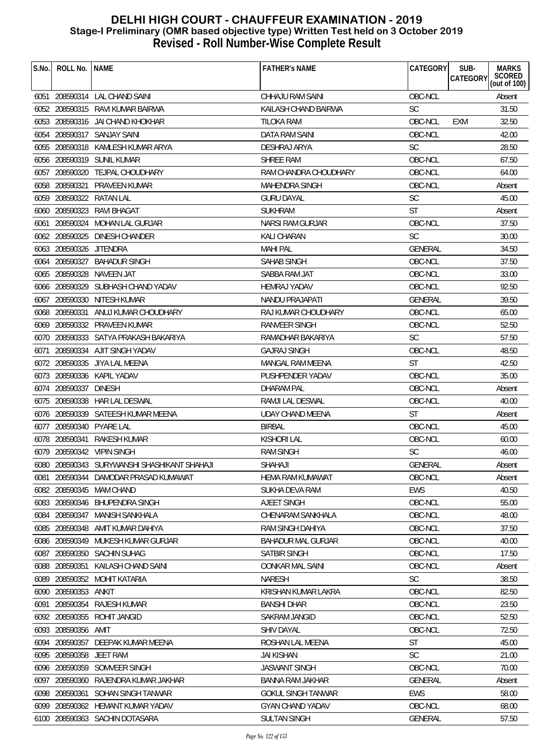| S.No. | ROLL No.                | <b>NAME</b>                             | <b>FATHER'S NAME</b>      | CATEGORY       | SUB-<br>CATEGORY | <b>MARKS</b><br>SCORED<br>(out of 100) |
|-------|-------------------------|-----------------------------------------|---------------------------|----------------|------------------|----------------------------------------|
|       |                         |                                         |                           |                |                  |                                        |
|       |                         | 6051 208590314 LAL CHAND SAINI          | CHHAJU RAM SAINI          | OBC-NCL        |                  | Absent                                 |
|       |                         | 6052 208590315 RAVI KUMAR BAIRWA        | KAILASH CHAND BAIRWA      | <b>SC</b>      |                  | 31.50                                  |
|       |                         | 6053 208590316 JAI CHAND KHOKHAR        | TILOKA RAM                | OBC-NCL        | <b>EXM</b>       | 32.50                                  |
|       |                         | 6054 208590317 SANJAY SAINI             | DATA RAM SAINI            | OBC-NCL        |                  | 42.00                                  |
|       |                         | 6055 208590318 KAMLESH KUMAR ARYA       | DESHRAJ ARYA              | <b>SC</b>      |                  | 28.50                                  |
|       |                         | 6056 208590319 SUNIL KUMAR              | <b>SHREE RAM</b>          | OBC-NCL        |                  | 67.50                                  |
|       |                         | 6057 208590320 TEJPAL CHOUDHARY         | RAM CHANDRA CHOUDHARY     | OBC-NCL        |                  | 64.00                                  |
|       |                         | 6058 208590321 PRAVEEN KUMAR            | MAHENDRA SINGH            | OBC-NCL        |                  | Absent                                 |
|       |                         | 6059 208590322 RATAN LAL                | <b>GURU DAYAL</b>         | <b>SC</b>      |                  | 45.00                                  |
|       |                         | 6060 208590323 RAVI BHAGAT              | <b>SUKHRAM</b>            | <b>ST</b>      |                  | Absent                                 |
|       |                         | 6061 208590324 MOHAN LAL GURJAR         | NARSI RAM GURJAR          | OBC-NCL        |                  | 37.50                                  |
|       |                         | 6062 208590325 DINESH CHANDER           | KALI CHARAN               | <b>SC</b>      |                  | 30.00                                  |
|       | 6063 208590326 JITENDRA |                                         | <b>MAHI PAL</b>           | <b>GENERAL</b> |                  | 34.50                                  |
|       |                         | 6064 208590327 BAHADUR SINGH            | SAHAB SINGH               | OBC-NCL        |                  | 37.50                                  |
|       |                         | 6065 208590328 NAVEEN JAT               | SABBA RAM JAT             | OBC-NCL        |                  | 33.00                                  |
|       |                         | 6066 208590329 SUBHASH CHAND YADAV      | <b>HEMRAJ YADAV</b>       | OBC-NCL        |                  | 92.50                                  |
|       |                         | 6067 208590330 NITESH KUMAR             | NANDU PRAJAPATI           | <b>GENERAL</b> |                  | 39.50                                  |
|       |                         | 6068 208590331 ANUJ KUMAR CHOUDHARY     | RAJ KUMAR CHOUDHARY       | OBC-NCL        |                  | 65.00                                  |
|       |                         | 6069 208590332 PRAVEEN KUMAR            | RANVEER SINGH             | OBC-NCL        |                  | 52.50                                  |
|       |                         | 6070 208590333 SATYA PRAKASH BAKARIYA   | RAMADHAR BAKARIYA         | <b>SC</b>      |                  | 57.50                                  |
| 6071  |                         | 208590334 AJIT SINGH YADAV              | <b>GAJRAJ SINGH</b>       | OBC-NCL        |                  | 48.50                                  |
|       | 6072 208590335          | JIYA LAL MEENA                          | MANGAL RAM MEENA          | <b>ST</b>      |                  | 42.50                                  |
|       |                         | 6073 208590336 KAPIL YADAV              | PUSHPENDER YADAV          | OBC-NCL        |                  | 35.00                                  |
|       | 6074 208590337 DINESH   |                                         | DHARAM PAL                | OBC-NCL        |                  | Absent                                 |
|       |                         | 6075 208590338 HAR LAL DESWAL           | RAMJI LAL DESWAL          | OBC-NCL        |                  | 40.00                                  |
|       |                         | 6076 208590339 SATEESH KUMAR MEENA      | <b>UDAY CHAND MEENA</b>   | <b>ST</b>      |                  | Absent                                 |
|       |                         | 6077 208590340 PYARE LAL                | <b>BIRBAL</b>             | OBC-NCL        |                  | 45.00                                  |
|       |                         | 6078 208590341 RAKESH KUMAR             | <b>KISHORI LAL</b>        | OBC-NCL        |                  | 60.00                                  |
|       |                         | 6079 208590342 VIPIN SINGH              | <b>RAM SINGH</b>          | <b>SC</b>      |                  | 46.00                                  |
| 6080  |                         | 208590343 SURYWANSHI SHASHIKANT SHAHAJI | SHAHAJI                   | GENERAL        |                  | Absent                                 |
| 6081  |                         | 208590344 DAMODAR PRASAD KUMAWAT        | HEMA RAM KUMAWAT          | OBC-NCL        |                  | Absent                                 |
|       |                         | 6082 208590345 MAM CHAND                | SUKHA DEVA RAM            | EWS            |                  | 40.50                                  |
|       |                         | 6083 208590346 BHUPENDRA SINGH          | AJEET SINGH               | OBC-NCL        |                  | 55.00                                  |
|       | 6084 208590347          | <b>MANISH SANKHALA</b>                  | CHENARAM SANKHALA         | OBC-NCL        |                  | 48.00                                  |
|       |                         | 6085 208590348 AMIT KUMAR DAHIYA        | <b>RAM SINGH DAHIYA</b>   | OBC-NCL        |                  | 37.50                                  |
| 6086  | 208590349               | MUKESH KUMAR GURJAR                     | <b>BAHADUR MAL GURJAR</b> | OBC-NCL        |                  | 40.00                                  |
|       |                         | 6087 208590350 SACHIN SUHAG             | SATBIR SINGH              | OBC-NCL        |                  | 17.50                                  |
|       | 6088 208590351          | KAILASH CHAND SAINI                     | <b>OONKAR MAL SAINI</b>   | OBC-NCL        |                  | Absent                                 |
| 6089  |                         | 208590352 MOHIT KATARIA                 | <b>NARESH</b>             | <b>SC</b>      |                  | 38.50                                  |
|       | 6090 208590353          | ANKIT                                   | KRISHAN KUMAR LAKRA       | OBC-NCL        |                  | 82.50                                  |
| 6091  | 208590354               | RAJESH KUMAR                            | <b>BANSHI DHAR</b>        | OBC-NCL        |                  | 23.50                                  |
|       | 6092 208590355          | ROHIT JANGID                            | SAKRAM JANGID             | OBC-NCL        |                  | 52.50                                  |
|       | 6093 208590356 AMIT     |                                         | <b>SHIV DAYAL</b>         | OBC-NCL        |                  | 72.50                                  |
|       | 6094 208590357          | DEEPAK KUMAR MEENA                      | ROSHAN LAL MEENA          | ST             |                  | 45.00                                  |
|       | 6095 208590358          | <b>JEET RAM</b>                         | <b>JAI KISHAN</b>         | <b>SC</b>      |                  | 21.00                                  |
|       |                         | 6096 208590359 SOMVEER SINGH            | <b>JASWANT SINGH</b>      | OBC-NCL        |                  | 70.00                                  |
| 6097  | 208590360               | RAJENDRA KUMAR JAKHAR                   | BANNA RAM JAKHAR          | <b>GENERAL</b> |                  | Absent                                 |
|       | 6098 208590361          | SOHAN SINGH TANWAR                      | <b>GOKUL SINGH TANWAR</b> | EWS            |                  | 58.00                                  |
|       |                         | 6099 208590362 HEMANT KUMAR YADAV       | <b>GYAN CHAND YADAV</b>   | OBC-NCL        |                  | 68.00                                  |
|       |                         | 6100 208590363 SACHIN DOTASARA          | <b>SULTAN SINGH</b>       | <b>GENERAL</b> |                  | 57.50                                  |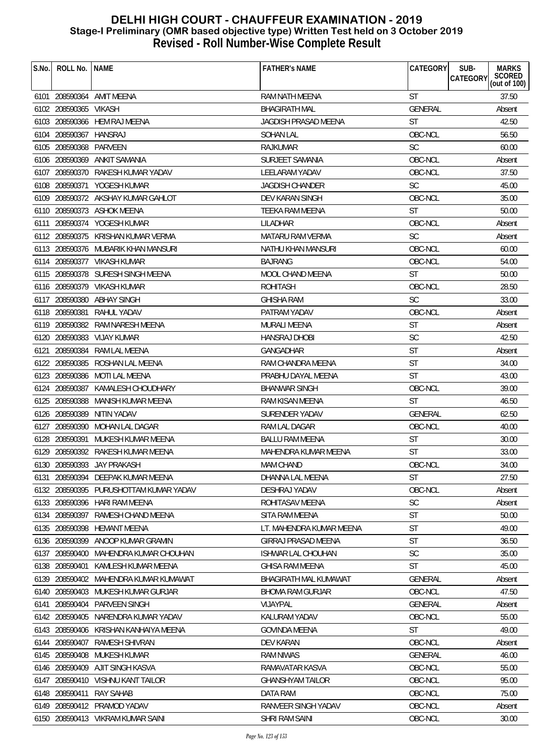| S.No. | ROLL No.               | <b>NAME</b>                            | <b>FATHER'S NAME</b>         | CATEGORY       | SUB-<br><b>MARKS</b><br><b>CATEGORY</b> |
|-------|------------------------|----------------------------------------|------------------------------|----------------|-----------------------------------------|
|       |                        |                                        |                              |                | SCORED<br>(out of 100)                  |
|       |                        | 6101 208590364 AMIT MEENA              | RAM NATH MEENA               | <b>ST</b>      | 37.50                                   |
|       | 6102 208590365 VIKASH  |                                        | <b>BHAGIRATH MAL</b>         | GENERAL        | Absent                                  |
|       |                        | 6103 208590366 HEM RAJ MEENA           | JAGDISH PRASAD MEENA         | <b>ST</b>      | 42.50                                   |
|       | 6104 208590367 HANSRAJ |                                        | <b>SOHAN LAL</b>             | OBC-NCL        | 56.50                                   |
|       | 6105 208590368 PARVEEN |                                        | RAJKUMAR                     | <b>SC</b>      | 60.00                                   |
|       | 6106 208590369         | ANKIT SAMANIA                          | SURJEET SAMANIA              | OBC-NCL        | Absent                                  |
|       |                        | 6107 208590370 RAKESH KUMAR YADAV      | LEELARAM YADAV               | OBC-NCL        | 37.50                                   |
|       |                        | 6108 208590371 YOGESH KUMAR            | <b>JAGDISH CHANDER</b>       | <b>SC</b>      | 45.00                                   |
|       |                        | 6109 208590372 AKSHAY KUMAR GAHLOT     | <b>DEV KARAN SINGH</b>       | OBC-NCL        | 35.00                                   |
|       |                        | 6110 208590373 ASHOK MEENA             | <b>TEEKA RAM MEENA</b>       | <b>ST</b>      | 50.00                                   |
|       |                        | 6111 208590374 YOGESH KUMAR            | LILADHAR                     | OBC-NCL        | Absent                                  |
|       |                        | 6112 208590375 KRISHAN KUMAR VERMA     | <b>MATARU RAM VERMA</b>      | <b>SC</b>      | Absent                                  |
|       |                        | 6113 208590376 MUBARIK KHAN MANSURI    | NATHU KHAN MANSURI           | OBC-NCL        | 60.00                                   |
|       |                        | 6114 208590377 VIKASH KUMAR            | <b>BAJRANG</b>               | OBC-NCL        | 54.00                                   |
|       |                        | 6115 208590378 SURESH SINGH MEENA      | MOOL CHAND MEENA             | <b>ST</b>      | 50.00                                   |
|       |                        | 6116 208590379 VIKASH KUMAR            | <b>ROHITASH</b>              | OBC-NCL        | 28.50                                   |
|       |                        | 6117 208590380 ABHAY SINGH             | <b>GHISHA RAM</b>            | <b>SC</b>      | 33.00                                   |
|       |                        | 6118 208590381 RAHUL YADAV             | PATRAM YADAV                 | OBC-NCL        | Absent                                  |
|       |                        | 6119 208590382 RAM NARESH MEENA        | MURALI MEENA                 | <b>ST</b>      | Absent                                  |
|       |                        | 6120 208590383 VIJAY KUMAR             | <b>HANSRAJ DHOBI</b>         | <b>SC</b>      | 42.50                                   |
|       |                        | 6121 208590384 RAM LAL MEENA           | <b>GANGADHAR</b>             | <b>ST</b>      | Absent                                  |
|       | 6122 208590385         | ROSHAN LAL MEENA                       | RAM CHANDRA MEENA            | <b>ST</b>      | 34.00                                   |
|       | 6123 208590386         | MOTI LAL MEENA                         | PRABHU DAYAL MEENA           | <b>ST</b>      | 43.00                                   |
|       |                        | 6124 208590387 KAMALESH CHOUDHARY      | <b>BHANWAR SINGH</b>         | OBC-NCL        | 39.00                                   |
|       |                        | 6125 208590388 MANISH KUMAR MEENA      | RAM KISAN MEENA              | ST             | 46.50                                   |
|       |                        | 6126 208590389 NITIN YADAV             | SURENDER YADAV               | <b>GENERAL</b> | 62.50                                   |
|       |                        | 6127 208590390 MOHAN LAL DAGAR         | RAM LAL DAGAR                | OBC-NCL        | 40.00                                   |
|       | 6128 208590391         | MUKESH KUMAR MEENA                     | <b>BALLU RAM MEENA</b>       | <b>ST</b>      | 30.00                                   |
|       |                        | 6129 208590392 RAKESH KUMAR MEENA      | MAHENDRA KUMAR MEENA         | <b>ST</b>      | 33.00                                   |
|       |                        | 6130 208590393 JAY PRAKASH             | MAM CHAND                    | OBC-NCL        | 34.00                                   |
|       |                        | 6131 208590394 DEEPAK KUMAR MEENA      | DHANNA LAL MEENA             | <b>ST</b>      | 27.50                                   |
|       |                        | 6132 208590395 PURUSHOTTAM KUMAR YADAV | DESHRAJ YADAV                | OBC-NCL        | Absent                                  |
|       |                        | 6133 208590396 HARI RAM MEENA          | ROHITASAV MEENA              | <b>SC</b>      | Absent                                  |
|       |                        | 6134 208590397 RAMESH CHAND MEENA      | SITA RAM MEENA               | <b>ST</b>      | 50.00                                   |
|       |                        | 6135 208590398 HEMANT MEENA            | LT. MAHENDRA KUMAR MEENA     | <b>ST</b>      | 49.00                                   |
|       | 6136 208590399         | ANOOP KUMAR GRAMIN                     | GIRRAJ PRASAD MEENA          | <b>ST</b>      | 36.50                                   |
|       |                        | 6137 208590400 MAHENDRA KUMAR CHOUHAN  | <b>ISHWAR LAL CHOUHAN</b>    | <b>SC</b>      | 35.00                                   |
|       | 6138 208590401         | KAMLESH KUMAR MEENA                    | <b>GHISA RAM MEENA</b>       | <b>ST</b>      | 45.00                                   |
|       |                        | 6139 208590402 MAHENDRA KUMAR KUMAWAT  | <b>BHAGIRATH MAL KUMAWAT</b> | <b>GENERAL</b> | Absent                                  |
|       |                        | 6140 208590403 MUKESH KUMAR GURJAR     | <b>BHOMA RAM GURJAR</b>      | OBC-NCL        | 47.50                                   |
| 6141  |                        | 208590404 PARVEEN SINGH                | VIJAYPAL                     | <b>GENERAL</b> | Absent                                  |
|       |                        | 6142 208590405 NARENDRA KUMAR YADAV    | KALURAM YADAV                | OBC-NCL        | 55.00                                   |
|       |                        | 6143 208590406 KRISHAN KANHAIYA MEENA  | <b>GOVINDA MEENA</b>         | <b>ST</b>      | 49.00                                   |
|       | 6144 208590407         | RAMESH SHIVRAN                         | DEV KARAN                    | OBC-NCL        | Absent                                  |
|       | 6145 208590408         | MUKESH KUMAR                           | <b>RAM NIWAS</b>             | <b>GENERAL</b> | 46.00                                   |
|       |                        | 6146 208590409 AJIT SINGH KASVA        | RAMAVATAR KASVA              | OBC-NCL        | 55.00                                   |
|       |                        | 6147 208590410 VISHNU KANT TAILOR      | <b>GHANSHYAM TAILOR</b>      | OBC-NCL        | 95.00                                   |
|       | 6148 208590411         | <b>RAY SAHAB</b>                       | DATA RAM                     | OBC-NCL        | 75.00                                   |
|       |                        | 6149 208590412 PRAMOD YADAV            | RANVEER SINGH YADAV          | OBC-NCL        | Absent                                  |
|       |                        | 6150 208590413 VIKRAM KUMAR SAINI      | SHRI RAM SAINI               | OBC-NCL        | 30.00                                   |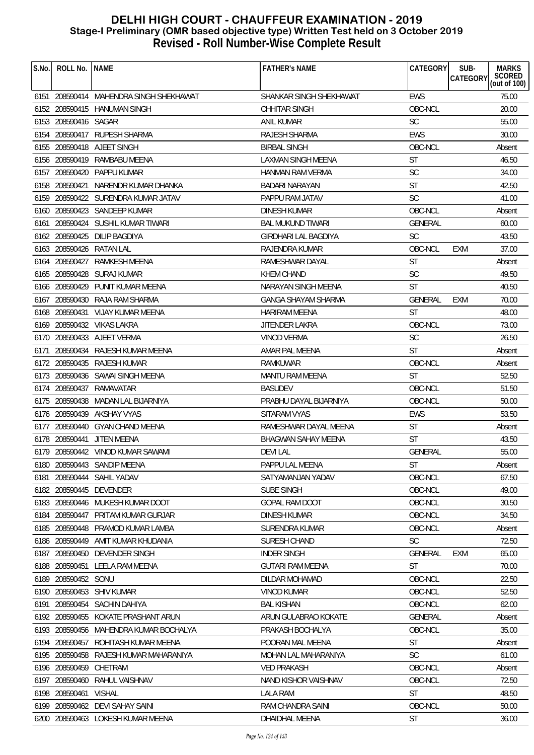| S.No. | ROLL No.             | <b>NAME</b>                             | <b>FATHER'S NAME</b>        | CATEGORY       | SUB-<br><b>CATEGORY</b> | <b>MARKS</b><br><b>SCORED</b><br>(out of $100$ ) |
|-------|----------------------|-----------------------------------------|-----------------------------|----------------|-------------------------|--------------------------------------------------|
|       |                      | 6151 208590414 MAHENDRA SINGH SHEKHAWAT | SHANKAR SINGH SHEKHAWAT     | <b>EWS</b>     |                         | 75.00                                            |
|       |                      | 6152 208590415 HANUMAN SINGH            | <b>CHHITAR SINGH</b>        | OBC-NCL        |                         | 20.00                                            |
|       | 6153 208590416 SAGAR |                                         | ANIL KUMAR                  | <b>SC</b>      |                         | 55.00                                            |
|       |                      | 6154 208590417 RUPESH SHARMA            | RAJESH SHARMA               | <b>EWS</b>     |                         | 30.00                                            |
|       |                      | 6155 208590418 AJEET SINGH              | <b>BIRBAL SINGH</b>         | OBC-NCL        |                         | Absent                                           |
|       | 6156 208590419       | RAMBABU MEENA                           | <b>LAXMAN SINGH MEENA</b>   | <b>ST</b>      |                         | 46.50                                            |
|       |                      | 6157 208590420 PAPPU KUMAR              | HANMAN RAM VERMA            | <b>SC</b>      |                         | 34.00                                            |
|       | 6158 208590421       | NARENDR KUMAR DHANKA                    | BADARI NARAYAN              | <b>ST</b>      |                         | 42.50                                            |
|       |                      | 6159 208590422 SURENDRA KUMAR JATAV     | PAPPU RAM JATAV             | <b>SC</b>      |                         | 41.00                                            |
|       |                      | 6160 208590423 SANDEEP KUMAR            | DINESH KUMAR                | OBC-NCL        |                         | Absent                                           |
|       |                      | 6161 208590424 SUSHIL KUMAR TIWARI      | <b>BAL MUKUND TIWARI</b>    | <b>GENERAL</b> |                         | 60.00                                            |
|       | 6162 208590425       | DILIP BAGDIYA                           | <b>GIRDHARI LAL BAGDIYA</b> | <b>SC</b>      |                         | 43.50                                            |
|       |                      | 6163 208590426 RATAN LAL                | RAJENDRA KUMAR              | OBC-NCL        | EXM                     | 37.00                                            |
|       | 6164 208590427       | RAMKESH MEENA                           | RAMESHWAR DAYAL             | <b>ST</b>      |                         | Absent                                           |
|       |                      | 6165 208590428 SURAJ KUMAR              | <b>KHEM CHAND</b>           | <b>SC</b>      |                         | 49.50                                            |
|       |                      | 6166 208590429 PUNIT KUMAR MEENA        | NARAYAN SINGH MEENA         | <b>ST</b>      |                         | 40.50                                            |
|       |                      | 6167 208590430 RAJA RAM SHARMA          | <b>GANGA SHAYAM SHARMA</b>  | <b>GENERAL</b> | <b>EXM</b>              | 70.00                                            |
|       |                      | 6168 208590431 VIJAY KUMAR MEENA        | <b>HARIRAM MEENA</b>        | <b>ST</b>      |                         | 48.00                                            |
|       |                      | 6169 208590432 VIKAS LAKRA              | JITENDER LAKRA              | OBC-NCL        |                         | 73.00                                            |
|       |                      | 6170 208590433 AJEET VERMA              | <b>VINOD VERMA</b>          | <b>SC</b>      |                         | 26.50                                            |
| 6171  |                      | 208590434 RAJESH KUMAR MEENA            | AMAR PAL MEENA              | <b>ST</b>      |                         | Absent                                           |
|       |                      | 6172 208590435 RAJESH KUMAR             | RAMKUWAR                    | OBC-NCL        |                         | Absent                                           |
|       |                      | 6173 208590436 SAWAI SINGH MEENA        | <b>MANTU RAM MEENA</b>      | <b>ST</b>      |                         | 52.50                                            |
|       |                      | 6174 208590437 RAMAVATAR                | <b>BASUDEV</b>              | OBC-NCL        |                         | 51.50                                            |
|       |                      | 6175 208590438 MADAN LAL BIJARNIYA      | PRABHU DAYAL BIJARNIYA      | OBC-NCL        |                         | 50.00                                            |
|       |                      | 6176 208590439 AKSHAY VYAS              | SITARAM VYAS                | <b>EWS</b>     |                         | 53.50                                            |
|       |                      | 6177 208590440 GYAN CHAND MEENA         | RAMESHWAR DAYAL MEENA       | <b>ST</b>      |                         | Absent                                           |
|       | 6178 208590441       | <b>JITEN MEENA</b>                      | <b>BHAGWAN SAHAY MEENA</b>  | <b>ST</b>      |                         | 43.50                                            |
|       |                      | 6179 208590442 VINOD KUMAR SAWAMI       | <b>DEVILAL</b>              | <b>GENERAL</b> |                         | 55.00                                            |
|       |                      | 6180 208590443 SANDIP MEENA             | PAPPU LAL MEENA             | <b>ST</b>      |                         | Absent                                           |
|       |                      | 6181 208590444 SAHIL YADAV              | SATYAMANJAN YADAV           | OBC-NCL        |                         | 67.50                                            |
|       |                      | 6182 208590445 DEVENDER                 | SUBE SINGH                  | OBC-NCL        |                         | 49.00                                            |
|       |                      | 6183 208590446 MUKESH KUMAR DOOT        | <b>GOPAL RAM DOOT</b>       | OBC-NCL        |                         | 30.50                                            |
|       |                      | 6184 208590447 PRITAM KUMAR GURJAR      | DINESH KUMAR                | OBC-NCL        |                         | 34.50                                            |
|       |                      | 6185 208590448 PRAMOD KUMAR LAMBA       | SURENDRA KUMAR              | OBC-NCL        |                         | Absent                                           |
|       | 6186 208590449       | AMIT KUMAR KHUDANIA                     | SURESH CHAND                | <b>SC</b>      |                         | 72.50                                            |
|       |                      | 6187 208590450 DEVENDER SINGH           | <b>INDER SINGH</b>          | <b>GENERAL</b> | <b>EXM</b>              | 65.00                                            |
|       |                      | 6188 208590451 LEELA RAM MEENA          | <b>GUTARI RAM MEENA</b>     | <b>ST</b>      |                         | 70.00                                            |
|       | 6189 208590452 SONU  |                                         | DILDAR MOHAMAD              | OBC-NCL        |                         | 22.50                                            |
|       |                      | 6190 208590453 SHIV KUMAR               | <b>VINOD KUMAR</b>          | OBC-NCL        |                         | 52.50                                            |
| 6191  |                      | 208590454 SACHIN DAHIYA                 | <b>BAL KISHAN</b>           | OBC-NCL        |                         | 62.00                                            |
|       |                      | 6192 208590455 KOKATE PRASHANT ARUN     | ARUN GULABRAO KOKATE        | <b>GENERAL</b> |                         | Absent                                           |
|       |                      | 6193 208590456 MAHENDRA KUMAR BOCHALYA  | PRAKASH BOCHALYA            | OBC-NCL        |                         | 35.00                                            |
|       |                      | 6194 208590457 ROHITASH KUMAR MEENA     | POORAN MAL MEENA            | <b>ST</b>      |                         | Absent                                           |
|       |                      | 6195 208590458 RAJESH KUMAR MAHARANIYA  | MOHAN LAL MAHARANIYA        | <b>SC</b>      |                         | 61.00                                            |
|       | 6196 208590459       | CHETRAM                                 | <b>VED PRAKASH</b>          | OBC-NCL        |                         | Absent                                           |
|       | 6197 208590460       | RAHUL VAISHNAV                          | NAND KISHOR VAISHNAV        | OBC-NCL        |                         | 72.50                                            |
|       | 6198 208590461       | <b>VISHAL</b>                           | LALA RAM                    | <b>ST</b>      |                         | 48.50                                            |
|       |                      | 6199 208590462 DEVI SAHAY SAINI         | RAM CHANDRA SAINI           | OBC-NCL        |                         | 50.00                                            |
|       |                      | 6200 208590463 LOKESH KUMAR MEENA       | DHAIDHAL MEENA              | ST             |                         | 36.00                                            |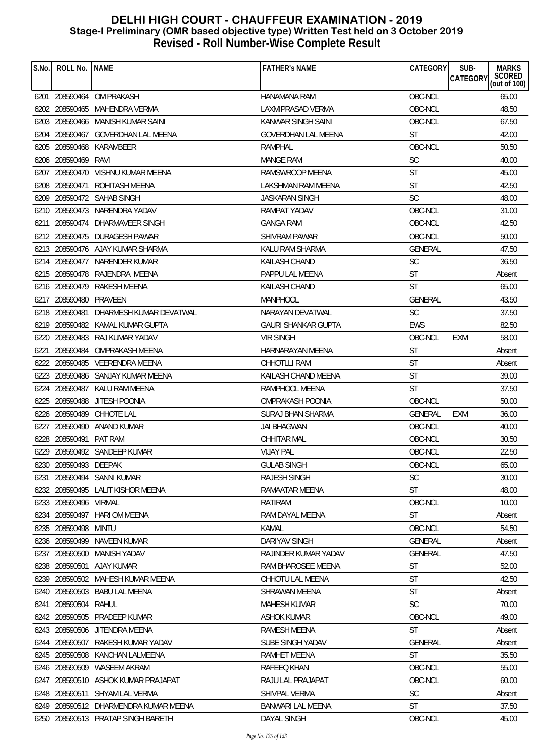| S.No. | ROLL No.               | <b>NAME</b>                            | <b>FATHER'S NAME</b>       | CATEGORY       | SUB-<br><b>MARKS</b><br>SCORED<br>(out of 100)<br>CATEGORY |
|-------|------------------------|----------------------------------------|----------------------------|----------------|------------------------------------------------------------|
|       |                        | 6201 208590464 OM PRAKASH              | <b>HANAMANA RAM</b>        | OBC-NCL        | 65.00                                                      |
|       |                        | 6202 208590465 MAHENDRA VERMA          | LAXMIPRASAD VERMA          | OBC-NCL        | 48.50                                                      |
|       |                        | 6203 208590466 MANISH KUMAR SAINI      | KANWAR SINGH SAINI         | OBC-NCL        | 67.50                                                      |
|       |                        | 6204 208590467 GOVERDHAN LAL MEENA     | <b>GOVERDHAN LAL MEENA</b> | ST             | 42.00                                                      |
|       | 6205 208590468         | KARAMBEER                              | <b>RAMPHAL</b>             | OBC-NCL        | 50.50                                                      |
|       | 6206 208590469         | RAVI                                   | <b>MANGE RAM</b>           | <b>SC</b>      | 40.00                                                      |
|       |                        | 6207 208590470 VISHNU KUMAR MEENA      | RAMSWROOP MEENA            | <b>ST</b>      | 45.00                                                      |
|       |                        | 6208 208590471 ROHITASH MEENA          | LAKSHMAN RAM MEENA         | <b>ST</b>      | 42.50                                                      |
|       |                        | 6209 208590472 SAHAB SINGH             | JASKARAN SINGH             | <b>SC</b>      | 48.00                                                      |
|       |                        | 6210 208590473 NARENDRA YADAV          | RAMPAT YADAV               | OBC-NCL        | 31.00                                                      |
|       |                        | 6211 208590474 DHARMAVEER SINGH        | <b>GANGA RAM</b>           | OBC-NCL        | 42.50                                                      |
|       |                        | 6212 208590475 DURAGESH PAWAR          | <b>SHIVRAM PAWAR</b>       | OBC-NCL        | 50.00                                                      |
|       |                        | 6213 208590476 AJAY KUMAR SHARMA       | KALU RAM SHARMA            | <b>GENERAL</b> | 47.50                                                      |
|       |                        | 6214 208590477 NARENDER KUMAR          | <b>KAILASH CHAND</b>       | <b>SC</b>      | 36.50                                                      |
|       |                        | 6215 208590478 RAJENDRA MEENA          | PAPPU LAL MEENA            | <b>ST</b>      | Absent                                                     |
|       |                        | 6216 208590479 RAKESH MEENA            | KAILASH CHAND              | <b>ST</b>      | 65.00                                                      |
|       | 6217 208590480 PRAVEEN |                                        | <b>MANPHOOL</b>            | <b>GENERAL</b> | 43.50                                                      |
|       |                        | 6218 208590481 DHARMESH KUMAR DEVATWAL | NARAYAN DEVATWAL           | <b>SC</b>      | 37.50                                                      |
|       |                        | 6219 208590482 KAMAL KUMAR GUPTA       | <b>GAURI SHANKAR GUPTA</b> | <b>EWS</b>     | 82.50                                                      |
|       |                        | 6220 208590483 RAJ KUMAR YADAV         | <b>VIR SINGH</b>           | OBC-NCL        | <b>EXM</b><br>58.00                                        |
| 6221  |                        | 208590484 OMPRAKASH MEENA              | HARNARAYAN MEENA           | <b>ST</b>      | Absent                                                     |
|       |                        | 6222 208590485 VEERENDRA MEENA         | CHHOTLLI RAM               | <b>ST</b>      | Absent                                                     |
|       |                        | 6223 208590486 SANJAY KUMAR MEENA      | KAILASH CHAND MEENA        | <b>ST</b>      | 39.00                                                      |
|       |                        | 6224 208590487 KALU RAM MEENA          | RAMPHOOL MEENA             | <b>ST</b>      | 37.50                                                      |
|       | 6225 208590488         | JITESH POONIA                          | <b>OMPRAKASH POONIA</b>    | OBC-NCL        | 50.00                                                      |
|       | 6226 208590489         | CHHOTE LAL                             | <b>SURAJ BHAN SHARMA</b>   | GENERAL        | 36.00<br>EXM                                               |
|       | 6227 208590490         | ANAND KUMAR                            | <b>JAI BHAGWAN</b>         | OBC-NCL        | 40.00                                                      |
|       | 6228 208590491 PAT RAM |                                        | CHHITAR MAL                | OBC-NCL        | 30.50                                                      |
|       |                        | 6229 208590492 SANDEEP KUMAR           | <b>VIJAY PAL</b>           | OBC-NCL        | 22.50                                                      |
|       | 6230 208590493 DEEPAK  |                                        | <b>GULAB SINGH</b>         | OBC-NCL        | 65.00                                                      |
|       |                        | 6231 208590494 SANNI KUMAR             | <b>RAJESH SINGH</b>        | <b>SC</b>      | 30.00                                                      |
|       |                        | 6232 208590495 LALIT KISHOR MEENA      | RAMAATAR MEENA             | <b>ST</b>      | 48.00                                                      |
|       | 6233 208590496 VIRMAL  |                                        | RATIRAM                    | OBC-NCL        | 10.00                                                      |
|       | 6234 208590497         | HARI OM MEENA                          | RAM DAYAL MEENA            | <b>ST</b>      | Absent                                                     |
|       | 6235 208590498 MINTU   |                                        | <b>KAMAL</b>               | OBC-NCL        | 54.50                                                      |
|       | 6236 208590499         | NAVEEN KUMAR                           | DARIYAV SINGH              | GENERAL        | Absent                                                     |
|       |                        | 6237 208590500 MANISH YADAV            | RAJINDER KUMAR YADAV       | GENERAL        | 47.50                                                      |
|       |                        | 6238 208590501 AJAY KUMAR              | RAM BHAROSEE MEENA         | <b>ST</b>      | 52.00                                                      |
| 6239  |                        | 208590502 MAHESH KUMAR MEENA           | CHHOTU LAL MEENA           | ST             | 42.50                                                      |
|       |                        | 6240 208590503 BABU LAL MEENA          | SHRAWAN MEENA              | <b>ST</b>      | Absent                                                     |
|       | 6241 208590504         | RAHUL                                  | <b>MAHESH KUMAR</b>        | <b>SC</b>      | 70.00                                                      |
|       | 6242 208590505         | PRADEEP KUMAR                          | ASHOK KUMAR                | OBC-NCL        | 49.00                                                      |
|       |                        | 6243 208590506 JITENDRA MEENA          | RAMESH MEENA               | <b>ST</b>      | Absent                                                     |
|       | 6244 208590507         | RAKESH KUMAR YADAV                     | SUBE SINGH YADAV           | GENERAL        | Absent                                                     |
|       | 6245 208590508         | KANCHAN LALMEENA                       | RAMHET MEENA               | ST             | 35.50                                                      |
|       |                        | 6246 208590509 WASEEM AKRAM            | RAFEEQ KHAN                | OBC-NCL        | 55.00                                                      |
| 6247  | 208590510              | ASHOK KUMAR PRAJAPAT                   | RAJU LAL PRAJAPAT          | OBC-NCL        | 60.00                                                      |
|       | 6248 208590511         | SHYAM LAL VERMA                        | SHIVPAL VERMA              | <b>SC</b>      | Absent                                                     |
|       |                        | 6249 208590512 DHARMENDRA KUMAR MEENA  | <b>BANWARI LAL MEENA</b>   | <b>ST</b>      | 37.50                                                      |
|       |                        | 6250 208590513 PRATAP SINGH BARETH     | DAYAL SINGH                | OBC-NCL        | 45.00                                                      |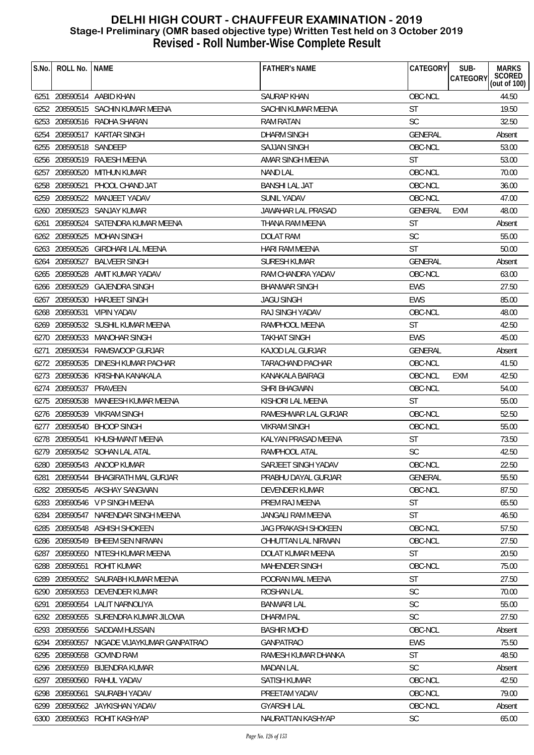| S.No. | ROLL No.               | <b>NAME</b>                          | <b>FATHER'S NAME</b>    | CATEGORY       | <b>MARKS</b><br>SUB-               |
|-------|------------------------|--------------------------------------|-------------------------|----------------|------------------------------------|
|       |                        |                                      |                         |                | SCORED<br>CATEGORY<br>(out of 100) |
|       |                        | 6251 208590514 AABID KHAN            | <b>SAURAP KHAN</b>      | OBC-NCL        | 44.50                              |
|       |                        | 6252 208590515 SACHIN KUMAR MEENA    | SACHIN KUMAR MEENA      | <b>ST</b>      | 19.50                              |
|       |                        | 6253 208590516 RADHA SHARAN          | RAM RATAN               | <b>SC</b>      | 32.50                              |
|       |                        | 6254 208590517 KARTAR SINGH          | <b>DHARM SINGH</b>      | <b>GENERAL</b> | Absent                             |
|       | 6255 208590518 SANDEEP |                                      | <b>SAJJAN SINGH</b>     | OBC-NCL        | 53.00                              |
| 6256  | 208590519              | <b>RAJESH MEENA</b>                  | AMAR SINGH MEENA        | <b>ST</b>      | 53.00                              |
|       |                        | 6257 208590520 MITHUN KUMAR          | <b>NAND LAL</b>         | OBC-NCL        | 70.00                              |
|       | 6258 208590521         | PHOOL CHAND JAT                      | <b>BANSHI LAL JAT</b>   | OBC-NCL        | 36.00                              |
|       |                        | 6259 208590522 MANJEET YADAV         | <b>SUNIL YADAV</b>      | OBC-NCL        | 47.00                              |
|       |                        | 6260 208590523 SANJAY KUMAR          | JAWAHAR LAL PRASAD      | <b>GENERAL</b> | 48.00<br><b>EXM</b>                |
|       |                        | 6261 208590524 SATENDRA KUMAR MEENA  | THANA RAM MEENA         | <b>ST</b>      | Absent                             |
|       | 6262 208590525         | MOHAN SINGH                          | DOLAT RAM               | <b>SC</b>      | 55.00                              |
|       |                        | 6263 208590526 GIRDHARI LAL MEENA    | <b>HARI RAM MEENA</b>   | <b>ST</b>      | 50.00                              |
|       | 6264 208590527         | <b>BALVEER SINGH</b>                 | SURESH KUMAR            | <b>GENERAL</b> | Absent                             |
|       | 6265 208590528         | AMIT KUMAR YADAV                     | RAM CHANDRA YADAV       | OBC-NCL        | 63.00                              |
|       |                        | 6266 208590529 GAJENDRA SINGH        | <b>BHANWAR SINGH</b>    | <b>EWS</b>     | 27.50                              |
| 6267  |                        | 208590530 HARJEET SINGH              | <b>JAGU SINGH</b>       | <b>EWS</b>     | 85.00                              |
|       |                        | 6268 208590531 VIPIN YADAV           | RAJ SINGH YADAV         | OBC-NCL        | 48.00                              |
|       |                        | 6269 208590532 SUSHIL KUMAR MEENA    | RAMPHOOL MEENA          | ST             | 42.50                              |
|       |                        | 6270 208590533 MANOHAR SINGH         | <b>TAKHAT SINGH</b>     | <b>EWS</b>     | 45.00                              |
| 6271  |                        | 208590534 RAMSWOOP GURJAR            | <b>KAJOD LAL GURJAR</b> | <b>GENERAL</b> | Absent                             |
|       |                        | 6272 208590535 DINESH KUMAR PACHAR   | <b>TARACHAND PACHAR</b> | OBC-NCL        | 41.50                              |
|       |                        | 6273 208590536 KRISHNA KANAKALA      | KANAKALA BAIRAGI        | OBC-NCL        | 42.50<br>EXM                       |
|       | 6274 208590537 PRAVEEN |                                      | SHRI BHAGWAN            | OBC-NCL        | 54.00                              |
|       |                        | 6275 208590538 MANEESH KUMAR MEENA   | KISHORI LAL MEENA       | <b>ST</b>      | 55.00                              |
|       |                        | 6276 208590539 VIKRAM SINGH          | RAMESHWAR LAL GURJAR    | OBC-NCL        | 52.50                              |
|       |                        | 6277 208590540 BHOOP SINGH           | <b>VIKRAM SINGH</b>     | OBC-NCL        | 55.00                              |
|       | 6278 208590541         | KHUSHWANT MEENA                      | KALYAN PRASAD MEENA     | <b>ST</b>      | 73.50                              |
|       |                        | 6279 208590542 SOHAN LAL ATAL        | RAMPHOOL ATAL           | <b>SC</b>      | 42.50                              |
|       |                        | 6280 208590543 ANOOP KUMAR           | SARJEET SINGH YADAV     | OBC-NCL        | 22.50                              |
| 6281  |                        | 208590544 BHAGIRATH MAL GURJAR       | PRABHU DAYAL GURJAR     | <b>GENERAL</b> | 55.50                              |
|       |                        | 6282 208590545 AKSHAY SANGWAN        | DEVENDER KUMAR          | OBC-NCL        | 87.50                              |
|       |                        | 6283 208590546 V P SINGH MEENA       | PREM RAJ MEENA          | <b>ST</b>      | 65.50                              |
|       |                        | 6284 208590547 NARENDAR SINGH MEENA  | JANGALI RAM MEENA       | <b>ST</b>      | 46.50                              |
|       |                        | 6285 208590548 ASHISH SHOKEEN        | JAG PRAKASH SHOKEEN     | OBC-NCL        | 57.50                              |
|       | 6286 208590549         | <b>BHEEM SEN NIRWAN</b>              | CHHUTTAN LAL NIRWAN     | OBC-NCL        | 27.50                              |
|       | 6287 208590550         | NITESH KUMAR MEENA                   | DOLAT KUMAR MEENA       | <b>ST</b>      | 20.50                              |
|       |                        | 6288 208590551 ROHIT KUMAR           | <b>MAHENDER SINGH</b>   | OBC-NCL        | 75.00                              |
|       |                        | 6289 208590552 SAURABH KUMAR MEENA   | POORAN MAL MEENA        | <b>ST</b>      | 27.50                              |
|       |                        | 6290 208590553 DEVENDER KUMAR        | <b>ROSHAN LAL</b>       | <b>SC</b>      | 70.00                              |
| 6291  |                        | 208590554 LALIT NARNOLIYA            | <b>BANWARI LAL</b>      | <b>SC</b>      | 55.00                              |
|       |                        | 6292 208590555 SURENDRA KUMAR JILOWA | <b>DHARM PAL</b>        | <b>SC</b>      | 27.50                              |
|       |                        | 6293 208590556 SADDAM HUSSAIN        | <b>BASHIR MOHD</b>      | OBC-NCL        | Absent                             |
|       | 6294 208590557         | NIGADE VIJAYKUMAR GANPATRAO          | <b>GANPATRAO</b>        | <b>EWS</b>     | 75.50                              |
|       | 6295 208590558         | <b>GOVIND RAM</b>                    | RAMESH KUMAR DHANKA     | <b>ST</b>      | 48.50                              |
|       |                        | 6296 208590559 BIJENDRA KUMAR        | <b>MADAN LAL</b>        | <b>SC</b>      | Absent                             |
|       | 6297 208590560         | RAHUL YADAV                          | <b>SATISH KUMAR</b>     | OBC-NCL        | 42.50                              |
|       | 6298 208590561         | SAURABH YADAV                        | PREETAM YADAV           | OBC-NCL        | 79.00                              |
| 6299  |                        | 208590562 JAYKISHAN YADAV            | <b>GYARSHILAL</b>       | OBC-NCL        | Absent                             |
|       |                        | 6300 208590563 ROHIT KASHYAP         | NAURATTAN KASHYAP       | <b>SC</b>      | 65.00                              |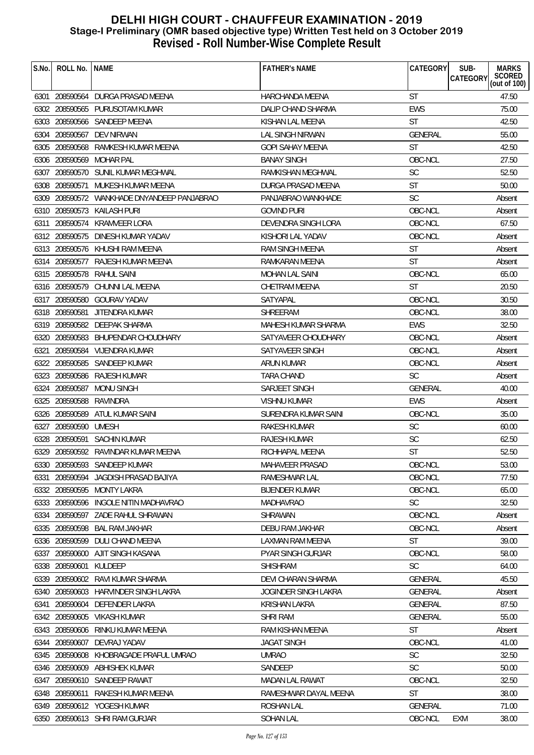| SCORED<br><b>CATEGORY</b><br>(out of $100$ )<br>6301 208590564 DURGA PRASAD MEENA<br>HARCHANDA MEENA<br><b>ST</b><br>47.50<br><b>EWS</b><br>75.00<br>6302 208590565 PURUSOTAM KUMAR<br>DALIP CHAND SHARMA<br><b>ST</b><br>42.50<br>6303 208590566 SANDEEP MEENA<br>KISHAN LAL MEENA<br><b>GENERAL</b><br>55.00<br>6304 208590567 DEV NIRWAN<br><b>LAL SINGH NIRWAN</b><br><b>ST</b><br>42.50<br>6305 208590568<br>RAMKESH KUMAR MEENA<br><b>GOPI SAHAY MEENA</b><br>6306 208590569<br><b>MOHAR PAL</b><br><b>BANAY SINGH</b><br>OBC-NCL<br>27.50<br><b>SC</b><br>52.50<br>6307 208590570 SUNIL KUMAR MEGHWAL<br>RAMKISHAN MEGHWAL<br><b>ST</b><br>50.00<br>6308 208590571<br>MUKESH KUMAR MEENA<br>DURGA PRASAD MEENA<br>6309 208590572 WANKHADE DNYANDEEP PANJABRAO<br>PANJABRAO WANKHADE<br><b>SC</b><br>Absent<br>OBC-NCL<br>6310 208590573 KAILASH PURI<br><b>GOVIND PURI</b><br>Absent<br>208590574 KRAMVEER LORA<br>OBC-NCL<br>67.50<br>DEVENDRA SINGH LORA<br>6311<br>6312 208590575<br>DINESH KUMAR YADAV<br>KISHORI LAL YADAV<br>OBC-NCL<br>Absent<br>6313 208590576 KHUSHI RAM MEENA<br><b>ST</b><br><b>RAM SINGH MEENA</b><br>Absent<br><b>ST</b><br>6314 208590577<br>RAJESH KUMAR MEENA<br>RAMKARAN MEENA<br>Absent<br>OBC-NCL<br>65.00<br>6315 208590578 RAHUL SAINI<br><b>MOHAN LAL SAINI</b><br>ST<br>6316 208590579 CHUNNI LAL MEENA<br>CHETRAM MEENA<br>20.50<br>6317 208590580 GOURAV YADAV<br>OBC-NCL<br>30.50<br>SATYAPAL<br>6318 208590581 JITENDRA KUMAR<br><b>SHREERAM</b><br>OBC-NCL<br>38.00<br><b>EWS</b><br>32.50<br>6319 208590582 DEEPAK SHARMA<br>MAHESH KUMAR SHARMA<br>6320 208590583 BHUPENDAR CHOUDHARY<br>SATYAVEER CHOUDHARY<br>OBC-NCL<br>Absent<br>208590584 VIJENDRA KUMAR<br>SATYAVEER SINGH<br>OBC-NCL<br>6321<br>Absent<br>OBC-NCL<br>6322 208590585 SANDEEP KUMAR<br>ARUN KUMAR<br>Absent<br>6323 208590586<br>RAJESH KUMAR<br><b>TARA CHAND</b><br><b>SC</b><br>Absent<br>40.00<br>6324 208590587 MONU SINGH<br>SARJEET SINGH<br><b>GENERAL</b> |
|----------------------------------------------------------------------------------------------------------------------------------------------------------------------------------------------------------------------------------------------------------------------------------------------------------------------------------------------------------------------------------------------------------------------------------------------------------------------------------------------------------------------------------------------------------------------------------------------------------------------------------------------------------------------------------------------------------------------------------------------------------------------------------------------------------------------------------------------------------------------------------------------------------------------------------------------------------------------------------------------------------------------------------------------------------------------------------------------------------------------------------------------------------------------------------------------------------------------------------------------------------------------------------------------------------------------------------------------------------------------------------------------------------------------------------------------------------------------------------------------------------------------------------------------------------------------------------------------------------------------------------------------------------------------------------------------------------------------------------------------------------------------------------------------------------------------------------------------------------------------------------------------------------------------------------------------------------------------------------------------|
|                                                                                                                                                                                                                                                                                                                                                                                                                                                                                                                                                                                                                                                                                                                                                                                                                                                                                                                                                                                                                                                                                                                                                                                                                                                                                                                                                                                                                                                                                                                                                                                                                                                                                                                                                                                                                                                                                                                                                                                              |
|                                                                                                                                                                                                                                                                                                                                                                                                                                                                                                                                                                                                                                                                                                                                                                                                                                                                                                                                                                                                                                                                                                                                                                                                                                                                                                                                                                                                                                                                                                                                                                                                                                                                                                                                                                                                                                                                                                                                                                                              |
|                                                                                                                                                                                                                                                                                                                                                                                                                                                                                                                                                                                                                                                                                                                                                                                                                                                                                                                                                                                                                                                                                                                                                                                                                                                                                                                                                                                                                                                                                                                                                                                                                                                                                                                                                                                                                                                                                                                                                                                              |
|                                                                                                                                                                                                                                                                                                                                                                                                                                                                                                                                                                                                                                                                                                                                                                                                                                                                                                                                                                                                                                                                                                                                                                                                                                                                                                                                                                                                                                                                                                                                                                                                                                                                                                                                                                                                                                                                                                                                                                                              |
|                                                                                                                                                                                                                                                                                                                                                                                                                                                                                                                                                                                                                                                                                                                                                                                                                                                                                                                                                                                                                                                                                                                                                                                                                                                                                                                                                                                                                                                                                                                                                                                                                                                                                                                                                                                                                                                                                                                                                                                              |
|                                                                                                                                                                                                                                                                                                                                                                                                                                                                                                                                                                                                                                                                                                                                                                                                                                                                                                                                                                                                                                                                                                                                                                                                                                                                                                                                                                                                                                                                                                                                                                                                                                                                                                                                                                                                                                                                                                                                                                                              |
|                                                                                                                                                                                                                                                                                                                                                                                                                                                                                                                                                                                                                                                                                                                                                                                                                                                                                                                                                                                                                                                                                                                                                                                                                                                                                                                                                                                                                                                                                                                                                                                                                                                                                                                                                                                                                                                                                                                                                                                              |
|                                                                                                                                                                                                                                                                                                                                                                                                                                                                                                                                                                                                                                                                                                                                                                                                                                                                                                                                                                                                                                                                                                                                                                                                                                                                                                                                                                                                                                                                                                                                                                                                                                                                                                                                                                                                                                                                                                                                                                                              |
|                                                                                                                                                                                                                                                                                                                                                                                                                                                                                                                                                                                                                                                                                                                                                                                                                                                                                                                                                                                                                                                                                                                                                                                                                                                                                                                                                                                                                                                                                                                                                                                                                                                                                                                                                                                                                                                                                                                                                                                              |
|                                                                                                                                                                                                                                                                                                                                                                                                                                                                                                                                                                                                                                                                                                                                                                                                                                                                                                                                                                                                                                                                                                                                                                                                                                                                                                                                                                                                                                                                                                                                                                                                                                                                                                                                                                                                                                                                                                                                                                                              |
|                                                                                                                                                                                                                                                                                                                                                                                                                                                                                                                                                                                                                                                                                                                                                                                                                                                                                                                                                                                                                                                                                                                                                                                                                                                                                                                                                                                                                                                                                                                                                                                                                                                                                                                                                                                                                                                                                                                                                                                              |
|                                                                                                                                                                                                                                                                                                                                                                                                                                                                                                                                                                                                                                                                                                                                                                                                                                                                                                                                                                                                                                                                                                                                                                                                                                                                                                                                                                                                                                                                                                                                                                                                                                                                                                                                                                                                                                                                                                                                                                                              |
|                                                                                                                                                                                                                                                                                                                                                                                                                                                                                                                                                                                                                                                                                                                                                                                                                                                                                                                                                                                                                                                                                                                                                                                                                                                                                                                                                                                                                                                                                                                                                                                                                                                                                                                                                                                                                                                                                                                                                                                              |
|                                                                                                                                                                                                                                                                                                                                                                                                                                                                                                                                                                                                                                                                                                                                                                                                                                                                                                                                                                                                                                                                                                                                                                                                                                                                                                                                                                                                                                                                                                                                                                                                                                                                                                                                                                                                                                                                                                                                                                                              |
|                                                                                                                                                                                                                                                                                                                                                                                                                                                                                                                                                                                                                                                                                                                                                                                                                                                                                                                                                                                                                                                                                                                                                                                                                                                                                                                                                                                                                                                                                                                                                                                                                                                                                                                                                                                                                                                                                                                                                                                              |
|                                                                                                                                                                                                                                                                                                                                                                                                                                                                                                                                                                                                                                                                                                                                                                                                                                                                                                                                                                                                                                                                                                                                                                                                                                                                                                                                                                                                                                                                                                                                                                                                                                                                                                                                                                                                                                                                                                                                                                                              |
|                                                                                                                                                                                                                                                                                                                                                                                                                                                                                                                                                                                                                                                                                                                                                                                                                                                                                                                                                                                                                                                                                                                                                                                                                                                                                                                                                                                                                                                                                                                                                                                                                                                                                                                                                                                                                                                                                                                                                                                              |
|                                                                                                                                                                                                                                                                                                                                                                                                                                                                                                                                                                                                                                                                                                                                                                                                                                                                                                                                                                                                                                                                                                                                                                                                                                                                                                                                                                                                                                                                                                                                                                                                                                                                                                                                                                                                                                                                                                                                                                                              |
|                                                                                                                                                                                                                                                                                                                                                                                                                                                                                                                                                                                                                                                                                                                                                                                                                                                                                                                                                                                                                                                                                                                                                                                                                                                                                                                                                                                                                                                                                                                                                                                                                                                                                                                                                                                                                                                                                                                                                                                              |
|                                                                                                                                                                                                                                                                                                                                                                                                                                                                                                                                                                                                                                                                                                                                                                                                                                                                                                                                                                                                                                                                                                                                                                                                                                                                                                                                                                                                                                                                                                                                                                                                                                                                                                                                                                                                                                                                                                                                                                                              |
|                                                                                                                                                                                                                                                                                                                                                                                                                                                                                                                                                                                                                                                                                                                                                                                                                                                                                                                                                                                                                                                                                                                                                                                                                                                                                                                                                                                                                                                                                                                                                                                                                                                                                                                                                                                                                                                                                                                                                                                              |
|                                                                                                                                                                                                                                                                                                                                                                                                                                                                                                                                                                                                                                                                                                                                                                                                                                                                                                                                                                                                                                                                                                                                                                                                                                                                                                                                                                                                                                                                                                                                                                                                                                                                                                                                                                                                                                                                                                                                                                                              |
|                                                                                                                                                                                                                                                                                                                                                                                                                                                                                                                                                                                                                                                                                                                                                                                                                                                                                                                                                                                                                                                                                                                                                                                                                                                                                                                                                                                                                                                                                                                                                                                                                                                                                                                                                                                                                                                                                                                                                                                              |
|                                                                                                                                                                                                                                                                                                                                                                                                                                                                                                                                                                                                                                                                                                                                                                                                                                                                                                                                                                                                                                                                                                                                                                                                                                                                                                                                                                                                                                                                                                                                                                                                                                                                                                                                                                                                                                                                                                                                                                                              |
|                                                                                                                                                                                                                                                                                                                                                                                                                                                                                                                                                                                                                                                                                                                                                                                                                                                                                                                                                                                                                                                                                                                                                                                                                                                                                                                                                                                                                                                                                                                                                                                                                                                                                                                                                                                                                                                                                                                                                                                              |
| 6325 208590588<br>RAVINDRA<br>VISHNU KUMAR<br><b>EWS</b><br>Absent                                                                                                                                                                                                                                                                                                                                                                                                                                                                                                                                                                                                                                                                                                                                                                                                                                                                                                                                                                                                                                                                                                                                                                                                                                                                                                                                                                                                                                                                                                                                                                                                                                                                                                                                                                                                                                                                                                                           |
| OBC-NCL<br>35.00<br>6326 208590589 ATUL KUMAR SAINI<br>SURENDRA KUMAR SAINI                                                                                                                                                                                                                                                                                                                                                                                                                                                                                                                                                                                                                                                                                                                                                                                                                                                                                                                                                                                                                                                                                                                                                                                                                                                                                                                                                                                                                                                                                                                                                                                                                                                                                                                                                                                                                                                                                                                  |
| <b>SC</b><br>6327 208590590 UMESH<br>RAKESH KUMAR<br>60.00                                                                                                                                                                                                                                                                                                                                                                                                                                                                                                                                                                                                                                                                                                                                                                                                                                                                                                                                                                                                                                                                                                                                                                                                                                                                                                                                                                                                                                                                                                                                                                                                                                                                                                                                                                                                                                                                                                                                   |
| SC<br>6328<br>208590591<br><b>SACHIN KUMAR</b><br>RAJESH KUMAR<br>62.50                                                                                                                                                                                                                                                                                                                                                                                                                                                                                                                                                                                                                                                                                                                                                                                                                                                                                                                                                                                                                                                                                                                                                                                                                                                                                                                                                                                                                                                                                                                                                                                                                                                                                                                                                                                                                                                                                                                      |
| 6329 208590592 RAVINDAR KUMAR MEENA<br><b>ST</b><br>52.50<br>RICHHAPAL MEENA                                                                                                                                                                                                                                                                                                                                                                                                                                                                                                                                                                                                                                                                                                                                                                                                                                                                                                                                                                                                                                                                                                                                                                                                                                                                                                                                                                                                                                                                                                                                                                                                                                                                                                                                                                                                                                                                                                                 |
| OBC-NCL<br>6330 208590593 SANDEEP KUMAR<br>MAHAVEER PRASAD<br>53.00                                                                                                                                                                                                                                                                                                                                                                                                                                                                                                                                                                                                                                                                                                                                                                                                                                                                                                                                                                                                                                                                                                                                                                                                                                                                                                                                                                                                                                                                                                                                                                                                                                                                                                                                                                                                                                                                                                                          |
| OBC-NCL<br>6331 208590594<br>JAGDISH PRASAD BAJIYA<br>RAMESHWAR LAL<br>77.50                                                                                                                                                                                                                                                                                                                                                                                                                                                                                                                                                                                                                                                                                                                                                                                                                                                                                                                                                                                                                                                                                                                                                                                                                                                                                                                                                                                                                                                                                                                                                                                                                                                                                                                                                                                                                                                                                                                 |
| OBC-NCL<br>65.00<br>6332 208590595 MONTY LAKRA<br><b>BIJENDER KUMAR</b>                                                                                                                                                                                                                                                                                                                                                                                                                                                                                                                                                                                                                                                                                                                                                                                                                                                                                                                                                                                                                                                                                                                                                                                                                                                                                                                                                                                                                                                                                                                                                                                                                                                                                                                                                                                                                                                                                                                      |
| 6333 208590596 INGOLE NITIN MADHAVRAO<br><b>SC</b><br>32.50<br><b>MADHAVRAO</b>                                                                                                                                                                                                                                                                                                                                                                                                                                                                                                                                                                                                                                                                                                                                                                                                                                                                                                                                                                                                                                                                                                                                                                                                                                                                                                                                                                                                                                                                                                                                                                                                                                                                                                                                                                                                                                                                                                              |
| OBC-NCL<br>6334 208590597<br>ZADE RAHUL SHRAWAN<br><b>SHRAWAN</b><br>Absent                                                                                                                                                                                                                                                                                                                                                                                                                                                                                                                                                                                                                                                                                                                                                                                                                                                                                                                                                                                                                                                                                                                                                                                                                                                                                                                                                                                                                                                                                                                                                                                                                                                                                                                                                                                                                                                                                                                  |
| OBC-NCL<br>6335 208590598<br>BAL RAM JAKHAR<br>DEBU RAM JAKHAR<br>Absent                                                                                                                                                                                                                                                                                                                                                                                                                                                                                                                                                                                                                                                                                                                                                                                                                                                                                                                                                                                                                                                                                                                                                                                                                                                                                                                                                                                                                                                                                                                                                                                                                                                                                                                                                                                                                                                                                                                     |
| 6336 208590599<br>DULI CHAND MEENA<br>LAXMAN RAM MEENA<br><b>ST</b><br>39.00                                                                                                                                                                                                                                                                                                                                                                                                                                                                                                                                                                                                                                                                                                                                                                                                                                                                                                                                                                                                                                                                                                                                                                                                                                                                                                                                                                                                                                                                                                                                                                                                                                                                                                                                                                                                                                                                                                                 |
| 6337 208590600 AJIT SINGH KASANA<br>PYAR SINGH GURJAR<br>OBC-NCL<br>58.00                                                                                                                                                                                                                                                                                                                                                                                                                                                                                                                                                                                                                                                                                                                                                                                                                                                                                                                                                                                                                                                                                                                                                                                                                                                                                                                                                                                                                                                                                                                                                                                                                                                                                                                                                                                                                                                                                                                    |
| <b>SC</b><br>6338 208590601<br>KULDEEP<br><b>SHISHRAM</b><br>64.00                                                                                                                                                                                                                                                                                                                                                                                                                                                                                                                                                                                                                                                                                                                                                                                                                                                                                                                                                                                                                                                                                                                                                                                                                                                                                                                                                                                                                                                                                                                                                                                                                                                                                                                                                                                                                                                                                                                           |
| 6339 208590602 RAVI KUMAR SHARMA<br><b>DEVI CHARAN SHARMA</b><br><b>GENERAL</b><br>45.50                                                                                                                                                                                                                                                                                                                                                                                                                                                                                                                                                                                                                                                                                                                                                                                                                                                                                                                                                                                                                                                                                                                                                                                                                                                                                                                                                                                                                                                                                                                                                                                                                                                                                                                                                                                                                                                                                                     |
| 6340 208590603 HARVINDER SINGH LAKRA<br>JOGINDER SINGH LAKRA<br>GENERAL<br>Absent                                                                                                                                                                                                                                                                                                                                                                                                                                                                                                                                                                                                                                                                                                                                                                                                                                                                                                                                                                                                                                                                                                                                                                                                                                                                                                                                                                                                                                                                                                                                                                                                                                                                                                                                                                                                                                                                                                            |
| 208590604<br>DEFENDER LAKRA<br><b>KRISHAN LAKRA</b><br><b>GENERAL</b><br>87.50<br>6341                                                                                                                                                                                                                                                                                                                                                                                                                                                                                                                                                                                                                                                                                                                                                                                                                                                                                                                                                                                                                                                                                                                                                                                                                                                                                                                                                                                                                                                                                                                                                                                                                                                                                                                                                                                                                                                                                                       |
| 6342 208590605<br>VIKASH KUMAR<br><b>SHRI RAM</b><br>GENERAL<br>55.00                                                                                                                                                                                                                                                                                                                                                                                                                                                                                                                                                                                                                                                                                                                                                                                                                                                                                                                                                                                                                                                                                                                                                                                                                                                                                                                                                                                                                                                                                                                                                                                                                                                                                                                                                                                                                                                                                                                        |
| 6343 208590606 RINKU KUMAR MEENA<br><b>ST</b><br>RAM KISHAN MEENA<br>Absent                                                                                                                                                                                                                                                                                                                                                                                                                                                                                                                                                                                                                                                                                                                                                                                                                                                                                                                                                                                                                                                                                                                                                                                                                                                                                                                                                                                                                                                                                                                                                                                                                                                                                                                                                                                                                                                                                                                  |
| OBC-NCL<br>6344 208590607 DEVRAJ YADAV<br><b>JAGAT SINGH</b><br>41.00                                                                                                                                                                                                                                                                                                                                                                                                                                                                                                                                                                                                                                                                                                                                                                                                                                                                                                                                                                                                                                                                                                                                                                                                                                                                                                                                                                                                                                                                                                                                                                                                                                                                                                                                                                                                                                                                                                                        |
| 6345 208590608 KHOBRAGADE PRAFUL UMRAO<br><b>UMRAO</b><br><b>SC</b><br>32.50                                                                                                                                                                                                                                                                                                                                                                                                                                                                                                                                                                                                                                                                                                                                                                                                                                                                                                                                                                                                                                                                                                                                                                                                                                                                                                                                                                                                                                                                                                                                                                                                                                                                                                                                                                                                                                                                                                                 |
| <b>SC</b><br>50.00<br>6346 208590609<br>ABHISHEK KUMAR<br>SANDEEP                                                                                                                                                                                                                                                                                                                                                                                                                                                                                                                                                                                                                                                                                                                                                                                                                                                                                                                                                                                                                                                                                                                                                                                                                                                                                                                                                                                                                                                                                                                                                                                                                                                                                                                                                                                                                                                                                                                            |
| OBC-NCL<br>32.50<br>6347 208590610<br>SANDEEP RAWAT<br><b>MADAN LAL RAWAT</b>                                                                                                                                                                                                                                                                                                                                                                                                                                                                                                                                                                                                                                                                                                                                                                                                                                                                                                                                                                                                                                                                                                                                                                                                                                                                                                                                                                                                                                                                                                                                                                                                                                                                                                                                                                                                                                                                                                                |
| 6348 208590611<br>RAMESHWAR DAYAL MEENA<br><b>ST</b><br>38.00<br>RAKESH KUMAR MEENA                                                                                                                                                                                                                                                                                                                                                                                                                                                                                                                                                                                                                                                                                                                                                                                                                                                                                                                                                                                                                                                                                                                                                                                                                                                                                                                                                                                                                                                                                                                                                                                                                                                                                                                                                                                                                                                                                                          |
| 6349 208590612 YOGESH KUMAR<br>GENERAL<br>71.00<br>ROSHAN LAL                                                                                                                                                                                                                                                                                                                                                                                                                                                                                                                                                                                                                                                                                                                                                                                                                                                                                                                                                                                                                                                                                                                                                                                                                                                                                                                                                                                                                                                                                                                                                                                                                                                                                                                                                                                                                                                                                                                                |
| OBC-NCL<br>6350 208590613 SHRI RAM GURJAR<br>SOHAN LAL<br>EXM<br>38.00                                                                                                                                                                                                                                                                                                                                                                                                                                                                                                                                                                                                                                                                                                                                                                                                                                                                                                                                                                                                                                                                                                                                                                                                                                                                                                                                                                                                                                                                                                                                                                                                                                                                                                                                                                                                                                                                                                                       |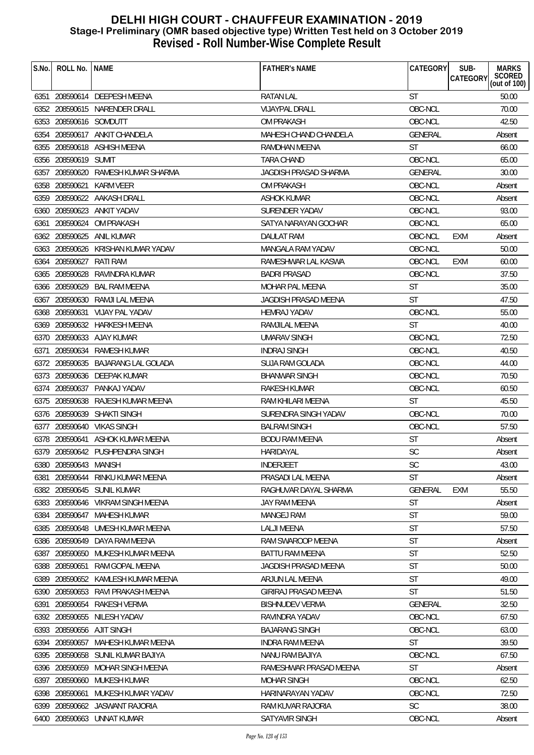| S.No. | ROLL No. NAME          |                                    | <b>FATHER'S NAME</b>         | CATEGORY       | SUB-<br><b>MARKS</b><br>SCORED<br>(out of 100)<br>CATEGORY |
|-------|------------------------|------------------------------------|------------------------------|----------------|------------------------------------------------------------|
|       |                        | 6351 208590614 DEEPESH MEENA       | <b>RATAN LAL</b>             | <b>ST</b>      | 50.00                                                      |
|       |                        | 6352 208590615 NARENDER DRALL      | <b>VIJAYPAL DRALL</b>        | OBC-NCL        | 70.00                                                      |
|       | 6353 208590616 SOMDUTT |                                    | <b>OM PRAKASH</b>            | OBC-NCL        | 42.50                                                      |
|       |                        | 6354 208590617 ANKIT CHANDELA      | MAHESH CHAND CHANDELA        | <b>GENERAL</b> | Absent                                                     |
|       |                        | 6355 208590618 ASHISH MEENA        | RAMDHAN MEENA                | <b>ST</b>      | 66.00                                                      |
|       | 6356 208590619         | SUMIT                              | TARA CHAND                   | OBC-NCL        | 65.00                                                      |
|       |                        | 6357 208590620 RAMESH KUMAR SHARMA | <b>JAGDISH PRASAD SHARMA</b> | <b>GENERAL</b> | 30.00                                                      |
|       | 6358 208590621         | KARM VEER                          | OM PRAKASH                   | OBC-NCL        | Absent                                                     |
|       |                        | 6359 208590622 AAKASH DRALL        | <b>ASHOK KUMAR</b>           | OBC-NCL        | Absent                                                     |
|       |                        | 6360 208590623 ANKIT YADAV         | SURENDER YADAV               | OBC-NCL        | 93.00                                                      |
|       | 6361 208590624         | OM PRAKASH                         | SATYA NARAYAN GOCHAR         | OBC-NCL        | 65.00                                                      |
|       | 6362 208590625         | ANIL KUMAR                         | DAULAT RAM                   | OBC-NCL        | EXM<br>Absent                                              |
|       |                        | 6363 208590626 KRISHAN KUMAR YADAV | MANGALA RAM YADAV            | OBC-NCL        | 50.00                                                      |
| 6364  | 208590627              | RATI RAM                           | RAMESHWAR LAL KASWA          | OBC-NCL        | 60.00<br>EXM                                               |
|       | 6365 208590628         | RAVINDRA KUMAR                     | <b>BADRI PRASAD</b>          | OBC-NCL        | 37.50                                                      |
|       | 6366 208590629         | BAL RAM MEENA                      | <b>MOHAR PAL MEENA</b>       | <b>ST</b>      | 35.00                                                      |
|       | 6367 208590630         | RAMJI LAL MEENA                    | <b>JAGDISH PRASAD MEENA</b>  | <b>ST</b>      | 47.50                                                      |
|       |                        | 6368 208590631 VIJAY PAL YADAV     | <b>HEMRAJ YADAV</b>          | OBC-NCL        | 55.00                                                      |
|       |                        | 6369 208590632 HARKESH MEENA       | RAMJILAL MEENA               | <b>ST</b>      | 40.00                                                      |
|       |                        | 6370 208590633 AJAY KUMAR          | <b>UMARAV SINGH</b>          | OBC-NCL        | 72.50                                                      |
| 6371  |                        | 208590634 RAMESH KUMAR             | <b>INDRAJ SINGH</b>          | OBC-NCL        | 40.50                                                      |
|       |                        | 6372 208590635 BAJARANG LAL GOLADA | SUJA RAM GOLADA              | OBC-NCL        | 44.00                                                      |
|       |                        | 6373 208590636 DEEPAK KUMAR        | <b>BHANWAR SINGH</b>         | OBC-NCL        | 70.50                                                      |
|       |                        | 6374 208590637 PANKAJ YADAV        | RAKESH KUMAR                 | OBC-NCL        | 60.50                                                      |
|       |                        | 6375 208590638 RAJESH KUMAR MEENA  | RAM KHILARI MEENA            | <b>ST</b>      | 45.50                                                      |
|       | 6376 208590639         | SHAKTI SINGH                       | SURENDRA SINGH YADAV         | OBC-NCL        | 70.00                                                      |
|       |                        | 6377 208590640 VIKAS SINGH         | <b>BALRAM SINGH</b>          | OBC-NCL        | 57.50                                                      |
|       | 6378 208590641         | ASHOK KUMAR MEENA                  | <b>BODU RAM MEENA</b>        | <b>ST</b>      | Absent                                                     |
|       |                        | 6379 208590642 PUSHPENDRA SINGH    | HARIDAYAL                    | <b>SC</b>      | Absent                                                     |
|       | 6380 208590643 MANISH  |                                    | <b>INDERJEET</b>             | SC             | 43.00                                                      |
| 6381  |                        | 208590644 RINKU KUMAR MEENA        | PRASADI LAL MEENA            | <b>ST</b>      | Absent                                                     |
|       |                        | 6382 208590645 SUNIL KUMAR         | RAGHUVAR DAYAL SHARMA        | <b>GENERAL</b> | <b>EXM</b><br>55.50                                        |
|       |                        | 6383 208590646 VIKRAM SINGH MEENA  | JAY RAM MEENA                | ST             | Absent                                                     |
|       | 6384 208590647         | MAHESH KUMAR                       | MANGEJ RAM                   | <b>ST</b>      | 59.00                                                      |
|       |                        | 6385 208590648 UMESH KUMAR MEENA   | <b>LALJI MEENA</b>           | <b>ST</b>      | 57.50                                                      |
| 6386  | 208590649              | DAYA RAM MEENA                     | RAM SWAROOP MEENA            | ST             | Absent                                                     |
|       |                        | 6387 208590650 MUKESH KUMAR MEENA  | BATTU RAM MEENA              | <b>ST</b>      | 52.50                                                      |
|       | 6388 208590651         | RAM GOPAL MEENA                    | JAGDISH PRASAD MEENA         | <b>ST</b>      | 50.00                                                      |
| 6389  |                        | 208590652 KAMLESH KUMAR MEENA      | ARJUN LAL MEENA              | <b>ST</b>      | 49.00                                                      |
|       |                        | 6390 208590653 RAVI PRAKASH MEENA  | GIRIRAJ PRASAD MEENA         | <b>ST</b>      | 51.50                                                      |
| 6391  | 208590654              | RAKESH VERMA                       | BISHNUDEV VERMA              | <b>GENERAL</b> | 32.50                                                      |
|       | 6392 208590655         | NILESH YADAV                       | RAVINDRA YADAV               | OBC-NCL        | 67.50                                                      |
|       |                        | 6393 208590656 AJIT SINGH          | <b>BAJARANG SINGH</b>        | OBC-NCL        | 63.00                                                      |
|       | 6394 208590657         | MAHESH KUMAR MEENA                 | INDRA RAM MEENA              | ST             | 39.50                                                      |
|       | 6395 208590658         | SUNIL KUMAR BAJIYA                 | NANU RAM BAJIYA              | OBC-NCL        | 67.50                                                      |
|       |                        | 6396 208590659 MOHAR SINGH MEENA   | RAMESHWAR PRASAD MEENA       | <b>ST</b>      | Absent                                                     |
| 6397  | 208590660              | MUKESH KUMAR                       | <b>MOHAR SINGH</b>           | OBC-NCL        | 62.50                                                      |
|       | 6398 208590661         | MUKESH KUMAR YADAV                 | HARINARAYAN YADAV            | OBC-NCL        | 72.50                                                      |
|       |                        | 6399 208590662 JASWANT RAJORIA     | RAM KUVAR RAJORIA            | <b>SC</b>      | 38.00                                                      |
|       |                        | 6400 208590663 UNNAT KUMAR         | <b>SATYAVIR SINGH</b>        | OBC-NCL        | Absent                                                     |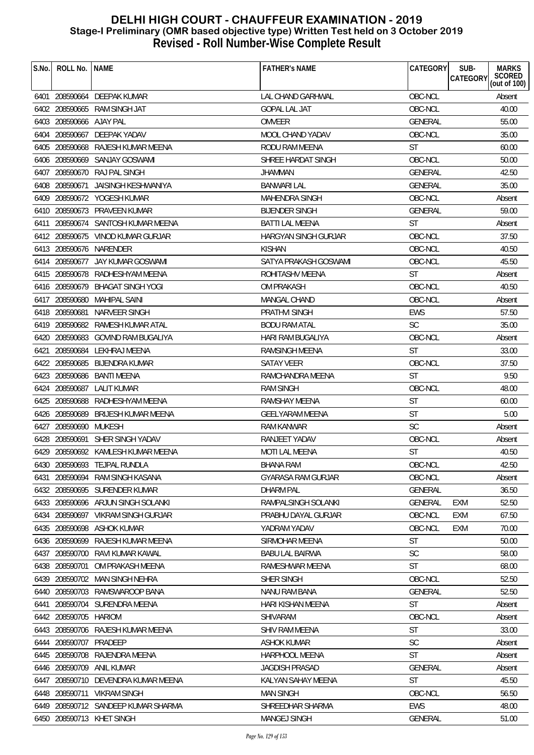| S.No. | ROLL No.   NAME         |                                     | <b>FATHER'S NAME</b>     | CATEGORY       | <b>MARKS</b><br>SUB-               |
|-------|-------------------------|-------------------------------------|--------------------------|----------------|------------------------------------|
|       |                         |                                     |                          |                | SCORED<br>CATEGORY<br>(out of 100) |
|       |                         | 6401 208590664 DEEPAK KUMAR         | <b>LAL CHAND GARHWAL</b> | OBC-NCL        | Absent                             |
|       |                         | 6402 208590665 RAM SINGH JAT        | <b>GOPAL LAL JAT</b>     | OBC-NCL        | 40.00                              |
|       | 6403 208590666 AJAY PAL |                                     | <b>OMVEER</b>            | <b>GENERAL</b> | 55.00                              |
|       |                         | 6404 208590667 DEEPAK YADAV         | MOOL CHAND YADAV         | OBC-NCL        | 35.00                              |
|       |                         | 6405 208590668 RAJESH KUMAR MEENA   | RODU RAM MEENA           | <b>ST</b>      | 60.00                              |
|       | 6406 208590669          | SANJAY GOSWAMI                      | SHREE HARDAT SINGH       | OBC-NCL        | 50.00                              |
|       |                         | 6407 208590670 RAJ PAL SINGH        | <b>JHAMMAN</b>           | <b>GENERAL</b> | 42.50                              |
|       | 6408 208590671          | JAISINGH KESHWANIYA                 | <b>BANWARI LAL</b>       | <b>GENERAL</b> | 35.00                              |
|       |                         | 6409 208590672 YOGESH KUMAR         | MAHENDRA SINGH           | OBC-NCL        | Absent                             |
|       |                         | 6410 208590673 PRAVEEN KUMAR        | <b>BIJENDER SINGH</b>    | <b>GENERAL</b> | 59.00                              |
|       |                         | 6411 208590674 SANTOSH KUMAR MEENA  | <b>BATTI LAL MEENA</b>   | <b>ST</b>      | Absent                             |
|       |                         | 6412 208590675 VINOD KUMAR GURJAR   | HARGYAN SINGH GURJAR     | OBC-NCL        | 37.50                              |
|       |                         | 6413 208590676 NARENDER             | <b>KISHAN</b>            | OBC-NCL        | 40.50                              |
|       |                         | 6414 208590677 JAY KUMAR GOSWAMI    | SATYA PRAKASH GOSWAMI    | OBC-NCL        | 45.50                              |
|       |                         | 6415 208590678 RADHESHYAM MEENA     | ROHITASHV MEENA          | <b>ST</b>      | Absent                             |
|       |                         | 6416 208590679 BHAGAT SINGH YOGI    | OM PRAKASH               | OBC-NCL        | 40.50                              |
|       |                         | 6417 208590680 MAHIPAL SAINI        | <b>MANGAL CHAND</b>      | OBC-NCL        | Absent                             |
|       |                         | 6418 208590681 NARVEER SINGH        | PRATHVI SINGH            | <b>EWS</b>     | 57.50                              |
|       |                         | 6419 208590682 RAMESH KUMAR ATAL    | <b>BODU RAM ATAL</b>     | <b>SC</b>      | 35.00                              |
|       |                         | 6420 208590683 GOVIND RAM BUGALIYA  | HARI RAM BUGALIYA        | OBC-NCL        | Absent                             |
|       |                         | 6421 208590684 LEKHRAJ MEENA        | RAMSINGH MEENA           | ST             | 33.00                              |
|       |                         | 6422 208590685 BIJENDRA KUMAR       | <b>SATAY VEER</b>        | OBC-NCL        | 37.50                              |
|       |                         | 6423 208590686 BANTI MEENA          | RAMCHANDRA MEENA         | <b>ST</b>      | 9.50                               |
|       |                         | 6424 208590687 LALIT KUMAR          | <b>RAM SINGH</b>         | OBC-NCL        | 48.00                              |
|       |                         | 6425 208590688 RADHESHYAM MEENA     | RAMSHAY MEENA            | <b>ST</b>      | 60.00                              |
|       | 6426 208590689          | BRIJESH KUMAR MEENA                 | <b>GEELYARAM MEENA</b>   | <b>ST</b>      | 5.00                               |
|       | 6427 208590690 MUKESH   |                                     | <b>RAM KANWAR</b>        | <b>SC</b>      | Absent                             |
|       |                         | 6428 208590691 SHER SINGH YADAV     | RANJEET YADAV            | OBC-NCL        | Absent                             |
|       |                         | 6429 208590692 KAMLESH KUMAR MEENA  | <b>MOTI LAL MEENA</b>    | <b>ST</b>      | 40.50                              |
|       |                         | 6430 208590693 TEJPAL RUNDLA        | <b>BHANA RAM</b>         | OBC-NCL        | 42.50                              |
| 6431  | 208590694               | RAM SINGH KASANA                    | GYARASA RAM GURJAR       | OBC-NCL        | Absent                             |
|       |                         | 6432 208590695 SURENDER KUMAR       | DHARM PAL                | <b>GENERAL</b> | 36.50                              |
|       |                         | 6433 208590696 ARJUN SINGH SOLANKI  | RAMPALSINGH SOLANKI      | <b>GENERAL</b> | 52.50<br><b>EXM</b>                |
|       |                         | 6434 208590697 VIKRAM SINGH GURJAR  | PRABHU DAYAL GURJAR      | OBC-NCL        | <b>EXM</b><br>67.50                |
|       |                         | 6435 208590698 ASHOK KUMAR          | YADRAM YADAV             | OBC-NCL        | 70.00<br><b>EXM</b>                |
|       | 6436 208590699          | RAJESH KUMAR MEENA                  | SIRMOHAR MEENA           | <b>ST</b>      | 50.00                              |
|       | 6437 208590700          | RAVI KUMAR KAWAL                    | <b>BABU LAL BAIRWA</b>   | <b>SC</b>      | 58.00                              |
|       | 6438 208590701          | OM PRAKASH MEENA                    | RAMESHWAR MEENA          | <b>ST</b>      | 68.00                              |
|       |                         | 6439 208590702 MAN SINGH NEHRA      | SHER SINGH               | OBC-NCL        | 52.50                              |
|       |                         | 6440 208590703 RAMSWAROOP BANA      | NANU RAM BANA            | <b>GENERAL</b> | 52.50                              |
| 6441  |                         | 208590704 SURENDRA MEENA            | HARI KISHAN MEENA        | <b>ST</b>      | Absent                             |
|       | 6442 208590705 HARIOM   |                                     | SHIVARAM                 | OBC-NCL        | Absent                             |
|       |                         | 6443 208590706 RAJESH KUMAR MEENA   | <b>SHIV RAM MEENA</b>    | <b>ST</b>      | 33.00                              |
|       | 6444 208590707 PRADEEP  |                                     | <b>ASHOK KUMAR</b>       | <b>SC</b>      | Absent                             |
|       | 6445 208590708          | RAJENDRA MEENA                      | HARPHOOL MEENA           | <b>ST</b>      | Absent                             |
|       | 6446 208590709          | ANIL KUMAR                          | <b>JAGDISH PRASAD</b>    | <b>GENERAL</b> | Absent                             |
|       |                         | 6447 208590710 DEVENDRA KUMAR MEENA | KALYAN SAHAY MEENA       | <b>ST</b>      | 45.50                              |
|       | 6448 208590711          | <b>VIKRAM SINGH</b>                 | <b>MAN SINGH</b>         | OBC-NCL        | 56.50                              |
|       |                         | 6449 208590712 SANDEEP KUMAR SHARMA | SHREEDHAR SHARMA         | <b>EWS</b>     | 48.00                              |
|       |                         | 6450 208590713 KHET SINGH           | MANGEJ SINGH             | <b>GENERAL</b> | 51.00                              |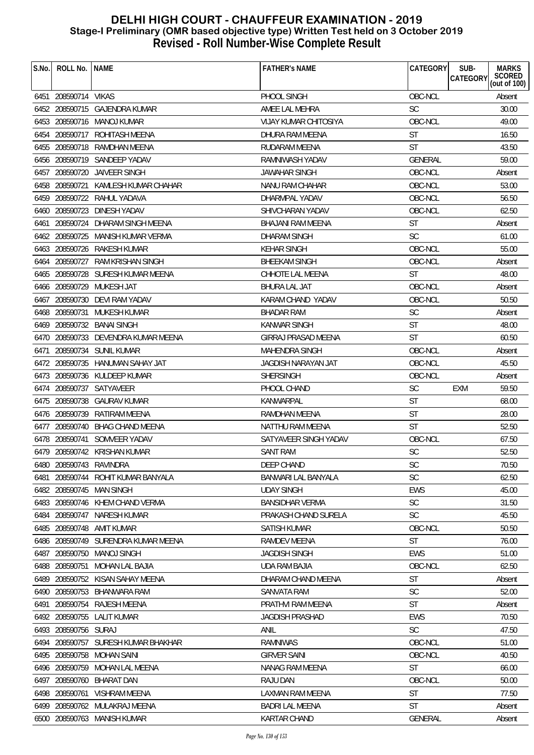| S.No. | ROLL No.                | <b>NAME</b>                         | <b>FATHER'S NAME</b>       | <b>CATEGORY</b> | SUB-<br><b>MARKS</b>                                |
|-------|-------------------------|-------------------------------------|----------------------------|-----------------|-----------------------------------------------------|
|       |                         |                                     |                            |                 | <b>SCORED</b><br><b>CATEGORY</b><br>(out of $100$ ) |
|       | 6451 208590714 VIKAS    |                                     | PHOOL SINGH                | OBC-NCL         | Absent                                              |
|       |                         | 6452 208590715 GAJENDRA KUMAR       | AMEE LAL MEHRA             | <b>SC</b>       | 30.00                                               |
|       |                         | 6453 208590716 MANOJ KUMAR          | VIJAY KUMAR CHITOSIYA      | OBC-NCL         | 49.00                                               |
| 6454  |                         | 208590717 ROHITASH MEENA            | DHURA RAM MEENA            | <b>ST</b>       | 16.50                                               |
|       | 6455 208590718          | RAMDHAN MEENA                       | RUDARAM MEENA              | <b>ST</b>       | 43.50                                               |
|       |                         | 6456 208590719 SANDEEP YADAV        | RAMNIWASH YADAV            | <b>GENERAL</b>  | 59.00                                               |
| 6457  | 208590720               | JAIVEER SINGH                       | JAWAHAR SINGH              | OBC-NCL         | Absent                                              |
|       | 6458 208590721          | KAMLESH KUMAR CHAHAR                | NANU RAM CHAHAR            | OBC-NCL         | 53.00                                               |
|       |                         | 6459 208590722 RAHUL YADAVA         | DHARMPAL YADAV             | OBC-NCL         | 56.50                                               |
| 6460  |                         | 208590723 DINESH YADAV              | SHIVCHARAN YADAV           | OBC-NCL         | 62.50                                               |
| 6461  | 208590724               | DHARAM SINGH MEENA                  | BHAJANI RAM MEENA          | ST              | Absent                                              |
|       | 6462 208590725          | MANISH KUMAR VERMA                  | <b>DHARAM SINGH</b>        | <b>SC</b>       | 61.00                                               |
|       |                         | 6463 208590726 RAKESH KUMAR         | KEHAR SINGH                | OBC-NCL         | 55.00                                               |
| 6464  | 208590727               | <b>RAM KRISHAN SINGH</b>            | <b>BHEEKAM SINGH</b>       | OBC-NCL         | Absent                                              |
|       |                         | 6465 208590728 SURESH KUMAR MEENA   | CHHOTE LAL MEENA           | <b>ST</b>       | 48.00                                               |
|       | 6466 208590729          | MUKESH JAT                          | <b>BHURA LAL JAT</b>       | OBC-NCL         | Absent                                              |
| 6467  |                         | 208590730 DEVI RAM YADAV            | KARAM CHAND YADAV          | OBC-NCL         | 50.50                                               |
|       |                         | 6468 208590731 MUKESH KUMAR         | <b>BHADAR RAM</b>          | <b>SC</b>       | Absent                                              |
|       |                         | 6469 208590732 BANAI SINGH          | <b>KANWAR SINGH</b>        | <b>ST</b>       | 48.00                                               |
|       |                         | 6470 208590733 DEVENDRA KUMAR MEENA | <b>GIRRAJ PRASAD MEENA</b> | <b>ST</b>       | 60.50                                               |
| 6471  |                         | 208590734 SUNIL KUMAR               | MAHENDRA SINGH             | OBC-NCL         | Absent                                              |
|       |                         | 6472 208590735 HANUMAN SAHAY JAT    | JAGDISH NARAYAN JAT        | OBC-NCL         | 45.50                                               |
|       |                         | 6473 208590736 KULDEEP KUMAR        | SHERSINGH                  | OBC-NCL         | Absent                                              |
|       |                         | 6474 208590737 SATYAVEER            | PHOOL CHAND                | <b>SC</b>       | 59.50<br><b>EXM</b>                                 |
|       |                         | 6475 208590738 GAURAV KUMAR         | KANWARPAL                  | <b>ST</b>       | 68.00                                               |
|       |                         | 6476 208590739 RATIRAM MEENA        | <b>RAMDHAN MEENA</b>       | <b>ST</b>       | 28.00                                               |
|       |                         | 6477 208590740 BHAG CHAND MEENA     | NATTHU RAM MEENA           | ST              | 52.50                                               |
|       |                         | 6478 208590741 SOMVEER YADAV        | SATYAVEER SINGH YADAV      | OBC-NCL         | 67.50                                               |
|       |                         | 6479 208590742 KRISHAN KUMAR        | <b>SANT RAM</b>            | <b>SC</b>       | 52.50                                               |
|       | 6480 208590743 RAVINDRA |                                     | DEEP CHAND                 | SC              | 70.50                                               |
| 6481  |                         | 208590744 ROHIT KUMAR BANYALA       | BANWARI LAL BANYALA        | <b>SC</b>       | 62.50                                               |
|       |                         | 6482 208590745 MAN SINGH            | <b>UDAY SINGH</b>          | <b>EWS</b>      | 45.00                                               |
|       |                         | 6483 208590746 KHEM CHAND VERMA     | <b>BANSIDHAR VERMA</b>     | <b>SC</b>       | 31.50                                               |
|       |                         | 6484 208590747 NARESH KUMAR         | PRAKASH CHAND SURELA       | <b>SC</b>       | 45.50                                               |
|       |                         | 6485 208590748 AMIT KUMAR           | SATISH KUMAR               | OBC-NCL         | 50.50                                               |
|       |                         | 6486 208590749 SURENDRA KUMAR MEENA | RAMDEV MEENA               | ST              | 76.00                                               |
|       |                         | 6487 208590750 MANOJ SINGH          | <b>JAGDISH SINGH</b>       | <b>EWS</b>      | 51.00                                               |
|       |                         | 6488 208590751 MOHAN LAL BAJIA      | <b>UDA RAM BAJIA</b>       | OBC-NCL         | 62.50                                               |
| 6489  |                         | 208590752 KISAN SAHAY MEENA         | DHARAM CHAND MEENA         | <b>ST</b>       | Absent                                              |
|       |                         | 6490 208590753 BHANWARA RAM         | SANVATA RAM                | <b>SC</b>       | 52.00                                               |
| 6491  |                         | 208590754 RAJESH MEENA              | PRATHVI RAM MEENA          | <b>ST</b>       | Absent                                              |
|       |                         | 6492 208590755 LALIT KUMAR          | <b>JAGDISH PRASHAD</b>     | EWS             | 70.50                                               |
|       | 6493 208590756 SURAJ    |                                     | <b>ANIL</b>                | <b>SC</b>       | 47.50                                               |
|       |                         | 6494 208590757 SURESH KUMAR BHAKHAR | <b>RAMNIWAS</b>            | OBC-NCL         | 51.00                                               |
|       | 6495 208590758          | MOHAN SAINI                         | <b>GIRVER SAINI</b>        | OBC-NCL         | 40.50                                               |
|       |                         | 6496 208590759 MOHAN LAL MEENA      | NANAG RAM MEENA            | <b>ST</b>       | 66.00                                               |
|       | 6497 208590760          | <b>BHARAT DAN</b>                   | RAJU DAN                   | OBC-NCL         | 50.00                                               |
|       | 6498 208590761          | <b>VISHRAM MEENA</b>                | <b>LAXMAN RAM MEENA</b>    | <b>ST</b>       | 77.50                                               |
|       |                         | 6499 208590762 MULAKRAJ MEENA       | <b>BADRI LAL MEENA</b>     | <b>ST</b>       | Absent                                              |
|       |                         | 6500 208590763 MANISH KUMAR         | KARTAR CHAND               | GENERAL         | Absent                                              |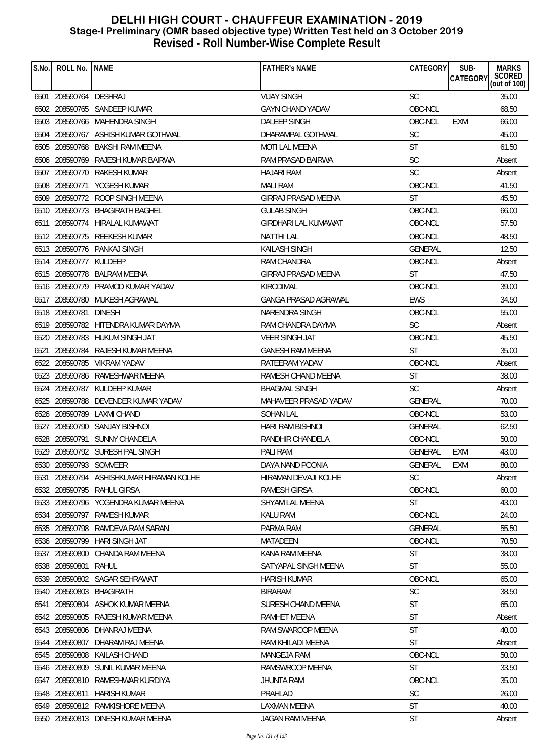| S.No. | ROLL No.   NAME        |                                     | <b>FATHER'S NAME</b>        | CATEGORY       | SUB-<br>CATEGORY | <b>MARKS</b><br>SCORED<br>(out of 100) |
|-------|------------------------|-------------------------------------|-----------------------------|----------------|------------------|----------------------------------------|
|       | 6501 208590764 DESHRAJ |                                     | <b>VIJAY SINGH</b>          | <b>SC</b>      |                  | 35.00                                  |
|       |                        | 6502 208590765 SANDEEP KUMAR        | <b>GAYN CHAND YADAV</b>     | OBC-NCL        |                  | 68.50                                  |
|       |                        | 6503 208590766 MAHENDRA SINGH       | <b>DALEEP SINGH</b>         | OBC-NCL        | <b>EXM</b>       | 66.00                                  |
|       |                        | 6504 208590767 ASHISH KUMAR GOTHWAL | DHARAMPAL GOTHWAL           | <b>SC</b>      |                  | 45.00                                  |
|       |                        | 6505 208590768 BAKSHI RAM MEENA     | <b>MOTI LAL MEENA</b>       | <b>ST</b>      |                  | 61.50                                  |
|       |                        | 6506 208590769 RAJESH KUMAR BAIRWA  | RAM PRASAD BAIRWA           | <b>SC</b>      |                  | Absent                                 |
|       |                        | 6507 208590770 RAKESH KUMAR         | <b>HAJARI RAM</b>           | <b>SC</b>      |                  | Absent                                 |
|       |                        | 6508 208590771 YOGESH KUMAR         | <b>MALI RAM</b>             | OBC-NCL        |                  | 41.50                                  |
|       |                        | 6509 208590772 ROOP SINGH MEENA     | <b>GIRRAJ PRASAD MEENA</b>  | <b>ST</b>      |                  | 45.50                                  |
|       |                        | 6510 208590773 BHAGIRATH BAGHEL     | <b>GULAB SINGH</b>          | OBC-NCL        |                  | 66.00                                  |
|       |                        | 6511 208590774 HIRALAL KUMAWAT      | GIRDHARI LAL KUMAWAT        | OBC-NCL        |                  | 57.50                                  |
|       |                        | 6512 208590775 REEKESH KUMAR        | <b>NATTHI LAL</b>           | OBC-NCL        |                  | 48.50                                  |
|       |                        | 6513 208590776 PANKAJ SINGH         | KAILASH SINGH               | <b>GENERAL</b> |                  | 12.50                                  |
|       | 6514 208590777 KULDEEP |                                     | <b>RAM CHANDRA</b>          | OBC-NCL        |                  | Absent                                 |
|       |                        | 6515 208590778 BALRAM MEENA         | <b>GIRRAJ PRASAD MEENA</b>  | ST             |                  | 47.50                                  |
|       |                        | 6516 208590779 PRAMOD KUMAR YADAV   | KIRODIMAL                   | OBC-NCL        |                  | 39.00                                  |
|       |                        | 6517 208590780 MUKESH AGRAWAL       | <b>GANGA PRASAD AGRAWAL</b> | <b>EWS</b>     |                  | 34.50                                  |
|       | 6518 208590781 DINESH  |                                     | NARENDRA SINGH              | OBC-NCL        |                  | 55.00                                  |
|       |                        | 6519 208590782 HITENDRA KUMAR DAYMA | RAM CHANDRA DAYMA           | <b>SC</b>      |                  | Absent                                 |
|       |                        | 6520 208590783 HUKUM SINGH JAT      | <b>VEER SINGH JAT</b>       | OBC-NCL        |                  | 45.50                                  |
| 6521  |                        | 208590784 RAJESH KUMAR MEENA        | <b>GANESH RAM MEENA</b>     | <b>ST</b>      |                  | 35.00                                  |
|       |                        | 6522 208590785 VIKRAM YADAV         | RATEERAM YADAV              | OBC-NCL        |                  | Absent                                 |
|       |                        | 6523 208590786 RAMESHWAR MEENA      | RAMESH CHAND MEENA          | <b>ST</b>      |                  | 38.00                                  |
|       |                        | 6524 208590787 KULDEEP KUMAR        | <b>BHAGMAL SINGH</b>        | <b>SC</b>      |                  | Absent                                 |
|       |                        | 6525 208590788 DEVENDER KUMAR YADAV | MAHAVEER PRASAD YADAV       | <b>GENERAL</b> |                  | 70.00                                  |
|       |                        | 6526 208590789 LAXMI CHAND          | <b>SOHAN LAL</b>            | OBC-NCL        |                  | 53.00                                  |
|       |                        | 6527 208590790 SANJAY BISHNOI       | <b>HARI RAM BISHNOI</b>     | <b>GENERAL</b> |                  | 62.50                                  |
|       |                        | 6528 208590791 SUNNY CHANDELA       | RANDHIR CHANDELA            | OBC-NCL        |                  | 50.00                                  |
|       |                        | 6529 208590792 SURESH PAL SINGH     | PALI RAM                    | <b>GENERAL</b> | <b>EXM</b>       | 43.00                                  |
|       | 6530 208590793 SOMVEER |                                     | DAYA NAND POONIA            | GENERAL        | EXM              | 80.00                                  |
| 6531  |                        | 208590794 ASHISHKUMAR HIRAMAN KOLHE | HIRAMAN DEVAJI KOLHE        | SC.            |                  | Absent                                 |
|       |                        | 6532 208590795 RAHUL GIRSA          | <b>RAMESH GIRSA</b>         | OBC-NCL        |                  | 60.00                                  |
|       |                        | 6533 208590796 YOGENDRA KUMAR MEENA | SHYAM LAL MEENA             | <b>ST</b>      |                  | 43.00                                  |
|       |                        | 6534 208590797 RAMESH KUMAR         | <b>KALU RAM</b>             | OBC-NCL        |                  | 24.00                                  |
|       | 6535 208590798         | RAMDEVA RAM SARAN                   | PARMA RAM                   | <b>GENERAL</b> |                  | 55.50                                  |
|       | 6536 208590799         | HARI SINGH JAT                      | MATADEEN                    | OBC-NCL        |                  | 70.50                                  |
|       |                        | 6537 208590800 CHANDA RAM MEENA     | KANA RAM MEENA              | <b>ST</b>      |                  | 38.00                                  |
|       | 6538 208590801         | RAHUL                               | SATYAPAL SINGH MEENA        | <b>ST</b>      |                  | 55.00                                  |
|       |                        | 6539 208590802 SAGAR SEHRAWAT       | <b>HARISH KUMAR</b>         | OBC-NCL        |                  | 65.00                                  |
|       |                        | 6540 208590803 BHAGIRATH            | <b>BIRARAM</b>              | <b>SC</b>      |                  | 38.50                                  |
|       |                        | 6541 208590804 ASHOK KUMAR MEENA    | SURESH CHAND MEENA          | <b>ST</b>      |                  | 65.00                                  |
|       |                        | 6542 208590805 RAJESH KUMAR MEENA   | RAMHET MEENA                | <b>ST</b>      |                  | Absent                                 |
|       |                        | 6543 208590806 DHANRAJ MEENA        | RAM SWAROOP MEENA           | <b>ST</b>      |                  | 40.00                                  |
|       | 6544 208590807         | DHARAM RAJ MEENA                    | RAM KHILADI MEENA           | <b>ST</b>      |                  | Absent                                 |
|       | 6545 208590808         | KAILASH CHAND                       | MANGEJA RAM                 | OBC-NCL        |                  | 50.00                                  |
|       |                        | 6546 208590809 SUNIL KUMAR MEENA    | RAMSWROOP MEENA             | <b>ST</b>      |                  | 33.50                                  |
| 6547  | 208590810              | RAMESHWAR KURDIYA                   | <b>JHUNTA RAM</b>           | OBC-NCL        |                  | 35.00                                  |
|       | 6548 208590811         | <b>HARISH KUMAR</b>                 | PRAHLAD                     | <b>SC</b>      |                  | 26.00                                  |
|       |                        | 6549 208590812 RAMKISHORE MEENA     | LAXMAN MEENA                | <b>ST</b>      |                  | 40.00                                  |
|       |                        | 6550 208590813 DINESH KUMAR MEENA   | JAGAN RAM MEENA             | <b>ST</b>      |                  | Absent                                 |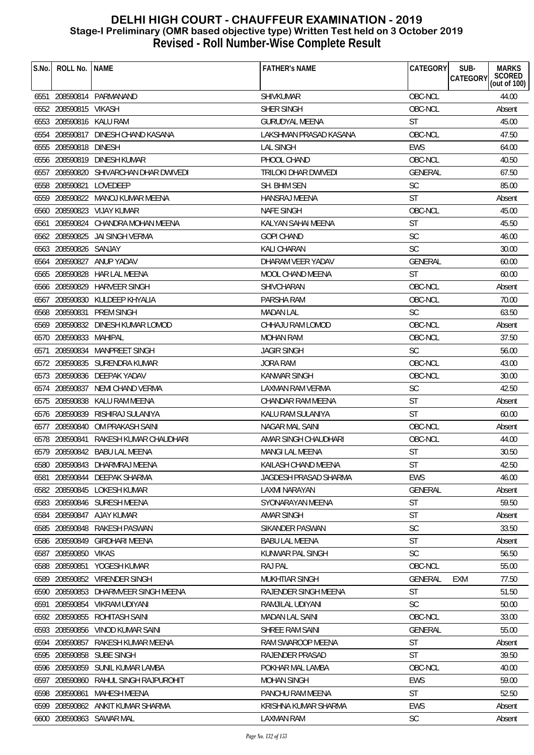| S.No. | ROLL No.                | <b>NAME</b>                            | <b>FATHER'S NAME</b>   | CATEGORY       | <b>MARKS</b><br>SUB-<br>SCORED<br>(out of 100)<br>CATEGORY |
|-------|-------------------------|----------------------------------------|------------------------|----------------|------------------------------------------------------------|
|       |                         |                                        |                        |                |                                                            |
|       |                         | 6551 208590814 PARMANAND               | <b>SHIVKUMAR</b>       | OBC-NCL        | 44.00                                                      |
|       | 6552 208590815 VIKASH   |                                        | SHER SINGH             | OBC-NCL        | Absent                                                     |
|       | 6553 208590816 KALU RAM |                                        | <b>GURUDYAL MEENA</b>  | <b>ST</b>      | 45.00                                                      |
|       |                         | 6554 208590817 DINESH CHAND KASANA     | LAKSHMAN PRASAD KASANA | OBC-NCL        | 47.50                                                      |
|       | 6555 208590818 DINESH   |                                        | <b>LAL SINGH</b>       | <b>EWS</b>     | 64.00                                                      |
|       |                         | 6556 208590819 DINESH KUMAR            | PHOOL CHAND            | OBC-NCL        | 40.50                                                      |
|       |                         | 6557 208590820 SHIVARCHAN DHAR DWIVEDI | TRILOKI DHAR DWIVEDI   | <b>GENERAL</b> | 67.50                                                      |
|       |                         | 6558 208590821 LOVEDEEP                | SH. BHIM SEN           | <b>SC</b>      | 85.00                                                      |
|       | 6559 208590822          | MANOJ KUMAR MEENA                      | <b>HANSRAJ MEENA</b>   | <b>ST</b>      | Absent                                                     |
|       |                         | 6560 208590823 VIJAY KUMAR             | NAFE SINGH             | OBC-NCL        | 45.00                                                      |
|       |                         | 6561 208590824 CHANDRA MOHAN MEENA     | KALYAN SAHAI MEENA     | <b>ST</b>      | 45.50                                                      |
|       | 6562 208590825          | JAI SINGH VERMA                        | <b>GOPI CHAND</b>      | <b>SC</b>      | 46.00                                                      |
|       | 6563 208590826 SANJAY   |                                        | KALI CHARAN            | <b>SC</b>      | 30.00                                                      |
|       | 6564 208590827          | ANUP YADAV                             | DHARAM VEER YADAV      | <b>GENERAL</b> | 60.00                                                      |
|       |                         | 6565 208590828 HAR LAL MEENA           | MOOL CHAND MEENA       | <b>ST</b>      | 60.00                                                      |
|       |                         | 6566 208590829 HARVEER SINGH           | SHIVCHARAN             | OBC-NCL        | Absent                                                     |
|       |                         | 6567 208590830 KULDEEP KHYALIA         | PARSHA RAM             | OBC-NCL        | 70.00                                                      |
|       |                         | 6568 208590831 PREM SINGH              | <b>MADAN LAL</b>       | <b>SC</b>      | 63.50                                                      |
|       |                         | 6569 208590832 DINESH KUMAR LOMOD      | CHHAJU RAM LOMOD       | OBC-NCL        | Absent                                                     |
|       | 6570 208590833 MAHIPAL  |                                        | <b>MOHAN RAM</b>       | OBC-NCL        | 37.50                                                      |
| 6571  |                         | 208590834 MANPREET SINGH               | <b>JAGIR SINGH</b>     | <b>SC</b>      | 56.00                                                      |
|       |                         | 6572 208590835 SURENDRA KUMAR          | JORA RAM               | OBC-NCL        | 43.00                                                      |
|       |                         | 6573 208590836 DEEPAK YADAV            | <b>KANWAR SINGH</b>    | OBC-NCL        | 30.00                                                      |
|       |                         | 6574 208590837 NEMI CHAND VERMA        | LAXMAN RAM VERMA       | <b>SC</b>      | 42.50                                                      |
|       | 6575 208590838          | KALU RAM MEENA                         | CHANDAR RAM MEENA      | <b>ST</b>      | Absent                                                     |
|       |                         | 6576 208590839 RISHIRAJ SULANIYA       | KALU RAM SULANIYA      | <b>ST</b>      | 60.00                                                      |
|       | 6577 208590840          | OM PRAKASH SAINI                       | <b>NAGAR MAL SAINI</b> | OBC-NCL        | Absent                                                     |
|       | 6578 208590841          | RAKESH KUMAR CHAUDHARI                 | AMAR SINGH CHAUDHARI   | OBC-NCL        | 44.00                                                      |
|       |                         | 6579 208590842 BABU LAL MEENA          | MANGI LAL MEENA        | <b>ST</b>      | 30.50                                                      |
| სუბს  |                         | 580 208590843 DHARMRAJ MEENA           | KAILASH CHAND MEENA    | <b>ST</b>      | 42.50                                                      |
| 6581  |                         | 208590844 DEEPAK SHARMA                | JAGDESH PRASAD SHARMA  | <b>EWS</b>     | 46.00                                                      |
|       |                         | 6582 208590845 LOKESH KUMAR            | LAXMI NARAYAN          | GENERAL        | Absent                                                     |
|       |                         | 6583 208590846 SURESH MEENA            | SYONARAYAN MEENA       | <b>ST</b>      | 59.50                                                      |
|       |                         | 6584 208590847 AJAY KUMAR              | <b>AMAR SINGH</b>      | <b>ST</b>      | Absent                                                     |
|       |                         | 6585 208590848 RAKESH PASWAN           | SIKANDER PASWAN        | <b>SC</b>      | 33.50                                                      |
| 6586  | 208590849               | <b>GIRDHARI MEENA</b>                  | <b>BABU LAL MEENA</b>  | <b>ST</b>      | Absent                                                     |
|       | 6587 208590850 VIKAS    |                                        | KUNWAR PAL SINGH       | <b>SC</b>      | 56.50                                                      |
|       | 6588 208590851          | YOGESH KUMAR                           | <b>RAJ PAL</b>         | OBC-NCL        | 55.00                                                      |
| 6589  |                         | 208590852 VIRENDER SINGH               | <b>MUKHTIAR SINGH</b>  | <b>GENERAL</b> | 77.50<br>EXM                                               |
|       |                         | 6590 208590853 DHARMVEER SINGH MEENA   | RAJENDER SINGH MEENA   | <b>ST</b>      | 51.50                                                      |
| 6591  |                         | 208590854 VIKRAM UDIYANI               | RAMJILAL UDIYANI       | <b>SC</b>      | 50.00                                                      |
|       | 6592 208590855          | ROHITASH SAINI                         | <b>MADAN LAL SAINI</b> | OBC-NCL        | 33.00                                                      |
|       |                         | 6593 208590856 VINOD KUMAR SAINI       | SHREE RAM SAINI        | <b>GENERAL</b> | 55.00                                                      |
|       | 6594 208590857          | RAKESH KUMAR MEENA                     | RAM SWAROOP MEENA      | <b>ST</b>      | Absent                                                     |
|       | 6595 208590858          | SUBE SINGH                             | RAJENDER PRASAD        | <b>ST</b>      | 39.50                                                      |
|       |                         | 6596 208590859 SUNIL KUMAR LAMBA       | POKHAR MAL LAMBA       | OBC-NCL        | 40.00                                                      |
| 6597  | 208590860               | RAHUL SINGH RAJPUROHIT                 | <b>MOHAN SINGH</b>     | <b>EWS</b>     | 59.00                                                      |
|       | 6598 208590861          | <b>MAHESH MEENA</b>                    | PANCHU RAM MEENA       | <b>ST</b>      | 52.50                                                      |
|       |                         | 6599 208590862 ANKIT KUMAR SHARMA      | KRISHNA KUMAR SHARMA   | <b>EWS</b>     | Absent                                                     |
|       |                         | 6600 208590863 SAWAR MAL               | LAXMAN RAM             | <b>SC</b>      | Absent                                                     |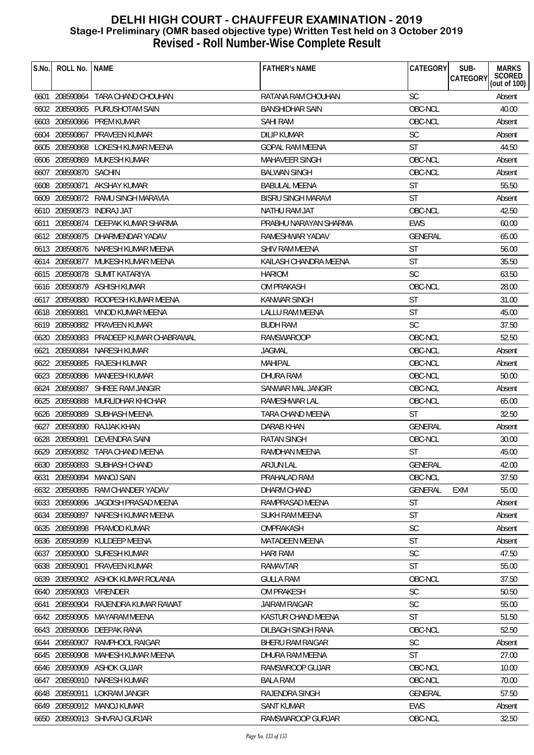| S.No. | ROLL No. NAME         |                                        | <b>FATHER'S NAME</b>      | CATEGORY       | SUB-<br><b>MARKS</b><br>SCORED<br>(out of 100)<br>CATEGORY |
|-------|-----------------------|----------------------------------------|---------------------------|----------------|------------------------------------------------------------|
|       |                       | 6601 208590864 TARA CHAND CHOUHAN      | RATANA RAM CHOUHAN        | <b>SC</b>      | Absent                                                     |
|       |                       | 6602 208590865 PURUSHOTAM SAIN         | <b>BANSHIDHAR SAIN</b>    | OBC-NCL        | 40.00                                                      |
|       |                       | 6603 208590866 PREM KUMAR              | <b>SAHI RAM</b>           | OBC-NCL        | Absent                                                     |
|       |                       | 6604 208590867 PRAVEEN KUMAR           | <b>DILIP KUMAR</b>        | <b>SC</b>      | Absent                                                     |
|       |                       | 6605 208590868 LOKESH KUMAR MEENA      | <b>GOPAL RAM MEENA</b>    | <b>ST</b>      | 44.50                                                      |
|       |                       | 6606 208590869 MUKESH KUMAR            | <b>MAHAVEER SINGH</b>     | OBC-NCL        | Absent                                                     |
|       | 6607 208590870 SACHIN |                                        | <b>BALWAN SINGH</b>       | OBC-NCL        | Absent                                                     |
|       | 6608 208590871        | AKSHAY KUMAR                           | <b>BABULAL MEENA</b>      | <b>ST</b>      | 55.50                                                      |
|       |                       | 6609 208590872 RAMU SINGH MARAVIA      | <b>BISRU SINGH MARAVI</b> | <b>ST</b>      | Absent                                                     |
|       |                       | 6610 208590873 INDRAJ JAT              | NATHU RAM JAT             | OBC-NCL        | 42.50                                                      |
|       | 6611 208590874        | DEEPAK KUMAR SHARMA                    | PRABHU NARAYAN SHARMA     | <b>EWS</b>     | 60.00                                                      |
|       |                       | 6612 208590875 DHARMENDAR YADAV        | RAMESHWAR YADAV           | GENERAL        | 65.00                                                      |
|       |                       | 6613 208590876 NARESH KUMAR MEENA      | <b>SHIV RAM MEENA</b>     | <b>ST</b>      | 56.00                                                      |
|       |                       | 6614 208590877 MUKESH KUMAR MEENA      | KAILASH CHANDRA MEENA     | <b>ST</b>      | 35.50                                                      |
|       |                       | 6615 208590878 SUMIT KATARIYA          | <b>HARIOM</b>             | <b>SC</b>      | 63.50                                                      |
|       |                       | 6616 208590879 ASHISH KUMAR            | <b>OM PRAKASH</b>         | OBC-NCL        | 28.00                                                      |
|       |                       | 6617 208590880 ROOPESH KUMAR MEENA     | <b>KANWAR SINGH</b>       | <b>ST</b>      | 31.00                                                      |
|       | 6618 208590881        | VINOD KUMAR MEENA                      | LALLU RAM MEENA           | <b>ST</b>      | 45.00                                                      |
|       |                       | 6619 208590882 PRAVEEN KUMAR           | <b>BUDH RAM</b>           | <b>SC</b>      | 37.50                                                      |
|       |                       | 6620 208590883 PRADEEP KUMAR CHABRAWAL | RAMSWAROOP                | OBC-NCL        | 52.50                                                      |
| 6621  |                       | 208590884 NARESH KUMAR                 | <b>JAGMAL</b>             | OBC-NCL        | Absent                                                     |
|       | 6622 208590885        | RAJESH KUMAR                           | MAHIPAL                   | OBC-NCL        | Absent                                                     |
|       |                       | 6623 208590886 MANEESH KUMAR           | <b>DHURA RAM</b>          | OBC-NCL        | 50.00                                                      |
|       | 6624 208590887        | SHREE RAM JANGIR                       | SANWAR MAL JANGIR         | OBC-NCL        | Absent                                                     |
|       | 6625 208590888        | MURLIDHAR KHICHAR                      | RAMESHWAR LAL             | OBC-NCL        | 65.00                                                      |
|       |                       | 6626 208590889 SUBHASH MEENA           | <b>TARA CHAND MEENA</b>   | <b>ST</b>      | 32.50                                                      |
|       | 6627 208590890        | RAJJAK KHAN                            | DARAB KHAN                | <b>GENERAL</b> | Absent                                                     |
|       | 6628 208590891        | DEVENDRA SAINI                         | <b>RATAN SINGH</b>        | OBC-NCL        | 30.00                                                      |
|       |                       | 6629 208590892 TARA CHAND MEENA        | <b>RAMDHAN MEENA</b>      | <b>ST</b>      | 45.00                                                      |
|       |                       | 6630 208590893 SUBHASH CHAND           | <b>ARJUN LAL</b>          | GENERAL        | 42.00                                                      |
| 6631  | 208590894             | MANOJ SAIN                             | PRAHALAD RAM              | OBC-NCL        | 37.50                                                      |
|       |                       | 6632 208590895 RAM CHANDER YADAV       | DHARM CHAND               | GENERAL        | 55.00<br><b>EXM</b>                                        |
|       |                       | 6633 208590896 JAGDISH PRASAD MEENA    | RAMPRASAD MEENA           | ST             | Absent                                                     |
|       | 6634 208590897        | NARESH KUMAR MEENA                     | <b>SUKH RAM MEENA</b>     | <b>ST</b>      | Absent                                                     |
|       | 6635 208590898        | PRAMOD KUMAR                           | <b>OMPRAKASH</b>          | <b>SC</b>      | Absent                                                     |
| 6636  | 208590899             | KULDEEP MEENA                          | <b>MATADEEN MEENA</b>     | <b>ST</b>      | Absent                                                     |
|       |                       | 6637 208590900 SURESH KUMAR            | <b>HARI RAM</b>           | <b>SC</b>      | 47.50                                                      |
|       | 6638 208590901        | <b>PRAVEEN KUMAR</b>                   | RAMAVTAR                  | <b>ST</b>      | 55.00                                                      |
| 6639  |                       | 208590902 ASHOK KUMAR ROLANIA          | <b>GULLA RAM</b>          | OBC-NCL        | 37.50                                                      |
| 6640  | 208590903             | VIRENDER                               | OM PRAKESH                | <b>SC</b>      | 50.50                                                      |
| 6641  | 208590904             | RAJENDRA KUMAR RAWAT                   | <b>JAIRAM RAIGAR</b>      | SC             | 55.00                                                      |
|       | 6642 208590905        | MAYARAM MEENA                          | KASTUR CHAND MEENA        | <b>ST</b>      | 51.50                                                      |
|       |                       | 6643 208590906 DEEPAK RANA             | DILBAGH SINGH RANA        | OBC-NCL        | 52.50                                                      |
|       | 6644 208590907        | RAMPHOOL RAIGAR                        | BHERU RAM RAIGAR          | <b>SC</b>      | Absent                                                     |
|       | 6645 208590908        | MAHESH KUMAR MEENA                     | DHURA RAM MEENA           | <b>ST</b>      | 27.00                                                      |
|       | 6646 208590909        | ASHOK GUJAR                            | RAMSWROOP GUJAR           | OBC-NCL        | 10.00                                                      |
| 6647  | 208590910             | NARESH KUMAR                           | <b>BALA RAM</b>           | OBC-NCL        | 70.00                                                      |
|       | 6648 208590911        | LOKRAM JANGIR                          | RAJENDRA SINGH            | <b>GENERAL</b> | 57.50                                                      |
|       |                       | 6649 208590912 MANOJ KUMAR             | <b>SANT KUMAR</b>         | EWS            | Absent                                                     |
|       |                       | 6650 208590913 SHIVRAJ GURJAR          | RAMSWAROOP GURJAR         | OBC-NCL        | 32.50                                                      |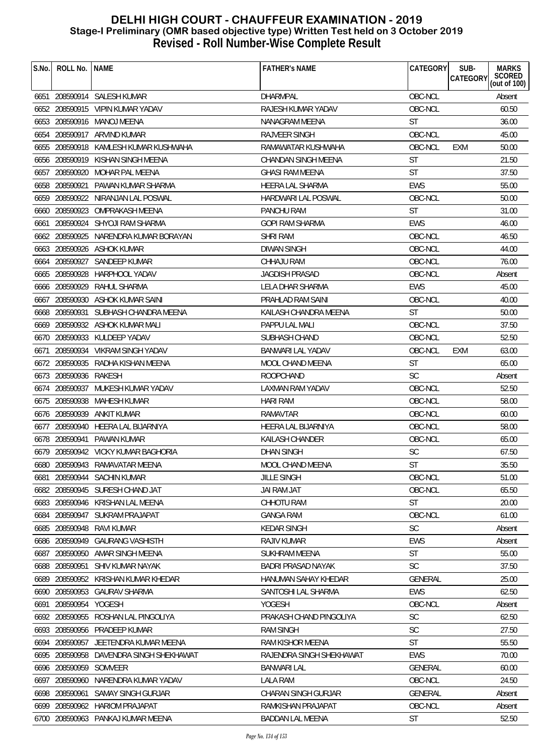| S.No.       | ROLL No. NAME          |                                       | <b>FATHER'S NAME</b>       | CATEGORY       | SUB-<br>CATEGORY | <b>MARKS</b><br>SCORED<br>(out of 100) |
|-------------|------------------------|---------------------------------------|----------------------------|----------------|------------------|----------------------------------------|
|             |                        | 6651 208590914 SALESH KUMAR           | <b>DHARMPAL</b>            | OBC-NCL        |                  | Absent                                 |
|             |                        | 6652 208590915 VIPIN KUMAR YADAV      | RAJESH KUMAR YADAV         | OBC-NCL        |                  | 60.50                                  |
|             |                        | 6653 208590916 MANOJ MEENA            | NANAGRAM MEENA             | <b>ST</b>      |                  | 36.00                                  |
|             |                        | 6654 208590917 ARVIND KUMAR           | <b>RAJVEER SINGH</b>       | OBC-NCL        |                  | 45.00                                  |
|             |                        | 6655 208590918 KAMLESH KUMAR KUSHWAHA | RAMAWATAR KUSHWAHA         | OBC-NCL        | <b>EXM</b>       | 50.00                                  |
|             |                        | 6656 208590919 KISHAN SINGH MEENA     | <b>CHANDAN SINGH MEENA</b> | <b>ST</b>      |                  | 21.50                                  |
| 6657        |                        | 208590920 MOHAR PAL MEENA             | <b>GHASI RAM MEENA</b>     | <b>ST</b>      |                  | 37.50                                  |
|             |                        | 6658 208590921 PAWAN KUMAR SHARMA     | HEERA LAL SHARMA           | <b>EWS</b>     |                  | 55.00                                  |
|             |                        | 6659 208590922 NIRANJAN LAL POSWAL    | <b>HARDWARI LAL POSWAL</b> | OBC-NCL        |                  | 50.00                                  |
|             |                        | 6660 208590923 OMPRAKASH MEENA        | PANCHU RAM                 | <b>ST</b>      |                  | 31.00                                  |
|             |                        | 6661 208590924 SHYOJI RAM SHARMA      | GOPI RAM SHARMA            | <b>EWS</b>     |                  | 46.00                                  |
|             |                        | 6662 208590925 NARENDRA KUMAR BORAYAN | <b>SHRI RAM</b>            | OBC-NCL        |                  | 46.50                                  |
|             |                        | 6663 208590926 ASHOK KUMAR            | DIWAN SINGH                | OBC-NCL        |                  | 44.00                                  |
| 6664        |                        | 208590927 SANDEEP KUMAR               | CHHAJU RAM                 | OBC-NCL        |                  | 76.00                                  |
|             |                        | 6665 208590928 HARPHOOL YADAV         | JAGDISH PRASAD             | OBC-NCL        |                  | Absent                                 |
|             | 6666 208590929         | RAHUL SHARMA                          | LELA DHAR SHARMA           | <b>EWS</b>     |                  | 45.00                                  |
|             |                        | 6667 208590930 ASHOK KUMAR SAINI      | PRAHLAD RAM SAINI          | OBC-NCL        |                  | 40.00                                  |
|             |                        | 6668 208590931 SUBHASH CHANDRA MEENA  | KAILASH CHANDRA MEENA      | <b>ST</b>      |                  | 50.00                                  |
|             |                        | 6669 208590932 ASHOK KUMAR MALI       | PAPPU LAL MALI             | OBC-NCL        |                  | 37.50                                  |
|             |                        | 6670 208590933 KULDEEP YADAV          | SUBHASH CHAND              | OBC-NCL        |                  | 52.50                                  |
| 6671        |                        | 208590934 VIKRAM SINGH YADAV          | BANWARI LAL YADAV          | OBC-NCL        | EXM              | 63.00                                  |
|             |                        | 6672 208590935 RADHA KISHAN MEENA     | MOOL CHAND MEENA           | <b>ST</b>      |                  | 65.00                                  |
|             | 6673 208590936 RAKESH  |                                       | <b>ROOPCHAND</b>           | <b>SC</b>      |                  | Absent                                 |
|             |                        | 6674 208590937 MUKESH KUMAR YADAV     | LAXMAN RAM YADAV           | OBC-NCL        |                  | 52.50                                  |
|             |                        | 6675 208590938 MAHESH KUMAR           | <b>HARI RAM</b>            | OBC-NCL        |                  | 58.00                                  |
|             |                        | 6676 208590939 ANKIT KUMAR            | <b>RAMAVTAR</b>            | OBC-NCL        |                  | 60.00                                  |
|             |                        | 6677 208590940 HEERA LAL BIJARNIYA    | HEERA LAL BIJARNIYA        | OBC-NCL        |                  | 58.00                                  |
|             |                        | 6678 208590941 PAWAN KUMAR            | KAILASH CHANDER            | OBC-NCL        |                  | 65.00                                  |
|             |                        | 6679 208590942 VICKY KUMAR BAGHORIA   | <b>DHAN SINGH</b>          | SC             |                  | 67.50                                  |
| <b>008U</b> |                        | 6680 208590943 RAMAVATAR MEENA        | MOOL CHAND MEENA           | <b>ST</b>      |                  | 35.50                                  |
| 6681        |                        | 208590944 SACHIN KUMAR                | <b>JILLE SINGH</b>         | OBC-NCL        |                  | 51.00                                  |
|             |                        | 6682 208590945 SURESH CHAND JAT       | JAI RAM JAT                | OBC-NCL        |                  | 65.50                                  |
|             |                        | 6683 208590946 KRISHAN LAL MEENA      | CHHOTU RAM                 | <b>ST</b>      |                  | 20.00                                  |
|             | 6684 208590947         | <b>SUKRAM PRAJAPAT</b>                | <b>GANGA RAM</b>           | OBC-NCL        |                  | 61.00                                  |
|             | 6685 208590948         | RAVI KUMAR                            | <b>KEDAR SINGH</b>         | <b>SC</b>      |                  | Absent                                 |
|             | 6686 208590949         | <b>GAURANG VASHISTH</b>               | RAJIV KUMAR                | EWS            |                  | Absent                                 |
|             |                        | 6687 208590950 AMAR SINGH MEENA       | SUKHRAM MEENA              | <b>ST</b>      |                  | 55.00                                  |
|             | 6688 208590951         | SHIV KUMAR NAYAK                      | BADRI PRASAD NAYAK         | <b>SC</b>      |                  | 37.50                                  |
| 6689        |                        | 208590952 KRISHAN KUMAR KHEDAR        | HANUMAN SAHAY KHEDAR       | <b>GENERAL</b> |                  | 25.00                                  |
|             |                        | 6690 208590953 GAURAV SHARMA          | SANTOSHI LAL SHARMA        | <b>EWS</b>     |                  | 62.50                                  |
|             | 6691 208590954 YOGESH  |                                       | YOGESH                     | OBC-NCL        |                  | Absent                                 |
|             |                        | 6692 208590955 ROSHAN LAL PINGOLIYA   | PRAKASH CHAND PINGOLIYA    | <b>SC</b>      |                  | 62.50                                  |
|             |                        | 6693 208590956 PRADEEP KUMAR          | <b>RAM SINGH</b>           | <b>SC</b>      |                  | 27.50                                  |
|             | 6694 208590957         | JEETENDRA KUMAR MEENA                 | RAM KISHOR MEENA           | <b>ST</b>      |                  | 55.50                                  |
|             | 6695 208590958         | DAVENDRA SINGH SHEKHAWAT              | RAJENDRA SINGH SHEKHAWAT   | <b>EWS</b>     |                  | 70.00                                  |
|             | 6696 208590959 SOMVEER |                                       | BANWARI LAL                | <b>GENERAL</b> |                  | 60.00                                  |
| 6697        | 208590960              | NARENDRA KUMAR YADAV                  | LALA RAM                   | OBC-NCL        |                  | 24.50                                  |
|             | 6698 208590961         | <b>SAMAY SINGH GURJAR</b>             | CHARAN SINGH GURJAR        | <b>GENERAL</b> |                  | Absent                                 |
|             |                        | 6699 208590962 HARIOM PRAJAPAT        | RAMKISHAN PRAJAPAT         | OBC-NCL        |                  | Absent                                 |
|             |                        | 6700 208590963 PANKAJ KUMAR MEENA     | <b>BADDAN LAL MEENA</b>    | <b>ST</b>      |                  | 52.50                                  |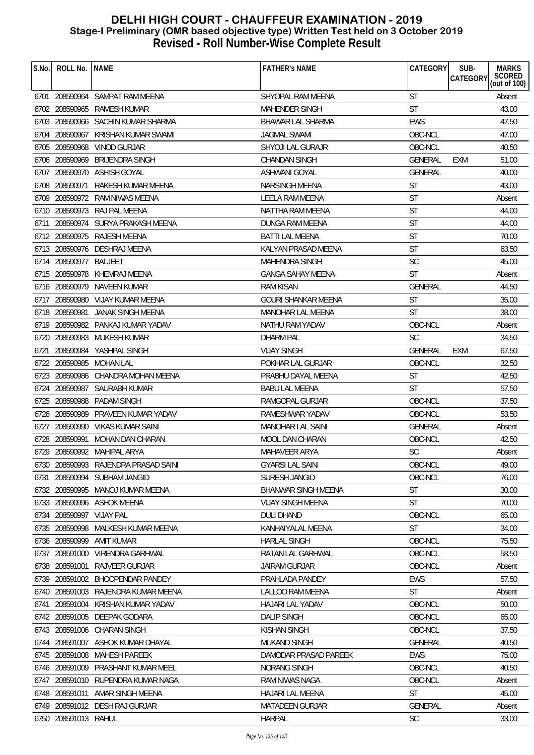| S.No. | ROLL No.                 | <b>NAME</b>                          | <b>FATHER'S NAME</b>       | CATEGORY       | SUB-<br>CATEGORY | <b>MARKS</b><br>SCORED<br>(out of 100) |
|-------|--------------------------|--------------------------------------|----------------------------|----------------|------------------|----------------------------------------|
|       |                          | 6701 208590964 SAMPAT RAM MEENA      | SHYOPAL RAM MEENA          | <b>ST</b>      |                  | Absent                                 |
|       | 6702 208590965           | RAMESH KUMAR                         | <b>MAHENDER SINGH</b>      | <b>ST</b>      |                  | 43.00                                  |
|       |                          | 6703 208590966 SACHIN KUMAR SHARMA   | <b>BHAWAR LAL SHARMA</b>   | <b>EWS</b>     |                  | 47.50                                  |
|       |                          | 6704 208590967 KRISHAN KUMAR SWAMI   | <b>JAGMAL SWAMI</b>        | OBC-NCL        |                  | 47.00                                  |
|       | 6705 208590968           | VINOD GURJAR                         | SHYOJI LAL GURAJR          | OBC-NCL        |                  | 40.50                                  |
|       | 6706 208590969           | <b>BRIJENDRA SINGH</b>               | <b>CHANDAN SINGH</b>       | GENERAL        | EXM              | 51.00                                  |
| 6707  |                          | 208590970 ASHISH GOYAL               | ASHWANI GOYAL              | <b>GENERAL</b> |                  | 40.00                                  |
|       | 6708 208590971           | RAKESH KUMAR MEENA                   | NARSINGH MEENA             | <b>ST</b>      |                  | 43.00                                  |
|       |                          | 6709 208590972 RAM NIWAS MEENA       | <b>LEELA RAM MEENA</b>     | <b>ST</b>      |                  | Absent                                 |
|       |                          | 6710 208590973 RAJ PAL MEENA         | NATTHA RAM MEENA           | <b>ST</b>      |                  | 44.00                                  |
| 6711  | 208590974                | SURYA PRAKASH MEENA                  | DUNGA RAM MEENA            | <b>ST</b>      |                  | 44.00                                  |
|       |                          | 6712 208590975 RAJESH MEENA          | <b>BATTI LAL MEENA</b>     | <b>ST</b>      |                  | 70.00                                  |
|       |                          | 6713 208590976 DESHRAJ MEENA         | KALYAN PRASAD MEENA        | <b>ST</b>      |                  | 63.50                                  |
|       | 6714 208590977 BALJEET   |                                      | <b>MAHENDRA SINGH</b>      | <b>SC</b>      |                  | 45.00                                  |
|       |                          | 6715 208590978 KHEMRAJ MEENA         | <b>GANGA SAHAY MEENA</b>   | <b>ST</b>      |                  | Absent                                 |
|       |                          | 6716 208590979 NAVEEN KUMAR          | <b>RAM KISAN</b>           | <b>GENERAL</b> |                  | 44.50                                  |
|       |                          | 6717 208590980 VIJAY KUMAR MEENA     | <b>GOURI SHANKAR MEENA</b> | <b>ST</b>      |                  | 35.00                                  |
|       |                          | 6718 208590981 JANAK SINGH MEENA     | <b>MANOHAR LAL MEENA</b>   | ST             |                  | 38.00                                  |
|       |                          | 6719 208590982 PANKAJ KUMAR YADAV    | NATHU RAM YADAV            | OBC-NCL        |                  | Absent                                 |
|       |                          | 6720 208590983 MUKESH KUMAR          | <b>DHARM PAL</b>           | <b>SC</b>      |                  | 34.50                                  |
| 6721  |                          | 208590984 YASHPAL SINGH              | <b>VIJAY SINGH</b>         | <b>GENERAL</b> | EXM              | 67.50                                  |
|       | 6722 208590985           | MOHAN LAL                            | POKHAR LAL GURJAR          | OBC-NCL        |                  | 32.50                                  |
|       |                          | 6723 208590986 CHANDRA MOHAN MEENA   | PRABHU DAYAL MEENA         | <b>ST</b>      |                  | 42.50                                  |
|       | 6724 208590987           | SAURABH KUMAR                        | <b>BABU LAL MEENA</b>      | ST             |                  | 57.50                                  |
|       | 6725 208590988           | PADAM SINGH                          | RAMGOPAL GURJAR            | OBC-NCL        |                  | 37.50                                  |
|       |                          | 6726 208590989 PRAVEEN KUMAR YADAV   | RAMESHWAR YADAV            | OBC-NCL        |                  | 53.50                                  |
|       | 6727 208590990           | VIKAS KUMAR SAINI                    | <b>MANOHAR LAL SAINI</b>   | <b>GENERAL</b> |                  | Absent                                 |
|       | 6728 208590991           | MOHAN DAN CHARAN                     | <b>MOOL DAN CHARAN</b>     | OBC-NCL        |                  | 42.50                                  |
|       |                          | 6729 208590992 MAHIPAL ARYA          | MAHAVEER ARYA              | <b>SC</b>      |                  | Absent                                 |
|       |                          | 6730 208590993 RAJENDRA PRASAD SAINI | <b>GYARSI LAL SAINI</b>    | OBC-NCL        |                  | 49.00                                  |
|       |                          | 6731 208590994 SUBHAM JANGID         | SURESH JANGID              | OBC-NCL        |                  | 76.00                                  |
|       |                          | 6732 208590995 MANOJ KUMAR MEENA     | <b>BHANWAR SINGH MEENA</b> | <b>ST</b>      |                  | 30.00                                  |
|       |                          | 6733 208590996 ASHOK MEENA           | <b>VIJAY SINGH MEENA</b>   | <b>ST</b>      |                  | 70.00                                  |
|       | 6734 208590997 VIJAY PAL |                                      | <b>DULI DHAND</b>          | OBC-NCL        |                  | 65.00                                  |
|       | 6735 208590998           | MALKESH KUMAR MEENA                  | KANHAIYALAL MEENA          | <b>ST</b>      |                  | 34.00                                  |
|       | 6736 208590999           | AMIT KUMAR                           | <b>HARLAL SINGH</b>        | OBC-NCL        |                  | 75.50                                  |
|       |                          | 6737 208591000 VIRENDRA GARHWAL      | RATAN LAL GARHWAL          | OBC-NCL        |                  | 58.50                                  |
|       | 6738 208591001           | RAJVEER GURJAR                       | <b>JAIRAM GURJAR</b>       | OBC-NCL        |                  | Absent                                 |
|       |                          | 6739 208591002 BHOOPENDAR PANDEY     | PRAHLADA PANDEY            | <b>EWS</b>     |                  | 57.50                                  |
|       |                          | 6740 208591003 RAJENDRA KUMAR MEENA  | LALLOO RAM MEENA           | <b>ST</b>      |                  | Absent                                 |
|       |                          | 6741 208591004 KRISHAN KUMAR YADAV   | HAJARI LAL YADAV           | OBC-NCL        |                  | 50.00                                  |
|       |                          | 6742 208591005 DEEPAK GODARA         | <b>DALIP SINGH</b>         | OBC-NCL        |                  | 65.00                                  |
|       |                          | 6743 208591006 CHARAN SINGH          | <b>KISHAN SINGH</b>        | OBC-NCL        |                  | 37.50                                  |
|       |                          | 6744 208591007 ASHOK KUMAR DHAYAL    | MUKAND SINGH               | <b>GENERAL</b> |                  | 40.50                                  |
|       | 6745 208591008           | MAHESH PAREEK                        | DAMODAR PRASAD PAREEK      | <b>EWS</b>     |                  | 75.00                                  |
|       |                          | 6746 208591009 PRASHANT KUMAR MEEL   | NORANG SINGH               | OBC-NCL        |                  | 40.50                                  |
|       |                          | 6747 208591010 RUPENDRA KUMAR NAGA   | RAM NIWAS NAGA             | OBC-NCL        |                  | Absent                                 |
|       | 6748 208591011           | AMAR SINGH MEENA                     | HAJARI LAL MEENA           | <b>ST</b>      |                  | 45.00                                  |
|       |                          | 6749 208591012 DESH RAJ GURJAR       | <b>MATADEEN GURJAR</b>     | <b>GENERAL</b> |                  | Absent                                 |
|       | 6750 208591013 RAHUL     |                                      | <b>HARPAL</b>              | SC             |                  | 33.00                                  |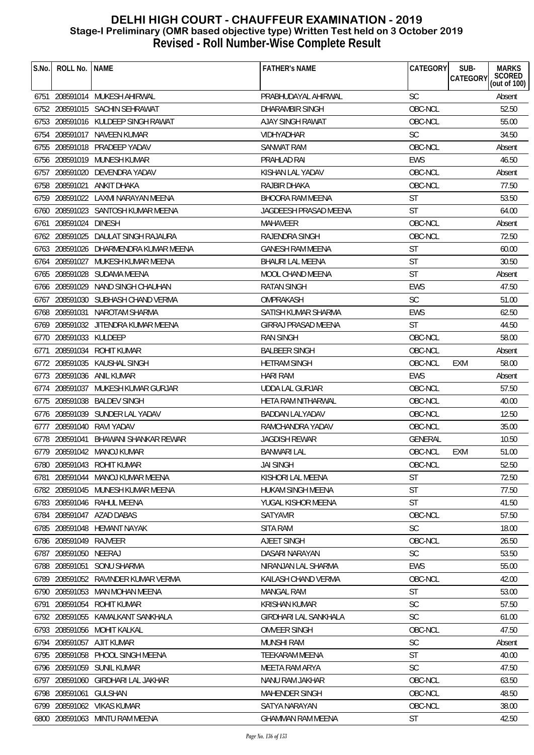| S.No. | ROLL No.               | <b>NAME</b>                           | <b>FATHER'S NAME</b>         | CATEGORY   | SUB-<br><b>MARKS</b><br><b>SCORED</b><br><b>CATEGORY</b> |
|-------|------------------------|---------------------------------------|------------------------------|------------|----------------------------------------------------------|
|       |                        |                                       |                              |            | (out of $100$ )                                          |
|       |                        | 6751 208591014 MUKESH AHIRWAL         | PRABHUDAYAL AHIRWAL          | <b>SC</b>  | Absent                                                   |
|       |                        | 6752 208591015 SACHIN SEHRAWAT        | DHARAMBIR SINGH              | OBC-NCL    | 52.50                                                    |
|       |                        | 6753 208591016 KULDEEP SINGH RAWAT    | AJAY SINGH RAWAT             | OBC-NCL    | 55.00                                                    |
|       |                        | 6754 208591017 NAVEEN KUMAR           | <b>VIDHYADHAR</b>            | <b>SC</b>  | 34.50                                                    |
|       |                        | 6755 208591018 PRADEEP YADAV          | SANWAT RAM                   | OBC-NCL    | Absent                                                   |
| 6756  |                        | 208591019 MUNESH KUMAR                | PRAHLAD RAI                  | <b>EWS</b> | 46.50                                                    |
| 6757  |                        | 208591020 DEVENDRA YADAV              | KISHAN LAL YADAV             | OBC-NCL    | Absent                                                   |
|       | 6758 208591021         | ANKIT DHAKA                           | RAJBIR DHAKA                 | OBC-NCL    | 77.50                                                    |
|       |                        | 6759 208591022 LAXMI NARAYAN MEENA    | <b>BHOORA RAM MEENA</b>      | ST         | 53.50                                                    |
|       |                        | 6760 208591023 SANTOSH KUMAR MEENA    | JAGDEESH PRASAD MEENA        | ST         | 64.00                                                    |
| 6761  | 208591024 DINESH       |                                       | <b>MAHAVEER</b>              | OBC-NCL    | Absent                                                   |
|       | 6762 208591025         | DAULAT SINGH RAJAURA                  | <b>RAJENDRA SINGH</b>        | OBC-NCL    | 72.50                                                    |
|       |                        | 6763 208591026 DHARMENDRA KUMAR MEENA | <b>GANESH RAM MEENA</b>      | <b>ST</b>  | 60.00                                                    |
| 6764  | 208591027              | MUKESH KUMAR MEENA                    | <b>BHAURI LAL MEENA</b>      | <b>ST</b>  | 30.50                                                    |
|       |                        | 6765 208591028 SUDAMA MEENA           | <b>MOOL CHAND MEENA</b>      | <b>ST</b>  | Absent                                                   |
|       |                        | 6766 208591029 NAND SINGH CHAUHAN     | <b>RATAN SINGH</b>           | EWS        | 47.50                                                    |
|       |                        | 6767 208591030 SUBHASH CHAND VERMA    | OMPRAKASH                    | <b>SC</b>  | 51.00                                                    |
|       |                        | 6768 208591031 NAROTAM SHARMA         | SATISH KUMAR SHARMA          | <b>EWS</b> | 62.50                                                    |
|       |                        | 6769 208591032 JITENDRA KUMAR MEENA   | <b>GIRRAJ PRASAD MEENA</b>   | <b>ST</b>  | 44.50                                                    |
|       | 6770 208591033 KULDEEP |                                       | <b>RAN SINGH</b>             | OBC-NCL    | 58.00                                                    |
| 6771  |                        | 208591034 ROHIT KUMAR                 | <b>BALBEER SINGH</b>         | OBC-NCL    | Absent                                                   |
| 6772  |                        | 208591035 KAUSHAL SINGH               | <b>HETRAM SINGH</b>          | OBC-NCL    | 58.00<br>EXM                                             |
|       |                        | 6773 208591036 ANIL KUMAR             | <b>HARI RAM</b>              | <b>EWS</b> | Absent                                                   |
| 6774  |                        | 208591037 MUKESH KUMAR GURJAR         | <b>UDDA LAL GURJAR</b>       | OBC-NCL    | 57.50                                                    |
|       |                        | 6775 208591038 BALDEV SINGH           | HETA RAM NITHARWAL           | OBC-NCL    | 40.00                                                    |
|       |                        | 6776 208591039 SUNDER LAL YADAV       | <b>BADDAN LALYADAV</b>       | OBC-NCL    | 12.50                                                    |
|       |                        | 6777 208591040 RAVI YADAV             | RAMCHANDRA YADAV             | OBC-NCL    | 35.00                                                    |
|       | 6778 208591041         | <b>BHAWANI SHANKAR REWAR</b>          | <b>JAGDISH REWAR</b>         | GENERAL    | 10.50                                                    |
|       |                        | 6779 208591042 MANOJ KUMAR            | <b>BANWARI LAL</b>           | OBC-NCL    | <b>EXM</b><br>51.00                                      |
|       |                        | 6780 208591043 ROHIT KUMAR            | <b>JAI SINGH</b>             | OBC-NCL    | 52.50                                                    |
| 6781  |                        | 208591044 MANOJ KUMAR MEENA           | KISHORI LAL MEENA            | <b>ST</b>  | 72.50                                                    |
|       |                        | 6782 208591045 MUNESH KUMAR MEENA     | HUKAM SINGH MEENA            | <b>ST</b>  | 77.50                                                    |
|       |                        | 6783 208591046 RAHUL MEENA            | YUGAL KISHOR MEENA           | <b>ST</b>  | 41.50                                                    |
|       |                        | 6784 208591047 AZAD DABAS             | <b>SATYAVIR</b>              | OBC-NCL    | 57.50                                                    |
|       |                        | 6785 208591048 HEMANT NAYAK           | <b>SITA RAM</b>              | SC         | 18.00                                                    |
|       | 6786 208591049 RAJVEER |                                       | AJEET SINGH                  | OBC-NCL    | 26.50                                                    |
|       | 6787 208591050 NEERAJ  |                                       | DASARI NARAYAN               | <b>SC</b>  | 53.50                                                    |
|       |                        | 6788 208591051 SONU SHARMA            | NIRANJAN LAL SHARMA          | EWS        | 55.00                                                    |
| 6789  |                        | 208591052 RAVINDER KUMAR VERMA        | KAILASH CHAND VERMA          | OBC-NCL    | 42.00                                                    |
|       |                        | 6790 208591053 MAN MOHAN MEENA        | <b>MANGAL RAM</b>            | <b>ST</b>  | 53.00                                                    |
| 6791  |                        | 208591054 ROHIT KUMAR                 | <b>KRISHAN KUMAR</b>         | <b>SC</b>  | 57.50                                                    |
|       |                        | 6792 208591055 KAMALKANT SANKHALA     | <b>GIRDHARI LAL SANKHALA</b> | <b>SC</b>  | 61.00                                                    |
|       |                        | 6793 208591056 MOHIT KALKAL           | OMVEER SINGH                 | OBC-NCL    | 47.50                                                    |
|       |                        | 6794 208591057 AJIT KUMAR             | <b>MUNSHI RAM</b>            | <b>SC</b>  | Absent                                                   |
|       |                        | 6795 208591058 PHOOL SINGH MEENA      | <b>TEEKARAM MEENA</b>        | ST         | 40.00                                                    |
| 6796  |                        | 208591059 SUNIL KUMAR                 | MEETA RAM ARYA               | <b>SC</b>  | 47.50                                                    |
| 6797  | 208591060              | GIRDHARI LAL JAKHAR                   | NANU RAM JAKHAR              | OBC-NCL    | 63.50                                                    |
| 6798  | 208591061              | <b>GULSHAN</b>                        | <b>MAHENDER SINGH</b>        | OBC-NCL    | 48.50                                                    |
|       |                        | 6799 208591062 VIKAS KUMAR            | SATYA NARAYAN                | OBC-NCL    | 38.00                                                    |
|       |                        | 6800 208591063 MINTU RAM MEENA        | <b>GHAMMAN RAM MEENA</b>     | <b>ST</b>  | 42.50                                                    |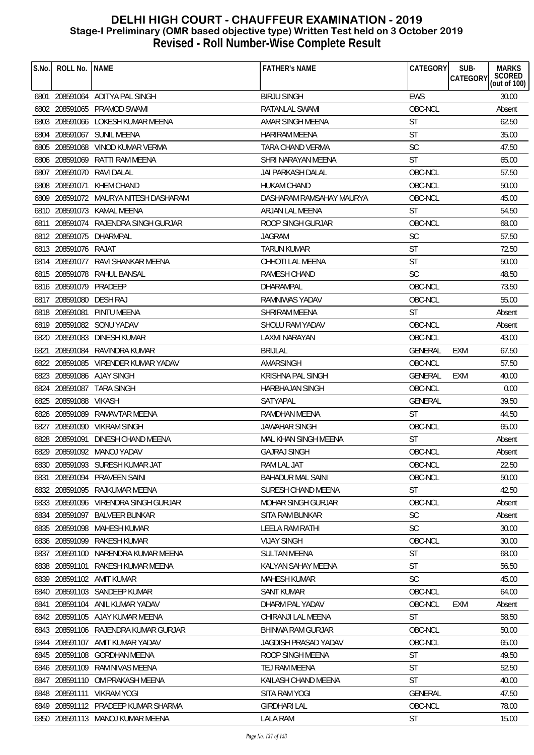| S.No. | ROLL No.   NAME         |                                       | <b>FATHER'S NAME</b>      | CATEGORY       | SUB-<br>CATEGORY | <b>MARKS</b><br>SCORED<br>(out of 100) |
|-------|-------------------------|---------------------------------------|---------------------------|----------------|------------------|----------------------------------------|
|       |                         | 6801 208591064 ADITYA PAL SINGH       | <b>BIRJU SINGH</b>        | <b>EWS</b>     |                  | 30.00                                  |
|       |                         | 6802 208591065 PRAMOD SWAMI           | RATANLAL SWAMI            | OBC-NCL        |                  | Absent                                 |
|       |                         | 6803 208591066 LOKESH KUMAR MEENA     | AMAR SINGH MEENA          | <b>ST</b>      |                  | 62.50                                  |
|       |                         | 6804 208591067 SUNIL MEENA            | <b>HARIRAM MEENA</b>      | <b>ST</b>      |                  | 35.00                                  |
|       |                         | 6805 208591068 VINOD KUMAR VERMA      | TARA CHAND VERMA          | <b>SC</b>      |                  | 47.50                                  |
|       |                         | 6806 208591069 RATTI RAM MEENA        | SHRI NARAYAN MEENA        | <b>ST</b>      |                  | 65.00                                  |
|       |                         | 6807 208591070 RAVI DALAL             | <b>JAI PARKASH DALAL</b>  | OBC-NCL        |                  | 57.50                                  |
|       | 6808 208591071          | KHEM CHAND                            | <b>HUKAM CHAND</b>        | OBC-NCL        |                  | 50.00                                  |
|       |                         | 6809 208591072 MAURYA NITESH DASHARAM | DASHARAM RAMSAHAY MAURYA  | OBC-NCL        |                  | 45.00                                  |
|       |                         | 6810 208591073 KAMAL MEENA            | ARJAN LAL MEENA           | <b>ST</b>      |                  | 54.50                                  |
|       |                         | 6811 208591074 RAJENDRA SINGH GURJAR  | ROOP SINGH GURJAR         | OBC-NCL        |                  | 68.00                                  |
|       |                         | 6812 208591075 DHARMPAL               | <b>JAGRAM</b>             | <b>SC</b>      |                  | 57.50                                  |
|       | 6813 208591076 RAJAT    |                                       | <b>TARUN KUMAR</b>        | <b>ST</b>      |                  | 72.50                                  |
|       |                         | 6814 208591077 RAVI SHANKAR MEENA     | CHHOTI LAL MEENA          | <b>ST</b>      |                  | 50.00                                  |
|       |                         | 6815 208591078 RAHUL BANSAL           | RAMESH CHAND              | <b>SC</b>      |                  | 48.50                                  |
|       | 6816 208591079 PRADEEP  |                                       | DHARAMPAL                 | OBC-NCL        |                  | 73.50                                  |
|       | 6817 208591080 DESH RAJ |                                       | RAMNIWAS YADAV            | OBC-NCL        |                  | 55.00                                  |
|       |                         | 6818 208591081 PINTU MEENA            | <b>SHRIRAM MEENA</b>      | <b>ST</b>      |                  | Absent                                 |
|       |                         | 6819 208591082 SONU YADAV             | SHOLU RAM YADAV           | OBC-NCL        |                  | Absent                                 |
|       |                         | 6820 208591083 DINESH KUMAR           | LAXMI NARAYAN             | OBC-NCL        |                  | 43.00                                  |
| 6821  |                         | 208591084 RAVINDRA KUMAR              | <b>BRIJLAL</b>            | GENERAL        | EXM              | 67.50                                  |
|       |                         | 6822 208591085 VIRENDER KUMAR YADAV   | AMARSINGH                 | OBC-NCL        |                  | 57.50                                  |
|       |                         | 6823 208591086 AJAY SINGH             | <b>KRISHNA PAL SINGH</b>  | <b>GENERAL</b> | EXM              | 40.00                                  |
|       | 6824 208591087          | TARA SINGH                            | <b>HARBHAJAN SINGH</b>    | OBC-NCL        |                  | 0.00                                   |
|       | 6825 208591088          | VIKASH                                | SATYAPAL                  | <b>GENERAL</b> |                  | 39.50                                  |
|       |                         | 6826 208591089 RAMAVTAR MEENA         | <b>RAMDHAN MEENA</b>      | <b>ST</b>      |                  | 44.50                                  |
|       |                         | 6827 208591090 VIKRAM SINGH           | <b>JAWAHAR SINGH</b>      | OBC-NCL        |                  | 65.00                                  |
|       | 6828 208591091          | DINESH CHAND MEENA                    | MAL KHAN SINGH MEENA      | <b>ST</b>      |                  | Absent                                 |
|       |                         | 6829 208591092 MANOJ YADAV            | <b>GAJRAJ SINGH</b>       | OBC-NCL        |                  | Absent                                 |
|       |                         | 6830 208591093 SURESH KUMAR JAT       | RAM LAL JAT               | OBC-NCL        |                  | 22.50                                  |
| 6831  |                         | 208591094 PRAVEEN SAINI               | <b>BAHADUR MAL SAINI</b>  | OBC-NCL        |                  | 50.00                                  |
|       |                         | 6832 208591095 RAJKUMAR MEENA         | SURESH CHAND MEENA        | <b>ST</b>      |                  | 42.50                                  |
|       |                         | 6833 208591096 VIRENDRA SINGH GURJAR  | <b>MOHAR SINGH GURJAR</b> | OBC-NCL        |                  | Absent                                 |
|       |                         | 6834 208591097 BALVEER BUNKAR         | <b>SITA RAM BUNKAR</b>    | <b>SC</b>      |                  | Absent                                 |
|       | 6835 208591098          | MAHESH KUMAR                          | LEELA RAM RATHI           | <b>SC</b>      |                  | 30.00                                  |
|       | 6836 208591099          | <b>RAKESH KUMAR</b>                   | <b>VIJAY SINGH</b>        | OBC-NCL        |                  | 30.00                                  |
|       |                         | 6837 208591100 NARENDRA KUMAR MEENA   | <b>SULTAN MEENA</b>       | <b>ST</b>      |                  | 68.00                                  |
|       | 6838 208591101          | RAKESH KUMAR MEENA                    | KALYAN SAHAY MEENA        | <b>ST</b>      |                  | 56.50                                  |
| 6839  |                         | 208591102 AMIT KUMAR                  | <b>MAHESH KUMAR</b>       | <b>SC</b>      |                  | 45.00                                  |
| 6840  |                         | 208591103 SANDEEP KUMAR               | <b>SANT KUMAR</b>         | OBC-NCL        |                  | 64.00                                  |
| 6841  |                         | 208591104 ANIL KUMAR YADAV            | DHARM PAL YADAV           | OBC-NCL        | <b>EXM</b>       | Absent                                 |
|       |                         | 6842 208591105 AJAY KUMAR MEENA       | CHIRANJI LAL MEENA        | <b>ST</b>      |                  | 58.50                                  |
|       |                         | 6843 208591106 RAJENDRA KUMAR GURJAR  | <b>BHINWA RAM GURJAR</b>  | OBC-NCL        |                  | 50.00                                  |
|       |                         | 6844 208591107 AMIT KUMAR YADAV       | JAGDISH PRASAD YADAV      | OBC-NCL        |                  | 65.00                                  |
|       | 6845 208591108          | GORDHAN MEENA                         | ROOP SINGH MEENA          | <b>ST</b>      |                  | 49.50                                  |
|       |                         | 6846 208591109 RAM NIVAS MEENA        | TEJ RAM MEENA             | <b>ST</b>      |                  | 52.50                                  |
| 6847  |                         | 208591110 OM PRAKASH MEENA            | KAILASH CHAND MEENA       | <b>ST</b>      |                  | 40.00                                  |
|       | 6848 208591111          | <b>VIKRAM YOGI</b>                    | SITA RAM YOGI             | <b>GENERAL</b> |                  | 47.50                                  |
|       |                         | 6849 208591112 PRADEEP KUMAR SHARMA   | <b>GIRDHARI LAL</b>       | OBC-NCL        |                  | 78.00                                  |
|       |                         | 6850 208591113 MANOJ KUMAR MEENA      | <b>LALA RAM</b>           | <b>ST</b>      |                  | 15.00                                  |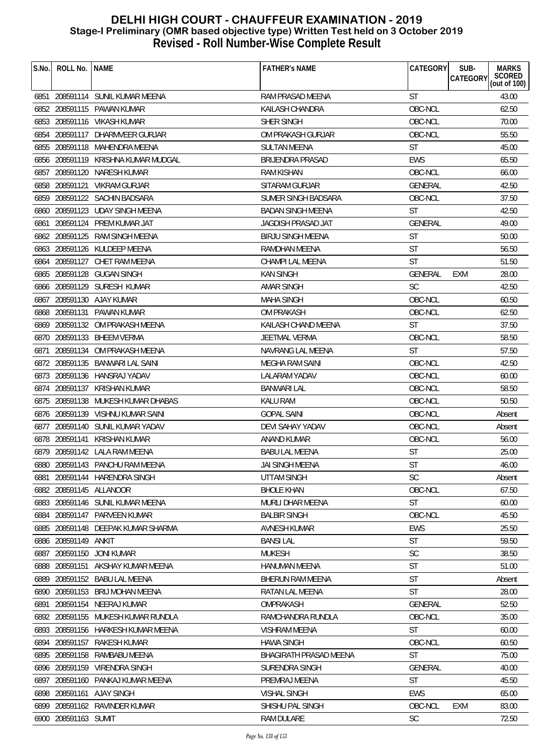| S.No. | ROLL No.             | <b>NAME</b>                        | <b>FATHER'S NAME</b>     | CATEGORY       | SUB-<br><b>CATEGORY</b> | <b>MARKS</b><br>SCORED<br>(out of 100) |
|-------|----------------------|------------------------------------|--------------------------|----------------|-------------------------|----------------------------------------|
|       |                      | 6851 208591114 SUNIL KUMAR MEENA   | RAM PRASAD MEENA         | <b>ST</b>      |                         | 43.00                                  |
|       |                      |                                    |                          |                |                         |                                        |
|       |                      | 6852 208591115 PAWAN KUMAR         | KAILASH CHANDRA          | OBC-NCL        |                         | 62.50                                  |
| 6853  |                      | 208591116 VIKASH KUMAR             | SHER SINGH               | OBC-NCL        |                         | 70.00                                  |
|       |                      | 6854 208591117 DHARMVEER GURJAR    | OM PRAKASH GURJAR        | OBC-NCL        |                         | 55.50                                  |
|       |                      | 6855 208591118 MAHENDRA MEENA      | <b>SULTAN MEENA</b>      | <b>ST</b>      |                         | 45.00                                  |
| 6856  |                      | 208591119 KRISHNA KUMAR MUDGAL     | BRIJENDRA PRASAD         | <b>EWS</b>     |                         | 65.50                                  |
| 6857  |                      | 208591120 NARESH KUMAR             | RAM KISHAN               | OBC-NCL        |                         | 66.00                                  |
|       |                      | 6858 208591121 VIKRAM GURJAR       | SITARAM GURJAR           | <b>GENERAL</b> |                         | 42.50                                  |
|       |                      | 6859 208591122 SACHIN BADSARA      | SUMER SINGH BADSARA      | OBC-NCL        |                         | 37.50                                  |
|       |                      | 6860 208591123 UDAY SINGH MEENA    | <b>BADAN SINGH MEENA</b> | <b>ST</b>      |                         | 42.50                                  |
| 6861  |                      | 208591124 PREM KUMAR JAT           | JAGDISH PRASAD JAT       | <b>GENERAL</b> |                         | 49.00                                  |
|       |                      | 6862 208591125 RAM SINGH MEENA     | <b>BIRJU SINGH MEENA</b> | <b>ST</b>      |                         | 50.00                                  |
|       |                      | 6863 208591126 KULDEEP MEENA       | RAMDHAN MEENA            | <b>ST</b>      |                         | 56.50                                  |
| 6864  | 208591127            | CHET RAM MEENA                     | CHAMPI LAL MEENA         | <b>ST</b>      |                         | 51.50                                  |
|       |                      | 6865 208591128 GUGAN SINGH         | <b>KAN SINGH</b>         | <b>GENERAL</b> | EXM                     | 28.00                                  |
|       |                      | 6866 208591129 SURESH KUMAR        | AMAR SINGH               | <b>SC</b>      |                         | 42.50                                  |
| 6867  |                      | 208591130 AJAY KUMAR               | <b>MAHA SINGH</b>        | OBC-NCL        |                         | 60.50                                  |
|       |                      | 6868 208591131 PAWAN KUMAR         | OM PRAKASH               | OBC-NCL        |                         | 62.50                                  |
|       |                      | 6869 208591132 OM PRAKASH MEENA    | KAILASH CHAND MEENA      | <b>ST</b>      |                         | 37.50                                  |
|       |                      | 6870 208591133 BHEEM VERMA         | <b>JEETMAL VERMA</b>     | OBC-NCL        |                         | 58.50                                  |
| 6871  |                      | 208591134 OM PRAKASH MEENA         | NAVRANG LAL MEENA        | <b>ST</b>      |                         | 57.50                                  |
| 6872  |                      | 208591135 BANWARI LAL SAINI        | MEGHA RAM SAINI          | OBC-NCL        |                         | 42.50                                  |
|       |                      | 6873 208591136 HANSRAJ YADAV       | <b>LALARAM YADAV</b>     | OBC-NCL        |                         | 60.00                                  |
| 6874  |                      | 208591137 KRISHAN KUMAR            | <b>BANWARI LAL</b>       | OBC-NCL        |                         | 58.50                                  |
|       |                      | 6875 208591138 MUKESH KUMAR DHABAS | <b>KALU RAM</b>          | OBC-NCL        |                         | 50.50                                  |
|       |                      | 6876 208591139 VISHNU KUMAR SAINI  | <b>GOPAL SAINI</b>       | OBC-NCL        |                         | Absent                                 |
|       |                      | 6877 208591140 SUNIL KUMAR YADAV   | DEVI SAHAY YADAV         | OBC-NCL        |                         | Absent                                 |
|       |                      | 6878 208591141 KRISHAN KUMAR       | <b>ANAND KUMAR</b>       | OBC-NCL        |                         | 56.00                                  |
|       |                      | 6879 208591142 LALA RAM MEENA      | <b>BABU LAL MEENA</b>    | <b>ST</b>      |                         | 25.00                                  |
|       |                      | 6880 208591143 PANCHU RAM MEENA    | JAI SINGH MEENA          | ST             |                         | 46.00                                  |
| 6881  |                      | 208591144 HARENDRA SINGH           | UTTAM SINGH              | <b>SC</b>      |                         | Absent                                 |
|       |                      | 6882 208591145 ALLANOOR            | <b>BHOLE KHAN</b>        | OBC-NCL        |                         | 67.50                                  |
|       |                      | 6883 208591146 SUNIL KUMAR MEENA   | <b>MURLI DHAR MEENA</b>  | <b>ST</b>      |                         | 60.00                                  |
|       |                      | 6884 208591147 PARVEEN KUMAR       | <b>BALBIR SINGH</b>      | OBC-NCL        |                         | 45.50                                  |
|       |                      | 6885 208591148 DEEPAK KUMAR SHARMA | <b>AVNESH KUMAR</b>      | <b>EWS</b>     |                         | 25.50                                  |
|       | 6886 208591149 ANKIT |                                    | <b>BANSILAL</b>          | ST             |                         | 59.50                                  |
|       |                      | 6887 208591150 JONI KUMAR          | <b>MUKESH</b>            | <b>SC</b>      |                         | 38.50                                  |
|       |                      | 6888 208591151 AKSHAY KUMAR MEENA  | <b>HANUMAN MEENA</b>     | <b>ST</b>      |                         | 51.00                                  |
| 6889  |                      | 208591152 BABU LAL MEENA           | BHERUN RAM MEENA         | ST             |                         | Absent                                 |
|       |                      | 6890 208591153 BRIJ MOHAN MEENA    | RATAN LAL MEENA          | <b>ST</b>      |                         | 28.00                                  |
| 6891  |                      | NEERAJ KUMAR                       | OMPRAKASH                | <b>GENERAL</b> |                         | 52.50                                  |
|       | 208591154            |                                    |                          |                |                         |                                        |
|       |                      | 6892 208591155 MUKESH KUMAR RUNDLA | RAMCHANDRA RUNDLA        | OBC-NCL        |                         | 35.00                                  |
|       |                      | 6893 208591156 HARKESH KUMAR MEENA | VISHRAM MEENA            | <b>ST</b>      |                         | 60.00                                  |
|       |                      | 6894 208591157 RAKESH KUMAR        | <b>HAWA SINGH</b>        | OBC-NCL        |                         | 60.50                                  |
|       |                      | 6895 208591158 RAMBABU MEENA       | BHAGIRATH PRASAD MEENA   | <b>ST</b>      |                         | 75.00                                  |
| 6896  |                      | 208591159 VIRENDRA SINGH           | <b>SURENDRA SINGH</b>    | <b>GENERAL</b> |                         | 40.00                                  |
| 6897  |                      | 208591160 PANKAJ KUMAR MEENA       | PREMRAJ MEENA            | <b>ST</b>      |                         | 45.50                                  |
|       |                      | 6898 208591161 AJAY SINGH          | <b>VISHAL SINGH</b>      | <b>EWS</b>     |                         | 65.00                                  |
|       |                      | 6899 208591162 RAVINDER KUMAR      | SHISHU PAL SINGH         | OBC-NCL        | <b>EXM</b>              | 83.00                                  |
|       | 6900 208591163 SUMIT |                                    | RAM DULARE               | <b>SC</b>      |                         | 72.50                                  |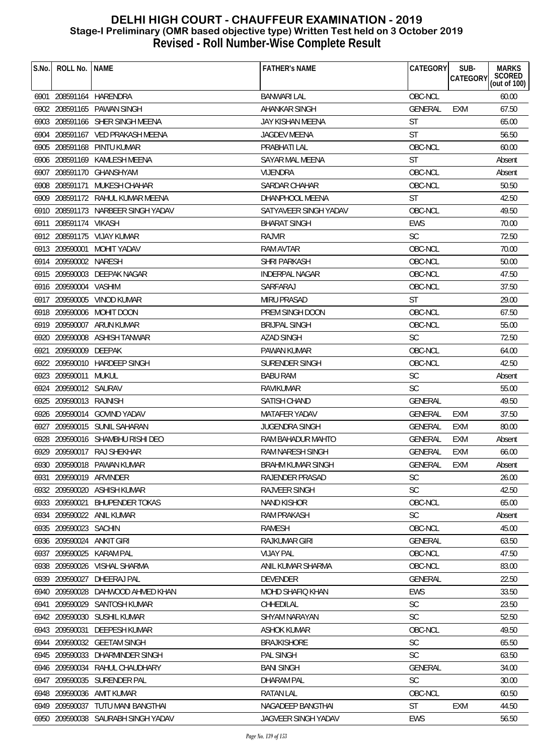| S.No. | ROLL No.                | <b>NAME</b>                        | <b>FATHER'S NAME</b>    | CATEGORY       | SUB-<br><b>CATEGORY</b> | <b>MARKS</b><br>SCORED<br>(out of 100) |
|-------|-------------------------|------------------------------------|-------------------------|----------------|-------------------------|----------------------------------------|
|       |                         |                                    |                         |                |                         |                                        |
|       |                         | 6901 208591164 HARENDRA            | <b>BANWARI LAL</b>      | OBC-NCL        |                         | 60.00                                  |
|       |                         | 6902 208591165 PAWAN SINGH         | AHANKAR SINGH           | GENERAL        | EXM                     | 67.50                                  |
|       |                         | 6903 208591166 SHER SINGH MEENA    | JAY KISHAN MEENA        | <b>ST</b>      |                         | 65.00                                  |
|       |                         | 6904 208591167 VED PRAKASH MEENA   | <b>JAGDEV MEENA</b>     | <b>ST</b>      |                         | 56.50                                  |
|       |                         | 6905 208591168 PINTU KUMAR         | PRABHATI LAL            | OBC-NCL        |                         | 60.00                                  |
|       |                         | 6906 208591169 KAMLESH MEENA       | SAYAR MAL MEENA         | <b>ST</b>      |                         | Absent                                 |
|       |                         | 6907 208591170 GHANSHYAM           | VIJENDRA                | OBC-NCL        |                         | Absent                                 |
|       |                         | 6908 208591171 MUKESH CHAHAR       | SARDAR CHAHAR           | OBC-NCL        |                         | 50.50                                  |
|       |                         | 6909 208591172 RAHUL KUMAR MEENA   | DHANPHOOL MEENA         | <b>ST</b>      |                         | 42.50                                  |
|       |                         | 6910 208591173 NARBEER SINGH YADAV | SATYAVEER SINGH YADAV   | OBC-NCL        |                         | 49.50                                  |
|       | 6911 208591174 VIKASH   |                                    | <b>BHARAT SINGH</b>     | <b>EWS</b>     |                         | 70.00                                  |
|       |                         | 6912 208591175 VIJAY KUMAR         | <b>RAJVIR</b>           | <b>SC</b>      |                         | 72.50                                  |
|       |                         | 6913 209590001 MOHIT YADAV         | RAM AVTAR               | OBC-NCL        |                         | 70.00                                  |
|       | 6914 209590002 NARESH   |                                    | <b>SHRI PARKASH</b>     | OBC-NCL        |                         | 50.00                                  |
|       |                         | 6915 209590003 DEEPAK NAGAR        | <b>INDERPAL NAGAR</b>   | OBC-NCL        |                         | 47.50                                  |
|       | 6916 209590004 VASHIM   |                                    | SARFARAJ                | OBC-NCL        |                         | 37.50                                  |
|       |                         | 6917 209590005 VINOD KUMAR         | <b>MIRU PRASAD</b>      | <b>ST</b>      |                         | 29.00                                  |
|       |                         | 6918 209590006 MOHIT DOON          | PREM SINGH DOON         | OBC-NCL        |                         | 67.50                                  |
|       |                         | 6919 209590007 ARUN KUMAR          | <b>BRIJPAL SINGH</b>    | OBC-NCL        |                         | 55.00                                  |
|       |                         | 6920 209590008 ASHISH TANWAR       | <b>AZAD SINGH</b>       | <b>SC</b>      |                         | 72.50                                  |
| 6921  | 209590009 DEEPAK        |                                    | PAWAN KUMAR             | OBC-NCL        |                         | 64.00                                  |
|       |                         | 6922 209590010 HARDEEP SINGH       | SURENDER SINGH          | OBC-NCL        |                         | 42.50                                  |
|       | 6923 209590011          | MUKUL                              | <b>BABU RAM</b>         | <b>SC</b>      |                         | Absent                                 |
|       | 6924 209590012 SAURAV   |                                    | RAVIKUMAR               | <b>SC</b>      |                         | 55.00                                  |
|       | 6925 209590013 RAJNISH  |                                    | SATISH CHAND            | <b>GENERAL</b> |                         | 49.50                                  |
|       |                         | 6926 209590014 GOVIND YADAV        | MATAFER YADAV           | <b>GENERAL</b> | <b>EXM</b>              | 37.50                                  |
|       |                         | 6927 209590015 SUNIL SAHARAN       | <b>JUGENDRA SINGH</b>   | <b>GENERAL</b> | EXM                     | 80.00                                  |
|       |                         | 6928 209590016 SHAMBHU RISHI DEO   | RAM BAHADUR MAHTO       | <b>GENERAL</b> | <b>EXM</b>              | Absent                                 |
|       |                         | 6929 209590017 RAJ SHEKHAR         | RAM NARESH SINGH        | <b>GENERAL</b> | <b>EXM</b>              | 66.00                                  |
|       |                         | 6930 209590018 PAWAN KUMAR         | BRAHM KUMAR SINGH       | GENERAL        | EXM                     | Absent                                 |
|       | 6931 209590019 ARVINDER |                                    | RAJENDER PRASAD         | <b>SC</b>      |                         | 26.00                                  |
|       |                         | 6932 209590020 ASHISH KUMAR        | <b>RAJVEER SINGH</b>    | <b>SC</b>      |                         | 42.50                                  |
|       | 6933 209590021          | <b>BHUPENDER TOKAS</b>             | <b>NAND KISHOR</b>      | OBC-NCL        |                         | 65.00                                  |
|       |                         | 6934 209590022 ANIL KUMAR          | <b>RAM PRAKASH</b>      | <b>SC</b>      |                         | Absent                                 |
|       | 6935 209590023 SACHIN   |                                    | <b>RAMESH</b>           | OBC-NCL        |                         | 45.00                                  |
|       | 6936 209590024          | ANKIT GIRI                         | RAJKUMAR GIRI           | <b>GENERAL</b> |                         | 63.50                                  |
|       |                         | 6937 209590025 KARAM PAL           | <b>VIJAY PAL</b>        | OBC-NCL        |                         | 47.50                                  |
|       |                         | 6938 209590026 VISHAL SHARMA       | ANIL KUMAR SHARMA       | OBC-NCL        |                         | 83.00                                  |
|       | 6939 209590027          | DHEERAJ PAL                        | <b>DEVENDER</b>         | <b>GENERAL</b> |                         | 22.50                                  |
|       |                         | 6940 209590028 DAHWOOD AHMED KHAN  | <b>MOHD SHAFIQ KHAN</b> | <b>EWS</b>     |                         | 33.50                                  |
|       | 6941 209590029          | SANTOSH KUMAR                      | CHHEDILAL               | <b>SC</b>      |                         | 23.50                                  |
|       |                         | 6942 209590030 SUSHIL KUMAR        | SHYAM NARAYAN           | <b>SC</b>      |                         | 52.50                                  |
|       |                         | 6943 209590031 DEEPESH KUMAR       | <b>ASHOK KUMAR</b>      | OBC-NCL        |                         | 49.50                                  |
|       |                         | 6944 209590032 GEETAM SINGH        | <b>BRAJKISHORE</b>      | <b>SC</b>      |                         | 65.50                                  |
|       |                         | 6945 209590033 DHARMINDER SINGH    | PAL SINGH               | <b>SC</b>      |                         | 63.50                                  |
|       |                         |                                    | <b>BANI SINGH</b>       | <b>GENERAL</b> |                         | 34.00                                  |
|       |                         | 6946 209590034 RAHUL CHAUDHARY     |                         | <b>SC</b>      |                         |                                        |
|       |                         | 6947 209590035 SURENDER PAL        | <b>DHARAM PAL</b>       |                |                         | 30.00                                  |
|       |                         | 6948 209590036 AMIT KUMAR          | <b>RATAN LAL</b>        | OBC-NCL        |                         | 60.50                                  |
|       |                         | 6949 209590037 TUTU MANI BANGTHAI  | NAGADEEP BANGTHAI       | <b>ST</b>      | EXM                     | 44.50                                  |
|       |                         | 6950 209590038 SAURABH SINGH YADAV | JAGVEER SINGH YADAV     | EWS            |                         | 56.50                                  |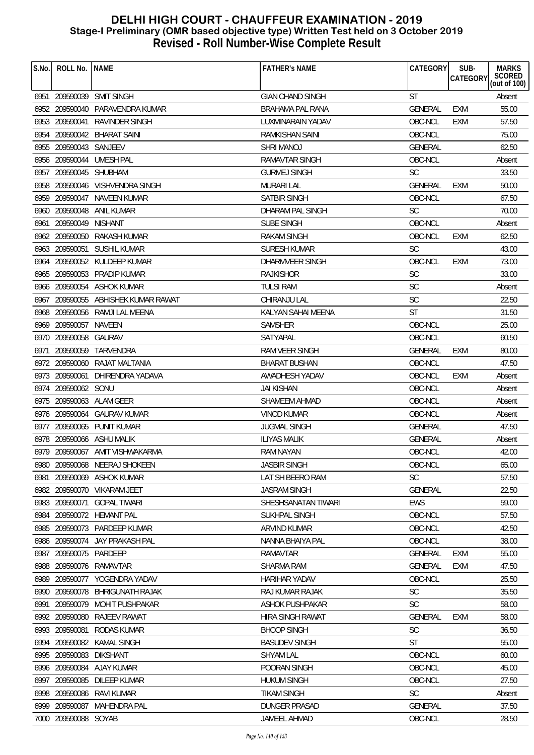| S.No. | ROLL No.   NAME        |                                     | <b>FATHER'S NAME</b>    | CATEGORY       | SUB-<br>CATEGORY | <b>MARKS</b><br>SCORED<br>(out of 100) |
|-------|------------------------|-------------------------------------|-------------------------|----------------|------------------|----------------------------------------|
|       |                        | 6951 209590039 SMIT SINGH           | <b>GIAN CHAND SINGH</b> | <b>ST</b>      |                  | Absent                                 |
|       |                        | 6952 209590040 PARAVENDRA KUMAR     | <b>BRAHAMA PAL RANA</b> | <b>GENERAL</b> | EXM              | 55.00                                  |
|       | 6953 209590041         | RAVINDER SINGH                      | LUXMINARAIN YADAV       | OBC-NCL        | <b>EXM</b>       | 57.50                                  |
|       |                        | 6954 209590042 BHARAT SAINI         | RAMKISHAN SAINI         | OBC-NCL        |                  | 75.00                                  |
|       | 6955 209590043 SANJEEV |                                     | <b>SHRI MANOJ</b>       | <b>GENERAL</b> |                  | 62.50                                  |
|       |                        | 6956 209590044 UMESH PAL            | <b>RAMAVTAR SINGH</b>   | OBC-NCL        |                  | Absent                                 |
|       | 6957 209590045 SHUBHAM |                                     | <b>GURMEJ SINGH</b>     | <b>SC</b>      |                  | 33.50                                  |
|       |                        | 6958 209590046 VISHVENDRA SINGH     | <b>MURARI LAL</b>       | <b>GENERAL</b> | EXM              | 50.00                                  |
|       |                        | 6959 209590047 NAVEEN KUMAR         | <b>SATBIR SINGH</b>     | OBC-NCL        |                  | 67.50                                  |
|       |                        | 6960 209590048 ANIL KUMAR           | DHARAM PAL SINGH        | <b>SC</b>      |                  | 70.00                                  |
|       | 6961 209590049         | NISHANT                             | SUBE SINGH              | OBC-NCL        |                  | Absent                                 |
|       |                        | 6962 209590050 RAKASH KUMAR         | <b>RAKAM SINGH</b>      | OBC-NCL        | <b>EXM</b>       | 62.50                                  |
|       |                        | 6963 209590051 SUSHIL KUMAR         | SURESH KUMAR            | <b>SC</b>      |                  | 43.00                                  |
|       |                        | 6964 209590052 KULDEEP KUMAR        | DHARMVEER SINGH         | OBC-NCL        | <b>EXM</b>       | 73.00                                  |
|       |                        | 6965 209590053 PRADIP KUMAR         | <b>RAJKISHOR</b>        | <b>SC</b>      |                  | 33.00                                  |
|       |                        | 6966 209590054 ASHOK KUMAR          | <b>TULSI RAM</b>        | SC             |                  | Absent                                 |
|       |                        | 6967 209590055 ABHISHEK KUMAR RAWAT | CHIRANJU LAL            | <b>SC</b>      |                  | 22.50                                  |
|       |                        | 6968 209590056 RAMJI LAL MEENA      | KALYAN SAHAI MEENA      | <b>ST</b>      |                  | 31.50                                  |
|       | 6969 209590057 NAVEEN  |                                     | <b>SAMSHER</b>          | OBC-NCL        |                  | 25.00                                  |
|       | 6970 209590058 GAURAV  |                                     | SATYAPAL                | OBC-NCL        |                  | 60.50                                  |
| 6971  |                        | 209590059 TARVENDRA                 | RAM VEER SINGH          | <b>GENERAL</b> | EXM              | 80.00                                  |
|       |                        | 6972 209590060 RAJAT MALTANIA       | <b>BHARAT BUSHAN</b>    | OBC-NCL        |                  | 47.50                                  |
|       | 6973 209590061         | DHIRENDRA YADAVA                    | AWADHESH YADAV          | OBC-NCL        | EXM              | Absent                                 |
|       | 6974 209590062 SONU    |                                     | JAI KISHAN              | OBC-NCL        |                  | Absent                                 |
|       |                        | 6975 209590063 ALAM GEER            | SHAMEEM AHMAD           | OBC-NCL        |                  | Absent                                 |
|       |                        | 6976 209590064 GAURAV KUMAR         | <b>VINOD KUMAR</b>      | OBC-NCL        |                  | Absent                                 |
|       |                        | 6977 209590065 PUNIT KUMAR          | <b>JUGMAL SINGH</b>     | <b>GENERAL</b> |                  | 47.50                                  |
|       |                        | 6978 209590066 ASHU MALIK           | <b>ILIYAS MALIK</b>     | <b>GENERAL</b> |                  | Absent                                 |
|       |                        | 6979 209590067 AMIT VISHWAKARMA     | <b>RAM NAYAN</b>        | OBC-NCL        |                  | 42.00                                  |
|       |                        | 6980 209590068 NEERAJ SHOKEEN       | <b>JASBIR SINGH</b>     | OBC-NCL        |                  | 65.00                                  |
| 6981  |                        | 209590069 ASHOK KUMAR               | LAT SH BEERO RAM        | <b>SC</b>      |                  | 57.50                                  |
|       |                        | 6982 209590070 VIKARAM JEET         | <b>JASRAM SINGH</b>     | <b>GENERAL</b> |                  | 22.50                                  |
|       |                        | 6983 209590071 GOPAL TIWARI         | SHESHSANATAN TIWARI     | <b>EWS</b>     |                  | 59.00                                  |
|       |                        | 6984 209590072 HEMANT PAL           | SUKHPAL SINGH           | OBC-NCL        |                  | 57.50                                  |
|       |                        | 6985 209590073 PARDEEP KUMAR        | ARVIND KUMAR            | OBC-NCL        |                  | 42.50                                  |
|       | 6986 209590074         | JAY PRAKASH PAL                     | NANNA BHAIYA PAL        | OBC-NCL        |                  | 38.00                                  |
|       | 6987 209590075 PARDEEP |                                     | <b>RAMAVTAR</b>         | <b>GENERAL</b> | EXM              | 55.00                                  |
|       |                        | 6988 209590076 RAMAVTAR             | <b>SHARMA RAM</b>       | <b>GENERAL</b> | EXM              | 47.50                                  |
| 6989  |                        | 209590077 YOGENDRA YADAV            | <b>HARIHAR YADAV</b>    | OBC-NCL        |                  | 25.50                                  |
| 6990  |                        | 209590078 BHRIGUNATH RAJAK          | RAJ KUMAR RAJAK         | <b>SC</b>      |                  | 35.50                                  |
| 6991  | 209590079              | MOHIT PUSHPAKAR                     | ASHOK PUSHPAKAR         | SC             |                  | 58.00                                  |
|       | 6992 209590080         | RAJEEV RAWAT                        | HIRA SINGH RAWAT        | <b>GENERAL</b> | <b>EXM</b>       | 58.00                                  |
|       | 6993 209590081         | RODAS KUMAR                         | <b>BHOOP SINGH</b>      | SC             |                  | 36.50                                  |
|       |                        | 6994 209590082 KAMAL SINGH          | <b>BASUDEV SINGH</b>    | <b>ST</b>      |                  | 55.00                                  |
|       | 6995 209590083         | <b>DIKSHANT</b>                     | <b>SHYAM LAL</b>        | OBC-NCL        |                  | 60.00                                  |
| 6996  |                        | 209590084 AJAY KUMAR                | POORAN SINGH            | OBC-NCL        |                  | 45.00                                  |
| 6997  | 209590085              | DILEEP KUMAR                        | <b>HUKUM SINGH</b>      | OBC-NCL        |                  | 27.50                                  |
|       | 6998 209590086         | RAVI KUMAR                          | <b>TIKAM SINGH</b>      | <b>SC</b>      |                  | Absent                                 |
|       |                        | 6999 209590087 MAHENDRA PAL         | <b>DUNGER PRASAD</b>    | <b>GENERAL</b> |                  | 37.50                                  |
|       | 7000 209590088 SOYAB   |                                     | JAMEEL AHMAD            | OBC-NCL        |                  | 28.50                                  |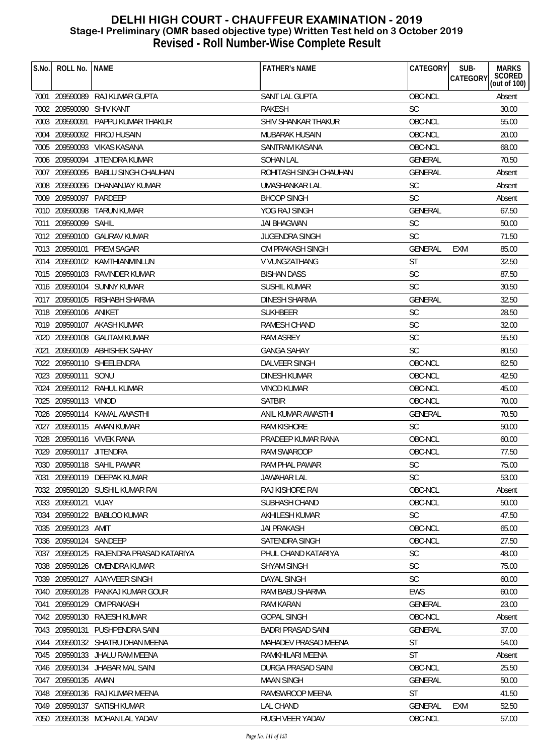| S.No. | ROLL No.                 | <b>NAME</b>                             | <b>FATHER'S NAME</b>      | <b>CATEGORY</b> | SUB-<br><b>MARKS</b><br>SCORED<br>(out of 100)<br><b>CATEGORY</b> |
|-------|--------------------------|-----------------------------------------|---------------------------|-----------------|-------------------------------------------------------------------|
|       |                          |                                         |                           |                 |                                                                   |
|       |                          | 7001 209590089 RAJ KUMAR GUPTA          | SANT LAL GUPTA            | OBC-NCL         | Absent                                                            |
|       | 7002 209590090 SHIV KANT |                                         | <b>RAKESH</b>             | <b>SC</b>       | 30.00                                                             |
|       | 7003 209590091           | PAPPU KUMAR THAKUR                      | SHIV SHANKAR THAKUR       | OBC-NCL         | 55.00                                                             |
|       |                          | 7004 209590092 FIROJ HUSAIN             | <b>MUBARAK HUSAIN</b>     | OBC-NCL         | 20.00                                                             |
|       |                          | 7005 209590093 VIKAS KASANA             | SANTRAM KASANA            | OBC-NCL         | 68.00                                                             |
|       |                          | 7006 209590094 JITENDRA KUMAR           | <b>SOHAN LAL</b>          | <b>GENERAL</b>  | 70.50                                                             |
|       |                          | 7007 209590095 BABLU SINGH CHAUHAN      | ROHITASH SINGH CHAUHAN    | <b>GENERAL</b>  | Absent                                                            |
|       |                          | 7008 209590096 DHANANJAY KUMAR          | UMASHANKAR LAL            | SC              | Absent                                                            |
|       | 7009 209590097 PARDEEP   |                                         | <b>BHOOP SINGH</b>        | <b>SC</b>       | Absent                                                            |
|       |                          | 7010 209590098 TARUN KUMAR              | YOG RAJ SINGH             | <b>GENERAL</b>  | 67.50                                                             |
|       | 7011 209590099 SAHIL     |                                         | JAI BHAGWAN               | <b>SC</b>       | 50.00                                                             |
|       |                          | 7012 209590100 GAURAV KUMAR             | <b>JUGENDRA SINGH</b>     | <b>SC</b>       | 71.50                                                             |
|       |                          | 7013 209590101 PREM SAGAR               | OM PRAKASH SINGH          | <b>GENERAL</b>  | <b>EXM</b><br>85.00                                               |
|       |                          | 7014 209590102 KAMTHIANMINLUN           | V VUNGZATHANG             | <b>ST</b>       | 32.50                                                             |
|       |                          | 7015 209590103 RAVINDER KUMAR           | <b>BISHAN DASS</b>        | SC              | 87.50                                                             |
|       |                          | 7016 209590104 SUNNY KUMAR              | SUSHIL KUMAR              | <b>SC</b>       | 30.50                                                             |
|       |                          | 7017 209590105 RISHABH SHARMA           | DINESH SHARMA             | <b>GENERAL</b>  | 32.50                                                             |
|       | 7018 209590106 ANIKET    |                                         | <b>SUKHBEER</b>           | <b>SC</b>       | 28.50                                                             |
|       |                          | 7019 209590107 AKASH KUMAR              | RAMESH CHAND              | SC              | 32.00                                                             |
|       |                          | 7020 209590108 GAUTAM KUMAR             | <b>RAM ASREY</b>          | <b>SC</b>       | 55.50                                                             |
| 7021  |                          | 209590109 ABHISHEK SAHAY                | <b>GANGA SAHAY</b>        | SC              | 80.50                                                             |
|       |                          | 7022 209590110 SHEELENDRA               | DALVEER SINGH             | OBC-NCL         | 62.50                                                             |
|       | 7023 209590111           | SONU                                    | <b>DINESH KUMAR</b>       | OBC-NCL         | 42.50                                                             |
|       |                          | 7024 209590112 RAHUL KUMAR              | <b>VINOD KUMAR</b>        | OBC-NCL         | 45.00                                                             |
|       | 7025 209590113 VINOD     |                                         | <b>SATBIR</b>             | OBC-NCL         | 70.00                                                             |
|       |                          | 7026 209590114 KAMAL AWASTHI            | ANIL KUMAR AWASTHI        | GENERAL         | 70.50                                                             |
|       |                          | 7027 209590115 AMAN KUMAR               | <b>RAM KISHORE</b>        | <b>SC</b>       | 50.00                                                             |
|       |                          | 7028 209590116 VIVEK RANA               | PRADEEP KUMAR RANA        | OBC-NCL         | 60.00                                                             |
|       | 7029 209590117 JITENDRA  |                                         | RAM SWAROOP               | OBC-NCL         | 77.50                                                             |
|       |                          | 7030 209590118 SAHIL PAWAR              | RAM PHAL PAWAR            | SC              | 75.00                                                             |
| 7031  |                          | 209590119 DEEPAK KUMAR                  | JAWAHAR LAL               | SC              | 53.00                                                             |
|       |                          | 7032 209590120 SUSHIL KUMAR RAI         | RAJ KISHORE RAI           | OBC-NCL         | Absent                                                            |
|       | 7033 209590121 VIJAY     |                                         | SUBHASH CHAND             | OBC-NCL         | 50.00                                                             |
|       |                          | 7034 209590122 BABLOO KUMAR             | <b>AKHILESH KUMAR</b>     | <b>SC</b>       | 47.50                                                             |
|       | 7035 209590123 AMIT      |                                         | <b>JAI PRAKASH</b>        | OBC-NCL         | 65.00                                                             |
|       | 7036 209590124           | SANDEEP                                 | SATENDRA SINGH            | OBC-NCL         | 27.50                                                             |
|       |                          | 7037 209590125 RAJENDRA PRASAD KATARIYA | PHUL CHAND KATARIYA       | <b>SC</b>       | 48.00                                                             |
|       |                          | 7038 209590126 OMENDRA KUMAR            | <b>SHYAM SINGH</b>        | <b>SC</b>       | 75.00                                                             |
|       |                          | 7039 209590127 AJAYVEER SINGH           | <b>DAYAL SINGH</b>        | <b>SC</b>       | 60.00                                                             |
|       |                          | 7040 209590128 PANKAJ KUMAR GOUR        | RAM BABU SHARMA           | <b>EWS</b>      | 60.00                                                             |
| 7041  | 209590129                | OM PRAKASH                              | <b>RAM KARAN</b>          | <b>GENERAL</b>  | 23.00                                                             |
|       |                          | 7042 209590130 RAJESH KUMAR             | <b>GOPAL SINGH</b>        | OBC-NCL         | Absent                                                            |
|       |                          | 7043 209590131 PUSHPENDRA SAINI         | <b>BADRI PRASAD SAINI</b> | <b>GENERAL</b>  | 37.00                                                             |
|       |                          | 7044 209590132 SHATRU DHAN MEENA        | MAHADEV PRASAD MEENA      | <b>ST</b>       | 54.00                                                             |
|       |                          | 7045 209590133 JHALU RAM MEENA          | RAMKHILARI MEENA          | ST              | Absent                                                            |
|       |                          | 7046 209590134 JHABAR MAL SAINI         | DURGA PRASAD SAINI        | OBC-NCL         | 25.50                                                             |
|       | 7047 209590135 AMAN      |                                         | <b>MAAN SINGH</b>         | <b>GENERAL</b>  | 50.00                                                             |
|       |                          | 7048 209590136 RAJ KUMAR MEENA          | RAMSWROOP MEENA           | <b>ST</b>       | 41.50                                                             |
|       |                          | 7049 209590137 SATISH KUMAR             | LAL CHAND                 | GENERAL         | 52.50<br>EXM                                                      |
|       |                          | 7050 209590138 MOHAN LAL YADAV          | RUGH VEER YADAV           | OBC-NCL         | 57.00                                                             |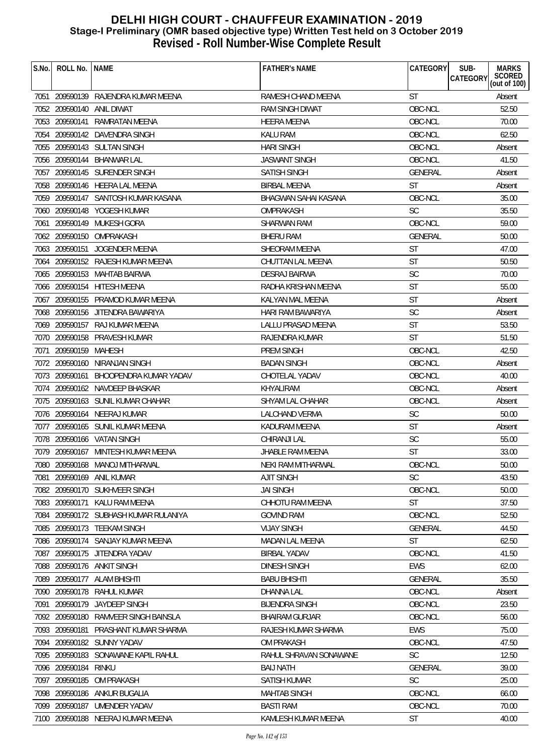| S.No. | ROLL No.             | <b>NAME</b>                           | <b>FATHER'S NAME</b>   | CATEGORY       | <b>MARKS</b><br>SUB-<br>SCORED<br>(out of 100)<br>CATEGORY |
|-------|----------------------|---------------------------------------|------------------------|----------------|------------------------------------------------------------|
|       |                      | 7051 209590139 RAJENDRA KUMAR MEENA   | RAMESH CHAND MEENA     | <b>ST</b>      | Absent                                                     |
|       |                      | 7052 209590140 ANIL DIWAT             | <b>RAM SINGH DIWAT</b> | OBC-NCL        | 52.50                                                      |
|       | 7053 209590141       | RAMRATAN MEENA                        | <b>HEERA MEENA</b>     | OBC-NCL        | 70.00                                                      |
|       |                      | 7054 209590142 DAVENDRA SINGH         | <b>KALU RAM</b>        | OBC-NCL        | 62.50                                                      |
|       |                      | 7055 209590143 SULTAN SINGH           | <b>HARI SINGH</b>      | OBC-NCL        | Absent                                                     |
|       | 7056 209590144       | <b>BHANWAR LAL</b>                    | <b>JASWANT SINGH</b>   | OBC-NCL        | 41.50                                                      |
|       |                      | 7057 209590145 SURENDER SINGH         | <b>SATISH SINGH</b>    | <b>GENERAL</b> | Absent                                                     |
|       |                      | 7058 209590146 HEERA LAL MEENA        | <b>BIRBAL MEENA</b>    | <b>ST</b>      | Absent                                                     |
|       |                      | 7059 209590147 SANTOSH KUMAR KASANA   | BHAGWAN SAHAI KASANA   | OBC-NCL        | 35.00                                                      |
|       |                      | 7060 209590148 YOGESH KUMAR           | OMPRAKASH              | <b>SC</b>      | 35.50                                                      |
| 7061  |                      | 209590149 MUKESH GORA                 | SHARWAN RAM            | OBC-NCL        | 59.00                                                      |
|       |                      | 7062 209590150 OMPRAKASH              | <b>BHERU RAM</b>       | GENERAL        | 50.00                                                      |
|       | 7063 209590151       | JOGENDER MEENA                        | SHEORAM MEENA          | <b>ST</b>      | 47.00                                                      |
| 7064  |                      | 209590152 RAJESH KUMAR MEENA          | CHUTTAN LAL MEENA      | <b>ST</b>      | 50.50                                                      |
|       |                      | 7065 209590153 MAHTAB BAIRWA          | <b>DESRAJ BAIRWA</b>   | <b>SC</b>      | 70.00                                                      |
|       |                      | 7066 209590154 HITESH MEENA           | RADHA KRISHAN MEENA    | <b>ST</b>      | 55.00                                                      |
|       |                      | 7067 209590155 PRAMOD KUMAR MEENA     | KALYAN MAL MEENA       | <b>ST</b>      | Absent                                                     |
|       |                      | 7068 209590156 JITENDRA BAWARIYA      | HARI RAM BAWARIYA      | <b>SC</b>      | Absent                                                     |
|       |                      | 7069 209590157 RAJ KUMAR MEENA        | LALLU PRASAD MEENA     | <b>ST</b>      | 53.50                                                      |
|       |                      | 7070 209590158 PRAVESH KUMAR          | RAJENDRA KUMAR         | ST             | 51.50                                                      |
| 7071  | 209590159 MAHESH     |                                       | PREM SINGH             | OBC-NCL        | 42.50                                                      |
|       |                      | 7072 209590160 NIRANJAN SINGH         | <b>BADAN SINGH</b>     | OBC-NCL        | Absent                                                     |
|       | 7073 209590161       | BHOOPENDRA KUMAR YADAV                | CHOTELAL YADAV         | OBC-NCL        | 40.00                                                      |
|       |                      | 7074 209590162 NAVDEEP BHASKAR        | KHYALIRAM              | OBC-NCL        | Absent                                                     |
|       |                      | 7075 209590163 SUNIL KUMAR CHAHAR     | SHYAM LAL CHAHAR       | OBC-NCL        | Absent                                                     |
|       |                      | 7076 209590164 NEERAJ KUMAR           | <b>LALCHAND VERMA</b>  | <b>SC</b>      | 50.00                                                      |
|       |                      | 7077 209590165 SUNIL KUMAR MEENA      | KADURAM MEENA          | <b>ST</b>      | Absent                                                     |
|       |                      | 7078 209590166 VATAN SINGH            | <b>CHIRANJI LAL</b>    | <b>SC</b>      | 55.00                                                      |
|       |                      | 7079 209590167 MINTESH KUMAR MEENA    | JHABLE RAM MEENA       | <b>ST</b>      | 33.00                                                      |
|       |                      | 7080 209590168 MANOJ MITHARWAL        | NEKI RAM MITHARWAL     | OBC-NCL        | 50.00                                                      |
|       |                      | 7081 209590169 ANIL KUMAR             | AJIT SINGH             | SC.            | 43.50                                                      |
|       |                      | 7082 209590170 SUKHVEER SINGH         | <b>JAI SINGH</b>       | OBC-NCL        | 50.00                                                      |
|       |                      | 7083 209590171 KALU RAM MEENA         | CHHOTU RAM MEENA       | <b>ST</b>      | 37.50                                                      |
|       |                      | 7084 209590172 SUBHASH KUMAR RULANIYA | <b>GOVIND RAM</b>      | OBC-NCL        | 52.50                                                      |
|       |                      | 7085 209590173 TEEKAM SINGH           | <b>VIJAY SINGH</b>     | GENERAL        | 44.50                                                      |
|       |                      | 7086 209590174 SANJAY KUMAR MEENA     | MADAN LAL MEENA        | <b>ST</b>      | 62.50                                                      |
|       |                      | 7087 209590175 JITENDRA YADAV         | <b>BIRBAL YADAV</b>    | OBC-NCL        | 41.50                                                      |
|       |                      | 7088 209590176 ANKIT SINGH            | <b>DINESH SINGH</b>    | EWS            | 62.00                                                      |
|       |                      | 7089 209590177 ALAM BHISHTI           | <b>BABU BHISHTI</b>    | <b>GENERAL</b> | 35.50                                                      |
|       |                      | 7090 209590178 RAHUL KUMAR            | DHANNA LAL             | OBC-NCL        | Absent                                                     |
|       |                      | 7091 209590179 JAYDEEP SINGH          | <b>BIJENDRA SINGH</b>  | OBC-NCL        | 23.50                                                      |
|       |                      | 7092 209590180 RAMVEER SINGH BAINSLA  | <b>BHAIRAM GURJAR</b>  | OBC-NCL        | 56.00                                                      |
|       |                      | 7093 209590181 PRASHANT KUMAR SHARMA  | RAJESH KUMAR SHARMA    | <b>EWS</b>     | 75.00                                                      |
|       |                      | 7094 209590182 SUNNY YADAV            | <b>OM PRAKASH</b>      | OBC-NCL        | 47.50                                                      |
|       |                      | 7095 209590183 SONAWANE KAPIL RAHUL   | RAHUL SHRAVAN SONAWANE | <b>SC</b>      | 12.50                                                      |
|       | 7096 209590184 RINKU |                                       | BAIJ NATH              | <b>GENERAL</b> | 39.00                                                      |
|       | 7097 209590185       | OM PRAKASH                            | <b>SATISH KUMAR</b>    | <b>SC</b>      | 25.00                                                      |
|       |                      | 7098 209590186 ANKUR BUGALIA          | <b>MAHTAB SINGH</b>    | OBC-NCL        | 66.00                                                      |
|       |                      | 7099 209590187 UMENDER YADAV          | <b>BASTI RAM</b>       | OBC-NCL        | 70.00                                                      |
|       |                      | 7100 209590188 NEERAJ KUMAR MEENA     | KAMLESH KUMAR MEENA    | <b>ST</b>      | 40.00                                                      |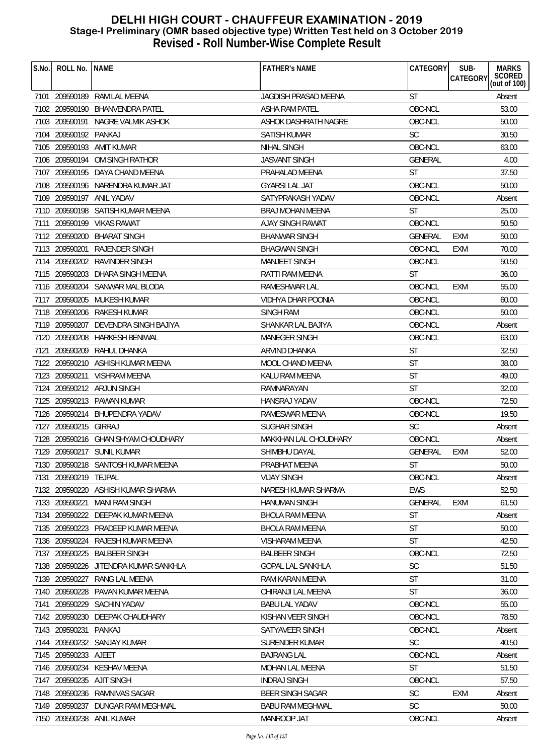| S.No. | ROLL No.              | <b>NAME</b>                         | <b>FATHER'S NAME</b>     | CATEGORY       | SUB-<br>CATEGORY | <b>MARKS</b><br>SCORED<br>(out of 100) |
|-------|-----------------------|-------------------------------------|--------------------------|----------------|------------------|----------------------------------------|
| 7101  |                       | 209590189 RAM LAL MEENA             | JAGDISH PRASAD MEENA     | <b>ST</b>      |                  | Absent                                 |
|       |                       | 7102 209590190 BHANVENDRA PATEL     | <b>ASHA RAM PATEL</b>    | OBC-NCL        |                  | 53.00                                  |
|       |                       | 7103 209590191 NAGRE VALMIK ASHOK   | ASHOK DASHRATH NAGRE     | OBC-NCL        |                  | 50.00                                  |
|       | 7104 209590192 PANKAJ |                                     | SATISH KUMAR             | <b>SC</b>      |                  | 30.50                                  |
|       |                       | 7105 209590193 AMIT KUMAR           | <b>NIHAL SINGH</b>       | OBC-NCL        |                  | 63.00                                  |
|       | 7106 209590194        | OM SINGH RATHOR                     | <b>JASVANT SINGH</b>     | <b>GENERAL</b> |                  | 4.00                                   |
| 7107  |                       | 209590195 DAYA CHAND MEENA          | PRAHALAD MEENA           | ST             |                  | 37.50                                  |
|       |                       | 7108 209590196 NARENDRA KUMAR JAT   | <b>GYARSI LAL JAT</b>    | OBC-NCL        |                  | 50.00                                  |
|       |                       | 7109 209590197 ANIL YADAV           | SATYPRAKASH YADAV        | OBC-NCL        |                  | Absent                                 |
|       |                       | 7110 209590198 SATISH KUMAR MEENA   | BRAJ MOHAN MEENA         | <b>ST</b>      |                  | 25.00                                  |
| 7111  |                       | 209590199 VIKAS RAWAT               | AJAY SINGH RAWAT         | OBC-NCL        |                  | 50.50                                  |
|       | 7112 209590200        | <b>BHARAT SINGH</b>                 | <b>BHANWAR SINGH</b>     | <b>GENERAL</b> | EXM              | 50.00                                  |
|       | 7113 209590201        | RAJENDER SINGH                      | <b>BHAGWAN SINGH</b>     | OBC-NCL        | <b>EXM</b>       | 70.00                                  |
|       | 7114 209590202        | <b>RAVINDER SINGH</b>               | MANJEET SINGH            | OBC-NCL        |                  | 50.50                                  |
|       |                       | 7115 209590203 DHARA SINGH MEENA    | RATTI RAM MEENA          | <b>ST</b>      |                  | 36.00                                  |
|       |                       | 7116 209590204 SANWAR MAL BLODA     | RAMESHWAR LAL            | OBC-NCL        | <b>EXM</b>       | 55.00                                  |
|       | 7117 209590205        | MUKESH KUMAR                        | VIDHYA DHAR POONIA       | OBC-NCL        |                  | 60.00                                  |
|       |                       | 7118 209590206 RAKESH KUMAR         | SINGH RAM                | OBC-NCL        |                  | 50.00                                  |
|       | 7119 209590207        | DEVENDRA SINGH BAJIYA               | SHANKAR LAL BAJIYA       | OBC-NCL        |                  | Absent                                 |
|       | 7120 209590208        | HARKESH BENIWAL                     | <b>MANEGER SINGH</b>     | OBC-NCL        |                  | 63.00                                  |
| 7121  | 209590209             | RAHUL DHANKA                        | ARVIND DHANKA            | ST             |                  | 32.50                                  |
|       | 7122 209590210        | ASHISH KUMAR MEENA                  | <b>MOOL CHAND MEENA</b>  | <b>ST</b>      |                  | 38.00                                  |
|       |                       | 7123 209590211 VISHRAM MEENA        | KALU RAM MEENA           | <b>ST</b>      |                  | 49.00                                  |
|       |                       | 7124 209590212 ARJUN SINGH          | RAMNARAYAN               | <b>ST</b>      |                  | 32.00                                  |
|       |                       | 7125 209590213 PAWAN KUMAR          | HANSRAJ YADAV            | OBC-NCL        |                  | 72.50                                  |
|       |                       | 7126 209590214 BHUPENDRA YADAV      | <b>RAMESWAR MEENA</b>    | OBC-NCL        |                  | 19.50                                  |
|       | 7127 209590215 GIRRAJ |                                     | <b>SUGHAR SINGH</b>      | <b>SC</b>      |                  | Absent                                 |
|       |                       | 7128 209590216 GHAN SHYAM CHOUDHARY | MAKKHAN LAL CHOUDHARY    | OBC-NCL        |                  | Absent                                 |
|       |                       | 7129 209590217 SUNIL KUMAR          | SHIMBHU DAYAL            | <b>GENERAL</b> | <b>EXM</b>       | 52.00                                  |
|       |                       | 7130 209590218 SANTOSH KUMAR MEENA  | PRABHAT MEENA            | <b>ST</b>      |                  | 50.00                                  |
| 7131  | 209590219 TEJPAL      |                                     | <b>VIJAY SINGH</b>       | OBC-NCL        |                  | Absent                                 |
|       |                       | 7132 209590220 ASHISH KUMAR SHARMA  | NARESH KUMAR SHARMA      | <b>EWS</b>     |                  | 52.50                                  |
|       | 7133 209590221        | <b>MANI RAM SINGH</b>               | <b>HANUMAN SINGH</b>     | <b>GENERAL</b> | EXM              | 61.50                                  |
|       | 7134 209590222        | DEEPAK KUMAR MEENA                  | <b>BHOLA RAM MEENA</b>   | <b>ST</b>      |                  | Absent                                 |
| 7135  | 209590223             | PRADEEP KUMAR MEENA                 | <b>BHOLA RAM MEENA</b>   | <b>ST</b>      |                  | 50.00                                  |
| 7136  | 209590224             | RAJESH KUMAR MEENA                  | <b>VISHARAM MEENA</b>    | <b>ST</b>      |                  | 42.50                                  |
| 7137  | 209590225             | <b>BALBEER SINGH</b>                | <b>BALBEER SINGH</b>     | OBC-NCL        |                  | 72.50                                  |
|       | 7138 209590226        | JITENDRA KUMAR SANKHLA              | <b>GOPAL LAL SANKHLA</b> | <b>SC</b>      |                  | 51.50                                  |
|       | 7139 209590227        | RANG LAL MEENA                      | RAM KARAN MEENA          | ST             |                  | 31.00                                  |
| 7140  | 209590228             | PAVAN KUMAR MEENA                   | CHIRANJI LAL MEENA       | ST             |                  | 36.00                                  |
| 7141  | 209590229             | <b>SACHIN YADAV</b>                 | <b>BABU LAL YADAV</b>    | OBC-NCL        |                  | 55.00                                  |
|       | 7142 209590230        | DEEPAK CHAUDHARY                    | KISHAN VEER SINGH        | OBC-NCL        |                  | 78.50                                  |
|       | 7143 209590231        | PANKAJ                              | SATYAVEER SINGH          | OBC-NCL        |                  | Absent                                 |
|       |                       | 7144 209590232 SANJAY KUMAR         | <b>SURENDER KUMAR</b>    | <b>SC</b>      |                  | 40.50                                  |
|       | 7145 209590233 AJEET  |                                     | <b>BAJRANG LAL</b>       | OBC-NCL        |                  | Absent                                 |
| 7146  | 209590234             | <b>KESHAV MEENA</b>                 | MOHAN LAL MEENA          | ST             |                  | 51.50                                  |
| 7147  | 209590235             | <b>AJIT SINGH</b>                   | <b>INDRAJ SINGH</b>      | OBC-NCL        |                  | 57.50                                  |
|       | 7148 209590236        | RAMNIVAS SAGAR                      | <b>BEER SINGH SAGAR</b>  | <b>SC</b>      | EXM              | Absent                                 |
|       | 7149 209590237        | DUNGAR RAM MEGHWAL                  | <b>BABU RAM MEGHWAL</b>  | <b>SC</b>      |                  | 50.00                                  |
|       |                       | 7150 209590238 ANIL KUMAR           | MANROOP JAT              | OBC-NCL        |                  | Absent                                 |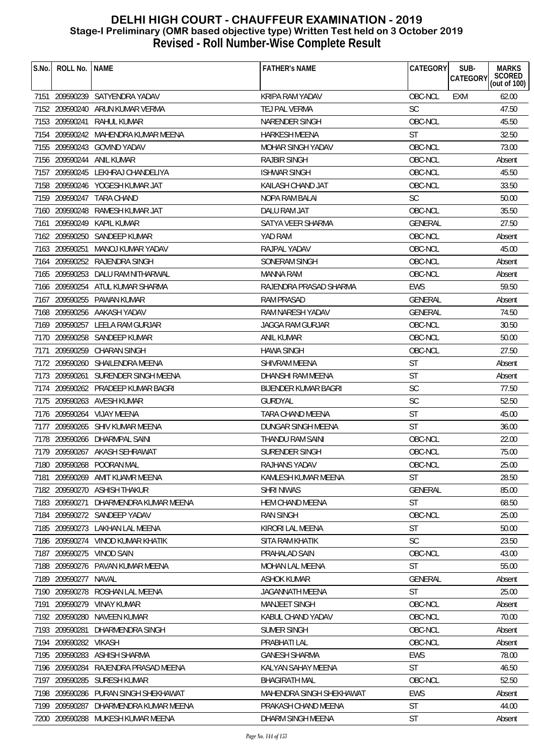| S.No. | ROLL No.   NAME       |                                       | <b>FATHER'S NAME</b>        | CATEGORY       | <b>MARKS</b><br>SUB-<br>SCORED<br>(out of 100)<br><b>CATEGORY</b> |
|-------|-----------------------|---------------------------------------|-----------------------------|----------------|-------------------------------------------------------------------|
|       |                       | 7151 209590239 SATYENDRA YADAV        | <b>KRIPA RAM YADAV</b>      | OBC-NCL        | 62.00<br><b>EXM</b>                                               |
|       |                       | 7152 209590240 ARUN KUMAR VERMA       | TEJ PAL VERMA               | <b>SC</b>      | 47.50                                                             |
|       |                       | 7153 209590241 RAHUL KUMAR            | NARENDER SINGH              | OBC-NCL        | 45.50                                                             |
|       |                       | 7154 209590242 MAHENDRA KUMAR MEENA   | <b>HARKESH MEENA</b>        | <b>ST</b>      | 32.50                                                             |
|       |                       | 7155 209590243 GOVIND YADAV           | <b>MOHAR SINGH YADAV</b>    | OBC-NCL        | 73.00                                                             |
|       |                       | 7156 209590244 ANIL KUMAR             | <b>RAJBIR SINGH</b>         | OBC-NCL        | Absent                                                            |
|       |                       | 7157 209590245 LEKHRAJ CHANDELIYA     | <b>ISHWAR SINGH</b>         | OBC-NCL        | 45.50                                                             |
|       |                       | 7158 209590246 YOGESH KUMAR JAT       | KAILASH CHAND JAT           | OBC-NCL        | 33.50                                                             |
|       |                       | 7159 209590247 TARA CHAND             | <b>NOPA RAM BALAI</b>       | <b>SC</b>      | 50.00                                                             |
|       | 7160 209590248        | RAMESH KUMAR JAT                      | DALU RAM JAT                | OBC-NCL        | 35.50                                                             |
|       |                       | 7161 209590249 KAPIL KUMAR            | SATYA VEER SHARMA           | <b>GENERAL</b> | 27.50                                                             |
|       |                       | 7162 209590250 SANDEEP KUMAR          | YAD RAM                     | OBC-NCL        | Absent                                                            |
|       | 7163 209590251        | MANOJ KUMAR YADAV                     | RAJPAL YADAV                | OBC-NCL        | 45.00                                                             |
|       |                       | 7164 209590252 RAJENDRA SINGH         | SONERAM SINGH               | OBC-NCL        | Absent                                                            |
|       |                       | 7165 209590253 DALU RAM NITHARWAL     | MANNA RAM                   | OBC-NCL        | Absent                                                            |
|       |                       | 7166 209590254 ATUL KUMAR SHARMA      | RAJENDRA PRASAD SHARMA      | <b>EWS</b>     | 59.50                                                             |
|       |                       | 7167 209590255 PAWAN KUMAR            | <b>RAM PRASAD</b>           | <b>GENERAL</b> | Absent                                                            |
|       |                       | 7168 209590256 AAKASH YADAV           | RAM NARESH YADAV            | <b>GENERAL</b> | 74.50                                                             |
|       |                       | 7169 209590257 LEELA RAM GURJAR       | JAGGA RAM GURJAR            | OBC-NCL        | 30.50                                                             |
|       |                       | 7170 209590258 SANDEEP KUMAR          | ANIL KUMAR                  | OBC-NCL        | 50.00                                                             |
| 7171  |                       | 209590259 CHARAN SINGH                | <b>HAWA SINGH</b>           | OBC-NCL        | 27.50                                                             |
|       |                       | 7172 209590260 SHAILENDRA MEENA       | SHIVRAM MEENA               | <b>ST</b>      | Absent                                                            |
|       |                       | 7173 209590261 SURENDER SINGH MEENA   | DHANSHI RAM MEENA           | <b>ST</b>      | Absent                                                            |
|       |                       | 7174 209590262 PRADEEP KUMAR BAGRI    | <b>BIJENDER KUMAR BAGRI</b> | <b>SC</b>      | 77.50                                                             |
|       |                       | 7175 209590263 AVESH KUMAR            | GURDYAL                     | <b>SC</b>      | 52.50                                                             |
|       |                       | 7176 209590264 VIJAY MEENA            | <b>TARA CHAND MEENA</b>     | <b>ST</b>      | 45.00                                                             |
|       |                       | 7177 209590265 SHIV KUMAR MEENA       | DUNGAR SINGH MEENA          | <b>ST</b>      | 36.00                                                             |
|       |                       | 7178 209590266 DHARMPAL SAINI         | THANDU RAM SAINI            | OBC-NCL        | 22.00                                                             |
|       |                       | 7179 209590267 AKASH SEHRAWAT         | SURENDER SINGH              | OBC-NCL        | 75.00                                                             |
|       |                       | 7180 209590268 POORAN MAL             | RAJHANS YADAV               | OBC-NCL        | 25.00                                                             |
| 7181  |                       | 209590269 AMIT KUAMR MEENA            | KAMLESH KUMAR MEENA         | ST             | 28.50                                                             |
|       |                       | 7182 209590270 ASHISH THAKUR          | <b>SHRI NIWAS</b>           | <b>GENERAL</b> | 85.00                                                             |
|       | 7183 209590271        | DHARMENDRA KUMAR MEENA                | HEM CHAND MEENA             | <b>ST</b>      | 68.50                                                             |
|       |                       | 7184 209590272 SANDEEP YADAV          | <b>RAN SINGH</b>            | OBC-NCL        | 25.00                                                             |
|       |                       | 7185 209590273 LAKHAN LAL MEENA       | KIRORI LAL MEENA            | <b>ST</b>      | 50.00                                                             |
|       | 7186 209590274        | VINOD KUMAR KHATIK                    | SITA RAM KHATIK             | <b>SC</b>      | 23.50                                                             |
|       |                       | 7187 209590275 VINOD SAIN             | PRAHALAD SAIN               | OBC-NCL        | 43.00                                                             |
|       |                       | 7188 209590276 PAVAN KUMAR MEENA      | <b>MOHAN LAL MEENA</b>      | ST             | 55.00                                                             |
|       | 7189 209590277 NAVAL  |                                       | <b>ASHOK KUMAR</b>          | <b>GENERAL</b> | Absent                                                            |
|       |                       | 7190 209590278 ROSHAN LAL MEENA       | JAGANNATH MEENA             | ST             | 25.00                                                             |
| 7191  | 209590279             | VINAY KUMAR                           | <b>MANJEET SINGH</b>        | OBC-NCL        | Absent                                                            |
|       |                       | 7192 209590280 NAVEEN KUMAR           | KABUL CHAND YADAV           | OBC-NCL        | 70.00                                                             |
|       | 7193 209590281        | DHARMENDRA SINGH                      | <b>SUMER SINGH</b>          | OBC-NCL        | Absent                                                            |
|       | 7194 209590282 VIKASH |                                       | PRABHATI LAL                | OBC-NCL        | Absent                                                            |
|       | 7195 209590283        | <b>ASHISH SHARMA</b>                  | <b>GANESH SHARMA</b>        | EWS            | 78.00                                                             |
| 7196  |                       | 209590284 RAJENDRA PRASAD MEENA       | KALYAN SAHAY MEENA          | <b>ST</b>      | 46.50                                                             |
|       | 7197 209590285        | SURESH KUMAR                          | <b>BHAGIRATH MAL</b>        | OBC-NCL        | 52.50                                                             |
|       |                       | 7198 209590286 PURAN SINGH SHEKHAWAT  | MAHENDRA SINGH SHEKHAWAT    | <b>EWS</b>     | Absent                                                            |
|       |                       | 7199 209590287 DHARMENDRA KUMAR MEENA | PRAKASH CHAND MEENA         | <b>ST</b>      | 44.00                                                             |
|       |                       | 7200 209590288 MUKESH KUMAR MEENA     | DHARM SINGH MEENA           | <b>ST</b>      | Absent                                                            |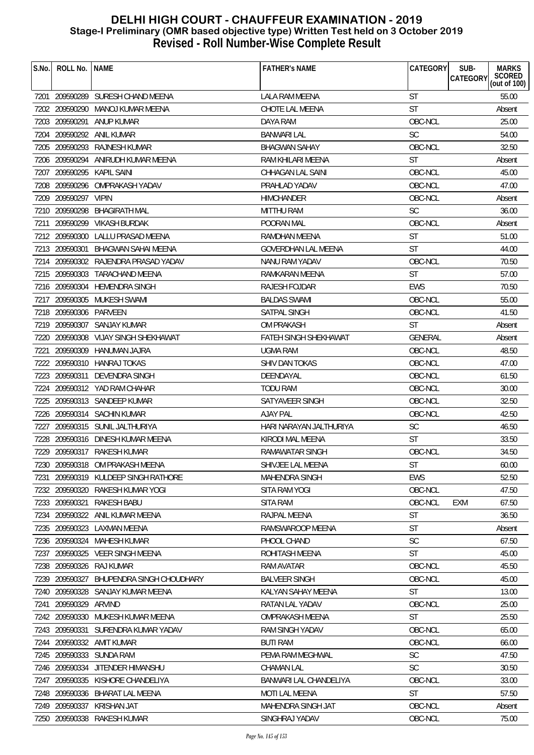| S.No. | ROLL No.               | <b>NAME</b>                          | <b>FATHER'S NAME</b>       | CATEGORY              | SUB-<br><b>MARKS</b>                      |
|-------|------------------------|--------------------------------------|----------------------------|-----------------------|-------------------------------------------|
|       |                        |                                      |                            |                       | SCORED<br>(out of 100)<br><b>CATEGORY</b> |
|       |                        | 7201 209590289 SURESH CHAND MEENA    | LALA RAM MEENA             | <b>ST</b>             | 55.00                                     |
|       |                        | 7202 209590290 MANOJ KUMAR MEENA     | CHOTE LAL MEENA            | <b>ST</b>             | Absent                                    |
|       | 7203 209590291         | ANUP KUMAR                           | DAYA RAM                   | OBC-NCL               | 25.00                                     |
|       |                        | 7204 209590292 ANIL KUMAR            | <b>BANWARI LAL</b>         | <b>SC</b>             | 54.00                                     |
|       |                        | 7205 209590293 RAJNESH KUMAR         | <b>BHAGWAN SAHAY</b>       | OBC-NCL               | 32.50                                     |
|       | 7206 209590294         | ANIRUDH KUMAR MEENA                  | RAM KHILARI MEENA          | <b>ST</b>             | Absent                                    |
|       |                        | 7207 209590295 KAPIL SAINI           | CHHAGAN LAL SAINI          | OBC-NCL               | 45.00                                     |
|       |                        | 7208 209590296 OMPRAKASH YADAV       | PRAHLAD YADAV              | OBC-NCL               | 47.00                                     |
|       | 7209 209590297 VIPIN   |                                      | <b>HIMCHANDER</b>          | OBC-NCL               | Absent                                    |
|       | 7210 209590298         | <b>BHAGIRATH MAL</b>                 | <b>MITTHU RAM</b>          | <b>SC</b>             | 36.00                                     |
| 7211  |                        | 209590299 VIKASH BURDAK              | POORAN MAL                 | OBC-NCL               | Absent                                    |
|       | 7212 209590300         | <b>LALLU PRASAD MEENA</b>            | <b>RAMDHAN MEENA</b>       | <b>ST</b>             | 51.00                                     |
|       | 7213 209590301         | BHAGWAN SAHAI MEENA                  | <b>GOVERDHAN LAL MEENA</b> | <b>ST</b>             | 44.00                                     |
|       |                        | 7214 209590302 RAJENDRA PRASAD YADAV | NANU RAM YADAV             | OBC-NCL               | 70.50                                     |
|       |                        | 7215 209590303 TARACHAND MEENA       | RAMKARAN MEENA             | <b>ST</b>             | 57.00                                     |
|       |                        | 7216 209590304 HEMENDRA SINGH        | RAJESH FOJDAR              | <b>EWS</b>            | 70.50                                     |
|       |                        | 7217 209590305 MUKESH SWAMI          | <b>BALDAS SWAMI</b>        | OBC-NCL               | 55.00                                     |
|       | 7218 209590306 PARVEEN |                                      | SATPAL SINGH               | OBC-NCL               | 41.50                                     |
|       |                        | 7219 209590307 SANJAY KUMAR          | OM PRAKASH                 | <b>ST</b>             | Absent                                    |
|       |                        | 7220 209590308 VIJAY SINGH SHEKHAWAT | FATEH SINGH SHEKHAWAT      | <b>GENERAL</b>        | Absent                                    |
| 7221  | 209590309              | HANUMAN JAJRA                        | <b>UGMA RAM</b>            | OBC-NCL               | 48.50                                     |
|       |                        | 7222 209590310 HANRAJ TOKAS          | SHIV DAN TOKAS             | OBC-NCL               | 47.00                                     |
|       | 7223 209590311         | <b>DEVENDRA SINGH</b>                | DEENDAYAL                  | OBC-NCL               | 61.50                                     |
|       |                        | 7224 209590312 YAD RAM CHAHAR        | <b>TODU RAM</b>            | OBC-NCL               | 30.00                                     |
|       |                        | 7225 209590313 SANDEEP KUMAR         | SATYAVEER SINGH            | OBC-NCL               | 32.50                                     |
|       |                        | 7226 209590314 SACHIN KUMAR          | <b>AJAY PAL</b>            | OBC-NCL               | 42.50                                     |
|       |                        | 7227 209590315 SUNIL JALTHURIYA      | HARI NARAYAN JALTHURIYA    | <b>SC</b>             | 46.50                                     |
| 7228  |                        | 209590316 DINESH KUMAR MEENA         | KIRODI MAL MEENA           | <b>ST</b>             | 33.50                                     |
|       |                        | 7229 209590317 RAKESH KUMAR          | RAMAWATAR SINGH            | OBC-NCL               | 34.50                                     |
|       |                        | 7230 209590318 OM PRAKASH MEENA      | SHIVJEE LAL MEENA          | ST                    | 60.00                                     |
| 7231  |                        | 209590319 KULDEEP SINGH RATHORE      | MAHENDRA SINGH             | EWS                   | 52.50                                     |
|       |                        | 7232 209590320 RAKESH KUMAR YOGI     | SITA RAM YOGI              | OBC-NCL               | 47.50                                     |
|       | 7233 209590321         | RAKESH BABU                          | <b>SITA RAM</b>            | OBC-NCL<br><b>EXM</b> | 67.50                                     |
| 7234  |                        | 209590322 ANIL KUMAR MEENA           | RAJPAL MEENA               | <b>ST</b>             | 36.50                                     |
|       |                        | 7235 209590323 LAXMAN MEENA          | RAMSWAROOP MEENA           | <b>ST</b>             | Absent                                    |
|       | 7236 209590324         | MAHESH KUMAR                         | PHOOL CHAND                | <b>SC</b>             | 67.50                                     |
|       |                        | 7237 209590325 VEER SINGH MEENA      | ROHITASH MEENA             | <b>ST</b>             | 45.00                                     |
|       |                        | 7238 209590326 RAJ KUMAR             | RAM AVATAR                 | OBC-NCL               | 45.50                                     |
|       | 7239 209590327         | BHUPENDRA SINGH CHOUDHARY            | <b>BALVEER SINGH</b>       | OBC-NCL               | 45.00                                     |
|       |                        | 7240 209590328 SANJAY KUMAR MEENA    | KALYAN SAHAY MEENA         | <b>ST</b>             | 13.00                                     |
| 7241  | 209590329              | ARVIND                               | RATAN LAL YADAV            | OBC-NCL               | 25.00                                     |
|       |                        | 7242 209590330 MUKESH KUMAR MEENA    | OMPRAKASH MEENA            | <b>ST</b>             | 25.50                                     |
|       |                        | 7243 209590331 SURENDRA KUMAR YADAV  | <b>RAM SINGH YADAV</b>     | OBC-NCL               | 65.00                                     |
|       |                        | 7244 209590332 AMIT KUMAR            | <b>BUTI RAM</b>            | OBC-NCL               | 66.00                                     |
|       |                        | 7245 209590333 SUNDA RAM             | PEMA RAM MEGHWAL           | <b>SC</b>             | 47.50                                     |
|       |                        | 7246 209590334 JITENDER HIMANSHU     | <b>CHAMAN LAL</b>          | <b>SC</b>             | 30.50                                     |
| 7247  |                        | 209590335 KISHORE CHANDELIYA         | BANWARI LAL CHANDELIYA     | OBC-NCL               | 33.00                                     |
|       |                        | 7248 209590336 BHARAT LAL MEENA      | <b>MOTI LAL MEENA</b>      | <b>ST</b>             | 57.50                                     |
|       |                        | 7249 209590337 KRISHAN JAT           | MAHENDRA SINGH JAT         | OBC-NCL               | Absent                                    |
|       |                        | 7250 209590338 RAKESH KUMAR          | SINGHRAJ YADAV             | OBC-NCL               | 75.00                                     |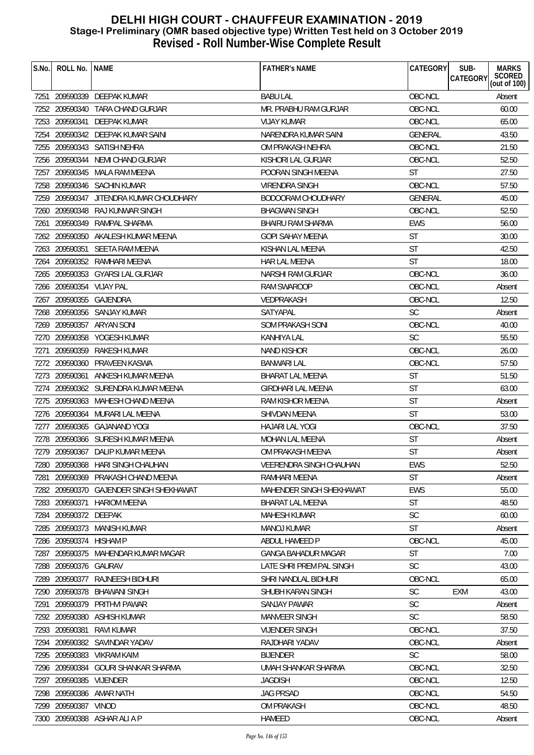| S.No. | ROLL No. NAME            |                                         | <b>FATHER'S NAME</b>       | CATEGORY       | <b>MARKS</b><br>SUB-<br>SCORED<br>(out of 100)<br>CATEGORY |
|-------|--------------------------|-----------------------------------------|----------------------------|----------------|------------------------------------------------------------|
|       |                          | 7251 209590339 DEEPAK KUMAR             | <b>BABU LAL</b>            | OBC-NCL        | Absent                                                     |
|       |                          | 7252 209590340 TARA CHAND GURJAR        | MR. PRABHU RAM GURJAR      | OBC-NCL        | 60.00                                                      |
|       |                          | 7253 209590341 DEEPAK KUMAR             | <b>VIJAY KUMAR</b>         | OBC-NCL        | 65.00                                                      |
| 7254  |                          | 209590342 DEEPAK KUMAR SAINI            | NARENDRA KUMAR SAINI       | <b>GENERAL</b> | 43.50                                                      |
|       |                          | 7255 209590343 SATISH NEHRA             | OM PRAKASH NEHRA           | OBC-NCL        | 21.50                                                      |
|       | 7256 209590344           | NEMI CHAND GURJAR                       | KISHORI LAL GURJAR         | OBC-NCL        | 52.50                                                      |
| 7257  |                          | 209590345 MALA RAM MEENA                | POORAN SINGH MEENA         | <b>ST</b>      | 27.50                                                      |
|       |                          | 7258 209590346 SACHIN KUMAR             | VIRENDRA SINGH             | OBC-NCL        | 57.50                                                      |
|       | 7259 209590347           | JITENDRA KUMAR CHOUDHARY                | BODOORAM CHOUDHARY         | <b>GENERAL</b> | 45.00                                                      |
|       |                          | 7260 209590348 RAJ KUNWAR SINGH         | <b>BHAGWAN SINGH</b>       | OBC-NCL        | 52.50                                                      |
| 7261  | 209590349                | RAMPAL SHARMA                           | BHAIRU RAM SHARMA          | <b>EWS</b>     | 56.00                                                      |
|       |                          | 7262 209590350 AKALESH KUMAR MEENA      | <b>GOPI SAHAY MEENA</b>    | <b>ST</b>      | 30.00                                                      |
|       |                          | 7263 209590351 SEETA RAM MEENA          | KISHAN LAL MEENA           | <b>ST</b>      | 42.50                                                      |
| 7264  |                          | 209590352 RAMHARI MEENA                 | <b>HAR LAL MEENA</b>       | <b>ST</b>      | 18.00                                                      |
|       |                          | 7265 209590353 GYARSI LAL GURJAR        | NARSHI RAM GURJAR          | OBC-NCL        | 36.00                                                      |
|       | 7266 209590354 VIJAY PAL |                                         | <b>RAM SWAROOP</b>         | OBC-NCL        | Absent                                                     |
|       |                          | 7267 209590355 GAJENDRA                 | VEDPRAKASH                 | OBC-NCL        | 12.50                                                      |
|       |                          | 7268 209590356 SANJAY KUMAR             | SATYAPAL                   | <b>SC</b>      | Absent                                                     |
|       |                          | 7269 209590357 ARYAN SONI               | SOM PRAKASH SONI           | OBC-NCL        | 40.00                                                      |
|       |                          | 7270 209590358 YOGESH KUMAR             | <b>KANHIYA LAL</b>         | <b>SC</b>      | 55.50                                                      |
| 7271  |                          | 209590359 RAKESH KUMAR                  | <b>NAND KISHOR</b>         | OBC-NCL        | 26.00                                                      |
|       | 7272 209590360           | PRAVEEN KASWA                           | <b>BANWARI LAL</b>         | OBC-NCL        | 57.50                                                      |
|       |                          | 7273 209590361 ANKESH KUMAR MEENA       | <b>BHARAT LAL MEENA</b>    | <b>ST</b>      | 51.50                                                      |
|       |                          | 7274 209590362 SURENDRA KUMAR MEENA     | <b>GIRDHARI LAL MEENA</b>  | <b>ST</b>      | 63.00                                                      |
|       |                          | 7275 209590363 MAHESH CHAND MEENA       | RAM KISHOR MEENA           | <b>ST</b>      | Absent                                                     |
|       |                          | 7276 209590364 MURARI LAL MEENA         | SHIVDAN MEENA              | <b>ST</b>      | 53.00                                                      |
|       |                          | 7277 209590365 GAJANAND YOGI            | <b>HAJARI LAL YOGI</b>     | OBC-NCL        | 37.50                                                      |
|       |                          | 7278 209590366 SURESH KUMAR MEENA       | <b>MOHAN LAL MEENA</b>     | <b>ST</b>      | Absent                                                     |
|       |                          | 7279 209590367 DALIP KUMAR MEENA        | OM PRAKASH MEENA           | <b>ST</b>      | Absent                                                     |
|       |                          | 7280 209590368 HARI SINGH CHAUHAN       | VEERENDRA SINGH CHAUHAN    | EWS            | 52.50                                                      |
| 7281  |                          | 209590369 PRAKASH CHAND MEENA           | RAMHARI MEENA              | <b>ST</b>      | Absent                                                     |
|       |                          | 7282 209590370 GAJENDER SINGH SHEKHAWAT | MAHENDER SINGH SHEKHAWAT   | <b>EWS</b>     | 55.00                                                      |
|       | 7283 209590371           | <b>HARIOM MEENA</b>                     | BHARAT LAL MEENA           | <b>ST</b>      | 48.50                                                      |
|       | 7284 209590372 DEEPAK    |                                         | <b>MAHESH KUMAR</b>        | <b>SC</b>      | 60.00                                                      |
|       |                          | 7285 209590373 MANISH KUMAR             | <b>MANOJ KUMAR</b>         | <b>ST</b>      | Absent                                                     |
| 7286  | 209590374                | <b>HISHAM P</b>                         | ABDUL HAMEED P             | OBC-NCL        | 45.00                                                      |
|       |                          | 7287 209590375 MAHENDAR KUMAR MAGAR     | <b>GANGA BAHADUR MAGAR</b> | <b>ST</b>      | 7.00                                                       |
|       | 7288 209590376 GAURAV    |                                         | LATE SHRI PREM PAL SINGH   | <b>SC</b>      | 43.00                                                      |
| 7289  |                          | 209590377 RAJNEESH BIDHURI              | SHRI NANDLAL BIDHURI       | OBC-NCL        | 65.00                                                      |
|       | 7290 209590378           | BHAWANI SINGH                           | SHUBH KARAN SINGH          | <b>SC</b>      | EXM<br>43.00                                               |
| 7291  | 209590379                | PRITHVI PAWAR                           | <b>SANJAY PAWAR</b>        | SC             | Absent                                                     |
|       | 7292 209590380           | <b>ASHISH KUMAR</b>                     | <b>MANVEER SINGH</b>       | <b>SC</b>      | 58.50                                                      |
|       | 7293 209590381           | RAVI KUMAR                              | <b>VIJENDER SINGH</b>      | OBC-NCL        | 37.50                                                      |
|       |                          | 7294 209590382 SAVINDAR YADAV           | RAJDHARI YADAV             | OBC-NCL        | Absent                                                     |
|       | 7295 209590383           | <b>VIKRAM KAIM</b>                      | <b>BIJENDER</b>            | <b>SC</b>      | 58.00                                                      |
| 7296  |                          | 209590384 GOURI SHANKAR SHARMA          | UMAH SHANKAR SHARMA        | OBC-NCL        | 32.50                                                      |
| 7297  | 209590385 VIJENDER       |                                         | <b>JAGDISH</b>             | OBC-NCL        | 12.50                                                      |
|       |                          | 7298 209590386 AMAR NATH                | <b>JAG PRSAD</b>           | OBC-NCL        | 54.50                                                      |
|       | 7299 209590387 VINOD     |                                         | <b>OM PRAKASH</b>          | OBC-NCL        | 48.50                                                      |
|       |                          | 7300 209590388 ASHAR ALI A P            | HAMEED                     | OBC-NCL        | Absent                                                     |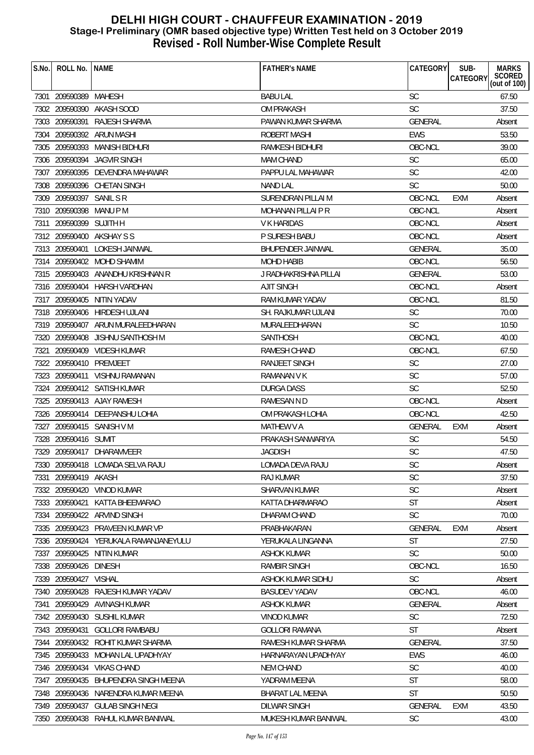| S.No. | ROLL No.                 | <b>NAME</b>                         | <b>FATHER'S NAME</b>     | <b>CATEGORY</b> | SUB-<br><b>MARKS</b><br><b>SCORED</b> |
|-------|--------------------------|-------------------------------------|--------------------------|-----------------|---------------------------------------|
|       |                          |                                     |                          |                 | CATEGORY<br>(out of $100$ )           |
|       | 7301 209590389           | MAHESH                              | <b>BABU LAL</b>          | <b>SC</b>       | 67.50                                 |
|       |                          | 7302 209590390 AKASH SOOD           | <b>OM PRAKASH</b>        | <b>SC</b>       | 37.50                                 |
|       | 7303 209590391           | <b>RAJESH SHARMA</b>                | PAWAN KUMAR SHARMA       | <b>GENERAL</b>  | Absent                                |
|       |                          | 7304 209590392 ARUN MASHI           | <b>ROBERT MASHI</b>      | <b>EWS</b>      | 53.50                                 |
|       | 7305 209590393           | MANISH BIDHURI                      | RAMKESH BIDHURI          | OBC-NCL         | 39.00                                 |
|       | 7306 209590394           | <b>JAGVIR SINGH</b>                 | <b>MAM CHAND</b>         | <b>SC</b>       | 65.00                                 |
|       |                          | 7307 209590395 DEVENDRA MAHAWAR     | PAPPU LAL MAHAWAR        | SC              | 42.00                                 |
|       |                          | 7308 209590396 CHETAN SINGH         | <b>NAND LAL</b>          | <b>SC</b>       | 50.00                                 |
|       | 7309 209590397 SANIL S R |                                     | SURENDRAN PILLAI M       | OBC-NCL         | EXM<br>Absent                         |
|       | 7310 209590398           | MANU P M                            | MOHANAN PILLAI P R       | OBC-NCL         | Absent                                |
| 7311  | 209590399                | SUJITH H                            | V K HARIDAS              | OBC-NCL         | Absent                                |
|       | 7312 209590400           | AKSHAY S S                          | P SURESH BABU            | OBC-NCL         | Absent                                |
|       | 7313 209590401           | LOKESH JAINWAL                      | <b>BHUPENDER JAINWAL</b> | <b>GENERAL</b>  | 35.00                                 |
|       |                          | 7314 209590402 MOHD SHAMIM          | <b>MOHD HABIB</b>        | OBC-NCL         | 56.50                                 |
|       |                          | 7315 209590403 ANANDHU KRISHNAN R   | J RADHAKRISHNA PILLAI    | <b>GENERAL</b>  | 53.00                                 |
|       |                          | 7316 209590404 HARSH VARDHAN        | <b>AJIT SINGH</b>        | OBC-NCL         | Absent                                |
|       | 7317 209590405           | NITIN YADAV                         | <b>RAM KUMAR YADAV</b>   | OBC-NCL         | 81.50                                 |
|       |                          | 7318 209590406 HIRDESH UJLANI       | SH. RAJKUMAR UJLANI      | <b>SC</b>       | 70.00                                 |
|       |                          | 7319 209590407 ARUN MURALEEDHARAN   | MURALEEDHARAN            | <b>SC</b>       | 10.50                                 |
|       | 7320 209590408           | JISHNU SANTHOSH M                   | <b>SANTHOSH</b>          | OBC-NCL         | 40.00                                 |
| 7321  | 209590409                | <b>VIDESH KUMAR</b>                 | <b>RAMESH CHAND</b>      | OBC-NCL         | 67.50                                 |
|       | 7322 209590410 PREMJEET  |                                     | RANJEET SINGH            | <b>SC</b>       | 27.00                                 |
|       | 7323 209590411           | <b>VISHNU RAMANAN</b>               | <b>RAMANAN V K</b>       | <b>SC</b>       | 57.00                                 |
|       |                          | 7324 209590412 SATISH KUMAR         | DURGA DASS               | <b>SC</b>       | 52.50                                 |
|       |                          | 7325 209590413 AJAY RAMESH          | RAMESAN N D              | OBC-NCL         | Absent                                |
|       |                          | 7326 209590414 DEEPANSHU LOHIA      | OM PRAKASH LOHIA         | OBC-NCL         | 42.50                                 |
| 7327  |                          | 209590415 SANISH V M                | MATHEW V A               | <b>GENERAL</b>  | EXM<br>Absent                         |
| 7328  | 209590416 SUMIT          |                                     | PRAKASH SANWARIYA        | <b>SC</b>       | 54.50                                 |
|       |                          | 7329 209590417 DHARAMVEER           | <b>JAGDISH</b>           | <b>SC</b>       | 47.50                                 |
|       |                          | 7330 209590418 LOMADA SELVA RAJU    | LOMADA DEVA RAJU         | SC              | Absent                                |
| 7331  | 209590419 AKASH          |                                     | RAJ KUMAR                | <b>SC</b>       | 37.50                                 |
|       |                          | 7332 209590420 VINOD KUMAR          | <b>SHARVAN KUMAR</b>     | <b>SC</b>       | Absent                                |
|       | 7333 209590421           | KATTA BHEEMARAO                     | KATTA DHARMARAO          | <b>ST</b>       | Absent                                |
|       |                          | 7334 209590422 ARVIND SINGH         | DHARAM CHAND             | <b>SC</b>       | 70.00                                 |
|       |                          | 7335 209590423 PRAVEEN KUMAR VP     | PRABHAKARAN              | <b>GENERAL</b>  | <b>EXM</b><br>Absent                  |
|       | 7336 209590424           | YERUKALA RAMANJANEYULU              | YERUKALA LINGANNA        | <b>ST</b>       | 27.50                                 |
|       |                          | 7337 209590425 NITIN KUMAR          | <b>ASHOK KUMAR</b>       | <b>SC</b>       | 50.00                                 |
|       | 7338 209590426 DINESH    |                                     | RAMBIR SINGH             | OBC-NCL         | 16.50                                 |
|       | 7339 209590427 VISHAL    |                                     | ASHOK KUMAR SIDHU        | <b>SC</b>       | Absent                                |
|       |                          | 7340 209590428 RAJESH KUMAR YADAV   | <b>BASUDEV YADAV</b>     | OBC-NCL         | 46.00                                 |
| 7341  | 209590429                | AVINASH KUMAR                       | <b>ASHOK KUMAR</b>       | <b>GENERAL</b>  | Absent                                |
|       |                          | 7342 209590430 SUSHIL KUMAR         | <b>VINOD KUMAR</b>       | <b>SC</b>       | 72.50                                 |
|       |                          | 7343 209590431 GOLLORI RAMBABU      | <b>GOLLORI RAMANA</b>    | ST              | Absent                                |
|       |                          | 7344 209590432 ROHIT KUMAR SHARMA   | RAMESH KUMAR SHARMA      | <b>GENERAL</b>  | 37.50                                 |
|       | 7345 209590433           | MOHAN LAL UPADHYAY                  | HARNARAYAN UPADHYAY      | <b>EWS</b>      | 46.00                                 |
|       | 7346 209590434           | <b>VIKAS CHAND</b>                  | <b>NEM CHAND</b>         | <b>SC</b>       | 40.00                                 |
|       | 7347 209590435           | BHUPENDRA SINGH MEENA               | YADRAM MEENA             | <b>ST</b>       | 58.00                                 |
|       |                          | 7348 209590436 NARENDRA KUMAR MEENA | <b>BHARAT LAL MEENA</b>  | <b>ST</b>       | 50.50                                 |
|       |                          | 7349 209590437 GULAB SINGH NEGI     | <b>DILWAR SINGH</b>      | <b>GENERAL</b>  | EXM<br>43.50                          |
|       |                          | 7350 209590438 RAHUL KUMAR BANIWAL  | MUKESH KUMAR BANIWAL     | SC              | 43.00                                 |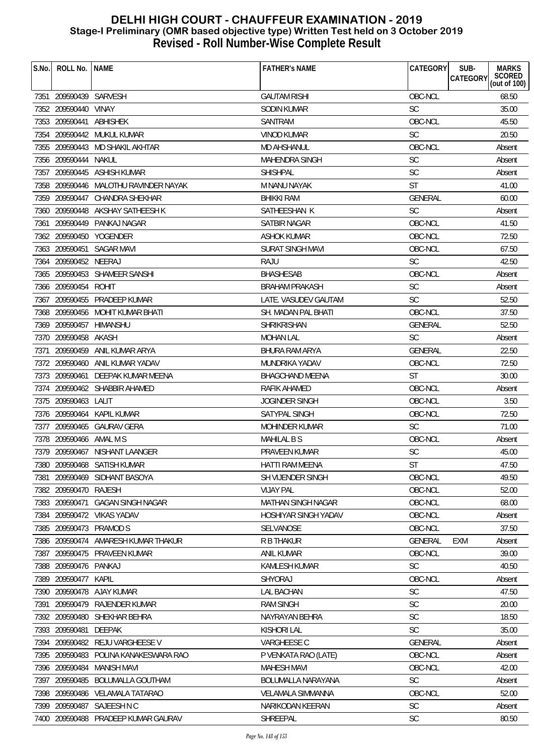| S.No. | ROLL No.                | <b>NAME</b>                           | <b>FATHER'S NAME</b>        | CATEGORY       | SUB-<br><b>MARKS</b>                      |
|-------|-------------------------|---------------------------------------|-----------------------------|----------------|-------------------------------------------|
|       |                         |                                       |                             |                | SCORED<br>(out of 100)<br><b>CATEGORY</b> |
|       | 7351 209590439 SARVESH  |                                       | <b>GAUTAM RISHI</b>         | OBC-NCL        | 68.50                                     |
|       | 7352 209590440 VINAY    |                                       | SODIN KUMAR                 | <b>SC</b>      | 35.00                                     |
|       | 7353 209590441          | ABHISHEK                              | SANTRAM                     | OBC-NCL        | 45.50                                     |
|       |                         | 7354 209590442 MUKUL KUMAR            | <b>VINOD KUMAR</b>          | <b>SC</b>      | 20.50                                     |
|       |                         | 7355 209590443 MD SHAKIL AKHTAR       | <b>MD AHSHANUL</b>          | OBC-NCL        | Absent                                    |
|       | 7356 209590444 NAKUL    |                                       | <b>MAHENDRA SINGH</b>       | SC             | Absent                                    |
|       |                         | 7357 209590445 ASHISH KUMAR           | <b>SHISHPAL</b>             | SC             | Absent                                    |
|       |                         | 7358 209590446 MALOTHU RAVINDER NAYAK | M NANU NAYAK                | <b>ST</b>      | 41.00                                     |
|       |                         | 7359 209590447 CHANDRA SHEKHAR        | <b>BHIKKI RAM</b>           | <b>GENERAL</b> | 60.00                                     |
|       |                         | 7360 209590448 AKSHAY SATHEESH K      | SATHEESHAN K                | <b>SC</b>      | Absent                                    |
|       |                         | 7361 209590449 PANKAJ NAGAR           | SATBIR NAGAR                | OBC-NCL        | 41.50                                     |
|       |                         | 7362 209590450 YOGENDER               | <b>ASHOK KUMAR</b>          | OBC-NCL        | 72.50                                     |
|       |                         | 7363 209590451 SAGAR MAVI             | <b>SURAT SINGH MAVI</b>     | OBC-NCL        | 67.50                                     |
|       | 7364 209590452 NEERAJ   |                                       | RAJU                        | <b>SC</b>      | 42.50                                     |
|       |                         | 7365 209590453 SHAMEER SANSHI         | <b>BHASHESAB</b>            | OBC-NCL        | Absent                                    |
|       | 7366 209590454 ROHIT    |                                       | <b>BRAHAM PRAKASH</b>       | <b>SC</b>      | Absent                                    |
|       |                         | 7367 209590455 PRADEEP KUMAR          | LATE. VASUDEV GAUTAM        | <b>SC</b>      | 52.50                                     |
|       |                         | 7368 209590456 MOHIT KUMAR BHATI      | SH. MADAN PAL BHATI         | OBC-NCL        | 37.50                                     |
|       | 7369 209590457 HIMANSHU |                                       | <b>SHRIKRISHAN</b>          | <b>GENERAL</b> | 52.50                                     |
|       | 7370 209590458 AKASH    |                                       | <b>MOHAN LAL</b>            | <b>SC</b>      | Absent                                    |
| 7371  |                         | 209590459 ANIL KUMAR ARYA             | <b>BHURA RAM ARYA</b>       | <b>GENERAL</b> | 22.50                                     |
|       |                         | 7372 209590460 ANIL KUMAR YADAV       | MUNDRIKA YADAV              | OBC-NCL        | 72.50                                     |
|       | 7373 209590461          | DEEPAK KUMAR MEENA                    | <b>BHAGCHAND MEENA</b>      | <b>ST</b>      | 30.00                                     |
|       |                         | 7374 209590462 SHABBIR AHAMED         | RAFIK AHAMED                | OBC-NCL        | Absent                                    |
|       | 7375 209590463 LALIT    |                                       | <b>JOGINDER SINGH</b>       | OBC-NCL        | 3.50                                      |
|       |                         | 7376 209590464 KAPIL KUMAR            | SATYPAL SINGH               | OBC-NCL        | 72.50                                     |
|       |                         | 7377 209590465 GAURAV GERA            | <b>MOHINDER KUMAR</b>       | <b>SC</b>      | 71.00                                     |
|       | 7378 209590466 AMAL M S |                                       | <b>MAHILAL B S</b>          | OBC-NCL        | Absent                                    |
|       |                         | 7379 209590467 NISHANT LAANGER        | PRAVEEN KUMAR               | <b>SC</b>      | 45.00                                     |
|       |                         | 7380 209590468 SATISH KUMAR           | HATTI RAM MEENA             | <b>ST</b>      | 47.50                                     |
| 7381  |                         | 209590469 SIDHANT BASOYA              | SH VIJENDER SINGH           | OBC-NCL        | 49.50                                     |
|       | 7382 209590470 RAJESH   |                                       | <b>VIJAY PAL</b>            | OBC-NCL        | 52.00                                     |
|       | 7383 209590471          | <b>GAGAN SINGH NAGAR</b>              | MATHAN SINGH NAGAR          | OBC-NCL        | 68.00                                     |
|       |                         | 7384 209590472 VIKAS YADAV            | <b>HOSHIYAR SINGH YADAV</b> | OBC-NCL        | Absent                                    |
|       |                         | 7385 209590473 PRAMOD S               | <b>SELVANOSE</b>            | OBC-NCL        | 37.50                                     |
|       | 7386 209590474          | AMARESH KUMAR THAKUR                  | <b>R B THAKUR</b>           | <b>GENERAL</b> | <b>EXM</b><br>Absent                      |
|       |                         | 7387 209590475 PRAVEEN KUMAR          | ANIL KUMAR                  | OBC-NCL        | 39.00                                     |
|       | 7388 209590476 PANKAJ   |                                       | <b>KAMLESH KUMAR</b>        | <b>SC</b>      | 40.50                                     |
|       | 7389 209590477 KAPIL    |                                       | SHYORAJ                     | OBC-NCL        | Absent                                    |
|       |                         | 7390 209590478 AJAY KUMAR             | <b>LAL BACHAN</b>           | <b>SC</b>      | 47.50                                     |
| 7391  | 209590479               | RAJENDER KUMAR                        | <b>RAM SINGH</b>            | <b>SC</b>      | 20.00                                     |
|       |                         | 7392 209590480 SHEKHAR BEHRA          | NAYRAYAN BEHRA              | <b>SC</b>      | 18.50                                     |
|       | 7393 209590481          | DEEPAK                                | <b>KISHORI LAL</b>          | <b>SC</b>      | 35.00                                     |
|       |                         | 7394 209590482 REJU VARGHEESE V       | VARGHEESE C                 | GENERAL        | Absent                                    |
|       | 7395 209590483          | POLINA KANAKESWARA RAO                | P VENKATA RAO (LATE)        | OBC-NCL        | Absent                                    |
|       | 7396 209590484          | <b>MANISH MAVI</b>                    | <b>MAHESH MAVI</b>          | OBC-NCL        | 42.00                                     |
|       | 7397 209590485          | <b>BOLUMALLA GOUTHAM</b>              | BOLUMALLA NARAYANA          | <b>SC</b>      | Absent                                    |
|       |                         | 7398 209590486 VELAMALA TATARAO       | <b>VELAMALA SIMMANNA</b>    | OBC-NCL        | 52.00                                     |
|       |                         | 7399 209590487 SAJEESH N C            | NARIKODAN KEERAN            | <b>SC</b>      | Absent                                    |
|       |                         | 7400 209590488 PRADEEP KUMAR GAURAV   | SHREEPAL                    | SC             | 80.50                                     |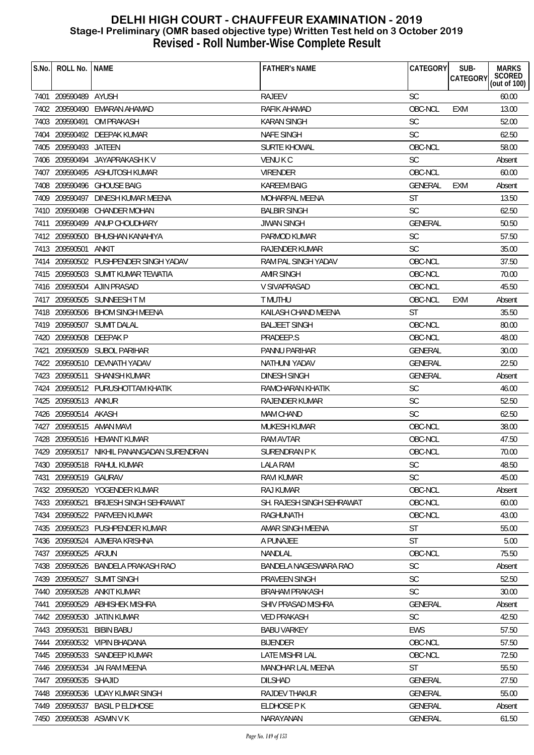| S.No. | ROLL No.                | l name                                     | <b>FATHER'S NAME</b>      | CATEGORY       | SUB-            | <b>MARKS</b>           |
|-------|-------------------------|--------------------------------------------|---------------------------|----------------|-----------------|------------------------|
|       |                         |                                            |                           |                | <b>CATEGORY</b> | SCORED<br>(out of 100) |
|       | 7401 209590489 AYUSH    |                                            | <b>RAJEEV</b>             | <b>SC</b>      |                 | 60.00                  |
|       |                         | 7402 209590490 EMARAN AHAMAD               | RAFIK AHAMAD              | OBC-NCL        | <b>EXM</b>      | 13.00                  |
|       |                         | 7403 209590491 OM PRAKASH                  | KARAN SINGH               | <b>SC</b>      |                 | 52.00                  |
|       |                         | 7404 209590492 DEEPAK KUMAR                | <b>NAFE SINGH</b>         | <b>SC</b>      |                 | 62.50                  |
|       | 7405 209590493 JATEEN   |                                            | <b>SURTE KHOWAL</b>       | OBC-NCL        |                 | 58.00                  |
|       |                         | 7406 209590494 JAYAPRAKASH K V             | <b>VENUKC</b>             | <b>SC</b>      |                 | Absent                 |
|       |                         | 7407 209590495 ASHUTOSH KUMAR              | <b>VIRENDER</b>           | OBC-NCL        |                 | 60.00                  |
|       |                         | 7408 209590496 GHOUSE BAIG                 | <b>KAREEM BAIG</b>        | <b>GENERAL</b> | EXM             | Absent                 |
|       |                         | 7409 209590497 DINESH KUMAR MEENA          | MOHARPAL MEENA            | <b>ST</b>      |                 | 13.50                  |
|       | 7410 209590498          | CHANDER MOHAN                              | <b>BALBIR SINGH</b>       | <b>SC</b>      |                 | 62.50                  |
|       |                         | 7411 209590499 ANUP CHOUDHARY              | <b>JIWAN SINGH</b>        | GENERAL        |                 | 50.50                  |
|       | 7412 209590500          | BHUSHAN KANAHIYA                           | PARMOD KUMAR              | <b>SC</b>      |                 | 57.50                  |
|       | 7413 209590501          | ANKIT                                      | RAJENDER KUMAR            | <b>SC</b>      |                 | 35.00                  |
|       |                         | 7414 209590502 PUSHPENDER SINGH YADAV      | RAM PAL SINGH YADAV       | OBC-NCL        |                 | 37.50                  |
|       |                         | 7415 209590503 SUMIT KUMAR TEWATIA         | <b>AMIR SINGH</b>         | OBC-NCL        |                 | 70.00                  |
|       |                         | 7416 209590504 AJIN PRASAD                 | <b>V SIVAPRASAD</b>       | OBC-NCL        |                 | 45.50                  |
|       |                         | 7417 209590505 SUNNEESH TM                 | T MUTHU                   | OBC-NCL        | <b>EXM</b>      | Absent                 |
|       |                         | 7418 209590506 BHOM SINGH MEENA            | KAILASH CHAND MEENA       | <b>ST</b>      |                 | 35.50                  |
|       |                         | 7419 209590507 SUMIT DALAL                 | <b>BALJEET SINGH</b>      | OBC-NCL        |                 | 80.00                  |
|       | 7420 209590508 DEEPAK P |                                            | PRADEEP.S                 | OBC-NCL        |                 | 48.00                  |
|       |                         | 7421 209590509 SUBOL PARIHAR               | PANNU PARIHAR             | GENERAL        |                 | 30.00                  |
|       |                         | 7422 209590510 DEVNATH YADAV               | NATHUNI YADAV             | <b>GENERAL</b> |                 | 22.50                  |
|       | 7423 209590511          | <b>SHANISH KUMAR</b>                       | <b>DINESH SINGH</b>       | <b>GENERAL</b> |                 | Absent                 |
|       |                         | 7424 209590512 PURUSHOTTAM KHATIK          | RAMCHARAN KHATIK          | <b>SC</b>      |                 | 46.00                  |
|       | 7425 209590513 ANKUR    |                                            | RAJENDER KUMAR            | <b>SC</b>      |                 | 52.50                  |
|       | 7426 209590514 AKASH    |                                            | MAM CHAND                 | <b>SC</b>      |                 | 62.50                  |
|       |                         | 7427 209590515 AMAN MAVI                   | MUKESH KUMAR              | OBC-NCL        |                 | 38.00                  |
|       |                         | 7428 209590516 HEMANT KUMAR                | <b>RAM AVTAR</b>          | OBC-NCL        |                 | 47.50                  |
|       |                         | 7429 209590517 NIKHIL PANANGADAN SURENDRAN | SURENDRAN P K             | OBC-NCL        |                 | 70.00                  |
|       |                         | 7430 209590518 RAHUL KUMAR                 | <b>LALA RAM</b>           | SC             |                 | 48.50                  |
|       | 7431 209590519 GAURAV   |                                            | <b>RAVI KUMAR</b>         | <b>SC</b>      |                 | 45.00                  |
|       |                         | 7432 209590520 YOGENDER KUMAR              | RAJ KUMAR                 | OBC-NCL        |                 | Absent                 |
|       | 7433 209590521          | <b>BRIJESH SINGH SEHRAWAT</b>              | SH. RAJESH SINGH SEHRAWAT | OBC-NCL        |                 | 60.00                  |
|       |                         | 7434 209590522 PARVEEN KUMAR               | RAGHUNATH                 | OBC-NCL        |                 | 43.00                  |
|       |                         | 7435 209590523 PUSHPENDER KUMAR            | AMAR SINGH MEENA          | <b>ST</b>      |                 | 55.00                  |
|       | 7436 209590524          | AJMERA KRISHNA                             | A PUNAJEE                 | <b>ST</b>      |                 | 5.00                   |
|       | 7437 209590525          | ARJUN                                      | NANDLAL                   | OBC-NCL        |                 | 75.50                  |
|       |                         | 7438 209590526 BANDELA PRAKASH RAO         | BANDELA NAGESWARA RAO     | <b>SC</b>      |                 | Absent                 |
|       | 7439 209590527          | <b>SUMIT SINGH</b>                         | PRAVEEN SINGH             | <b>SC</b>      |                 | 52.50                  |
|       |                         | 7440 209590528 ANKIT KUMAR                 | <b>BRAHAM PRAKASH</b>     | <b>SC</b>      |                 | 30.00                  |
|       |                         | 7441 209590529 ABHISHEK MISHRA             | SHIV PRASAD MISHRA        | <b>GENERAL</b> |                 | Absent                 |
|       | 7442 209590530          | JATIN KUMAR                                | <b>VED PRAKASH</b>        | <b>SC</b>      |                 | 42.50                  |
|       | 7443 209590531          | <b>BIBIN BABU</b>                          | <b>BABU VARKEY</b>        | <b>EWS</b>     |                 | 57.50                  |
|       |                         | 7444 209590532 VIPIN BHADANA               | <b>BIJENDER</b>           | OBC-NCL        |                 | 57.50                  |
|       |                         | 7445 209590533 SANDEEP KUMAR               | LATE MISHRI LAL           | OBC-NCL        |                 | 72.50                  |
|       | 7446 209590534          | JAI RAM MEENA                              | <b>MANOHAR LAL MEENA</b>  | ST             |                 | 55.50                  |
|       | 7447 209590535 SHAJID   |                                            | <b>DILSHAD</b>            | <b>GENERAL</b> |                 | 27.50                  |
|       |                         | 7448 209590536 UDAY KUMAR SINGH            | RAJDEV THAKUR             | <b>GENERAL</b> |                 | 55.00                  |
|       |                         | 7449 209590537 BASIL P ELDHOSE             | ELDHOSE P K               | GENERAL        |                 | Absent                 |
|       |                         | 7450 209590538 ASWIN V K                   | NARAYANAN                 | GENERAL        |                 | 61.50                  |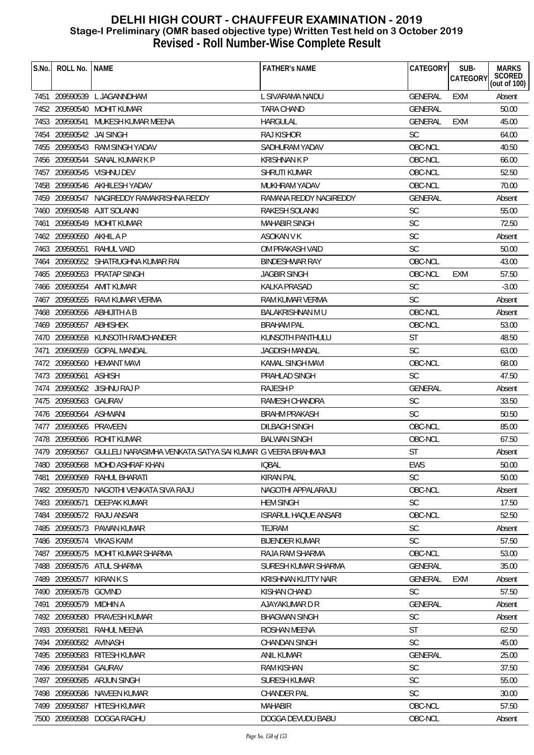|                                                                                        | <b>CATEGORY</b> | SUB-<br>CATEGORY | <b>MARKS</b><br>SCORED<br>(out of 100) |
|----------------------------------------------------------------------------------------|-----------------|------------------|----------------------------------------|
|                                                                                        |                 |                  |                                        |
| 7451 209590539 L JAGANNDHAM<br>L SIVARAMA NAIDU                                        | <b>GENERAL</b>  | <b>EXM</b>       | Absent                                 |
| 7452 209590540 MOHIT KUMAR<br>TARA CHAND                                               | <b>GENERAL</b>  |                  | 50.00                                  |
| MUKESH KUMAR MEENA<br><b>HARGULAL</b><br>7453 209590541                                | <b>GENERAL</b>  | <b>EXM</b>       | 45.00                                  |
| <b>RAJ KISHOR</b><br><b>SC</b><br>7454 209590542 JAI SINGH                             |                 |                  | 64.00                                  |
| 7455 209590543 RAM SINGH YADAV<br>SADHURAM YADAV                                       | OBC-NCL         |                  | 40.50                                  |
| 7456 209590544 SANAL KUMAR K P<br><b>KRISHNAN K P</b>                                  | OBC-NCL         |                  | 66.00                                  |
| 7457 209590545 VISHNU DEV<br>SHRUTI KUMAR                                              | OBC-NCL         |                  | 52.50                                  |
| 7458 209590546 AKHILESH YADAV<br>MUKHRAM YADAV                                         | OBC-NCL         |                  | 70.00                                  |
| 7459 209590547 NAGIREDDY RAMAKRISHNA REDDY<br>RAMANA REDDY NAGIREDDY                   | <b>GENERAL</b>  |                  | Absent                                 |
| <b>SC</b><br>7460 209590548 AJIT SOLANKI<br>RAKESH SOLANKI                             |                 |                  | 55.00                                  |
| <b>SC</b><br>209590549<br>MOHIT KUMAR<br><b>MAHABIR SINGH</b><br>7461                  |                 |                  | 72.50                                  |
| <b>SC</b><br>7462 209590550<br>AKHIL A P<br><b>ASOKAN V K</b>                          |                 |                  | Absent                                 |
| <b>SC</b><br>7463 209590551<br>RAHUL VAID<br>OM PRAKASH VAID                           |                 |                  | 50.00                                  |
| 7464 209590552 SHATRUGHNA KUMAR RAI<br><b>BINDESHWAR RAY</b>                           | OBC-NCL         |                  | 43.00                                  |
| 7465 209590553 PRATAP SINGH<br><b>JAGBIR SINGH</b>                                     | OBC-NCL         | EXM              | 57.50                                  |
| 7466 209590554 AMIT KUMAR<br><b>SC</b><br>KALKA PRASAD                                 |                 |                  | $-3.00$                                |
| 7467 209590555 RAVI KUMAR VERMA<br><b>SC</b><br>RAM KUMAR VERMA                        |                 |                  | Absent                                 |
| 7468 209590556 ABHIJITH A B<br>BALAKRISHNAN MU                                         | OBC-NCL         |                  | Absent                                 |
| 7469 209590557 ABHISHEK<br><b>BRAHAM PAL</b>                                           | OBC-NCL         |                  | 53.00                                  |
| 7470 209590558 KUNSOTH RAMCHANDER<br>KUNSOTH PANTHULU<br><b>ST</b>                     |                 |                  | 48.50                                  |
| <b>SC</b><br>209590559<br><b>GOPAL MANDAL</b><br><b>JAGDISH MANDAL</b><br>7471         |                 |                  | 63.00                                  |
| 7472 209590560 HEMANT MAVI<br>KAMAL SINGH MAVI                                         | OBC-NCL         |                  | 68.00                                  |
| 7473 209590561<br><b>ASHISH</b><br>PRAHLAD SINGH<br><b>SC</b>                          |                 |                  | 47.50                                  |
| 7474 209590562 JISHNU RAJ P<br>RAJESH P                                                | <b>GENERAL</b>  |                  | Absent                                 |
| 7475 209590563 GAURAV<br><b>SC</b><br>RAMESH CHANDRA                                   |                 |                  | 33.50                                  |
| <b>BRAHM PRAKASH</b><br><b>SC</b><br>7476 209590564 ASHWANI                            |                 |                  | 50.50                                  |
| 7477 209590565 PRAVEEN<br><b>DILBAGH SINGH</b>                                         | OBC-NCL         |                  | 85.00                                  |
| 7478 209590566 ROHIT KUMAR<br><b>BALWAN SINGH</b>                                      | OBC-NCL         |                  | 67.50                                  |
| 7479 209590567 GULLELI NARASIMHA VENKATA SATYA SAI KUMAR G VEERA BRAHMAJI<br><b>ST</b> |                 |                  | Absent                                 |
| EWS<br>7480 209590568 MOHD ASHRAF KHAN<br><b>IQBAL</b>                                 |                 |                  | 50.00                                  |
| <b>SC</b><br>209590569<br>RAHUL BHARATI<br><b>KIRAN PAL</b><br>7481                    |                 |                  | 50.00                                  |
| 7482 209590570 NAGOTHI VENKATA SIVA RAJU<br>NAGOTHI APPALARAJU                         | OBC-NCL         |                  | Absent                                 |
| 7483 209590571<br><b>SC</b><br>DEEPAK KUMAR<br><b>HEM SINGH</b>                        |                 |                  | 17.50                                  |
| 7484 209590572 RAJU ANSARI<br><b>ISRARUL HAQUE ANSARI</b>                              | OBC-NCL         |                  | 52.50                                  |
| SC<br>7485 209590573 PAWAN KUMAR<br><b>TEJRAM</b>                                      |                 |                  | Absent                                 |
| <b>SC</b><br>7486 209590574<br>VIKAS KAIM<br><b>BIJENDER KUMAR</b>                     |                 |                  | 57.50                                  |
| 7487 209590575 MOHIT KUMAR SHARMA<br>RAJA RAM SHARMA                                   | OBC-NCL         |                  | 53.00                                  |
| 7488 209590576 ATUL SHARMA<br>SURESH KUMAR SHARMA                                      | <b>GENERAL</b>  |                  | 35.00                                  |
| 7489 209590577<br>KIRAN K S<br>KRISHNAN KUTTY NAIR                                     | <b>GENERAL</b>  | <b>EXM</b>       | Absent                                 |
| <b>SC</b><br>7490 209590578 GOVIND<br><b>KISHAN CHAND</b>                              |                 |                  | 57.50                                  |
| 209590579<br>MIDHIN A<br>AJAYAKUMAR D R<br>7491                                        | <b>GENERAL</b>  |                  | Absent                                 |
| 7492 209590580<br><b>SC</b><br><b>PRAVESH KUMAR</b><br><b>BHAGWAN SINGH</b>            |                 |                  | Absent                                 |
| 7493 209590581<br><b>ST</b><br>RAHUL MEENA<br>ROSHAN MEENA                             |                 |                  | 62.50                                  |
| <b>SC</b><br>7494 209590582<br>AVINASH<br><b>CHANDAN SINGH</b>                         |                 |                  | 45.00                                  |
| 7495 209590583<br>RITESH KUMAR<br>ANIL KUMAR                                           | <b>GENERAL</b>  |                  | 25.00                                  |
| <b>SC</b><br>209590584<br>GAURAV<br><b>RAM KISHAN</b><br>7496                          |                 |                  | 37.50                                  |
| <b>SC</b><br>209590585<br>ARJUN SINGH<br><b>SURESH KUMAR</b><br>7497                   |                 |                  | 55.00                                  |
| 7498 209590586<br>NAVEEN KUMAR<br><b>CHANDER PAL</b><br><b>SC</b>                      |                 |                  | 30.00                                  |
| 7499 209590587 HITESH KUMAR<br><b>MAHABIR</b>                                          | OBC-NCL         |                  | 57.50                                  |
| 7500 209590588 DOGGA RAGHU<br>DOGGA DEVUDU BABU                                        | OBC-NCL         |                  | Absent                                 |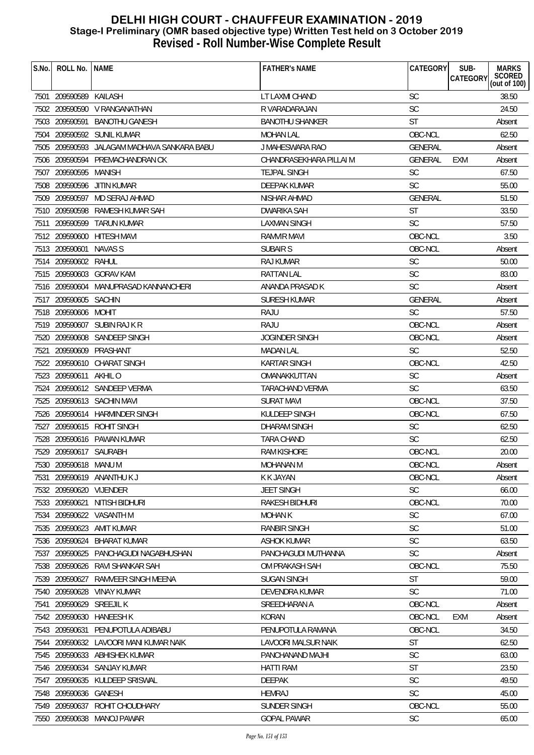| S.No. | ROLL No.                | <b>NAME</b>                                 | <b>FATHER'S NAME</b>    | <b>CATEGORY</b> | SUB-<br>CATEGORY | <b>MARKS</b><br>SCORED<br>(out of 100) |
|-------|-------------------------|---------------------------------------------|-------------------------|-----------------|------------------|----------------------------------------|
| 7501  | 209590589 KAILASH       |                                             | LT LAXMI CHAND          | <b>SC</b>       |                  | 38.50                                  |
|       |                         | 7502 209590590 V RANGANATHAN                | R VARADARAJAN           | SC              |                  | 24.50                                  |
|       |                         | 7503 209590591 BANOTHU GANESH               | <b>BANOTHU SHANKER</b>  | <b>ST</b>       |                  | Absent                                 |
| 7504  |                         | 209590592 SUNIL KUMAR                       | <b>MOHAN LAL</b>        | OBC-NCL         |                  | 62.50                                  |
|       |                         | 7505 209590593 JALAGAM MADHAVA SANKARA BABU | J MAHESWARA RAO         | GENERAL         |                  | Absent                                 |
| 7506  |                         | 209590594 PREMACHANDRAN CK                  | CHANDRASEKHARA PILLAI M | <b>GENERAL</b>  | EXM              | Absent                                 |
| 7507  | 209590595 MANISH        |                                             | <b>TEJPAL SINGH</b>     | <b>SC</b>       |                  | 67.50                                  |
|       | 7508 209590596          | JITIN KUMAR                                 | DEEPAK KUMAR            | <b>SC</b>       |                  | 55.00                                  |
|       | 7509 209590597          | MD SERAJ AHMAD                              | NISHAR AHMAD            | GENERAL         |                  | 51.50                                  |
|       | 7510 209590598          | RAMESH KUMAR SAH                            | DWARIKA SAH             | <b>ST</b>       |                  | 33.50                                  |
| 7511  | 209590599               | TARUN KUMAR                                 | LAXMAN SINGH            | <b>SC</b>       |                  | 57.50                                  |
|       | 7512 209590600          | <b>HITESH MAVI</b>                          | <b>RAMVIR MAVI</b>      | OBC-NCL         |                  | 3.50                                   |
|       | 7513 209590601          | NAVAS S                                     | SUBAIR S                | OBC-NCL         |                  | Absent                                 |
|       | 7514 209590602 RAHUL    |                                             | RAJ KUMAR               | <b>SC</b>       |                  | 50.00                                  |
|       |                         | 7515 209590603 GORAV KAM                    | RATTAN LAL              | <b>SC</b>       |                  | 83.00                                  |
|       |                         | 7516 209590604 MANUPRASAD KANNANCHERI       | ANANDA PRASAD K         | <b>SC</b>       |                  | Absent                                 |
|       | 7517 209590605 SACHIN   |                                             | <b>SURESH KUMAR</b>     | <b>GENERAL</b>  |                  | Absent                                 |
|       | 7518 209590606 MOHIT    |                                             | RAJU                    | <b>SC</b>       |                  | 57.50                                  |
|       |                         | 7519 209590607 SUBIN RAJ K R                | RAJU                    | OBC-NCL         |                  | Absent                                 |
|       |                         | 7520 209590608 SANDEEP SINGH                | <b>JOGINDER SINGH</b>   | OBC-NCL         |                  | Absent                                 |
| 7521  | 209590609               | PRASHANT                                    | <b>MADAN LAL</b>        | <b>SC</b>       |                  | 52.50                                  |
|       | 7522 209590610          | CHARAT SINGH                                | KARTAR SINGH            | OBC-NCL         |                  | 42.50                                  |
|       | 7523 209590611 AKHIL O  |                                             | OMANAKKUTTAN            | <b>SC</b>       |                  | Absent                                 |
|       |                         | 7524 209590612 SANDEEP VERMA                | TARACHAND VERMA         | <b>SC</b>       |                  | 63.50                                  |
|       |                         | 7525 209590613 SACHIN MAVI                  | <b>SURAT MAVI</b>       | OBC-NCL         |                  | 37.50                                  |
|       |                         | 7526 209590614 HARMINDER SINGH              | KULDEEP SINGH           | OBC-NCL         |                  | 67.50                                  |
| 7527  |                         | 209590615 ROHIT SINGH                       | <b>DHARAM SINGH</b>     | <b>SC</b>       |                  | 62.50                                  |
|       |                         | 7528 209590616 PAWAN KUMAR                  | TARA CHAND              | <b>SC</b>       |                  | 62.50                                  |
|       | 7529 209590617 SAURABH  |                                             | <b>RAM KISHORE</b>      | OBC-NCL         |                  | 20.00                                  |
|       | 7530 209590618 MANU M   |                                             | MOHANAN M               | OBC-NCL         |                  | Absent                                 |
| 7531  |                         | 209590619 ANANTHU K J                       | K K JAYAN               | OBC-NCL         |                  | Absent                                 |
|       | 7532 209590620 VIJENDER |                                             | <b>JEET SINGH</b>       | SC              |                  | 66.00                                  |
|       | 7533 209590621          | NITISH BIDHURI                              | RAKESH BIDHURI          | OBC-NCL         |                  | 70.00                                  |
|       |                         | 7534 209590622 VASANTH M                    | <b>MOHAN K</b>          | <b>SC</b>       |                  | 67.00                                  |
| 7535  | 209590623               | AMIT KUMAR                                  | <b>RANBIR SINGH</b>     | <b>SC</b>       |                  | 51.00                                  |
| 7536  | 209590624               | <b>BHARAT KUMAR</b>                         | <b>ASHOK KUMAR</b>      | <b>SC</b>       |                  | 63.50                                  |
| 7537  |                         | 209590625 PANCHAGUDI NAGABHUSHAN            | PANCHAGUDI MUTHANNA     | <b>SC</b>       |                  | Absent                                 |
|       |                         | 7538 209590626 RAVI SHANKAR SAH             | OM PRAKASH SAH          | OBC-NCL         |                  | 75.50                                  |
|       | 7539 209590627          | RAMVEER SINGH MEENA                         | <b>SUGAN SINGH</b>      | <b>ST</b>       |                  | 59.00                                  |
| 7540  |                         | 209590628 VINAY KUMAR                       | DEVENDRA KUMAR          | <b>SC</b>       |                  | 71.00                                  |
| 7541  | 209590629               | <b>SREEJIL K</b>                            | SREEDHARAN A            | OBC-NCL         |                  | Absent                                 |
|       | 7542 209590630          | <b>HANEESH K</b>                            | <b>KORAN</b>            | OBC-NCL         | EXM              | Absent                                 |
|       | 7543 209590631          | PENUPOTULA ADIBABU                          | PENUPOTULA RAMANA       | OBC-NCL         |                  | 34.50                                  |
|       |                         | 7544 209590632 LAVOORI MANI KUMAR NAIK      | LAVOORI MALSUR NAIK     | <b>ST</b>       |                  | 62.50                                  |
|       |                         | 7545 209590633 ABHISHEK KUMAR               | PANCHANAND MAJHI        | <b>SC</b>       |                  | 63.00                                  |
| 7546  |                         | 209590634 SANJAY KUMAR                      | HATTI RAM               | ST              |                  | 23.50                                  |
| 7547  |                         | 209590635 KULDEEP SRISWAL                   | <b>DEEPAK</b>           | <b>SC</b>       |                  | 49.50                                  |
|       | 7548 209590636 GANESH   |                                             | <b>HEMRAJ</b>           | <b>SC</b>       |                  | 45.00                                  |
|       |                         | 7549 209590637 ROHIT CHOUDHARY              | SUNDER SINGH            | OBC-NCL         |                  | 55.00                                  |
|       |                         | 7550 209590638 MANOJ PAWAR                  | <b>GOPAL PAWAR</b>      | <b>SC</b>       |                  | 65.00                                  |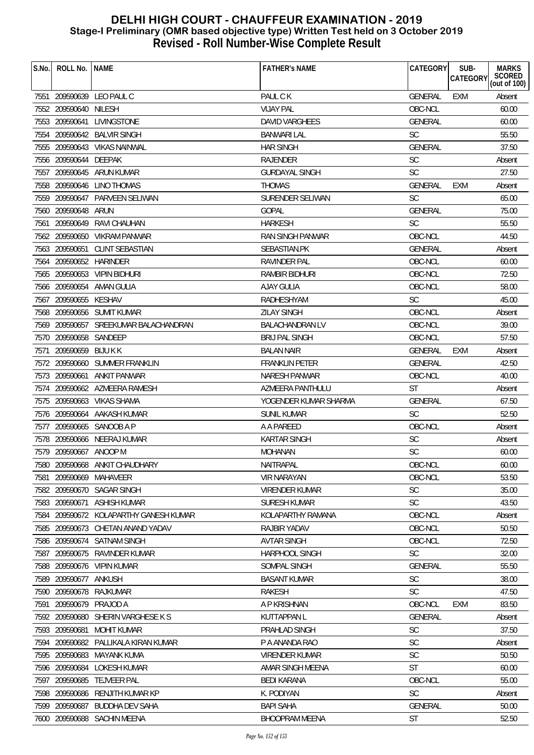| S.No. | ROLL No.   NAME         |                                        | <b>FATHER'S NAME</b>    | CATEGORY       | SUB-            | <b>MARKS</b>           |
|-------|-------------------------|----------------------------------------|-------------------------|----------------|-----------------|------------------------|
|       |                         |                                        |                         |                | <b>CATEGORY</b> | SCORED<br>(out of 100) |
|       |                         | 7551 209590639 LEO PAUL C              | PAUL C K                | <b>GENERAL</b> | EXM             | Absent                 |
|       | 7552 209590640 NILESH   |                                        | <b>VIJAY PAL</b>        | OBC-NCL        |                 | 60.00                  |
|       |                         | 7553 209590641 LIVINGSTONE             | DAVID VARGHEES          | <b>GENERAL</b> |                 | 60.00                  |
|       |                         | 7554 209590642 BALVIR SINGH            | <b>BANWARI LAL</b>      | <b>SC</b>      |                 | 55.50                  |
|       |                         | 7555 209590643 VIKAS NAINWAL           | <b>HAR SINGH</b>        | <b>GENERAL</b> |                 | 37.50                  |
|       | 7556 209590644 DEEPAK   |                                        | <b>RAJENDER</b>         | <b>SC</b>      |                 | Absent                 |
|       |                         | 7557 209590645 ARUN KUMAR              | <b>GURDAYAL SINGH</b>   | <b>SC</b>      |                 | 27.50                  |
|       |                         | 7558 209590646 LINO THOMAS             | <b>THOMAS</b>           | <b>GENERAL</b> | <b>EXM</b>      | Absent                 |
|       |                         | 7559 209590647 PARVEEN SELIWAN         | SURENDER SELIWAN        | <b>SC</b>      |                 | 65.00                  |
|       | 7560 209590648 ARUN     |                                        | <b>GOPAL</b>            | <b>GENERAL</b> |                 | 75.00                  |
|       |                         | 7561 209590649 RAVI CHAUHAN            | <b>HARKESH</b>          | <b>SC</b>      |                 | 55.50                  |
|       |                         | 7562 209590650 VIKRAM PANWAR           | <b>RAN SINGH PANWAR</b> | OBC-NCL        |                 | 44.50                  |
|       |                         | 7563 209590651 CLINT SEBASTIAN         | SEBASTIAN.PK            | <b>GENERAL</b> |                 | Absent                 |
|       | 7564 209590652 HARINDER |                                        | RAVINDER PAL            | OBC-NCL        |                 | 60.00                  |
|       |                         | 7565 209590653 VIPIN BIDHURI           | RAMBIR BIDHURI          | OBC-NCL        |                 | 72.50                  |
|       |                         | 7566 209590654 AMAN GULIA              | AJAY GULIA              | OBC-NCL        |                 | 58.00                  |
|       | 7567 209590655 KESHAV   |                                        | RADHESHYAM              | <b>SC</b>      |                 | 45.00                  |
|       |                         | 7568 209590656 SUMIT KUMAR             | <b>ZILAY SINGH</b>      | OBC-NCL        |                 | Absent                 |
|       |                         | 7569 209590657 SREEKUMAR BALACHANDRAN  | <b>BALACHANDRAN LV</b>  | OBC-NCL        |                 | 39.00                  |
|       | 7570 209590658 SANDEEP  |                                        | <b>BRIJ PAL SINGH</b>   | OBC-NCL        |                 | 57.50                  |
|       | 7571 209590659 BIJU K K |                                        | <b>BALAN NAIR</b>       | <b>GENERAL</b> | EXM             | Absent                 |
|       |                         | 7572 209590660 SUMMER FRANKLIN         | <b>FRANKLIN PETER</b>   | <b>GENERAL</b> |                 | 42.50                  |
|       | 7573 209590661          | <b>ANKIT PANWAR</b>                    | <b>NARESH PANWAR</b>    | OBC-NCL        |                 | 40.00                  |
|       |                         | 7574 209590662 AZMEERA RAMESH          | AZMEERA PANTHULU        | <b>ST</b>      |                 | Absent                 |
|       |                         | 7575 209590663 VIKAS SHAMA             | YOGENDER KUMAR SHARMA   | <b>GENERAL</b> |                 | 67.50                  |
|       |                         | 7576 209590664 AAKASH KUMAR            | <b>SUNIL KUMAR</b>      | <b>SC</b>      |                 | 52.50                  |
|       |                         | 7577 209590665 SANOOB A P              | A A PAREED              | OBC-NCL        |                 | Absent                 |
|       |                         | 7578 209590666 NEERAJ KUMAR            | <b>KARTAR SINGH</b>     | <b>SC</b>      |                 | Absent                 |
|       | 7579 209590667 ANOOP M  |                                        | <b>MOHANAN</b>          | <b>SC</b>      |                 | 60.00                  |
|       |                         | 7580 209590668 ANKIT CHAUDHARY         | NAITRAPAL               | OBC-NCL        |                 | 60.00                  |
| 7581  | 209590669               | MAHAVEER                               | <b>VIR NARAYAN</b>      | OBC-NCL        |                 | 53.50                  |
|       |                         | 7582 209590670 SAGAR SINGH             | <b>VIRENDER KUMAR</b>   | <b>SC</b>      |                 | 35.00                  |
|       | 7583 209590671          | ASHISH KUMAR                           | <b>SURESH KUMAR</b>     | <b>SC</b>      |                 | 43.50                  |
|       |                         | 7584 209590672 KOLAPARTHY GANESH KUMAR | KOLAPARTHY RAMANA       | OBC-NCL        |                 | Absent                 |
|       |                         | 7585 209590673 CHETAN ANAND YADAV      | RAJBIR YADAV            | OBC-NCL        |                 | 50.50                  |
|       | 7586 209590674          | <b>SATNAM SINGH</b>                    | <b>AVTAR SINGH</b>      | OBC-NCL        |                 | 72.50                  |
| 7587  |                         | 209590675 RAVINDER KUMAR               | <b>HARPHOOL SINGH</b>   | <b>SC</b>      |                 | 32.00                  |
|       |                         | 7588 209590676 VIPIN KUMAR             | SOMPAL SINGH            | <b>GENERAL</b> |                 | 55.50                  |
|       | 7589 209590677          | ANKUSH                                 | <b>BASANT KUMAR</b>     | <b>SC</b>      |                 | 38.00                  |
|       | 7590 209590678          | RAJKUMAR                               | RAKESH                  | <b>SC</b>      |                 | 47.50                  |
| 7591  | 209590679 PRAJOD A      |                                        | A P KRISHNAN            | OBC-NCL        | <b>EXM</b>      | 83.50                  |
|       | 7592 209590680          | SHERIN VARGHESE K S                    | <b>KUTTAPPAN L</b>      | <b>GENERAL</b> |                 | Absent                 |
|       | 7593 209590681          | <b>MOHIT KUMAR</b>                     | PRAHLAD SINGH           | <b>SC</b>      |                 | 37.50                  |
|       |                         | 7594 209590682 PALLIKALA KIRAN KUMAR   | P A ANANDA RAO          | <b>SC</b>      |                 | Absent                 |
|       |                         | 7595 209590683 MAYANK KUMA             | VIRENDER KUMAR          | <b>SC</b>      |                 | 50.50                  |
|       | 7596 209590684          | LOKESH KUMAR                           | AMAR SINGH MEENA        | <b>ST</b>      |                 | 60.00                  |
| 7597  | 209590685               | <b>TEJVEER PAL</b>                     | <b>BEDI KARANA</b>      | OBC-NCL        |                 | 55.00                  |
|       |                         | 7598 209590686 RENJITH KUMAR KP        | K. PODIYAN              | <b>SC</b>      |                 | Absent                 |
| 7599  |                         | 209590687 BUDDHA DEV SAHA              | <b>BAPI SAHA</b>        | <b>GENERAL</b> |                 | 50.00                  |
|       |                         | 7600 209590688 SACHIN MEENA            | <b>BHOOPRAM MEENA</b>   | <b>ST</b>      |                 | 52.50                  |